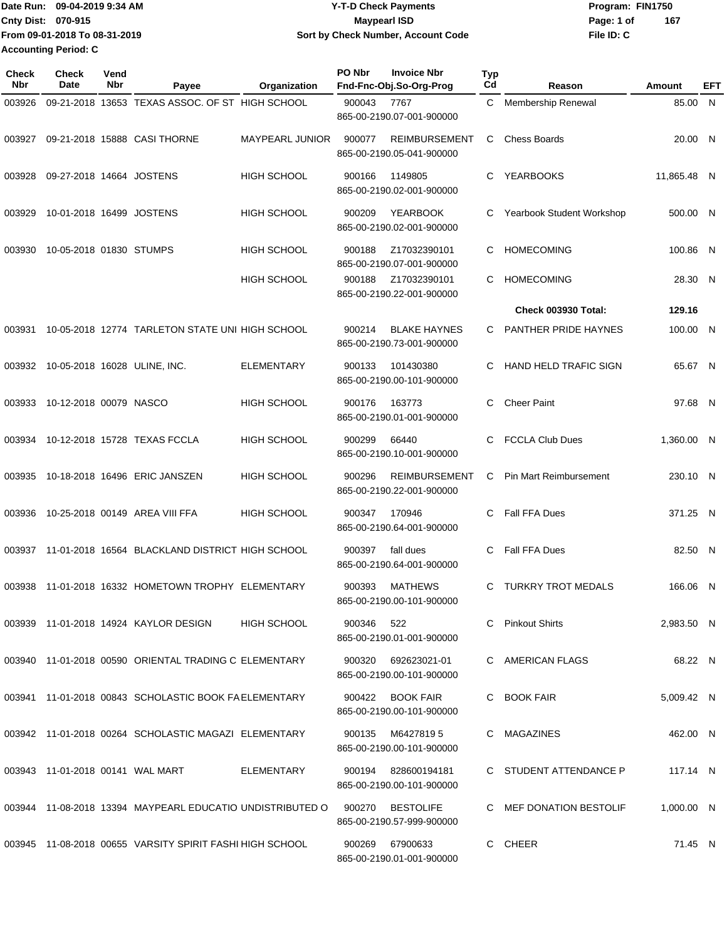| <b>Date Run:</b>            | 09-04-2019 9:34 AM            | <b>Y-T-D Check Payments</b>        | Program: FIN1750 |     |
|-----------------------------|-------------------------------|------------------------------------|------------------|-----|
| <b>Cnty Dist: 070-915</b>   |                               | Maypearl ISD                       | Page: 1 of       | 167 |
|                             | From 09-01-2018 To 08-31-2019 | Sort by Check Number, Account Code | File ID: C       |     |
| <b>Accounting Period: C</b> |                               |                                    |                  |     |

| Check<br><b>Nbr</b> | Check<br><b>Date</b>             | Vend<br>Nbr | Payee                                                     | Organization       | PO Nbr<br><b>Invoice Nbr</b><br>Fnd-Fnc-Obj.So-Org-Prog     | Typ<br>Cd | Reason                        | Amount      | EFT |
|---------------------|----------------------------------|-------------|-----------------------------------------------------------|--------------------|-------------------------------------------------------------|-----------|-------------------------------|-------------|-----|
| 003926              |                                  |             | 09-21-2018 13653 TEXAS ASSOC, OF ST HIGH SCHOOL           |                    | 900043<br>7767<br>865-00-2190.07-001-900000                 | C         | Membership Renewal            | 85.00 N     |     |
| 003927              |                                  |             | 09-21-2018 15888 CASI THORNE                              | MAYPEARL JUNIOR    | <b>REIMBURSEMENT</b><br>900077<br>865-00-2190.05-041-900000 | С         | <b>Chess Boards</b>           | 20.00 N     |     |
| 003928              | 09-27-2018 14664 JOSTENS         |             |                                                           | <b>HIGH SCHOOL</b> | 1149805<br>900166<br>865-00-2190.02-001-900000              | C         | <b>YEARBOOKS</b>              | 11,865.48 N |     |
| 003929              | 10-01-2018 16499 JOSTENS         |             |                                                           | <b>HIGH SCHOOL</b> | <b>YEARBOOK</b><br>900209<br>865-00-2190.02-001-900000      | C         | Yearbook Student Workshop     | 500.00 N    |     |
| 003930              | 10-05-2018 01830 STUMPS          |             |                                                           | <b>HIGH SCHOOL</b> | 900188<br>Z17032390101<br>865-00-2190.07-001-900000         | C         | <b>HOMECOMING</b>             | 100.86 N    |     |
|                     |                                  |             |                                                           | <b>HIGH SCHOOL</b> | Z17032390101<br>900188<br>865-00-2190.22-001-900000         | С         | <b>HOMECOMING</b>             | 28.30 N     |     |
|                     |                                  |             |                                                           |                    |                                                             |           | <b>Check 003930 Total:</b>    | 129.16      |     |
| 003931              |                                  |             | 10-05-2018 12774 TARLETON STATE UNI HIGH SCHOOL           |                    | 900214<br><b>BLAKE HAYNES</b><br>865-00-2190.73-001-900000  | С         | PANTHER PRIDE HAYNES          | 100.00 N    |     |
| 003932              |                                  |             | 10-05-2018 16028 ULINE, INC.                              | <b>ELEMENTARY</b>  | 900133<br>101430380<br>865-00-2190.00-101-900000            | С         | <b>HAND HELD TRAFIC SIGN</b>  | 65.67 N     |     |
| 003933              | 10-12-2018 00079 NASCO           |             |                                                           | <b>HIGH SCHOOL</b> | 900176<br>163773<br>865-00-2190.01-001-900000               | C         | <b>Cheer Paint</b>            | 97.68 N     |     |
| 003934              |                                  |             | 10-12-2018 15728 TEXAS FCCLA                              | <b>HIGH SCHOOL</b> | 900299<br>66440<br>865-00-2190.10-001-900000                | С         | <b>FCCLA Club Dues</b>        | 1,360.00 N  |     |
| 003935              |                                  |             | 10-18-2018 16496 ERIC JANSZEN                             | <b>HIGH SCHOOL</b> | <b>REIMBURSEMENT</b><br>900296<br>865-00-2190.22-001-900000 | С         | <b>Pin Mart Reimbursement</b> | 230.10 N    |     |
| 003936              |                                  |             | 10-25-2018 00149 AREA VIII FFA                            | <b>HIGH SCHOOL</b> | 900347<br>170946<br>865-00-2190.64-001-900000               | С         | Fall FFA Dues                 | 371.25 N    |     |
| 003937              |                                  |             | 11-01-2018 16564 BLACKLAND DISTRICT HIGH SCHOOL           |                    | 900397<br>fall dues<br>865-00-2190.64-001-900000            | C         | Fall FFA Dues                 | 82.50 N     |     |
| 003938              |                                  |             | 11-01-2018 16332 HOMETOWN TROPHY ELEMENTARY               |                    | 900393<br><b>MATHEWS</b><br>865-00-2190.00-101-900000       | C         | <b>TURKRY TROT MEDALS</b>     | 166.06 N    |     |
|                     |                                  |             | 003939 11-01-2018 14924 KAYLOR DESIGN                     | <b>HIGH SCHOOL</b> | 900346<br>522<br>865-00-2190.01-001-900000                  |           | C Pinkout Shirts              | 2,983.50 N  |     |
|                     |                                  |             | 003940 11-01-2018 00590 ORIENTAL TRADING C ELEMENTARY     |                    | 900320<br>692623021-01<br>865-00-2190.00-101-900000         |           | C AMERICAN FLAGS              | 68.22 N     |     |
|                     |                                  |             | 003941 11-01-2018 00843 SCHOLASTIC BOOK FA ELEMENTARY     |                    | 900422<br><b>BOOK FAIR</b><br>865-00-2190.00-101-900000     |           | C BOOK FAIR                   | 5,009.42 N  |     |
|                     |                                  |             | 003942 11-01-2018 00264 SCHOLASTIC MAGAZI ELEMENTARY      |                    | 900135<br>M6427819 5<br>865-00-2190.00-101-900000           |           | C MAGAZINES                   | 462.00 N    |     |
|                     | 003943 11-01-2018 00141 WAL MART |             |                                                           | ELEMENTARY         | 828600194181<br>900194<br>865-00-2190.00-101-900000         |           | C STUDENT ATTENDANCE P        | 117.14 N    |     |
|                     |                                  |             | 003944 11-08-2018 13394 MAYPEARL EDUCATIO UNDISTRIBUTED O |                    | 900270<br><b>BESTOLIFE</b><br>865-00-2190.57-999-900000     |           | C MEF DONATION BESTOLIF       | 1,000.00 N  |     |
|                     |                                  |             | 003945 11-08-2018 00655 VARSITY SPIRIT FASHI HIGH SCHOOL  |                    | 900269<br>67900633<br>865-00-2190.01-001-900000             |           | C CHEER                       | 71.45 N     |     |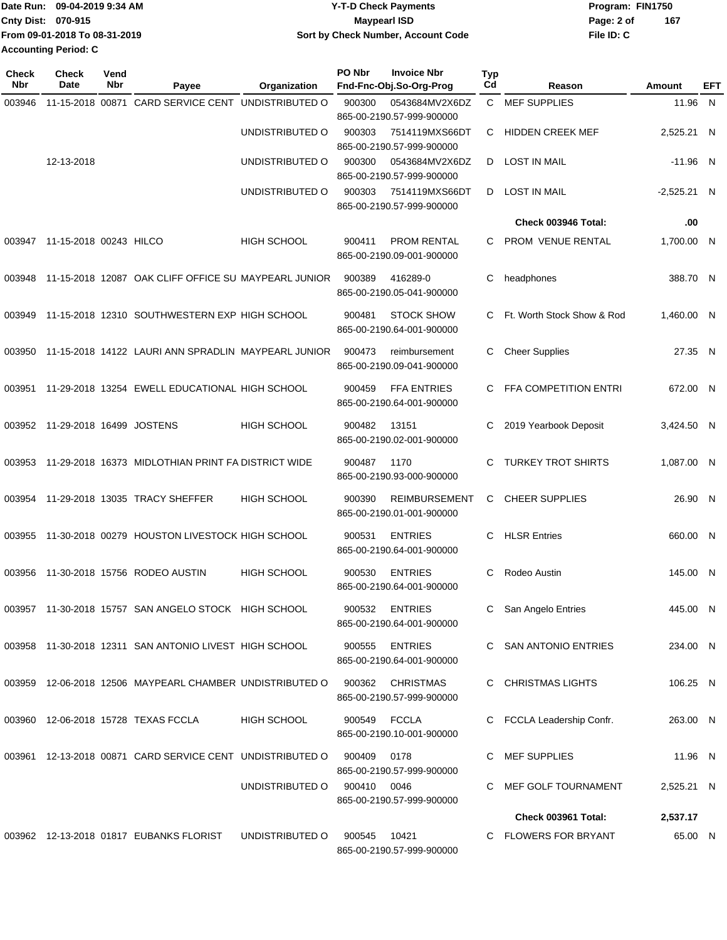|                             | Date Run: 09-04-2019 9:34 AM  | <b>Y-T-D Check Payments</b>        | Program: FIN1750 |     |
|-----------------------------|-------------------------------|------------------------------------|------------------|-----|
| Cnty Dist: 070-915          |                               | Maypearl ISD                       | Page: 2 of       | 167 |
|                             | From 09-01-2018 To 08-31-2019 | Sort by Check Number, Account Code | File ID: C       |     |
| <b>Accounting Period: C</b> |                               |                                    |                  |     |

| <b>Check</b><br>Nbr | <b>Check</b><br>Date     | Vend<br>Nbr | Payee                                                     | Organization       | <b>PO Nbr</b> | <b>Invoice Nbr</b><br>Fnd-Fnc-Obj.So-Org-Prog     | <b>Typ</b><br>Cd | Reason                     | Amount        | EFT |
|---------------------|--------------------------|-------------|-----------------------------------------------------------|--------------------|---------------|---------------------------------------------------|------------------|----------------------------|---------------|-----|
| 003946              |                          |             | 11-15-2018 00871 CARD SERVICE CENT                        | UNDISTRIBUTED O    | 900300        | 0543684MV2X6DZ                                    | C                | <b>MEF SUPPLIES</b>        | 11.96 N       |     |
|                     |                          |             |                                                           | UNDISTRIBUTED O    | 900303        | 865-00-2190.57-999-900000<br>7514119MXS66DT       | С                | <b>HIDDEN CREEK MEF</b>    | 2,525.21 N    |     |
|                     |                          |             |                                                           |                    |               | 865-00-2190.57-999-900000                         |                  |                            |               |     |
|                     | 12-13-2018               |             |                                                           | UNDISTRIBUTED O    | 900300        | 0543684MV2X6DZ<br>865-00-2190.57-999-900000       | D                | <b>LOST IN MAIL</b>        | $-11.96$ N    |     |
|                     |                          |             |                                                           | UNDISTRIBUTED O    | 900303        | 7514119MXS66DT<br>865-00-2190.57-999-900000       | D                | <b>LOST IN MAIL</b>        | $-2,525.21$ N |     |
|                     |                          |             |                                                           |                    |               |                                                   |                  | Check 003946 Total:        | .00           |     |
| 003947              | 11-15-2018 00243 HILCO   |             |                                                           | <b>HIGH SCHOOL</b> | 900411        | <b>PROM RENTAL</b><br>865-00-2190.09-001-900000   | C                | PROM VENUE RENTAL          | 1,700.00 N    |     |
| 003948              |                          |             | 11-15-2018 12087 OAK CLIFF OFFICE SU MAYPEARL JUNIOR      |                    | 900389        | 416289-0<br>865-00-2190.05-041-900000             | С                | headphones                 | 388.70 N      |     |
| 003949              |                          |             | 11-15-2018 12310 SOUTHWESTERN EXP HIGH SCHOOL             |                    | 900481        | <b>STOCK SHOW</b><br>865-00-2190.64-001-900000    | C                | Ft. Worth Stock Show & Rod | 1,460.00 N    |     |
| 003950              |                          |             | 11-15-2018 14122 LAURI ANN SPRADLIN MAYPEARL JUNIOR       |                    | 900473        | reimbursement<br>865-00-2190.09-041-900000        | С                | <b>Cheer Supplies</b>      | 27.35 N       |     |
| 003951              |                          |             | 11-29-2018 13254 EWELL EDUCATIONAL HIGH SCHOOL            |                    | 900459        | <b>FFA ENTRIES</b><br>865-00-2190.64-001-900000   | C                | FFA COMPETITION ENTRI      | 672.00 N      |     |
| 003952              | 11-29-2018 16499 JOSTENS |             |                                                           | <b>HIGH SCHOOL</b> | 900482        | 13151<br>865-00-2190.02-001-900000                | С                | 2019 Yearbook Deposit      | 3,424.50 N    |     |
| 003953              |                          |             | 11-29-2018 16373 MIDLOTHIAN PRINT FA DISTRICT WIDE        |                    | 900487        | 1170<br>865-00-2190.93-000-900000                 | C                | <b>TURKEY TROT SHIRTS</b>  | 1,087.00 N    |     |
| 003954              |                          |             | 11-29-2018 13035 TRACY SHEFFER                            | <b>HIGH SCHOOL</b> | 900390        | <b>REIMBURSEMENT</b><br>865-00-2190.01-001-900000 | С                | <b>CHEER SUPPLIES</b>      | 26.90 N       |     |
| 003955              |                          |             | 11-30-2018 00279 HOUSTON LIVESTOCK HIGH SCHOOL            |                    | 900531        | <b>ENTRIES</b><br>865-00-2190.64-001-900000       | С                | <b>HLSR Entries</b>        | 660.00 N      |     |
| 003956              |                          |             | 11-30-2018 15756 RODEO AUSTIN                             | <b>HIGH SCHOOL</b> | 900530        | <b>ENTRIES</b><br>865-00-2190.64-001-900000       | С                | Rodeo Austin               | 145.00 N      |     |
|                     |                          |             | 003957 11-30-2018 15757 SAN ANGELO STOCK HIGH SCHOOL      |                    | 900532        | <b>ENTRIES</b><br>865-00-2190.64-001-900000       |                  | San Angelo Entries         | 445.00 N      |     |
|                     |                          |             | 003958 11-30-2018 12311 SAN ANTONIO LIVEST HIGH SCHOOL    |                    | 900555        | <b>ENTRIES</b><br>865-00-2190.64-001-900000       |                  | C SAN ANTONIO ENTRIES      | 234.00 N      |     |
|                     |                          |             | 003959 12-06-2018 12506 MAYPEARL CHAMBER UNDISTRIBUTED O  |                    | 900362        | <b>CHRISTMAS</b><br>865-00-2190.57-999-900000     |                  | <b>CHRISTMAS LIGHTS</b>    | 106.25 N      |     |
|                     |                          |             | 003960 12-06-2018 15728 TEXAS FCCLA                       | <b>HIGH SCHOOL</b> | 900549        | FCCLA<br>865-00-2190.10-001-900000                |                  | FCCLA Leadership Confr.    | 263.00 N      |     |
|                     |                          |             | 003961 12-13-2018 00871 CARD SERVICE CENT UNDISTRIBUTED O |                    | 900409        | 0178<br>865-00-2190.57-999-900000                 |                  | MEF SUPPLIES               | 11.96 N       |     |
|                     |                          |             |                                                           | UNDISTRIBUTED O    | 900410 0046   | 865-00-2190.57-999-900000                         |                  | MEF GOLF TOURNAMENT        | 2,525.21 N    |     |
|                     |                          |             |                                                           |                    |               |                                                   |                  | Check 003961 Total:        | 2,537.17      |     |
|                     |                          |             | 003962 12-13-2018 01817 EUBANKS FLORIST                   | UNDISTRIBUTED O    | 900545        | 10421<br>865-00-2190.57-999-900000                |                  | C FLOWERS FOR BRYANT       | 65.00 N       |     |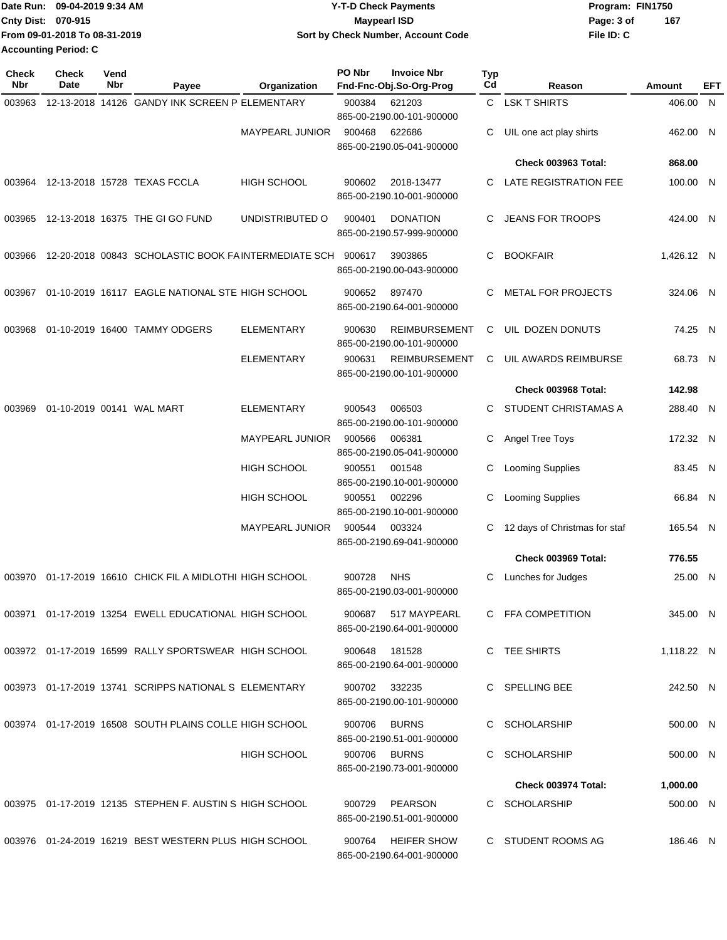|                             | Date Run: 09-04-2019 9:34 AM  | <b>Y-T-D Check Payments</b>        | Program: FIN1750 |     |
|-----------------------------|-------------------------------|------------------------------------|------------------|-----|
| <b>Cnty Dist: 070-915</b>   |                               | Maypearl ISD                       | Page: 3 of       | 167 |
|                             | From 09-01-2018 To 08-31-2019 | Sort by Check Number, Account Code | File ID: C       |     |
| <b>Accounting Period: C</b> |                               |                                    |                  |     |

| <b>Check</b><br>Nbr | <b>Check</b><br><b>Date</b> | Vend<br>Nbr | Payee                                                    | Organization           | PO Nbr | <b>Invoice Nbr</b><br>Fnd-Fnc-Obj.So-Org-Prog     | Typ<br>Cd | Reason                        | Amount     | EFT |
|---------------------|-----------------------------|-------------|----------------------------------------------------------|------------------------|--------|---------------------------------------------------|-----------|-------------------------------|------------|-----|
| 003963              |                             |             | 12-13-2018 14126 GANDY INK SCREEN P ELEMENTARY           |                        | 900384 | 621203<br>865-00-2190.00-101-900000               | C.        | <b>LSK T SHIRTS</b>           | 406.00 N   |     |
|                     |                             |             |                                                          | <b>MAYPEARL JUNIOR</b> | 900468 | 622686<br>865-00-2190.05-041-900000               | С         | UIL one act play shirts       | 462.00 N   |     |
|                     |                             |             |                                                          |                        |        |                                                   |           | <b>Check 003963 Total:</b>    | 868.00     |     |
| 003964              |                             |             | 12-13-2018 15728 TEXAS FCCLA                             | <b>HIGH SCHOOL</b>     | 900602 | 2018-13477<br>865-00-2190.10-001-900000           | С         | LATE REGISTRATION FEE         | 100.00 N   |     |
| 003965              |                             |             | 12-13-2018 16375 THE GI GO FUND                          | UNDISTRIBUTED O        | 900401 | <b>DONATION</b><br>865-00-2190.57-999-900000      | С         | <b>JEANS FOR TROOPS</b>       | 424.00 N   |     |
| 003966              |                             |             | 12-20-2018 00843 SCHOLASTIC BOOK FAINTERMEDIATE SCH      |                        | 900617 | 3903865<br>865-00-2190.00-043-900000              | С         | <b>BOOKFAIR</b>               | 1,426.12 N |     |
| 003967              |                             |             | 01-10-2019 16117 EAGLE NATIONAL STE HIGH SCHOOL          |                        | 900652 | 897470<br>865-00-2190.64-001-900000               | С         | <b>METAL FOR PROJECTS</b>     | 324.06 N   |     |
| 003968              |                             |             | 01-10-2019 16400 TAMMY ODGERS                            | <b>ELEMENTARY</b>      | 900630 | <b>REIMBURSEMENT</b><br>865-00-2190.00-101-900000 | С         | UIL DOZEN DONUTS              | 74.25 N    |     |
|                     |                             |             |                                                          | <b>ELEMENTARY</b>      | 900631 | <b>REIMBURSEMENT</b><br>865-00-2190.00-101-900000 | С         | UIL AWARDS REIMBURSE          | 68.73 N    |     |
|                     |                             |             |                                                          |                        |        |                                                   |           | <b>Check 003968 Total:</b>    | 142.98     |     |
| 003969              |                             |             | 01-10-2019 00141 WAL MART                                | ELEMENTARY             | 900543 | 006503<br>865-00-2190.00-101-900000               | С         | STUDENT CHRISTAMAS A          | 288.40 N   |     |
|                     |                             |             |                                                          | <b>MAYPEARL JUNIOR</b> | 900566 | 006381<br>865-00-2190.05-041-900000               | С         | Angel Tree Toys               | 172.32 N   |     |
|                     |                             |             |                                                          | <b>HIGH SCHOOL</b>     | 900551 | 001548<br>865-00-2190.10-001-900000               | С         | <b>Looming Supplies</b>       | 83.45 N    |     |
|                     |                             |             |                                                          | HIGH SCHOOL            | 900551 | 002296<br>865-00-2190.10-001-900000               | С         | <b>Looming Supplies</b>       | 66.84 N    |     |
|                     |                             |             |                                                          | <b>MAYPEARL JUNIOR</b> | 900544 | 003324<br>865-00-2190.69-041-900000               | С         | 12 days of Christmas for staf | 165.54 N   |     |
|                     |                             |             |                                                          |                        |        |                                                   |           | Check 003969 Total:           | 776.55     |     |
| 003970              |                             |             | 01-17-2019 16610 CHICK FIL A MIDLOTHI HIGH SCHOOL        |                        | 900728 | <b>NHS</b><br>865-00-2190.03-001-900000           | С         | Lunches for Judges            | 25.00 N    |     |
|                     |                             |             | 003971 01-17-2019 13254 EWELL EDUCATIONAL HIGH SCHOOL    |                        | 900687 | 517 MAYPEARL<br>865-00-2190.64-001-900000         |           | C FFA COMPETITION             | 345.00 N   |     |
|                     |                             |             | 003972  01-17-2019  16599  RALLY SPORTSWEAR  HIGH SCHOOL |                        | 900648 | 181528<br>865-00-2190.64-001-900000               |           | C TEE SHIRTS                  | 1,118.22 N |     |
|                     |                             |             | 003973  01-17-2019  13741  SCRIPPS NATIONAL S ELEMENTARY |                        | 900702 | 332235<br>865-00-2190.00-101-900000               |           | C SPELLING BEE                | 242.50 N   |     |
|                     |                             |             | 003974 01-17-2019 16508 SOUTH PLAINS COLLE HIGH SCHOOL   |                        | 900706 | <b>BURNS</b><br>865-00-2190.51-001-900000         |           | C SCHOLARSHIP                 | 500.00 N   |     |
|                     |                             |             |                                                          | <b>HIGH SCHOOL</b>     | 900706 | <b>BURNS</b><br>865-00-2190.73-001-900000         | C.        | <b>SCHOLARSHIP</b>            | 500.00 N   |     |
|                     |                             |             |                                                          |                        |        |                                                   |           | <b>Check 003974 Total:</b>    | 1,000.00   |     |
|                     |                             |             | 003975 01-17-2019 12135 STEPHEN F. AUSTIN S HIGH SCHOOL  |                        | 900729 | <b>PEARSON</b><br>865-00-2190.51-001-900000       |           | C SCHOLARSHIP                 | 500.00 N   |     |
|                     |                             |             | 003976 01-24-2019 16219 BEST WESTERN PLUS HIGH SCHOOL    |                        | 900764 | <b>HEIFER SHOW</b><br>865-00-2190.64-001-900000   |           | C STUDENT ROOMS AG            | 186.46 N   |     |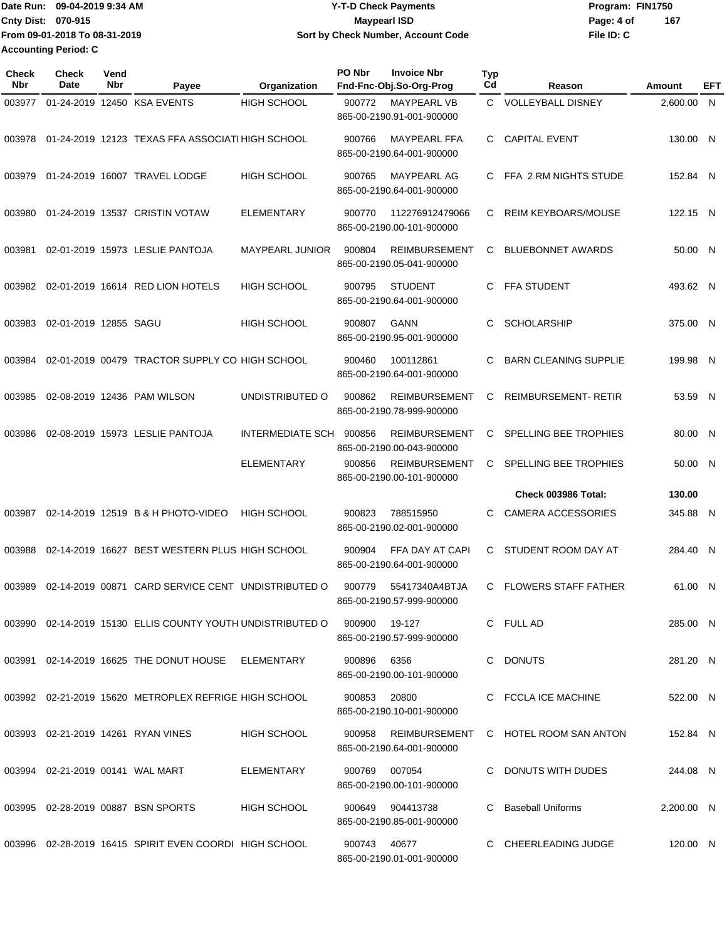|                           | Date Run: 09-04-2019 9:34 AM  | <b>Y-T-D Check Payments</b>        | Program: FIN1750  |
|---------------------------|-------------------------------|------------------------------------|-------------------|
| <b>Cnty Dist: 070-915</b> |                               | Maypearl ISD                       | 167<br>Page: 4 of |
|                           | From 09-01-2018 To 08-31-2019 | Sort by Check Number, Account Code | File ID: C        |
|                           | <b>Accounting Period: C</b>   |                                    |                   |

| <b>Check</b><br>Nbr | Check<br>Date                    | Vend<br>Nbr | Payee                                                      | Organization            | PO Nbr        | <b>Invoice Nbr</b><br>Fnd-Fnc-Obj.So-Org-Prog     | <b>Typ</b><br>Cd | Reason                       | Amount     | EFT |
|---------------------|----------------------------------|-------------|------------------------------------------------------------|-------------------------|---------------|---------------------------------------------------|------------------|------------------------------|------------|-----|
| 003977              |                                  |             | 01-24-2019 12450 KSA EVENTS                                | <b>HIGH SCHOOL</b>      | 900772        | <b>MAYPEARL VB</b><br>865-00-2190.91-001-900000   | C.               | <b>VOLLEYBALL DISNEY</b>     | 2,600.00   | - N |
| 003978              |                                  |             | 01-24-2019 12123 TEXAS FFA ASSOCIATI HIGH SCHOOL           |                         | 900766        | <b>MAYPEARL FFA</b><br>865-00-2190.64-001-900000  | C.               | <b>CAPITAL EVENT</b>         | 130.00 N   |     |
| 003979              |                                  |             | 01-24-2019 16007 TRAVEL LODGE                              | <b>HIGH SCHOOL</b>      | 900765        | MAYPEARL AG<br>865-00-2190.64-001-900000          | C.               | FFA 2 RM NIGHTS STUDE        | 152.84 N   |     |
| 003980              |                                  |             | 01-24-2019 13537 CRISTIN VOTAW                             | <b>ELEMENTARY</b>       | 900770        | 112276912479066<br>865-00-2190.00-101-900000      | C                | <b>REIM KEYBOARS/MOUSE</b>   | 122.15 N   |     |
| 003981              |                                  |             | 02-01-2019 15973 LESLIE PANTOJA                            | MAYPEARL JUNIOR         | 900804        | <b>REIMBURSEMENT</b><br>865-00-2190.05-041-900000 | C                | <b>BLUEBONNET AWARDS</b>     | 50.00 N    |     |
| 003982              |                                  |             | 02-01-2019 16614 RED LION HOTELS                           | <b>HIGH SCHOOL</b>      | 900795        | <b>STUDENT</b><br>865-00-2190.64-001-900000       | C                | <b>FFA STUDENT</b>           | 493.62 N   |     |
| 003983              | 02-01-2019 12855 SAGU            |             |                                                            | HIGH SCHOOL             | 900807        | GANN<br>865-00-2190.95-001-900000                 | C                | <b>SCHOLARSHIP</b>           | 375.00 N   |     |
| 003984              |                                  |             | 02-01-2019 00479 TRACTOR SUPPLY CO HIGH SCHOOL             |                         | 900460        | 100112861<br>865-00-2190.64-001-900000            | C                | <b>BARN CLEANING SUPPLIE</b> | 199.98 N   |     |
| 003985              |                                  |             | 02-08-2019 12436 PAM WILSON                                | UNDISTRIBUTED O         | 900862        | <b>REIMBURSEMENT</b><br>865-00-2190.78-999-900000 | C                | <b>REIMBURSEMENT-RETIR</b>   | 53.59 N    |     |
| 003986              |                                  |             | 02-08-2019 15973 LESLIE PANTOJA                            | <b>INTERMEDIATE SCH</b> | 900856        | <b>REIMBURSEMENT</b><br>865-00-2190.00-043-900000 | C                | SPELLING BEE TROPHIES        | 80.00 N    |     |
|                     |                                  |             |                                                            | <b>ELEMENTARY</b>       | 900856        | <b>REIMBURSEMENT</b><br>865-00-2190.00-101-900000 | C                | SPELLING BEE TROPHIES        | 50.00 N    |     |
|                     |                                  |             |                                                            |                         |               |                                                   |                  | Check 003986 Total:          | 130.00     |     |
| 003987              |                                  |             | 02-14-2019 12519 B & H PHOTO-VIDEO                         | <b>HIGH SCHOOL</b>      | 900823        | 788515950<br>865-00-2190.02-001-900000            | C                | <b>CAMERA ACCESSORIES</b>    | 345.88 N   |     |
| 003988              |                                  |             | 02-14-2019 16627 BEST WESTERN PLUS HIGH SCHOOL             |                         | 900904        | FFA DAY AT CAPI<br>865-00-2190.64-001-900000      | C                | STUDENT ROOM DAY AT          | 284.40 N   |     |
| 003989              |                                  |             | 02-14-2019 00871 CARD SERVICE CENT UNDISTRIBUTED O         |                         | 900779        | 55417340A4BTJA<br>865-00-2190.57-999-900000       | C                | <b>FLOWERS STAFF FATHER</b>  | 61.00 N    |     |
|                     |                                  |             | 003990 02-14-2019 15130 ELLIS COUNTY YOUTH UNDISTRIBUTED O |                         | 900900 19-127 | 865-00-2190.57-999-900000                         |                  | C FULL AD                    | 285.00 N   |     |
|                     |                                  |             | 003991  02-14-2019  16625  THE DONUT HOUSE  ELEMENTARY     |                         | 900896        | 6356<br>865-00-2190.00-101-900000                 |                  | C DONUTS                     | 281.20 N   |     |
|                     |                                  |             | 003992 02-21-2019 15620 METROPLEX REFRIGE HIGH SCHOOL      |                         | 900853        | 20800<br>865-00-2190.10-001-900000                |                  | C FCCLA ICE MACHINE          | 522.00 N   |     |
|                     |                                  |             | 003993 02-21-2019 14261 RYAN VINES                         | <b>HIGH SCHOOL</b>      | 900958        | REIMBURSEMENT<br>865-00-2190.64-001-900000        |                  | C HOTEL ROOM SAN ANTON       | 152.84 N   |     |
|                     | 003994 02-21-2019 00141 WAL MART |             |                                                            | ELEMENTARY              | 900769 007054 | 865-00-2190.00-101-900000                         |                  | C DONUTS WITH DUDES          | 244.08 N   |     |
|                     |                                  |             | 003995 02-28-2019 00887 BSN SPORTS                         | HIGH SCHOOL             | 900649        | 904413738<br>865-00-2190.85-001-900000            |                  | C Baseball Uniforms          | 2,200.00 N |     |
|                     |                                  |             | 003996 02-28-2019 16415 SPIRIT EVEN COORDI HIGH SCHOOL     |                         | 900743 40677  | 865-00-2190.01-001-900000                         |                  | C CHEERLEADING JUDGE         | 120.00 N   |     |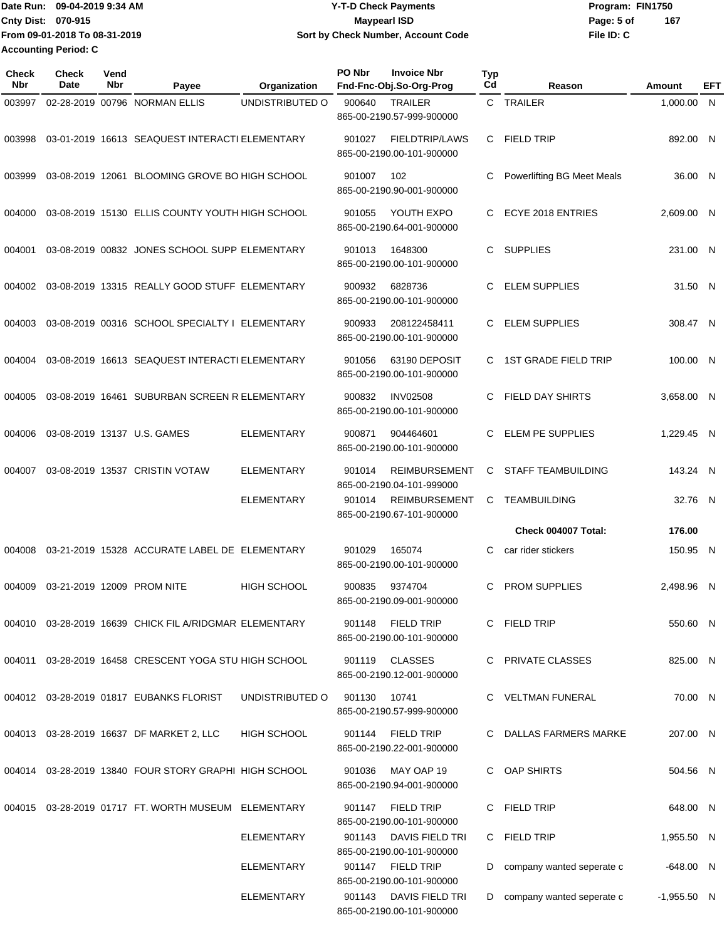Date Run: 09-04-2019 9:34 AM **Date Run:** 09-04-2019 9:34 AM **Cnty Dist:** 070-915 **Page:** 5 of **File ID: C From 09-01-2018 To 08-31-2019 09-04-2019 9:34 AM Y-T-D Check Payments 070-915 Maypearl ISD Sort by Check Number, Account Code 167 Accounting Period: C**

| Check<br><b>Nbr</b> | <b>Check</b><br>Date | Vend<br>Nbr | Payee                                                   | Organization       | PO Nbr | <b>Invoice Nbr</b><br>Fnd-Fnc-Obj.So-Org-Prog      | <b>Typ</b><br>Cd | Reason                                     | Amount            | EFT |
|---------------------|----------------------|-------------|---------------------------------------------------------|--------------------|--------|----------------------------------------------------|------------------|--------------------------------------------|-------------------|-----|
| 003997              |                      |             | 02-28-2019 00796 NORMAN ELLIS                           | UNDISTRIBUTED O    | 900640 | <b>TRAILER</b><br>865-00-2190.57-999-900000        |                  | C TRAILER                                  | 1.000.00 N        |     |
| 003998              |                      |             | 03-01-2019 16613 SEAQUEST INTERACTI ELEMENTARY          |                    | 901027 | <b>FIELDTRIP/LAWS</b><br>865-00-2190.00-101-900000 | C.               | FIELD TRIP                                 | 892.00 N          |     |
| 003999              |                      |             | 03-08-2019 12061 BLOOMING GROVE BO HIGH SCHOOL          |                    | 901007 | 102<br>865-00-2190.90-001-900000                   | C                | Powerlifting BG Meet Meals                 | 36.00 N           |     |
| 004000              |                      |             | 03-08-2019 15130 ELLIS COUNTY YOUTH HIGH SCHOOL         |                    | 901055 | YOUTH EXPO<br>865-00-2190.64-001-900000            | C                | ECYE 2018 ENTRIES                          | 2.609.00 N        |     |
| 004001              |                      |             | 03-08-2019 00832 JONES SCHOOL SUPP ELEMENTARY           |                    | 901013 | 1648300<br>865-00-2190.00-101-900000               | C.               | <b>SUPPLIES</b>                            | 231.00 N          |     |
| 004002              |                      |             | 03-08-2019 13315 REALLY GOOD STUFF ELEMENTARY           |                    | 900932 | 6828736<br>865-00-2190.00-101-900000               | C                | <b>ELEM SUPPLIES</b>                       | 31.50 N           |     |
| 004003              |                      |             | 03-08-2019 00316 SCHOOL SPECIALTY I ELEMENTARY          |                    | 900933 | 208122458411<br>865-00-2190.00-101-900000          | C                | <b>ELEM SUPPLIES</b>                       | 308.47 N          |     |
| 004004              |                      |             | 03-08-2019 16613 SEAQUEST INTERACTI ELEMENTARY          |                    | 901056 | 63190 DEPOSIT<br>865-00-2190.00-101-900000         | C                | <b>1ST GRADE FIELD TRIP</b>                | 100.00 N          |     |
| 004005              |                      |             | 03-08-2019 16461 SUBURBAN SCREEN R ELEMENTARY           |                    | 900832 | <b>INV02508</b><br>865-00-2190.00-101-900000       | C.               | <b>FIELD DAY SHIRTS</b>                    | 3,658.00 N        |     |
| 004006              |                      |             | 03-08-2019 13137 U.S. GAMES                             | <b>ELEMENTARY</b>  | 900871 | 904464601<br>865-00-2190.00-101-900000             | C                | ELEM PE SUPPLIES                           | 1,229.45 N        |     |
| 004007              |                      |             | 03-08-2019 13537 CRISTIN VOTAW                          | <b>ELEMENTARY</b>  | 901014 | <b>REIMBURSEMENT</b><br>865-00-2190.04-101-999000  | C                | <b>STAFF TEAMBUILDING</b>                  | 143.24 N          |     |
|                     |                      |             |                                                         | <b>ELEMENTARY</b>  | 901014 | <b>REIMBURSEMENT</b><br>865-00-2190.67-101-900000  | C                | <b>TEAMBUILDING</b><br>Check 004007 Total: | 32.76 N<br>176.00 |     |
|                     |                      |             |                                                         |                    |        |                                                    |                  |                                            |                   |     |
| 004008              |                      |             | 03-21-2019 15328 ACCURATE LABEL DE ELEMENTARY           |                    | 901029 | 165074<br>865-00-2190.00-101-900000                | C                | car rider stickers                         | 150.95 N          |     |
| 004009              |                      |             | 03-21-2019 12009 PROM NITE                              | <b>HIGH SCHOOL</b> | 900835 | 9374704<br>865-00-2190.09-001-900000               | C                | <b>PROM SUPPLIES</b>                       | 2,498.96 N        |     |
|                     |                      |             | 004010 03-28-2019 16639 CHICK FIL A/RIDGMAR ELEMENTARY  |                    |        | 901148 FIELD TRIP<br>865-00-2190.00-101-900000     |                  | C FIELD TRIP                               | 550.60 N          |     |
|                     |                      |             | 004011 03-28-2019 16458 CRESCENT YOGA STU HIGH SCHOOL   |                    |        | 901119 CLASSES<br>865-00-2190.12-001-900000        |                  | C PRIVATE CLASSES                          | 825.00 N          |     |
|                     |                      |             | 004012 03-28-2019 01817 EUBANKS FLORIST                 | UNDISTRIBUTED O    | 901130 | 10741<br>865-00-2190.57-999-900000                 |                  | C VELTMAN FUNERAL                          | 70.00 N           |     |
|                     |                      |             | 004013 03-28-2019 16637 DF MARKET 2, LLC                | <b>HIGH SCHOOL</b> | 901144 | FIELD TRIP<br>865-00-2190.22-001-900000            |                  | C DALLAS FARMERS MARKE                     | 207.00 N          |     |
|                     |                      |             | 004014 03-28-2019 13840 FOUR STORY GRAPHI HIGH SCHOOL   |                    | 901036 | MAY OAP 19<br>865-00-2190.94-001-900000            |                  | C OAP SHIRTS                               | 504.56 N          |     |
|                     |                      |             | 004015  03-28-2019  01717  FT. WORTH MUSEUM  ELEMENTARY |                    | 901147 | <b>FIELD TRIP</b><br>865-00-2190.00-101-900000     |                  | C FIELD TRIP                               | 648.00 N          |     |
|                     |                      |             |                                                         | <b>ELEMENTARY</b>  | 901143 | DAVIS FIELD TRI<br>865-00-2190.00-101-900000       |                  | C FIELD TRIP                               | 1,955.50 N        |     |
|                     |                      |             |                                                         | <b>ELEMENTARY</b>  | 901147 | FIELD TRIP<br>865-00-2190.00-101-900000            | D                | company wanted seperate c                  | $-648.00$ N       |     |
|                     |                      |             |                                                         | <b>ELEMENTARY</b>  | 901143 | DAVIS FIELD TRI<br>865-00-2190.00-101-900000       | D                | company wanted seperate c                  | $-1,955.50$ N     |     |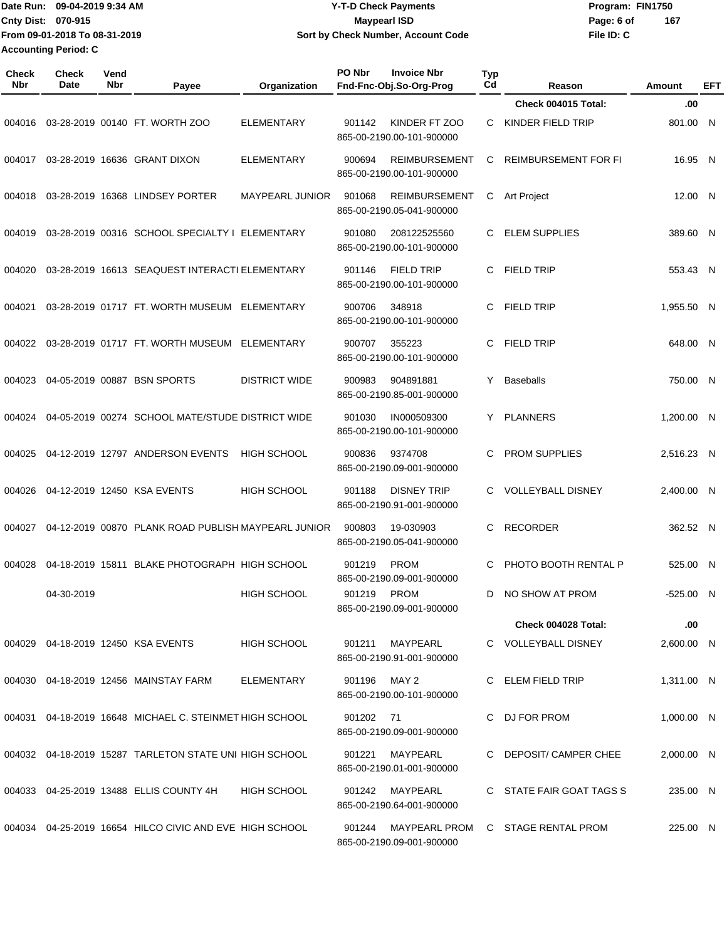|                             | Date Run: 09-04-2019 9:34 AM  | <b>Y-T-D Check Payments</b>        | Program: FIN1750 |     |
|-----------------------------|-------------------------------|------------------------------------|------------------|-----|
| Cnty Dist: 070-915          |                               | <b>Mavpearl ISD</b>                | Page: 6 of       | 167 |
|                             | From 09-01-2018 To 08-31-2019 | Sort by Check Number, Account Code | File ID: C       |     |
| <b>Accounting Period: C</b> |                               |                                    |                  |     |

| <b>Check</b><br>Nbr | <b>Check</b><br><b>Date</b> | Vend<br>Nbr | Payee                                                   | Organization         | PO Nbr<br><b>Invoice Nbr</b><br>Fnd-Fnc-Obj.So-Org-Prog     | <b>Typ</b><br>Cd | Reason                   | Amount     | EFT |
|---------------------|-----------------------------|-------------|---------------------------------------------------------|----------------------|-------------------------------------------------------------|------------------|--------------------------|------------|-----|
|                     |                             |             |                                                         |                      |                                                             |                  | Check 004015 Total:      | .00        |     |
| 004016              |                             |             | 03-28-2019 00140 FT. WORTH ZOO                          | <b>ELEMENTARY</b>    | KINDER FT ZOO<br>901142<br>865-00-2190.00-101-900000        | C                | KINDER FIELD TRIP        | 801.00 N   |     |
| 004017              |                             |             | 03-28-2019 16636 GRANT DIXON                            | <b>ELEMENTARY</b>    | 900694<br><b>REIMBURSEMENT</b><br>865-00-2190.00-101-900000 | С                | REIMBURSEMENT FOR FI     | 16.95 N    |     |
| 004018              |                             |             | 03-28-2019 16368 LINDSEY PORTER                         | MAYPEARL JUNIOR      | 901068<br><b>REIMBURSEMENT</b><br>865-00-2190.05-041-900000 | C                | <b>Art Project</b>       | 12.00 N    |     |
| 004019              |                             |             | 03-28-2019 00316 SCHOOL SPECIALTY I ELEMENTARY          |                      | 901080<br>208122525560<br>865-00-2190.00-101-900000         | C                | <b>ELEM SUPPLIES</b>     | 389.60 N   |     |
| 004020              |                             |             | 03-28-2019 16613 SEAQUEST INTERACTI ELEMENTARY          |                      | <b>FIELD TRIP</b><br>901146<br>865-00-2190.00-101-900000    | C                | <b>FIELD TRIP</b>        | 553.43 N   |     |
| 004021              |                             |             | 03-28-2019 01717 FT. WORTH MUSEUM                       | ELEMENTARY           | 900706<br>348918<br>865-00-2190.00-101-900000               | C                | <b>FIELD TRIP</b>        | 1,955.50 N |     |
| 004022              |                             |             | 03-28-2019 01717 FT. WORTH MUSEUM                       | ELEMENTARY           | 900707<br>355223<br>865-00-2190.00-101-900000               | C                | <b>FIELD TRIP</b>        | 648.00 N   |     |
| 004023              |                             |             | 04-05-2019 00887 BSN SPORTS                             | <b>DISTRICT WIDE</b> | 900983<br>904891881<br>865-00-2190.85-001-900000            | Y                | <b>Baseballs</b>         | 750.00 N   |     |
| 004024              |                             |             | 04-05-2019 00274 SCHOOL MATE/STUDE DISTRICT WIDE        |                      | 901030<br>IN000509300<br>865-00-2190.00-101-900000          | Y                | <b>PLANNERS</b>          | 1,200.00 N |     |
| 004025              |                             |             | 04-12-2019 12797 ANDERSON EVENTS                        | <b>HIGH SCHOOL</b>   | 9374708<br>900836<br>865-00-2190.09-001-900000              | C                | <b>PROM SUPPLIES</b>     | 2,516.23 N |     |
| 004026              |                             |             | 04-12-2019 12450 KSA EVENTS                             | <b>HIGH SCHOOL</b>   | <b>DISNEY TRIP</b><br>901188<br>865-00-2190.91-001-900000   | C                | <b>VOLLEYBALL DISNEY</b> | 2,400.00 N |     |
| 004027              |                             |             | 04-12-2019 00870 PLANK ROAD PUBLISH MAYPEARL JUNIOR     |                      | 900803<br>19-030903<br>865-00-2190.05-041-900000            | C                | <b>RECORDER</b>          | 362.52 N   |     |
| 004028              |                             |             | 04-18-2019 15811 BLAKE PHOTOGRAPH HIGH SCHOOL           |                      | 901219<br><b>PROM</b><br>865-00-2190.09-001-900000          | C                | PHOTO BOOTH RENTAL P     | 525.00 N   |     |
|                     | 04-30-2019                  |             |                                                         | <b>HIGH SCHOOL</b>   | 901219<br><b>PROM</b><br>865-00-2190.09-001-900000          | D                | NO SHOW AT PROM          | -525.00 N  |     |
|                     |                             |             |                                                         |                      |                                                             |                  | Check 004028 Total:      | .00        |     |
|                     |                             |             | 004029 04-18-2019 12450 KSA EVENTS                      | <b>HIGH SCHOOL</b>   | MAYPEARL<br>901211<br>865-00-2190.91-001-900000             |                  | C VOLLEYBALL DISNEY      | 2,600.00 N |     |
|                     |                             |             | 004030 04-18-2019 12456 MAINSTAY FARM                   | ELEMENTARY           | MAY 2<br>901196<br>865-00-2190.00-101-900000                |                  | C ELEM FIELD TRIP        | 1,311.00 N |     |
|                     |                             |             | 004031 04-18-2019 16648 MICHAEL C. STEINMET HIGH SCHOOL |                      | 901202 71<br>865-00-2190.09-001-900000                      |                  | C DJ FOR PROM            | 1,000.00 N |     |
|                     |                             |             | 004032 04-18-2019 15287 TARLETON STATE UNI HIGH SCHOOL  |                      | 901221<br>MAYPEARL<br>865-00-2190.01-001-900000             |                  | C DEPOSIT/ CAMPER CHEE   | 2,000.00 N |     |
|                     |                             |             | 004033 04-25-2019 13488 ELLIS COUNTY 4H                 | HIGH SCHOOL          | MAYPEARL<br>901242<br>865-00-2190.64-001-900000             |                  | C STATE FAIR GOAT TAGS S | 235.00 N   |     |
|                     |                             |             | 004034 04-25-2019 16654 HILCO CIVIC AND EVE HIGH SCHOOL |                      | 901244<br>MAYPEARL PROM<br>865-00-2190.09-001-900000        |                  | C STAGE RENTAL PROM      | 225.00 N   |     |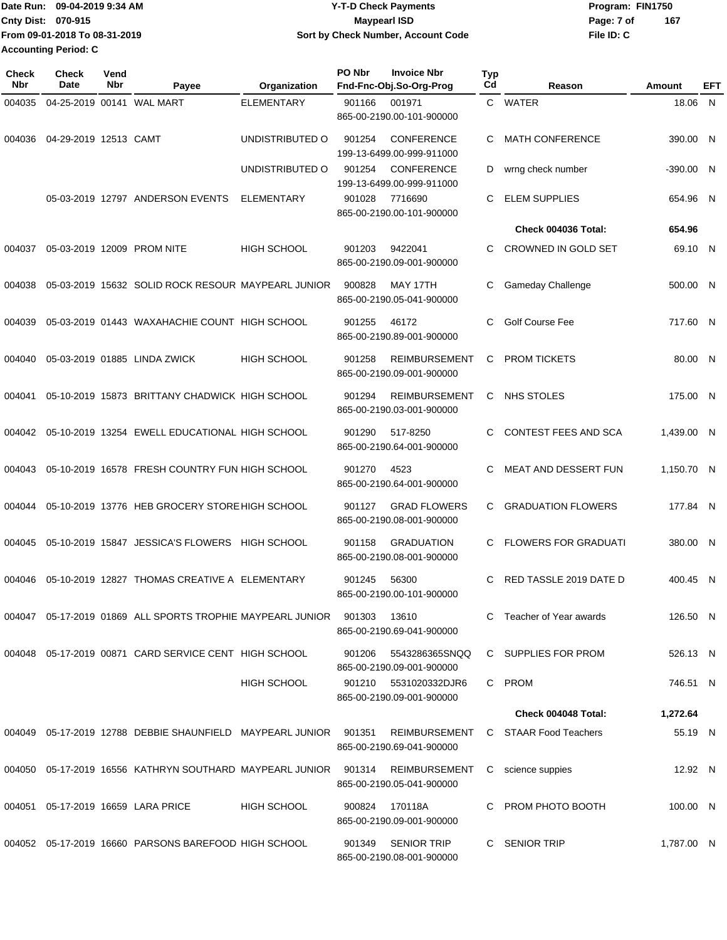|                             | IDate Run: 09-04-2019 9:34 AM | Y-T-D Check Payments               | Program: FIN1750  |
|-----------------------------|-------------------------------|------------------------------------|-------------------|
| <b>Cnty Dist: 070-915</b>   |                               | Mavpearl ISD                       | 167<br>Page: 7 of |
|                             | From 09-01-2018 To 08-31-2019 | Sort by Check Number, Account Code | File ID: C        |
| <b>Accounting Period: C</b> |                               |                                    |                   |

| Check<br><b>Nbr</b> | <b>Check</b><br>Date  | Vend<br>Nbr | Payee                                                             | Organization       | PO Nbr | <b>Invoice Nbr</b><br>Fnd-Fnc-Obj.So-Org-Prog     | <b>Typ</b><br>Cd | Reason                      | Amount     | EFT |
|---------------------|-----------------------|-------------|-------------------------------------------------------------------|--------------------|--------|---------------------------------------------------|------------------|-----------------------------|------------|-----|
| 004035              |                       |             | 04-25-2019 00141 WAL MART                                         | <b>ELEMENTARY</b>  | 901166 | 001971<br>865-00-2190.00-101-900000               |                  | C WATER                     | 18.06 N    |     |
| 004036              | 04-29-2019 12513 CAMT |             |                                                                   | UNDISTRIBUTED O    | 901254 | <b>CONFERENCE</b><br>199-13-6499.00-999-911000    | C                | <b>MATH CONFERENCE</b>      | 390.00 N   |     |
|                     |                       |             |                                                                   | UNDISTRIBUTED O    | 901254 | <b>CONFERENCE</b><br>199-13-6499.00-999-911000    | D                | wrng check number           | -390.00 N  |     |
|                     |                       |             | 05-03-2019 12797 ANDERSON EVENTS                                  | <b>ELEMENTARY</b>  | 901028 | 7716690<br>865-00-2190.00-101-900000              | C                | <b>ELEM SUPPLIES</b>        | 654.96 N   |     |
|                     |                       |             |                                                                   |                    |        |                                                   |                  | <b>Check 004036 Total:</b>  | 654.96     |     |
| 004037              |                       |             | 05-03-2019 12009 PROM NITE                                        | <b>HIGH SCHOOL</b> | 901203 | 9422041<br>865-00-2190.09-001-900000              | C                | CROWNED IN GOLD SET         | 69.10 N    |     |
| 004038              |                       |             | 05-03-2019 15632 SOLID ROCK RESOUR MAYPEARL JUNIOR                |                    | 900828 | MAY 17TH<br>865-00-2190.05-041-900000             | С                | Gameday Challenge           | 500.00 N   |     |
| 004039              |                       |             | 05-03-2019 01443 WAXAHACHIE COUNT HIGH SCHOOL                     |                    | 901255 | 46172<br>865-00-2190.89-001-900000                | C                | <b>Golf Course Fee</b>      | 717.60 N   |     |
| 004040              |                       |             | 05-03-2019 01885 LINDA ZWICK                                      | <b>HIGH SCHOOL</b> | 901258 | <b>REIMBURSEMENT</b><br>865-00-2190.09-001-900000 | С                | <b>PROM TICKETS</b>         | 80.00 N    |     |
| 004041              |                       |             | 05-10-2019 15873 BRITTANY CHADWICK HIGH SCHOOL                    |                    | 901294 | <b>REIMBURSEMENT</b><br>865-00-2190.03-001-900000 | C                | NHS STOLES                  | 175.00 N   |     |
| 004042              |                       |             | 05-10-2019 13254 EWELL EDUCATIONAL HIGH SCHOOL                    |                    | 901290 | 517-8250<br>865-00-2190.64-001-900000             | C.               | CONTEST FEES AND SCA        | 1,439.00 N |     |
| 004043              |                       |             | 05-10-2019 16578 FRESH COUNTRY FUN HIGH SCHOOL                    |                    | 901270 | 4523<br>865-00-2190.64-001-900000                 | C                | <b>MEAT AND DESSERT FUN</b> | 1,150.70 N |     |
| 004044              |                       |             | 05-10-2019 13776 HEB GROCERY STORE HIGH SCHOOL                    |                    | 901127 | <b>GRAD FLOWERS</b><br>865-00-2190.08-001-900000  | C.               | <b>GRADUATION FLOWERS</b>   | 177.84 N   |     |
| 004045              |                       |             | 05-10-2019 15847 JESSICA'S FLOWERS HIGH SCHOOL                    |                    | 901158 | <b>GRADUATION</b><br>865-00-2190.08-001-900000    | C.               | <b>FLOWERS FOR GRADUATI</b> | 380.00 N   |     |
| 004046              |                       |             | 05-10-2019 12827 THOMAS CREATIVE A ELEMENTARY                     |                    | 901245 | 56300<br>865-00-2190.00-101-900000                | C                | RED TASSLE 2019 DATE D      | 400.45 N   |     |
|                     |                       |             | 004047 05-17-2019 01869 ALL SPORTS TROPHIE MAYPEARL JUNIOR 901303 |                    |        | 13610<br>865-00-2190.69-041-900000                |                  | C Teacher of Year awards    | 126.50 N   |     |
|                     |                       |             | 004048 05-17-2019 00871 CARD SERVICE CENT HIGH SCHOOL             |                    | 901206 | 5543286365SNQQ<br>865-00-2190.09-001-900000       |                  | C SUPPLIES FOR PROM         | 526.13 N   |     |
|                     |                       |             |                                                                   | HIGH SCHOOL        | 901210 | 5531020332DJR6<br>865-00-2190.09-001-900000       |                  | C PROM                      | 746.51 N   |     |
|                     |                       |             |                                                                   |                    |        |                                                   |                  | Check 004048 Total:         | 1,272.64   |     |
|                     |                       |             | 004049  05-17-2019  12788  DEBBIE SHAUNFIELD  MAYPEARL JUNIOR     |                    | 901351 | REIMBURSEMENT<br>865-00-2190.69-041-900000        |                  | C STAAR Food Teachers       | 55.19 N    |     |
|                     |                       |             |                                                                   |                    |        | REIMBURSEMENT<br>865-00-2190.05-041-900000        |                  | C science suppies           | 12.92 N    |     |
| 004051              |                       |             | 05-17-2019 16659 LARA PRICE                                       | <b>HIGH SCHOOL</b> | 900824 | 170118A<br>865-00-2190.09-001-900000              |                  | C PROM PHOTO BOOTH          | 100.00 N   |     |
|                     |                       |             | 004052 05-17-2019 16660 PARSONS BAREFOOD HIGH SCHOOL              |                    | 901349 | <b>SENIOR TRIP</b><br>865-00-2190.08-001-900000   |                  | C SENIOR TRIP               | 1,787.00 N |     |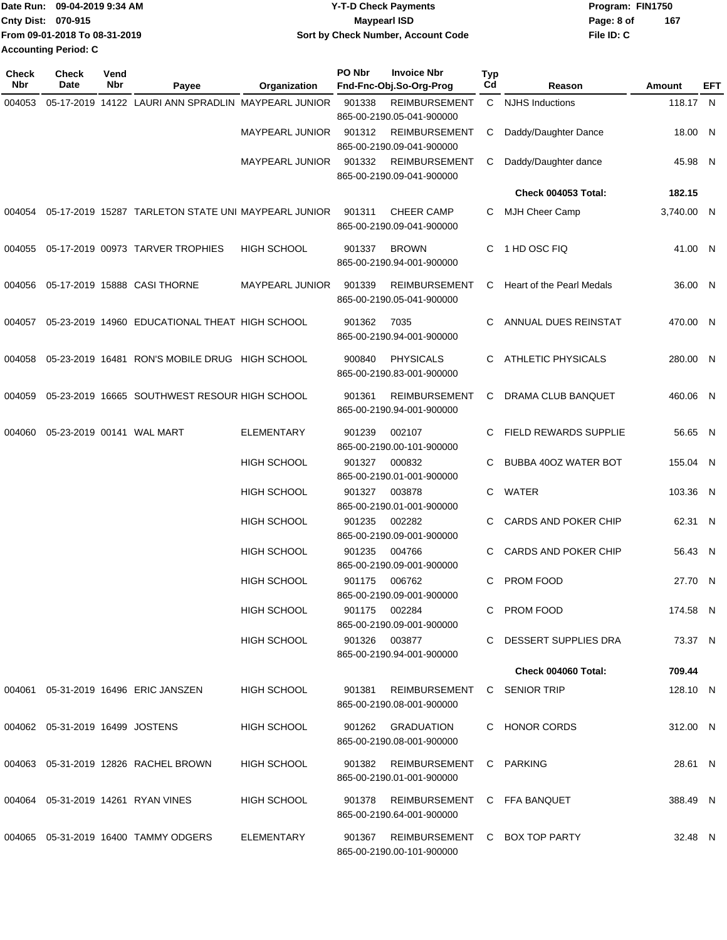|                           | Date Run: 09-04-2019 9:34 AM  | <b>Y-T-D Check Payments</b>        | Program: FIN1750  |  |
|---------------------------|-------------------------------|------------------------------------|-------------------|--|
| <b>Cnty Dist: 070-915</b> |                               | Maypearl ISD                       | 167<br>Page: 8 of |  |
|                           | From 09-01-2018 To 08-31-2019 | Sort by Check Number, Account Code | File ID: C        |  |
| Accounting Period: C      |                               |                                    |                   |  |

| <b>Check</b><br>Nbr | <b>Check</b><br>Date               | Vend<br>Nbr | Payee                                                      | Organization           | PO Nbr | <b>Invoice Nbr</b><br>Fnd-Fnc-Obj.So-Org-Prog              | Typ<br>Cd | Reason                       | <b>Amount</b> | EFT |
|---------------------|------------------------------------|-------------|------------------------------------------------------------|------------------------|--------|------------------------------------------------------------|-----------|------------------------------|---------------|-----|
| 004053              |                                    |             | 05-17-2019 14122 LAURI ANN SPRADLIN MAYPEARL JUNIOR        |                        | 901338 | <b>REIMBURSEMENT</b>                                       | C         | <b>NJHS Inductions</b>       | 118.17 N      |     |
|                     |                                    |             |                                                            |                        |        | 865-00-2190.05-041-900000                                  |           |                              |               |     |
|                     |                                    |             |                                                            | <b>MAYPEARL JUNIOR</b> | 901312 | <b>REIMBURSEMENT</b><br>865-00-2190.09-041-900000          | С         | Daddy/Daughter Dance         | 18.00 N       |     |
|                     |                                    |             |                                                            | <b>MAYPEARL JUNIOR</b> | 901332 | <b>REIMBURSEMENT</b><br>865-00-2190.09-041-900000          | С         | Daddy/Daughter dance         | 45.98 N       |     |
|                     |                                    |             |                                                            |                        |        |                                                            |           | Check 004053 Total:          | 182.15        |     |
|                     |                                    |             | 004054 05-17-2019 15287 TARLETON STATE UNI MAYPEARL JUNIOR |                        | 901311 | <b>CHEER CAMP</b><br>865-00-2190.09-041-900000             | C         | MJH Cheer Camp               | 3,740.00 N    |     |
| 004055              |                                    |             | 05-17-2019 00973 TARVER TROPHIES                           | HIGH SCHOOL            | 901337 | <b>BROWN</b><br>865-00-2190.94-001-900000                  | C         | 1 HD OSC FIQ                 | 41.00 N       |     |
| 004056              |                                    |             | 05-17-2019 15888 CASI THORNE                               | <b>MAYPEARL JUNIOR</b> | 901339 | <b>REIMBURSEMENT</b><br>865-00-2190.05-041-900000          | С         | Heart of the Pearl Medals    | 36.00 N       |     |
| 004057              |                                    |             | 05-23-2019 14960 EDUCATIONAL THEAT HIGH SCHOOL             |                        | 901362 | 7035<br>865-00-2190.94-001-900000                          | C         | ANNUAL DUES REINSTAT         | 470.00 N      |     |
| 004058              |                                    |             | 05-23-2019 16481 RON'S MOBILE DRUG HIGH SCHOOL             |                        | 900840 | <b>PHYSICALS</b><br>865-00-2190.83-001-900000              | C         | <b>ATHLETIC PHYSICALS</b>    | 280.00 N      |     |
| 004059              |                                    |             | 05-23-2019 16665 SOUTHWEST RESOUR HIGH SCHOOL              |                        | 901361 | <b>REIMBURSEMENT</b><br>865-00-2190.94-001-900000          | С         | DRAMA CLUB BANQUET           | 460.06 N      |     |
| 004060              | 05-23-2019 00141 WAL MART          |             |                                                            | <b>ELEMENTARY</b>      | 901239 | 002107<br>865-00-2190.00-101-900000                        | С         | <b>FIELD REWARDS SUPPLIE</b> | 56.65 N       |     |
|                     |                                    |             |                                                            | <b>HIGH SCHOOL</b>     | 901327 | 000832<br>865-00-2190.01-001-900000                        | C         | BUBBA 40OZ WATER BOT         | 155.04 N      |     |
|                     |                                    |             |                                                            | <b>HIGH SCHOOL</b>     | 901327 | 003878<br>865-00-2190.01-001-900000                        | C         | WATER                        | 103.36 N      |     |
|                     |                                    |             |                                                            | <b>HIGH SCHOOL</b>     | 901235 | 002282<br>865-00-2190.09-001-900000                        | C.        | <b>CARDS AND POKER CHIP</b>  | 62.31 N       |     |
|                     |                                    |             |                                                            | <b>HIGH SCHOOL</b>     | 901235 | 004766<br>865-00-2190.09-001-900000                        | C         | CARDS AND POKER CHIP         | 56.43 N       |     |
|                     |                                    |             |                                                            | <b>HIGH SCHOOL</b>     | 901175 | 006762<br>865-00-2190.09-001-900000                        | C         | PROM FOOD                    | 27.70 N       |     |
|                     |                                    |             |                                                            | HIGH SCHOOL            | 901175 | 002284<br>865-00-2190.09-001-900000                        |           | C PROM FOOD                  | 174.58 N      |     |
|                     |                                    |             |                                                            | HIGH SCHOOL            |        | 901326 003877<br>865-00-2190.94-001-900000                 |           | C DESSERT SUPPLIES DRA       | 73.37 N       |     |
|                     |                                    |             |                                                            |                        |        |                                                            |           | Check 004060 Total:          | 709.44        |     |
|                     |                                    |             | 004061 05-31-2019 16496 ERIC JANSZEN                       | <b>HIGH SCHOOL</b>     | 901381 | <b>REIMBURSEMENT</b><br>865-00-2190.08-001-900000          |           | C SENIOR TRIP                | 128.10 N      |     |
|                     | 004062  05-31-2019  16499  JOSTENS |             |                                                            | HIGH SCHOOL            |        | 901262 GRADUATION<br>865-00-2190.08-001-900000             |           | C HONOR CORDS                | 312.00 N      |     |
|                     |                                    |             | 004063 05-31-2019 12826 RACHEL BROWN                       | HIGH SCHOOL            | 901382 | REIMBURSEMENT<br>865-00-2190.01-001-900000                 |           | C PARKING                    | 28.61 N       |     |
|                     |                                    |             | 004064 05-31-2019 14261 RYAN VINES                         | HIGH SCHOOL            | 901378 | REIMBURSEMENT C FFA BANQUET<br>865-00-2190.64-001-900000   |           |                              | 388.49 N      |     |
|                     |                                    |             | 004065 05-31-2019 16400 TAMMY ODGERS                       | ELEMENTARY             | 901367 | REIMBURSEMENT C BOX TOP PARTY<br>865-00-2190.00-101-900000 |           |                              | 32.48 N       |     |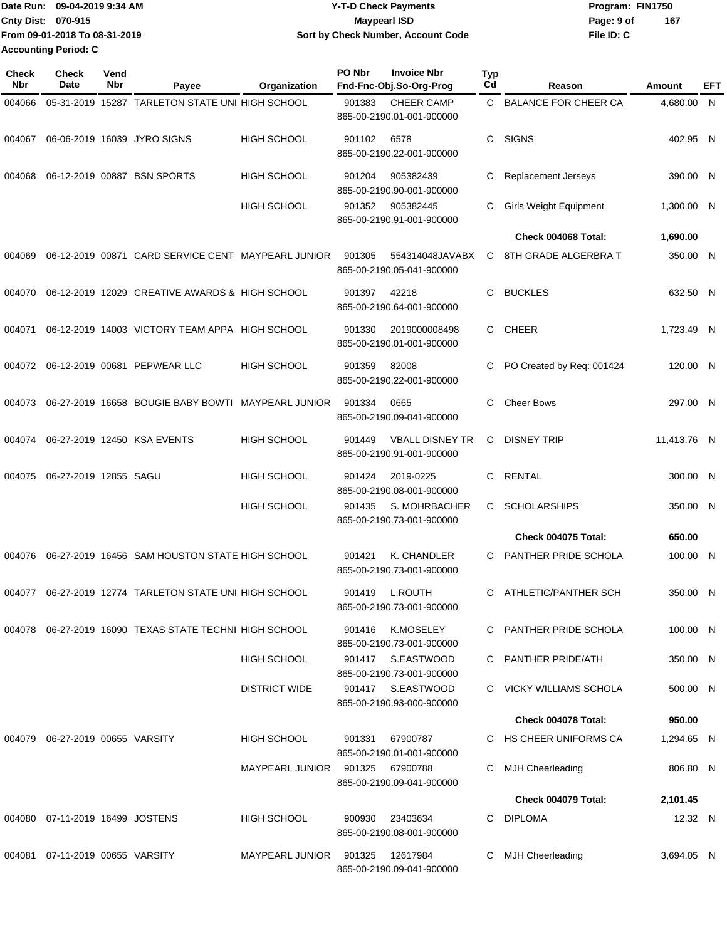|                           | Date Run: 09-04-2019 9:34 AM  | <b>Y-T-D Check Payments</b>        | Program: FIN1750  |  |
|---------------------------|-------------------------------|------------------------------------|-------------------|--|
| <b>Cnty Dist: 070-915</b> |                               | <b>Mavpearl ISD</b>                | 167<br>Page: 9 of |  |
|                           | From 09-01-2018 To 08-31-2019 | Sort by Check Number, Account Code | File ID: C        |  |
| Accounting Period: C      |                               |                                    |                   |  |

| <b>Check</b><br>Nbr | Check<br>Date                         | Vend<br>Nbr | Payee                                                  | Organization           | PO Nbr<br><b>Invoice Nbr</b><br>Fnd-Fnc-Obj.So-Org-Prog       | Typ<br>Cd | Reason                        | Amount      | EFT |
|---------------------|---------------------------------------|-------------|--------------------------------------------------------|------------------------|---------------------------------------------------------------|-----------|-------------------------------|-------------|-----|
| 004066              |                                       |             | 05-31-2019 15287 TARLETON STATE UNI HIGH SCHOOL        |                        | 901383<br><b>CHEER CAMP</b><br>865-00-2190.01-001-900000      | C.        | <b>BALANCE FOR CHEER CA</b>   | 4,680.00 N  |     |
| 004067              |                                       |             | 06-06-2019 16039 JYRO SIGNS                            | <b>HIGH SCHOOL</b>     | 901102<br>6578<br>865-00-2190.22-001-900000                   | С         | <b>SIGNS</b>                  | 402.95 N    |     |
| 004068              |                                       |             | 06-12-2019 00887 BSN SPORTS                            | <b>HIGH SCHOOL</b>     | 901204<br>905382439<br>865-00-2190.90-001-900000              | С         | Replacement Jerseys           | 390.00 N    |     |
|                     |                                       |             |                                                        | <b>HIGH SCHOOL</b>     | 901352<br>905382445<br>865-00-2190.91-001-900000              | С         | <b>Girls Weight Equipment</b> | 1,300.00 N  |     |
|                     |                                       |             |                                                        |                        |                                                               |           | Check 004068 Total:           | 1,690.00    |     |
| 004069              |                                       |             | 06-12-2019 00871 CARD SERVICE CENT MAYPEARL JUNIOR     |                        | 901305<br>554314048JAVABX<br>865-00-2190.05-041-900000        | C         | 8TH GRADE ALGERBRA T          | 350.00 N    |     |
| 004070              |                                       |             | 06-12-2019 12029 CREATIVE AWARDS & HIGH SCHOOL         |                        | 42218<br>901397<br>865-00-2190.64-001-900000                  | C         | <b>BUCKLES</b>                | 632.50 N    |     |
| 004071              |                                       |             | 06-12-2019 14003 VICTORY TEAM APPA HIGH SCHOOL         |                        | 901330<br>2019000008498<br>865-00-2190.01-001-900000          | C         | <b>CHEER</b>                  | 1,723.49 N  |     |
|                     |                                       |             | 004072 06-12-2019 00681 PEPWEAR LLC                    | <b>HIGH SCHOOL</b>     | 901359<br>82008<br>865-00-2190.22-001-900000                  | С         | PO Created by Req: 001424     | 120.00 N    |     |
| 004073              |                                       |             | 06-27-2019 16658 BOUGIE BABY BOWTI MAYPEARL JUNIOR     |                        | 901334<br>0665<br>865-00-2190.09-041-900000                   | С         | <b>Cheer Bows</b>             | 297.00 N    |     |
| 004074              |                                       |             | 06-27-2019 12450 KSA EVENTS                            | <b>HIGH SCHOOL</b>     | <b>VBALL DISNEY TR</b><br>901449<br>865-00-2190.91-001-900000 | C         | <b>DISNEY TRIP</b>            | 11,413.76 N |     |
| 004075              | 06-27-2019 12855 SAGU                 |             |                                                        | <b>HIGH SCHOOL</b>     | 901424<br>2019-0225<br>865-00-2190.08-001-900000              | C         | RENTAL                        | 300.00 N    |     |
|                     |                                       |             |                                                        | <b>HIGH SCHOOL</b>     | S. MOHRBACHER<br>901435<br>865-00-2190.73-001-900000          | C         | <b>SCHOLARSHIPS</b>           | 350.00 N    |     |
|                     |                                       |             |                                                        |                        |                                                               |           | <b>Check 004075 Total:</b>    | 650.00      |     |
| 004076              |                                       |             | 06-27-2019 16456 SAM HOUSTON STATE HIGH SCHOOL         |                        | 901421<br>K. CHANDLER<br>865-00-2190.73-001-900000            | С         | PANTHER PRIDE SCHOLA          | 100.00 N    |     |
|                     |                                       |             | 004077 06-27-2019 12774 TARLETON STATE UNI HIGH SCHOOL |                        | <b>L.ROUTH</b><br>901419<br>865-00-2190.73-001-900000         | C         | ATHLETIC/PANTHER SCH          | 350.00 N    |     |
|                     |                                       |             | 004078 06-27-2019 16090 TEXAS STATE TECHNI HIGH SCHOOL |                        | K.MOSELEY<br>901416<br>865-00-2190.73-001-900000              |           | PANTHER PRIDE SCHOLA          | 100.00 N    |     |
|                     |                                       |             |                                                        | <b>HIGH SCHOOL</b>     | 901417 S.EASTWOOD<br>865-00-2190.73-001-900000                |           | C PANTHER PRIDE/ATH           | 350.00 N    |     |
|                     |                                       |             |                                                        | <b>DISTRICT WIDE</b>   | 901417 S.EASTWOOD<br>865-00-2190.93-000-900000                |           | C VICKY WILLIAMS SCHOLA       | 500.00 N    |     |
|                     |                                       |             |                                                        |                        |                                                               |           | Check 004078 Total:           | 950.00      |     |
|                     | 004079   06-27-2019   00655   VARSITY |             |                                                        | HIGH SCHOOL            | 901331<br>67900787<br>865-00-2190.01-001-900000               |           | C HS CHEER UNIFORMS CA        | 1,294.65 N  |     |
|                     |                                       |             |                                                        | <b>MAYPEARL JUNIOR</b> | 901325<br>67900788<br>865-00-2190.09-041-900000               | С         | <b>MJH Cheerleading</b>       | 806.80 N    |     |
|                     |                                       |             |                                                        |                        |                                                               |           | Check 004079 Total:           | 2,101.45    |     |
|                     | 004080 07-11-2019 16499 JOSTENS       |             |                                                        | <b>HIGH SCHOOL</b>     | 900930<br>23403634<br>865-00-2190.08-001-900000               | С         | <b>DIPLOMA</b>                | 12.32 N     |     |
|                     | 004081  07-11-2019  00655  VARSITY    |             |                                                        | <b>MAYPEARL JUNIOR</b> | 901325<br>12617984<br>865-00-2190.09-041-900000               | С         | MJH Cheerleading              | 3,694.05 N  |     |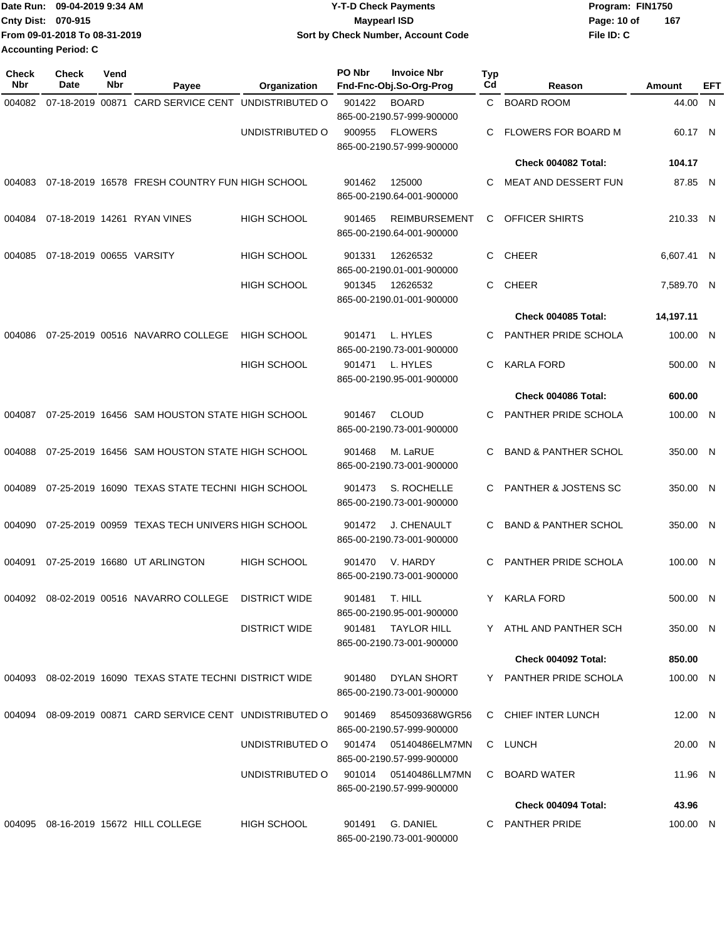| lDate Run:                  | 09-04-2019 9:34 AM            | <b>Y-T-D Check Payments</b>        | Program: FIN1750 |     |
|-----------------------------|-------------------------------|------------------------------------|------------------|-----|
| <b>Cnty Dist: 070-915</b>   |                               | <b>Mavpearl ISD</b>                | Page: 10 of      | 167 |
|                             | From 09-01-2018 To 08-31-2019 | Sort by Check Number, Account Code | File ID: C       |     |
| <b>Accounting Period: C</b> |                               |                                    |                  |     |

| <b>Check</b><br><b>Nbr</b> | <b>Check</b><br>Date     | Vend<br>Nbr | Payee                                                     | Organization         | PO Nbr | <b>Invoice Nbr</b><br>Fnd-Fnc-Obj.So-Org-Prog        | Typ<br>Cd | Reason                          | Amount     | EFT |
|----------------------------|--------------------------|-------------|-----------------------------------------------------------|----------------------|--------|------------------------------------------------------|-----------|---------------------------------|------------|-----|
| 004082                     | 07-18-2019 00871         |             | CARD SERVICE CENT UNDISTRIBUTED O                         |                      | 901422 | <b>BOARD</b><br>865-00-2190.57-999-900000            | C.        | <b>BOARD ROOM</b>               | 44.00 N    |     |
|                            |                          |             |                                                           | UNDISTRIBUTED O      | 900955 | <b>FLOWERS</b><br>865-00-2190.57-999-900000          | C         | FLOWERS FOR BOARD M             | 60.17 N    |     |
|                            |                          |             |                                                           |                      |        |                                                      |           | Check 004082 Total:             | 104.17     |     |
| 004083                     |                          |             | 07-18-2019 16578 FRESH COUNTRY FUN HIGH SCHOOL            |                      | 901462 | 125000<br>865-00-2190.64-001-900000                  | C         | MEAT AND DESSERT FUN            | 87.85 N    |     |
| 004084                     |                          |             | 07-18-2019 14261 RYAN VINES                               | <b>HIGH SCHOOL</b>   | 901465 | <b>REIMBURSEMENT</b><br>865-00-2190.64-001-900000    | C         | OFFICER SHIRTS                  | 210.33 N   |     |
| 004085                     | 07-18-2019 00655 VARSITY |             |                                                           | HIGH SCHOOL          | 901331 | 12626532<br>865-00-2190.01-001-900000                | C         | <b>CHEER</b>                    | 6,607.41 N |     |
|                            |                          |             |                                                           | <b>HIGH SCHOOL</b>   | 901345 | 12626532<br>865-00-2190.01-001-900000                | C         | <b>CHEER</b>                    | 7,589.70 N |     |
|                            |                          |             |                                                           |                      |        |                                                      |           | Check 004085 Total:             | 14,197.11  |     |
| 004086                     |                          |             | 07-25-2019 00516 NAVARRO COLLEGE                          | <b>HIGH SCHOOL</b>   | 901471 | L. HYLES<br>865-00-2190.73-001-900000                | C         | PANTHER PRIDE SCHOLA            | 100.00 N   |     |
|                            |                          |             |                                                           | <b>HIGH SCHOOL</b>   | 901471 | L. HYLES<br>865-00-2190.95-001-900000                | C.        | <b>KARLA FORD</b>               | 500.00 N   |     |
|                            |                          |             |                                                           |                      |        |                                                      |           | Check 004086 Total:             | 600.00     |     |
| 004087                     |                          |             | 07-25-2019 16456 SAM HOUSTON STATE HIGH SCHOOL            |                      | 901467 | <b>CLOUD</b><br>865-00-2190.73-001-900000            | C         | PANTHER PRIDE SCHOLA            | 100.00 N   |     |
| 004088                     |                          |             | 07-25-2019 16456 SAM HOUSTON STATE HIGH SCHOOL            |                      | 901468 | M. LaRUE<br>865-00-2190.73-001-900000                | C         | <b>BAND &amp; PANTHER SCHOL</b> | 350.00 N   |     |
| 004089                     |                          |             | 07-25-2019 16090 TEXAS STATE TECHNI HIGH SCHOOL           |                      | 901473 | S. ROCHELLE<br>865-00-2190.73-001-900000             | С         | <b>PANTHER &amp; JOSTENS SC</b> | 350.00 N   |     |
| 004090                     |                          |             | 07-25-2019 00959 TEXAS TECH UNIVERS HIGH SCHOOL           |                      | 901472 | J. CHENAULT<br>865-00-2190.73-001-900000             | C.        | <b>BAND &amp; PANTHER SCHOL</b> | 350.00     | -N  |
| 004091                     |                          |             | 07-25-2019 16680 UT ARLINGTON                             | <b>HIGH SCHOOL</b>   | 901470 | V. HARDY<br>865-00-2190.73-001-900000                | C         | PANTHER PRIDE SCHOLA            | 100.00 N   |     |
| 004092                     |                          |             | 08-02-2019 00516 NAVARRO COLLEGE                          | <b>DISTRICT WIDE</b> |        | 901481 T. HILL<br>865-00-2190.95-001-900000          | Y.        | KARLA FORD                      | 500.00 N   |     |
|                            |                          |             |                                                           | <b>DISTRICT WIDE</b> |        | 901481 TAYLOR HILL<br>865-00-2190.73-001-900000      |           | Y ATHL AND PANTHER SCH          | 350.00 N   |     |
|                            |                          |             |                                                           |                      |        |                                                      |           | Check 004092 Total:             | 850.00     |     |
|                            |                          |             | 004093 08-02-2019 16090 TEXAS STATE TECHNI DISTRICT WIDE  |                      | 901480 | DYLAN SHORT<br>865-00-2190.73-001-900000             |           | Y PANTHER PRIDE SCHOLA          | 100.00 N   |     |
|                            |                          |             | 004094 08-09-2019 00871 CARD SERVICE CENT UNDISTRIBUTED O |                      | 901469 | 854509368WGR56<br>865-00-2190.57-999-900000          |           | C CHIEF INTER LUNCH             | 12.00 N    |     |
|                            |                          |             |                                                           | UNDISTRIBUTED O      |        | 901474   05140486ELM7MN<br>865-00-2190.57-999-900000 |           | C LUNCH                         | 20.00 N    |     |
|                            |                          |             |                                                           | UNDISTRIBUTED O      |        | 901014   05140486LLM7MN<br>865-00-2190.57-999-900000 |           | C BOARD WATER                   | 11.96 N    |     |
|                            |                          |             |                                                           |                      |        |                                                      |           | Check 004094 Total:             | 43.96      |     |
|                            |                          |             | 004095 08-16-2019 15672 HILL COLLEGE                      | <b>HIGH SCHOOL</b>   | 901491 | G. DANIEL<br>865-00-2190.73-001-900000               |           | C PANTHER PRIDE                 | 100.00 N   |     |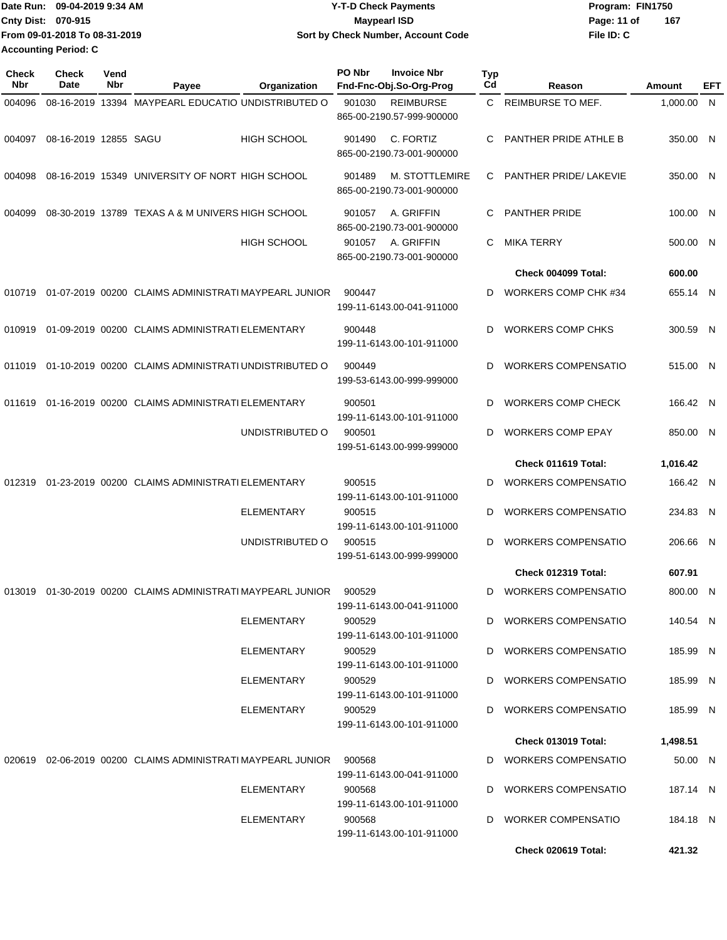|                             | 1Date Run: 09-04-2019 9:34 AM | <b>Y-T-D Check Payments</b>        | Program: FIN1750   |
|-----------------------------|-------------------------------|------------------------------------|--------------------|
| <b>Cnty Dist: 070-915</b>   |                               | Maypearl ISD                       | 167<br>Page: 11 of |
|                             | From 09-01-2018 To 08-31-2019 | Sort by Check Number, Account Code | File ID: C         |
| <b>Accounting Period: C</b> |                               |                                    |                    |

| 08-16-2019 13394 MAYPEARL EDUCATIO UNDISTRIBUTED O<br><b>REIMBURSE TO MEF.</b><br>901030<br><b>REIMBURSE</b><br>C.<br>1,000.00 N<br>004096<br>865-00-2190.57-999-900000<br>C. FORTIZ<br>PANTHER PRIDE ATHLE B<br>08-16-2019 12855 SAGU<br><b>HIGH SCHOOL</b><br>004097<br>901490<br>С<br>865-00-2190.73-001-900000<br>08-16-2019 15349 UNIVERSITY OF NORT HIGH SCHOOL<br><b>M. STOTTLEMIRE</b><br>PANTHER PRIDE/ LAKEVIE<br>004098<br>901489<br>C<br>865-00-2190.73-001-900000<br>08-30-2019 13789 TEXAS A & M UNIVERS HIGH SCHOOL<br>A. GRIFFIN<br><b>PANTHER PRIDE</b><br>004099<br>901057<br>С<br>865-00-2190.73-001-900000<br><b>HIGH SCHOOL</b><br>901057<br>A. GRIFFIN<br><b>MIKA TERRY</b><br>С<br>865-00-2190.73-001-900000<br>Check 004099 Total:<br>600.00<br>01-07-2019 00200 CLAIMS ADMINISTRATI MAYPEARL JUNIOR<br>900447<br><b>WORKERS COMP CHK #34</b><br>D<br>010719<br>199-11-6143.00-041-911000<br>01-09-2019 00200 CLAIMS ADMINISTRATI ELEMENTARY<br>900448<br><b>WORKERS COMP CHKS</b><br>010919<br>D<br>199-11-6143.00-101-911000<br>01-10-2019 00200 CLAIMS ADMINISTRATI UNDISTRIBUTED O<br><b>WORKERS COMPENSATIO</b><br>900449<br>D<br>011019<br>199-53-6143.00-999-999000<br>01-16-2019 00200 CLAIMS ADMINISTRATI ELEMENTARY<br><b>WORKERS COMP CHECK</b><br>900501<br>D<br>011619<br>199-11-6143.00-101-911000<br>UNDISTRIBUTED O<br>900501<br><b>WORKERS COMP EPAY</b><br>D<br>199-51-6143.00-999-999000<br>Check 011619 Total:<br>1,016.42 | EFT                  |
|------------------------------------------------------------------------------------------------------------------------------------------------------------------------------------------------------------------------------------------------------------------------------------------------------------------------------------------------------------------------------------------------------------------------------------------------------------------------------------------------------------------------------------------------------------------------------------------------------------------------------------------------------------------------------------------------------------------------------------------------------------------------------------------------------------------------------------------------------------------------------------------------------------------------------------------------------------------------------------------------------------------------------------------------------------------------------------------------------------------------------------------------------------------------------------------------------------------------------------------------------------------------------------------------------------------------------------------------------------------------------------------------------------------------------------------------------------------------|----------------------|
|                                                                                                                                                                                                                                                                                                                                                                                                                                                                                                                                                                                                                                                                                                                                                                                                                                                                                                                                                                                                                                                                                                                                                                                                                                                                                                                                                                                                                                                                        |                      |
|                                                                                                                                                                                                                                                                                                                                                                                                                                                                                                                                                                                                                                                                                                                                                                                                                                                                                                                                                                                                                                                                                                                                                                                                                                                                                                                                                                                                                                                                        | 350.00 N             |
|                                                                                                                                                                                                                                                                                                                                                                                                                                                                                                                                                                                                                                                                                                                                                                                                                                                                                                                                                                                                                                                                                                                                                                                                                                                                                                                                                                                                                                                                        | 350.00 N             |
|                                                                                                                                                                                                                                                                                                                                                                                                                                                                                                                                                                                                                                                                                                                                                                                                                                                                                                                                                                                                                                                                                                                                                                                                                                                                                                                                                                                                                                                                        | 100.00 N             |
|                                                                                                                                                                                                                                                                                                                                                                                                                                                                                                                                                                                                                                                                                                                                                                                                                                                                                                                                                                                                                                                                                                                                                                                                                                                                                                                                                                                                                                                                        | 500.00 N             |
|                                                                                                                                                                                                                                                                                                                                                                                                                                                                                                                                                                                                                                                                                                                                                                                                                                                                                                                                                                                                                                                                                                                                                                                                                                                                                                                                                                                                                                                                        |                      |
|                                                                                                                                                                                                                                                                                                                                                                                                                                                                                                                                                                                                                                                                                                                                                                                                                                                                                                                                                                                                                                                                                                                                                                                                                                                                                                                                                                                                                                                                        | 655.14 N             |
|                                                                                                                                                                                                                                                                                                                                                                                                                                                                                                                                                                                                                                                                                                                                                                                                                                                                                                                                                                                                                                                                                                                                                                                                                                                                                                                                                                                                                                                                        | 300.59 N             |
|                                                                                                                                                                                                                                                                                                                                                                                                                                                                                                                                                                                                                                                                                                                                                                                                                                                                                                                                                                                                                                                                                                                                                                                                                                                                                                                                                                                                                                                                        | 515.00 N             |
|                                                                                                                                                                                                                                                                                                                                                                                                                                                                                                                                                                                                                                                                                                                                                                                                                                                                                                                                                                                                                                                                                                                                                                                                                                                                                                                                                                                                                                                                        | 166.42 N             |
|                                                                                                                                                                                                                                                                                                                                                                                                                                                                                                                                                                                                                                                                                                                                                                                                                                                                                                                                                                                                                                                                                                                                                                                                                                                                                                                                                                                                                                                                        | 850.00 N             |
|                                                                                                                                                                                                                                                                                                                                                                                                                                                                                                                                                                                                                                                                                                                                                                                                                                                                                                                                                                                                                                                                                                                                                                                                                                                                                                                                                                                                                                                                        |                      |
| 01-23-2019 00200 CLAIMS ADMINISTRATI ELEMENTARY<br><b>WORKERS COMPENSATIO</b><br>900515<br>012319<br>D<br>199-11-6143.00-101-911000                                                                                                                                                                                                                                                                                                                                                                                                                                                                                                                                                                                                                                                                                                                                                                                                                                                                                                                                                                                                                                                                                                                                                                                                                                                                                                                                    | 166.42 N             |
| <b>ELEMENTARY</b><br><b>WORKERS COMPENSATIO</b><br>900515<br>D<br>199-11-6143.00-101-911000                                                                                                                                                                                                                                                                                                                                                                                                                                                                                                                                                                                                                                                                                                                                                                                                                                                                                                                                                                                                                                                                                                                                                                                                                                                                                                                                                                            | 234.83 N             |
| UNDISTRIBUTED O<br>900515<br><b>WORKERS COMPENSATIO</b><br>D<br>199-51-6143.00-999-999000                                                                                                                                                                                                                                                                                                                                                                                                                                                                                                                                                                                                                                                                                                                                                                                                                                                                                                                                                                                                                                                                                                                                                                                                                                                                                                                                                                              | 206.66 N             |
| Check 012319 Total:<br>607.91                                                                                                                                                                                                                                                                                                                                                                                                                                                                                                                                                                                                                                                                                                                                                                                                                                                                                                                                                                                                                                                                                                                                                                                                                                                                                                                                                                                                                                          |                      |
| 013019 01-30-2019 00200 CLAIMS ADMINISTRATI MAYPEARL JUNIOR<br><b>WORKERS COMPENSATIO</b><br>900529<br>D<br>199-11-6143.00-041-911000                                                                                                                                                                                                                                                                                                                                                                                                                                                                                                                                                                                                                                                                                                                                                                                                                                                                                                                                                                                                                                                                                                                                                                                                                                                                                                                                  | 800.00 N             |
| ELEMENTARY<br>900529<br>D WORKERS COMPENSATIO<br>199-11-6143.00-101-911000                                                                                                                                                                                                                                                                                                                                                                                                                                                                                                                                                                                                                                                                                                                                                                                                                                                                                                                                                                                                                                                                                                                                                                                                                                                                                                                                                                                             | 140.54 N             |
| ELEMENTARY<br>900529<br>D WORKERS COMPENSATIO<br>199-11-6143.00-101-911000                                                                                                                                                                                                                                                                                                                                                                                                                                                                                                                                                                                                                                                                                                                                                                                                                                                                                                                                                                                                                                                                                                                                                                                                                                                                                                                                                                                             | 185.99 N             |
| ELEMENTARY<br>900529<br>D WORKERS COMPENSATIO<br>199-11-6143.00-101-911000                                                                                                                                                                                                                                                                                                                                                                                                                                                                                                                                                                                                                                                                                                                                                                                                                                                                                                                                                                                                                                                                                                                                                                                                                                                                                                                                                                                             | 185.99 N             |
| ELEMENTARY<br>900529<br>D WORKERS COMPENSATIO<br>199-11-6143.00-101-911000<br>1,498.51<br><b>Check 013019 Total:</b>                                                                                                                                                                                                                                                                                                                                                                                                                                                                                                                                                                                                                                                                                                                                                                                                                                                                                                                                                                                                                                                                                                                                                                                                                                                                                                                                                   | 185.99 N             |
|                                                                                                                                                                                                                                                                                                                                                                                                                                                                                                                                                                                                                                                                                                                                                                                                                                                                                                                                                                                                                                                                                                                                                                                                                                                                                                                                                                                                                                                                        |                      |
| 020619 02-06-2019 00200 CLAIMS ADMINISTRATI MAYPEARL JUNIOR<br>D WORKERS COMPENSATIO<br>900568<br>199-11-6143.00-041-911000                                                                                                                                                                                                                                                                                                                                                                                                                                                                                                                                                                                                                                                                                                                                                                                                                                                                                                                                                                                                                                                                                                                                                                                                                                                                                                                                            | 50.00 N              |
| D WORKERS COMPENSATIO<br>ELEMENTARY<br>900568<br>199-11-6143.00-101-911000<br>ELEMENTARY<br>900568<br>D WORKER COMPENSATIO                                                                                                                                                                                                                                                                                                                                                                                                                                                                                                                                                                                                                                                                                                                                                                                                                                                                                                                                                                                                                                                                                                                                                                                                                                                                                                                                             | 187.14 N<br>184.18 N |
| 199-11-6143.00-101-911000<br>Check 020619 Total:<br>421.32                                                                                                                                                                                                                                                                                                                                                                                                                                                                                                                                                                                                                                                                                                                                                                                                                                                                                                                                                                                                                                                                                                                                                                                                                                                                                                                                                                                                             |                      |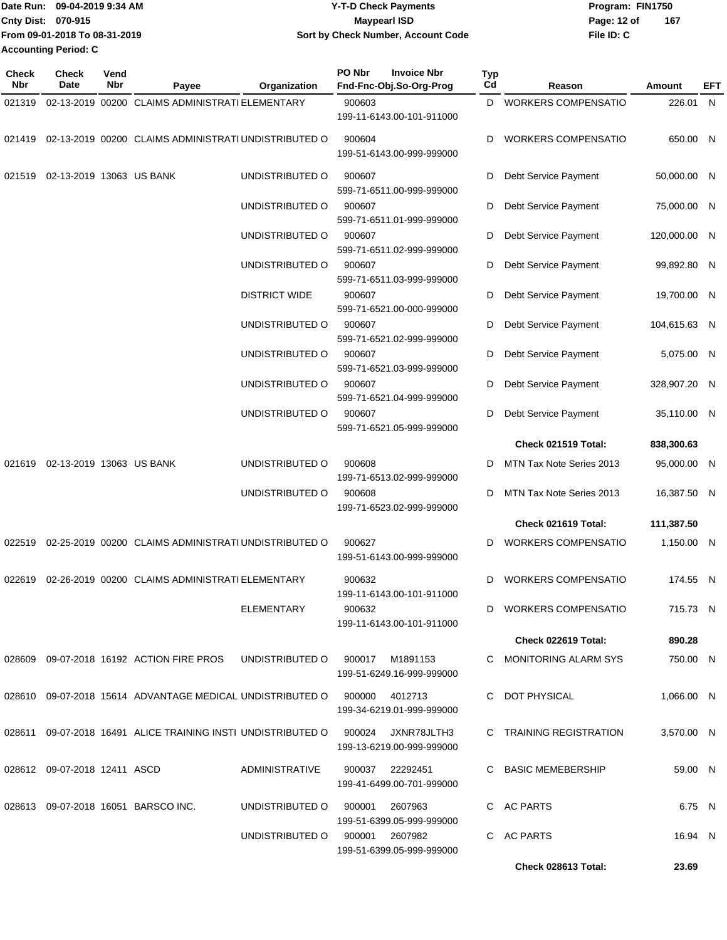| Date Run: 09-04-2019 9:34 AM |                               | <b>Y-T-D Check Payments</b>        | Program: FIN1750   |  |  |
|------------------------------|-------------------------------|------------------------------------|--------------------|--|--|
| <b>Cnty Dist: 070-915</b>    |                               | <b>Mavpearl ISD</b>                | 167<br>Page: 12 of |  |  |
|                              | From 09-01-2018 To 08-31-2019 | Sort by Check Number, Account Code | File ID: C         |  |  |
|                              | Accounting Period: C          |                                    |                    |  |  |

| Check<br>Nbr | <b>Check</b><br>Date         | Vend<br>Nbr | Payee                                                                    | Organization                   | PO Nbr         | <b>Invoice Nbr</b><br>Fnd-Fnc-Obj.So-Org-Prog          | Typ<br>Cd | Reason                     | Amount       | EFT |
|--------------|------------------------------|-------------|--------------------------------------------------------------------------|--------------------------------|----------------|--------------------------------------------------------|-----------|----------------------------|--------------|-----|
| 021319       |                              |             | 02-13-2019 00200 CLAIMS ADMINISTRATI ELEMENTARY                          |                                | 900603         |                                                        | D         | <b>WORKERS COMPENSATIO</b> | 226.01       | N   |
|              |                              |             |                                                                          |                                |                | 199-11-6143.00-101-911000                              |           |                            |              |     |
| 021419       |                              |             | 02-13-2019 00200 CLAIMS ADMINISTRATI UNDISTRIBUTED O                     |                                | 900604         | 199-51-6143.00-999-999000                              | D         | <b>WORKERS COMPENSATIO</b> | 650.00 N     |     |
| 021519       | 02-13-2019 13063 US BANK     |             |                                                                          | UNDISTRIBUTED O                | 900607         | 599-71-6511.00-999-999000                              | D         | Debt Service Payment       | 50,000.00 N  |     |
|              |                              |             |                                                                          | UNDISTRIBUTED O                | 900607         | 599-71-6511.01-999-999000                              | D         | Debt Service Payment       | 75,000.00 N  |     |
|              |                              |             |                                                                          | UNDISTRIBUTED O                | 900607         | 599-71-6511.02-999-999000                              | D         | Debt Service Payment       | 120,000.00 N |     |
|              |                              |             |                                                                          | UNDISTRIBUTED O                | 900607         | 599-71-6511.03-999-999000                              | D         | Debt Service Payment       | 99,892.80 N  |     |
|              |                              |             |                                                                          | <b>DISTRICT WIDE</b>           | 900607         | 599-71-6521.00-000-999000                              | D         | Debt Service Payment       | 19,700.00 N  |     |
|              |                              |             |                                                                          | UNDISTRIBUTED O                | 900607         | 599-71-6521.02-999-999000                              | D         | Debt Service Payment       | 104,615.63 N |     |
|              |                              |             |                                                                          | UNDISTRIBUTED O                | 900607         | 599-71-6521.03-999-999000                              | D         | Debt Service Payment       | 5,075.00 N   |     |
|              |                              |             |                                                                          | UNDISTRIBUTED O                | 900607         | 599-71-6521.04-999-999000                              | D         | Debt Service Payment       | 328,907.20 N |     |
|              |                              |             |                                                                          | UNDISTRIBUTED O                | 900607         | 599-71-6521.05-999-999000                              | D         | Debt Service Payment       | 35,110.00 N  |     |
|              |                              |             |                                                                          |                                |                |                                                        |           | Check 021519 Total:        | 838,300.63   |     |
| 021619       | 02-13-2019 13063 US BANK     |             |                                                                          | UNDISTRIBUTED O                | 900608         | 199-71-6513.02-999-999000                              | D         | MTN Tax Note Series 2013   | 95,000.00 N  |     |
|              |                              |             |                                                                          | UNDISTRIBUTED O                | 900608         | 199-71-6523.02-999-999000                              | D         | MTN Tax Note Series 2013   | 16,387.50 N  |     |
|              |                              |             |                                                                          |                                |                |                                                        |           | Check 021619 Total:        | 111,387.50   |     |
|              |                              |             | 02-25-2019 00200 CLAIMS ADMINISTRATI UNDISTRIBUTED O                     |                                |                |                                                        |           |                            |              |     |
| 022519       |                              |             |                                                                          |                                | 900627         | 199-51-6143.00-999-999000                              | D         | <b>WORKERS COMPENSATIO</b> | 1,150.00 N   |     |
| 022619       |                              |             | 02-26-2019 00200 CLAIMS ADMINISTRATI ELEMENTARY                          |                                | 900632         | 199-11-6143.00-101-911000                              | D         | <b>WORKERS COMPENSATIO</b> | 174.55 N     |     |
|              |                              |             |                                                                          | ELEMENTARY                     | 900632         | 199-11-6143.00-101-911000                              |           | D WORKERS COMPENSATIO      | 715.73 N     |     |
|              |                              |             |                                                                          |                                |                |                                                        |           | Check 022619 Total:        | 890.28       |     |
|              |                              |             | 028609 09-07-2018 16192 ACTION FIRE PROS UNDISTRIBUTED O 900017 M1891153 |                                |                | 199-51-6249.16-999-999000                              |           | C MONITORING ALARM SYS     | 750.00 N     |     |
|              |                              |             | 028610 09-07-2018 15614 ADVANTAGE MEDICAL UNDISTRIBUTED O                |                                | 900000 4012713 | 199-34-6219.01-999-999000                              |           | C DOT PHYSICAL             | 1.066.00 N   |     |
|              |                              |             | 028611 09-07-2018 16491 ALICE TRAINING INSTI UNDISTRIBUTED O             |                                |                | 900024 JXNR78JLTH3<br>199-13-6219.00-999-999000        |           | C TRAINING REGISTRATION    | 3,570.00 N   |     |
|              | 028612 09-07-2018 12411 ASCD |             |                                                                          | ADMINISTRATIVE                 |                | 900037 22292451<br>199-41-6499.00-701-999000           |           | C BASIC MEMEBERSHIP        | 59.00 N      |     |
|              |                              |             | 028613 09-07-2018 16051 BARSCO INC.                                      | UNDISTRIBUTED O                | 900001         | 2607963                                                |           | C AC PARTS                 | 6.75 N       |     |
|              |                              |             |                                                                          | UNDISTRIBUTED O 900001 2607982 |                | 199-51-6399.05-999-999000<br>199-51-6399.05-999-999000 |           | C AC PARTS                 | 16.94 N      |     |
|              |                              |             |                                                                          |                                |                |                                                        |           | Check 028613 Total:        | 23.69        |     |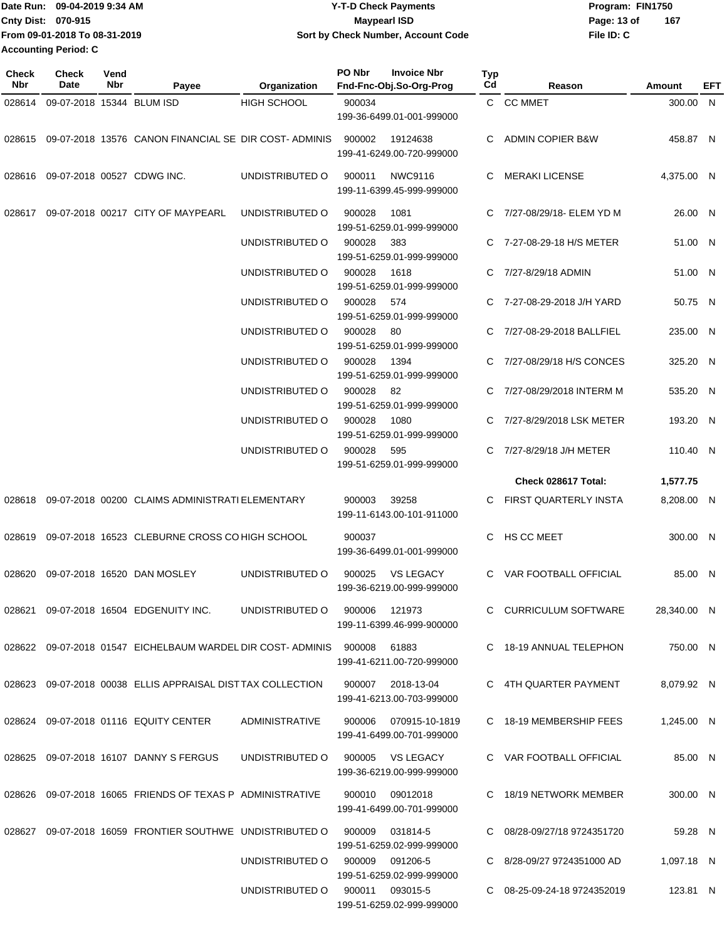| Date Run: 09-04-2019 9:34 AM  | <b>Y-T-D Check Payments</b>        | Program: FIN1750 |     |  |  |  |  |
|-------------------------------|------------------------------------|------------------|-----|--|--|--|--|
| Cnty Dist: 070-915            | Maypearl ISD                       | Page: 13 of      | 167 |  |  |  |  |
| From 09-01-2018 To 08-31-2019 | Sort by Check Number, Account Code | File ID: C       |     |  |  |  |  |
| <b>Accounting Period: C</b>   |                                    |                  |     |  |  |  |  |

| Check<br><b>Nbr</b> | <b>Check</b><br>Date       | Vend<br>Nbr | Payee                                                                    | Organization                     | PO Nbr | <b>Invoice Nbr</b><br>Fnd-Fnc-Obj.So-Org-Prog                             | Typ<br>Cd | Reason                      | Amount      | EFT |
|---------------------|----------------------------|-------------|--------------------------------------------------------------------------|----------------------------------|--------|---------------------------------------------------------------------------|-----------|-----------------------------|-------------|-----|
| 028614              | 09-07-2018 15344 BLUM ISD  |             |                                                                          | <b>HIGH SCHOOL</b>               | 900034 |                                                                           |           | C CC MMET                   | 300.00 N    |     |
|                     |                            |             |                                                                          |                                  |        | 199-36-6499.01-001-999000                                                 |           |                             |             |     |
|                     |                            |             | 028615 09-07-2018 13576 CANON FINANCIAL SE DIR COST-ADMINIS              |                                  | 900002 | 19124638<br>199-41-6249.00-720-999000                                     | C         | <b>ADMIN COPIER B&amp;W</b> | 458.87 N    |     |
| 028616              | 09-07-2018 00527 CDWG INC. |             |                                                                          | UNDISTRIBUTED O                  | 900011 | NWC9116<br>199-11-6399.45-999-999000                                      | C         | <b>MERAKI LICENSE</b>       | 4,375.00 N  |     |
| 028617              |                            |             | 09-07-2018 00217 CITY OF MAYPEARL                                        | UNDISTRIBUTED O                  | 900028 | 1081<br>199-51-6259.01-999-999000                                         |           | 7/27-08/29/18- ELEM YD M    | 26.00 N     |     |
|                     |                            |             |                                                                          | UNDISTRIBUTED O                  | 900028 | 383<br>199-51-6259.01-999-999000                                          | C.        | 7-27-08-29-18 H/S METER     | 51.00 N     |     |
|                     |                            |             |                                                                          | UNDISTRIBUTED O                  | 900028 | 1618<br>199-51-6259.01-999-999000                                         | C         | 7/27-8/29/18 ADMIN          | 51.00 N     |     |
|                     |                            |             |                                                                          | UNDISTRIBUTED O                  | 900028 | 574<br>199-51-6259.01-999-999000                                          |           | 7-27-08-29-2018 J/H YARD    | 50.75 N     |     |
|                     |                            |             |                                                                          | UNDISTRIBUTED O                  | 900028 | -80<br>199-51-6259.01-999-999000                                          |           | 7/27-08-29-2018 BALLFIEL    | 235.00 N    |     |
|                     |                            |             |                                                                          | UNDISTRIBUTED O                  | 900028 | 1394<br>199-51-6259.01-999-999000                                         | C         | 7/27-08/29/18 H/S CONCES    | 325.20 N    |     |
|                     |                            |             |                                                                          | UNDISTRIBUTED O                  | 900028 | 82<br>199-51-6259.01-999-999000                                           |           | 7/27-08/29/2018 INTERM M    | 535.20 N    |     |
|                     |                            |             |                                                                          | UNDISTRIBUTED O                  | 900028 | 1080<br>199-51-6259.01-999-999000                                         |           | 7/27-8/29/2018 LSK METER    | 193.20 N    |     |
|                     |                            |             |                                                                          | UNDISTRIBUTED O                  | 900028 | 595<br>199-51-6259.01-999-999000                                          | C.        | 7/27-8/29/18 J/H METER      | 110.40 N    |     |
|                     |                            |             |                                                                          |                                  |        |                                                                           |           | Check 028617 Total:         | 1,577.75    |     |
| 028618              |                            |             | 09-07-2018 00200 CLAIMS ADMINISTRATI ELEMENTARY                          |                                  | 900003 | 39258<br>199-11-6143.00-101-911000                                        | C         | FIRST QUARTERLY INSTA       | 8,208.00 N  |     |
| 028619              |                            |             | 09-07-2018 16523 CLEBURNE CROSS CO HIGH SCHOOL                           |                                  | 900037 | 199-36-6499.01-001-999000                                                 | C         | HS CC MEET                  | 300.00 N    |     |
| 028620              |                            |             | 09-07-2018 16520 DAN MOSLEY                                              | UNDISTRIBUTED O                  | 900025 | <b>VS LEGACY</b><br>199-36-6219.00-999-999000                             | C         | VAR FOOTBALL OFFICIAL       | 85.00 N     |     |
|                     |                            |             | 028621 09-07-2018 16504 EDGENUITY INC.                                   | UNDISTRIBUTED O                  | 900006 | 121973<br>199-11-6399.46-999-900000                                       |           | C CURRICULUM SOFTWARE       | 28,340.00 N |     |
|                     |                            |             | 028622 09-07-2018 01547 EICHELBAUM WARDEL DIR COST- ADMINIS 900008 61883 |                                  |        | 199-41-6211.00-720-999000                                                 |           | C 18-19 ANNUAL TELEPHON     | 750.00 N    |     |
|                     |                            |             | 028623 09-07-2018 00038 ELLIS APPRAISAL DISTTAX COLLECTION               |                                  |        | 900007 2018-13-04<br>199-41-6213.00-703-999000                            |           | C 4TH QUARTER PAYMENT       | 8,079.92 N  |     |
|                     |                            |             | 028624 09-07-2018 01116 EQUITY CENTER                                    | ADMINISTRATIVE                   |        | 900006 070915-10-1819<br>199-41-6499.00-701-999000                        |           | C 18-19 MEMBERSHIP FEES     | 1,245.00 N  |     |
|                     |                            |             | 028625 09-07-2018 16107 DANNY S FERGUS                                   | UNDISTRIBUTED O 900005 VS LEGACY |        | 199-36-6219.00-999-999000                                                 |           | C VAR FOOTBALL OFFICIAL     | 85.00 N     |     |
|                     |                            |             | 028626 09-07-2018 16065 FRIENDS OF TEXAS P ADMINISTRATIVE                |                                  |        | 900010 09012018<br>199-41-6499.00-701-999000                              |           | C 18/19 NETWORK MEMBER      | 300.00 N    |     |
|                     |                            |             | 028627 09-07-2018 16059 FRONTIER SOUTHWE UNDISTRIBUTED O 900009 031814-5 |                                  |        | 199-51-6259.02-999-999000                                                 |           | C 08/28-09/27/18 9724351720 | 59.28 N     |     |
|                     |                            |             |                                                                          | UNDISTRIBUTED O                  |        | 900009 091206-5                                                           |           | C 8/28-09/27 9724351000 AD  | 1,097.18 N  |     |
|                     |                            |             |                                                                          | UNDISTRIBUTED O                  |        | 199-51-6259.02-999-999000<br>900011 093015-5<br>199-51-6259.02-999-999000 |           | C 08-25-09-24-18 9724352019 | 123.81 N    |     |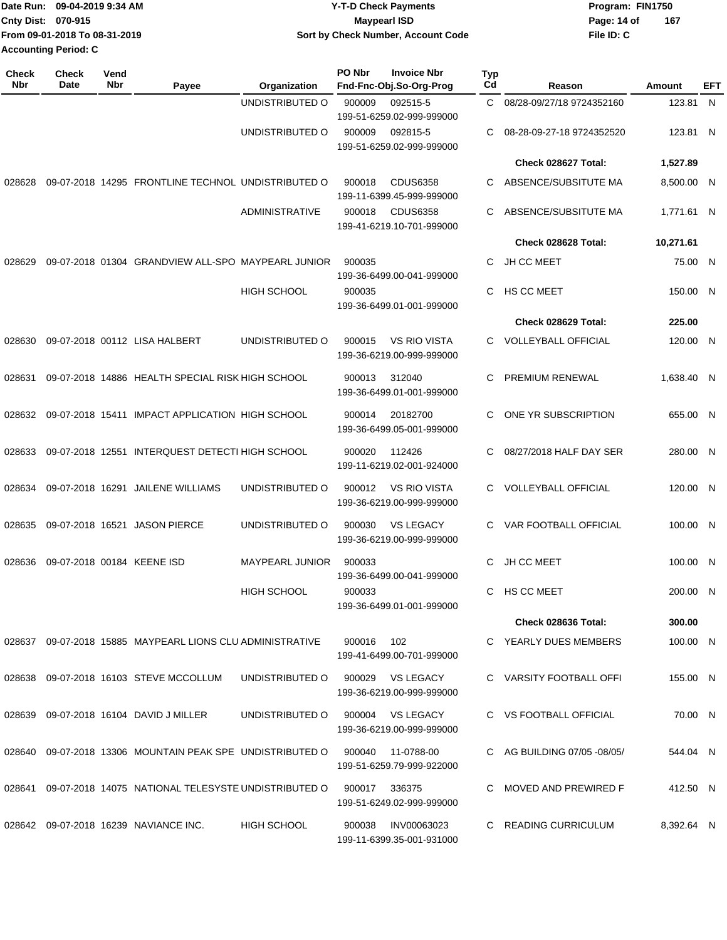|                             | 1Date Run: 09-04-2019 9:34 AM | <b>Y-T-D Check Payments</b>        | Program: FIN1750   |
|-----------------------------|-------------------------------|------------------------------------|--------------------|
| Cnty Dist: 070-915          |                               | Maypearl ISD                       | 167<br>Page: 14 of |
|                             | From 09-01-2018 To 08-31-2019 | Sort by Check Number, Account Code | File ID: C         |
| <b>Accounting Period: C</b> |                               |                                    |                    |

| <b>Check</b><br>Nbr | <b>Check</b><br><b>Date</b> | Vend<br>Nbr | Payee                                                      | Organization           | PO Nbr | <b>Invoice Nbr</b><br>Fnd-Fnc-Obj.So-Org-Prog    | <b>Typ</b><br>Cd | Reason                      | Amount     | EFT |
|---------------------|-----------------------------|-------------|------------------------------------------------------------|------------------------|--------|--------------------------------------------------|------------------|-----------------------------|------------|-----|
|                     |                             |             |                                                            | UNDISTRIBUTED O        | 900009 | 092515-5<br>199-51-6259.02-999-999000            | C.               | 08/28-09/27/18 9724352160   | 123.81 N   |     |
|                     |                             |             |                                                            | UNDISTRIBUTED O        | 900009 | 092815-5<br>199-51-6259.02-999-999000            | С                | 08-28-09-27-18 9724352520   | 123.81 N   |     |
|                     |                             |             |                                                            |                        |        |                                                  |                  | Check 028627 Total:         | 1,527.89   |     |
| 028628              |                             |             | 09-07-2018 14295 FRONTLINE TECHNOL UNDISTRIBUTED O         |                        | 900018 | <b>CDUS6358</b><br>199-11-6399.45-999-999000     | С                | ABSENCE/SUBSITUTE MA        | 8,500.00 N |     |
|                     |                             |             |                                                            | ADMINISTRATIVE         | 900018 | <b>CDUS6358</b><br>199-41-6219.10-701-999000     | С                | ABSENCE/SUBSITUTE MA        | 1,771.61 N |     |
|                     |                             |             |                                                            |                        |        |                                                  |                  | Check 028628 Total:         | 10,271.61  |     |
| 028629              |                             |             | 09-07-2018 01304 GRANDVIEW ALL-SPO MAYPEARL JUNIOR         |                        | 900035 | 199-36-6499.00-041-999000                        | С                | <b>JH CC MEET</b>           | 75.00 N    |     |
|                     |                             |             |                                                            | <b>HIGH SCHOOL</b>     | 900035 | 199-36-6499.01-001-999000                        | С                | HS CC MEET                  | 150.00 N   |     |
|                     |                             |             |                                                            |                        |        |                                                  |                  | Check 028629 Total:         | 225.00     |     |
| 028630              |                             |             | 09-07-2018 00112 LISA HALBERT                              | UNDISTRIBUTED O        | 900015 | <b>VS RIO VISTA</b><br>199-36-6219.00-999-999000 | C.               | <b>VOLLEYBALL OFFICIAL</b>  | 120.00 N   |     |
| 028631              |                             |             | 09-07-2018 14886 HEALTH SPECIAL RISK HIGH SCHOOL           |                        | 900013 | 312040<br>199-36-6499.01-001-999000              | С                | PREMIUM RENEWAL             | 1.638.40 N |     |
| 028632              |                             |             | 09-07-2018 15411 IMPACT APPLICATION HIGH SCHOOL            |                        | 900014 | 20182700<br>199-36-6499.05-001-999000            | С                | ONE YR SUBSCRIPTION         | 655.00 N   |     |
| 028633              |                             |             | 09-07-2018 12551 INTERQUEST DETECTI HIGH SCHOOL            |                        | 900020 | 112426<br>199-11-6219.02-001-924000              | С                | 08/27/2018 HALF DAY SER     | 280.00 N   |     |
| 028634              |                             |             | 09-07-2018 16291 JAILENE WILLIAMS                          | UNDISTRIBUTED O        | 900012 | <b>VS RIO VISTA</b><br>199-36-6219.00-999-999000 | С                | <b>VOLLEYBALL OFFICIAL</b>  | 120.00 N   |     |
| 028635              |                             |             | 09-07-2018 16521 JASON PIERCE                              | UNDISTRIBUTED O        | 900030 | <b>VS LEGACY</b><br>199-36-6219.00-999-999000    | C.               | VAR FOOTBALL OFFICIAL       | 100.00 N   |     |
| 028636              |                             |             | 09-07-2018 00184 KEENE ISD                                 | <b>MAYPEARL JUNIOR</b> | 900033 | 199-36-6499.00-041-999000                        | С                | JH CC MEET                  | 100.00 N   |     |
|                     |                             |             |                                                            | <b>HIGH SCHOOL</b>     | 900033 | 199-36-6499.01-001-999000                        | C                | <b>HS CC MEET</b>           | 200.00 N   |     |
|                     |                             |             |                                                            |                        |        |                                                  |                  | <b>Check 028636 Total:</b>  | 300.00     |     |
|                     |                             |             | 028637 09-07-2018 15885 MAYPEARL LIONS CLU ADMINISTRATIVE  |                        | 900016 | 102<br>199-41-6499.00-701-999000                 |                  | C YEARLY DUES MEMBERS       | 100.00 N   |     |
|                     |                             |             | 028638 09-07-2018 16103 STEVE MCCOLLUM                     | UNDISTRIBUTED O        |        | 900029 VS LEGACY<br>199-36-6219.00-999-999000    |                  | C VARSITY FOOTBALL OFFI     | 155.00 N   |     |
|                     |                             |             | 028639 09-07-2018 16104 DAVID J MILLER                     | UNDISTRIBUTED O        |        | 900004 VS LEGACY<br>199-36-6219.00-999-999000    |                  | C VS FOOTBALL OFFICIAL      | 70.00 N    |     |
|                     |                             |             | 028640 09-07-2018 13306 MOUNTAIN PEAK SPE UNDISTRIBUTED O  |                        | 900040 | 11-0788-00<br>199-51-6259.79-999-922000          |                  | C AG BUILDING 07/05 -08/05/ | 544.04 N   |     |
|                     |                             |             | 028641 09-07-2018 14075 NATIONAL TELESYSTE UNDISTRIBUTED O |                        |        | 900017 336375<br>199-51-6249.02-999-999000       |                  | C MOVED AND PREWIRED F      | 412.50 N   |     |
|                     |                             |             | 028642 09-07-2018 16239 NAVIANCE INC.                      | HIGH SCHOOL            | 900038 | INV00063023<br>199-11-6399.35-001-931000         |                  | C READING CURRICULUM        | 8,392.64 N |     |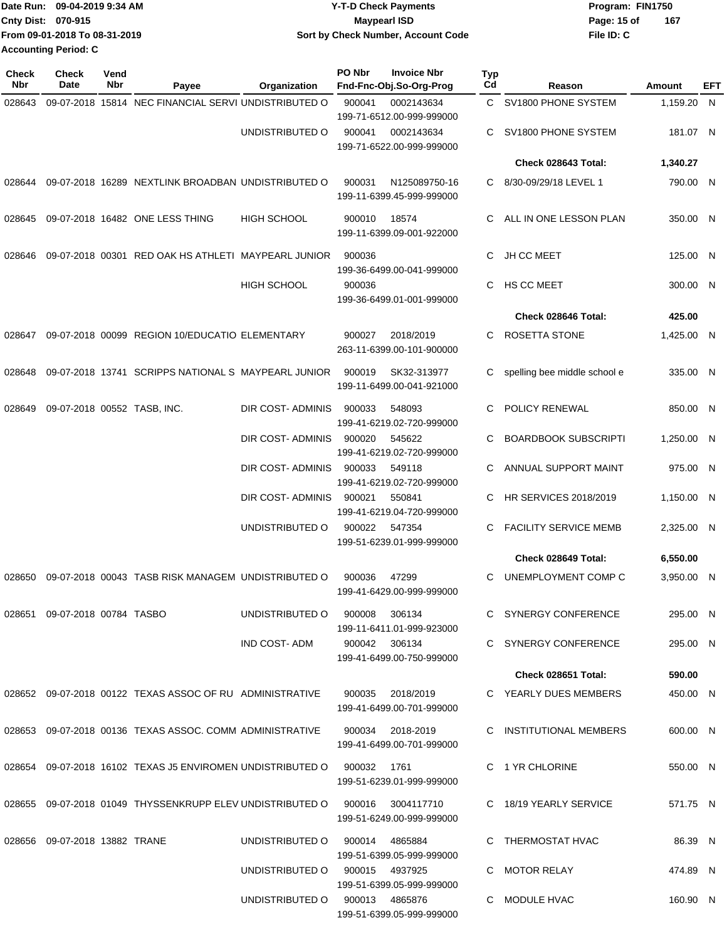|                           | Date Run: 09-04-2019 9:34 AM  | <b>Y-T-D Check Payments</b>        | Program: FIN1750   |
|---------------------------|-------------------------------|------------------------------------|--------------------|
| <b>Cnty Dist: 070-915</b> |                               | <b>Mavpearl ISD</b>                | 167<br>Page: 15 of |
|                           | From 09-01-2018 To 08-31-2019 | Sort by Check Number, Account Code | File ID: C         |
| Accounting Period: C      |                               |                                    |                    |

| <b>Check</b><br>Nbr | <b>Check</b><br>Date          | Vend<br>Nbr | Payee                                                      | <b>Organization</b>            | PO Nbr      | <b>Invoice Nbr</b><br>Fnd-Fnc-Obj.So-Org-Prog  | Typ<br>Cd | Reason                       | Amount     | EFT |
|---------------------|-------------------------------|-------------|------------------------------------------------------------|--------------------------------|-------------|------------------------------------------------|-----------|------------------------------|------------|-----|
| 028643              |                               |             | 09-07-2018 15814 NEC FINANCIAL SERVI UNDISTRIBUTED O       |                                | 900041      | 0002143634                                     |           | C SV1800 PHONE SYSTEM        | 1,159.20 N |     |
|                     |                               |             |                                                            |                                |             | 199-71-6512.00-999-999000                      |           |                              |            |     |
|                     |                               |             |                                                            | UNDISTRIBUTED O                | 900041      | 0002143634<br>199-71-6522.00-999-999000        | C         | SV1800 PHONE SYSTEM          | 181.07 N   |     |
|                     |                               |             |                                                            |                                |             |                                                |           | Check 028643 Total:          | 1,340.27   |     |
| 028644              |                               |             | 09-07-2018 16289 NEXTLINK BROADBAN UNDISTRIBUTED O         |                                | 900031      | N125089750-16                                  | C         | 8/30-09/29/18 LEVEL 1        | 790.00 N   |     |
|                     |                               |             |                                                            |                                |             | 199-11-6399.45-999-999000                      |           |                              |            |     |
| 028645              |                               |             | 09-07-2018 16482 ONE LESS THING                            | <b>HIGH SCHOOL</b>             | 900010      | 18574                                          | C         | ALL IN ONE LESSON PLAN       | 350.00 N   |     |
|                     |                               |             |                                                            |                                |             | 199-11-6399.09-001-922000                      |           |                              |            |     |
| 028646              |                               |             | 09-07-2018 00301 RED OAK HS ATHLETI MAYPEARL JUNIOR        |                                | 900036      |                                                | С         | JH CC MEET                   | 125.00 N   |     |
|                     |                               |             |                                                            |                                |             | 199-36-6499.00-041-999000                      |           |                              |            |     |
|                     |                               |             |                                                            | HIGH SCHOOL                    | 900036      | 199-36-6499.01-001-999000                      | C         | HS CC MEET                   | 300.00 N   |     |
|                     |                               |             |                                                            |                                |             |                                                |           | Check 028646 Total:          | 425.00     |     |
| 028647              |                               |             | 09-07-2018 00099 REGION 10/EDUCATIO ELEMENTARY             |                                | 900027      | 2018/2019                                      | С         | ROSETTA STONE                | 1,425.00 N |     |
|                     |                               |             |                                                            |                                |             | 263-11-6399.00-101-900000                      |           |                              |            |     |
| 028648              |                               |             | 09-07-2018 13741 SCRIPPS NATIONAL S MAYPEARL JUNIOR        |                                | 900019      | SK32-313977                                    | С         | spelling bee middle school e | 335.00 N   |     |
|                     |                               |             |                                                            |                                |             | 199-11-6499.00-041-921000                      |           |                              |            |     |
| 028649              | 09-07-2018 00552 TASB, INC.   |             |                                                            | DIR COST- ADMINIS              | 900033      | 548093                                         | C         | POLICY RENEWAL               | 850.00 N   |     |
|                     |                               |             |                                                            |                                |             | 199-41-6219.02-720-999000                      | С         |                              |            |     |
|                     |                               |             |                                                            | DIR COST- ADMINIS              | 900020      | 545622<br>199-41-6219.02-720-999000            |           | <b>BOARDBOOK SUBSCRIPTI</b>  | 1,250.00 N |     |
|                     |                               |             |                                                            | DIR COST- ADMINIS              | 900033      | 549118                                         | C         | ANNUAL SUPPORT MAINT         | 975.00 N   |     |
|                     |                               |             |                                                            |                                |             | 199-41-6219.02-720-999000                      |           |                              |            |     |
|                     |                               |             |                                                            | DIR COST- ADMINIS              | 900021      | 550841<br>199-41-6219.04-720-999000            | С         | <b>HR SERVICES 2018/2019</b> | 1,150.00 N |     |
|                     |                               |             |                                                            | UNDISTRIBUTED O                | 900022      | 547354                                         | C         | <b>FACILITY SERVICE MEMB</b> | 2,325.00 N |     |
|                     |                               |             |                                                            |                                |             | 199-51-6239.01-999-999000                      |           |                              |            |     |
|                     |                               |             |                                                            |                                |             |                                                |           | Check 028649 Total:          | 6,550.00   |     |
| 028650              |                               |             | 09-07-2018 00043 TASB RISK MANAGEM UNDISTRIBUTED O         |                                | 900036      | 47299<br>199-41-6429.00-999-999000             | C         | UNEMPLOYMENT COMP C          | 3,950.00 N |     |
|                     |                               |             |                                                            |                                |             |                                                |           |                              |            |     |
|                     | 028651 09-07-2018 00784 TASBO |             |                                                            | UNDISTRIBUTED O                | 900008      | 306134<br>199-11-6411.01-999-923000            |           | C SYNERGY CONFERENCE         | 295.00 N   |     |
|                     |                               |             |                                                            | IND COST-ADM                   |             | 900042 306134                                  |           | C SYNERGY CONFERENCE         | 295.00 N   |     |
|                     |                               |             |                                                            |                                |             | 199-41-6499.00-750-999000                      |           |                              |            |     |
|                     |                               |             |                                                            |                                |             |                                                |           | Check 028651 Total:          | 590.00     |     |
|                     |                               |             | 028652 09-07-2018 00122 TEXAS ASSOC OF RU ADMINISTRATIVE   |                                | 900035      | 2018/2019                                      |           | C YEARLY DUES MEMBERS        | 450.00 N   |     |
|                     |                               |             |                                                            |                                |             | 199-41-6499.00-701-999000                      |           |                              |            |     |
|                     |                               |             | 028653 09-07-2018 00136 TEXAS ASSOC. COMM ADMINISTRATIVE   |                                |             | 900034 2018-2019<br>199-41-6499.00-701-999000  |           | C INSTITUTIONAL MEMBERS      | 600.00 N   |     |
|                     |                               |             |                                                            |                                |             |                                                |           |                              |            |     |
|                     |                               |             | 028654 09-07-2018 16102 TEXAS J5 ENVIROMEN UNDISTRIBUTED O |                                | 900032 1761 | 199-51-6239.01-999-999000                      |           | C 1 YR CHLORINE              | 550.00 N   |     |
|                     |                               |             |                                                            |                                |             |                                                |           |                              |            |     |
|                     |                               |             | 028655 09-07-2018 01049 THYSSENKRUPP ELEV UNDISTRIBUTED O  |                                |             | 900016 3004117710<br>199-51-6249.00-999-999000 |           | C 18/19 YEARLY SERVICE       | 571.75 N   |     |
|                     | 028656 09-07-2018 13882 TRANE |             |                                                            | UNDISTRIBUTED O                |             | 900014 4865884                                 |           | C THERMOSTAT HVAC            | 86.39 N    |     |
|                     |                               |             |                                                            |                                |             | 199-51-6399.05-999-999000                      |           |                              |            |     |
|                     |                               |             |                                                            | UNDISTRIBUTED O                |             | 900015 4937925                                 |           | C MOTOR RELAY                | 474.89 N   |     |
|                     |                               |             |                                                            |                                |             | 199-51-6399.05-999-999000                      |           |                              |            |     |
|                     |                               |             |                                                            | UNDISTRIBUTED O 900013 4865876 |             | 199-51-6399.05-999-999000                      |           | C MODULE HVAC                | 160.90 N   |     |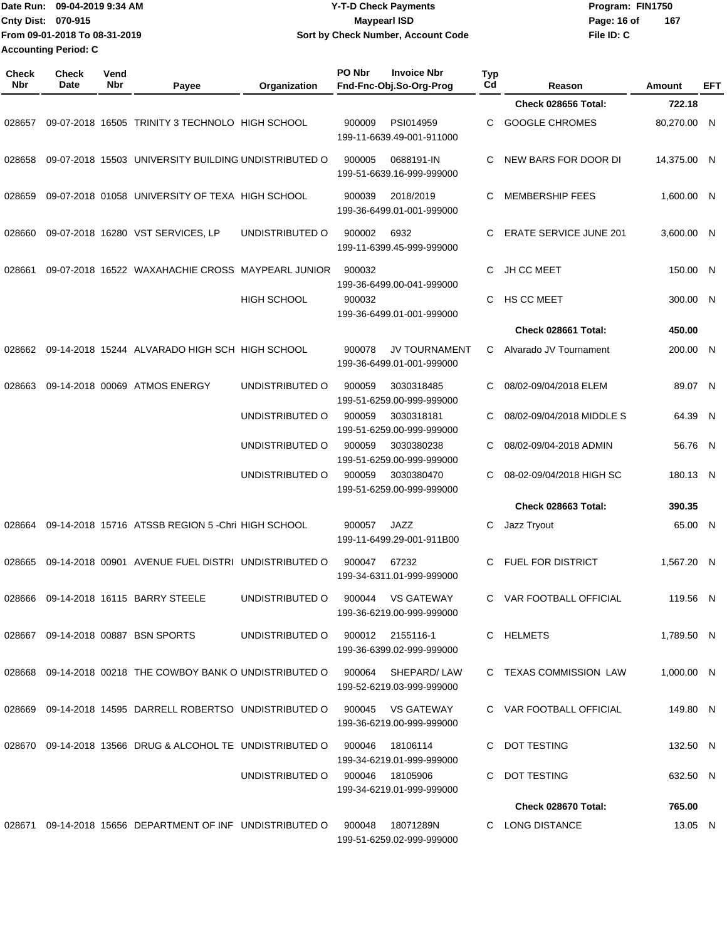|                           | Date Run: 09-04-2019 9:34 AM  | <b>Y-T-D Check Payments</b>        | Program: FIN1750   |
|---------------------------|-------------------------------|------------------------------------|--------------------|
| <b>Cnty Dist: 070-915</b> |                               | Maypearl ISD                       | 167<br>Page: 16 of |
|                           | From 09-01-2018 To 08-31-2019 | Sort by Check Number, Account Code | File ID: C         |
|                           | <b>Accounting Period: C</b>   |                                    |                    |

| <b>Check</b><br>Nbr | <b>Check</b><br>Date | Vend<br>Nbr | Payee                                                                        | Organization                     | PO Nbr | <b>Invoice Nbr</b><br>Fnd-Fnc-Obj.So-Org-Prog  | <b>Typ</b><br>Cd | Reason                        | Amount      | EFT |
|---------------------|----------------------|-------------|------------------------------------------------------------------------------|----------------------------------|--------|------------------------------------------------|------------------|-------------------------------|-------------|-----|
|                     |                      |             |                                                                              |                                  |        |                                                |                  | Check 028656 Total:           | 722.18      |     |
| 028657              |                      |             | 09-07-2018 16505 TRINITY 3 TECHNOLO HIGH SCHOOL                              |                                  | 900009 | PSI014959<br>199-11-6639.49-001-911000         | C.               | <b>GOOGLE CHROMES</b>         | 80,270.00 N |     |
| 028658              |                      |             | 09-07-2018 15503 UNIVERSITY BUILDING UNDISTRIBUTED O                         |                                  | 900005 | 0688191-IN<br>199-51-6639.16-999-999000        | C                | NEW BARS FOR DOOR DI          | 14,375.00 N |     |
| 028659              |                      |             | 09-07-2018 01058 UNIVERSITY OF TEXA HIGH SCHOOL                              |                                  | 900039 | 2018/2019<br>199-36-6499.01-001-999000         | C                | <b>MEMBERSHIP FEES</b>        | 1,600.00 N  |     |
| 028660              |                      |             | 09-07-2018 16280 VST SERVICES, LP                                            | UNDISTRIBUTED O                  | 900002 | 6932<br>199-11-6399.45-999-999000              | C                | <b>ERATE SERVICE JUNE 201</b> | 3,600.00 N  |     |
| 028661              |                      |             | 09-07-2018 16522 WAXAHACHIE CROSS MAYPEARL JUNIOR                            |                                  | 900032 | 199-36-6499.00-041-999000                      | C                | JH CC MEET                    | 150.00 N    |     |
|                     |                      |             |                                                                              | <b>HIGH SCHOOL</b>               | 900032 | 199-36-6499.01-001-999000                      | C                | HS CC MEET                    | 300.00 N    |     |
|                     |                      |             |                                                                              |                                  |        |                                                |                  | Check 028661 Total:           | 450.00      |     |
| 028662              |                      |             | 09-14-2018 15244 ALVARADO HIGH SCH HIGH SCHOOL                               |                                  | 900078 | JV TOURNAMENT<br>199-36-6499.01-001-999000     | C                | Alvarado JV Tournament        | 200.00 N    |     |
| 028663              |                      |             | 09-14-2018 00069 ATMOS ENERGY                                                | UNDISTRIBUTED O                  | 900059 | 3030318485<br>199-51-6259.00-999-999000        | C                | 08/02-09/04/2018 ELEM         | 89.07 N     |     |
|                     |                      |             |                                                                              | UNDISTRIBUTED O                  | 900059 | 3030318181<br>199-51-6259.00-999-999000        | C                | 08/02-09/04/2018 MIDDLE S     | 64.39 N     |     |
|                     |                      |             |                                                                              | UNDISTRIBUTED O                  | 900059 | 3030380238<br>199-51-6259.00-999-999000        | C                | 08/02-09/04-2018 ADMIN        | 56.76 N     |     |
|                     |                      |             |                                                                              | UNDISTRIBUTED O                  | 900059 | 3030380470<br>199-51-6259.00-999-999000        | C                | 08-02-09/04/2018 HIGH SC      | 180.13 N    |     |
|                     |                      |             |                                                                              |                                  |        |                                                |                  | Check 028663 Total:           | 390.35      |     |
| 028664              |                      |             | 09-14-2018 15716 ATSSB REGION 5 -Chri HIGH SCHOOL                            |                                  | 900057 | <b>JAZZ</b><br>199-11-6499.29-001-911B00       | С                | Jazz Tryout                   | 65.00 N     |     |
| 028665              |                      |             | 09-14-2018 00901 AVENUE FUEL DISTRI UNDISTRIBUTED O                          |                                  | 900047 | 67232<br>199-34-6311.01-999-999000             | C                | <b>FUEL FOR DISTRICT</b>      | 1.567.20 N  |     |
|                     |                      |             | 028666 09-14-2018 16115 BARRY STEELE                                         | UNDISTRIBUTED O                  |        | 900044 VS GATEWAY<br>199-36-6219.00-999-999000 |                  | C VAR FOOTBALL OFFICIAL       | 119.56 N    |     |
|                     |                      |             | 028667 09-14-2018 00887 BSN SPORTS                                           | UNDISTRIBUTED O 900012 2155116-1 |        | 199-36-6399.02-999-999000                      |                  | C HELMETS                     | 1,789.50 N  |     |
|                     |                      |             | 028668 09-14-2018 00218 THE COWBOY BANK O UNDISTRIBUTED O 900064 SHEPARD/LAW |                                  |        | 199-52-6219.03-999-999000                      |                  | C TEXAS COMMISSION LAW        | 1.000.00 N  |     |
|                     |                      |             | 028669 09-14-2018 14595 DARRELL ROBERTSO UNDISTRIBUTED O 900045 VS GATEWAY   |                                  |        | 199-36-6219.00-999-999000                      |                  | C VAR FOOTBALL OFFICIAL       | 149.80 N    |     |
|                     |                      |             | 028670  09-14-2018  13566  DRUG & ALCOHOL TE  UNDISTRIBUTED   0  900046      |                                  |        | 18106114<br>199-34-6219.01-999-999000          |                  | C DOT TESTING                 | 132.50 N    |     |
|                     |                      |             |                                                                              | UNDISTRIBUTED O 900046 18105906  |        | 199-34-6219.01-999-999000                      |                  | C DOT TESTING                 | 632.50 N    |     |
|                     |                      |             |                                                                              |                                  |        |                                                |                  | Check 028670 Total:           | 765.00      |     |
|                     |                      |             | 028671 09-14-2018 15656 DEPARTMENT OF INF UNDISTRIBUTED O 900048 18071289N   |                                  |        | 199-51-6259.02-999-999000                      |                  | C LONG DISTANCE               | 13.05 N     |     |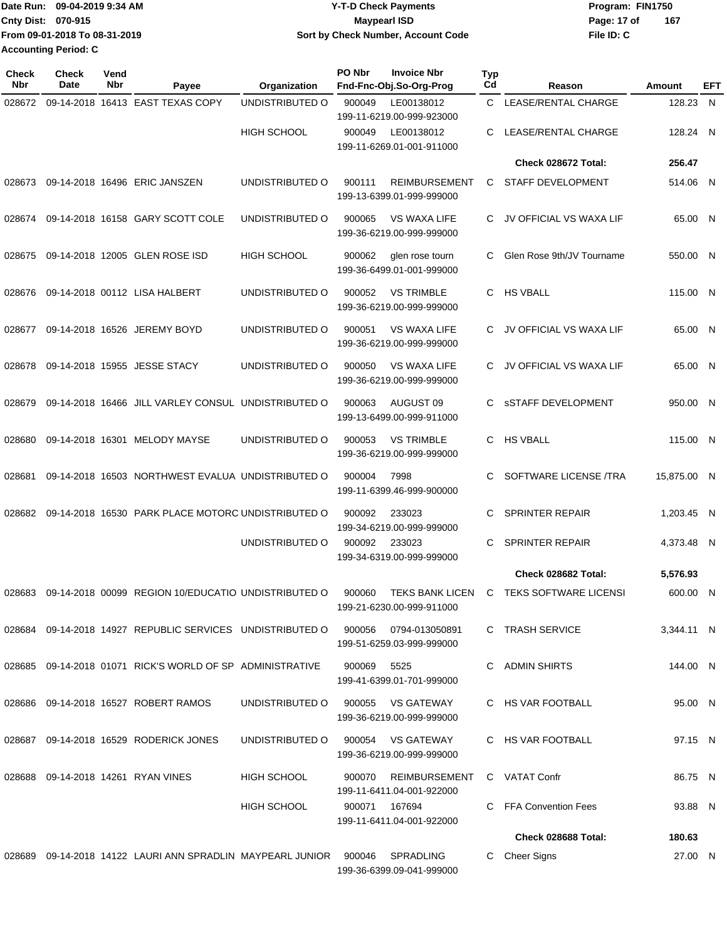| Date Run: 09-04-2019 9:34 AM  | <b>Y-T-D Check Payments</b>        | Program: FIN1750 |     |
|-------------------------------|------------------------------------|------------------|-----|
| Cnty Dist: 070-915            | <b>Mavpearl ISD</b>                | Page: 17 of      | 167 |
| From 09-01-2018 To 08-31-2019 | Sort by Check Number, Account Code | File ID: C       |     |
| <b>Accounting Period: C</b>   |                                    |                  |     |

| <b>Check</b><br>Nbr | Check<br>Date | Vend<br>Nbr | Payee                                                     | Organization       | PO Nbr | <b>Invoice Nbr</b><br>Fnd-Fnc-Obj.So-Org-Prog       | <b>Typ</b><br>Cd | Reason                       | Amount      | EFT |
|---------------------|---------------|-------------|-----------------------------------------------------------|--------------------|--------|-----------------------------------------------------|------------------|------------------------------|-------------|-----|
| 028672              |               |             | 09-14-2018 16413 EAST TEXAS COPY                          | UNDISTRIBUTED O    | 900049 | LE00138012<br>199-11-6219.00-999-923000             | C.               | LEASE/RENTAL CHARGE          | 128.23      | N   |
|                     |               |             |                                                           | <b>HIGH SCHOOL</b> | 900049 | LE00138012<br>199-11-6269.01-001-911000             | C                | LEASE/RENTAL CHARGE          | 128.24 N    |     |
|                     |               |             |                                                           |                    |        |                                                     |                  | Check 028672 Total:          | 256.47      |     |
| 028673              |               |             | 09-14-2018 16496 ERIC JANSZEN                             | UNDISTRIBUTED O    | 900111 | <b>REIMBURSEMENT</b><br>199-13-6399.01-999-999000   | C                | <b>STAFF DEVELOPMENT</b>     | 514.06 N    |     |
| 028674              |               |             | 09-14-2018 16158 GARY SCOTT COLE                          | UNDISTRIBUTED O    | 900065 | <b>VS WAXA LIFE</b><br>199-36-6219.00-999-999000    | C                | JV OFFICIAL VS WAXA LIF      | 65.00 N     |     |
| 028675              |               |             | 09-14-2018 12005 GLEN ROSE ISD                            | <b>HIGH SCHOOL</b> | 900062 | glen rose tourn<br>199-36-6499.01-001-999000        | C                | Glen Rose 9th/JV Tourname    | 550.00 N    |     |
| 028676              |               |             | 09-14-2018 00112 LISA HALBERT                             | UNDISTRIBUTED O    | 900052 | <b>VS TRIMBLE</b><br>199-36-6219.00-999-999000      | C.               | <b>HS VBALL</b>              | 115.00 N    |     |
| 028677              |               |             | 09-14-2018 16526 JEREMY BOYD                              | UNDISTRIBUTED O    | 900051 | <b>VS WAXA LIFE</b><br>199-36-6219.00-999-999000    | C                | JV OFFICIAL VS WAXA LIF      | 65.00 N     |     |
| 028678              |               |             | 09-14-2018 15955 JESSE STACY                              | UNDISTRIBUTED O    | 900050 | <b>VS WAXA LIFE</b><br>199-36-6219.00-999-999000    | C.               | JV OFFICIAL VS WAXA LIF      | 65.00 N     |     |
| 028679              |               |             | 09-14-2018 16466 JILL VARLEY CONSUL UNDISTRIBUTED O       |                    | 900063 | AUGUST <sub>09</sub><br>199-13-6499.00-999-911000   | C                | <b>SSTAFF DEVELOPMENT</b>    | 950.00 N    |     |
| 028680              |               |             | 09-14-2018 16301 MELODY MAYSE                             | UNDISTRIBUTED O    | 900053 | <b>VS TRIMBLE</b><br>199-36-6219.00-999-999000      | C.               | <b>HS VBALL</b>              | 115.00 N    |     |
| 028681              |               |             | 09-14-2018 16503 NORTHWEST EVALUA UNDISTRIBUTED O         |                    | 900004 | 7998<br>199-11-6399.46-999-900000                   | C                | SOFTWARE LICENSE /TRA        | 15,875.00 N |     |
| 028682              |               |             | 09-14-2018 16530 PARK PLACE MOTORC UNDISTRIBUTED O        |                    | 900092 | 233023<br>199-34-6219.00-999-999000                 | C                | <b>SPRINTER REPAIR</b>       | 1,203.45 N  |     |
|                     |               |             |                                                           | UNDISTRIBUTED O    | 900092 | 233023<br>199-34-6319.00-999-999000                 | C                | <b>SPRINTER REPAIR</b>       | 4,373.48 N  |     |
|                     |               |             |                                                           |                    |        |                                                     |                  | Check 028682 Total:          | 5,576.93    |     |
| 028683              |               |             | 09-14-2018 00099 REGION 10/EDUCATIO UNDISTRIBUTED O       |                    | 900060 | <b>TEKS BANK LICEN</b><br>199-21-6230.00-999-911000 | C                | <b>TEKS SOFTWARE LICENSI</b> | 600.00      | - N |
|                     |               |             | 028684 09-14-2018 14927 REPUBLIC SERVICES UNDISTRIBUTED O |                    | 900056 | 0794-013050891<br>199-51-6259.03-999-999000         |                  | C TRASH SERVICE              | 3,344.11 N  |     |
| 028685              |               |             | 09-14-2018 01071 RICK'S WORLD OF SP ADMINISTRATIVE        |                    | 900069 | 5525<br>199-41-6399.01-701-999000                   | C                | <b>ADMIN SHIRTS</b>          | 144.00 N    |     |
| 028686              |               |             | 09-14-2018 16527 ROBERT RAMOS                             | UNDISTRIBUTED O    | 900055 | <b>VS GATEWAY</b><br>199-36-6219.00-999-999000      |                  | C HS VAR FOOTBALL            | 95.00 N     |     |
|                     |               |             | 028687 09-14-2018 16529 RODERICK JONES                    | UNDISTRIBUTED O    | 900054 | VS GATEWAY<br>199-36-6219.00-999-999000             |                  | C HS VAR FOOTBALL            | 97.15 N     |     |
| 028688              |               |             | 09-14-2018 14261 RYAN VINES                               | <b>HIGH SCHOOL</b> | 900070 | REIMBURSEMENT<br>199-11-6411.04-001-922000          |                  | C VATAT Confr                | 86.75 N     |     |
|                     |               |             |                                                           | <b>HIGH SCHOOL</b> | 900071 | 167694<br>199-11-6411.04-001-922000                 |                  | C FFA Convention Fees        | 93.88 N     |     |
|                     |               |             |                                                           |                    |        |                                                     |                  | Check 028688 Total:          | 180.63      |     |
| 028689              |               |             | 09-14-2018 14122 LAURI ANN SPRADLIN MAYPEARL JUNIOR       |                    | 900046 | SPRADLING<br>199-36-6399.09-041-999000              | C.               | <b>Cheer Signs</b>           | 27.00 N     |     |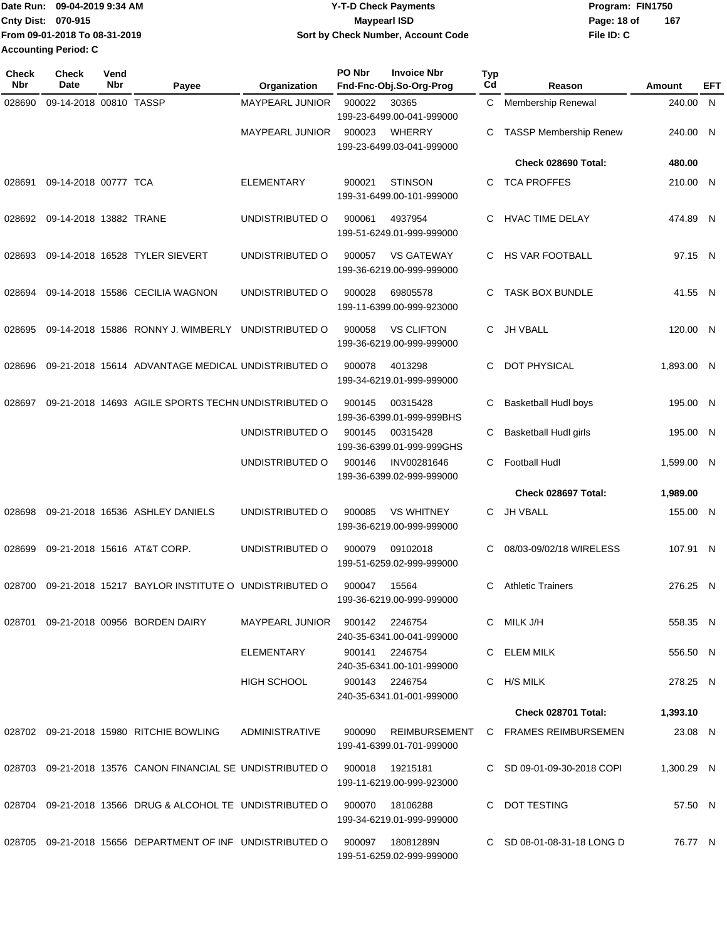|                    | Date Run: 09-04-2019 9:34 AM  | <b>Y-T-D Check Payments</b>        | Program: FIN1750 |     |
|--------------------|-------------------------------|------------------------------------|------------------|-----|
| Cnty Dist: 070-915 |                               | Maypearl ISD                       | Page: 18 of      | 167 |
|                    | From 09-01-2018 To 08-31-2019 | Sort by Check Number, Account Code | File ID: C       |     |
|                    | <b>Accounting Period: C</b>   |                                    |                  |     |

| <b>Check</b><br>Nbr | <b>Check</b><br>Date   | Vend<br>Nbr | Payee                                                      | Organization           | PO Nbr         | <b>Invoice Nbr</b><br>Fnd-Fnc-Obj.So-Org-Prog  | <b>Typ</b><br>Cd | Reason                       | Amount     | EFT |
|---------------------|------------------------|-------------|------------------------------------------------------------|------------------------|----------------|------------------------------------------------|------------------|------------------------------|------------|-----|
| 028690              | 09-14-2018 00810 TASSP |             |                                                            | <b>MAYPEARL JUNIOR</b> | 900022         | 30365<br>199-23-6499.00-041-999000             | C.               | Membership Renewal           | 240.00 N   |     |
|                     |                        |             |                                                            | <b>MAYPEARL JUNIOR</b> | 900023         | <b>WHERRY</b><br>199-23-6499.03-041-999000     | C                | TASSP Membership Renew       | 240.00 N   |     |
|                     |                        |             |                                                            |                        |                |                                                |                  | Check 028690 Total:          | 480.00     |     |
| 028691              | 09-14-2018 00777 TCA   |             |                                                            | <b>ELEMENTARY</b>      | 900021         | <b>STINSON</b><br>199-31-6499.00-101-999000    | C                | <b>TCA PROFFES</b>           | 210.00 N   |     |
| 028692              | 09-14-2018 13882 TRANE |             |                                                            | UNDISTRIBUTED O        | 900061         | 4937954<br>199-51-6249.01-999-999000           | С                | <b>HVAC TIME DELAY</b>       | 474.89 N   |     |
| 028693              |                        |             | 09-14-2018 16528 TYLER SIEVERT                             | UNDISTRIBUTED O        | 900057         | <b>VS GATEWAY</b><br>199-36-6219.00-999-999000 | C.               | HS VAR FOOTBALL              | 97.15 N    |     |
| 028694              |                        |             | 09-14-2018 15586 CECILIA WAGNON                            | UNDISTRIBUTED O        | 900028         | 69805578<br>199-11-6399.00-999-923000          | C                | <b>TASK BOX BUNDLE</b>       | 41.55 N    |     |
| 028695              |                        |             | 09-14-2018 15886 RONNY J. WIMBERLY UNDISTRIBUTED O         |                        | 900058         | <b>VS CLIFTON</b><br>199-36-6219.00-999-999000 | C                | <b>JH VBALL</b>              | 120.00 N   |     |
| 028696              |                        |             | 09-21-2018 15614 ADVANTAGE MEDICAL UNDISTRIBUTED O         |                        | 900078         | 4013298<br>199-34-6219.01-999-999000           | С                | <b>DOT PHYSICAL</b>          | 1,893.00 N |     |
| 028697              |                        |             | 09-21-2018 14693 AGILE SPORTS TECHN UNDISTRIBUTED O        |                        | 900145         | 00315428<br>199-36-6399.01-999-999BHS          | С                | Basketball Hudl boys         | 195.00 N   |     |
|                     |                        |             |                                                            | UNDISTRIBUTED O        | 900145         | 00315428<br>199-36-6399.01-999-999GHS          | С                | <b>Basketball Hudl girls</b> | 195.00 N   |     |
|                     |                        |             |                                                            | UNDISTRIBUTED O        | 900146         | INV00281646<br>199-36-6399.02-999-999000       | C                | <b>Football Hudl</b>         | 1,599.00 N |     |
|                     |                        |             |                                                            |                        |                |                                                |                  | Check 028697 Total:          | 1,989.00   |     |
| 028698              |                        |             | 09-21-2018 16536 ASHLEY DANIELS                            | UNDISTRIBUTED O        | 900085         | <b>VS WHITNEY</b><br>199-36-6219.00-999-999000 | C.               | JH VBALL                     | 155.00 N   |     |
| 028699              |                        |             | 09-21-2018 15616 AT&T CORP.                                | UNDISTRIBUTED O        | 900079         | 09102018<br>199-51-6259.02-999-999000          | C                | 08/03-09/02/18 WIRELESS      | 107.91 N   |     |
| 028700              |                        |             | 09-21-2018 15217 BAYLOR INSTITUTE O UNDISTRIBUTED O        |                        | 900047         | 15564<br>199-36-6219.00-999-999000             | С                | <b>Athletic Trainers</b>     | 276.25 N   |     |
| 028701              |                        |             | 09-21-2018 00956 BORDEN DAIRY                              | MAYPEARL JUNIOR        | 900142         | 2246754<br>240-35-6341.00-041-999000           |                  | C MILK J/H                   | 558.35 N   |     |
|                     |                        |             |                                                            | ELEMENTARY             | 900141         | 2246754<br>240-35-6341.00-101-999000           |                  | C ELEM MILK                  | 556.50 N   |     |
|                     |                        |             |                                                            | <b>HIGH SCHOOL</b>     | 900143 2246754 | 240-35-6341.01-001-999000                      |                  | C H/S MILK                   | 278.25 N   |     |
|                     |                        |             |                                                            |                        |                |                                                |                  | Check 028701 Total:          | 1,393.10   |     |
|                     |                        |             | 028702 09-21-2018 15980 RITCHIE BOWLING                    | ADMINISTRATIVE         | 900090         | REIMBURSEMENT<br>199-41-6399.01-701-999000     |                  | C FRAMES REIMBURSEMEN        | 23.08 N    |     |
|                     |                        |             | 028703 09-21-2018 13576 CANON FINANCIAL SE UNDISTRIBUTED O |                        | 900018         | 19215181<br>199-11-6219.00-999-923000          |                  | C SD 09-01-09-30-2018 COPI   | 1,300.29 N |     |
|                     |                        |             | 028704 09-21-2018 13566 DRUG & ALCOHOL TE UNDISTRIBUTED O  |                        | 900070         | 18106288<br>199-34-6219.01-999-999000          |                  | C DOT TESTING                | 57.50 N    |     |
|                     |                        |             | 028705 09-21-2018 15656 DEPARTMENT OF INF UNDISTRIBUTED O  |                        | 900097         | 18081289N<br>199-51-6259.02-999-999000         |                  | C SD 08-01-08-31-18 LONG D   | 76.77 N    |     |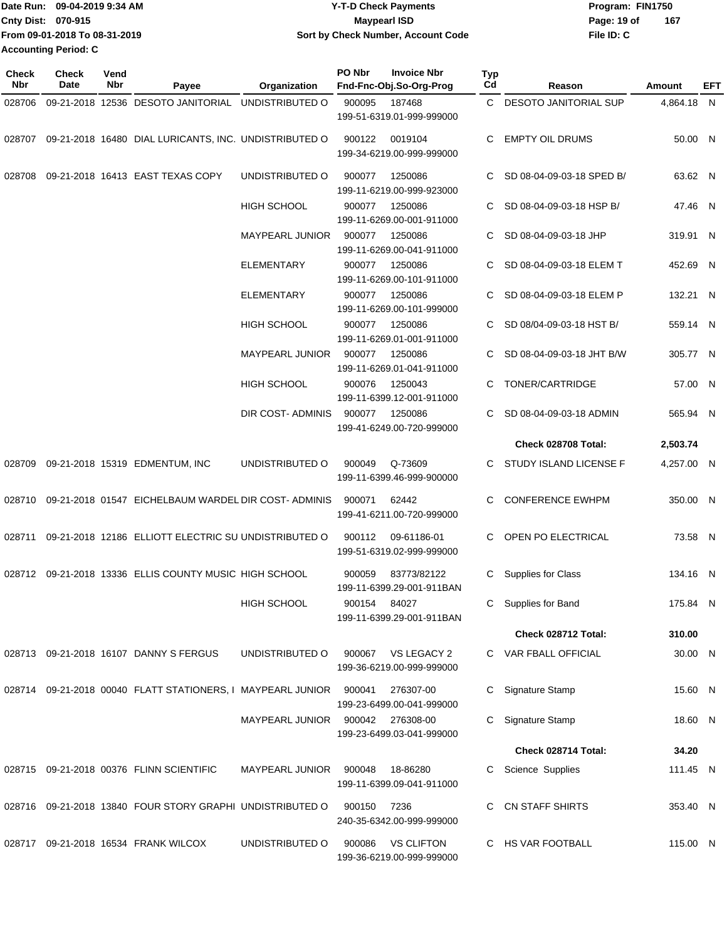|                             | Date Run: 09-04-2019 9:34 AM  | <b>Y-T-D Check Payments</b>        | Program: FIN1750   |
|-----------------------------|-------------------------------|------------------------------------|--------------------|
| Cnty Dist: 070-915          |                               | <b>Mavpearl ISD</b>                | 167<br>Page: 19 of |
|                             | From 09-01-2018 To 08-31-2019 | Sort by Check Number, Account Code | File ID: C         |
| <b>Accounting Period: C</b> |                               |                                    |                    |

| Check<br>Nbr | <b>Check</b><br>Date | Vend<br>Nbr | Payee                                                        | Organization           | PO Nbr       | <b>Invoice Nbr</b><br>Fnd-Fnc-Obj.So-Org-Prog   | Typ<br>Cd | Reason                      | Amount     | EFT |
|--------------|----------------------|-------------|--------------------------------------------------------------|------------------------|--------------|-------------------------------------------------|-----------|-----------------------------|------------|-----|
|              |                      |             | 028706 09-21-2018 12536 DESOTO JANITORIAL UNDISTRIBUTED O    |                        | 900095       | 187468<br>199-51-6319.01-999-999000             |           | C DESOTO JANITORIAL SUP     | 4,864.18 N |     |
|              |                      |             | 028707 09-21-2018 16480 DIAL LURICANTS, INC. UNDISTRIBUTED O |                        |              | 900122 0019104<br>199-34-6219.00-999-999000     | C.        | <b>EMPTY OIL DRUMS</b>      | 50.00 N    |     |
| 028708       |                      |             | 09-21-2018 16413 EAST TEXAS COPY                             | UNDISTRIBUTED O        | 900077       | 1250086<br>199-11-6219.00-999-923000            |           | C SD 08-04-09-03-18 SPED B/ | 63.62 N    |     |
|              |                      |             |                                                              | <b>HIGH SCHOOL</b>     | 900077       | 1250086<br>199-11-6269.00-001-911000            |           | C SD 08-04-09-03-18 HSP B/  | 47.46 N    |     |
|              |                      |             |                                                              | <b>MAYPEARL JUNIOR</b> | 900077       | 1250086<br>199-11-6269.00-041-911000            | C.        | SD 08-04-09-03-18 JHP       | 319.91 N   |     |
|              |                      |             |                                                              | <b>ELEMENTARY</b>      | 900077       | 1250086<br>199-11-6269.00-101-911000            | C.        | SD 08-04-09-03-18 ELEM T    | 452.69 N   |     |
|              |                      |             |                                                              | ELEMENTARY             | 900077       | 1250086<br>199-11-6269.00-101-999000            | C.        | SD 08-04-09-03-18 ELEM P    | 132.21 N   |     |
|              |                      |             |                                                              | <b>HIGH SCHOOL</b>     | 900077       | 1250086<br>199-11-6269.01-001-911000            |           | SD 08/04-09-03-18 HST B/    | 559.14 N   |     |
|              |                      |             |                                                              | <b>MAYPEARL JUNIOR</b> | 900077       | 1250086<br>199-11-6269.01-041-911000            | C.        | SD 08-04-09-03-18 JHT B/W   | 305.77 N   |     |
|              |                      |             |                                                              | <b>HIGH SCHOOL</b>     | 900076       | 1250043<br>199-11-6399.12-001-911000            |           | TONER/CARTRIDGE             | 57.00 N    |     |
|              |                      |             |                                                              | DIR COST-ADMINIS       | 900077       | 1250086<br>199-41-6249.00-720-999000            |           | C SD 08-04-09-03-18 ADMIN   | 565.94 N   |     |
|              |                      |             |                                                              |                        |              |                                                 |           | Check 028708 Total:         | 2,503.74   |     |
|              |                      |             | 028709 09-21-2018 15319 EDMENTUM, INC                        | UNDISTRIBUTED O        | 900049       | Q-73609<br>199-11-6399.46-999-900000            | C.        | STUDY ISLAND LICENSE F      | 4,257.00 N |     |
|              |                      |             | 028710 09-21-2018 01547 EICHELBAUM WARDEL DIR COST-ADMINIS   |                        | 900071       | 62442<br>199-41-6211.00-720-999000              |           | C CONFERENCE EWHPM          | 350.00 N   |     |
|              |                      |             | 028711 09-21-2018 12186 ELLIOTT ELECTRIC SU UNDISTRIBUTED O  |                        | 900112       | 09-61186-01<br>199-51-6319.02-999-999000        |           | C OPEN PO ELECTRICAL        | 73.58 N    |     |
|              |                      |             | 028712 09-21-2018 13336 ELLIS COUNTY MUSIC HIGH SCHOOL       |                        |              | 900059 83773/82122<br>199-11-6399.29-001-911BAN |           | C Supplies for Class        | 134.16 N   |     |
|              |                      |             |                                                              | HIGH SCHOOL            | 900154 84027 | 199-11-6399.29-001-911BAN                       |           | C Supplies for Band         | 175.84 N   |     |
|              |                      |             |                                                              |                        |              |                                                 |           | Check 028712 Total:         | 310.00     |     |
|              |                      |             | 028713 09-21-2018 16107 DANNY S FERGUS                       | UNDISTRIBUTED O        | 900067       | VS LEGACY 2<br>199-36-6219.00-999-999000        |           | C VAR FBALL OFFICIAL        | 30.00 N    |     |
|              |                      |             | 028714 09-21-2018 00040 FLATT STATIONERS, I MAYPEARL JUNIOR  |                        | 900041       | 276307-00<br>199-23-6499.00-041-999000          |           | C Signature Stamp           | 15.60 N    |     |
|              |                      |             |                                                              | MAYPEARL JUNIOR        |              | 900042 276308-00<br>199-23-6499.03-041-999000   |           | C Signature Stamp           | 18.60 N    |     |
|              |                      |             |                                                              |                        |              |                                                 |           | Check 028714 Total:         | 34.20      |     |
|              |                      |             | 028715 09-21-2018 00376 FLINN SCIENTIFIC                     | <b>MAYPEARL JUNIOR</b> | 900048       | 18-86280<br>199-11-6399.09-041-911000           | С         | Science Supplies            | 111.45 N   |     |
|              |                      |             | 028716 09-21-2018 13840 FOUR STORY GRAPHI UNDISTRIBUTED O    |                        | 900150       | 7236<br>240-35-6342.00-999-999000               |           | C CN STAFF SHIRTS           | 353.40 N   |     |
|              |                      |             | 028717 09-21-2018 16534 FRANK WILCOX                         | UNDISTRIBUTED O        | 900086       | <b>VS CLIFTON</b><br>199-36-6219.00-999-999000  |           | C HS VAR FOOTBALL           | 115.00 N   |     |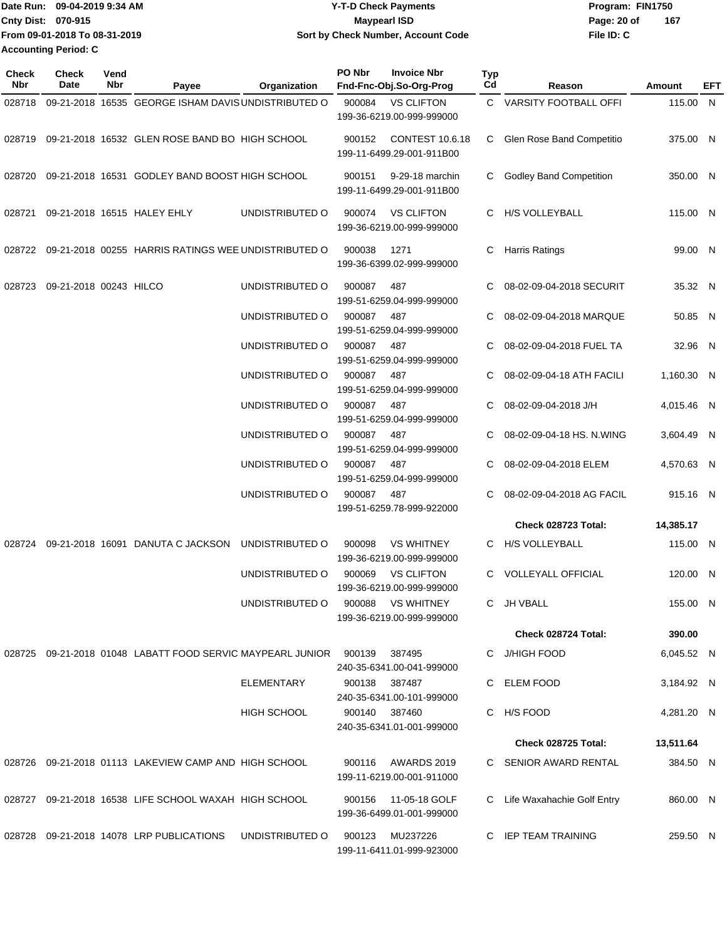|                             | Date Run: 09-04-2019 9:34 AM  | <b>Y-T-D Check Payments</b>        | Program: FIN1750 |     |  |  |
|-----------------------------|-------------------------------|------------------------------------|------------------|-----|--|--|
| <b>Cnty Dist: 070-915</b>   |                               | <b>Mavpearl ISD</b>                | Page: 20 of      | 167 |  |  |
|                             | From 09-01-2018 To 08-31-2019 | Sort by Check Number, Account Code | File ID: C       |     |  |  |
| <b>Accounting Period: C</b> |                               |                                    |                  |     |  |  |

| <b>Check</b><br>Nbr | Check<br>Date          | Vend<br>Nbr | Payee                                                      | Organization    | PO Nbr        | <b>Invoice Nbr</b><br>Fnd-Fnc-Obj.So-Org-Prog       | <b>Typ</b><br>Cd | Reason                         | Amount     | EFT |
|---------------------|------------------------|-------------|------------------------------------------------------------|-----------------|---------------|-----------------------------------------------------|------------------|--------------------------------|------------|-----|
| 028718              |                        |             | 09-21-2018 16535 GEORGE ISHAM DAVIS UNDISTRIBUTED O        |                 | 900084        | <b>VS CLIFTON</b><br>199-36-6219.00-999-999000      |                  | C VARSITY FOOTBALL OFFI        | 115.00 N   |     |
| 028719              |                        |             | 09-21-2018 16532 GLEN ROSE BAND BO HIGH SCHOOL             |                 | 900152        | <b>CONTEST 10.6.18</b><br>199-11-6499.29-001-911B00 | C                | Glen Rose Band Competitio      | 375.00 N   |     |
| 028720              |                        |             | 09-21-2018 16531 GODLEY BAND BOOST HIGH SCHOOL             |                 | 900151        | 9-29-18 marchin<br>199-11-6499.29-001-911B00        | C                | <b>Godley Band Competition</b> | 350.00 N   |     |
| 028721              |                        |             | 09-21-2018 16515 HALEY EHLY                                | UNDISTRIBUTED O | 900074        | <b>VS CLIFTON</b><br>199-36-6219.00-999-999000      | C.               | <b>H/S VOLLEYBALL</b>          | 115.00 N   |     |
| 028722              |                        |             | 09-21-2018 00255 HARRIS RATINGS WEE UNDISTRIBUTED O        |                 | 900038        | 1271<br>199-36-6399.02-999-999000                   | C                | <b>Harris Ratings</b>          | 99.00 N    |     |
| 028723              | 09-21-2018 00243 HILCO |             |                                                            | UNDISTRIBUTED O | 900087        | 487<br>199-51-6259.04-999-999000                    | C                | 08-02-09-04-2018 SECURIT       | 35.32 N    |     |
|                     |                        |             |                                                            | UNDISTRIBUTED O | 900087        | 487<br>199-51-6259.04-999-999000                    |                  | 08-02-09-04-2018 MARQUE        | 50.85 N    |     |
|                     |                        |             |                                                            | UNDISTRIBUTED O | 900087        | 487<br>199-51-6259.04-999-999000                    | C                | 08-02-09-04-2018 FUEL TA       | 32.96 N    |     |
|                     |                        |             |                                                            | UNDISTRIBUTED O | 900087        | 487<br>199-51-6259.04-999-999000                    | C                | 08-02-09-04-18 ATH FACILI      | 1,160.30 N |     |
|                     |                        |             |                                                            | UNDISTRIBUTED O | 900087        | 487<br>199-51-6259.04-999-999000                    |                  | 08-02-09-04-2018 J/H           | 4,015.46 N |     |
|                     |                        |             |                                                            | UNDISTRIBUTED O | 900087        | 487<br>199-51-6259.04-999-999000                    |                  | 08-02-09-04-18 HS. N.WING      | 3,604.49 N |     |
|                     |                        |             |                                                            | UNDISTRIBUTED O | 900087        | 487<br>199-51-6259.04-999-999000                    | C                | 08-02-09-04-2018 ELEM          | 4,570.63 N |     |
|                     |                        |             |                                                            | UNDISTRIBUTED O | 900087        | 487<br>199-51-6259.78-999-922000                    | C                | 08-02-09-04-2018 AG FACIL      | 915.16 N   |     |
|                     |                        |             |                                                            |                 |               |                                                     |                  | Check 028723 Total:            | 14,385.17  |     |
| 028724              |                        |             | 09-21-2018 16091 DANUTA C JACKSON                          | UNDISTRIBUTED O | 900098        | <b>VS WHITNEY</b><br>199-36-6219.00-999-999000      |                  | C H/S VOLLEYBALL               | 115.00 N   |     |
|                     |                        |             |                                                            | UNDISTRIBUTED O | 900069        | <b>VS CLIFTON</b><br>199-36-6219.00-999-999000      | C.               | <b>VOLLEYALL OFFICIAL</b>      | 120.00 N   |     |
|                     |                        |             |                                                            | UNDISTRIBUTED O | 900088        | <b>VS WHITNEY</b><br>199-36-6219.00-999-999000      |                  | C JH VBALL                     | 155.00 N   |     |
|                     |                        |             |                                                            |                 |               |                                                     |                  | Check 028724 Total:            | 390.00     |     |
|                     |                        |             | 028725 09-21-2018 01048 LABATT FOOD SERVIC MAYPEARL JUNIOR |                 | 900139        | 387495<br>240-35-6341.00-041-999000                 |                  | C J/HIGH FOOD                  | 6,045.52 N |     |
|                     |                        |             |                                                            | ELEMENTARY      | 900138        | 387487<br>240-35-6341.00-101-999000                 |                  | C ELEM FOOD                    | 3,184.92 N |     |
|                     |                        |             |                                                            | HIGH SCHOOL     | 900140 387460 | 240-35-6341.01-001-999000                           |                  | C H/S FOOD                     | 4,281.20 N |     |
|                     |                        |             |                                                            |                 |               |                                                     |                  | Check 028725 Total:            | 13,511.64  |     |
|                     |                        |             | 028726 09-21-2018 01113 LAKEVIEW CAMP AND HIGH SCHOOL      |                 |               | 900116 AWARDS 2019<br>199-11-6219.00-001-911000     |                  | C SENIOR AWARD RENTAL          | 384.50 N   |     |
|                     |                        |             | 028727 09-21-2018 16538 LIFE SCHOOL WAXAH HIGH SCHOOL      |                 | 900156        | 11-05-18 GOLF<br>199-36-6499.01-001-999000          |                  | C Life Waxahachie Golf Entry   | 860.00 N   |     |
|                     |                        |             | 028728 09-21-2018 14078 LRP PUBLICATIONS                   | UNDISTRIBUTED O | 900123        | MU237226<br>199-11-6411.01-999-923000               |                  | C IEP TEAM TRAINING            | 259.50 N   |     |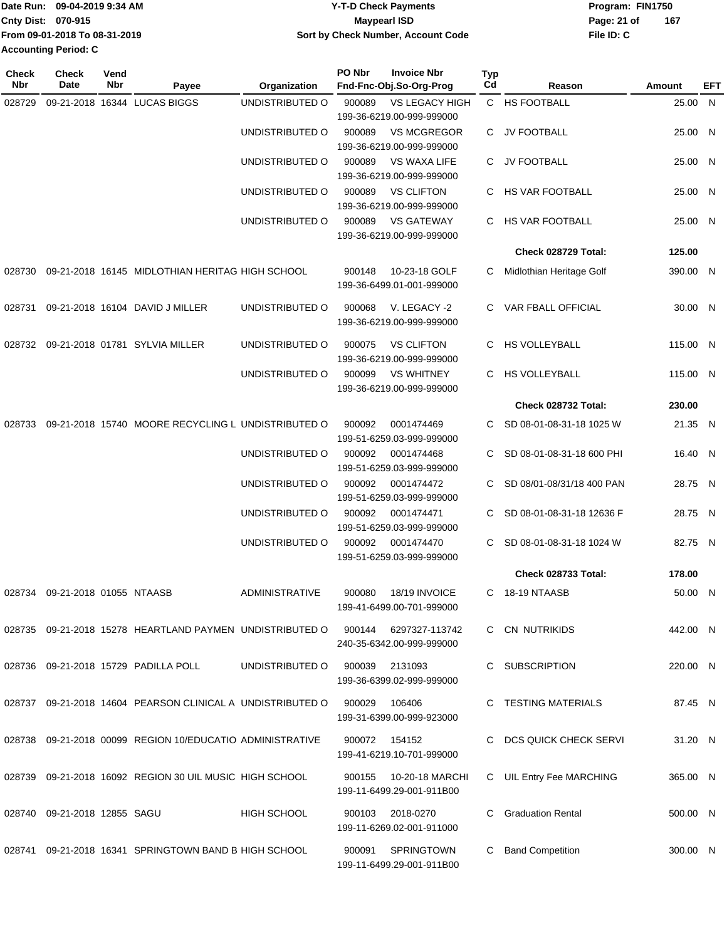|                             | Date Run: 09-04-2019 9:34 AM  | Y-T-D Check Payments               | Program: FIN1750   |
|-----------------------------|-------------------------------|------------------------------------|--------------------|
| <b>Cnty Dist: 070-915</b>   |                               | Maypearl ISD                       | 167<br>Page: 21 of |
|                             | From 09-01-2018 To 08-31-2019 | Sort by Check Number, Account Code | File ID: C         |
| <b>Accounting Period: C</b> |                               |                                    |                    |
|                             |                               |                                    |                    |

| <b>Check</b><br>Nbr | <b>Check</b><br>Date               | Vend<br>Nbr | Payee                                                      | Organization          | PO Nbr | <b>Invoice Nbr</b><br>Fnd-Fnc-Obj.So-Org-Prog  | <b>Typ</b><br>Cd | Reason                    | Amount   | EFT |
|---------------------|------------------------------------|-------------|------------------------------------------------------------|-----------------------|--------|------------------------------------------------|------------------|---------------------------|----------|-----|
| 028729              |                                    |             | 09-21-2018 16344 LUCAS BIGGS                               | UNDISTRIBUTED O       | 900089 | <b>VS LEGACY HIGH</b>                          |                  | C HS FOOTBALL             | 25.00 N  |     |
|                     |                                    |             |                                                            |                       |        | 199-36-6219.00-999-999000                      |                  |                           |          |     |
|                     |                                    |             |                                                            | UNDISTRIBUTED O       | 900089 | <b>VS MCGREGOR</b>                             | C                | JV FOOTBALL               | 25.00 N  |     |
|                     |                                    |             |                                                            |                       |        | 199-36-6219.00-999-999000                      |                  |                           |          |     |
|                     |                                    |             |                                                            | UNDISTRIBUTED O       | 900089 | <b>VS WAXA LIFE</b>                            | C.               | JV FOOTBALL               | 25.00 N  |     |
|                     |                                    |             |                                                            |                       |        | 199-36-6219.00-999-999000                      |                  |                           |          |     |
|                     |                                    |             |                                                            | UNDISTRIBUTED O       | 900089 | <b>VS CLIFTON</b>                              |                  | C HS VAR FOOTBALL         | 25.00 N  |     |
|                     |                                    |             |                                                            |                       |        | 199-36-6219.00-999-999000                      |                  |                           |          |     |
|                     |                                    |             |                                                            | UNDISTRIBUTED O       | 900089 | <b>VS GATEWAY</b>                              | C.               | HS VAR FOOTBALL           | 25.00 N  |     |
|                     |                                    |             |                                                            |                       |        | 199-36-6219.00-999-999000                      |                  |                           |          |     |
|                     |                                    |             |                                                            |                       |        |                                                |                  | Check 028729 Total:       | 125.00   |     |
|                     |                                    |             |                                                            |                       |        |                                                |                  |                           |          |     |
| 028730              |                                    |             | 09-21-2018 16145 MIDLOTHIAN HERITAG HIGH SCHOOL            |                       | 900148 | 10-23-18 GOLF                                  |                  | Midlothian Heritage Golf  | 390.00 N |     |
|                     |                                    |             |                                                            |                       |        | 199-36-6499.01-001-999000                      |                  |                           |          |     |
| 028731              |                                    |             | 09-21-2018 16104 DAVID J MILLER                            | UNDISTRIBUTED O       | 900068 | V. LEGACY -2                                   | C.               | VAR FBALL OFFICIAL        | 30.00 N  |     |
|                     |                                    |             |                                                            |                       |        | 199-36-6219.00-999-999000                      |                  |                           |          |     |
|                     |                                    |             |                                                            |                       |        |                                                |                  |                           |          |     |
| 028732              |                                    |             | 09-21-2018 01781 SYLVIA MILLER                             | UNDISTRIBUTED O       | 900075 | <b>VS CLIFTON</b><br>199-36-6219.00-999-999000 | C.               | <b>HS VOLLEYBALL</b>      | 115.00 N |     |
|                     |                                    |             |                                                            |                       |        |                                                |                  | <b>HS VOLLEYBALL</b>      |          |     |
|                     |                                    |             |                                                            | UNDISTRIBUTED O       | 900099 | <b>VS WHITNEY</b><br>199-36-6219.00-999-999000 | C                |                           | 115.00 N |     |
|                     |                                    |             |                                                            |                       |        |                                                |                  |                           |          |     |
|                     |                                    |             |                                                            |                       |        |                                                |                  | Check 028732 Total:       | 230.00   |     |
|                     |                                    |             | 028733 09-21-2018 15740 MOORE RECYCLING L UNDISTRIBUTED O  |                       | 900092 | 0001474469                                     |                  | SD 08-01-08-31-18 1025 W  | 21.35 N  |     |
|                     |                                    |             |                                                            |                       |        | 199-51-6259.03-999-999000                      |                  |                           |          |     |
|                     |                                    |             |                                                            | UNDISTRIBUTED O       | 900092 | 0001474468                                     | C.               | SD 08-01-08-31-18 600 PHI | 16.40 N  |     |
|                     |                                    |             |                                                            |                       |        | 199-51-6259.03-999-999000                      |                  |                           |          |     |
|                     |                                    |             |                                                            | UNDISTRIBUTED O       | 900092 | 0001474472                                     |                  | SD 08/01-08/31/18 400 PAN | 28.75 N  |     |
|                     |                                    |             |                                                            |                       |        | 199-51-6259.03-999-999000                      |                  |                           |          |     |
|                     |                                    |             |                                                            | UNDISTRIBUTED O       | 900092 | 0001474471                                     | C.               | SD 08-01-08-31-18 12636 F | 28.75 N  |     |
|                     |                                    |             |                                                            |                       |        | 199-51-6259.03-999-999000                      |                  |                           |          |     |
|                     |                                    |             |                                                            | UNDISTRIBUTED O       | 900092 | 0001474470                                     | C.               | SD 08-01-08-31-18 1024 W  | 82.75 N  |     |
|                     |                                    |             |                                                            |                       |        | 199-51-6259.03-999-999000                      |                  |                           |          |     |
|                     |                                    |             |                                                            |                       |        |                                                |                  | Check 028733 Total:       | 178.00   |     |
|                     | 028734 09-21-2018 01055 NTAASB     |             |                                                            | <b>ADMINISTRATIVE</b> | 900080 | 18/19 INVOICE                                  | C.               | 18-19 NTAASB              | 50.00 N  |     |
|                     |                                    |             |                                                            |                       |        | 199-41-6499.00-701-999000                      |                  |                           |          |     |
|                     |                                    |             | 028735 09-21-2018 15278 HEARTLAND PAYMEN UNDISTRIBUTED O   |                       |        | 900144 6297327-113742                          |                  | C CN NUTRIKIDS            | 442.00 N |     |
|                     |                                    |             |                                                            |                       |        | 240-35-6342.00-999-999000                      |                  |                           |          |     |
|                     |                                    |             |                                                            |                       |        |                                                |                  |                           |          |     |
|                     |                                    |             | 028736 09-21-2018 15729 PADILLA POLL                       | UNDISTRIBUTED O       | 900039 | 2131093                                        | C.               | SUBSCRIPTION              | 220.00 N |     |
|                     |                                    |             |                                                            |                       |        | 199-36-6399.02-999-999000                      |                  |                           |          |     |
|                     |                                    |             | 028737 09-21-2018 14604 PEARSON CLINICAL A UNDISTRIBUTED O |                       | 900029 | 106406                                         |                  | C TESTING MATERIALS       | 87.45 N  |     |
|                     |                                    |             |                                                            |                       |        | 199-31-6399.00-999-923000                      |                  |                           |          |     |
|                     |                                    |             |                                                            |                       |        |                                                |                  |                           |          |     |
|                     |                                    |             | 028738 09-21-2018 00099 REGION 10/EDUCATIO ADMINISTRATIVE  |                       | 900072 | 154152                                         |                  | C DCS QUICK CHECK SERVI   | 31.20 N  |     |
|                     |                                    |             |                                                            |                       |        | 199-41-6219.10-701-999000                      |                  |                           |          |     |
|                     |                                    |             | 028739 09-21-2018 16092 REGION 30 UIL MUSIC HIGH SCHOOL    |                       | 900155 | 10-20-18 MARCHI                                | C.               | UIL Entry Fee MARCHING    | 365.00 N |     |
|                     |                                    |             |                                                            |                       |        | 199-11-6499.29-001-911B00                      |                  |                           |          |     |
|                     |                                    |             |                                                            | <b>HIGH SCHOOL</b>    |        | 2018-0270                                      |                  | <b>Graduation Rental</b>  |          |     |
|                     | 028740   09-21-2018   12855   SAGU |             |                                                            |                       | 900103 | 199-11-6269.02-001-911000                      |                  |                           | 500.00 N |     |
|                     |                                    |             |                                                            |                       |        |                                                |                  |                           |          |     |
|                     |                                    |             | 028741 09-21-2018 16341 SPRINGTOWN BAND B HIGH SCHOOL      |                       | 900091 | SPRINGTOWN                                     | C                | <b>Band Competition</b>   | 300.00 N |     |
|                     |                                    |             |                                                            |                       |        | 199-11-6499.29-001-911B00                      |                  |                           |          |     |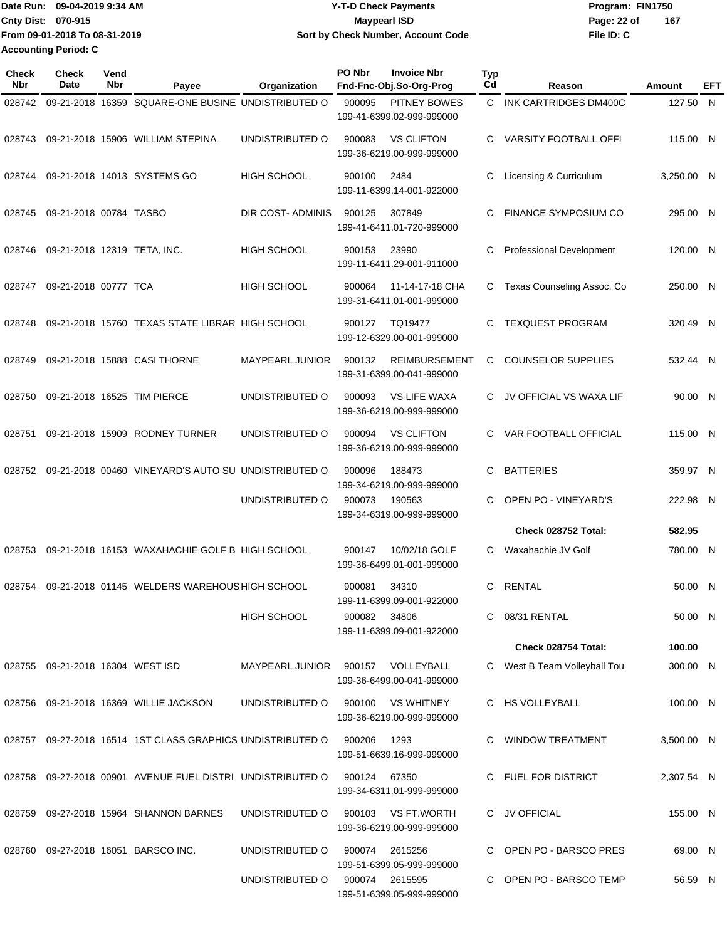|                             | Date Run: 09-04-2019 9:34 AM  | <b>Y-T-D Check Payments</b>        | Program: FIN1750 |     |  |  |  |
|-----------------------------|-------------------------------|------------------------------------|------------------|-----|--|--|--|
| Cnty Dist: 070-915          |                               | Maypearl ISD                       | Page: 22 of      | 167 |  |  |  |
|                             | From 09-01-2018 To 08-31-2019 | Sort by Check Number, Account Code | File ID: C       |     |  |  |  |
| <b>Accounting Period: C</b> |                               |                                    |                  |     |  |  |  |

| Check<br>Nbr | <b>Check</b><br>Date             | Vend<br>Nbr | Payee                                                         | Organization                      | PO Nbr | <b>Invoice Nbr</b><br>Fnd-Fnc-Obj.So-Org-Prog     | <b>Typ</b><br>Cd | Reason                       | Amount     | EFT |
|--------------|----------------------------------|-------------|---------------------------------------------------------------|-----------------------------------|--------|---------------------------------------------------|------------------|------------------------------|------------|-----|
| 028742       |                                  |             | 09-21-2018 16359 SQUARE-ONE BUSINE UNDISTRIBUTED O            |                                   | 900095 | PITNEY BOWES<br>199-41-6399.02-999-999000         | C.               | INK CARTRIDGES DM400C        | 127.50     | N.  |
| 028743       |                                  |             | 09-21-2018 15906 WILLIAM STEPINA                              | UNDISTRIBUTED O                   | 900083 | <b>VS CLIFTON</b><br>199-36-6219.00-999-999000    | C.               | <b>VARSITY FOOTBALL OFFI</b> | 115.00 N   |     |
| 028744       |                                  |             | 09-21-2018 14013 SYSTEMS GO                                   | <b>HIGH SCHOOL</b>                | 900100 | 2484<br>199-11-6399.14-001-922000                 | С                | Licensing & Curriculum       | 3,250.00 N |     |
| 028745       | 09-21-2018 00784 TASBO           |             |                                                               | DIR COST-ADMINIS                  | 900125 | 307849<br>199-41-6411.01-720-999000               | C                | <b>FINANCE SYMPOSIUM CO</b>  | 295.00 N   |     |
| 028746       | 09-21-2018 12319 TETA, INC.      |             |                                                               | <b>HIGH SCHOOL</b>                | 900153 | 23990<br>199-11-6411.29-001-911000                | С                | Professional Development     | 120.00 N   |     |
| 028747       | 09-21-2018 00777 TCA             |             |                                                               | <b>HIGH SCHOOL</b>                | 900064 | 11-14-17-18 CHA<br>199-31-6411.01-001-999000      | C                | Texas Counseling Assoc. Co   | 250.00 N   |     |
| 028748       |                                  |             | 09-21-2018 15760 TEXAS STATE LIBRAR HIGH SCHOOL               |                                   | 900127 | TQ19477<br>199-12-6329.00-001-999000              | C.               | <b>TEXQUEST PROGRAM</b>      | 320.49 N   |     |
| 028749       |                                  |             | 09-21-2018 15888 CASI THORNE                                  | <b>MAYPEARL JUNIOR</b>            | 900132 | <b>REIMBURSEMENT</b><br>199-31-6399.00-041-999000 | C                | <b>COUNSELOR SUPPLIES</b>    | 532.44 N   |     |
| 028750       |                                  |             | 09-21-2018 16525 TIM PIERCE                                   | UNDISTRIBUTED O                   | 900093 | <b>VS LIFE WAXA</b><br>199-36-6219.00-999-999000  | C.               | JV OFFICIAL VS WAXA LIF      | 90.00 N    |     |
| 028751       |                                  |             | 09-21-2018 15909 RODNEY TURNER                                | UNDISTRIBUTED O                   | 900094 | <b>VS CLIFTON</b><br>199-36-6219.00-999-999000    | C.               | VAR FOOTBALL OFFICIAL        | 115.00 N   |     |
| 028752       |                                  |             | 09-21-2018 00460 VINEYARD'S AUTO SU UNDISTRIBUTED O           |                                   | 900096 | 188473<br>199-34-6219.00-999-999000               | C                | <b>BATTERIES</b>             | 359.97 N   |     |
|              |                                  |             |                                                               | UNDISTRIBUTED O                   | 900073 | 190563<br>199-34-6319.00-999-999000               | C                | OPEN PO - VINEYARD'S         | 222.98 N   |     |
|              |                                  |             |                                                               |                                   |        |                                                   |                  | Check 028752 Total:          | 582.95     |     |
| 028753       |                                  |             | 09-21-2018 16153 WAXAHACHIE GOLF B HIGH SCHOOL                |                                   | 900147 | 10/02/18 GOLF<br>199-36-6499.01-001-999000        | C.               | Waxahachie JV Golf           | 780.00 N   |     |
| 028754       |                                  |             | 09-21-2018 01145 WELDERS WAREHOUS HIGH SCHOOL                 |                                   | 900081 | 34310<br>199-11-6399.09-001-922000                | C                | <b>RENTAL</b>                | 50.00 N    |     |
|              |                                  |             |                                                               | <b>HIGH SCHOOL</b>                | 900082 | 34806<br>199-11-6399.09-001-922000                |                  | C 08/31 RENTAL               | 50.00 N    |     |
|              |                                  |             |                                                               |                                   |        |                                                   |                  | Check 028754 Total:          | 100.00     |     |
|              | 028755 09-21-2018 16304 WEST ISD |             |                                                               | MAYPEARL JUNIOR 900157 VOLLEYBALL |        | 199-36-6499.00-041-999000                         |                  | C West B Team Volleyball Tou | 300.00 N   |     |
|              |                                  |             | 028756 09-21-2018 16369 WILLIE JACKSON                        | UNDISTRIBUTED O                   |        | 900100 VS WHITNEY<br>199-36-6219.00-999-999000    |                  | C HS VOLLEYBALL              | 100.00 N   |     |
|              |                                  |             | 028757  09-27-2018  16514  1ST CLASS GRAPHICS UNDISTRIBUTED O |                                   | 900206 | 1293<br>199-51-6639.16-999-999000                 |                  | C WINDOW TREATMENT           | 3,500.00 N |     |
|              |                                  |             | 028758 09-27-2018 00901 AVENUE FUEL DISTRI UNDISTRIBUTED O    |                                   | 900124 | 67350<br>199-34-6311.01-999-999000                |                  | C FUEL FOR DISTRICT          | 2,307.54 N |     |
|              |                                  |             | 028759 09-27-2018 15964 SHANNON BARNES                        | UNDISTRIBUTED O                   |        | 900103 VS FT.WORTH<br>199-36-6219.00-999-999000   |                  | C JV OFFICIAL                | 155.00 N   |     |
|              |                                  |             | 028760 09-27-2018 16051 BARSCO INC.                           | UNDISTRIBUTED O                   | 900074 | 2615256<br>199-51-6399.05-999-999000              |                  | C OPEN PO - BARSCO PRES      | 69.00 N    |     |
|              |                                  |             |                                                               | UNDISTRIBUTED O                   |        | 900074 2615595<br>199-51-6399.05-999-999000       |                  | C OPEN PO - BARSCO TEMP      | 56.59 N    |     |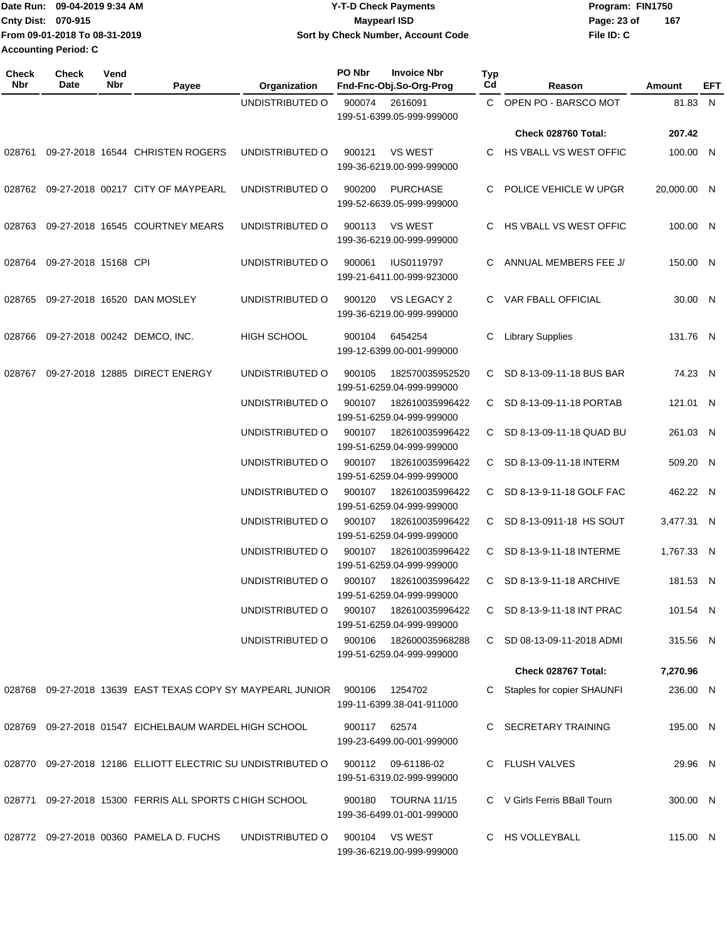Date Run: 09-04-2019 9:34 AM **Date Run:** 09-04-2019 9:34 AM **Cnty Dist:** 070-915 **Page: 23 of** Maypearl ISD **CONTEX 150 Page: 23 of File ID: C From 09-01-2018 To 08-31-2019 09-04-2019 9:34 AM Y-T-D Check Payments 070-915 Maypearl ISD Sort by Check Number, Account Code 167 Accounting Period: C**

| Check<br>Nbr | <b>Check</b><br>Date        | Vend<br>Nbr | Payee                                                       | Organization       | PO Nbr       | <b>Invoice Nbr</b><br>Fnd-Fnc-Obj.So-Org-Prog        | Typ<br>Cd    | Reason                        | Amount      | EFT |
|--------------|-----------------------------|-------------|-------------------------------------------------------------|--------------------|--------------|------------------------------------------------------|--------------|-------------------------------|-------------|-----|
|              |                             |             |                                                             | UNDISTRIBUTED O    | 900074       | 2616091<br>199-51-6399.05-999-999000                 |              | C OPEN PO - BARSCO MOT        | 81.83 N     |     |
|              |                             |             |                                                             |                    |              |                                                      |              | Check 028760 Total:           | 207.42      |     |
| 028761       |                             |             | 09-27-2018 16544 CHRISTEN ROGERS                            | UNDISTRIBUTED O    | 900121       | <b>VS WEST</b><br>199-36-6219.00-999-999000          | C.           | HS VBALL VS WEST OFFIC        | 100.00 N    |     |
|              |                             |             | 028762 09-27-2018 00217 CITY OF MAYPEARL                    | UNDISTRIBUTED O    | 900200       | <b>PURCHASE</b><br>199-52-6639.05-999-999000         | C.           | POLICE VEHICLE W UPGR         | 20,000.00 N |     |
| 028763       |                             |             | 09-27-2018 16545 COURTNEY MEARS                             | UNDISTRIBUTED O    | 900113       | <b>VS WEST</b><br>199-36-6219.00-999-999000          | C.           | <b>HS VBALL VS WEST OFFIC</b> | 100.00 N    |     |
|              | 028764 09-27-2018 15168 CPI |             |                                                             | UNDISTRIBUTED O    | 900061       | <b>IUS0119797</b><br>199-21-6411.00-999-923000       | C.           | ANNUAL MEMBERS FEE J/         | 150.00 N    |     |
| 028765       |                             |             | 09-27-2018 16520 DAN MOSLEY                                 | UNDISTRIBUTED O    | 900120       | VS LEGACY 2<br>199-36-6219.00-999-999000             |              | C VAR FBALL OFFICIAL          | 30.00 N     |     |
| 028766       |                             |             | 09-27-2018 00242 DEMCO, INC.                                | <b>HIGH SCHOOL</b> | 900104       | 6454254<br>199-12-6399.00-001-999000                 | C            | <b>Library Supplies</b>       | 131.76 N    |     |
| 028767       |                             |             | 09-27-2018 12885 DIRECT ENERGY                              | UNDISTRIBUTED O    | 900105       | 182570035952520<br>199-51-6259.04-999-999000         |              | C SD 8-13-09-11-18 BUS BAR    | 74.23 N     |     |
|              |                             |             |                                                             | UNDISTRIBUTED O    | 900107       | 182610035996422<br>199-51-6259.04-999-999000         |              | C SD 8-13-09-11-18 PORTAB     | 121.01 N    |     |
|              |                             |             |                                                             | UNDISTRIBUTED O    | 900107       | 182610035996422<br>199-51-6259.04-999-999000         |              | C SD 8-13-09-11-18 QUAD BU    | 261.03 N    |     |
|              |                             |             |                                                             | UNDISTRIBUTED O    | 900107       | 182610035996422<br>199-51-6259.04-999-999000         |              | C SD 8-13-09-11-18 INTERM     | 509.20 N    |     |
|              |                             |             |                                                             | UNDISTRIBUTED O    | 900107       | 182610035996422<br>199-51-6259.04-999-999000         |              | C SD 8-13-9-11-18 GOLF FAC    | 462.22 N    |     |
|              |                             |             |                                                             | UNDISTRIBUTED O    | 900107       | 182610035996422<br>199-51-6259.04-999-999000         |              | C SD 8-13-0911-18 HS SOUT     | 3,477.31 N  |     |
|              |                             |             |                                                             | UNDISTRIBUTED O    | 900107       | 182610035996422<br>199-51-6259.04-999-999000         |              | C SD 8-13-9-11-18 INTERME     | 1,767.33 N  |     |
|              |                             |             |                                                             | UNDISTRIBUTED O    | 900107       | 182610035996422<br>199-51-6259.04-999-999000         | $\mathbf{C}$ | SD 8-13-9-11-18 ARCHIVE       | 181.53 N    |     |
|              |                             |             |                                                             | UNDISTRIBUTED O    | 900107       | 182610035996422<br>199-51-6259.04-999-999000         |              | C SD 8-13-9-11-18 INT PRAC    | 101.54 N    |     |
|              |                             |             |                                                             | UNDISTRIBUTED O    |              | 900106  182600035968288<br>199-51-6259.04-999-999000 |              | C SD 08-13-09-11-2018 ADMI    | 315.56 N    |     |
|              |                             |             |                                                             |                    |              |                                                      |              | Check 028767 Total:           | 7,270.96    |     |
|              |                             |             | 028768 09-27-2018 13639 EAST TEXAS COPY SY MAYPEARL JUNIOR  |                    | 900106       | 1254702<br>199-11-6399.38-041-911000                 |              | C Staples for copier SHAUNFI  | 236.00 N    |     |
|              |                             |             | 028769 09-27-2018 01547 EICHELBAUM WARDEL HIGH SCHOOL       |                    | 900117 62574 | 199-23-6499.00-001-999000                            |              | C SECRETARY TRAINING          | 195.00 N    |     |
|              |                             |             | 028770 09-27-2018 12186 ELLIOTT ELECTRIC SU UNDISTRIBUTED O |                    |              | 900112 09-61186-02<br>199-51-6319.02-999-999000      |              | C FLUSH VALVES                | 29.96 N     |     |
| 028771       |                             |             | 09-27-2018 15300 FERRIS ALL SPORTS CHIGH SCHOOL             |                    | 900180       | TOURNA 11/15<br>199-36-6499.01-001-999000            |              | C V Girls Ferris BBall Tourn  | 300.00 N    |     |
|              |                             |             | 028772 09-27-2018 00360 PAMELA D. FUCHS                     | UNDISTRIBUTED O    | 900104       | VS WEST<br>199-36-6219.00-999-999000                 |              | C HS VOLLEYBALL               | 115.00 N    |     |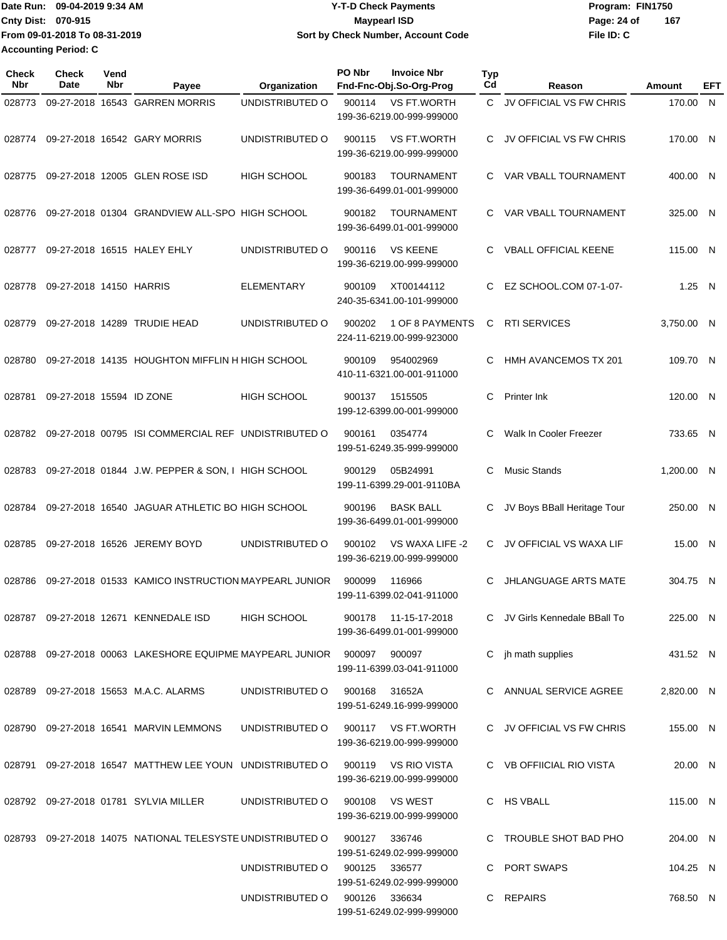Date Run: 09-04-2019 9:34 AM **Date Run:** 09-04-2019 9:34 AM **Cnty Dist:** 070-915 **Page: 24 of** Maypearl ISD Maypearl ISD **File ID: C From 09-01-2018 To 08-31-2019 09-04-2019 9:34 AM Y-T-D Check Payments 070-915 Maypearl ISD Sort by Check Number, Account Code 167 Accounting Period: C**

| Check<br><b>Nbr</b> | Check<br>Date            | Vend<br>Nbr | Payee                                                                   | Organization                  | PO Nbr        | <b>Invoice Nbr</b><br>Fnd-Fnc-Obj.So-Org-Prog     | <b>Typ</b><br>Cd | Reason                        | Amount     | EFT          |
|---------------------|--------------------------|-------------|-------------------------------------------------------------------------|-------------------------------|---------------|---------------------------------------------------|------------------|-------------------------------|------------|--------------|
| 028773              |                          |             | 09-27-2018 16543 GARREN MORRIS                                          | UNDISTRIBUTED O               | 900114        | VS FT.WORTH<br>199-36-6219.00-999-999000          | C.               | JV OFFICIAL VS FW CHRIS       | 170.00     | $\mathsf{N}$ |
| 028774              |                          |             | 09-27-2018 16542 GARY MORRIS                                            | UNDISTRIBUTED O               | 900115        | <b>VS FT.WORTH</b><br>199-36-6219.00-999-999000   | C                | JV OFFICIAL VS FW CHRIS       | 170.00 N   |              |
| 028775              |                          |             | 09-27-2018 12005 GLEN ROSE ISD                                          | <b>HIGH SCHOOL</b>            | 900183        | <b>TOURNAMENT</b><br>199-36-6499.01-001-999000    | C                | VAR VBALL TOURNAMENT          | 400.00 N   |              |
| 028776              |                          |             | 09-27-2018 01304 GRANDVIEW ALL-SPO HIGH SCHOOL                          |                               | 900182        | <b>TOURNAMENT</b><br>199-36-6499.01-001-999000    | C.               | VAR VBALL TOURNAMENT          | 325.00 N   |              |
| 028777              |                          |             | 09-27-2018 16515 HALEY EHLY                                             | UNDISTRIBUTED O               | 900116        | <b>VS KEENE</b><br>199-36-6219.00-999-999000      | C                | <b>VBALL OFFICIAL KEENE</b>   | 115.00 N   |              |
| 028778              | 09-27-2018 14150 HARRIS  |             |                                                                         | ELEMENTARY                    | 900109        | XT00144112<br>240-35-6341.00-101-999000           | C                | EZ SCHOOL.COM 07-1-07-        | 1.25 N     |              |
| 028779              |                          |             | 09-27-2018 14289 TRUDIE HEAD                                            | UNDISTRIBUTED O               | 900202        | 1 OF 8 PAYMENTS<br>224-11-6219.00-999-923000      | C                | <b>RTI SERVICES</b>           | 3,750.00 N |              |
| 028780              |                          |             | 09-27-2018 14135 HOUGHTON MIFFLIN H HIGH SCHOOL                         |                               | 900109        | 954002969<br>410-11-6321.00-001-911000            | C                | <b>HMH AVANCEMOS TX 201</b>   | 109.70 N   |              |
| 028781              | 09-27-2018 15594 ID ZONE |             |                                                                         | <b>HIGH SCHOOL</b>            | 900137        | 1515505<br>199-12-6399.00-001-999000              | C                | Printer Ink                   | 120.00 N   |              |
| 028782              |                          |             | 09-27-2018 00795 ISI COMMERCIAL REF UNDISTRIBUTED O                     |                               | 900161        | 0354774<br>199-51-6249.35-999-999000              | C                | Walk In Cooler Freezer        | 733.65 N   |              |
| 028783              |                          |             | 09-27-2018 01844 J.W. PEPPER & SON, I HIGH SCHOOL                       |                               | 900129        | 05B24991<br>199-11-6399.29-001-9110BA             | C                | <b>Music Stands</b>           | 1,200.00 N |              |
| 028784              |                          |             | 09-27-2018 16540 JAGUAR ATHLETIC BO HIGH SCHOOL                         |                               | 900196        | <b>BASK BALL</b><br>199-36-6499.01-001-999000     | C                | JV Boys BBall Heritage Tour   | 250.00 N   |              |
| 028785              |                          |             | 09-27-2018 16526 JEREMY BOYD                                            | UNDISTRIBUTED O               | 900102        | VS WAXA LIFE -2<br>199-36-6219.00-999-999000      | C.               | JV OFFICIAL VS WAXA LIF       | 15.00 N    |              |
| 028786              |                          |             | 09-27-2018 01533 KAMICO INSTRUCTION MAYPEARL JUNIOR                     |                               | 900099        | 116966<br>199-11-6399.02-041-911000               | C                | <b>JHLANGUAGE ARTS MATE</b>   | 304.75 N   |              |
|                     |                          |             | 028787 09-27-2018 12671 KENNEDALE ISD                                   | <b>HIGH SCHOOL</b>            |               | 900178 11-15-17-2018<br>199-36-6499.01-001-999000 |                  | C JV Girls Kennedale BBall To | 225.00 N   |              |
|                     |                          |             | 028788  09-27-2018  00063  LAKESHORE  EQUIPME  MAYPEARL  JUNIOR  900097 |                               |               | 900097<br>199-11-6399.03-041-911000               |                  | C jh math supplies            | 431.52 N   |              |
|                     |                          |             | 028789 09-27-2018 15653 M.A.C. ALARMS                                   | UNDISTRIBUTED O               | 900168 31652A | 199-51-6249.16-999-999000                         |                  | C ANNUAL SERVICE AGREE        | 2,820.00 N |              |
|                     |                          |             | 028790 09-27-2018 16541 MARVIN LEMMONS                                  | UNDISTRIBUTED O               |               | 900117 VS FT.WORTH<br>199-36-6219.00-999-999000   |                  | C JV OFFICIAL VS FW CHRIS     | 155.00 N   |              |
|                     |                          |             | 028791 09-27-2018 16547 MATTHEW LEE YOUN UNDISTRIBUTED O                |                               |               | 900119 VS RIO VISTA<br>199-36-6219.00-999-999000  |                  | C VB OFFIICIAL RIO VISTA      | 20.00 N    |              |
|                     |                          |             | 028792 09-27-2018 01781 SYLVIA MILLER                                   | UNDISTRIBUTED O               |               | 900108 VS WEST<br>199-36-6219.00-999-999000       |                  | C HS VBALL                    | 115.00 N   |              |
|                     |                          |             | 028793 09-27-2018 14075 NATIONAL TELESYSTE UNDISTRIBUTED O              |                               | 900127        | 336746<br>199-51-6249.02-999-999000               |                  | C TROUBLE SHOT BAD PHO        | 204.00 N   |              |
|                     |                          |             |                                                                         | UNDISTRIBUTED O               | 900125        | 336577<br>199-51-6249.02-999-999000               |                  | C PORT SWAPS                  | 104.25 N   |              |
|                     |                          |             |                                                                         | UNDISTRIBUTED O 900126 336634 |               | 199-51-6249.02-999-999000                         |                  | C REPAIRS                     | 768.50 N   |              |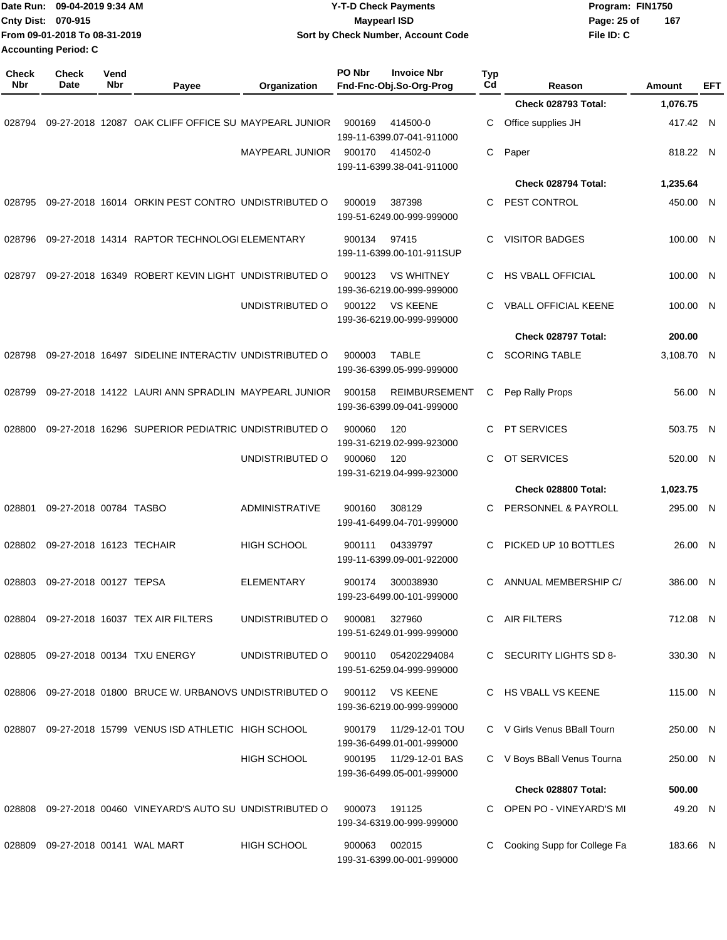|                     | Date Run: 09-04-2019 9:34 AM<br>Cnty Dist: 070-915<br>From 09-01-2018 To 08-31-2019<br><b>Accounting Period: C</b> |             |                                                            | <b>Y-T-D Check Payments</b><br><b>Maypearl ISD</b><br>Sort by Check Number, Account Code |                                                             |           | Program: FIN1750<br>Page: 25 of<br>167<br>File ID: C |  |            |     |
|---------------------|--------------------------------------------------------------------------------------------------------------------|-------------|------------------------------------------------------------|------------------------------------------------------------------------------------------|-------------------------------------------------------------|-----------|------------------------------------------------------|--|------------|-----|
| <b>Check</b><br>Nbr | <b>Check</b><br>Date                                                                                               | Vend<br>Nbr | Payee                                                      | Organization                                                                             | PO Nbr<br><b>Invoice Nbr</b><br>Fnd-Fnc-Obj.So-Org-Prog     | Typ<br>Cd | Reason                                               |  | Amount     | EFT |
|                     |                                                                                                                    |             |                                                            |                                                                                          |                                                             |           | Check 028793 Total:                                  |  | 1,076.75   |     |
| 028794              |                                                                                                                    |             | 09-27-2018 12087 OAK CLIFF OFFICE SU MAYPEARL JUNIOR       |                                                                                          | 900169<br>414500-0<br>199-11-6399.07-041-911000             | С         | Office supplies JH                                   |  | 417.42 N   |     |
|                     |                                                                                                                    |             |                                                            | MAYPEARL JUNIOR                                                                          | 900170<br>414502-0<br>199-11-6399.38-041-911000             | C         | Paper                                                |  | 818.22 N   |     |
|                     |                                                                                                                    |             |                                                            |                                                                                          |                                                             |           | Check 028794 Total:                                  |  | 1,235.64   |     |
| 028795              |                                                                                                                    |             | 09-27-2018 16014 ORKIN PEST CONTRO UNDISTRIBUTED O         |                                                                                          | 900019<br>387398<br>199-51-6249.00-999-999000               | C         | PEST CONTROL                                         |  | 450.00 N   |     |
| 028796              |                                                                                                                    |             | 09-27-2018 14314 RAPTOR TECHNOLOGI ELEMENTARY              |                                                                                          | 97415<br>900134<br>199-11-6399.00-101-911SUP                | C         | <b>VISITOR BADGES</b>                                |  | 100.00 N   |     |
| 028797              |                                                                                                                    |             | 09-27-2018 16349 ROBERT KEVIN LIGHT UNDISTRIBUTED O        |                                                                                          | <b>VS WHITNEY</b><br>900123<br>199-36-6219.00-999-999000    | С         | HS VBALL OFFICIAL                                    |  | 100.00     | - N |
|                     |                                                                                                                    |             |                                                            | UNDISTRIBUTED O                                                                          | 900122<br><b>VS KEENE</b><br>199-36-6219.00-999-999000      | C         | <b>VBALL OFFICIAL KEENE</b>                          |  | 100.00 N   |     |
|                     |                                                                                                                    |             |                                                            |                                                                                          |                                                             |           | Check 028797 Total:                                  |  | 200.00     |     |
| 028798              |                                                                                                                    |             | 09-27-2018 16497 SIDELINE INTERACTIV UNDISTRIBUTED O       |                                                                                          | 900003<br><b>TABLE</b><br>199-36-6399.05-999-999000         | C         | <b>SCORING TABLE</b>                                 |  | 3,108.70 N |     |
| 028799              |                                                                                                                    |             | 09-27-2018 14122 LAURI ANN SPRADLIN MAYPEARL JUNIOR        |                                                                                          | 900158<br><b>REIMBURSEMENT</b><br>199-36-6399.09-041-999000 | С         | Pep Rally Props                                      |  | 56.00 N    |     |
| 028800              |                                                                                                                    |             | 09-27-2018 16296 SUPERIOR PEDIATRIC UNDISTRIBUTED O        |                                                                                          | 900060<br>120<br>199-31-6219.02-999-923000                  | C         | <b>PT SERVICES</b>                                   |  | 503.75 N   |     |
|                     |                                                                                                                    |             |                                                            | UNDISTRIBUTED O                                                                          | 900060<br>120<br>199-31-6219.04-999-923000                  | C         | OT SERVICES                                          |  | 520.00 N   |     |
|                     |                                                                                                                    |             |                                                            |                                                                                          |                                                             |           | Check 028800 Total:                                  |  | 1,023.75   |     |
| 028801              | 09-27-2018 00784 TASBO                                                                                             |             |                                                            | ADMINISTRATIVE                                                                           | 900160<br>308129<br>199-41-6499.04-701-999000               | C         | PERSONNEL & PAYROLL                                  |  | 295.00 N   |     |
|                     | 028802 09-27-2018 16123 TECHAIR                                                                                    |             |                                                            | HIGH SCHOOL                                                                              | 900111<br>04339797<br>199-11-6399.09-001-922000             |           | PICKED UP 10 BOTTLES                                 |  | 26.00 N    |     |
|                     | 028803 09-27-2018 00127 TEPSA                                                                                      |             |                                                            | <b>ELEMENTARY</b>                                                                        | 300038930<br>900174<br>199-23-6499.00-101-999000            | C         | ANNUAL MEMBERSHIP C/                                 |  | 386.00 N   |     |
|                     |                                                                                                                    |             | 028804 09-27-2018 16037 TEX AIR FILTERS                    | UNDISTRIBUTED O                                                                          | 327960<br>900081<br>199-51-6249.01-999-999000               | C         | AIR FILTERS                                          |  | 712.08 N   |     |
|                     |                                                                                                                    |             | 028805 09-27-2018 00134 TXU ENERGY                         | UNDISTRIBUTED O                                                                          | 900110<br>054202294084<br>199-51-6259.04-999-999000         |           | C SECURITY LIGHTS SD 8-                              |  | 330.30 N   |     |
|                     |                                                                                                                    |             | 028806 09-27-2018 01800 BRUCE W. URBANOVS UNDISTRIBUTED O  |                                                                                          | VS KEENE<br>900112<br>199-36-6219.00-999-999000             |           | C HS VBALL VS KEENE                                  |  | 115.00 N   |     |
|                     |                                                                                                                    |             | 028807 09-27-2018 15799 VENUS ISD ATHLETIC HIGH SCHOOL     |                                                                                          | 11/29-12-01 TOU<br>900179<br>199-36-6499.01-001-999000      |           | C V Girls Venus BBall Tourn                          |  | 250.00 N   |     |
|                     |                                                                                                                    |             |                                                            | <b>HIGH SCHOOL</b>                                                                       | 900195<br>11/29-12-01 BAS<br>199-36-6499.05-001-999000      |           | C V Boys BBall Venus Tourna                          |  | 250.00 N   |     |
|                     |                                                                                                                    |             |                                                            |                                                                                          |                                                             |           | Check 028807 Total:                                  |  | 500.00     |     |
|                     |                                                                                                                    |             | 028808 09-27-2018 00460 VINEYARD'S AUTO SU UNDISTRIBUTED O |                                                                                          | 900073<br>191125<br>199-34-6319.00-999-999000               |           | OPEN PO - VINEYARD'S MI                              |  | 49.20 N    |     |
|                     |                                                                                                                    |             | 028809 09-27-2018 00141 WAL MART                           | HIGH SCHOOL                                                                              | 002015<br>900063<br>199-31-6399.00-001-999000               | С         | Cooking Supp for College Fa                          |  | 183.66 N   |     |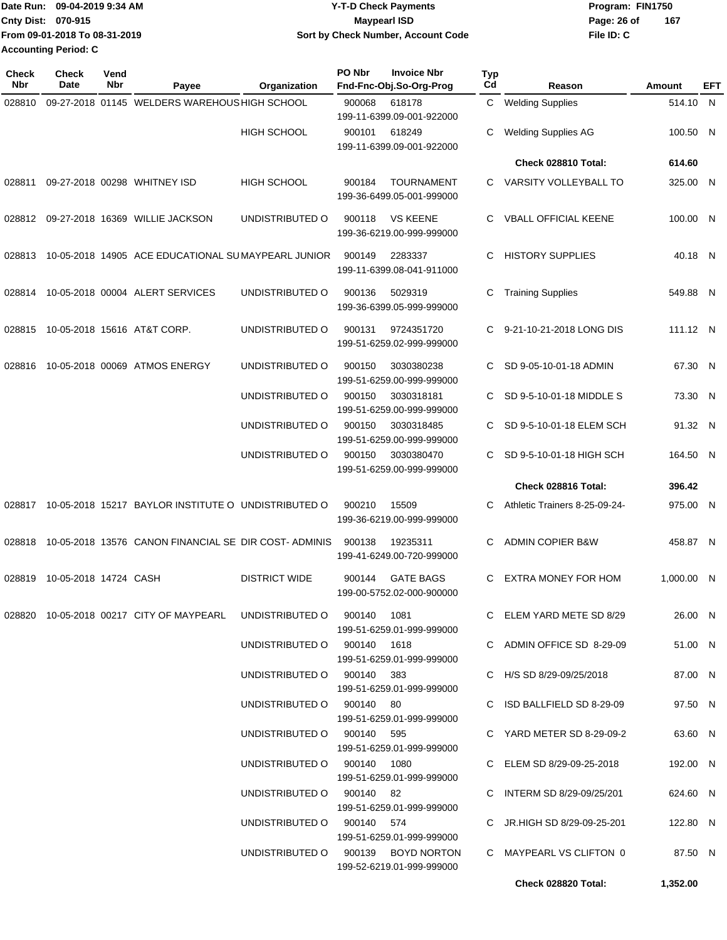|                             | Date Run: 09-04-2019 9:34 AM  | <b>Y-T-D Check Payments</b>        | Program: FIN1750   |  |  |  |
|-----------------------------|-------------------------------|------------------------------------|--------------------|--|--|--|
| <b>Cnty Dist: 070-915</b>   |                               | <b>Mavpearl ISD</b>                | 167<br>Page: 26 of |  |  |  |
|                             | From 09-01-2018 To 08-31-2019 | Sort by Check Number, Account Code | File ID: C         |  |  |  |
| <b>Accounting Period: C</b> |                               |                                    |                    |  |  |  |

| <b>Check</b><br>Nbr | <b>Check</b><br>Date  | Vend<br><b>Nbr</b> | Payee                                                                | Organization                                             | PO Nbr | <b>Invoice Nbr</b><br>Fnd-Fnc-Obj.So-Org-Prog  | <b>Typ</b><br>Cd | Reason                                                  | Amount               | EFT |
|---------------------|-----------------------|--------------------|----------------------------------------------------------------------|----------------------------------------------------------|--------|------------------------------------------------|------------------|---------------------------------------------------------|----------------------|-----|
| 028810              |                       |                    | 09-27-2018 01145 WELDERS WAREHOUS HIGH SCHOOL                        |                                                          | 900068 | 618178<br>199-11-6399.09-001-922000            | C.               | <b>Welding Supplies</b>                                 | 514.10 N             |     |
|                     |                       |                    |                                                                      | <b>HIGH SCHOOL</b>                                       | 900101 | 618249<br>199-11-6399.09-001-922000            | С                | <b>Welding Supplies AG</b>                              | 100.50 N             |     |
|                     |                       |                    |                                                                      |                                                          |        |                                                |                  | Check 028810 Total:                                     | 614.60               |     |
| 028811              |                       |                    | 09-27-2018 00298 WHITNEY ISD                                         | <b>HIGH SCHOOL</b>                                       | 900184 | <b>TOURNAMENT</b><br>199-36-6499.05-001-999000 |                  | C VARSITY VOLLEYBALL TO                                 | 325.00 N             |     |
|                     |                       |                    | 028812 09-27-2018 16369 WILLIE JACKSON                               | UNDISTRIBUTED O                                          | 900118 | <b>VS KEENE</b><br>199-36-6219.00-999-999000   | C.               | <b>VBALL OFFICIAL KEENE</b>                             | 100.00 N             |     |
| 028813              |                       |                    | 10-05-2018 14905 ACE EDUCATIONAL SUMAYPEARL JUNIOR                   |                                                          | 900149 | 2283337<br>199-11-6399.08-041-911000           | C.               | <b>HISTORY SUPPLIES</b>                                 | 40.18 N              |     |
| 028814              |                       |                    | 10-05-2018 00004 ALERT SERVICES                                      | UNDISTRIBUTED O                                          | 900136 | 5029319<br>199-36-6399.05-999-999000           | С                | <b>Training Supplies</b>                                | 549.88 N             |     |
| 028815              |                       |                    | 10-05-2018 15616 AT&T CORP.                                          | UNDISTRIBUTED O                                          | 900131 | 9724351720<br>199-51-6259.02-999-999000        | C.               | 9-21-10-21-2018 LONG DIS                                | 111.12 N             |     |
| 028816              |                       |                    | 10-05-2018 00069 ATMOS ENERGY                                        | UNDISTRIBUTED O                                          | 900150 | 3030380238<br>199-51-6259.00-999-999000        | C.               | SD 9-05-10-01-18 ADMIN                                  | 67.30 N              |     |
|                     |                       |                    |                                                                      | UNDISTRIBUTED O                                          | 900150 | 3030318181<br>199-51-6259.00-999-999000        | C.               | SD 9-5-10-01-18 MIDDLE S                                | 73.30 N              |     |
|                     |                       |                    |                                                                      | UNDISTRIBUTED O                                          | 900150 | 3030318485<br>199-51-6259.00-999-999000        | C.               | SD 9-5-10-01-18 ELEM SCH                                | 91.32 N              |     |
|                     |                       |                    |                                                                      | UNDISTRIBUTED O                                          | 900150 | 3030380470<br>199-51-6259.00-999-999000        | C.               | SD 9-5-10-01-18 HIGH SCH                                | 164.50 N             |     |
|                     |                       |                    |                                                                      |                                                          |        |                                                |                  | Check 028816 Total:                                     | 396.42               |     |
| 028817              |                       |                    | 10-05-2018 15217 BAYLOR INSTITUTE O UNDISTRIBUTED O                  |                                                          | 900210 | 15509<br>199-36-6219.00-999-999000             | C.               | Athletic Trainers 8-25-09-24-                           | 975.00 N             |     |
| 028818              |                       |                    | 10-05-2018 13576 CANON FINANCIAL SE DIR COST-ADMINIS                 |                                                          | 900138 | 19235311<br>199-41-6249.00-720-999000          | C                | <b>ADMIN COPIER B&amp;W</b>                             | 458.87 N             |     |
| 028819              | 10-05-2018 14724 CASH |                    |                                                                      | <b>DISTRICT WIDE</b>                                     | 900144 | <b>GATE BAGS</b><br>199-00-5752.02-000-900000  | C.               | <b>EXTRA MONEY FOR HOM</b>                              | 1,000.00 N           |     |
|                     |                       |                    | 028820 10-05-2018 00217 CITY OF MAYPEARL UNDISTRIBUTED O 900140 1081 |                                                          |        | 199-51-6259.01-999-999000                      |                  | C ELEM YARD METE SD 8/29                                | 26.00 N              |     |
|                     |                       |                    |                                                                      | UNDISTRIBUTED O 900140 1618                              |        | 199-51-6259.01-999-999000                      |                  | C ADMIN OFFICE SD 8-29-09                               | 51.00 N              |     |
|                     |                       |                    |                                                                      | UNDISTRIBUTED O 900140 383                               |        | 199-51-6259.01-999-999000                      |                  | C H/S SD 8/29-09/25/2018                                | 87.00 N              |     |
|                     |                       |                    |                                                                      | UNDISTRIBUTED O 900140 80                                |        | 199-51-6259.01-999-999000                      |                  | C ISD BALLFIELD SD 8-29-09                              | 97.50 N              |     |
|                     |                       |                    |                                                                      | UNDISTRIBUTED O 900140 595                               |        | 199-51-6259.01-999-999000                      |                  | C YARD METER SD 8-29-09-2                               | 63.60 N              |     |
|                     |                       |                    |                                                                      | UNDISTRIBUTED O 900140 1080<br>UNDISTRIBUTED O 900140 82 |        | 199-51-6259.01-999-999000                      |                  | C ELEM SD 8/29-09-25-2018<br>C INTERM SD 8/29-09/25/201 | 192.00 N<br>624.60 N |     |
|                     |                       |                    |                                                                      | UNDISTRIBUTED O 900140 574                               |        | 199-51-6259.01-999-999000                      |                  | C JR.HIGH SD 8/29-09-25-201                             | 122.80 N             |     |
|                     |                       |                    |                                                                      | UNDISTRIBUTED O 900139 BOYD NORTON                       |        | 199-51-6259.01-999-999000                      |                  | C MAYPEARL VS CLIFTON 0                                 | 87.50 N              |     |
|                     |                       |                    |                                                                      |                                                          |        | 199-52-6219.01-999-999000                      |                  | Check 028820 Total:                                     | 1,352.00             |     |
|                     |                       |                    |                                                                      |                                                          |        |                                                |                  |                                                         |                      |     |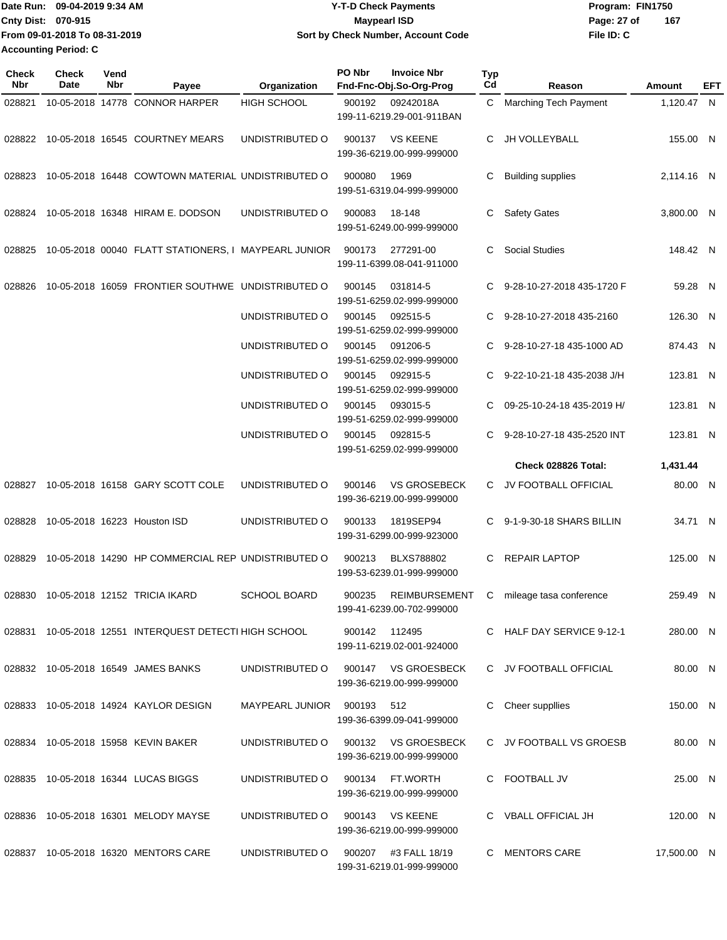Date Run: 09-04-2019 9:34 AM **Date Run:** 09-04-2019 9:34 AM **Program:** FIN1750 **Cnty Dist:** 070-915 **Page: 27 of** Maypearl ISD **CONTEX 150 Page: 27 of File ID: C From 09-01-2018 To 08-31-2019 09-04-2019 9:34 AM Y-T-D Check Payments 070-915 Maypearl ISD Sort by Check Number, Account Code 167 Accounting Period: C**

| Check<br>Nbr | <b>Check</b><br>Date | Vend<br>Nbr | Payee                                                  | Organization                        | PO Nbr        | <b>Invoice Nbr</b><br>Fnd-Fnc-Obj.So-Org-Prog     | <b>Typ</b><br>Cd | Reason                       | Amount      | EFT |
|--------------|----------------------|-------------|--------------------------------------------------------|-------------------------------------|---------------|---------------------------------------------------|------------------|------------------------------|-------------|-----|
| 028821       |                      |             | 10-05-2018 14778 CONNOR HARPER                         | <b>HIGH SCHOOL</b>                  | 900192        | 09242018A<br>199-11-6219.29-001-911BAN            | C.               | <b>Marching Tech Payment</b> | 1,120.47 N  |     |
| 028822       |                      |             | 10-05-2018 16545 COURTNEY MEARS                        | UNDISTRIBUTED O                     | 900137        | <b>VS KEENE</b><br>199-36-6219.00-999-999000      | С                | JH VOLLEYBALL                | 155.00 N    |     |
| 028823       |                      |             | 10-05-2018 16448 COWTOWN MATERIAL UNDISTRIBUTED O      |                                     | 900080        | 1969<br>199-51-6319.04-999-999000                 | С                | <b>Building supplies</b>     | 2,114.16 N  |     |
| 028824       |                      |             | 10-05-2018 16348 HIRAM E. DODSON                       | UNDISTRIBUTED O                     | 900083        | 18-148<br>199-51-6249.00-999-999000               | С                | <b>Safety Gates</b>          | 3,800.00 N  |     |
| 028825       |                      |             | 10-05-2018 00040 FLATT STATIONERS, I MAYPEARL JUNIOR   |                                     | 900173        | 277291-00<br>199-11-6399.08-041-911000            | С                | <b>Social Studies</b>        | 148.42 N    |     |
| 028826       |                      |             | 10-05-2018 16059 FRONTIER SOUTHWE UNDISTRIBUTED O      |                                     | 900145        | 031814-5<br>199-51-6259.02-999-999000             | C.               | 9-28-10-27-2018 435-1720 F   | 59.28 N     |     |
|              |                      |             |                                                        | UNDISTRIBUTED O                     | 900145        | 092515-5<br>199-51-6259.02-999-999000             | C.               | 9-28-10-27-2018 435-2160     | 126.30 N    |     |
|              |                      |             |                                                        | UNDISTRIBUTED O                     | 900145        | 091206-5<br>199-51-6259.02-999-999000             | C                | 9-28-10-27-18 435-1000 AD    | 874.43 N    |     |
|              |                      |             |                                                        | UNDISTRIBUTED O                     | 900145        | 092915-5<br>199-51-6259.02-999-999000             | C                | 9-22-10-21-18 435-2038 J/H   | 123.81 N    |     |
|              |                      |             |                                                        | UNDISTRIBUTED O                     | 900145        | 093015-5<br>199-51-6259.02-999-999000             | С                | 09-25-10-24-18 435-2019 H/   | 123.81 N    |     |
|              |                      |             |                                                        | UNDISTRIBUTED O                     | 900145        | 092815-5<br>199-51-6259.02-999-999000             | С                | 9-28-10-27-18 435-2520 INT   | 123.81 N    |     |
|              |                      |             |                                                        |                                     |               |                                                   |                  | Check 028826 Total:          | 1,431.44    |     |
| 028827       |                      |             | 10-05-2018 16158 GARY SCOTT COLE                       | UNDISTRIBUTED O                     | 900146        | <b>VS GROSEBECK</b><br>199-36-6219.00-999-999000  | C.               | JV FOOTBALL OFFICIAL         | 80.00 N     |     |
| 028828       |                      |             | 10-05-2018 16223 Houston ISD                           | UNDISTRIBUTED O                     | 900133        | 1819SEP94<br>199-31-6299.00-999-923000            | C.               | 9-1-9-30-18 SHARS BILLIN     | 34.71 N     |     |
| 028829       |                      |             | 10-05-2018 14290 HP COMMERCIAL REP UNDISTRIBUTED O     |                                     | 900213        | <b>BLXS788802</b><br>199-53-6239.01-999-999000    | C                | <b>REPAIR LAPTOP</b>         | 125.00 N    |     |
| 028830       |                      |             | 10-05-2018 12152 TRICIA IKARD                          | <b>SCHOOL BOARD</b>                 | 900235        | REIMBURSEMENT<br>199-41-6239.00-702-999000        | C.               | mileage tasa conference      | 259.49 N    |     |
|              |                      |             | 028831 10-05-2018 12551 INTERQUEST DETECTI HIGH SCHOOL |                                     | 900142 112495 | 199-11-6219.02-001-924000                         |                  | C HALF DAY SERVICE 9-12-1    | 280.00 N    |     |
|              |                      |             | 028832 10-05-2018 16549 JAMES BANKS                    | UNDISTRIBUTED O 900147 VS GROESBECK |               | 199-36-6219.00-999-999000                         |                  | C JV FOOTBALL OFFICIAL       | 80.00 N     |     |
|              |                      |             | 028833 10-05-2018 14924 KAYLOR DESIGN                  | MAYPEARL JUNIOR 900193 512          |               | 199-36-6399.09-041-999000                         |                  | C Cheer suppllies            | 150.00 N    |     |
|              |                      |             | 028834 10-05-2018 15958 KEVIN BAKER                    | UNDISTRIBUTED O                     |               | 900132 VS GROESBECK<br>199-36-6219.00-999-999000  |                  | C JV FOOTBALL VS GROESB      | 80.00 N     |     |
|              |                      |             | 028835 10-05-2018 16344 LUCAS BIGGS                    | UNDISTRIBUTED O                     |               | 900134 FT.WORTH<br>199-36-6219.00-999-999000      |                  | C FOOTBALL JV                | 25.00 N     |     |
|              |                      |             | 028836 10-05-2018 16301 MELODY MAYSE                   | UNDISTRIBUTED O 900143 VS KEENE     |               | 199-36-6219.00-999-999000                         |                  | C VBALL OFFICIAL JH          | 120.00 N    |     |
|              |                      |             | 028837 10-05-2018 16320 MENTORS CARE                   | UNDISTRIBUTED O                     |               | 900207 #3 FALL 18/19<br>199-31-6219.01-999-999000 |                  | C MENTORS CARE               | 17,500.00 N |     |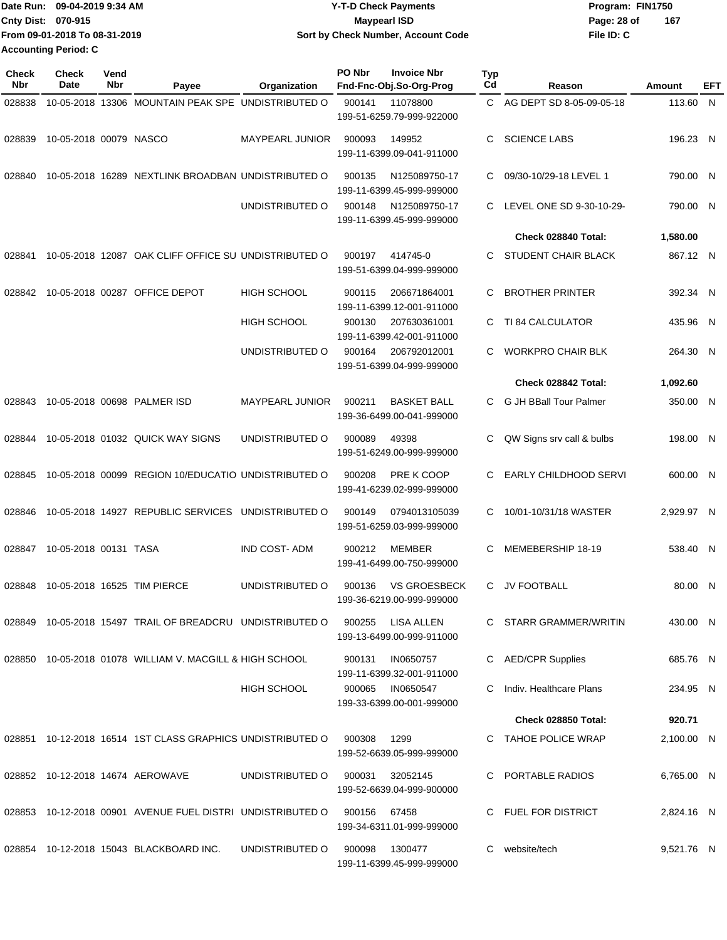|                             | IDate Run: 09-04-2019 9:34 AM | Y-T-D Check Payments               | Program: FIN1750   |
|-----------------------------|-------------------------------|------------------------------------|--------------------|
| <b>Cnty Dist: 070-915</b>   |                               | <b>Mavpearl ISD</b>                | 167<br>Page: 28 of |
|                             | From 09-01-2018 To 08-31-2019 | Sort by Check Number, Account Code | File ID: C         |
| <b>Accounting Period: C</b> |                               |                                    |                    |

| <b>Check</b><br><b>Nbr</b> | <b>Check</b><br><b>Date</b> | Vend<br>Nbr | Payee                                                      | Organization           | PO Nbr | <b>Invoice Nbr</b><br>Fnd-Fnc-Obj.So-Org-Prog | <b>Typ</b><br>Cd | Reason                    | Amount     | EFT |
|----------------------------|-----------------------------|-------------|------------------------------------------------------------|------------------------|--------|-----------------------------------------------|------------------|---------------------------|------------|-----|
| 028838                     |                             |             | 10-05-2018 13306 MOUNTAIN PEAK SPE UNDISTRIBUTED O         |                        | 900141 | 11078800                                      | C.               | AG DEPT SD 8-05-09-05-18  | 113.60 N   |     |
|                            |                             |             |                                                            |                        |        | 199-51-6259.79-999-922000                     |                  |                           |            |     |
| 028839                     | 10-05-2018 00079 NASCO      |             |                                                            | <b>MAYPEARL JUNIOR</b> | 900093 | 149952<br>199-11-6399.09-041-911000           | C                | <b>SCIENCE LABS</b>       | 196.23 N   |     |
|                            |                             |             |                                                            |                        |        |                                               |                  |                           |            |     |
| 028840                     |                             |             | 10-05-2018 16289 NEXTLINK BROADBAN UNDISTRIBUTED O         |                        | 900135 | N125089750-17<br>199-11-6399.45-999-999000    | C                | 09/30-10/29-18 LEVEL 1    | 790.00 N   |     |
|                            |                             |             |                                                            | UNDISTRIBUTED O        | 900148 | N125089750-17<br>199-11-6399.45-999-999000    | C.               | LEVEL ONE SD 9-30-10-29-  | 790.00 N   |     |
|                            |                             |             |                                                            |                        |        |                                               |                  | Check 028840 Total:       | 1,580.00   |     |
| 028841                     |                             |             | 10-05-2018 12087 OAK CLIFF OFFICE SU UNDISTRIBUTED O       |                        | 900197 | 414745-0                                      | С                | STUDENT CHAIR BLACK       | 867.12 N   |     |
|                            |                             |             |                                                            |                        |        | 199-51-6399.04-999-999000                     |                  |                           |            |     |
| 028842                     |                             |             | 10-05-2018 00287 OFFICE DEPOT                              | <b>HIGH SCHOOL</b>     | 900115 | 206671864001<br>199-11-6399.12-001-911000     | C                | <b>BROTHER PRINTER</b>    | 392.34 N   |     |
|                            |                             |             |                                                            | <b>HIGH SCHOOL</b>     | 900130 | 207630361001                                  | C                | <b>TI 84 CALCULATOR</b>   | 435.96 N   |     |
|                            |                             |             |                                                            |                        |        | 199-11-6399.42-001-911000                     |                  |                           |            |     |
|                            |                             |             |                                                            | UNDISTRIBUTED O        | 900164 | 206792012001<br>199-51-6399.04-999-999000     | C                | <b>WORKPRO CHAIR BLK</b>  | 264.30 N   |     |
|                            |                             |             |                                                            |                        |        |                                               |                  | Check 028842 Total:       | 1,092.60   |     |
| 028843                     |                             |             | 10-05-2018 00698 PALMER ISD                                | <b>MAYPEARL JUNIOR</b> | 900211 | <b>BASKET BALL</b>                            | C                | G JH BBall Tour Palmer    | 350.00 N   |     |
|                            |                             |             |                                                            |                        |        | 199-36-6499.00-041-999000                     |                  |                           |            |     |
| 028844                     |                             |             | 10-05-2018 01032 QUICK WAY SIGNS                           | UNDISTRIBUTED O        | 900089 | 49398<br>199-51-6249.00-999-999000            | С                | QW Signs srv call & bulbs | 198.00 N   |     |
|                            |                             |             |                                                            |                        |        |                                               |                  |                           |            |     |
| 028845                     |                             |             | 10-05-2018 00099 REGION 10/EDUCATIO UNDISTRIBUTED O        |                        | 900208 | PRE K COOP                                    | С                | EARLY CHILDHOOD SERVI     | 600.00 N   |     |
|                            |                             |             |                                                            |                        |        | 199-41-6239.02-999-999000                     |                  |                           |            |     |
| 028846                     |                             |             | 10-05-2018 14927 REPUBLIC SERVICES                         | UNDISTRIBUTED O        | 900149 | 0794013105039<br>199-51-6259.03-999-999000    | С                | 10/01-10/31/18 WASTER     | 2,929.97 N |     |
| 028847                     | 10-05-2018 00131 TASA       |             |                                                            | <b>IND COST-ADM</b>    | 900212 | <b>MEMBER</b>                                 | C                | MEMEBERSHIP 18-19         | 538.40 N   |     |
|                            |                             |             |                                                            |                        |        | 199-41-6499.00-750-999000                     |                  |                           |            |     |
| 028848                     |                             |             | 10-05-2018 16525 TIM PIERCE                                | UNDISTRIBUTED O        | 900136 | <b>VS GROESBECK</b>                           | C.               | <b>JV FOOTBALL</b>        | 80.00 N    |     |
|                            |                             |             |                                                            |                        |        | 199-36-6219.00-999-999000                     |                  |                           |            |     |
| 028849                     |                             |             | 10-05-2018 15497 TRAIL OF BREADCRU UNDISTRIBUTED O         |                        | 900255 | LISA ALLEN                                    |                  | C STARR GRAMMER/WRITIN    | 430.00 N   |     |
|                            |                             |             |                                                            |                        |        | 199-13-6499.00-999-911000                     |                  |                           |            |     |
|                            |                             |             | 028850 10-05-2018 01078 WILLIAM V. MACGILL & HIGH SCHOOL   |                        | 900131 | IN0650757<br>199-11-6399.32-001-911000        |                  | <b>AED/CPR Supplies</b>   | 685.76 N   |     |
|                            |                             |             |                                                            | <b>HIGH SCHOOL</b>     | 900065 | IN0650547                                     |                  | Indiv. Healthcare Plans   | 234.95 N   |     |
|                            |                             |             |                                                            |                        |        | 199-33-6399.00-001-999000                     |                  |                           |            |     |
|                            |                             |             |                                                            |                        |        |                                               |                  | Check 028850 Total:       | 920.71     |     |
| 028851                     |                             |             | 10-12-2018 16514 1ST CLASS GRAPHICS UNDISTRIBUTED O        |                        | 900308 | 1299<br>199-52-6639.05-999-999000             |                  | <b>TAHOE POLICE WRAP</b>  | 2,100.00 N |     |
|                            |                             |             | 028852 10-12-2018 14674 AEROWAVE                           | UNDISTRIBUTED O        | 900031 | 32052145                                      |                  | C PORTABLE RADIOS         | 6,765.00 N |     |
|                            |                             |             |                                                            |                        |        | 199-52-6639.04-999-900000                     |                  |                           |            |     |
|                            |                             |             | 028853 10-12-2018 00901 AVENUE FUEL DISTRI UNDISTRIBUTED O |                        | 900156 | 67458                                         |                  | <b>FUEL FOR DISTRICT</b>  | 2,824.16 N |     |
|                            |                             |             |                                                            |                        |        | 199-34-6311.01-999-999000                     |                  |                           |            |     |
| 028854                     |                             |             | 10-12-2018 15043 BLACKBOARD INC.                           | UNDISTRIBUTED O        | 900098 | 1300477                                       | C.               | website/tech              | 9,521.76 N |     |
|                            |                             |             |                                                            |                        |        | 199-11-6399.45-999-999000                     |                  |                           |            |     |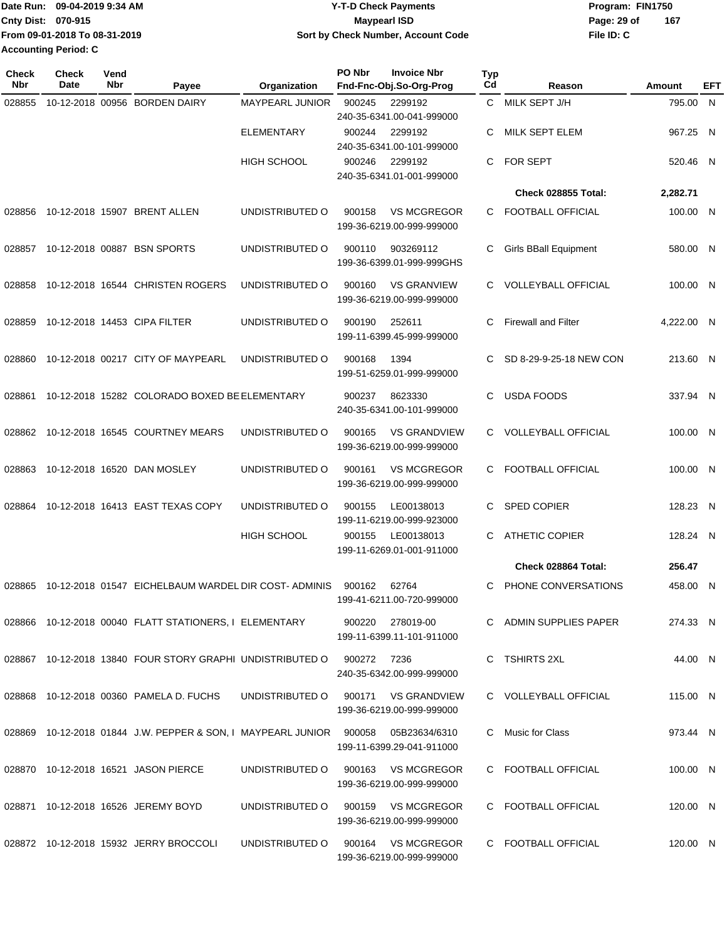|                             | Date Run: 09-04-2019 9:34 AM  | <b>Y-T-D Check Payments</b>        | Program: FIN1750 |     |
|-----------------------------|-------------------------------|------------------------------------|------------------|-----|
| <b>Cnty Dist: 070-915</b>   |                               | <b>Mavpearl ISD</b>                | Page: 29 of      | 167 |
|                             | From 09-01-2018 To 08-31-2019 | Sort by Check Number, Account Code | File ID: C       |     |
| <b>Accounting Period: C</b> |                               |                                    |                  |     |

| <b>Check</b><br>Nbr | <b>Check</b><br>Date | Vend<br>Nbr | Payee                                                                      | Organization                        | PO Nbr | <b>Invoice Nbr</b><br>Fnd-Fnc-Obj.So-Org-Prog    | <b>Typ</b><br>Cd | Reason                     | Amount     | EFT |
|---------------------|----------------------|-------------|----------------------------------------------------------------------------|-------------------------------------|--------|--------------------------------------------------|------------------|----------------------------|------------|-----|
| 028855              |                      |             | 10-12-2018 00956 BORDEN DAIRY                                              | MAYPEARL JUNIOR                     | 900245 | 2299192<br>240-35-6341.00-041-999000             | C                | MILK SEPT J/H              | 795.00 N   |     |
|                     |                      |             |                                                                            | <b>ELEMENTARY</b>                   | 900244 | 2299192<br>240-35-6341.00-101-999000             | С                | MILK SEPT ELEM             | 967.25     | - N |
|                     |                      |             |                                                                            | <b>HIGH SCHOOL</b>                  | 900246 | 2299192<br>240-35-6341.01-001-999000             | C                | <b>FOR SEPT</b>            | 520.46 N   |     |
|                     |                      |             |                                                                            |                                     |        |                                                  |                  | Check 028855 Total:        | 2,282.71   |     |
| 028856              |                      |             | 10-12-2018 15907 BRENT ALLEN                                               | UNDISTRIBUTED O                     | 900158 | <b>VS MCGREGOR</b><br>199-36-6219.00-999-999000  |                  | C FOOTBALL OFFICIAL        | 100.00 N   |     |
| 028857              |                      |             | 10-12-2018 00887 BSN SPORTS                                                | UNDISTRIBUTED O                     | 900110 | 903269112<br>199-36-6399.01-999-999GHS           | C                | Girls BBall Equipment      | 580.00 N   |     |
| 028858              |                      |             | 10-12-2018 16544 CHRISTEN ROGERS                                           | UNDISTRIBUTED O                     | 900160 | <b>VS GRANVIEW</b><br>199-36-6219.00-999-999000  | C.               | <b>VOLLEYBALL OFFICIAL</b> | 100.00 N   |     |
| 028859              |                      |             | 10-12-2018 14453 CIPA FILTER                                               | UNDISTRIBUTED O                     | 900190 | 252611<br>199-11-6399.45-999-999000              | C                | <b>Firewall and Filter</b> | 4,222.00 N |     |
| 028860              |                      |             | 10-12-2018 00217 CITY OF MAYPEARL                                          | UNDISTRIBUTED O                     | 900168 | 1394<br>199-51-6259.01-999-999000                | C                | SD 8-29-9-25-18 NEW CON    | 213.60 N   |     |
| 028861              |                      |             | 10-12-2018 15282 COLORADO BOXED BE ELEMENTARY                              |                                     | 900237 | 8623330<br>240-35-6341.00-101-999000             | C                | <b>USDA FOODS</b>          | 337.94 N   |     |
| 028862              |                      |             | 10-12-2018 16545 COURTNEY MEARS                                            | UNDISTRIBUTED O                     | 900165 | <b>VS GRANDVIEW</b><br>199-36-6219.00-999-999000 | C.               | <b>VOLLEYBALL OFFICIAL</b> | 100.00 N   |     |
| 028863              |                      |             | 10-12-2018 16520 DAN MOSLEY                                                | UNDISTRIBUTED O                     | 900161 | <b>VS MCGREGOR</b><br>199-36-6219.00-999-999000  | C.               | <b>FOOTBALL OFFICIAL</b>   | 100.00 N   |     |
| 028864              |                      |             | 10-12-2018 16413 EAST TEXAS COPY                                           | UNDISTRIBUTED O                     | 900155 | LE00138013<br>199-11-6219.00-999-923000          | C                | <b>SPED COPIER</b>         | 128.23 N   |     |
|                     |                      |             |                                                                            | <b>HIGH SCHOOL</b>                  | 900155 | LE00138013<br>199-11-6269.01-001-911000          | C                | <b>ATHETIC COPIER</b>      | 128.24 N   |     |
|                     |                      |             |                                                                            |                                     |        |                                                  |                  | Check 028864 Total:        | 256.47     |     |
| 028865              |                      |             | 10-12-2018 01547 EICHELBAUM WARDEL DIR COST-ADMINIS                        |                                     | 900162 | 62764<br>199-41-6211.00-720-999000               | C                | PHONE CONVERSATIONS        | 458.00 N   |     |
|                     |                      |             | 028866 10-12-2018 00040 FLATT STATIONERS, I ELEMENTARY                     |                                     |        | 900220 278019-00<br>199-11-6399.11-101-911000    |                  | C ADMIN SUPPLIES PAPER     | 274.33 N   |     |
|                     |                      |             | 028867  10-12-2018  13840  FOUR STORY GRAPHI UNDISTRIBUTED O  900272  7236 |                                     |        | 240-35-6342.00-999-999000                        |                  | C TSHIRTS 2XL              | 44.00 N    |     |
|                     |                      |             | 028868 10-12-2018 00360 PAMELA D. FUCHS                                    | UNDISTRIBUTED O 900171 VS GRANDVIEW |        | 199-36-6219.00-999-999000                        |                  | C VOLLEYBALL OFFICIAL      | 115.00 N   |     |
|                     |                      |             | 028869 10-12-2018 01844 J.W. PEPPER & SON, I MAYPEARL JUNIOR 900058        |                                     |        | 05B23634/6310<br>199-11-6399.29-041-911000       |                  | C Music for Class          | 973.44 N   |     |
|                     |                      |             | 028870 10-12-2018 16521 JASON PIERCE                                       | UNDISTRIBUTED O                     |        | 900163 VS MCGREGOR<br>199-36-6219.00-999-999000  |                  | C FOOTBALL OFFICIAL        | 100.00 N   |     |
|                     |                      |             | 028871 10-12-2018 16526 JEREMY BOYD                                        | UNDISTRIBUTED O 900159 VS MCGREGOR  |        | 199-36-6219.00-999-999000                        |                  | C FOOTBALL OFFICIAL        | 120.00 N   |     |
|                     |                      |             | 028872 10-12-2018 15932 JERRY BROCCOLI                                     | UNDISTRIBUTED O 900164 VS MCGREGOR  |        | 199-36-6219.00-999-999000                        |                  | C FOOTBALL OFFICIAL        | 120.00 N   |     |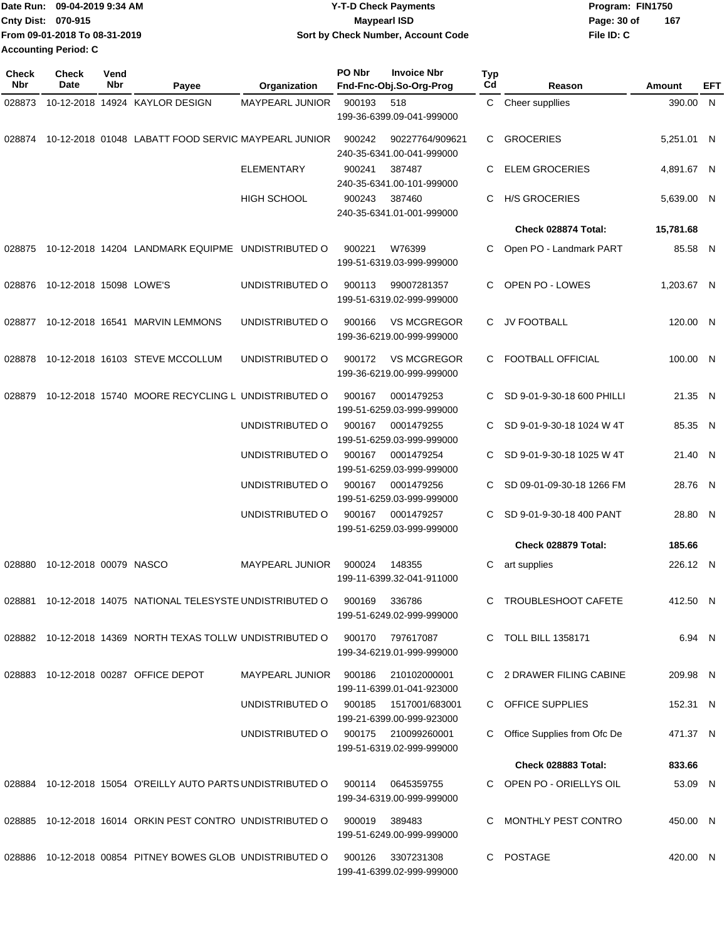|                           | IDate Run: 09-04-2019 9:34 AM | <b>Y-T-D Check Payments</b>        | Program: FIN1750 |     |
|---------------------------|-------------------------------|------------------------------------|------------------|-----|
| <b>Cnty Dist: 070-915</b> |                               | <b>Mavpearl ISD</b>                | Page: 30 of      | 167 |
|                           | From 09-01-2018 To 08-31-2019 | Sort by Check Number, Account Code | File ID: C       |     |
| Accounting Period: C      |                               |                                    |                  |     |

| <b>Check</b><br><b>Nbr</b> | Check<br>Date           | Vend<br>Nbr | Payee                                                       | Organization           | PO Nbr | <b>Invoice Nbr</b><br>Fnd-Fnc-Obj.So-Org-Prog    | <b>Typ</b><br>Cd | Reason                      | Amount     | EFT |
|----------------------------|-------------------------|-------------|-------------------------------------------------------------|------------------------|--------|--------------------------------------------------|------------------|-----------------------------|------------|-----|
| 028873                     |                         |             | 10-12-2018 14924 KAYLOR DESIGN                              | <b>MAYPEARL JUNIOR</b> | 900193 | 518<br>199-36-6399.09-041-999000                 | C.               | Cheer suppllies             | 390.00 N   |     |
| 028874                     |                         |             | 10-12-2018 01048 LABATT FOOD SERVIC MAYPEARL JUNIOR         |                        | 900242 | 90227764/909621<br>240-35-6341.00-041-999000     | C.               | <b>GROCERIES</b>            | 5,251.01 N |     |
|                            |                         |             |                                                             | <b>ELEMENTARY</b>      | 900241 | 387487<br>240-35-6341.00-101-999000              | C                | <b>ELEM GROCERIES</b>       | 4,891.67 N |     |
|                            |                         |             |                                                             | <b>HIGH SCHOOL</b>     | 900243 | 387460<br>240-35-6341.01-001-999000              | C                | <b>H/S GROCERIES</b>        | 5,639.00 N |     |
|                            |                         |             |                                                             |                        |        |                                                  |                  | Check 028874 Total:         | 15,781.68  |     |
| 028875                     |                         |             | 10-12-2018 14204 LANDMARK EQUIPME UNDISTRIBUTED O           |                        | 900221 | W76399<br>199-51-6319.03-999-999000              | C                | Open PO - Landmark PART     | 85.58 N    |     |
| 028876                     | 10-12-2018 15098 LOWE'S |             |                                                             | UNDISTRIBUTED O        | 900113 | 99007281357<br>199-51-6319.02-999-999000         | C.               | OPEN PO - LOWES             | 1,203.67 N |     |
| 028877                     |                         |             | 10-12-2018 16541 MARVIN LEMMONS                             | UNDISTRIBUTED O        | 900166 | <b>VS MCGREGOR</b><br>199-36-6219.00-999-999000  | C.               | JV FOOTBALL                 | 120.00 N   |     |
| 028878                     |                         |             | 10-12-2018 16103 STEVE MCCOLLUM                             | UNDISTRIBUTED O        | 900172 | <b>VS MCGREGOR</b><br>199-36-6219.00-999-999000  |                  | C FOOTBALL OFFICIAL         | 100.00 N   |     |
| 028879                     |                         |             | 10-12-2018 15740 MOORE RECYCLING L UNDISTRIBUTED O          |                        | 900167 | 0001479253<br>199-51-6259.03-999-999000          | C.               | SD 9-01-9-30-18 600 PHILLI  | 21.35 N    |     |
|                            |                         |             |                                                             | UNDISTRIBUTED O        | 900167 | 0001479255<br>199-51-6259.03-999-999000          | C                | SD 9-01-9-30-18 1024 W 4T   | 85.35 N    |     |
|                            |                         |             |                                                             | UNDISTRIBUTED O        | 900167 | 0001479254<br>199-51-6259.03-999-999000          | C                | SD 9-01-9-30-18 1025 W 4T   | 21.40 N    |     |
|                            |                         |             |                                                             | UNDISTRIBUTED O        | 900167 | 0001479256<br>199-51-6259.03-999-999000          | C                | SD 09-01-09-30-18 1266 FM   | 28.76 N    |     |
|                            |                         |             |                                                             | UNDISTRIBUTED O        | 900167 | 0001479257<br>199-51-6259.03-999-999000          | C.               | SD 9-01-9-30-18 400 PANT    | 28.80 N    |     |
|                            |                         |             |                                                             |                        |        |                                                  |                  | Check 028879 Total:         | 185.66     |     |
| 028880                     | 10-12-2018 00079 NASCO  |             |                                                             | <b>MAYPEARL JUNIOR</b> | 900024 | 148355<br>199-11-6399.32-041-911000              | C                | art supplies                | 226.12 N   |     |
|                            |                         |             | 028881 10-12-2018 14075 NATIONAL TELESYSTE UNDISTRIBUTED O  |                        | 900169 | 336786<br>199-51-6249.02-999-999000              |                  | TROUBLESHOOT CAFETE         | 412.50 N   |     |
|                            |                         |             | 028882 10-12-2018 14369 NORTH TEXAS TOLLW UNDISTRIBUTED O   |                        | 900170 | 797617087<br>199-34-6219.01-999-999000           |                  | <b>TOLL BILL 1358171</b>    | 6.94 N     |     |
| 028883                     |                         |             | 10-12-2018 00287 OFFICE DEPOT                               | MAYPEARL JUNIOR        | 900186 | 210102000001<br>199-11-6399.01-041-923000        |                  | C 2 DRAWER FILING CABINE    | 209.98 N   |     |
|                            |                         |             |                                                             | UNDISTRIBUTED O        | 900185 | 1517001/683001<br>199-21-6399.00-999-923000      |                  | C OFFICE SUPPLIES           | 152.31 N   |     |
|                            |                         |             |                                                             | UNDISTRIBUTED O        |        | 900175 210099260001<br>199-51-6319.02-999-999000 |                  | Office Supplies from Ofc De | 471.37 N   |     |
|                            |                         |             |                                                             |                        |        |                                                  |                  | Check 028883 Total:         | 833.66     |     |
|                            |                         |             | 028884 10-12-2018 15054 O'REILLY AUTO PARTS UNDISTRIBUTED O |                        |        | 900114 0645359755<br>199-34-6319.00-999-999000   |                  | C OPEN PO - ORIELLYS OIL    | 53.09 N    |     |
| 028885                     |                         |             | 10-12-2018 16014 ORKIN PEST CONTRO UNDISTRIBUTED O          |                        | 900019 | 389483<br>199-51-6249.00-999-999000              | C.               | MONTHLY PEST CONTRO         | 450.00 N   |     |
|                            |                         |             | 028886 10-12-2018 00854 PITNEY BOWES GLOB UNDISTRIBUTED O   |                        | 900126 | 3307231308<br>199-41-6399.02-999-999000          |                  | C POSTAGE                   | 420.00 N   |     |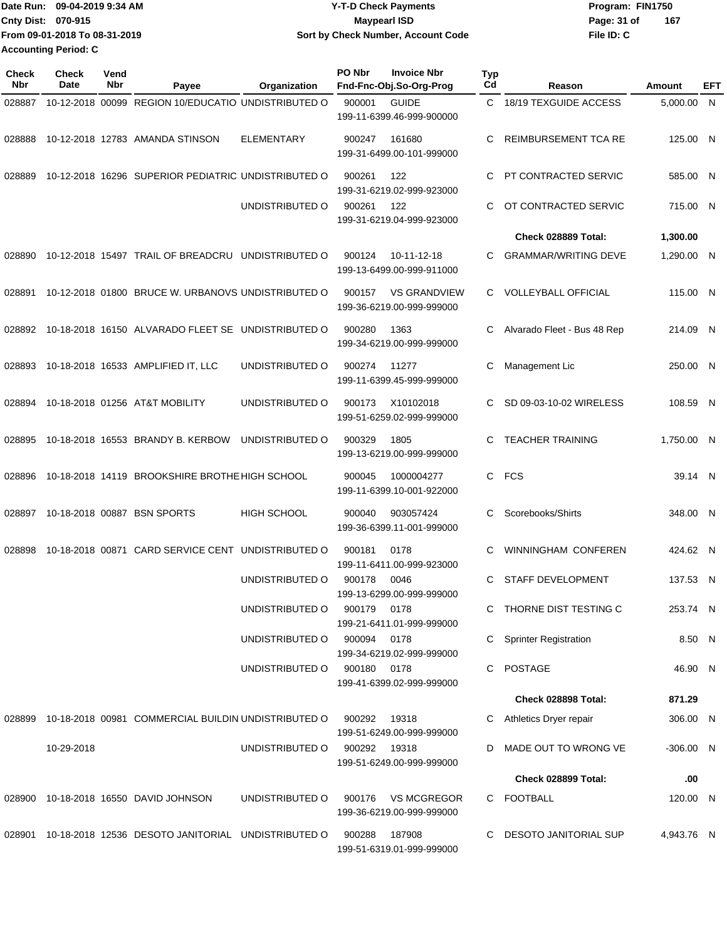|                             | Date Run: 09-04-2019 9:34 AM  | <b>Y-T-D Check Payments</b>        | Program: FIN1750   |
|-----------------------------|-------------------------------|------------------------------------|--------------------|
| <b>Cnty Dist: 070-915</b>   |                               | <b>Mavpearl ISD</b>                | 167<br>Page: 31 of |
|                             | From 09-01-2018 To 08-31-2019 | Sort by Check Number, Account Code | File ID: C         |
| <b>Accounting Period: C</b> |                               |                                    |                    |

| Check<br>Nbr | <b>Check</b><br>Date | Vend<br>Nbr | Payee                                               | Organization       | PO Nbr       | <b>Invoice Nbr</b><br>Fnd-Fnc-Obj.So-Org-Prog    | <b>Typ</b><br>Cd | Reason                       | Amount      | EFT |
|--------------|----------------------|-------------|-----------------------------------------------------|--------------------|--------------|--------------------------------------------------|------------------|------------------------------|-------------|-----|
| 028887       |                      |             | 10-12-2018 00099 REGION 10/EDUCATIO UNDISTRIBUTED O |                    | 900001       | <b>GUIDE</b><br>199-11-6399.46-999-900000        | C.               | 18/19 TEXGUIDE ACCESS        | 5,000.00 N  |     |
| 028888       |                      |             | 10-12-2018 12783 AMANDA STINSON                     | <b>ELEMENTARY</b>  | 900247       | 161680<br>199-31-6499.00-101-999000              | C                | <b>REIMBURSEMENT TCA RE</b>  | 125.00 N    |     |
| 028889       |                      |             | 10-12-2018 16296 SUPERIOR PEDIATRIC UNDISTRIBUTED O |                    | 900261       | 122<br>199-31-6219.02-999-923000                 | C                | PT CONTRACTED SERVIC         | 585.00 N    |     |
|              |                      |             |                                                     | UNDISTRIBUTED O    | 900261       | 122<br>199-31-6219.04-999-923000                 | C.               | OT CONTRACTED SERVIC         | 715.00 N    |     |
|              |                      |             |                                                     |                    |              |                                                  |                  | Check 028889 Total:          | 1,300.00    |     |
| 028890       |                      |             | 10-12-2018 15497 TRAIL OF BREADCRU UNDISTRIBUTED O  |                    | 900124       | 10-11-12-18<br>199-13-6499.00-999-911000         | C.               | <b>GRAMMAR/WRITING DEVE</b>  | 1,290.00 N  |     |
| 028891       |                      |             | 10-12-2018 01800 BRUCE W. URBANOVS UNDISTRIBUTED O  |                    | 900157       | <b>VS GRANDVIEW</b><br>199-36-6219.00-999-999000 | C.               | <b>VOLLEYBALL OFFICIAL</b>   | 115.00 N    |     |
| 028892       |                      |             | 10-18-2018 16150 ALVARADO FLEET SE UNDISTRIBUTED O  |                    | 900280       | 1363<br>199-34-6219.00-999-999000                | C                | Alvarado Fleet - Bus 48 Rep  | 214.09 N    |     |
| 028893       |                      |             | 10-18-2018 16533 AMPLIFIED IT, LLC                  | UNDISTRIBUTED O    | 900274       | 11277<br>199-11-6399.45-999-999000               | С                | Management Lic               | 250.00 N    |     |
| 028894       |                      |             | 10-18-2018 01256 AT&T MOBILITY                      | UNDISTRIBUTED O    | 900173       | X10102018<br>199-51-6259.02-999-999000           | C                | SD 09-03-10-02 WIRELESS      | 108.59 N    |     |
| 028895       |                      |             | 10-18-2018 16553 BRANDY B. KERBOW                   | UNDISTRIBUTED O    | 900329       | 1805<br>199-13-6219.00-999-999000                | C.               | <b>TEACHER TRAINING</b>      | 1,750.00 N  |     |
| 028896       |                      |             | 10-18-2018 14119 BROOKSHIRE BROTHE HIGH SCHOOL      |                    | 900045       | 1000004277<br>199-11-6399.10-001-922000          | C                | <b>FCS</b>                   | 39.14 N     |     |
| 028897       |                      |             | 10-18-2018 00887 BSN SPORTS                         | <b>HIGH SCHOOL</b> | 900040       | 903057424<br>199-36-6399.11-001-999000           | C                | Scorebooks/Shirts            | 348.00 N    |     |
| 028898       |                      |             | 10-18-2018 00871 CARD SERVICE CENT UNDISTRIBUTED O  |                    | 900181       | 0178<br>199-11-6411.00-999-923000                | C                | WINNINGHAM CONFEREN          | 424.62 N    |     |
|              |                      |             |                                                     | UNDISTRIBUTED O    | 900178       | 0046<br>199-13-6299.00-999-999000                | C                | STAFF DEVELOPMENT            | 137.53 N    |     |
|              |                      |             |                                                     | UNDISTRIBUTED O    | 900179 0178  | 199-21-6411.01-999-999000                        |                  | C THORNE DIST TESTING C      | 253.74 N    |     |
|              |                      |             |                                                     | UNDISTRIBUTED O    | 900094       | 0178<br>199-34-6219.02-999-999000                | C                | <b>Sprinter Registration</b> | 8.50 N      |     |
|              |                      |             |                                                     | UNDISTRIBUTED O    | 900180       | 0178<br>199-41-6399.02-999-999000                |                  | C POSTAGE                    | 46.90 N     |     |
|              |                      |             |                                                     |                    |              |                                                  |                  | Check 028898 Total:          | 871.29      |     |
| 028899       |                      |             | 10-18-2018 00981 COMMERCIAL BUILDIN UNDISTRIBUTED O |                    | 900292       | 19318<br>199-51-6249.00-999-999000               | C.               | Athletics Dryer repair       | 306.00 N    |     |
|              | 10-29-2018           |             |                                                     | UNDISTRIBUTED O    | 900292 19318 | 199-51-6249.00-999-999000                        | D                | MADE OUT TO WRONG VE         | $-306.00$ N |     |
|              |                      |             |                                                     |                    |              |                                                  |                  | Check 028899 Total:          | .00         |     |
|              |                      |             | 028900 10-18-2018 16550 DAVID JOHNSON               | UNDISTRIBUTED O    | 900176       | <b>VS MCGREGOR</b><br>199-36-6219.00-999-999000  |                  | C FOOTBALL                   | 120.00 N    |     |
| 028901       |                      |             | 10-18-2018 12536 DESOTO JANITORIAL UNDISTRIBUTED O  |                    | 900288       | 187908<br>199-51-6319.01-999-999000              | C.               | DESOTO JANITORIAL SUP        | 4,943.76 N  |     |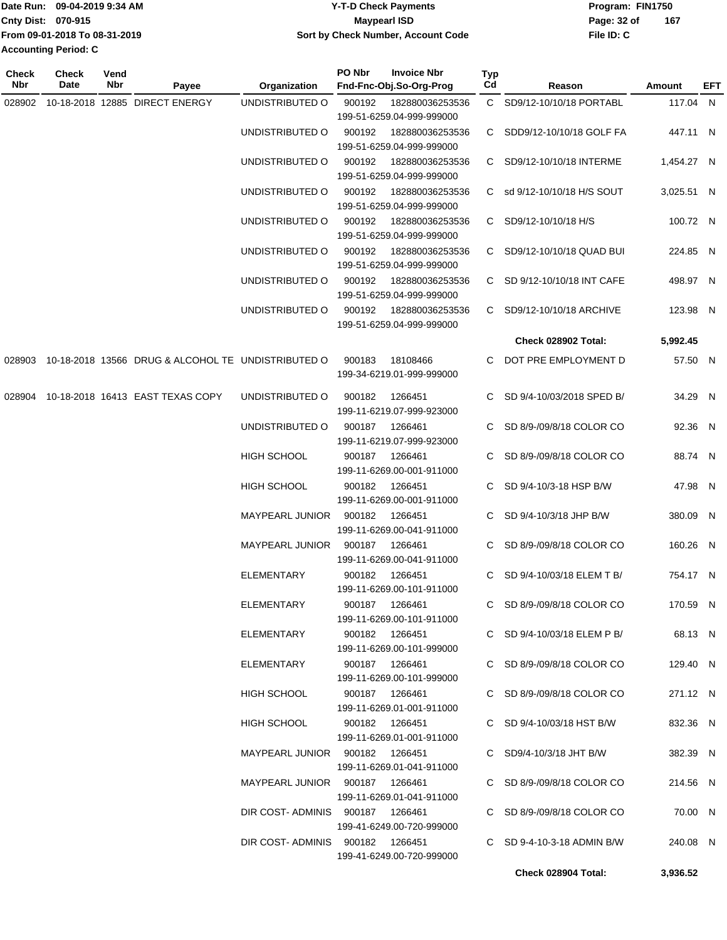|                      | Date Run: 09-04-2019 9:34 AM  | <b>Y-T-D Check Payments</b>        | Program: FIN1750 |     |
|----------------------|-------------------------------|------------------------------------|------------------|-----|
| Cnty Dist: 070-915   |                               | Maypearl ISD                       | Page: 32 of      | 167 |
|                      | From 09-01-2018 To 08-31-2019 | Sort by Check Number, Account Code | File ID: C       |     |
| Accounting Period: C |                               |                                    |                  |     |
|                      |                               |                                    |                  |     |

| <b>Check</b><br>Nbr | Check<br>Date | Vend<br>Nbr | Payee                                                     | <b>Organization</b>             | PO Nbr | <b>Invoice Nbr</b><br>Fnd-Fnc-Obj.So-Org-Prog                             | Typ<br>Cd | Reason                      | Amount     | EFT |
|---------------------|---------------|-------------|-----------------------------------------------------------|---------------------------------|--------|---------------------------------------------------------------------------|-----------|-----------------------------|------------|-----|
| 028902              |               |             | 10-18-2018 12885 DIRECT ENERGY                            | UNDISTRIBUTED O                 | 900192 | 182880036253536                                                           |           | C SD9/12-10/10/18 PORTABL   | 117.04 N   |     |
|                     |               |             |                                                           | UNDISTRIBUTED O                 | 900192 | 199-51-6259.04-999-999000<br>182880036253536<br>199-51-6259.04-999-999000 |           | C SDD9/12-10/10/18 GOLF FA  | 447.11 N   |     |
|                     |               |             |                                                           | UNDISTRIBUTED O                 | 900192 | 182880036253536                                                           |           | C SD9/12-10/10/18 INTERME   | 1,454.27 N |     |
|                     |               |             |                                                           | UNDISTRIBUTED O                 | 900192 | 199-51-6259.04-999-999000<br>182880036253536<br>199-51-6259.04-999-999000 |           | C sd 9/12-10/10/18 H/S SOUT | 3,025.51 N |     |
|                     |               |             |                                                           | UNDISTRIBUTED O                 | 900192 | 182880036253536<br>199-51-6259.04-999-999000                              |           | C SD9/12-10/10/18 H/S       | 100.72 N   |     |
|                     |               |             |                                                           | UNDISTRIBUTED O                 | 900192 | 182880036253536<br>199-51-6259.04-999-999000                              |           | C SD9/12-10/10/18 QUAD BUI  | 224.85 N   |     |
|                     |               |             |                                                           | UNDISTRIBUTED O                 | 900192 | 182880036253536<br>199-51-6259.04-999-999000                              |           | C SD 9/12-10/10/18 INT CAFE | 498.97 N   |     |
|                     |               |             |                                                           | UNDISTRIBUTED O                 | 900192 | 182880036253536<br>199-51-6259.04-999-999000                              |           | C SD9/12-10/10/18 ARCHIVE   | 123.98 N   |     |
|                     |               |             |                                                           |                                 |        |                                                                           |           | Check 028902 Total:         | 5,992.45   |     |
|                     |               |             | 028903 10-18-2018 13566 DRUG & ALCOHOL TE UNDISTRIBUTED O |                                 | 900183 | 18108466<br>199-34-6219.01-999-999000                                     | С         | DOT PRE EMPLOYMENT D        | 57.50 N    |     |
| 028904              |               |             | 10-18-2018 16413 EAST TEXAS COPY                          | UNDISTRIBUTED O                 | 900182 | 1266451<br>199-11-6219.07-999-923000                                      |           | C SD 9/4-10/03/2018 SPED B/ | 34.29 N    |     |
|                     |               |             |                                                           | UNDISTRIBUTED O                 | 900187 | 1266461<br>199-11-6219.07-999-923000                                      |           | C SD 8/9-/09/8/18 COLOR CO  | 92.36 N    |     |
|                     |               |             |                                                           | <b>HIGH SCHOOL</b>              | 900187 | 1266461<br>199-11-6269.00-001-911000                                      |           | C SD 8/9-/09/8/18 COLOR CO  | 88.74 N    |     |
|                     |               |             |                                                           | <b>HIGH SCHOOL</b>              | 900182 | 1266451<br>199-11-6269.00-001-911000                                      |           | C SD 9/4-10/3-18 HSP B/W    | 47.98 N    |     |
|                     |               |             |                                                           | <b>MAYPEARL JUNIOR</b>          | 900182 | 1266451<br>199-11-6269.00-041-911000                                      |           | C SD 9/4-10/3/18 JHP B/W    | 380.09 N   |     |
|                     |               |             |                                                           | <b>MAYPEARL JUNIOR</b>          | 900187 | 1266461<br>199-11-6269.00-041-911000                                      | C.        | SD 8/9-/09/8/18 COLOR CO    | 160.26 N   |     |
|                     |               |             |                                                           | ELEMENTARY                      | 900182 | 1266451<br>199-11-6269.00-101-911000                                      | C.        | SD 9/4-10/03/18 ELEM T B/   | 754.17 N   |     |
|                     |               |             |                                                           | ELEMENTARY                      |        | 900187 1266461<br>199-11-6269.00-101-911000                               |           | C SD 8/9-/09/8/18 COLOR CO  | 170.59 N   |     |
|                     |               |             |                                                           | ELEMENTARY                      |        | 900182 1266451                                                            |           | C SD 9/4-10/03/18 ELEM P B/ | 68.13 N    |     |
|                     |               |             |                                                           | ELEMENTARY                      |        | 199-11-6269.00-101-999000<br>900187 1266461                               |           | C SD 8/9-/09/8/18 COLOR CO  | 129.40 N   |     |
|                     |               |             |                                                           | HIGH SCHOOL                     |        | 199-11-6269.00-101-999000<br>900187 1266461<br>199-11-6269.01-001-911000  |           | C SD 8/9-/09/8/18 COLOR CO  | 271.12 N   |     |
|                     |               |             |                                                           | HIGH SCHOOL                     |        | 900182 1266451                                                            |           | C SD 9/4-10/03/18 HST B/W   | 832.36 N   |     |
|                     |               |             |                                                           | MAYPEARL JUNIOR 900182 1266451  |        | 199-11-6269.01-001-911000                                                 |           | C $SD9/4-10/3/18$ JHT B/W   | 382.39 N   |     |
|                     |               |             |                                                           | MAYPEARL JUNIOR 900187 1266461  |        | 199-11-6269.01-041-911000                                                 |           | C SD 8/9-/09/8/18 COLOR CO  | 214.56 N   |     |
|                     |               |             |                                                           | DIR COST-ADMINIS 900187 1266461 |        | 199-11-6269.01-041-911000                                                 |           | C SD 8/9-/09/8/18 COLOR CO  | 70.00 N    |     |
|                     |               |             |                                                           | DIR COST-ADMINIS 900182 1266451 |        | 199-41-6249.00-720-999000                                                 |           | C SD 9-4-10-3-18 ADMIN B/W  | 240.08 N   |     |
|                     |               |             |                                                           |                                 |        | 199-41-6249.00-720-999000                                                 |           | Check 028904 Total:         | 3,936.52   |     |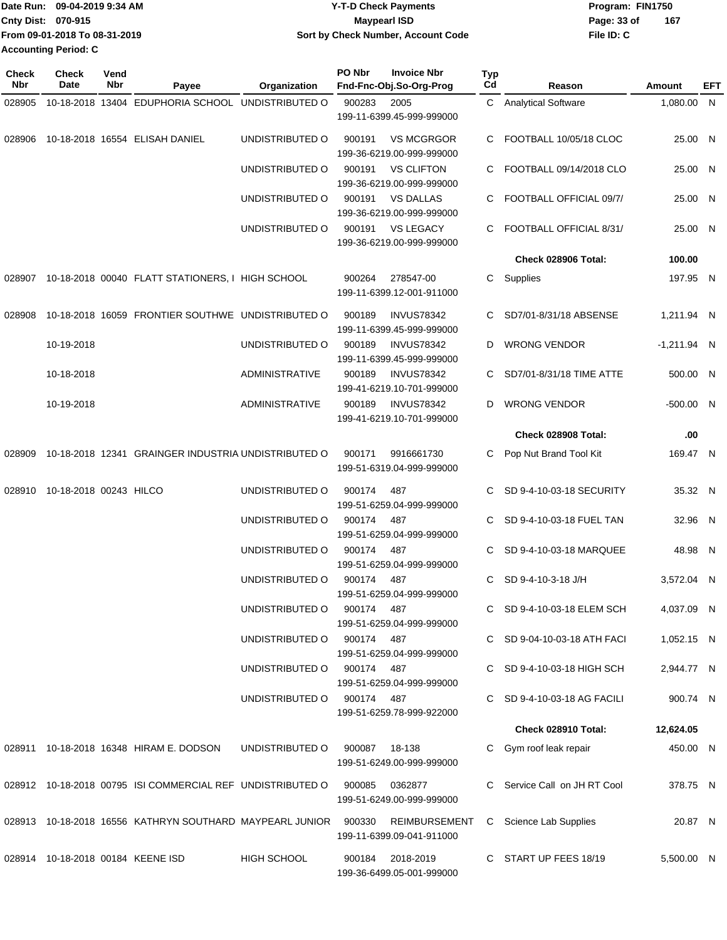| Date Run: 09-04-2019 9:34 AM  | Y-T-D Check Payments | Program: FIN1750                   |
|-------------------------------|----------------------|------------------------------------|
| <b>Cnty Dist: 070-915</b>     | <b>Mavpearl ISD</b>  | 167<br>Page: 33 of                 |
| From 09-01-2018 To 08-31-2019 |                      | File ID: C                         |
| <b>Accounting Period: C</b>   |                      |                                    |
|                               |                      | Sort by Check Number, Account Code |

| <b>Check</b><br>Nbr | <b>Check</b><br>Date   | Vend<br>Nbr | Payee                                                      | Organization          | PO Nbr                    | <b>Invoice Nbr</b><br>Fnd-Fnc-Obj.So-Org-Prog  | <b>Typ</b><br>Cd | Reason                       | Amount        | EFT |
|---------------------|------------------------|-------------|------------------------------------------------------------|-----------------------|---------------------------|------------------------------------------------|------------------|------------------------------|---------------|-----|
| 028905              |                        |             | 10-18-2018 13404 EDUPHORIA SCHOOL UNDISTRIBUTED O          |                       | 900283                    | 2005                                           |                  | C Analytical Software        | 1,080.00 N    |     |
|                     |                        |             |                                                            |                       | 199-11-6399.45-999-999000 |                                                |                  |                              |               |     |
| 028906              |                        |             | 10-18-2018 16554 ELISAH DANIEL                             | UNDISTRIBUTED O       | 900191                    | <b>VS MCGRGOR</b><br>199-36-6219.00-999-999000 | C.               | FOOTBALL 10/05/18 CLOC       | 25.00 N       |     |
|                     |                        |             |                                                            | UNDISTRIBUTED O       | 900191                    | <b>VS CLIFTON</b><br>199-36-6219.00-999-999000 | C                | FOOTBALL 09/14/2018 CLO      | 25.00 N       |     |
|                     |                        |             |                                                            | UNDISTRIBUTED O       | 900191                    | <b>VS DALLAS</b><br>199-36-6219.00-999-999000  | C                | FOOTBALL OFFICIAL 09/7/      | 25.00 N       |     |
|                     |                        |             |                                                            | UNDISTRIBUTED O       | 900191                    | <b>VS LEGACY</b><br>199-36-6219.00-999-999000  | C.               | FOOTBALL OFFICIAL 8/31/      | 25.00 N       |     |
|                     |                        |             |                                                            |                       |                           |                                                |                  | Check 028906 Total:          | 100.00        |     |
| 028907              |                        |             | 10-18-2018 00040 FLATT STATIONERS, I HIGH SCHOOL           |                       | 900264                    | 278547-00<br>199-11-6399.12-001-911000         | C                | Supplies                     | 197.95 N      |     |
| 028908              |                        |             | 10-18-2018 16059 FRONTIER SOUTHWE UNDISTRIBUTED O          |                       | 900189                    | <b>INVUS78342</b><br>199-11-6399.45-999-999000 | C.               | SD7/01-8/31/18 ABSENSE       | 1,211.94 N    |     |
|                     | 10-19-2018             |             |                                                            | UNDISTRIBUTED O       | 900189                    | <b>INVUS78342</b><br>199-11-6399.45-999-999000 | D                | <b>WRONG VENDOR</b>          | $-1,211.94$ N |     |
|                     | 10-18-2018             |             |                                                            | <b>ADMINISTRATIVE</b> | 900189                    | <b>INVUS78342</b><br>199-41-6219.10-701-999000 | C                | SD7/01-8/31/18 TIME ATTE     | 500.00 N      |     |
|                     | 10-19-2018             |             |                                                            | <b>ADMINISTRATIVE</b> | 900189                    | <b>INVUS78342</b><br>199-41-6219.10-701-999000 | D                | <b>WRONG VENDOR</b>          | -500.00 N     |     |
|                     |                        |             |                                                            |                       |                           |                                                |                  | Check 028908 Total:          | .00           |     |
| 028909              |                        |             | 10-18-2018 12341 GRAINGER INDUSTRIA UNDISTRIBUTED O        |                       | 900171                    | 9916661730<br>199-51-6319.04-999-999000        | C                | Pop Nut Brand Tool Kit       | 169.47 N      |     |
| 028910              | 10-18-2018 00243 HILCO |             |                                                            | UNDISTRIBUTED O       | 900174                    | 487<br>199-51-6259.04-999-999000               |                  | SD 9-4-10-03-18 SECURITY     | 35.32 N       |     |
|                     |                        |             |                                                            | UNDISTRIBUTED O       | 900174                    | 487<br>199-51-6259.04-999-999000               | C.               | SD 9-4-10-03-18 FUEL TAN     | 32.96 N       |     |
|                     |                        |             |                                                            | UNDISTRIBUTED O       | 900174                    | 487<br>199-51-6259.04-999-999000               | C.               | SD 9-4-10-03-18 MARQUEE      | 48.98 N       |     |
|                     |                        |             |                                                            | UNDISTRIBUTED O       | 900174                    | 487<br>199-51-6259.04-999-999000               | C.               | SD 9-4-10-3-18 J/H           | 3.572.04 N    |     |
|                     |                        |             |                                                            | UNDISTRIBUTED O       | 900174                    | 487<br>199-51-6259.04-999-999000               |                  | C SD 9-4-10-03-18 ELEM SCH   | 4,037.09 N    |     |
|                     |                        |             |                                                            | UNDISTRIBUTED O       | 900174 487                | 199-51-6259.04-999-999000                      |                  | C SD 9-04-10-03-18 ATH FACI  | 1,052.15 N    |     |
|                     |                        |             |                                                            | UNDISTRIBUTED O       | 900174                    | - 487<br>199-51-6259.04-999-999000             |                  | C SD 9-4-10-03-18 HIGH SCH   | 2,944.77 N    |     |
|                     |                        |             |                                                            | UNDISTRIBUTED O       | 900174 487                | 199-51-6259.78-999-922000                      | C.               | SD 9-4-10-03-18 AG FACILI    | 900.74 N      |     |
|                     |                        |             |                                                            |                       |                           |                                                |                  | Check 028910 Total:          | 12,624.05     |     |
|                     |                        |             | 028911 10-18-2018 16348 HIRAM E. DODSON                    | UNDISTRIBUTED O       | 900087                    | 18-138<br>199-51-6249.00-999-999000            | C.               | Gym roof leak repair         | 450.00 N      |     |
|                     |                        |             | 028912 10-18-2018 00795 ISI COMMERCIAL REF UNDISTRIBUTED O |                       | 900085                    | 0362877<br>199-51-6249.00-999-999000           |                  | C Service Call on JH RT Cool | 378.75 N      |     |
|                     |                        |             | 028913 10-18-2018 16556 KATHRYN SOUTHARD MAYPEARL JUNIOR   |                       | 900330                    | REIMBURSEMENT<br>199-11-6399.09-041-911000     | C                | Science Lab Supplies         | 20.87 N       |     |
|                     |                        |             | 028914 10-18-2018 00184 KEENE ISD                          | <b>HIGH SCHOOL</b>    | 900184                    | 2018-2019<br>199-36-6499.05-001-999000         |                  | C START UP FEES 18/19        | 5,500.00 N    |     |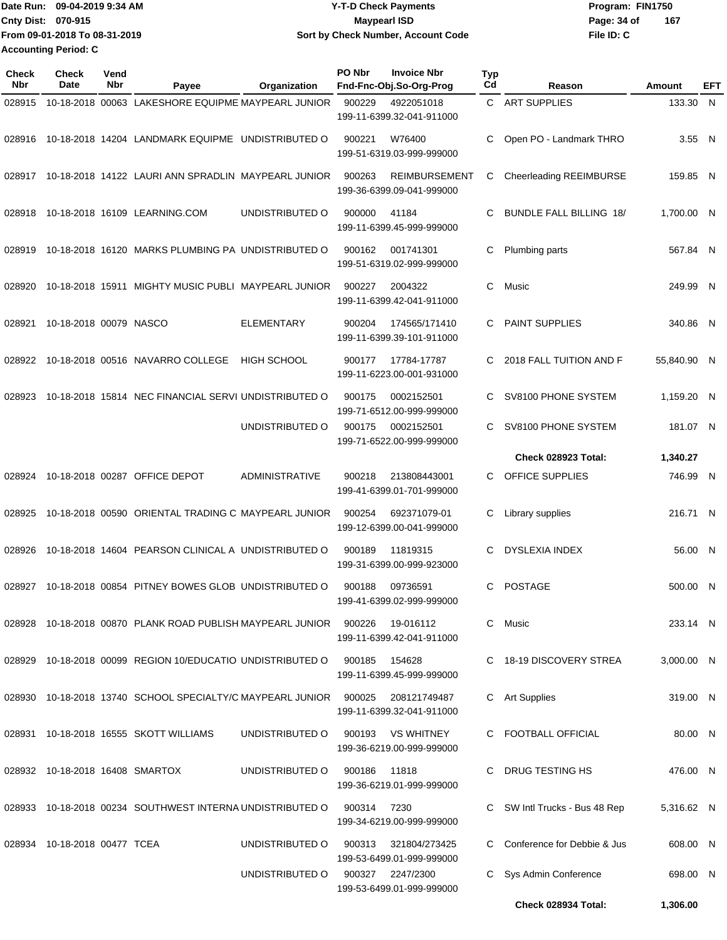| Date Run: 09-04-2019 9:34 AM  | <b>Y-T-D Check Payments</b>        | Program: FIN1750   |  |  |  |
|-------------------------------|------------------------------------|--------------------|--|--|--|
| <b>Cnty Dist: 070-915</b>     | <b>Mavpearl ISD</b>                | 167<br>Page: 34 of |  |  |  |
| From 09-01-2018 To 08-31-2019 | Sort by Check Number, Account Code | File ID: C         |  |  |  |
| <b>Accounting Period: C</b>   |                                    |                    |  |  |  |

| <b>Check</b><br><b>Nbr</b> | Check<br>Date                   | Vend<br>Nbr | Payee                                                      | Organization          | PO Nbr | <b>Invoice Nbr</b><br>Fnd-Fnc-Obj.So-Org-Prog     | <b>Typ</b><br>Cd | Reason                         | Amount      | EFT |
|----------------------------|---------------------------------|-------------|------------------------------------------------------------|-----------------------|--------|---------------------------------------------------|------------------|--------------------------------|-------------|-----|
| 028915                     |                                 |             | 10-18-2018 00063 LAKESHORE EQUIPME MAYPEARL JUNIOR         |                       | 900229 | 4922051018<br>199-11-6399.32-041-911000           |                  | C ART SUPPLIES                 | 133.30 N    |     |
| 028916                     |                                 |             | 10-18-2018 14204 LANDMARK EQUIPME UNDISTRIBUTED O          |                       | 900221 | W76400<br>199-51-6319.03-999-999000               | C                | Open PO - Landmark THRO        | 3.55 N      |     |
| 028917                     |                                 |             | 10-18-2018 14122 LAURI ANN SPRADLIN MAYPEARL JUNIOR        |                       | 900263 | <b>REIMBURSEMENT</b><br>199-36-6399.09-041-999000 | С                | Cheerleading REEIMBURSE        | 159.85 N    |     |
| 028918                     |                                 |             | 10-18-2018 16109 LEARNING.COM                              | UNDISTRIBUTED O       | 900000 | 41184<br>199-11-6399.45-999-999000                | C                | <b>BUNDLE FALL BILLING 18/</b> | 1,700.00 N  |     |
| 028919                     |                                 |             | 10-18-2018 16120 MARKS PLUMBING PA UNDISTRIBUTED O         |                       | 900162 | 001741301<br>199-51-6319.02-999-999000            | С                | Plumbing parts                 | 567.84 N    |     |
| 028920                     |                                 |             | 10-18-2018 15911 MIGHTY MUSIC PUBLI MAYPEARL JUNIOR        |                       | 900227 | 2004322<br>199-11-6399.42-041-911000              | C                | Music                          | 249.99 N    |     |
| 028921                     | 10-18-2018 00079 NASCO          |             |                                                            | <b>ELEMENTARY</b>     | 900204 | 174565/171410<br>199-11-6399.39-101-911000        | C.               | <b>PAINT SUPPLIES</b>          | 340.86 N    |     |
| 028922                     |                                 |             | 10-18-2018 00516 NAVARRO COLLEGE                           | <b>HIGH SCHOOL</b>    | 900177 | 17784-17787<br>199-11-6223.00-001-931000          | C                | 2018 FALL TUITION AND F        | 55,840.90 N |     |
| 028923                     |                                 |             | 10-18-2018 15814 NEC FINANCIAL SERVI UNDISTRIBUTED O       |                       | 900175 | 0002152501<br>199-71-6512.00-999-999000           | C                | SV8100 PHONE SYSTEM            | 1,159.20 N  |     |
|                            |                                 |             |                                                            | UNDISTRIBUTED O       | 900175 | 0002152501<br>199-71-6522.00-999-999000           | C                | SV8100 PHONE SYSTEM            | 181.07 N    |     |
|                            |                                 |             |                                                            |                       |        |                                                   |                  | <b>Check 028923 Total:</b>     | 1,340.27    |     |
| 028924                     |                                 |             | 10-18-2018 00287 OFFICE DEPOT                              | <b>ADMINISTRATIVE</b> | 900218 | 213808443001<br>199-41-6399.01-701-999000         | C.               | OFFICE SUPPLIES                | 746.99 N    |     |
| 028925                     |                                 |             | 10-18-2018 00590 ORIENTAL TRADING C MAYPEARL JUNIOR        |                       | 900254 | 692371079-01<br>199-12-6399.00-041-999000         | C                | Library supplies               | 216.71 N    |     |
| 028926                     |                                 |             | 10-18-2018 14604 PEARSON CLINICAL A UNDISTRIBUTED O        |                       | 900189 | 11819315<br>199-31-6399.00-999-923000             | C                | <b>DYSLEXIA INDEX</b>          | 56.00 N     |     |
| 028927                     |                                 |             | 10-18-2018 00854 PITNEY BOWES GLOB UNDISTRIBUTED O         |                       | 900188 | 09736591<br>199-41-6399.02-999-999000             | C                | <b>POSTAGE</b>                 | 500.00 N    |     |
| 028928                     |                                 |             | 10-18-2018 00870 PLANK ROAD PUBLISH MAYPEARL JUNIOR        |                       | 900226 | 19-016112<br>199-11-6399.42-041-911000            | C.               | Music                          | 233.14 N    |     |
| 028929                     |                                 |             | 10-18-2018 00099 REGION 10/EDUCATIO UNDISTRIBUTED O        |                       | 900185 | 154628<br>199-11-6399.45-999-999000               |                  | C 18-19 DISCOVERY STREA        | 3,000.00 N  |     |
|                            |                                 |             | 028930 10-18-2018 13740 SCHOOL SPECIALTY/C MAYPEARL JUNIOR |                       | 900025 | 208121749487<br>199-11-6399.32-041-911000         |                  | C Art Supplies                 | 319.00 N    |     |
|                            |                                 |             | 028931 10-18-2018 16555 SKOTT WILLIAMS                     | UNDISTRIBUTED O       | 900193 | VS WHITNEY<br>199-36-6219.00-999-999000           |                  | C FOOTBALL OFFICIAL            | 80.00 N     |     |
|                            | 028932 10-18-2018 16408 SMARTOX |             |                                                            | UNDISTRIBUTED O       | 900186 | 11818<br>199-36-6219.01-999-999000                |                  | C DRUG TESTING HS              | 476.00 N    |     |
|                            |                                 |             | 028933 10-18-2018 00234 SOUTHWEST INTERNA UNDISTRIBUTED O  |                       | 900314 | 7230<br>199-34-6219.00-999-999000                 |                  | C SW Intl Trucks - Bus 48 Rep  | 5,316.62 N  |     |
| 028934                     | 10-18-2018 00477 TCEA           |             |                                                            | UNDISTRIBUTED O       | 900313 | 321804/273425<br>199-53-6499.01-999-999000        | C.               | Conference for Debbie & Jus    | 608.00 N    |     |
|                            |                                 |             |                                                            | UNDISTRIBUTED O       | 900327 | 2247/2300<br>199-53-6499.01-999-999000            |                  | C Sys Admin Conference         | 698.00 N    |     |
|                            |                                 |             |                                                            |                       |        |                                                   |                  | Check 028934 Total:            | 1,306.00    |     |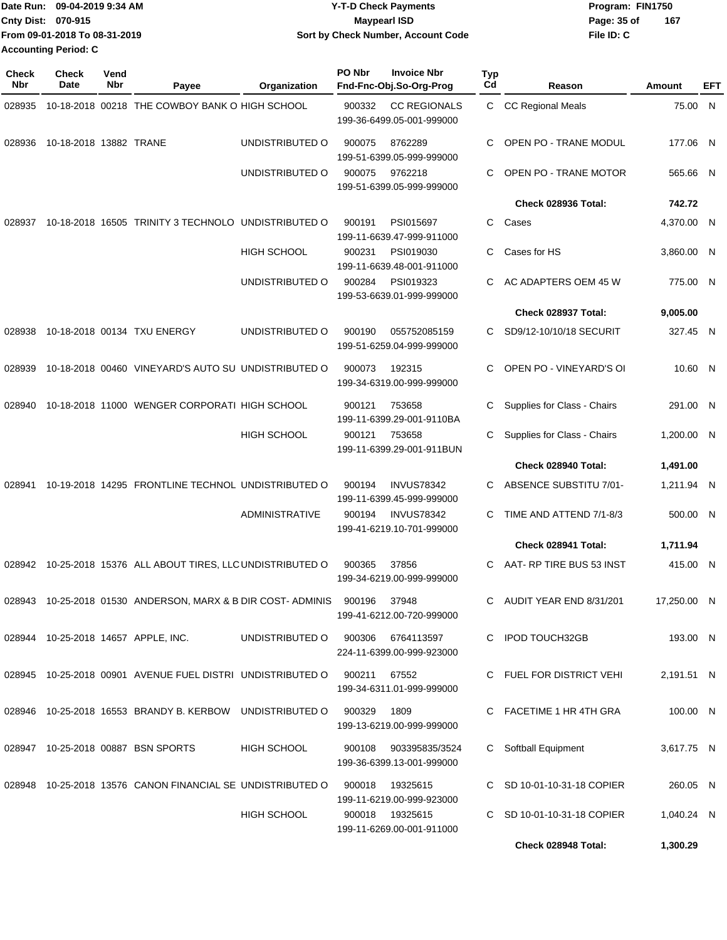| Date Run: 09-04-2019 9:34 AM  | <b>Y-T-D Check Payments</b>        | Program: FIN1750   |  |  |  |
|-------------------------------|------------------------------------|--------------------|--|--|--|
| <b>Cnty Dist: 070-915</b>     | <b>Mavpearl ISD</b>                | 167<br>Page: 35 of |  |  |  |
| From 09-01-2018 To 08-31-2019 | Sort by Check Number, Account Code | File ID: C         |  |  |  |
| Accounting Period: C          |                                    |                    |  |  |  |

| <b>Check</b><br>Nbr | <b>Check</b><br>Date   | Vend<br>Nbr | Payee                                                                   | <b>Organization</b>               | <b>PO Nbr</b> | <b>Invoice Nbr</b><br>Fnd-Fnc-Obj.So-Org-Prog      | Typ<br>Cd | Reason                      | Amount      | EFT |
|---------------------|------------------------|-------------|-------------------------------------------------------------------------|-----------------------------------|---------------|----------------------------------------------------|-----------|-----------------------------|-------------|-----|
| 028935              |                        |             | 10-18-2018 00218 THE COWBOY BANK O HIGH SCHOOL                          |                                   | 900332        | <b>CC REGIONALS</b><br>199-36-6499.05-001-999000   |           | C CC Regional Meals         | 75.00 N     |     |
| 028936              | 10-18-2018 13882 TRANE |             |                                                                         | UNDISTRIBUTED O                   | 900075        | 8762289<br>199-51-6399.05-999-999000               | С         | OPEN PO - TRANE MODUL       | 177.06 N    |     |
|                     |                        |             |                                                                         | UNDISTRIBUTED O                   | 900075        | 9762218<br>199-51-6399.05-999-999000               | С         | OPEN PO - TRANE MOTOR       | 565.66 N    |     |
|                     |                        |             |                                                                         |                                   |               |                                                    |           | Check 028936 Total:         | 742.72      |     |
| 028937              |                        |             | 10-18-2018 16505 TRINITY 3 TECHNOLO UNDISTRIBUTED O                     |                                   | 900191        | PSI015697<br>199-11-6639.47-999-911000             | С         | Cases                       | 4,370.00 N  |     |
|                     |                        |             |                                                                         | <b>HIGH SCHOOL</b>                | 900231        | PSI019030<br>199-11-6639.48-001-911000             | С         | Cases for HS                | 3,860.00 N  |     |
|                     |                        |             |                                                                         | UNDISTRIBUTED O                   | 900284        | PSI019323<br>199-53-6639.01-999-999000             | С         | AC ADAPTERS OEM 45 W        | 775.00 N    |     |
|                     |                        |             |                                                                         |                                   |               |                                                    |           | Check 028937 Total:         | 9,005.00    |     |
| 028938              |                        |             | 10-18-2018 00134 TXU ENERGY                                             | UNDISTRIBUTED O                   | 900190        | 055752085159<br>199-51-6259.04-999-999000          | С         | SD9/12-10/10/18 SECURIT     | 327.45 N    |     |
| 028939              |                        |             | 10-18-2018 00460 VINEYARD'S AUTO SU UNDISTRIBUTED O                     |                                   | 900073        | 192315<br>199-34-6319.00-999-999000                | С         | OPEN PO - VINEYARD'S OI     | 10.60 N     |     |
| 028940              |                        |             | 10-18-2018 11000 WENGER CORPORATI HIGH SCHOOL                           |                                   | 900121        | 753658<br>199-11-6399.29-001-9110BA                | С         | Supplies for Class - Chairs | 291.00 N    |     |
|                     |                        |             |                                                                         | <b>HIGH SCHOOL</b>                | 900121        | 753658<br>199-11-6399.29-001-911BUN                | С         | Supplies for Class - Chairs | 1,200.00 N  |     |
|                     |                        |             |                                                                         |                                   |               |                                                    |           | Check 028940 Total:         | 1,491.00    |     |
| 028941              |                        |             | 10-19-2018 14295 FRONTLINE TECHNOL UNDISTRIBUTED O                      |                                   | 900194        | <b>INVUS78342</b><br>199-11-6399.45-999-999000     | С         | ABSENCE SUBSTITU 7/01-      | 1,211.94 N  |     |
|                     |                        |             |                                                                         | <b>ADMINISTRATIVE</b>             | 900194        | <b>INVUS78342</b><br>199-41-6219.10-701-999000     | С         | TIME AND ATTEND 7/1-8/3     | 500.00 N    |     |
|                     |                        |             |                                                                         |                                   |               |                                                    |           | Check 028941 Total:         | 1,711.94    |     |
|                     |                        |             | 028942 10-25-2018 15376 ALL ABOUT TIRES, LLC UNDISTRIBUTED O            |                                   | 900365        | 37856<br>199-34-6219.00-999-999000                 | C         | AAT- RP TIRE BUS 53 INST    | 415.00 N    |     |
|                     |                        |             | 028943 10-25-2018 01530 ANDERSON, MARX & B DIR COST-ADMINIS             |                                   | 900196        | 37948<br>199-41-6212.00-720-999000                 |           | C AUDIT YEAR END 8/31/201   | 17,250.00 N |     |
|                     |                        |             | 028944 10-25-2018 14657 APPLE, INC.                                     | UNDISTRIBUTED O 900306 6764113597 |               | 224-11-6399.00-999-923000                          |           | C IPOD TOUCH32GB            | 193.00 N    |     |
|                     |                        |             | 028945 10-25-2018 00901 AVENUE FUEL DISTRI UNDISTRIBUTED O 900211 67552 |                                   |               | 199-34-6311.01-999-999000                          |           | C FUEL FOR DISTRICT VEHI    | 2,191.51 N  |     |
|                     |                        |             | 028946 10-25-2018 16553 BRANDY B. KERBOW UNDISTRIBUTED O                |                                   | 900329        | 1809<br>199-13-6219.00-999-999000                  |           | C FACETIME 1 HR 4TH GRA     | 100.00 N    |     |
|                     |                        |             | 028947  10-25-2018  00887  BSN SPORTS                                   | <b>HIGH SCHOOL</b>                |               | 900108 903395835/3524<br>199-36-6399.13-001-999000 |           | C Softball Equipment        | 3,617.75 N  |     |
|                     |                        |             | 028948 10-25-2018 13576 CANON FINANCIAL SE UNDISTRIBUTED O              |                                   | 900018        | 19325615<br>199-11-6219.00-999-923000              |           | C SD 10-01-10-31-18 COPIER  | 260.05 N    |     |
|                     |                        |             |                                                                         | HIGH SCHOOL                       |               | 900018 19325615<br>199-11-6269.00-001-911000       |           | C SD 10-01-10-31-18 COPIER  | 1,040.24 N  |     |
|                     |                        |             |                                                                         |                                   |               |                                                    |           | Check 028948 Total:         | 1,300.29    |     |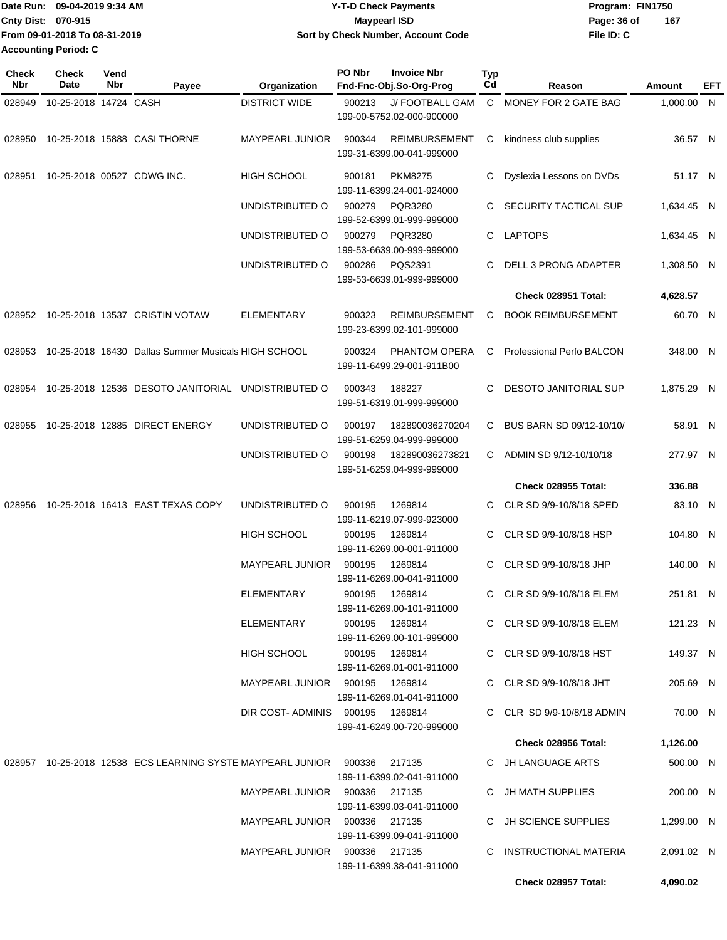|                    | Date Run: 09-04-2019 9:34 AM  | <b>Y-T-D Check Payments</b>        | Program: FIN1750 |     |  |  |
|--------------------|-------------------------------|------------------------------------|------------------|-----|--|--|
| Cnty Dist: 070-915 |                               | <b>Mavpearl ISD</b>                | Page: 36 of      | 167 |  |  |
|                    | From 09-01-2018 To 08-31-2019 | Sort by Check Number, Account Code | File ID: C       |     |  |  |
|                    | <b>Accounting Period: C</b>   |                                    |                  |     |  |  |

| Check<br>Nbr | <b>Check</b><br><b>Date</b> | Vend<br>Nbr | Payee                                                                      | Organization                    | PO Nbr | <b>Invoice Nbr</b><br>Fnd-Fnc-Obj.So-Org-Prog     | Typ<br>Cd    | Reason                       | Amount     | EFT |
|--------------|-----------------------------|-------------|----------------------------------------------------------------------------|---------------------------------|--------|---------------------------------------------------|--------------|------------------------------|------------|-----|
| 028949       | 10-25-2018 14724 CASH       |             |                                                                            | <b>DISTRICT WIDE</b>            | 900213 | J/ FOOTBALL GAM<br>199-00-5752.02-000-900000      | $\mathsf{C}$ | MONEY FOR 2 GATE BAG         | 1,000.00 N |     |
| 028950       |                             |             | 10-25-2018 15888 CASI THORNE                                               | <b>MAYPEARL JUNIOR</b>          | 900344 | <b>REIMBURSEMENT</b><br>199-31-6399.00-041-999000 | С            | kindness club supplies       | 36.57 N    |     |
| 028951       |                             |             | 10-25-2018 00527 CDWG INC.                                                 | <b>HIGH SCHOOL</b>              | 900181 | <b>PKM8275</b><br>199-11-6399.24-001-924000       | С            | Dyslexia Lessons on DVDs     | 51.17 N    |     |
|              |                             |             |                                                                            | UNDISTRIBUTED O                 | 900279 | PQR3280<br>199-52-6399.01-999-999000              | С            | SECURITY TACTICAL SUP        | 1,634.45 N |     |
|              |                             |             |                                                                            | UNDISTRIBUTED O                 | 900279 | <b>PQR3280</b><br>199-53-6639.00-999-999000       | С            | <b>LAPTOPS</b>               | 1.634.45 N |     |
|              |                             |             |                                                                            | UNDISTRIBUTED O                 | 900286 | PQS2391<br>199-53-6639.01-999-999000              | С            | DELL 3 PRONG ADAPTER         | 1,308.50 N |     |
|              |                             |             |                                                                            |                                 |        |                                                   |              | Check 028951 Total:          | 4,628.57   |     |
|              |                             |             | 028952 10-25-2018 13537 CRISTIN VOTAW                                      | <b>ELEMENTARY</b>               | 900323 | <b>REIMBURSEMENT</b><br>199-23-6399.02-101-999000 | С            | <b>BOOK REIMBURSEMENT</b>    | 60.70 N    |     |
| 028953       |                             |             | 10-25-2018 16430 Dallas Summer Musicals HIGH SCHOOL                        |                                 | 900324 | PHANTOM OPERA<br>199-11-6499.29-001-911B00        | C            | Professional Perfo BALCON    | 348.00 N   |     |
| 028954       |                             |             | 10-25-2018 12536 DESOTO JANITORIAL UNDISTRIBUTED O                         |                                 | 900343 | 188227<br>199-51-6319.01-999-999000               | С            | <b>DESOTO JANITORIAL SUP</b> | 1,875.29 N |     |
| 028955       |                             |             | 10-25-2018 12885 DIRECT ENERGY                                             | UNDISTRIBUTED O                 | 900197 | 182890036270204<br>199-51-6259.04-999-999000      | С            | BUS BARN SD 09/12-10/10/     | 58.91 N    |     |
|              |                             |             |                                                                            | UNDISTRIBUTED O                 | 900198 | 182890036273821<br>199-51-6259.04-999-999000      | С            | ADMIN SD 9/12-10/10/18       | 277.97 N   |     |
|              |                             |             |                                                                            |                                 |        |                                                   |              | Check 028955 Total:          | 336.88     |     |
| 028956       |                             |             | 10-25-2018 16413 EAST TEXAS COPY                                           | UNDISTRIBUTED O                 | 900195 | 1269814<br>199-11-6219.07-999-923000              | С            | CLR SD 9/9-10/8/18 SPED      | 83.10 N    |     |
|              |                             |             |                                                                            | <b>HIGH SCHOOL</b>              | 900195 | 1269814<br>199-11-6269.00-001-911000              | C            | CLR SD 9/9-10/8/18 HSP       | 104.80 N   |     |
|              |                             |             |                                                                            | <b>MAYPEARL JUNIOR</b>          | 900195 | 1269814<br>199-11-6269.00-041-911000              | C.           | CLR SD 9/9-10/8/18 JHP       | 140.00 N   |     |
|              |                             |             |                                                                            | ELEMENTARY                      | 900195 | 1269814<br>199-11-6269.00-101-911000              | C.           | CLR SD 9/9-10/8/18 ELEM      | 251.81 N   |     |
|              |                             |             |                                                                            | ELEMENTARY                      |        | 900195 1269814<br>199-11-6269.00-101-999000       |              | C CLR SD 9/9-10/8/18 ELEM    | 121.23 N   |     |
|              |                             |             |                                                                            | HIGH SCHOOL                     |        | 900195 1269814<br>199-11-6269.01-001-911000       |              | C CLR SD 9/9-10/8/18 HST     | 149.37 N   |     |
|              |                             |             |                                                                            | MAYPEARL JUNIOR 900195 1269814  |        | 199-11-6269.01-041-911000                         |              | C CLR SD 9/9-10/8/18 JHT     | 205.69 N   |     |
|              |                             |             |                                                                            | DIR COST-ADMINIS 900195 1269814 |        | 199-41-6249.00-720-999000                         |              | C CLR SD 9/9-10/8/18 ADMIN   | 70.00 N    |     |
|              |                             |             |                                                                            |                                 |        |                                                   |              | <b>Check 028956 Total:</b>   | 1,126.00   |     |
|              |                             |             | 028957 10-25-2018 12538 ECS LEARNING SYSTE MAYPEARL JUNIOR  900336  217135 |                                 |        | 199-11-6399.02-041-911000                         |              | C JH LANGUAGE ARTS           | 500.00 N   |     |
|              |                             |             |                                                                            | MAYPEARL JUNIOR 900336 217135   |        | 199-11-6399.03-041-911000                         |              | C JH MATH SUPPLIES           | 200.00 N   |     |
|              |                             |             |                                                                            | MAYPEARL JUNIOR 900336 217135   |        | 199-11-6399.09-041-911000                         |              | C JH SCIENCE SUPPLIES        | 1,299.00 N |     |
|              |                             |             |                                                                            | MAYPEARL JUNIOR 900336 217135   |        | 199-11-6399.38-041-911000                         |              | C INSTRUCTIONAL MATERIA      | 2,091.02 N |     |
|              |                             |             |                                                                            |                                 |        |                                                   |              | Check 028957 Total:          | 4,090.02   |     |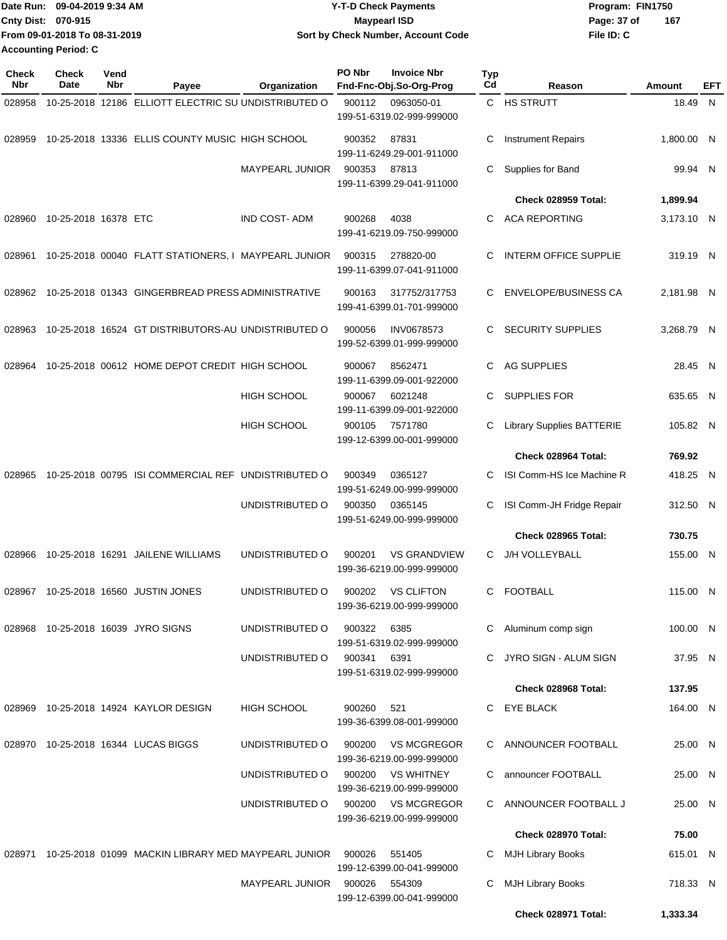| Date Run: 09-04-2019 9:34 AM  | <b>Y-T-D Check Payments</b>        | Program: FIN1750 |       |
|-------------------------------|------------------------------------|------------------|-------|
| <b>Cnty Dist: 070-915</b>     | <b>Mavpearl ISD</b>                | Page: 37 of      | - 167 |
| From 09-01-2018 To 08-31-2019 | Sort by Check Number, Account Code | File ID: C       |       |
| <b>Accounting Period: C</b>   |                                    |                  |       |

| <b>Check</b><br>Nbr | <b>Check</b><br>Date | Vend<br>Nbr | Payee                                                | Organization           | PO Nbr           | <b>Invoice Nbr</b><br>Fnd-Fnc-Obj.So-Org-Prog    | Typ<br>Cd | Reason                                               | <b>Amount</b>        | EFT |
|---------------------|----------------------|-------------|------------------------------------------------------|------------------------|------------------|--------------------------------------------------|-----------|------------------------------------------------------|----------------------|-----|
| 028958              |                      |             | 10-25-2018 12186 ELLIOTT ELECTRIC SU UNDISTRIBUTED O |                        | 900112           | 0963050-01<br>199-51-6319.02-999-999000          |           | C HS STRUTT                                          | 18.49 N              |     |
| 028959              |                      |             | 10-25-2018 13336 ELLIS COUNTY MUSIC HIGH SCHOOL      |                        | 900352           | 87831<br>199-11-6249.29-001-911000               | С         | <b>Instrument Repairs</b>                            | 1,800.00 N           |     |
|                     |                      |             |                                                      | <b>MAYPEARL JUNIOR</b> | 900353           | 87813<br>199-11-6399.29-041-911000               | С         | Supplies for Band                                    | 99.94 N              |     |
|                     |                      |             |                                                      |                        |                  |                                                  |           | Check 028959 Total:                                  | 1,899.94             |     |
| 028960              | 10-25-2018 16378 ETC |             |                                                      | <b>IND COST-ADM</b>    | 900268           | 4038<br>199-41-6219.09-750-999000                | C         | <b>ACA REPORTING</b>                                 | 3,173.10 N           |     |
| 028961              |                      |             | 10-25-2018 00040 FLATT STATIONERS, I MAYPEARL JUNIOR |                        | 900315           | 278820-00<br>199-11-6399.07-041-911000           | C         | INTERM OFFICE SUPPLIE                                | 319.19 N             |     |
| 028962              |                      |             | 10-25-2018 01343 GINGERBREAD PRESS ADMINISTRATIVE    |                        | 900163           | 317752/317753<br>199-41-6399.01-701-999000       | C.        | <b>ENVELOPE/BUSINESS CA</b>                          | 2,181.98 N           |     |
| 028963              |                      |             | 10-25-2018 16524 GT DISTRIBUTORS-AU UNDISTRIBUTED O  |                        | 900056           | <b>INV0678573</b><br>199-52-6399.01-999-999000   | C.        | <b>SECURITY SUPPLIES</b>                             | 3.268.79 N           |     |
| 028964              |                      |             | 10-25-2018 00612 HOME DEPOT CREDIT HIGH SCHOOL       |                        | 900067           | 8562471<br>199-11-6399.09-001-922000             | C         | <b>AG SUPPLIES</b>                                   | 28.45 N              |     |
|                     |                      |             |                                                      | HIGH SCHOOL            | 900067           | 6021248<br>199-11-6399.09-001-922000             | C         | <b>SUPPLIES FOR</b>                                  | 635.65 N             |     |
|                     |                      |             |                                                      | <b>HIGH SCHOOL</b>     | 900105           | 7571780<br>199-12-6399.00-001-999000             | С         | <b>Library Supplies BATTERIE</b>                     | 105.82 N             |     |
|                     |                      |             |                                                      |                        |                  |                                                  |           | Check 028964 Total:                                  | 769.92               |     |
| 028965              |                      |             | 10-25-2018 00795 ISI COMMERCIAL REF UNDISTRIBUTED O  |                        | 900349           | 0365127<br>199-51-6249.00-999-999000             | C.        | ISI Comm-HS Ice Machine R                            | 418.25 N             |     |
|                     |                      |             |                                                      | UNDISTRIBUTED O        | 900350           | 0365145<br>199-51-6249.00-999-999000             | С         | ISI Comm-JH Fridge Repair<br>Check 028965 Total:     | 312.50 N<br>730.75   |     |
|                     |                      |             |                                                      |                        |                  |                                                  |           |                                                      |                      |     |
| 028966              |                      |             | 10-25-2018 16291 JAILENE WILLIAMS                    | UNDISTRIBUTED O        | 900201           | <b>VS GRANDVIEW</b><br>199-36-6219.00-999-999000 | C.        | J/H VOLLEYBALL                                       | 155.00 N             |     |
|                     |                      |             | 028967 10-25-2018 16560 JUSTIN JONES                 | UNDISTRIBUTED O        | 900202           | <b>VS CLIFTON</b><br>199-36-6219.00-999-999000   | C         | <b>FOOTBALL</b>                                      | 115.00 N             |     |
|                     |                      |             | 028968 10-25-2018 16039 JYRO SIGNS                   | UNDISTRIBUTED O        | 900322           | 6385<br>199-51-6319.02-999-999000                | C.        | Aluminum comp sign                                   | 100.00 N             |     |
|                     |                      |             |                                                      | UNDISTRIBUTED O        | 900341           | 6391<br>199-51-6319.02-999-999000                | C         | JYRO SIGN - ALUM SIGN                                | 37.95 N              |     |
|                     |                      |             |                                                      |                        |                  |                                                  |           | Check 028968 Total:                                  | 137.95               |     |
| 028969              |                      |             | 10-25-2018 14924 KAYLOR DESIGN                       | <b>HIGH SCHOOL</b>     | 900260           | 521<br>199-36-6399.08-001-999000                 |           | C EYE BLACK                                          | 164.00 N             |     |
|                     |                      |             | 028970 10-25-2018 16344 LUCAS BIGGS                  | UNDISTRIBUTED O        | 900200           | <b>VS MCGREGOR</b><br>199-36-6219.00-999-999000  |           | C ANNOUNCER FOOTBALL                                 | 25.00 N              |     |
|                     |                      |             |                                                      | UNDISTRIBUTED O        | 900200           | <b>VS WHITNEY</b><br>199-36-6219.00-999-999000   | C.        | announcer FOOTBALL                                   | 25.00 N              |     |
|                     |                      |             |                                                      | UNDISTRIBUTED O        | 900200           | <b>VS MCGREGOR</b><br>199-36-6219.00-999-999000  | C.        | ANNOUNCER FOOTBALL J                                 | 25.00 N              |     |
|                     |                      |             |                                                      |                        |                  |                                                  |           | Check 028970 Total:                                  | 75.00                |     |
| 028971              |                      |             | 10-25-2018 01099 MACKIN LIBRARY MED MAYPEARL JUNIOR  | <b>MAYPEARL JUNIOR</b> | 900026<br>900026 | 551405<br>199-12-6399.00-041-999000<br>554309    | C<br>C    | <b>MJH Library Books</b><br><b>MJH Library Books</b> | 615.01 N<br>718.33 N |     |
|                     |                      |             |                                                      |                        |                  | 199-12-6399.00-041-999000                        |           |                                                      |                      |     |
|                     |                      |             |                                                      |                        |                  |                                                  |           | Check 028971 Total:                                  | 1,333.34             |     |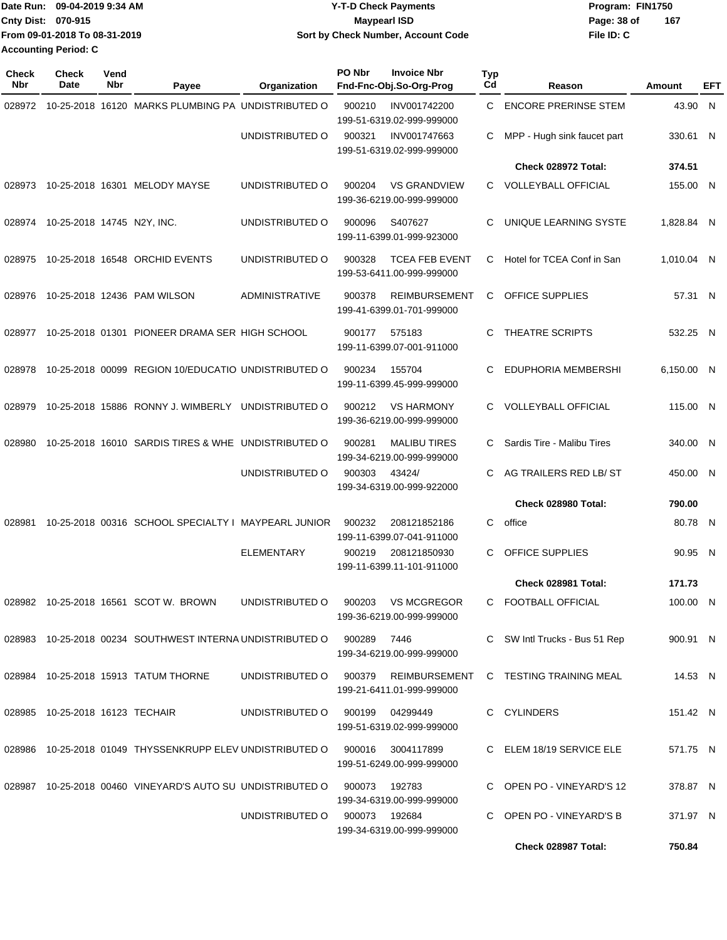|                             | Date Run: 09-04-2019 9:34 AM  | <b>Y-T-D Check Payments</b>        | Program: FIN1750 |     |
|-----------------------------|-------------------------------|------------------------------------|------------------|-----|
| Cnty Dist: 070-915          |                               | <b>Mavpearl ISD</b>                | Page: 38 of      | 167 |
|                             | From 09-01-2018 To 08-31-2019 | Sort by Check Number, Account Code | File ID: C       |     |
| <b>Accounting Period: C</b> |                               |                                    |                  |     |

| <b>Check</b><br>Nbr | <b>Check</b><br><b>Date</b>     | Vend<br>Nbr | Payee                                                                            | Organization                  | PO Nbr<br><b>Invoice Nbr</b><br>Fnd-Fnc-Obj.So-Org-Prog                                                  | Typ<br>Cd | Reason                                | Amount     | EFT |
|---------------------|---------------------------------|-------------|----------------------------------------------------------------------------------|-------------------------------|----------------------------------------------------------------------------------------------------------|-----------|---------------------------------------|------------|-----|
| 028972              |                                 |             | 10-25-2018 16120 MARKS PLUMBING PA UNDISTRIBUTED O                               |                               | 900210<br>INV001742200<br>199-51-6319.02-999-999000                                                      | С         | <b>ENCORE PRERINSE STEM</b>           | 43.90 N    |     |
|                     |                                 |             |                                                                                  | UNDISTRIBUTED O               | 900321<br>INV001747663<br>199-51-6319.02-999-999000                                                      | С         | MPP - Hugh sink faucet part           | 330.61 N   |     |
|                     |                                 |             |                                                                                  |                               |                                                                                                          |           | Check 028972 Total:                   | 374.51     |     |
| 028973              |                                 |             | 10-25-2018 16301 MELODY MAYSE                                                    | UNDISTRIBUTED O               | 900204<br><b>VS GRANDVIEW</b><br>199-36-6219.00-999-999000                                               | C         | <b>VOLLEYBALL OFFICIAL</b>            | 155.00 N   |     |
| 028974              | 10-25-2018 14745 N2Y, INC.      |             |                                                                                  | UNDISTRIBUTED O               | 900096<br>S407627<br>199-11-6399.01-999-923000                                                           | С         | UNIQUE LEARNING SYSTE                 | 1,828.84 N |     |
| 028975              |                                 |             | 10-25-2018 16548 ORCHID EVENTS                                                   | UNDISTRIBUTED O               | 900328<br><b>TCEA FEB EVENT</b><br>199-53-6411.00-999-999000                                             | С         | Hotel for TCEA Conf in San            | 1,010.04 N |     |
| 028976              |                                 |             | 10-25-2018 12436 PAM WILSON                                                      | ADMINISTRATIVE                | 900378<br><b>REIMBURSEMENT</b><br>199-41-6399.01-701-999000                                              | С         | <b>OFFICE SUPPLIES</b>                | 57.31 N    |     |
| 028977              |                                 |             | 10-25-2018 01301 PIONEER DRAMA SER HIGH SCHOOL                                   |                               | 575183<br>900177<br>199-11-6399.07-001-911000                                                            | C         | THEATRE SCRIPTS                       | 532.25 N   |     |
| 028978              |                                 |             | 10-25-2018 00099 REGION 10/EDUCATIO UNDISTRIBUTED O                              |                               | 900234<br>155704<br>199-11-6399.45-999-999000                                                            | С         | EDUPHORIA MEMBERSHI                   | 6,150.00 N |     |
| 028979              |                                 |             | 10-25-2018 15886 RONNY J. WIMBERLY UNDISTRIBUTED O                               |                               | 900212<br><b>VS HARMONY</b><br>199-36-6219.00-999-999000                                                 | C         | <b>VOLLEYBALL OFFICIAL</b>            | 115.00 N   |     |
| 028980              |                                 |             | 10-25-2018 16010 SARDIS TIRES & WHE UNDISTRIBUTED O                              |                               | 900281<br><b>MALIBU TIRES</b><br>199-34-6219.00-999-999000                                               | C         | Sardis Tire - Malibu Tires            | 340.00 N   |     |
|                     |                                 |             |                                                                                  | UNDISTRIBUTED O               | 900303<br>43424/<br>199-34-6319.00-999-922000                                                            | С         | AG TRAILERS RED LB/ ST                | 450.00 N   |     |
|                     |                                 |             |                                                                                  |                               |                                                                                                          |           | Check 028980 Total:                   | 790.00     |     |
| 028981              |                                 |             | 10-25-2018 00316 SCHOOL SPECIALTY I MAYPEARL JUNIOR                              |                               | 900232<br>208121852186<br>199-11-6399.07-041-911000                                                      | С         | office                                | 80.78 N    |     |
|                     |                                 |             |                                                                                  | <b>ELEMENTARY</b>             | 900219<br>208121850930<br>199-11-6399.11-101-911000                                                      | С         | OFFICE SUPPLIES                       | 90.95 N    |     |
|                     |                                 |             |                                                                                  |                               |                                                                                                          |           | Check 028981 Total:                   | 171.73     |     |
|                     |                                 |             | 028982 10-25-2018 16561 SCOT W. BROWN                                            |                               | UNDISTRIBUTED O 900203 VS MCGREGOR<br>199-36-6219.00-999-999000                                          |           | C FOOTBALL OFFICIAL                   | 100.00 N   |     |
|                     |                                 |             | 028983  10-25-2018  00234  SOUTHWEST INTERNA UNDISTRIBUTED O  900289             |                               | 7446<br>199-34-6219.00-999-999000                                                                        |           | C SW Intl Trucks - Bus 51 Rep         | 900.91 N   |     |
|                     |                                 |             | 028984 10-25-2018 15913 TATUM THORNE                                             | UNDISTRIBUTED O 900379        | 199-21-6411.01-999-999000                                                                                |           | REIMBURSEMENT C TESTING TRAINING MEAL | 14.53 N    |     |
|                     | 028985 10-25-2018 16123 TECHAIR |             |                                                                                  | UNDISTRIBUTED O               | 900199<br>04299449<br>199-51-6319.02-999-999000                                                          |           | C CYLINDERS                           | 151.42 N   |     |
|                     |                                 |             |                                                                                  |                               | 028986 10-25-2018 01049 THYSSENKRUPP ELEV UNDISTRIBUTED O 900016 3004117899<br>199-51-6249.00-999-999000 |           | C ELEM 18/19 SERVICE ELE              | 571.75 N   |     |
|                     |                                 |             | 028987  10-25-2018  00460  VINEYARD'S  AUTO SU UNDISTRIBUTED   0  900073  192783 |                               | 199-34-6319.00-999-999000                                                                                |           | C OPEN PO - VINEYARD'S 12             | 378.87 N   |     |
|                     |                                 |             |                                                                                  | UNDISTRIBUTED 0 900073 192684 | 199-34-6319.00-999-999000                                                                                |           | C OPEN PO - VINEYARD'S B              | 371.97 N   |     |
|                     |                                 |             |                                                                                  |                               |                                                                                                          |           | Check 028987 Total:                   | 750.84     |     |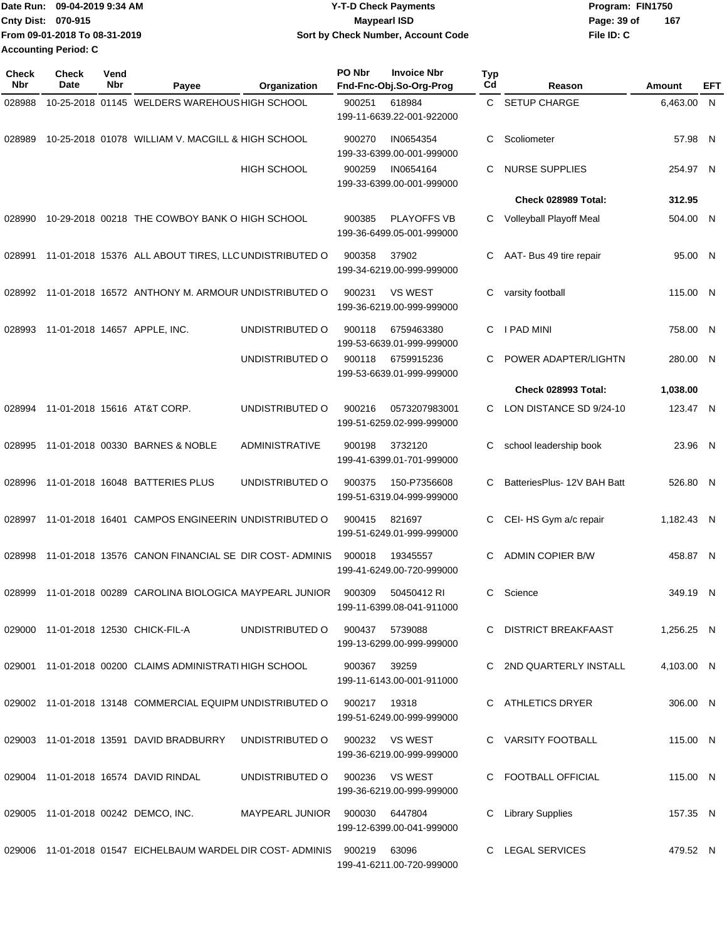|                             | Date Run: 09-04-2019 9:34 AM  | <b>Y-T-D Check Payments</b>        | Program: FIN1750 |     |
|-----------------------------|-------------------------------|------------------------------------|------------------|-----|
| Cnty Dist: 070-915          |                               | <b>Maypearl ISD</b>                | Page: 39 of      | 167 |
|                             | From 09-01-2018 To 08-31-2019 | Sort by Check Number, Account Code | File ID: C       |     |
| <b>Accounting Period: C</b> |                               |                                    |                  |     |

**PO Nbr Invoice Nbr**

| <b>Check</b><br>Nbr | Check<br>Date | Vend<br>Nbr | Payee                                                             | Organization                     | PO Nbr       | <b>Invoice Nbr</b><br>Fnd-Fnc-Obj.So-Org-Prog   | <b>Typ</b><br>$_{\rm Cd}$ | Reason                      | <b>Amount</b> | EFT |
|---------------------|---------------|-------------|-------------------------------------------------------------------|----------------------------------|--------------|-------------------------------------------------|---------------------------|-----------------------------|---------------|-----|
| 028988              |               |             | 10-25-2018 01145 WELDERS WAREHOUS HIGH SCHOOL                     |                                  | 900251       | 618984                                          | C.                        | <b>SETUP CHARGE</b>         | 6,463.00 N    |     |
|                     |               |             |                                                                   |                                  |              | 199-11-6639.22-001-922000                       |                           |                             |               |     |
| 028989              |               |             | 10-25-2018 01078 WILLIAM V. MACGILL & HIGH SCHOOL                 |                                  | 900270       | IN0654354<br>199-33-6399.00-001-999000          | C                         | Scoliometer                 | 57.98 N       |     |
|                     |               |             |                                                                   | <b>HIGH SCHOOL</b>               | 900259       | IN0654164<br>199-33-6399.00-001-999000          | C                         | <b>NURSE SUPPLIES</b>       | 254.97 N      |     |
|                     |               |             |                                                                   |                                  |              |                                                 |                           | Check 028989 Total:         | 312.95        |     |
| 028990              |               |             | 10-29-2018 00218 THE COWBOY BANK O HIGH SCHOOL                    |                                  | 900385       | <b>PLAYOFFS VB</b><br>199-36-6499.05-001-999000 | C                         | Volleyball Playoff Meal     | 504.00 N      |     |
| 028991              |               |             | 11-01-2018 15376 ALL ABOUT TIRES, LLC UNDISTRIBUTED O             |                                  | 900358       | 37902<br>199-34-6219.00-999-999000              | C                         | AAT- Bus 49 tire repair     | 95.00 N       |     |
| 028992              |               |             | 11-01-2018 16572 ANTHONY M. ARMOUR UNDISTRIBUTED O                |                                  | 900231       | <b>VS WEST</b><br>199-36-6219.00-999-999000     | С                         | varsity football            | 115.00 N      |     |
| 028993              |               |             | 11-01-2018 14657 APPLE, INC.                                      | UNDISTRIBUTED O                  | 900118       | 6759463380<br>199-53-6639.01-999-999000         | C                         | I PAD MINI                  | 758.00 N      |     |
|                     |               |             |                                                                   | UNDISTRIBUTED O                  | 900118       | 6759915236<br>199-53-6639.01-999-999000         | C.                        | POWER ADAPTER/LIGHTN        | 280.00 N      |     |
|                     |               |             |                                                                   |                                  |              |                                                 |                           | Check 028993 Total:         | 1,038.00      |     |
| 028994              |               |             | 11-01-2018 15616 AT&T CORP.                                       | UNDISTRIBUTED O                  | 900216       | 0573207983001<br>199-51-6259.02-999-999000      | C.                        | LON DISTANCE SD 9/24-10     | 123.47 N      |     |
| 028995              |               |             | 11-01-2018 00330 BARNES & NOBLE                                   | ADMINISTRATIVE                   | 900198       | 3732120<br>199-41-6399.01-701-999000            | C                         | school leadership book      | 23.96 N       |     |
| 028996              |               |             | 11-01-2018 16048 BATTERIES PLUS                                   | UNDISTRIBUTED O                  | 900375       | 150-P7356608<br>199-51-6319.04-999-999000       | C                         | BatteriesPlus- 12V BAH Batt | 526.80 N      |     |
| 028997              |               |             | 11-01-2018 16401 CAMPOS ENGINEERIN UNDISTRIBUTED O                |                                  | 900415       | 821697<br>199-51-6249.01-999-999000             | C                         | CEI-HS Gym a/c repair       | 1,182.43 N    |     |
| 028998              |               |             | 11-01-2018 13576 CANON FINANCIAL SE DIR COST-ADMINIS              |                                  | 900018       | 19345557<br>199-41-6249.00-720-999000           | C                         | <b>ADMIN COPIER B/W</b>     | 458.87 N      |     |
| 028999              |               |             | 11-01-2018 00289 CAROLINA BIOLOGICA MAYPEARL JUNIOR               |                                  | 900309       | 50450412 RI<br>199-11-6399.08-041-911000        | C                         | Science                     | 349.19 N      |     |
|                     |               |             | 029000 11-01-2018 12530 CHICK-FIL-A                               | UNDISTRIBUTED O                  |              | 900437 5739088<br>199-13-6299.00-999-999000     |                           | C DISTRICT BREAKFAAST       | 1,256.25 N    |     |
|                     |               |             | 029001 11-01-2018 00200 CLAIMS ADMINISTRATI HIGH SCHOOL           |                                  | 900367       | 39259<br>199-11-6143.00-001-911000              |                           | C 2ND QUARTERLY INSTALL     | 4,103.00 N    |     |
|                     |               |             | 029002 11-01-2018 13148 COMMERCIAL EQUIPM UNDISTRIBUTED O         |                                  | 900217 19318 | 199-51-6249.00-999-999000                       |                           | C ATHLETICS DRYER           | 306.00 N      |     |
|                     |               |             | 029003 11-01-2018 13591 DAVID BRADBURRY                           | UNDISTRIBUTED O                  |              | 900232 VS WEST<br>199-36-6219.00-999-999000     |                           | C VARSITY FOOTBALL          | 115.00 N      |     |
|                     |               |             | 029004 11-01-2018 16574 DAVID RINDAL                              | UNDISTRIBUTED O                  |              | 900236 VS WEST<br>199-36-6219.00-999-999000     |                           | C FOOTBALL OFFICIAL         | 115.00 N      |     |
|                     |               |             | 029005 11-01-2018 00242 DEMCO, INC.                               | MAYPEARL JUNIOR  900030  6447804 |              | 199-12-6399.00-041-999000                       | C                         | <b>Library Supplies</b>     | 157.35 N      |     |
|                     |               |             | 029006 11-01-2018 01547 EICHELBAUM WARDEL DIR COST-ADMINIS 900219 |                                  |              | 63096<br>199-41-6211.00-720-999000              |                           | C LEGAL SERVICES            | 479.52 N      |     |
|                     |               |             |                                                                   |                                  |              |                                                 |                           |                             |               |     |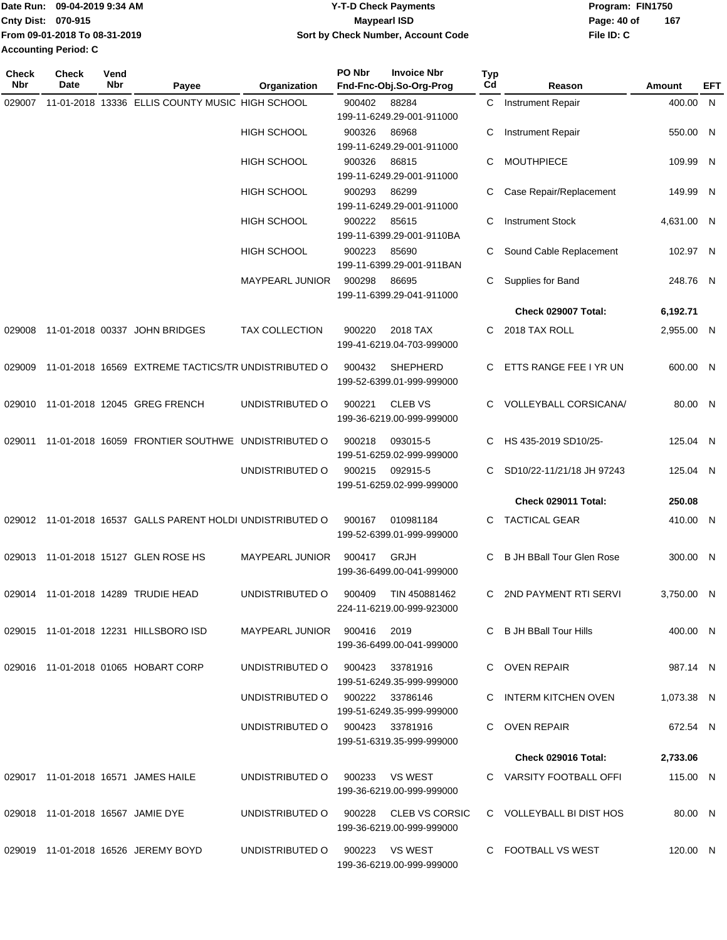|                             | TDate Run: 09-04-2019 9:34 AM | <b>Y-T-D Check Payments</b>        | Program: FIN1750 |     |
|-----------------------------|-------------------------------|------------------------------------|------------------|-----|
| <b>Cnty Dist: 070-915</b>   |                               | Maypearl ISD                       | Page: 40 of      | 167 |
|                             | From 09-01-2018 To 08-31-2019 | Sort by Check Number, Account Code | File ID: C       |     |
| <b>Accounting Period: C</b> |                               |                                    |                  |     |

**PO Nbr Invoice Nbr**

| <b>Check</b><br><b>Nbr</b> | Check<br>Date                     | Vend<br>Nbr | Payee                                                      | Organization                    | PO Nbr | <b>Invoice Nbr</b><br>Fnd-Fnc-Obj.So-Org-Prog      | Typ<br>$_{\rm Cd}$ | Reason                           | <b>Amount</b> | EFT |
|----------------------------|-----------------------------------|-------------|------------------------------------------------------------|---------------------------------|--------|----------------------------------------------------|--------------------|----------------------------------|---------------|-----|
| 029007                     |                                   |             | 11-01-2018 13336 ELLIS COUNTY MUSIC HIGH SCHOOL            |                                 | 900402 | 88284<br>199-11-6249.29-001-911000                 |                    | C Instrument Repair              | 400.00 N      |     |
|                            |                                   |             |                                                            | <b>HIGH SCHOOL</b>              | 900326 | 86968<br>199-11-6249.29-001-911000                 | С                  | Instrument Repair                | 550.00 N      |     |
|                            |                                   |             |                                                            | <b>HIGH SCHOOL</b>              | 900326 | 86815<br>199-11-6249.29-001-911000                 | C                  | <b>MOUTHPIECE</b>                | 109.99 N      |     |
|                            |                                   |             |                                                            | <b>HIGH SCHOOL</b>              | 900293 | 86299<br>199-11-6249.29-001-911000                 | С                  | Case Repair/Replacement          | 149.99 N      |     |
|                            |                                   |             |                                                            | <b>HIGH SCHOOL</b>              | 900222 | 85615<br>199-11-6399.29-001-9110BA                 | С                  | <b>Instrument Stock</b>          | 4,631.00 N    |     |
|                            |                                   |             |                                                            | <b>HIGH SCHOOL</b>              | 900223 | 85690<br>199-11-6399.29-001-911BAN                 |                    | Sound Cable Replacement          | 102.97 N      |     |
|                            |                                   |             |                                                            | <b>MAYPEARL JUNIOR</b>          | 900298 | 86695<br>199-11-6399.29-041-911000                 | C                  | Supplies for Band                | 248.76 N      |     |
|                            |                                   |             |                                                            |                                 |        |                                                    |                    | Check 029007 Total:              | 6,192.71      |     |
| 029008                     |                                   |             | 11-01-2018 00337 JOHN BRIDGES                              | <b>TAX COLLECTION</b>           | 900220 | 2018 TAX<br>199-41-6219.04-703-999000              | C                  | 2018 TAX ROLL                    | 2,955.00 N    |     |
| 029009                     |                                   |             | 11-01-2018 16569 EXTREME TACTICS/TR UNDISTRIBUTED O        |                                 | 900432 | <b>SHEPHERD</b><br>199-52-6399.01-999-999000       | C                  | ETTS RANGE FEE I YR UN           | 600.00 N      |     |
|                            |                                   |             | 029010 11-01-2018 12045 GREG FRENCH                        | UNDISTRIBUTED O                 | 900221 | <b>CLEB VS</b><br>199-36-6219.00-999-999000        |                    | VOLLEYBALL CORSICANA/            | 80.00 N       |     |
| 029011                     |                                   |             | 11-01-2018 16059 FRONTIER SOUTHWE UNDISTRIBUTED O          |                                 | 900218 | 093015-5<br>199-51-6259.02-999-999000              | C                  | HS 435-2019 SD10/25-             | 125.04 N      |     |
|                            |                                   |             |                                                            | UNDISTRIBUTED O                 | 900215 | 092915-5<br>199-51-6259.02-999-999000              | C                  | SD10/22-11/21/18 JH 97243        | 125.04 N      |     |
|                            |                                   |             |                                                            |                                 |        |                                                    |                    | Check 029011 Total:              | 250.08        |     |
|                            |                                   |             | 029012 11-01-2018 16537 GALLS PARENT HOLDI UNDISTRIBUTED O |                                 | 900167 | 010981184<br>199-52-6399.01-999-999000             | C                  | <b>TACTICAL GEAR</b>             | 410.00 N      |     |
|                            |                                   |             | 029013 11-01-2018 15127 GLEN ROSE HS                       | <b>MAYPEARL JUNIOR</b>          | 900417 | GRJH<br>199-36-6499.00-041-999000                  |                    | <b>B JH BBall Tour Glen Rose</b> | 300.00 N      |     |
|                            |                                   |             | 029014 11-01-2018 14289 TRUDIE HEAD                        | UNDISTRIBUTED O                 | 900409 | TIN 450881462<br>224-11-6219.00-999-923000         | C.                 | 2ND PAYMENT RTI SERVI            | 3,750.00 N    |     |
|                            |                                   |             | 029015 11-01-2018 12231 HILLSBORO ISD                      | MAYPEARL JUNIOR 900416 2019     |        | 199-36-6499.00-041-999000                          |                    | C B JH BBall Tour Hills          | 400.00 N      |     |
|                            |                                   |             | 029016 11-01-2018 01065 HOBART CORP                        | UNDISTRIBUTED O                 | 900423 | 33781916<br>199-51-6249.35-999-999000              |                    | C OVEN REPAIR                    | 987.14 N      |     |
|                            |                                   |             |                                                            | UNDISTRIBUTED O                 |        | 900222 33786146<br>199-51-6249.35-999-999000       |                    | C INTERM KITCHEN OVEN            | 1,073.38 N    |     |
|                            |                                   |             |                                                            | UNDISTRIBUTED O 900423 33781916 |        | 199-51-6319.35-999-999000                          |                    | C OVEN REPAIR                    | 672.54 N      |     |
|                            |                                   |             |                                                            |                                 |        |                                                    |                    | Check 029016 Total:              | 2,733.06      |     |
|                            |                                   |             | 029017 11-01-2018 16571 JAMES HAILE                        | UNDISTRIBUTED O                 |        | 900233 VS WEST<br>199-36-6219.00-999-999000        |                    | C VARSITY FOOTBALL OFFI          | 115.00 N      |     |
|                            | 029018 11-01-2018 16567 JAMIE DYE |             |                                                            | UNDISTRIBUTED O                 |        | 900228 CLEB VS CORSIC<br>199-36-6219.00-999-999000 |                    | C VOLLEYBALL BI DIST HOS         | 80.00 N       |     |
|                            |                                   |             | 029019 11-01-2018 16526 JEREMY BOYD                        | UNDISTRIBUTED O                 |        | 900223 VS WEST<br>199-36-6219.00-999-999000        |                    | C FOOTBALL VS WEST               | 120.00 N      |     |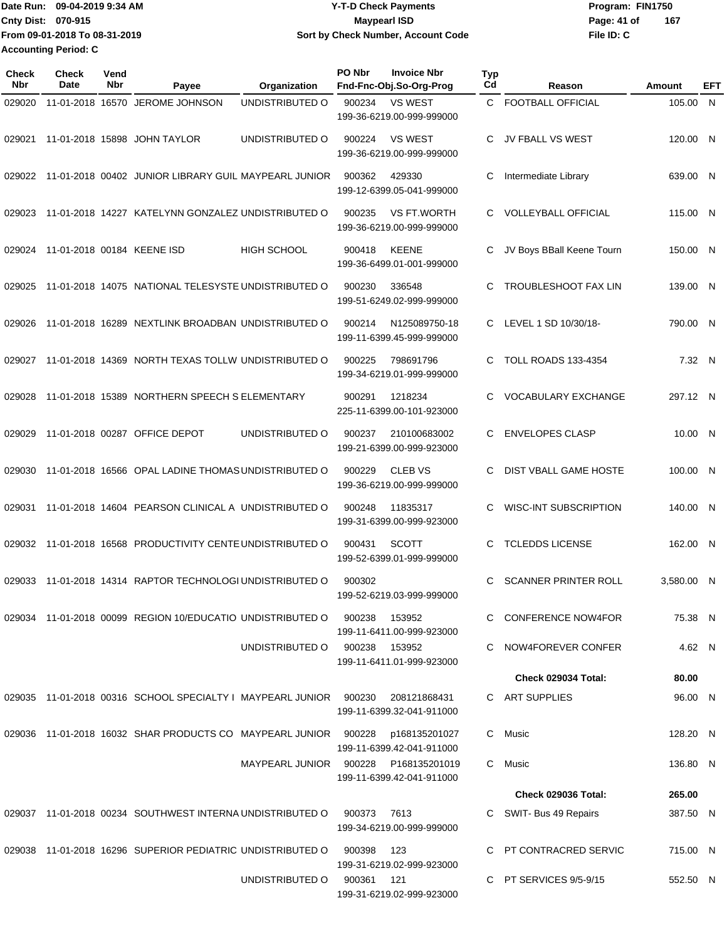Date Run: 09-04-2019 9:34 AM **Date Runity Controller State Payments** Program: FIN1750 **Cnty Dist:** 070-915 **Page: 41 of** Maypearl ISD **CONTEX 150 Page: 41 of** Page: 41 of **From 09-01-2018 To 08-31-2019 09-04-2019 9:34 AM Y-T-D Check Payments 070-915 Maypearl ISD Sort by Check Number, Account Code Accounting Period: C**

**File ID: C 167**

| Check<br><b>Nbr</b> | <b>Check</b><br>Date       | Vend<br>Nbr | Payee                                                             | Organization       | PO Nbr        | <b>Invoice Nbr</b><br>Fnd-Fnc-Obj.So-Org-Prog | <b>Typ</b><br>Cd | Reason                      | Amount     | EFT |
|---------------------|----------------------------|-------------|-------------------------------------------------------------------|--------------------|---------------|-----------------------------------------------|------------------|-----------------------------|------------|-----|
| 029020              |                            |             | 11-01-2018 16570 JEROME JOHNSON                                   | UNDISTRIBUTED O    | 900234        | <b>VS WEST</b><br>199-36-6219.00-999-999000   | C.               | <b>FOOTBALL OFFICIAL</b>    | 105.00 N   |     |
| 029021              |                            |             | 11-01-2018 15898 JOHN TAYLOR                                      | UNDISTRIBUTED O    | 900224        | <b>VS WEST</b><br>199-36-6219.00-999-999000   | С                | JV FBALL VS WEST            | 120.00 N   |     |
| 029022              |                            |             | 11-01-2018 00402 JUNIOR LIBRARY GUIL MAYPEARL JUNIOR              |                    | 900362        | 429330<br>199-12-6399.05-041-999000           | С                | Intermediate Library        | 639.00 N   |     |
| 029023              |                            |             | 11-01-2018 14227 KATELYNN GONZALEZ UNDISTRIBUTED O                |                    | 900235        | VS FT.WORTH<br>199-36-6219.00-999-999000      | С                | <b>VOLLEYBALL OFFICIAL</b>  | 115.00 N   |     |
| 029024              | 11-01-2018 00184 KEENE ISD |             |                                                                   | <b>HIGH SCHOOL</b> | 900418        | <b>KEENE</b><br>199-36-6499.01-001-999000     | С                | JV Boys BBall Keene Tourn   | 150.00 N   |     |
| 029025              |                            |             | 11-01-2018 14075 NATIONAL TELESYSTE UNDISTRIBUTED O               |                    | 900230        | 336548<br>199-51-6249.02-999-999000           | С                | <b>TROUBLESHOOT FAX LIN</b> | 139.00 N   |     |
| 029026              |                            |             | 11-01-2018 16289 NEXTLINK BROADBAN UNDISTRIBUTED O                |                    | 900214        | N125089750-18<br>199-11-6399.45-999-999000    | C                | LEVEL 1 SD 10/30/18-        | 790.00 N   |     |
| 029027              |                            |             | 11-01-2018 14369 NORTH TEXAS TOLLW UNDISTRIBUTED O                |                    | 900225        | 798691796<br>199-34-6219.01-999-999000        | С                | <b>TOLL ROADS 133-4354</b>  | 7.32 N     |     |
| 029028              |                            |             | 11-01-2018 15389 NORTHERN SPEECH S ELEMENTARY                     |                    | 900291        | 1218234<br>225-11-6399.00-101-923000          | С                | VOCABULARY EXCHANGE         | 297.12 N   |     |
| 029029              |                            |             | 11-01-2018 00287 OFFICE DEPOT                                     | UNDISTRIBUTED O    | 900237        | 210100683002<br>199-21-6399.00-999-923000     | С                | <b>ENVELOPES CLASP</b>      | 10.00 N    |     |
| 029030              |                            |             | 11-01-2018 16566 OPAL LADINE THOMAS UNDISTRIBUTED O               |                    | 900229        | <b>CLEB VS</b><br>199-36-6219.00-999-999000   | С                | DIST VBALL GAME HOSTE       | 100.00 N   |     |
| 029031              |                            |             | 11-01-2018 14604 PEARSON CLINICAL A UNDISTRIBUTED O               |                    | 900248        | 11835317<br>199-31-6399.00-999-923000         | С                | WISC-INT SUBSCRIPTION       | 140.00 N   |     |
| 029032              |                            |             | 11-01-2018 16568 PRODUCTIVITY CENTE UNDISTRIBUTED O               |                    | 900431        | <b>SCOTT</b><br>199-52-6399.01-999-999000     | С                | <b>TCLEDDS LICENSE</b>      | 162.00 N   |     |
| 029033              |                            |             | 11-01-2018 14314 RAPTOR TECHNOLOGI UNDISTRIBUTED O                |                    | 900302        | 199-52-6219.03-999-999000                     | С                | <b>SCANNER PRINTER ROLL</b> | 3,580.00 N |     |
|                     |                            |             | 029034 11-01-2018 00099 REGION 10/EDUCATIO UNDISTRIBUTED O        |                    | 900238        | 153952<br>199-11-6411.00-999-923000           |                  | C CONFERENCE NOW4FOR        | 75.38 N    |     |
|                     |                            |             |                                                                   | UNDISTRIBUTED O    | 900238 153952 | 199-11-6411.01-999-923000                     |                  | C NOW4FOREVER CONFER        | 4.62 N     |     |
|                     |                            |             |                                                                   |                    |               |                                               |                  | Check 029034 Total:         | 80.00      |     |
|                     |                            |             | 029035 11-01-2018 00316 SCHOOL SPECIALTY I MAYPEARL JUNIOR 900230 |                    |               | 208121868431<br>199-11-6399.32-041-911000     |                  | C ART SUPPLIES              | 96.00 N    |     |
|                     |                            |             | 029036 11-01-2018 16032 SHAR PRODUCTS CO MAYPEARL JUNIOR          |                    | 900228        | p168135201027<br>199-11-6399.42-041-911000    |                  | C Music                     | 128.20 N   |     |
|                     |                            |             |                                                                   | MAYPEARL JUNIOR    | 900228        | P168135201019<br>199-11-6399.42-041-911000    |                  | C Music                     | 136.80 N   |     |
|                     |                            |             |                                                                   |                    |               |                                               |                  | Check 029036 Total:         | 265.00     |     |
|                     |                            |             | 029037 11-01-2018 00234 SOUTHWEST INTERNA UNDISTRIBUTED O         |                    | 900373        | 7613<br>199-34-6219.00-999-999000             |                  | C SWIT- Bus 49 Repairs      | 387.50 N   |     |
|                     |                            |             | 029038 11-01-2018 16296 SUPERIOR PEDIATRIC UNDISTRIBUTED O        |                    | 900398        | 123<br>199-31-6219.02-999-923000              |                  | PT CONTRACRED SERVIC        | 715.00 N   |     |
|                     |                            |             |                                                                   | UNDISTRIBUTED O    | 900361 121    |                                               |                  | C PT SERVICES 9/5-9/15      | 552.50 N   |     |

199-31-6219.02-999-923000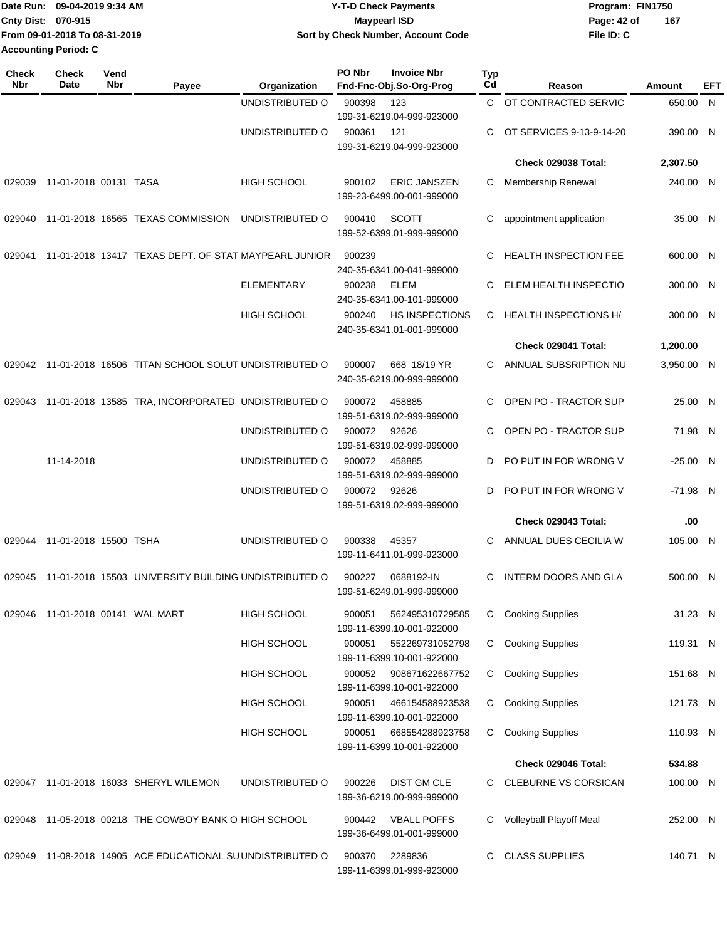| Date Run:                   | 09-04-2019 9:34 AM            | <b>Y-T-D Check Payments</b>        | Program: FIN1750   |
|-----------------------------|-------------------------------|------------------------------------|--------------------|
| Cnty Dist: 070-915          |                               | <b>Mavpearl ISD</b>                | 167<br>Page: 42 of |
|                             | From 09-01-2018 To 08-31-2019 | Sort by Check Number, Account Code | File ID: C         |
| <b>Accounting Period: C</b> |                               |                                    |                    |

| Check<br><b>Nbr</b> | <b>Check</b><br>Date             | Vend<br>Nbr | Payee                                                 | Organization       | PO Nbr | <b>Invoice Nbr</b><br>Fnd-Fnc-Obj.So-Org-Prog      | <b>Typ</b><br>Cd | Reason                       | Amount     | EFT |
|---------------------|----------------------------------|-------------|-------------------------------------------------------|--------------------|--------|----------------------------------------------------|------------------|------------------------------|------------|-----|
|                     |                                  |             |                                                       | UNDISTRIBUTED O    | 900398 | 123                                                | C.               | OT CONTRACTED SERVIC         | 650.00 N   |     |
|                     |                                  |             |                                                       |                    |        | 199-31-6219.04-999-923000                          |                  |                              |            |     |
|                     |                                  |             |                                                       | UNDISTRIBUTED O    | 900361 | 121                                                | C.               | OT SERVICES 9-13-9-14-20     | 390.00 N   |     |
|                     |                                  |             |                                                       |                    |        | 199-31-6219.04-999-923000                          |                  | Check 029038 Total:          | 2,307.50   |     |
|                     |                                  |             |                                                       |                    |        |                                                    |                  |                              |            |     |
| 029039              | 11-01-2018 00131 TASA            |             |                                                       | <b>HIGH SCHOOL</b> | 900102 | <b>ERIC JANSZEN</b><br>199-23-6499.00-001-999000   | С                | Membership Renewal           | 240.00 N   |     |
| 029040              |                                  |             | 11-01-2018 16565 TEXAS COMMISSION                     | UNDISTRIBUTED O    | 900410 | <b>SCOTT</b><br>199-52-6399.01-999-999000          | C                | appointment application      | 35.00 N    |     |
| 029041              |                                  |             | 11-01-2018 13417 TEXAS DEPT. OF STAT MAYPEARL JUNIOR  |                    | 900239 | 240-35-6341.00-041-999000                          | C.               | <b>HEALTH INSPECTION FEE</b> | 600.00 N   |     |
|                     |                                  |             |                                                       | <b>ELEMENTARY</b>  | 900238 | ELEM<br>240-35-6341.00-101-999000                  | C                | ELEM HEALTH INSPECTIO        | 300.00 N   |     |
|                     |                                  |             |                                                       | <b>HIGH SCHOOL</b> | 900240 | <b>HS INSPECTIONS</b><br>240-35-6341.01-001-999000 | C                | <b>HEALTH INSPECTIONS H/</b> | 300.00 N   |     |
|                     |                                  |             |                                                       |                    |        |                                                    |                  | Check 029041 Total:          | 1,200.00   |     |
| 029042              |                                  |             | 11-01-2018 16506 TITAN SCHOOL SOLUT UNDISTRIBUTED O   |                    | 900007 | 668 18/19 YR<br>240-35-6219.00-999-999000          | C.               | ANNUAL SUBSRIPTION NU        | 3,950.00 N |     |
| 029043              |                                  |             | 11-01-2018 13585 TRA, INCORPORATED UNDISTRIBUTED O    |                    | 900072 | 458885<br>199-51-6319.02-999-999000                | C                | OPEN PO - TRACTOR SUP        | 25.00 N    |     |
|                     |                                  |             |                                                       | UNDISTRIBUTED O    | 900072 | 92626<br>199-51-6319.02-999-999000                 | C                | OPEN PO - TRACTOR SUP        | 71.98 N    |     |
|                     | 11-14-2018                       |             |                                                       | UNDISTRIBUTED O    | 900072 | 458885<br>199-51-6319.02-999-999000                | D                | PO PUT IN FOR WRONG V        | $-25.00$ N |     |
|                     |                                  |             |                                                       | UNDISTRIBUTED O    | 900072 | 92626<br>199-51-6319.02-999-999000                 | D                | PO PUT IN FOR WRONG V        | -71.98 N   |     |
|                     |                                  |             |                                                       |                    |        |                                                    |                  | Check 029043 Total:          | .00        |     |
| 029044              | 11-01-2018 15500 TSHA            |             |                                                       | UNDISTRIBUTED O    | 900338 | 45357<br>199-11-6411.01-999-923000                 | C.               | ANNUAL DUES CECILIA W        | 105.00 N   |     |
| 029045              |                                  |             | 11-01-2018 15503 UNIVERSITY BUILDING UNDISTRIBUTED O  |                    | 900227 | 0688192-IN<br>199-51-6249.01-999-999000            | C                | <b>INTERM DOORS AND GLA</b>  | 500.00 N   |     |
|                     | 029046 11-01-2018 00141 WAL MART |             |                                                       | <b>HIGH SCHOOL</b> | 900051 | 562495310729585<br>199-11-6399.10-001-922000       | C                | <b>Cooking Supplies</b>      | 31.23 N    |     |
|                     |                                  |             |                                                       | <b>HIGH SCHOOL</b> | 900051 | 552269731052798<br>199-11-6399.10-001-922000       | C.               | <b>Cooking Supplies</b>      | 119.31 N   |     |
|                     |                                  |             |                                                       | <b>HIGH SCHOOL</b> | 900052 | 908671622667752<br>199-11-6399.10-001-922000       | C.               | <b>Cooking Supplies</b>      | 151.68 N   |     |
|                     |                                  |             |                                                       | <b>HIGH SCHOOL</b> | 900051 | 466154588923538<br>199-11-6399.10-001-922000       | C.               | <b>Cooking Supplies</b>      | 121.73 N   |     |
|                     |                                  |             |                                                       | <b>HIGH SCHOOL</b> | 900051 | 668554288923758<br>199-11-6399.10-001-922000       | C.               | <b>Cooking Supplies</b>      | 110.93 N   |     |
|                     |                                  |             |                                                       |                    |        |                                                    |                  | Check 029046 Total:          | 534.88     |     |
|                     |                                  |             | 029047 11-01-2018 16033 SHERYL WILEMON                | UNDISTRIBUTED O    | 900226 | <b>DIST GM CLE</b><br>199-36-6219.00-999-999000    |                  | C CLEBURNE VS CORSICAN       | 100.00 N   |     |
|                     |                                  |             | 029048 11-05-2018 00218 THE COWBOY BANK O HIGH SCHOOL |                    | 900442 | <b>VBALL POFFS</b><br>199-36-6499.01-001-999000    |                  | C Volleyball Playoff Meal    | 252.00 N   |     |
| 029049              |                                  |             | 11-08-2018 14905 ACE EDUCATIONAL SUUNDISTRIBUTED O    |                    | 900370 | 2289836<br>199-11-6399.01-999-923000               | C                | <b>CLASS SUPPLIES</b>        | 140.71 N   |     |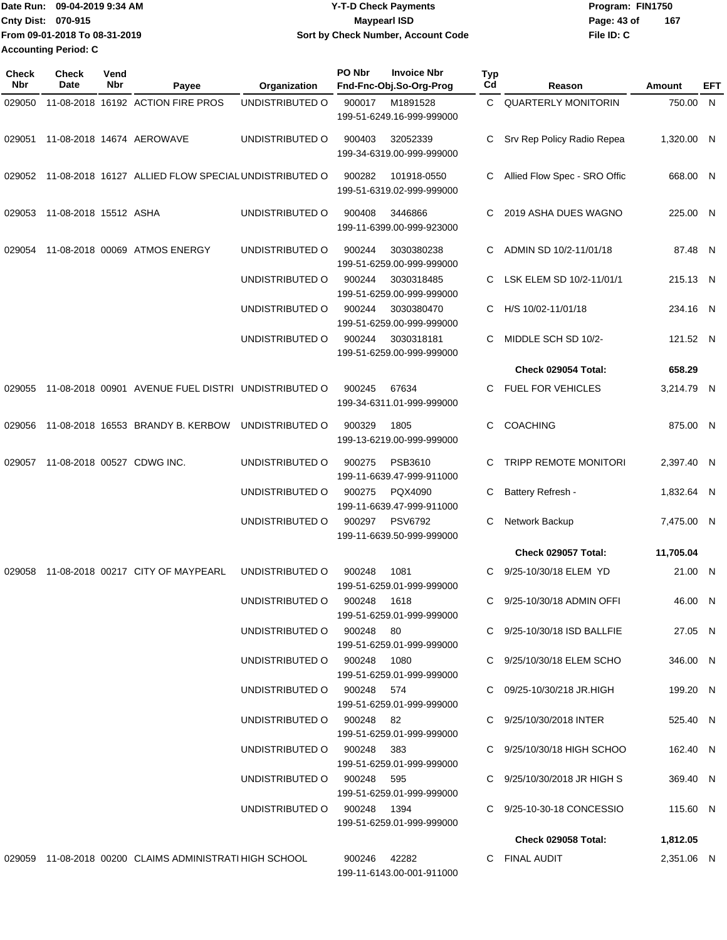|                             | IDate Run: 09-04-2019 9:34 AM | Y-T-D Check Payments                      | Program: FIN1750 |     |
|-----------------------------|-------------------------------|-------------------------------------------|------------------|-----|
| <b>Cnty Dist: 070-915</b>   |                               | <b>Mavpearl ISD</b>                       | Page: 43 of      | 167 |
|                             | From 09-01-2018 To 08-31-2019 | <b>Sort by Check Number, Account Code</b> | File ID: C       |     |
| <b>Accounting Period: C</b> |                               |                                           |                  |     |

| <b>Check</b><br>Nbr | <b>Check</b><br>Date  | Vend<br>Nbr | Payee                                                   | Organization                | PO Nbr      | <b>Invoice Nbr</b><br>Fnd-Fnc-Obj.So-Org-Prog | Typ<br>Cd | Reason                       | Amount     | EFT |
|---------------------|-----------------------|-------------|---------------------------------------------------------|-----------------------------|-------------|-----------------------------------------------|-----------|------------------------------|------------|-----|
| 029050              |                       |             | 11-08-2018 16192 ACTION FIRE PROS                       | UNDISTRIBUTED O             | 900017      | M1891528                                      | C.        | <b>QUARTERLY MONITORIN</b>   | 750.00 N   |     |
|                     |                       |             |                                                         |                             |             | 199-51-6249.16-999-999000                     |           |                              |            |     |
| 029051              |                       |             | 11-08-2018 14674 AEROWAVE                               | UNDISTRIBUTED O             | 900403      | 32052339                                      | C         | Srv Rep Policy Radio Repea   | 1,320.00 N |     |
|                     |                       |             |                                                         |                             |             | 199-34-6319.00-999-999000                     |           |                              |            |     |
| 029052              |                       |             | 11-08-2018 16127 ALLIED FLOW SPECIAL UNDISTRIBUTED O    |                             | 900282      | 101918-0550                                   | C         | Allied Flow Spec - SRO Offic | 668.00 N   |     |
|                     |                       |             |                                                         |                             |             | 199-51-6319.02-999-999000                     |           |                              |            |     |
| 029053              | 11-08-2018 15512 ASHA |             |                                                         | UNDISTRIBUTED O             | 900408      | 3446866                                       |           | 2019 ASHA DUES WAGNO         | 225.00 N   |     |
|                     |                       |             |                                                         |                             |             | 199-11-6399.00-999-923000                     |           |                              |            |     |
|                     |                       |             |                                                         |                             |             |                                               |           |                              |            |     |
| 029054              |                       |             | 11-08-2018 00069 ATMOS ENERGY                           | UNDISTRIBUTED O             | 900244      | 3030380238<br>199-51-6259.00-999-999000       | C.        | ADMIN SD 10/2-11/01/18       | 87.48 N    |     |
|                     |                       |             |                                                         | UNDISTRIBUTED O             | 900244      | 3030318485                                    | C         | LSK ELEM SD 10/2-11/01/1     | 215.13 N   |     |
|                     |                       |             |                                                         |                             |             | 199-51-6259.00-999-999000                     |           |                              |            |     |
|                     |                       |             |                                                         | UNDISTRIBUTED O             | 900244      | 3030380470                                    | C         | H/S 10/02-11/01/18           | 234.16 N   |     |
|                     |                       |             |                                                         |                             |             | 199-51-6259.00-999-999000                     |           |                              |            |     |
|                     |                       |             |                                                         | UNDISTRIBUTED O             | 900244      | 3030318181                                    | C         | MIDDLE SCH SD 10/2-          | 121.52 N   |     |
|                     |                       |             |                                                         |                             |             | 199-51-6259.00-999-999000                     |           |                              |            |     |
|                     |                       |             |                                                         |                             |             |                                               |           | Check 029054 Total:          | 658.29     |     |
| 029055              |                       |             | 11-08-2018 00901 AVENUE FUEL DISTRI UNDISTRIBUTED O     |                             | 900245      | 67634<br>199-34-6311.01-999-999000            | C.        | <b>FUEL FOR VEHICLES</b>     | 3,214.79 N |     |
|                     |                       |             |                                                         |                             |             |                                               |           |                              |            |     |
| 029056              |                       |             | 11-08-2018 16553 BRANDY B. KERBOW                       | UNDISTRIBUTED O             | 900329      | 1805                                          | C         | <b>COACHING</b>              | 875.00 N   |     |
|                     |                       |             |                                                         |                             |             | 199-13-6219.00-999-999000                     |           |                              |            |     |
| 029057              |                       |             | 11-08-2018 00527 CDWG INC.                              | UNDISTRIBUTED O             | 900275      | PSB3610                                       | C.        | TRIPP REMOTE MONITORI        | 2,397.40 N |     |
|                     |                       |             |                                                         |                             |             | 199-11-6639.47-999-911000                     |           |                              |            |     |
|                     |                       |             |                                                         | UNDISTRIBUTED O             | 900275      | PQX4090<br>199-11-6639.47-999-911000          | С         | Battery Refresh -            | 1,832.64 N |     |
|                     |                       |             |                                                         | UNDISTRIBUTED O             | 900297      | <b>PSV6792</b>                                | С         | Network Backup               | 7,475.00 N |     |
|                     |                       |             |                                                         |                             |             | 199-11-6639.50-999-999000                     |           |                              |            |     |
|                     |                       |             |                                                         |                             |             |                                               |           | Check 029057 Total:          | 11,705.04  |     |
| 029058              |                       |             | 11-08-2018 00217 CITY OF MAYPEARL                       | UNDISTRIBUTED O             | 900248      | 1081                                          | C         | 9/25-10/30/18 ELEM YD        | 21.00 N    |     |
|                     |                       |             |                                                         |                             |             | 199-51-6259.01-999-999000                     |           |                              |            |     |
|                     |                       |             |                                                         | UNDISTRIBUTED O             | 900248 1618 |                                               | C.        | 9/25-10/30/18 ADMIN OFFI     | 46.00 N    |     |
|                     |                       |             |                                                         | UNDISTRIBUTED O 900248 80   |             | 199-51-6259.01-999-999000                     |           | C 9/25-10/30/18 ISD BALLFIE  | 27.05 N    |     |
|                     |                       |             |                                                         |                             |             | 199-51-6259.01-999-999000                     |           |                              |            |     |
|                     |                       |             |                                                         | UNDISTRIBUTED O 900248 1080 |             |                                               |           | C 9/25/10/30/18 ELEM SCHO    | 346.00 N   |     |
|                     |                       |             |                                                         |                             |             | 199-51-6259.01-999-999000                     |           |                              |            |     |
|                     |                       |             |                                                         | UNDISTRIBUTED O 900248 574  |             |                                               |           | C 09/25-10/30/218 JR.HIGH    | 199.20 N   |     |
|                     |                       |             |                                                         | UNDISTRIBUTED O 900248 82   |             | 199-51-6259.01-999-999000                     |           | C 9/25/10/30/2018 INTER      |            |     |
|                     |                       |             |                                                         |                             |             | 199-51-6259.01-999-999000                     |           |                              | 525.40 N   |     |
|                     |                       |             |                                                         | UNDISTRIBUTED O 900248 383  |             |                                               |           | C 9/25/10/30/18 HIGH SCHOO   | 162.40 N   |     |
|                     |                       |             |                                                         |                             |             | 199-51-6259.01-999-999000                     |           |                              |            |     |
|                     |                       |             |                                                         | UNDISTRIBUTED O 900248 595  |             |                                               |           | C 9/25/10/30/2018 JR HIGH S  | 369.40 N   |     |
|                     |                       |             |                                                         |                             |             | 199-51-6259.01-999-999000                     |           |                              |            |     |
|                     |                       |             |                                                         | UNDISTRIBUTED O 900248 1394 |             | 199-51-6259.01-999-999000                     |           | C 9/25-10-30-18 CONCESSIO    | 115.60 N   |     |
|                     |                       |             |                                                         |                             |             |                                               |           | <b>Check 029058 Total:</b>   | 1,812.05   |     |
|                     |                       |             | 029059 11-08-2018 00200 CLAIMS ADMINISTRATI HIGH SCHOOL |                             |             | 900246 42282                                  |           | C FINAL AUDIT                | 2,351.06 N |     |
|                     |                       |             |                                                         |                             |             | 199-11-6143.00-001-911000                     |           |                              |            |     |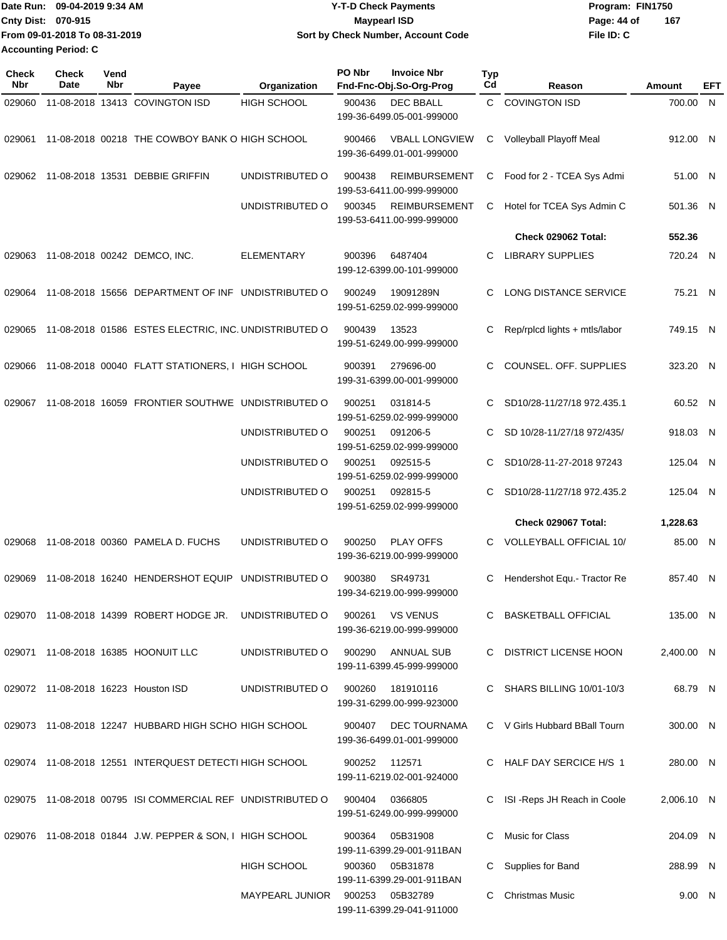|                             | IDate Run: 09-04-2019 9:34 AM | Y-T-D Check Payments               | Program: FIN1750   |  |  |
|-----------------------------|-------------------------------|------------------------------------|--------------------|--|--|
| <b>Cnty Dist: 070-915</b>   |                               | Maypearl ISD                       | 167<br>Page: 44 of |  |  |
|                             | From 09-01-2018 To 08-31-2019 | Sort by Check Number, Account Code | File ID: C         |  |  |
| <b>Accounting Period: C</b> |                               |                                    |                    |  |  |

| <b>Check</b><br>Nbr | <b>Check</b><br>Date | Vend<br>Nbr | Payee                                                      | Organization       | PO Nbr | <b>Invoice Nbr</b><br>Fnd-Fnc-Obj.So-Org-Prog      | <b>Typ</b><br>Cd | Reason                                            | Amount               | EFT |
|---------------------|----------------------|-------------|------------------------------------------------------------|--------------------|--------|----------------------------------------------------|------------------|---------------------------------------------------|----------------------|-----|
| 029060              |                      |             | 11-08-2018 13413 COVINGTON ISD                             | <b>HIGH SCHOOL</b> | 900436 | <b>DEC BBALL</b><br>199-36-6499.05-001-999000      | $\mathsf{C}^-$   | <b>COVINGTON ISD</b>                              | 700.00 N             |     |
| 029061              |                      |             | 11-08-2018 00218 THE COWBOY BANK O HIGH SCHOOL             |                    | 900466 | <b>VBALL LONGVIEW</b><br>199-36-6499.01-001-999000 | C                | Volleyball Playoff Meal                           | 912.00 N             |     |
|                     |                      |             | 029062 11-08-2018 13531 DEBBIE GRIFFIN                     | UNDISTRIBUTED O    | 900438 | <b>REIMBURSEMENT</b><br>199-53-6411.00-999-999000  | C.               | Food for 2 - TCEA Sys Admi                        | 51.00 N              |     |
|                     |                      |             |                                                            | UNDISTRIBUTED O    | 900345 | <b>REIMBURSEMENT</b><br>199-53-6411.00-999-999000  | C                | Hotel for TCEA Sys Admin C                        | 501.36 N             |     |
|                     |                      |             |                                                            |                    |        |                                                    |                  | Check 029062 Total:                               | 552.36               |     |
| 029063              |                      |             | 11-08-2018 00242 DEMCO, INC.                               | <b>ELEMENTARY</b>  | 900396 | 6487404<br>199-12-6399.00-101-999000               | С                | <b>LIBRARY SUPPLIES</b>                           | 720.24 N             |     |
| 029064              |                      |             | 11-08-2018 15656 DEPARTMENT OF INF UNDISTRIBUTED O         |                    | 900249 | 19091289N<br>199-51-6259.02-999-999000             | С                | LONG DISTANCE SERVICE                             | 75.21 N              |     |
| 029065              |                      |             | 11-08-2018 01586 ESTES ELECTRIC, INC. UNDISTRIBUTED O      |                    | 900439 | 13523<br>199-51-6249.00-999-999000                 | С                | Rep/rplcd lights + mtls/labor                     | 749.15 N             |     |
| 029066              |                      |             | 11-08-2018 00040 FLATT STATIONERS, I HIGH SCHOOL           |                    | 900391 | 279696-00<br>199-31-6399.00-001-999000             | С                | COUNSEL. OFF. SUPPLIES                            | 323.20 N             |     |
| 029067              |                      |             | 11-08-2018 16059 FRONTIER SOUTHWE UNDISTRIBUTED O          |                    | 900251 | 031814-5<br>199-51-6259.02-999-999000              | С                | SD10/28-11/27/18 972.435.1                        | 60.52 N              |     |
|                     |                      |             |                                                            | UNDISTRIBUTED O    | 900251 | 091206-5<br>199-51-6259.02-999-999000              | С                | SD 10/28-11/27/18 972/435/                        | 918.03 N             |     |
|                     |                      |             |                                                            | UNDISTRIBUTED O    | 900251 | 092515-5<br>199-51-6259.02-999-999000              | С                | SD10/28-11-27-2018 97243                          | 125.04 N             |     |
|                     |                      |             |                                                            | UNDISTRIBUTED O    | 900251 | 092815-5<br>199-51-6259.02-999-999000              | С                | SD10/28-11/27/18 972.435.2<br>Check 029067 Total: | 125.04 N<br>1,228.63 |     |
|                     |                      |             |                                                            |                    |        |                                                    |                  |                                                   |                      |     |
| 029068              |                      |             | 11-08-2018 00360 PAMELA D. FUCHS                           | UNDISTRIBUTED O    | 900250 | <b>PLAY OFFS</b><br>199-36-6219.00-999-999000      | С                | <b>VOLLEYBALL OFFICIAL 10/</b>                    | 85.00 N              |     |
| 029069              |                      |             | 11-08-2018 16240 HENDERSHOT EQUIP                          | UNDISTRIBUTED O    | 900380 | SR49731<br>199-34-6219.00-999-999000               | С                | Hendershot Equ.- Tractor Re                       | 857.40 N             |     |
|                     |                      |             | 029070 11-08-2018 14399 ROBERT HODGE JR.                   | UNDISTRIBUTED O    | 900261 | <b>VS VENUS</b><br>199-36-6219.00-999-999000       |                  | C BASKETBALL OFFICIAL                             | 135.00 N             |     |
|                     |                      |             | 029071 11-08-2018 16385 HOONUIT LLC                        | UNDISTRIBUTED O    | 900290 | ANNUAL SUB<br>199-11-6399.45-999-999000            |                  | C DISTRICT LICENSE HOON                           | 2,400.00 N           |     |
|                     |                      |             | 029072 11-08-2018 16223 Houston ISD                        | UNDISTRIBUTED O    | 900260 | 181910116<br>199-31-6299.00-999-923000             |                  | C SHARS BILLING 10/01-10/3                        | 68.79 N              |     |
|                     |                      |             | 029073 11-08-2018 12247 HUBBARD HIGH SCHO HIGH SCHOOL      |                    | 900407 | DEC TOURNAMA<br>199-36-6499.01-001-999000          |                  | C V Girls Hubbard BBall Tourn                     | 300.00 N             |     |
|                     |                      |             | 029074 11-08-2018 12551 INTERQUEST DETECTI HIGH SCHOOL     |                    | 900252 | 112571<br>199-11-6219.02-001-924000                |                  | C HALF DAY SERCICE H/S 1                          | 280.00 N             |     |
|                     |                      |             | 029075 11-08-2018 00795 ISI COMMERCIAL REF UNDISTRIBUTED O |                    | 900404 | 0366805<br>199-51-6249.00-999-999000               | С                | ISI - Reps JH Reach in Coole                      | 2,006.10 N           |     |
|                     |                      |             | 029076 11-08-2018 01844 J.W. PEPPER & SON, I HIGH SCHOOL   |                    | 900364 | 05B31908<br>199-11-6399.29-001-911BAN              | C                | Music for Class                                   | 204.09 N             |     |
|                     |                      |             |                                                            | <b>HIGH SCHOOL</b> | 900360 | 05B31878<br>199-11-6399.29-001-911BAN              |                  | C Supplies for Band                               | 288.99 N             |     |
|                     |                      |             |                                                            | MAYPEARL JUNIOR    | 900253 | 05B32789<br>199-11-6399.29-041-911000              | C.               | <b>Christmas Music</b>                            | 9.00 N               |     |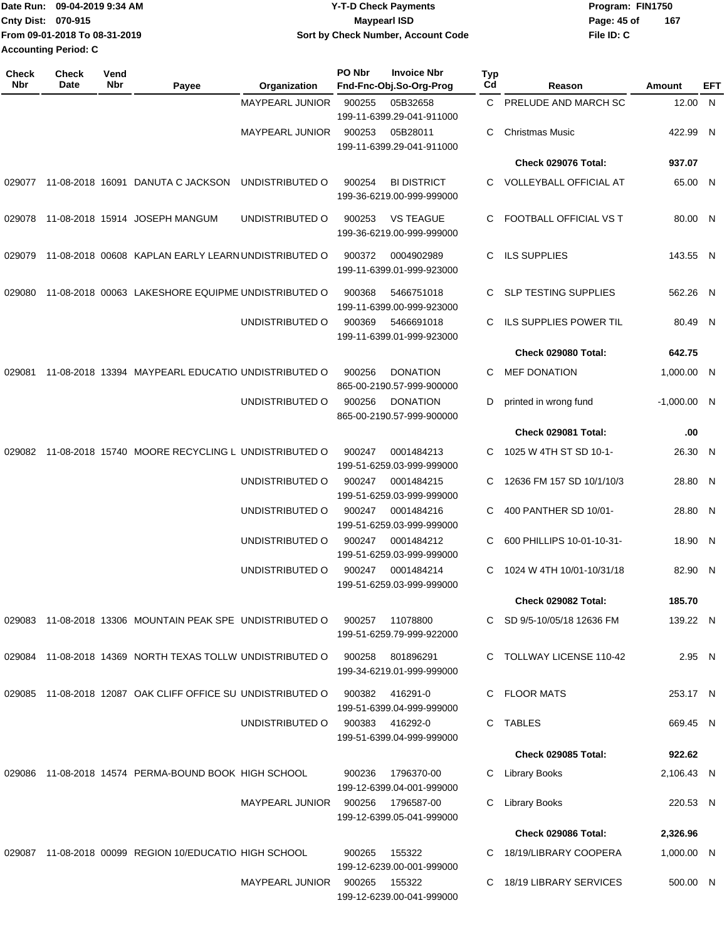|                             | Date Run: 09-04-2019 9:34 AM  | <b>Y-T-D Check Payments</b>        | Program: FIN1750   |  |  |
|-----------------------------|-------------------------------|------------------------------------|--------------------|--|--|
| Cnty Dist: 070-915          |                               | <b>Mavpearl ISD</b>                | 167<br>Page: 45 of |  |  |
|                             | From 09-01-2018 To 08-31-2019 | Sort by Check Number, Account Code | File ID: C         |  |  |
| <b>Accounting Period: C</b> |                               |                                    |                    |  |  |

| Check<br>Nbr | <b>Check</b><br><b>Date</b> | Vend<br>Nbr | Payee                                                       | Organization           | PO Nbr | <b>Invoice Nbr</b><br>Fnd-Fnc-Obj.So-Org-Prog   | Typ<br>Cd | Reason                        | Amount        | <b>EFT</b> |
|--------------|-----------------------------|-------------|-------------------------------------------------------------|------------------------|--------|-------------------------------------------------|-----------|-------------------------------|---------------|------------|
|              |                             |             |                                                             | <b>MAYPEARL JUNIOR</b> | 900255 | 05B32658<br>199-11-6399.29-041-911000           |           | C PRELUDE AND MARCH SC        | 12.00 N       |            |
|              |                             |             |                                                             | <b>MAYPEARL JUNIOR</b> | 900253 | 05B28011<br>199-11-6399.29-041-911000           | C         | <b>Christmas Music</b>        | 422.99 N      |            |
|              |                             |             |                                                             |                        |        |                                                 |           | Check 029076 Total:           | 937.07        |            |
| 029077       |                             |             | 11-08-2018 16091 DANUTA C JACKSON                           | UNDISTRIBUTED O        | 900254 | <b>BI DISTRICT</b><br>199-36-6219.00-999-999000 |           | C VOLLEYBALL OFFICIAL AT      | 65.00 N       |            |
| 029078       |                             |             | 11-08-2018 15914 JOSEPH MANGUM                              | UNDISTRIBUTED O        | 900253 | <b>VS TEAGUE</b><br>199-36-6219.00-999-999000   | C.        | FOOTBALL OFFICIAL VS T        | 80.00 N       |            |
| 029079       |                             |             | 11-08-2018 00608 KAPLAN EARLY LEARN UNDISTRIBUTED O         |                        | 900372 | 0004902989<br>199-11-6399.01-999-923000         | C.        | <b>ILS SUPPLIES</b>           | 143.55 N      |            |
| 029080       |                             |             | 11-08-2018 00063 LAKESHORE EQUIPME UNDISTRIBUTED O          |                        | 900368 | 5466751018<br>199-11-6399.00-999-923000         | C         | <b>SLP TESTING SUPPLIES</b>   | 562.26 N      |            |
|              |                             |             |                                                             | UNDISTRIBUTED O        | 900369 | 5466691018<br>199-11-6399.01-999-923000         | C.        | ILS SUPPLIES POWER TIL        | 80.49 N       |            |
|              |                             |             |                                                             |                        |        |                                                 |           | Check 029080 Total:           | 642.75        |            |
| 029081       |                             |             | 11-08-2018 13394 MAYPEARL EDUCATIO UNDISTRIBUTED O          |                        | 900256 | <b>DONATION</b><br>865-00-2190.57-999-900000    | C         | <b>MEF DONATION</b>           | 1,000.00 N    |            |
|              |                             |             |                                                             | UNDISTRIBUTED O        | 900256 | <b>DONATION</b><br>865-00-2190.57-999-900000    | D         | printed in wrong fund         | $-1,000.00$ N |            |
|              |                             |             |                                                             |                        |        |                                                 |           | Check 029081 Total:           | .00           |            |
| 029082       |                             |             | 11-08-2018 15740 MOORE RECYCLING L UNDISTRIBUTED O          |                        | 900247 | 0001484213<br>199-51-6259.03-999-999000         | C.        | 1025 W 4TH ST SD 10-1-        | 26.30 N       |            |
|              |                             |             |                                                             | UNDISTRIBUTED O        | 900247 | 0001484215<br>199-51-6259.03-999-999000         | C         | 12636 FM 157 SD 10/1/10/3     | 28.80 N       |            |
|              |                             |             |                                                             | UNDISTRIBUTED O        | 900247 | 0001484216<br>199-51-6259.03-999-999000         | C         | 400 PANTHER SD 10/01-         | 28.80 N       |            |
|              |                             |             |                                                             | UNDISTRIBUTED O        | 900247 | 0001484212<br>199-51-6259.03-999-999000         | C         | 600 PHILLIPS 10-01-10-31-     | 18.90 N       |            |
|              |                             |             |                                                             | UNDISTRIBUTED O        | 900247 | 0001484214<br>199-51-6259.03-999-999000         | C.        | 1024 W 4TH 10/01-10/31/18     | 82.90 N       |            |
|              |                             |             |                                                             |                        |        |                                                 |           | Check 029082 Total:           | 185.70        |            |
|              |                             |             | 029083 11-08-2018 13306 MOUNTAIN PEAK SPE UNDISTRIBUTED O   |                        | 900257 | 11078800<br>199-51-6259.79-999-922000           | C         | SD 9/5-10/05/18 12636 FM      | 139.22 N      |            |
| 029084       |                             |             | 11-08-2018 14369 NORTH TEXAS TOLLW UNDISTRIBUTED O          |                        | 900258 | 801896291<br>199-34-6219.01-999-999000          | C.        | <b>TOLLWAY LICENSE 110-42</b> | 2.95 N        |            |
|              |                             |             | 029085 11-08-2018 12087 OAK CLIFF OFFICE SU UNDISTRIBUTED O |                        | 900382 | 416291-0<br>199-51-6399.04-999-999000           | C         | <b>FLOOR MATS</b>             | 253.17 N      |            |
|              |                             |             |                                                             | UNDISTRIBUTED O        | 900383 | 416292-0<br>199-51-6399.04-999-999000           | C.        | <b>TABLES</b>                 | 669.45 N      |            |
|              |                             |             |                                                             |                        |        |                                                 |           | Check 029085 Total:           | 922.62        |            |
| 029086       |                             |             | 11-08-2018 14574 PERMA-BOUND BOOK HIGH SCHOOL               |                        | 900236 | 1796370-00<br>199-12-6399.04-001-999000         | C         | <b>Library Books</b>          | 2,106.43 N    |            |
|              |                             |             |                                                             | <b>MAYPEARL JUNIOR</b> | 900256 | 1796587-00<br>199-12-6399.05-041-999000         | С         | <b>Library Books</b>          | 220.53 N      |            |
|              |                             |             |                                                             |                        |        |                                                 |           | Check 029086 Total:           | 2,326.96      |            |
| 029087       |                             |             | 11-08-2018 00099 REGION 10/EDUCATIO HIGH SCHOOL             |                        | 900265 | 155322<br>199-12-6239.00-001-999000             | C.        | 18/19/LIBRARY COOPERA         | 1,000.00 N    |            |
|              |                             |             |                                                             | <b>MAYPEARL JUNIOR</b> | 900265 | 155322<br>199-12-6239.00-041-999000             | C.        | 18/19 LIBRARY SERVICES        | 500.00 N      |            |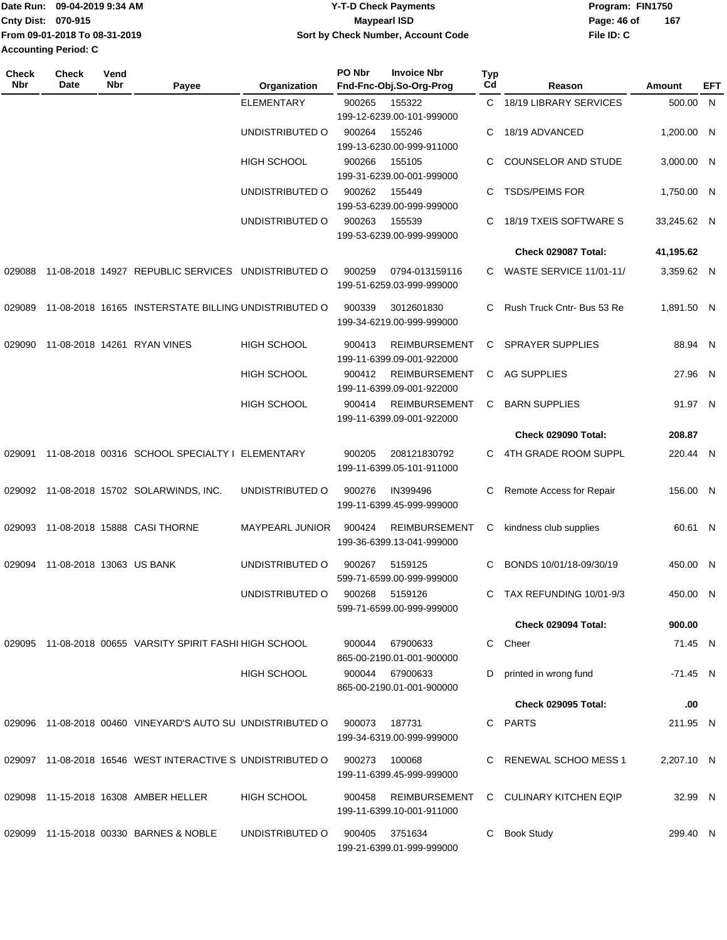| 09-04-2019 9:34 AM<br><b>I</b> Date Run: |                               | <b>Y-T-D Check Payments</b>        | Program: FIN1750   |  |  |  |
|------------------------------------------|-------------------------------|------------------------------------|--------------------|--|--|--|
| <b>Cnty Dist: 070-915</b>                |                               | Maypearl ISD                       | 167<br>Page: 46 of |  |  |  |
|                                          | From 09-01-2018 To 08-31-2019 | Sort by Check Number, Account Code | File ID: C         |  |  |  |
| <b>Accounting Period: C</b>              |                               |                                    |                    |  |  |  |

| Check<br>Nbr | <b>Check</b><br>Date     | Vend<br>Nbr | Payee                                                      | Organization       | PO Nbr | <b>Invoice Nbr</b><br>Fnd-Fnc-Obj.So-Org-Prog     | <b>Typ</b><br>Cd | Reason                         | Amount      | EFT |
|--------------|--------------------------|-------------|------------------------------------------------------------|--------------------|--------|---------------------------------------------------|------------------|--------------------------------|-------------|-----|
|              |                          |             |                                                            | <b>ELEMENTARY</b>  | 900265 | 155322<br>199-12-6239.00-101-999000               | C.               | 18/19 LIBRARY SERVICES         | 500.00 N    |     |
|              |                          |             |                                                            | UNDISTRIBUTED O    | 900264 | 155246<br>199-13-6230.00-999-911000               | C                | 18/19 ADVANCED                 | 1,200.00 N  |     |
|              |                          |             |                                                            | <b>HIGH SCHOOL</b> | 900266 | 155105<br>199-31-6239.00-001-999000               | C.               | <b>COUNSELOR AND STUDE</b>     | 3,000.00 N  |     |
|              |                          |             |                                                            | UNDISTRIBUTED O    | 900262 | 155449<br>199-53-6239.00-999-999000               | C                | <b>TSDS/PEIMS FOR</b>          | 1,750.00 N  |     |
|              |                          |             |                                                            | UNDISTRIBUTED O    | 900263 | 155539<br>199-53-6239.00-999-999000               | C                | 18/19 TXEIS SOFTWARE S         | 33,245.62 N |     |
|              |                          |             |                                                            |                    |        |                                                   |                  | Check 029087 Total:            | 41,195.62   |     |
| 029088       |                          |             | 11-08-2018 14927 REPUBLIC SERVICES UNDISTRIBUTED O         |                    | 900259 | 0794-013159116<br>199-51-6259.03-999-999000       | C.               | <b>WASTE SERVICE 11/01-11/</b> | 3,359.62 N  |     |
| 029089       |                          |             | 11-08-2018 16165 INSTERSTATE BILLING UNDISTRIBUTED O       |                    | 900339 | 3012601830<br>199-34-6219.00-999-999000           | C.               | Rush Truck Cntr- Bus 53 Re     | 1,891.50 N  |     |
| 029090       |                          |             | 11-08-2018 14261 RYAN VINES                                | <b>HIGH SCHOOL</b> | 900413 | <b>REIMBURSEMENT</b><br>199-11-6399.09-001-922000 | C                | <b>SPRAYER SUPPLIES</b>        | 88.94 N     |     |
|              |                          |             |                                                            | HIGH SCHOOL        | 900412 | <b>REIMBURSEMENT</b><br>199-11-6399.09-001-922000 | C.               | <b>AG SUPPLIES</b>             | 27.96 N     |     |
|              |                          |             |                                                            | <b>HIGH SCHOOL</b> | 900414 | <b>REIMBURSEMENT</b><br>199-11-6399.09-001-922000 | C                | <b>BARN SUPPLIES</b>           | 91.97 N     |     |
|              |                          |             |                                                            |                    |        |                                                   |                  | Check 029090 Total:            | 208.87      |     |
| 029091       |                          |             | 11-08-2018 00316 SCHOOL SPECIALTY I ELEMENTARY             |                    | 900205 | 208121830792<br>199-11-6399.05-101-911000         | C.               | 4TH GRADE ROOM SUPPL           | 220.44 N    |     |
|              |                          |             | 029092 11-08-2018 15702 SOLARWINDS, INC.                   | UNDISTRIBUTED O    | 900276 | IN399496<br>199-11-6399.45-999-999000             | С                | Remote Access for Repair       | 156.00 N    |     |
| 029093       |                          |             | 11-08-2018 15888 CASI THORNE                               | MAYPEARL JUNIOR    | 900424 | <b>REIMBURSEMENT</b><br>199-36-6399.13-041-999000 | C                | kindness club supplies         | 60.61 N     |     |
| 029094       | 11-08-2018 13063 US BANK |             |                                                            | UNDISTRIBUTED O    | 900267 | 5159125<br>599-71-6599.00-999-999000              | C                | BONDS 10/01/18-09/30/19        | 450.00 N    |     |
|              |                          |             |                                                            | UNDISTRIBUTED O    | 900268 | 5159126<br>599-71-6599.00-999-999000              | C.               | TAX REFUNDING 10/01-9/3        | 450.00 N    |     |
|              |                          |             |                                                            |                    |        |                                                   |                  | Check 029094 Total:            | 900.00      |     |
|              |                          |             | 029095 11-08-2018 00655 VARSITY SPIRIT FASHI HIGH SCHOOL   |                    | 900044 | 67900633<br>865-00-2190.01-001-900000             | C                | Cheer                          | 71.45 N     |     |
|              |                          |             |                                                            | HIGH SCHOOL        | 900044 | 67900633<br>865-00-2190.01-001-900000             | D                | printed in wrong fund          | -71.45 N    |     |
|              |                          |             |                                                            |                    |        |                                                   |                  | <b>Check 029095 Total:</b>     | .00         |     |
|              |                          |             | 029096 11-08-2018 00460 VINEYARD'S AUTO SU UNDISTRIBUTED O |                    | 900073 | 187731<br>199-34-6319.00-999-999000               |                  | C PARTS                        | 211.95 N    |     |
| 029097       |                          |             | 11-08-2018 16546 WEST INTERACTIVE S UNDISTRIBUTED O        |                    | 900273 | 100068<br>199-11-6399.45-999-999000               | C                | RENEWAL SCHOO MESS 1           | 2,207.10 N  |     |
|              |                          |             | 029098 11-15-2018 16308 AMBER HELLER                       | HIGH SCHOOL        | 900458 | <b>REIMBURSEMENT</b><br>199-11-6399.10-001-911000 |                  | C CULINARY KITCHEN EQIP        | 32.99 N     |     |
|              |                          |             | 029099 11-15-2018 00330 BARNES & NOBLE                     | UNDISTRIBUTED O    | 900405 | 3751634<br>199-21-6399.01-999-999000              | C                | <b>Book Study</b>              | 299.40 N    |     |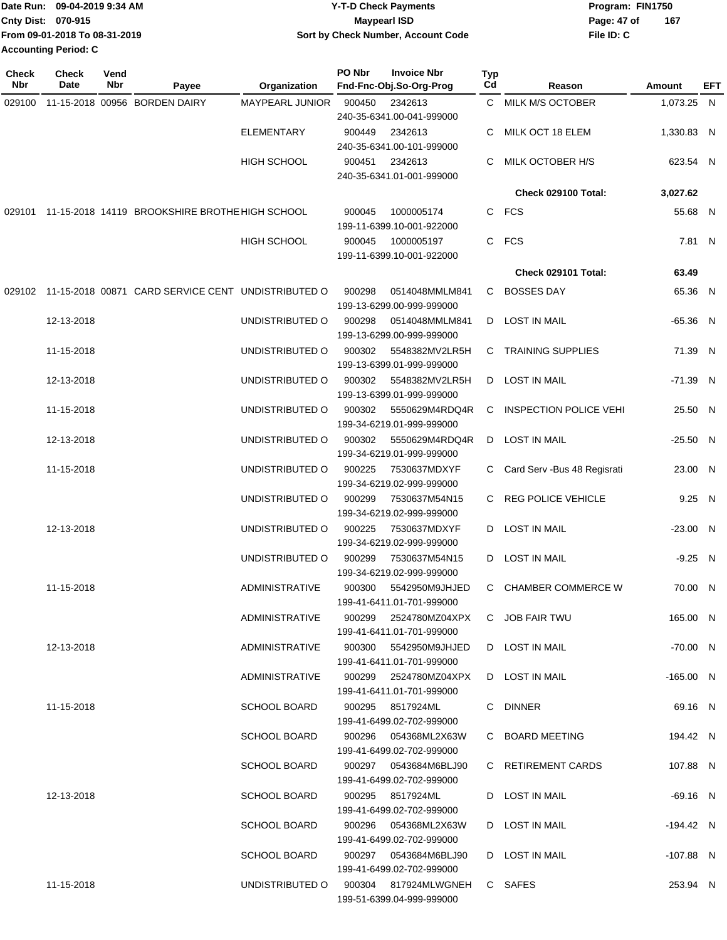|                             | Date Run: 09-04-2019 9:34 AM  | <b>Y-T-D Check Payments</b>        | Program: FIN1750 |     |  |  |
|-----------------------------|-------------------------------|------------------------------------|------------------|-----|--|--|
| <b>Cnty Dist: 070-915</b>   |                               | Maypearl ISD                       | Page: 47 of      | 167 |  |  |
|                             | From 09-01-2018 To 08-31-2019 | Sort by Check Number, Account Code | File ID: C       |     |  |  |
| <b>Accounting Period: C</b> |                               |                                    |                  |     |  |  |

| <b>Check</b><br>Nbr | <b>Check</b><br>Date | Vend<br>Nbr | Payee                                                 | Organization          | PO Nbr | <b>Invoice Nbr</b><br>Fnd-Fnc-Obj.So-Org-Prog          | <b>Typ</b><br>C <sub>d</sub> | Reason                         | Amount      | EFT |
|---------------------|----------------------|-------------|-------------------------------------------------------|-----------------------|--------|--------------------------------------------------------|------------------------------|--------------------------------|-------------|-----|
| 029100              |                      |             | 11-15-2018 00956 BORDEN DAIRY                         | MAYPEARL JUNIOR       | 900450 | 2342613                                                |                              | C MILK M/S OCTOBER             | 1,073.25 N  |     |
|                     |                      |             |                                                       |                       |        | 240-35-6341.00-041-999000                              |                              |                                |             |     |
|                     |                      |             |                                                       | <b>ELEMENTARY</b>     | 900449 | 2342613                                                |                              | MILK OCT 18 ELEM               | 1,330.83 N  |     |
|                     |                      |             |                                                       |                       |        | 240-35-6341.00-101-999000                              |                              |                                |             |     |
|                     |                      |             |                                                       | <b>HIGH SCHOOL</b>    | 900451 | 2342613                                                | C                            | MILK OCTOBER H/S               | 623.54 N    |     |
|                     |                      |             |                                                       |                       |        | 240-35-6341.01-001-999000                              |                              |                                |             |     |
|                     |                      |             |                                                       |                       |        |                                                        |                              | Check 029100 Total:            | 3,027.62    |     |
|                     |                      |             | 029101 11-15-2018 14119 BROOKSHIRE BROTHE HIGH SCHOOL |                       | 900045 | 1000005174                                             |                              | C FCS                          | 55.68 N     |     |
|                     |                      |             |                                                       |                       |        | 199-11-6399.10-001-922000                              |                              |                                |             |     |
|                     |                      |             |                                                       | <b>HIGH SCHOOL</b>    | 900045 | 1000005197                                             |                              | C FCS                          | 7.81 N      |     |
|                     |                      |             |                                                       |                       |        | 199-11-6399.10-001-922000                              |                              |                                |             |     |
|                     |                      |             |                                                       |                       |        |                                                        |                              | <b>Check 029101 Total:</b>     | 63.49       |     |
| 029102              |                      |             | 11-15-2018 00871 CARD SERVICE CENT UNDISTRIBUTED O    |                       | 900298 | 0514048MMLM841                                         |                              | C BOSSES DAY                   | 65.36 N     |     |
|                     |                      |             |                                                       |                       |        | 199-13-6299.00-999-999000                              |                              |                                |             |     |
|                     | 12-13-2018           |             |                                                       | UNDISTRIBUTED O       | 900298 | 0514048MMLM841                                         |                              | D LOST IN MAIL                 | $-65.36$ N  |     |
|                     |                      |             |                                                       |                       |        | 199-13-6299.00-999-999000                              |                              |                                |             |     |
|                     | 11-15-2018           |             |                                                       | UNDISTRIBUTED O       | 900302 | 5548382MV2LR5H                                         | C.                           | <b>TRAINING SUPPLIES</b>       | 71.39 N     |     |
|                     |                      |             |                                                       |                       |        | 199-13-6399.01-999-999000                              |                              |                                |             |     |
|                     | 12-13-2018           |             |                                                       | UNDISTRIBUTED O       | 900302 | 5548382MV2LR5H                                         |                              | D LOST IN MAIL                 | $-71.39$ N  |     |
|                     |                      |             |                                                       |                       |        | 199-13-6399.01-999-999000                              |                              |                                |             |     |
|                     | 11-15-2018           |             |                                                       | UNDISTRIBUTED O       | 900302 | 5550629M4RDQ4R                                         | C                            | <b>INSPECTION POLICE VEHI</b>  | 25.50 N     |     |
|                     |                      |             |                                                       |                       |        | 199-34-6219.01-999-999000                              |                              |                                |             |     |
|                     | 12-13-2018           |             |                                                       | UNDISTRIBUTED O       | 900302 | 5550629M4RDQ4R                                         | D                            | <b>LOST IN MAIL</b>            | $-25.50$ N  |     |
|                     |                      |             |                                                       |                       |        | 199-34-6219.01-999-999000                              |                              |                                |             |     |
|                     | 11-15-2018           |             |                                                       | UNDISTRIBUTED O       | 900225 | 7530637MDXYF                                           |                              | C Card Serv - Bus 48 Regisrati | 23.00 N     |     |
|                     |                      |             |                                                       |                       |        | 199-34-6219.02-999-999000                              |                              |                                |             |     |
|                     |                      |             |                                                       | UNDISTRIBUTED O       | 900299 | 7530637M54N15                                          |                              | C REG POLICE VEHICLE           | 9.25 N      |     |
|                     |                      |             |                                                       |                       |        | 199-34-6219.02-999-999000                              |                              |                                |             |     |
|                     | 12-13-2018           |             |                                                       | UNDISTRIBUTED O       | 900225 | 7530637MDXYF                                           |                              | D LOST IN MAIL                 | $-23.00$ N  |     |
|                     |                      |             |                                                       |                       |        | 199-34-6219.02-999-999000                              |                              |                                |             |     |
|                     |                      |             |                                                       | UNDISTRIBUTED O       | 900299 | 7530637M54N15                                          |                              | D LOST IN MAIL                 | $-9.25$ N   |     |
|                     |                      |             |                                                       |                       |        | 199-34-6219.02-999-999000                              |                              |                                |             |     |
|                     | 11-15-2018           |             |                                                       | <b>ADMINISTRATIVE</b> | 900300 | 5542950M9JHJED                                         |                              | C CHAMBER COMMERCE W           | 70.00 N     |     |
|                     |                      |             |                                                       |                       |        | 199-41-6411.01-701-999000                              |                              |                                |             |     |
|                     |                      |             |                                                       | ADMINISTRATIVE        | 900299 | 2524780MZ04XPX                                         |                              | C JOB FAIR TWU                 | 165.00 N    |     |
|                     |                      |             |                                                       |                       |        | 199-41-6411.01-701-999000                              |                              |                                |             |     |
|                     | 12-13-2018           |             |                                                       | ADMINISTRATIVE        |        | 900300 5542950M9JHJED                                  |                              | D LOST IN MAIL                 | -70.00 N    |     |
|                     |                      |             |                                                       |                       |        | 199-41-6411.01-701-999000                              |                              |                                |             |     |
|                     |                      |             |                                                       | ADMINISTRATIVE        |        | 900299 2524780MZ04XPX                                  |                              | D LOST IN MAIL                 | $-165.00$ N |     |
|                     |                      |             |                                                       |                       |        | 199-41-6411.01-701-999000                              |                              |                                |             |     |
|                     | 11-15-2018           |             |                                                       | <b>SCHOOL BOARD</b>   |        | 900295 8517924ML                                       |                              | C DINNER                       | 69.16 N     |     |
|                     |                      |             |                                                       |                       |        | 199-41-6499.02-702-999000                              |                              |                                |             |     |
|                     |                      |             |                                                       | <b>SCHOOL BOARD</b>   |        | 900296      054368ML2X63W<br>199-41-6499.02-702-999000 |                              | C BOARD MEETING                | 194.42 N    |     |
|                     |                      |             |                                                       | <b>SCHOOL BOARD</b>   |        | 900297      0543684M6BLJ90                             |                              | C RETIREMENT CARDS             | 107.88 N    |     |
|                     |                      |             |                                                       |                       |        | 199-41-6499.02-702-999000                              |                              |                                |             |     |
|                     | 12-13-2018           |             |                                                       | <b>SCHOOL BOARD</b>   |        | 900295 8517924ML                                       |                              | D LOST IN MAIL                 | -69.16 N    |     |
|                     |                      |             |                                                       |                       |        | 199-41-6499.02-702-999000                              |                              |                                |             |     |
|                     |                      |             |                                                       | SCHOOL BOARD          |        | 900296  054368ML2X63W                                  |                              | D LOST IN MAIL                 | -194.42 N   |     |
|                     |                      |             |                                                       |                       |        | 199-41-6499.02-702-999000                              |                              |                                |             |     |
|                     |                      |             |                                                       | <b>SCHOOL BOARD</b>   |        | 900297      0543684M6BLJ90                             |                              | D LOST IN MAIL                 | $-107.88$ N |     |
|                     |                      |             |                                                       |                       |        | 199-41-6499.02-702-999000                              |                              |                                |             |     |
|                     | 11-15-2018           |             |                                                       |                       |        | UNDISTRIBUTED O 900304 817924MLWGNEH                   |                              | C SAFES                        | 253.94 N    |     |
|                     |                      |             |                                                       |                       |        | 199-51-6399.04-999-999000                              |                              |                                |             |     |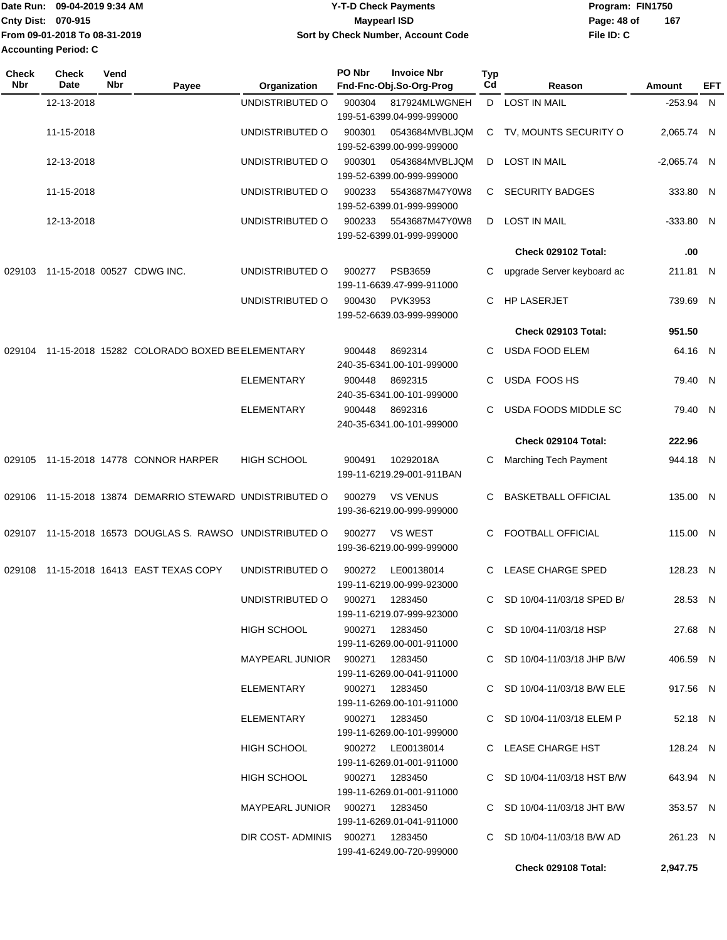|                             | Date Run: 09-04-2019 9:34 AM  | <b>Y-T-D Check Payments</b>        | Program: FIN1750 |     |
|-----------------------------|-------------------------------|------------------------------------|------------------|-----|
| Cnty Dist: 070-915          |                               | <b>Mavpearl ISD</b>                | Page: 48 of      | 167 |
|                             | From 09-01-2018 To 08-31-2019 | Sort by Check Number, Account Code | File ID: C       |     |
| <b>Accounting Period: C</b> |                               |                                    |                  |     |

| Check<br><b>Nbr</b> | <b>Check</b><br>Date              | Vend<br>Nbr | Payee                                                    | Organization                    | PO Nbr | <b>Invoice Nbr</b><br>Fnd-Fnc-Obj.So-Org-Prog  | Typ<br>Cd | Reason                      | Amount        | EFT |
|---------------------|-----------------------------------|-------------|----------------------------------------------------------|---------------------------------|--------|------------------------------------------------|-----------|-----------------------------|---------------|-----|
|                     | 12-13-2018                        |             |                                                          | UNDISTRIBUTED O                 | 900304 | 817924MLWGNEH<br>199-51-6399.04-999-999000     |           | D LOST IN MAIL              | $-253.94$ N   |     |
|                     | 11-15-2018                        |             |                                                          | UNDISTRIBUTED O                 | 900301 | 0543684MVBLJQM<br>199-52-6399.00-999-999000    |           | C TV, MOUNTS SECURITY O     | 2,065.74 N    |     |
|                     | 12-13-2018                        |             |                                                          | UNDISTRIBUTED O                 | 900301 | 0543684MVBLJQM<br>199-52-6399.00-999-999000    | D         | <b>LOST IN MAIL</b>         | $-2,065.74$ N |     |
|                     | 11-15-2018                        |             |                                                          | UNDISTRIBUTED O                 | 900233 | 5543687M47Y0W8<br>199-52-6399.01-999-999000    | C.        | <b>SECURITY BADGES</b>      | 333.80 N      |     |
|                     | 12-13-2018                        |             |                                                          | UNDISTRIBUTED O                 | 900233 | 5543687M47Y0W8<br>199-52-6399.01-999-999000    | D         | <b>LOST IN MAIL</b>         | $-333.80$ N   |     |
|                     |                                   |             |                                                          |                                 |        |                                                |           | Check 029102 Total:         | .00           |     |
|                     | 029103 11-15-2018 00527 CDWG INC. |             |                                                          | UNDISTRIBUTED O                 | 900277 | <b>PSB3659</b>                                 | C         | upgrade Server keyboard ac  | 211.81 N      |     |
|                     |                                   |             |                                                          |                                 |        | 199-11-6639.47-999-911000                      |           |                             |               |     |
|                     |                                   |             |                                                          | UNDISTRIBUTED O                 | 900430 | <b>PVK3953</b><br>199-52-6639.03-999-999000    | C.        | <b>HP LASERJET</b>          | 739.69 N      |     |
|                     |                                   |             |                                                          |                                 |        |                                                |           | <b>Check 029103 Total:</b>  | 951.50        |     |
| 029104              |                                   |             | 11-15-2018 15282 COLORADO BOXED BE ELEMENTARY            |                                 | 900448 | 8692314<br>240-35-6341.00-101-999000           | C         | <b>USDA FOOD ELEM</b>       | 64.16 N       |     |
|                     |                                   |             |                                                          | <b>ELEMENTARY</b>               | 900448 | 8692315<br>240-35-6341.00-101-999000           | C         | USDA FOOS HS                | 79.40 N       |     |
|                     |                                   |             |                                                          | <b>ELEMENTARY</b>               | 900448 | 8692316<br>240-35-6341.00-101-999000           | C.        | USDA FOODS MIDDLE SC        | 79.40 N       |     |
|                     |                                   |             |                                                          |                                 |        |                                                |           | Check 029104 Total:         | 222.96        |     |
|                     |                                   |             | 029105 11-15-2018 14778 CONNOR HARPER                    | <b>HIGH SCHOOL</b>              | 900491 | 10292018A<br>199-11-6219.29-001-911BAN         | C         | Marching Tech Payment       | 944.18 N      |     |
| 029106              |                                   |             | 11-15-2018 13874 DEMARRIO STEWARD UNDISTRIBUTED O        |                                 | 900279 | <b>VS VENUS</b><br>199-36-6219.00-999-999000   | C         | <b>BASKETBALL OFFICIAL</b>  | 135.00 N      |     |
|                     |                                   |             | 029107 11-15-2018 16573 DOUGLAS S. RAWSO UNDISTRIBUTED O |                                 | 900277 | <b>VS WEST</b><br>199-36-6219.00-999-999000    | C         | FOOTBALL OFFICIAL           | 115.00 N      |     |
| 029108              |                                   |             | 11-15-2018 16413 EAST TEXAS COPY                         | UNDISTRIBUTED O                 | 900272 | LE00138014<br>199-11-6219.00-999-923000        | C         | <b>LEASE CHARGE SPED</b>    | 128.23 N      |     |
|                     |                                   |             |                                                          | UNDISTRIBUTED O                 | 900271 | 1283450<br>199-11-6219.07-999-923000           |           | C SD 10/04-11/03/18 SPED B/ | 28.53 N       |     |
|                     |                                   |             |                                                          | HIGH SCHOOL                     |        | 900271 1283450<br>199-11-6269.00-001-911000    |           | C SD 10/04-11/03/18 HSP     | 27.68 N       |     |
|                     |                                   |             |                                                          | MAYPEARL JUNIOR 900271 1283450  |        | 199-11-6269.00-041-911000                      |           | C SD 10/04-11/03/18 JHP B/W | 406.59 N      |     |
|                     |                                   |             |                                                          | ELEMENTARY                      |        | 900271 1283450<br>199-11-6269.00-101-911000    |           | C SD 10/04-11/03/18 B/W ELE | 917.56 N      |     |
|                     |                                   |             |                                                          | ELEMENTARY                      |        | 900271 1283450<br>199-11-6269.00-101-999000    |           | C SD 10/04-11/03/18 ELEM P  | 52.18 N       |     |
|                     |                                   |             |                                                          | HIGH SCHOOL                     |        | 900272 LE00138014<br>199-11-6269.01-001-911000 |           | C LEASE CHARGE HST          | 128.24 N      |     |
|                     |                                   |             |                                                          | <b>HIGH SCHOOL</b>              |        | 900271 1283450<br>199-11-6269.01-001-911000    |           | C SD 10/04-11/03/18 HST B/W | 643.94 N      |     |
|                     |                                   |             |                                                          | MAYPEARL JUNIOR 900271 1283450  |        | 199-11-6269.01-041-911000                      |           | C SD 10/04-11/03/18 JHT B/W | 353.57 N      |     |
|                     |                                   |             |                                                          | DIR COST-ADMINIS 900271 1283450 |        | 199-41-6249.00-720-999000                      |           | C SD 10/04-11/03/18 B/W AD  | 261.23 N      |     |
|                     |                                   |             |                                                          |                                 |        |                                                |           | Check 029108 Total:         | 2,947.75      |     |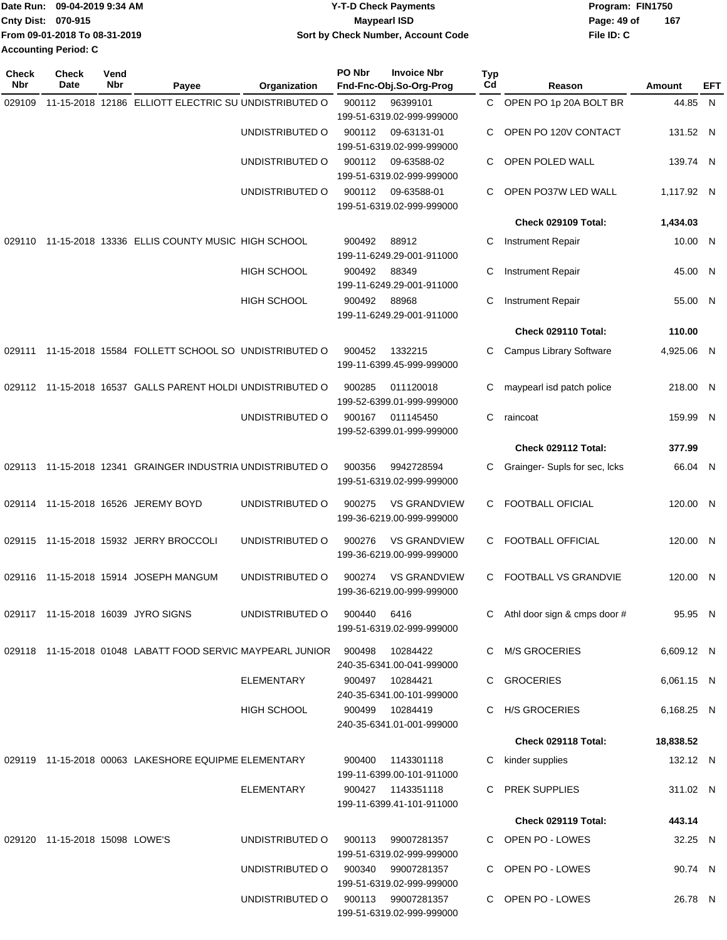|                             | Date Run: 09-04-2019 9:34 AM  | <b>Y-T-D Check Payments</b>        | Program: FIN1750   |  |
|-----------------------------|-------------------------------|------------------------------------|--------------------|--|
| <b>Cnty Dist: 070-915</b>   |                               | <b>Mavpearl ISD</b>                | 167<br>Page: 49 of |  |
|                             | From 09-01-2018 To 08-31-2019 | Sort by Check Number, Account Code | File ID: C         |  |
| <b>Accounting Period: C</b> |                               |                                    |                    |  |

| <b>Check</b><br>Nbr | Check<br>Date                  | Vend<br>Nbr | Payee                                                      | Organization       | PO Nbr | <b>Invoice Nbr</b><br>Fnd-Fnc-Obj.So-Org-Prog                             | Typ<br>Cd | Reason                        | Amount     | EFT |
|---------------------|--------------------------------|-------------|------------------------------------------------------------|--------------------|--------|---------------------------------------------------------------------------|-----------|-------------------------------|------------|-----|
| 029109              |                                |             | 11-15-2018 12186 ELLIOTT ELECTRIC SU UNDISTRIBUTED O       |                    | 900112 | 96399101                                                                  | C         | OPEN PO 1p 20A BOLT BR        | 44.85 N    |     |
|                     |                                |             |                                                            |                    |        | 199-51-6319.02-999-999000                                                 |           |                               |            |     |
|                     |                                |             |                                                            | UNDISTRIBUTED O    | 900112 | 09-63131-01<br>199-51-6319.02-999-999000                                  | C         | OPEN PO 120V CONTACT          | 131.52 N   |     |
|                     |                                |             |                                                            | UNDISTRIBUTED O    | 900112 | 09-63588-02<br>199-51-6319.02-999-999000                                  | C         | OPEN POLED WALL               | 139.74 N   |     |
|                     |                                |             |                                                            | UNDISTRIBUTED O    | 900112 | 09-63588-01                                                               | C         | OPEN PO37W LED WALL           | 1,117.92 N |     |
|                     |                                |             |                                                            |                    |        | 199-51-6319.02-999-999000                                                 |           | Check 029109 Total:           | 1,434.03   |     |
|                     |                                |             |                                                            |                    |        |                                                                           |           |                               |            |     |
| 029110              |                                |             | 11-15-2018 13336 ELLIS COUNTY MUSIC HIGH SCHOOL            |                    | 900492 | 88912<br>199-11-6249.29-001-911000                                        | С         | <b>Instrument Repair</b>      | 10.00 N    |     |
|                     |                                |             |                                                            | <b>HIGH SCHOOL</b> | 900492 | 88349<br>199-11-6249.29-001-911000                                        | С         | <b>Instrument Repair</b>      | 45.00 N    |     |
|                     |                                |             |                                                            | <b>HIGH SCHOOL</b> | 900492 | 88968<br>199-11-6249.29-001-911000                                        | C         | Instrument Repair             | 55.00 N    |     |
|                     |                                |             |                                                            |                    |        |                                                                           |           | Check 029110 Total:           | 110.00     |     |
| 029111              |                                |             | 11-15-2018 15584 FOLLETT SCHOOL SO UNDISTRIBUTED O         |                    | 900452 | 1332215<br>199-11-6399.45-999-999000                                      | C         | Campus Library Software       | 4,925.06 N |     |
|                     |                                |             | 029112 11-15-2018 16537 GALLS PARENT HOLDI UNDISTRIBUTED O |                    | 900285 | 011120018<br>199-52-6399.01-999-999000                                    | С         | maypearl isd patch police     | 218.00 N   |     |
|                     |                                |             |                                                            | UNDISTRIBUTED O    | 900167 | 011145450<br>199-52-6399.01-999-999000                                    | C         | raincoat                      | 159.99 N   |     |
|                     |                                |             |                                                            |                    |        |                                                                           |           | Check 029112 Total:           | 377.99     |     |
|                     |                                |             | 029113 11-15-2018 12341 GRAINGER INDUSTRIA UNDISTRIBUTED O |                    | 900356 | 9942728594<br>199-51-6319.02-999-999000                                   | С         | Grainger- Supls for sec, Icks | 66.04 N    |     |
|                     |                                |             | 029114 11-15-2018 16526 JEREMY BOYD                        | UNDISTRIBUTED O    | 900275 | <b>VS GRANDVIEW</b><br>199-36-6219.00-999-999000                          | C         | <b>FOOTBALL OFICIAL</b>       | 120.00 N   |     |
|                     |                                |             | 029115 11-15-2018 15932 JERRY BROCCOLI                     | UNDISTRIBUTED O    | 900276 | <b>VS GRANDVIEW</b><br>199-36-6219.00-999-999000                          | C         | FOOTBALL OFFICIAL             | 120.00 N   |     |
| 029116              |                                |             | 11-15-2018 15914 JOSEPH MANGUM                             | UNDISTRIBUTED O    | 900274 | <b>VS GRANDVIEW</b><br>199-36-6219.00-999-999000                          | C         | <b>FOOTBALL VS GRANDVIE</b>   | 120.00 N   |     |
|                     |                                |             | 029117 11-15-2018 16039 JYRO SIGNS                         | UNDISTRIBUTED O    | 900440 | 6416<br>199-51-6319.02-999-999000                                         |           | Athl door sign & cmps door #  | 95.95 N    |     |
|                     |                                |             | 029118 11-15-2018 01048 LABATT FOOD SERVIC MAYPEARL JUNIOR |                    | 900498 | 10284422                                                                  | C         | M/S GROCERIES                 | 6,609.12 N |     |
|                     |                                |             |                                                            | <b>ELEMENTARY</b>  |        | 240-35-6341.00-041-999000<br>900497 10284421<br>240-35-6341.00-101-999000 |           | C GROCERIES                   | 6,061.15 N |     |
|                     |                                |             |                                                            | HIGH SCHOOL        | 900499 | 10284419<br>240-35-6341.01-001-999000                                     | C         | <b>H/S GROCERIES</b>          | 6,168.25 N |     |
|                     |                                |             |                                                            |                    |        |                                                                           |           | Check 029118 Total:           | 18,838.52  |     |
|                     |                                |             | 029119 11-15-2018 00063 LAKESHORE EQUIPME ELEMENTARY       |                    | 900400 | 1143301118<br>199-11-6399.00-101-911000                                   | C         | kinder supplies               | 132.12 N   |     |
|                     |                                |             |                                                            | <b>ELEMENTARY</b>  |        | 900427 1143351118<br>199-11-6399.41-101-911000                            |           | <b>PREK SUPPLIES</b>          | 311.02 N   |     |
|                     |                                |             |                                                            |                    |        |                                                                           |           | Check 029119 Total:           | 443.14     |     |
|                     | 029120 11-15-2018 15098 LOWE'S |             |                                                            | UNDISTRIBUTED O    | 900113 | 99007281357<br>199-51-6319.02-999-999000                                  |           | OPEN PO - LOWES               | 32.25 N    |     |
|                     |                                |             |                                                            | UNDISTRIBUTED O    | 900340 | 99007281357<br>199-51-6319.02-999-999000                                  |           | OPEN PO - LOWES               | 90.74 N    |     |
|                     |                                |             |                                                            | UNDISTRIBUTED O    | 900113 | 99007281357<br>199-51-6319.02-999-999000                                  |           | C OPEN PO - LOWES             | 26.78 N    |     |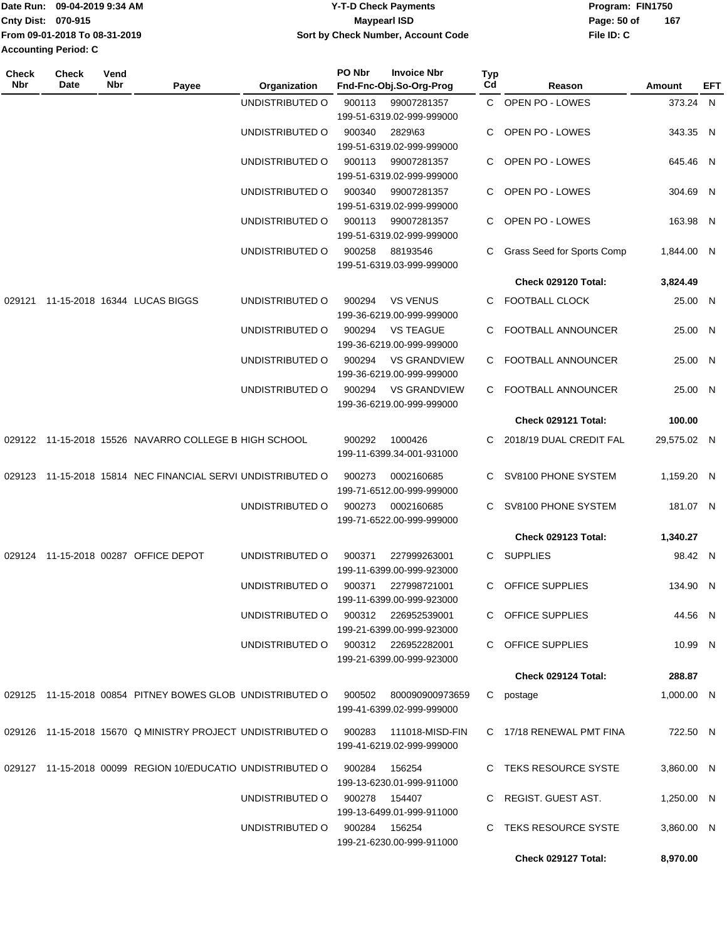|                           | Date Run: 09-04-2019 9:34 AM  | <b>Y-T-D Check Payments</b>        | Program: FIN1750 |     |
|---------------------------|-------------------------------|------------------------------------|------------------|-----|
| <b>Cnty Dist: 070-915</b> |                               | Maypearl ISD                       | Page: 50 of      | 167 |
|                           | From 09-01-2018 To 08-31-2019 | Sort by Check Number, Account Code | File ID: C       |     |
| Accounting Period: C      |                               |                                    |                  |     |

| Check<br><b>Nbr</b> | <b>Check</b><br>Date | Vend<br>Nbr | Payee                                                      | Organization                        | PO Nbr | <b>Invoice Nbr</b><br>Fnd-Fnc-Obj.So-Org-Prog    | <b>Typ</b><br>Cd | Reason                     | Amount      | EFT |
|---------------------|----------------------|-------------|------------------------------------------------------------|-------------------------------------|--------|--------------------------------------------------|------------------|----------------------------|-------------|-----|
|                     |                      |             |                                                            | UNDISTRIBUTED O                     | 900113 | 99007281357                                      |                  | C OPEN PO - LOWES          | 373.24 N    |     |
|                     |                      |             |                                                            |                                     |        | 199-51-6319.02-999-999000                        |                  |                            |             |     |
|                     |                      |             |                                                            | UNDISTRIBUTED O                     | 900340 | 2829\63                                          | C                | OPEN PO - LOWES            | 343.35 N    |     |
|                     |                      |             |                                                            |                                     |        | 199-51-6319.02-999-999000                        |                  |                            |             |     |
|                     |                      |             |                                                            | UNDISTRIBUTED O                     | 900113 | 99007281357                                      | C.               | OPEN PO - LOWES            | 645.46 N    |     |
|                     |                      |             |                                                            |                                     |        | 199-51-6319.02-999-999000                        |                  |                            |             |     |
|                     |                      |             |                                                            | UNDISTRIBUTED O                     | 900340 | 99007281357                                      |                  | OPEN PO - LOWES            | 304.69 N    |     |
|                     |                      |             |                                                            |                                     |        | 199-51-6319.02-999-999000                        |                  |                            |             |     |
|                     |                      |             |                                                            | UNDISTRIBUTED O                     | 900113 | 99007281357                                      | C                | OPEN PO - LOWES            | 163.98 N    |     |
|                     |                      |             |                                                            |                                     |        | 199-51-6319.02-999-999000                        |                  |                            |             |     |
|                     |                      |             |                                                            | UNDISTRIBUTED O                     | 900258 | 88193546                                         | C                | Grass Seed for Sports Comp | 1,844.00 N  |     |
|                     |                      |             |                                                            |                                     |        | 199-51-6319.03-999-999000                        |                  |                            |             |     |
|                     |                      |             |                                                            |                                     |        |                                                  |                  | Check 029120 Total:        | 3,824.49    |     |
| 029121              |                      |             | 11-15-2018 16344 LUCAS BIGGS                               | UNDISTRIBUTED O                     | 900294 | <b>VS VENUS</b>                                  | C.               | FOOTBALL CLOCK             | 25.00 N     |     |
|                     |                      |             |                                                            |                                     |        | 199-36-6219.00-999-999000                        |                  |                            |             |     |
|                     |                      |             |                                                            | UNDISTRIBUTED O                     | 900294 | <b>VS TEAGUE</b>                                 | C                | FOOTBALL ANNOUNCER         | 25.00 N     |     |
|                     |                      |             |                                                            |                                     |        | 199-36-6219.00-999-999000                        |                  |                            |             |     |
|                     |                      |             |                                                            | UNDISTRIBUTED O                     | 900294 | <b>VS GRANDVIEW</b>                              | C                | <b>FOOTBALL ANNOUNCER</b>  | 25.00 N     |     |
|                     |                      |             |                                                            |                                     |        | 199-36-6219.00-999-999000                        |                  |                            |             |     |
|                     |                      |             |                                                            | UNDISTRIBUTED O                     | 900294 | <b>VS GRANDVIEW</b>                              | C.               | FOOTBALL ANNOUNCER         | 25.00 N     |     |
|                     |                      |             |                                                            |                                     |        | 199-36-6219.00-999-999000                        |                  |                            |             |     |
|                     |                      |             |                                                            |                                     |        |                                                  |                  | Check 029121 Total:        | 100.00      |     |
|                     |                      |             | 029122 11-15-2018 15526 NAVARRO COLLEGE B HIGH SCHOOL      |                                     | 900292 | 1000426                                          | C.               | 2018/19 DUAL CREDIT FAL    | 29,575.02 N |     |
|                     |                      |             |                                                            |                                     |        | 199-11-6399.34-001-931000                        |                  |                            |             |     |
|                     |                      |             |                                                            |                                     |        |                                                  |                  |                            |             |     |
| 029123              |                      |             | 11-15-2018 15814 NEC FINANCIAL SERVI UNDISTRIBUTED O       |                                     | 900273 | 0002160685<br>199-71-6512.00-999-999000          | C                | SV8100 PHONE SYSTEM        | 1,159.20 N  |     |
|                     |                      |             |                                                            |                                     |        |                                                  | C                |                            |             |     |
|                     |                      |             |                                                            | UNDISTRIBUTED O                     | 900273 | 0002160685<br>199-71-6522.00-999-999000          |                  | SV8100 PHONE SYSTEM        | 181.07 N    |     |
|                     |                      |             |                                                            |                                     |        |                                                  |                  | <b>Check 029123 Total:</b> | 1,340.27    |     |
|                     |                      |             |                                                            |                                     |        |                                                  |                  |                            |             |     |
|                     |                      |             | 029124 11-15-2018 00287 OFFICE DEPOT                       | UNDISTRIBUTED O                     | 900371 | 227999263001                                     | C                | <b>SUPPLIES</b>            | 98.42 N     |     |
|                     |                      |             |                                                            |                                     |        | 199-11-6399.00-999-923000                        |                  |                            |             |     |
|                     |                      |             |                                                            | UNDISTRIBUTED O                     | 900371 | 227998721001                                     | C                | <b>OFFICE SUPPLIES</b>     | 134.90 N    |     |
|                     |                      |             |                                                            |                                     |        | 199-11-6399.00-999-923000                        |                  |                            |             |     |
|                     |                      |             |                                                            | UNDISTRIBUTED O                     |        | 900312 226952539001<br>199-21-6399.00-999-923000 |                  | C OFFICE SUPPLIES          | 44.56 N     |     |
|                     |                      |             |                                                            | UNDISTRIBUTED O 900312 226952282001 |        |                                                  |                  | C OFFICE SUPPLIES          | 10.99 N     |     |
|                     |                      |             |                                                            |                                     |        | 199-21-6399.00-999-923000                        |                  |                            |             |     |
|                     |                      |             |                                                            |                                     |        |                                                  |                  | Check 029124 Total:        | 288.87      |     |
|                     |                      |             |                                                            |                                     |        |                                                  |                  |                            |             |     |
|                     |                      |             | 029125 11-15-2018 00854 PITNEY BOWES GLOB UNDISTRIBUTED O  |                                     | 900502 | 800090900973659                                  |                  | C postage                  | 1,000.00 N  |     |
|                     |                      |             |                                                            |                                     |        | 199-41-6399.02-999-999000                        |                  |                            |             |     |
|                     |                      |             | 029126 11-15-2018 15670 Q MINISTRY PROJECT UNDISTRIBUTED O |                                     | 900283 | 111018-MISD-FIN                                  |                  | C 17/18 RENEWAL PMT FINA   | 722.50 N    |     |
|                     |                      |             |                                                            |                                     |        | 199-41-6219.02-999-999000                        |                  |                            |             |     |
|                     |                      |             | 029127 11-15-2018 00099 REGION 10/EDUCATIO UNDISTRIBUTED O |                                     | 900284 | 156254                                           |                  | C TEKS RESOURCE SYSTE      | 3,860.00 N  |     |
|                     |                      |             |                                                            |                                     |        | 199-13-6230.01-999-911000                        |                  |                            |             |     |
|                     |                      |             |                                                            | UNDISTRIBUTED O                     |        | 900278 154407                                    |                  | C REGIST. GUEST AST.       | 1,250.00 N  |     |
|                     |                      |             |                                                            |                                     |        | 199-13-6499.01-999-911000                        |                  |                            |             |     |
|                     |                      |             |                                                            | UNDISTRIBUTED O 900284 156254       |        |                                                  |                  | C TEKS RESOURCE SYSTE      | 3,860.00 N  |     |
|                     |                      |             |                                                            |                                     |        | 199-21-6230.00-999-911000                        |                  |                            |             |     |
|                     |                      |             |                                                            |                                     |        |                                                  |                  | Check 029127 Total:        | 8,970.00    |     |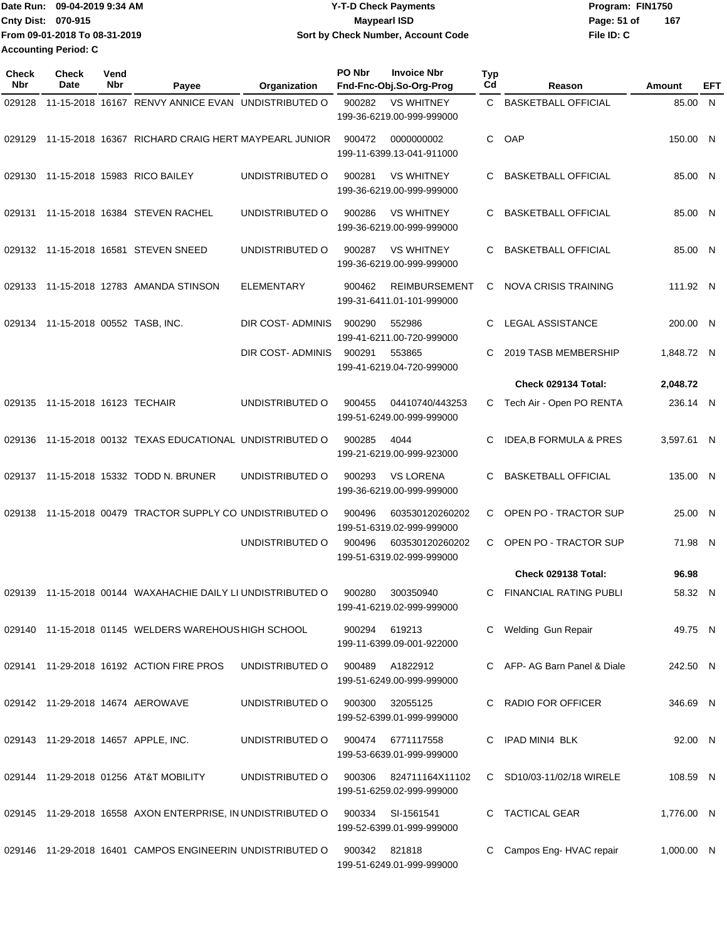|                             | IDate Run: 09-04-2019 9:34 AM | <b>Y-T-D Check Payments</b>        | Program: FIN1750   |
|-----------------------------|-------------------------------|------------------------------------|--------------------|
| <b>Cnty Dist: 070-915</b>   |                               | Mavpearl ISD                       | 167<br>Page: 51 of |
|                             | From 09-01-2018 To 08-31-2019 | Sort by Check Number, Account Code | File ID: C         |
| <b>Accounting Period: C</b> |                               |                                    |                    |

| <b>Check</b><br><b>Nbr</b> | Check<br>Date                   | Vend<br>Nbr | Payee                                                       | Organization      | PO Nbr        | <b>Invoice Nbr</b><br>Fnd-Fnc-Obj.So-Org-Prog     | Typ<br>Cd | Reason                            | Amount     | EFT |
|----------------------------|---------------------------------|-------------|-------------------------------------------------------------|-------------------|---------------|---------------------------------------------------|-----------|-----------------------------------|------------|-----|
| 029128                     |                                 |             | 11-15-2018 16167 RENVY ANNICE EVAN UNDISTRIBUTED O          |                   | 900282        | <b>VS WHITNEY</b><br>199-36-6219.00-999-999000    |           | C BASKETBALL OFFICIAL             | 85.00 N    |     |
| 029129                     |                                 |             | 11-15-2018 16367 RICHARD CRAIG HERT MAYPEARL JUNIOR         |                   | 900472        | 0000000002<br>199-11-6399.13-041-911000           | C         | OAP                               | 150.00 N   |     |
|                            |                                 |             | 029130 11-15-2018 15983 RICO BAILEY                         | UNDISTRIBUTED O   | 900281        | <b>VS WHITNEY</b><br>199-36-6219.00-999-999000    | C         | <b>BASKETBALL OFFICIAL</b>        | 85.00 N    |     |
| 029131                     |                                 |             | 11-15-2018 16384 STEVEN RACHEL                              | UNDISTRIBUTED O   | 900286        | <b>VS WHITNEY</b><br>199-36-6219.00-999-999000    | C         | <b>BASKETBALL OFFICIAL</b>        | 85.00 N    |     |
|                            |                                 |             | 029132 11-15-2018 16581 STEVEN SNEED                        | UNDISTRIBUTED O   | 900287        | <b>VS WHITNEY</b><br>199-36-6219.00-999-999000    | C         | <b>BASKETBALL OFFICIAL</b>        | 85.00 N    |     |
|                            |                                 |             | 029133 11-15-2018 12783 AMANDA STINSON                      | <b>ELEMENTARY</b> | 900462        | <b>REIMBURSEMENT</b><br>199-31-6411.01-101-999000 | C         | NOVA CRISIS TRAINING              | 111.92 N   |     |
| 029134                     | 11-15-2018 00552 TASB, INC.     |             |                                                             | DIR COST-ADMINIS  | 900290        | 552986<br>199-41-6211.00-720-999000               | C         | <b>LEGAL ASSISTANCE</b>           | 200.00 N   |     |
|                            |                                 |             |                                                             | DIR COST-ADMINIS  | 900291        | 553865<br>199-41-6219.04-720-999000               | C         | 2019 TASB MEMBERSHIP              | 1,848.72 N |     |
|                            |                                 |             |                                                             |                   |               |                                                   |           | Check 029134 Total:               | 2,048.72   |     |
|                            | 029135 11-15-2018 16123 TECHAIR |             |                                                             | UNDISTRIBUTED O   | 900455        | 04410740/443253<br>199-51-6249.00-999-999000      | C         | Tech Air - Open PO RENTA          | 236.14 N   |     |
| 029136                     |                                 |             | 11-15-2018 00132 TEXAS EDUCATIONAL UNDISTRIBUTED O          |                   | 900285        | 4044<br>199-21-6219.00-999-923000                 | C         | <b>IDEA, B FORMULA &amp; PRES</b> | 3,597.61 N |     |
|                            |                                 |             | 029137 11-15-2018 15332 TODD N. BRUNER                      | UNDISTRIBUTED O   | 900293        | <b>VS LORENA</b><br>199-36-6219.00-999-999000     | C         | <b>BASKETBALL OFFICIAL</b>        | 135.00 N   |     |
| 029138                     |                                 |             | 11-15-2018 00479 TRACTOR SUPPLY CO UNDISTRIBUTED O          |                   | 900496        | 603530120260202<br>199-51-6319.02-999-999000      | C         | OPEN PO - TRACTOR SUP             | 25.00 N    |     |
|                            |                                 |             |                                                             | UNDISTRIBUTED O   | 900496        | 603530120260202<br>199-51-6319.02-999-999000      | C         | OPEN PO - TRACTOR SUP             | 71.98 N    |     |
|                            |                                 |             |                                                             |                   |               |                                                   |           | Check 029138 Total:               | 96.98      |     |
| 029139                     |                                 |             | 11-15-2018 00144 WAXAHACHIE DAILY LI UNDISTRIBUTED O        |                   | 900280        | 300350940<br>199-41-6219.02-999-999000            | C.        | <b>FINANCIAL RATING PUBLI</b>     | 58.32 N    |     |
|                            |                                 |             | 029140 11-15-2018 01145 WELDERS WAREHOUS HIGH SCHOOL        |                   | 900294 619213 | 199-11-6399.09-001-922000                         |           | C Welding Gun Repair              | 49.75 N    |     |
|                            |                                 |             | 029141 11-29-2018 16192 ACTION FIRE PROS                    | UNDISTRIBUTED O   | 900489        | A1822912<br>199-51-6249.00-999-999000             |           | C AFP-AG Barn Panel & Diale       | 242.50 N   |     |
|                            |                                 |             | 029142 11-29-2018 14674 AEROWAVE                            | UNDISTRIBUTED O   | 900300        | 32055125<br>199-52-6399.01-999-999000             |           | C RADIO FOR OFFICER               | 346.69 N   |     |
|                            |                                 |             | 029143 11-29-2018 14657 APPLE, INC.                         | UNDISTRIBUTED O   | 900474        | 6771117558<br>199-53-6639.01-999-999000           |           | C IPAD MINI4 BLK                  | 92.00 N    |     |
|                            |                                 |             | 029144 11-29-2018 01256 AT&T MOBILITY                       | UNDISTRIBUTED O   | 900306        | 824711164X11102<br>199-51-6259.02-999-999000      |           | C SD10/03-11/02/18 WIRELE         | 108.59 N   |     |
|                            |                                 |             | 029145 11-29-2018 16558 AXON ENTERPRISE, IN UNDISTRIBUTED O |                   | 900334        | SI-1561541<br>199-52-6399.01-999-999000           |           | C TACTICAL GEAR                   | 1,776.00 N |     |
|                            |                                 |             | 029146 11-29-2018 16401 CAMPOS ENGINEERIN UNDISTRIBUTED O   |                   | 900342        | 821818<br>199-51-6249.01-999-999000               |           | C Campos Eng-HVAC repair          | 1,000.00 N |     |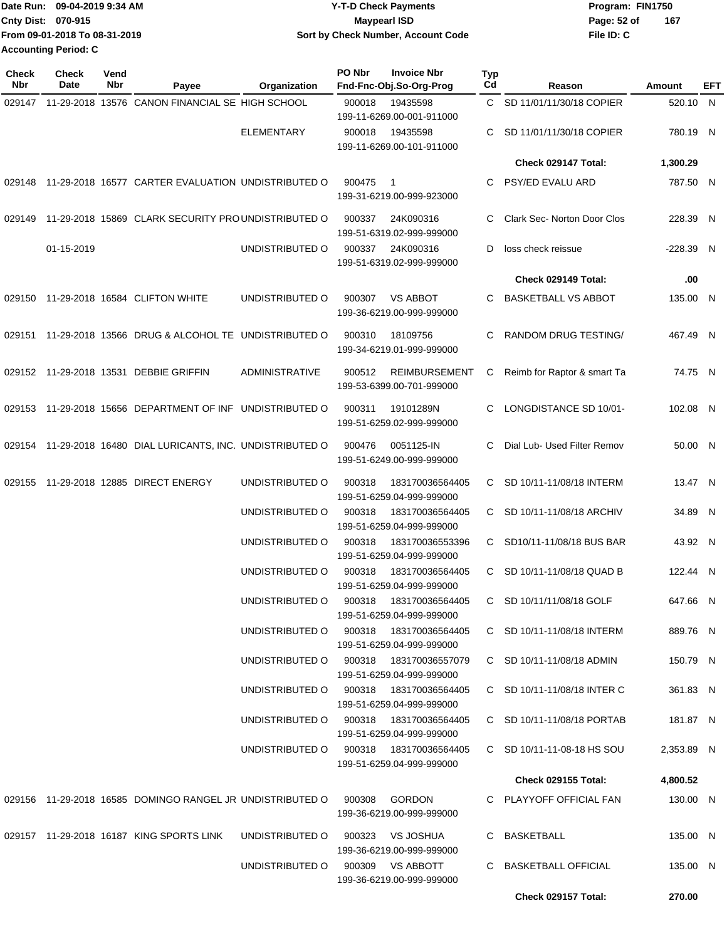|                           | Date Run: 09-04-2019 9:34 AM  | <b>Y-T-D Check Payments</b>        | Program: FIN1750   |
|---------------------------|-------------------------------|------------------------------------|--------------------|
| <b>Cnty Dist: 070-915</b> |                               | <b>Maypearl ISD</b>                | 167<br>Page: 52 of |
|                           | From 09-01-2018 To 08-31-2019 | Sort by Check Number, Account Code | File ID: C         |
| Accounting Period: C      |                               |                                    |                    |

| <b>Check</b><br>Nbr | <b>Check</b><br>Date | Vend<br>Nbr | Payee                                                        | Organization                           | PO Nbr | <b>Invoice Nbr</b><br>Fnd-Fnc-Obj.So-Org-Prog                      | Typ<br>Cd | Reason                             | Amount      | EFT |
|---------------------|----------------------|-------------|--------------------------------------------------------------|----------------------------------------|--------|--------------------------------------------------------------------|-----------|------------------------------------|-------------|-----|
|                     |                      |             | 029147 11-29-2018 13576 CANON FINANCIAL SE HIGH SCHOOL       |                                        | 900018 | 19435598                                                           |           | C SD 11/01/11/30/18 COPIER         | 520.10 N    |     |
|                     |                      |             |                                                              | <b>ELEMENTARY</b>                      | 900018 | 199-11-6269.00-001-911000<br>19435598<br>199-11-6269.00-101-911000 | C.        | SD 11/01/11/30/18 COPIER           | 780.19 N    |     |
|                     |                      |             |                                                              |                                        |        |                                                                    |           | Check 029147 Total:                | 1,300.29    |     |
| 029148              |                      |             | 11-29-2018 16577 CARTER EVALUATION UNDISTRIBUTED O           |                                        | 900475 | $\overline{1}$<br>199-31-6219.00-999-923000                        | C         | PSY/ED EVALU ARD                   | 787.50 N    |     |
| 029149              |                      |             | 11-29-2018 15869 CLARK SECURITY PROUNDISTRIBUTED O           |                                        | 900337 | 24K090316<br>199-51-6319.02-999-999000                             | C         | <b>Clark Sec- Norton Door Clos</b> | 228.39 N    |     |
|                     | 01-15-2019           |             |                                                              | UNDISTRIBUTED O                        | 900337 | 24K090316<br>199-51-6319.02-999-999000                             | D         | loss check reissue                 | $-228.39$ N |     |
|                     |                      |             |                                                              |                                        |        |                                                                    |           | Check 029149 Total:                | .00         |     |
| 029150              |                      |             | 11-29-2018 16584 CLIFTON WHITE                               | UNDISTRIBUTED O                        | 900307 | <b>VS ABBOT</b><br>199-36-6219.00-999-999000                       | C         | <b>BASKETBALL VS ABBOT</b>         | 135.00 N    |     |
| 029151              |                      |             | 11-29-2018 13566 DRUG & ALCOHOL TE UNDISTRIBUTED O           |                                        | 900310 | 18109756<br>199-34-6219.01-999-999000                              | C         | RANDOM DRUG TESTING/               | 467.49 N    |     |
|                     |                      |             | 029152 11-29-2018 13531 DEBBIE GRIFFIN                       | <b>ADMINISTRATIVE</b>                  | 900512 | <b>REIMBURSEMENT</b><br>199-53-6399.00-701-999000                  | С         | Reimb for Raptor & smart Ta        | 74.75 N     |     |
|                     |                      |             | 029153 11-29-2018 15656 DEPARTMENT OF INF UNDISTRIBUTED O    |                                        | 900311 | 19101289N<br>199-51-6259.02-999-999000                             | С         | LONGDISTANCE SD 10/01-             | 102.08 N    |     |
|                     |                      |             | 029154 11-29-2018 16480 DIAL LURICANTS, INC. UNDISTRIBUTED O |                                        | 900476 | 0051125-IN<br>199-51-6249.00-999-999000                            | C         | Dial Lub- Used Filter Remov        | 50.00 N     |     |
| 029155              |                      |             | 11-29-2018 12885 DIRECT ENERGY                               | UNDISTRIBUTED O                        | 900318 | 183170036564405<br>199-51-6259.04-999-999000                       | C.        | SD 10/11-11/08/18 INTERM           | 13.47 N     |     |
|                     |                      |             |                                                              | UNDISTRIBUTED O                        | 900318 | 183170036564405<br>199-51-6259.04-999-999000                       | C.        | SD 10/11-11/08/18 ARCHIV           | 34.89 N     |     |
|                     |                      |             |                                                              | UNDISTRIBUTED O                        | 900318 | 183170036553396<br>199-51-6259.04-999-999000                       |           | C SD10/11-11/08/18 BUS BAR         | 43.92 N     |     |
|                     |                      |             |                                                              | UNDISTRIBUTED O                        | 900318 | 183170036564405<br>199-51-6259.04-999-999000                       |           | C SD 10/11-11/08/18 QUAD B         | 122.44 N    |     |
|                     |                      |             |                                                              | UNDISTRIBUTED O                        |        | 900318  183170036564405<br>199-51-6259.04-999-999000               |           | C SD 10/11/11/08/18 GOLF           | 647.66 N    |     |
|                     |                      |             |                                                              | UNDISTRIBUTED O 900318 183170036564405 |        | 199-51-6259.04-999-999000                                          |           | C SD 10/11-11/08/18 INTERM         | 889.76 N    |     |
|                     |                      |             |                                                              | UNDISTRIBUTED O 900318 183170036557079 |        | 199-51-6259.04-999-999000                                          |           | C SD 10/11-11/08/18 ADMIN          | 150.79 N    |     |
|                     |                      |             |                                                              | UNDISTRIBUTED O 900318 183170036564405 |        | 199-51-6259.04-999-999000                                          |           | C SD 10/11-11/08/18 INTER C        | 361.83 N    |     |
|                     |                      |             |                                                              | UNDISTRIBUTED O 900318 183170036564405 |        | 199-51-6259.04-999-999000                                          |           | C SD 10/11-11/08/18 PORTAB         | 181.87 N    |     |
|                     |                      |             |                                                              | UNDISTRIBUTED O 900318 183170036564405 |        | 199-51-6259.04-999-999000                                          |           | C SD 10/11-11-08-18 HS SOU         | 2,353.89 N  |     |
|                     |                      |             |                                                              |                                        |        |                                                                    |           | Check 029155 Total:                | 4,800.52    |     |
|                     |                      |             | 029156 11-29-2018 16585 DOMINGO RANGEL JR UNDISTRIBUTED O    |                                        |        | 900308 GORDON<br>199-36-6219.00-999-999000                         |           | C PLAYYOFF OFFICIAL FAN            | 130.00 N    |     |
|                     |                      |             | 029157 11-29-2018 16187 KING SPORTS LINK                     | UNDISTRIBUTED O 900323 VS JOSHUA       |        | 199-36-6219.00-999-999000                                          |           | C BASKETBALL                       | 135.00 N    |     |
|                     |                      |             |                                                              | UNDISTRIBUTED O 900309 VS ABBOTT       |        | 199-36-6219.00-999-999000                                          |           | C BASKETBALL OFFICIAL              | 135.00 N    |     |
|                     |                      |             |                                                              |                                        |        |                                                                    |           | Check 029157 Total:                | 270.00      |     |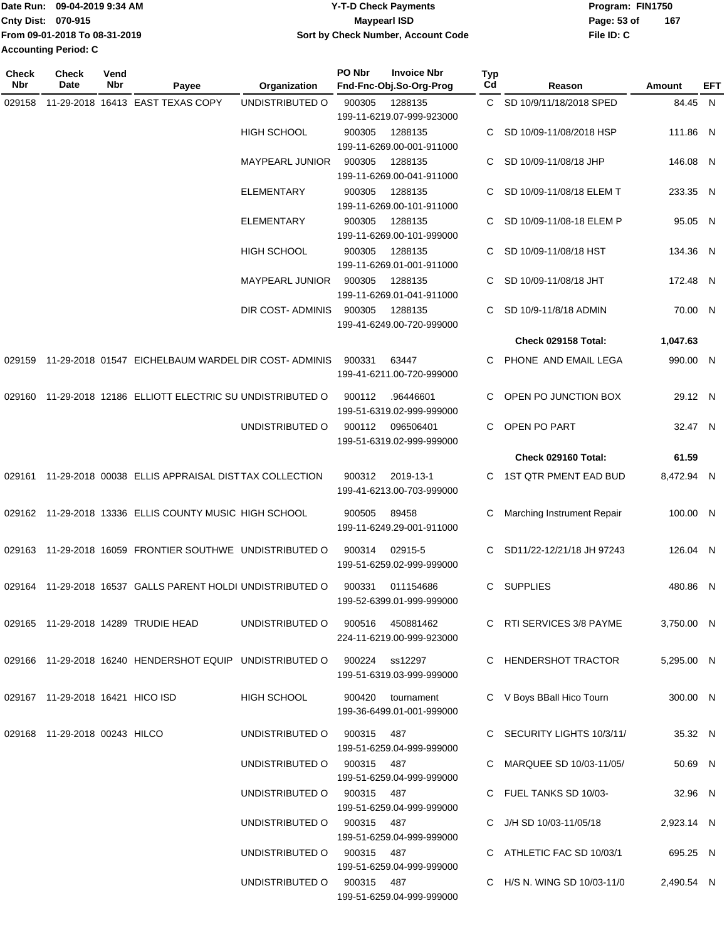|                             | Date Run: 09-04-2019 9:34 AM  | Y-T-D Check Payments               | Program: FIN1750   |
|-----------------------------|-------------------------------|------------------------------------|--------------------|
| <b>Cnty Dist: 070-915</b>   |                               | Maypearl ISD                       | 167<br>Page: 53 of |
|                             | From 09-01-2018 To 08-31-2019 | Sort by Check Number, Account Code | File ID: C         |
| <b>Accounting Period: C</b> |                               |                                    |                    |

| <b>Check</b><br>Nbr | Check<br>Date                    | Vend<br>Nbr | Payee                                                                   | Organization                     | PO Nbr     | <b>Invoice Nbr</b><br>Fnd-Fnc-Obj.So-Org-Prog | Typ<br>Cd | Reason                      | Amount     | EFT |
|---------------------|----------------------------------|-------------|-------------------------------------------------------------------------|----------------------------------|------------|-----------------------------------------------|-----------|-----------------------------|------------|-----|
| 029158              |                                  |             | 11-29-2018 16413 EAST TEXAS COPY                                        | UNDISTRIBUTED O                  | 900305     | 1288135                                       |           | C SD 10/9/11/18/2018 SPED   | 84.45 N    |     |
|                     |                                  |             |                                                                         |                                  |            | 199-11-6219.07-999-923000                     |           |                             |            |     |
|                     |                                  |             |                                                                         | <b>HIGH SCHOOL</b>               | 900305     | 1288135                                       | C.        | SD 10/09-11/08/2018 HSP     | 111.86 N   |     |
|                     |                                  |             |                                                                         |                                  |            | 199-11-6269.00-001-911000                     |           |                             |            |     |
|                     |                                  |             |                                                                         | <b>MAYPEARL JUNIOR</b>           | 900305     | 1288135                                       | C.        | SD 10/09-11/08/18 JHP       | 146.08 N   |     |
|                     |                                  |             |                                                                         |                                  |            | 199-11-6269.00-041-911000                     |           |                             |            |     |
|                     |                                  |             |                                                                         | <b>ELEMENTARY</b>                | 900305     | 1288135                                       | C         | SD 10/09-11/08/18 ELEM T    | 233.35 N   |     |
|                     |                                  |             |                                                                         |                                  |            | 199-11-6269.00-101-911000                     |           |                             |            |     |
|                     |                                  |             |                                                                         | <b>ELEMENTARY</b>                | 900305     | 1288135                                       |           | SD 10/09-11/08-18 ELEM P    | 95.05 N    |     |
|                     |                                  |             |                                                                         |                                  |            | 199-11-6269.00-101-999000                     |           |                             |            |     |
|                     |                                  |             |                                                                         | <b>HIGH SCHOOL</b>               | 900305     | 1288135<br>199-11-6269.01-001-911000          | C.        | SD 10/09-11/08/18 HST       | 134.36 N   |     |
|                     |                                  |             |                                                                         | MAYPEARL JUNIOR                  | 900305     | 1288135                                       | C.        | SD 10/09-11/08/18 JHT       | 172.48 N   |     |
|                     |                                  |             |                                                                         |                                  |            | 199-11-6269.01-041-911000                     |           |                             |            |     |
|                     |                                  |             |                                                                         | DIR COST- ADMINIS                | 900305     | 1288135                                       | C.        | SD 10/9-11/8/18 ADMIN       | 70.00 N    |     |
|                     |                                  |             |                                                                         |                                  |            | 199-41-6249.00-720-999000                     |           |                             |            |     |
|                     |                                  |             |                                                                         |                                  |            |                                               |           | Check 029158 Total:         | 1,047.63   |     |
| 029159              |                                  |             | 11-29-2018 01547 EICHELBAUM WARDEL DIR COST- ADMINIS                    |                                  | 900331     | 63447                                         | C.        | PHONE AND EMAIL LEGA        | 990.00 N   |     |
|                     |                                  |             |                                                                         |                                  |            | 199-41-6211.00-720-999000                     |           |                             |            |     |
|                     |                                  |             |                                                                         |                                  |            |                                               |           |                             |            |     |
| 029160              |                                  |             | 11-29-2018 12186 ELLIOTT ELECTRIC SU UNDISTRIBUTED O                    |                                  | 900112     | .96446601                                     | C         | OPEN PO JUNCTION BOX        | 29.12 N    |     |
|                     |                                  |             |                                                                         |                                  |            | 199-51-6319.02-999-999000                     |           |                             |            |     |
|                     |                                  |             |                                                                         | UNDISTRIBUTED O                  | 900112     | 096506401                                     | C.        | OPEN PO PART                | 32.47 N    |     |
|                     |                                  |             |                                                                         |                                  |            | 199-51-6319.02-999-999000                     |           |                             |            |     |
|                     |                                  |             |                                                                         |                                  |            |                                               |           | Check 029160 Total:         | 61.59      |     |
|                     |                                  |             | 029161 11-29-2018 00038 ELLIS APPRAISAL DISTTAX COLLECTION              |                                  | 900312     | 2019-13-1                                     | C.        | 1ST QTR PMENT EAD BUD       | 8,472.94 N |     |
|                     |                                  |             |                                                                         |                                  |            | 199-41-6213.00-703-999000                     |           |                             |            |     |
|                     |                                  |             | 029162 11-29-2018 13336 ELLIS COUNTY MUSIC HIGH SCHOOL                  |                                  | 900505     | 89458                                         | С         | Marching Instrument Repair  | 100.00 N   |     |
|                     |                                  |             |                                                                         |                                  |            | 199-11-6249.29-001-911000                     |           |                             |            |     |
|                     |                                  |             | 029163 11-29-2018 16059 FRONTIER SOUTHWE UNDISTRIBUTED O                |                                  |            | 02915-5                                       | C.        | SD11/22-12/21/18 JH 97243   | 126.04 N   |     |
|                     |                                  |             |                                                                         |                                  | 900314     | 199-51-6259.02-999-999000                     |           |                             |            |     |
|                     |                                  |             |                                                                         |                                  |            |                                               |           |                             |            |     |
|                     |                                  |             | 029164 11-29-2018 16537 GALLS PARENT HOLDI UNDISTRIBUTED O              |                                  | 900331     | 011154686                                     |           | C SUPPLIES                  | 480.86 N   |     |
|                     |                                  |             |                                                                         |                                  |            | 199-52-6399.01-999-999000                     |           |                             |            |     |
|                     |                                  |             | 029165 11-29-2018 14289 TRUDIE HEAD                                     | UNDISTRIBUTED O 900516 450881462 |            |                                               |           | C RTI SERVICES 3/8 PAYME    | 3,750.00 N |     |
|                     |                                  |             |                                                                         |                                  |            | 224-11-6219.00-999-923000                     |           |                             |            |     |
|                     |                                  |             | 029166 11-29-2018 16240 HENDERSHOT EQUIP UNDISTRIBUTED O 900224 ss12297 |                                  |            |                                               |           | C HENDERSHOT TRACTOR        | 5,295.00 N |     |
|                     |                                  |             |                                                                         |                                  |            | 199-51-6319.03-999-999000                     |           |                             |            |     |
|                     |                                  |             |                                                                         |                                  |            |                                               |           |                             |            |     |
|                     | 029167 11-29-2018 16421 HICO ISD |             |                                                                         | HIGH SCHOOL                      |            | 900420 tournament                             |           | C V Boys BBall Hico Tourn   | 300.00 N   |     |
|                     |                                  |             |                                                                         |                                  |            | 199-36-6499.01-001-999000                     |           |                             |            |     |
|                     | 029168 11-29-2018 00243 HILCO    |             |                                                                         | UNDISTRIBUTED O 900315 487       |            |                                               |           | C SECURITY LIGHTS 10/3/11/  | 35.32 N    |     |
|                     |                                  |             |                                                                         |                                  |            | 199-51-6259.04-999-999000                     |           |                             |            |     |
|                     |                                  |             |                                                                         | UNDISTRIBUTED O                  | 900315 487 |                                               |           | C MARQUEE SD 10/03-11/05/   | 50.69 N    |     |
|                     |                                  |             |                                                                         |                                  |            | 199-51-6259.04-999-999000                     |           |                             |            |     |
|                     |                                  |             |                                                                         | UNDISTRIBUTED O                  | 900315 487 |                                               |           | C FUEL TANKS SD 10/03-      | 32.96 N    |     |
|                     |                                  |             |                                                                         |                                  |            | 199-51-6259.04-999-999000                     |           |                             |            |     |
|                     |                                  |             |                                                                         | UNDISTRIBUTED O                  | 900315 487 |                                               |           | C J/H SD 10/03-11/05/18     | 2,923.14 N |     |
|                     |                                  |             |                                                                         |                                  |            | 199-51-6259.04-999-999000                     |           |                             |            |     |
|                     |                                  |             |                                                                         | UNDISTRIBUTED O 900315 487       |            |                                               |           | C ATHLETIC FAC SD 10/03/1   | 695.25 N   |     |
|                     |                                  |             |                                                                         |                                  |            | 199-51-6259.04-999-999000                     |           |                             |            |     |
|                     |                                  |             |                                                                         | UNDISTRIBUTED O 900315 487       |            | 199-51-6259.04-999-999000                     |           | C H/S N. WING SD 10/03-11/0 | 2,490.54 N |     |
|                     |                                  |             |                                                                         |                                  |            |                                               |           |                             |            |     |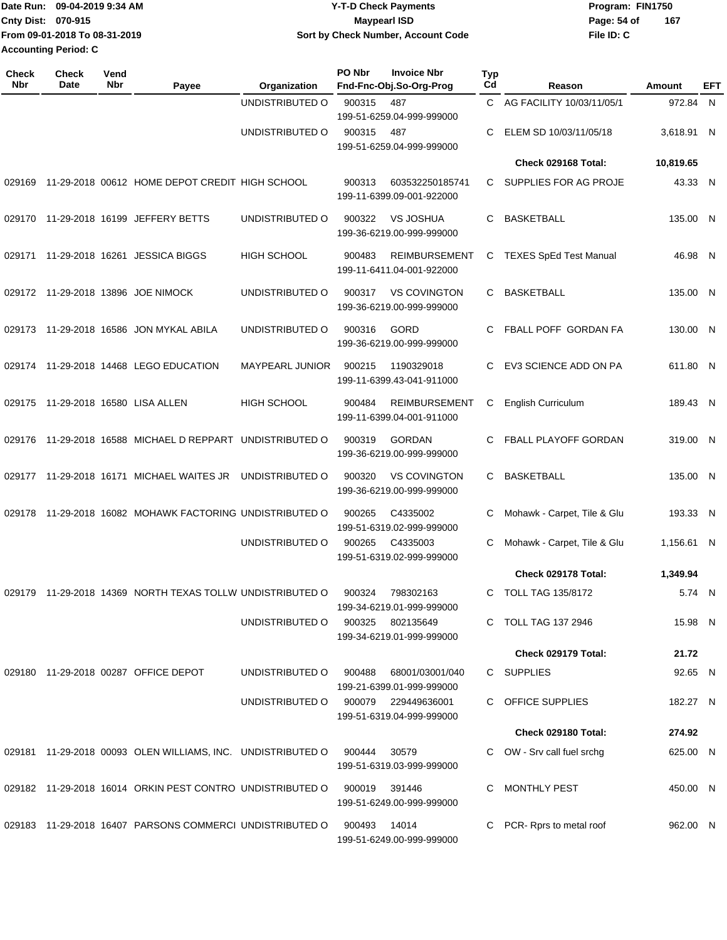|                           | Date Run: 09-04-2019 9:34 AM  | <b>Y-T-D Check Payments</b>        | Program: FIN1750   |
|---------------------------|-------------------------------|------------------------------------|--------------------|
| <b>Cnty Dist: 070-915</b> |                               | <b>Maypearl ISD</b>                | 167<br>Page: 54 of |
|                           | From 09-01-2018 To 08-31-2019 | Sort by Check Number, Account Code | File ID: C         |
|                           | <b>Accounting Period: C</b>   |                                    |                    |

| <b>Check</b><br><b>Nbr</b> | <b>Check</b><br>Date | Vend<br>Nbr | Payee                                                       | Organization       | PO Nbr | <b>Invoice Nbr</b><br>Fnd-Fnc-Obj.So-Org-Prog     | <b>Typ</b><br>Cd | Reason                        | Amount     | EFT |
|----------------------------|----------------------|-------------|-------------------------------------------------------------|--------------------|--------|---------------------------------------------------|------------------|-------------------------------|------------|-----|
|                            |                      |             |                                                             | UNDISTRIBUTED O    | 900315 | 487<br>199-51-6259.04-999-999000                  |                  | C AG FACILITY 10/03/11/05/1   | 972.84 N   |     |
|                            |                      |             |                                                             | UNDISTRIBUTED O    | 900315 | 487<br>199-51-6259.04-999-999000                  | C                | ELEM SD 10/03/11/05/18        | 3,618.91 N |     |
|                            |                      |             |                                                             |                    |        |                                                   |                  | Check 029168 Total:           | 10,819.65  |     |
| 029169                     |                      |             | 11-29-2018 00612 HOME DEPOT CREDIT HIGH SCHOOL              |                    | 900313 | 603532250185741<br>199-11-6399.09-001-922000      | C.               | SUPPLIES FOR AG PROJE         | 43.33 N    |     |
| 029170                     |                      |             | 11-29-2018 16199 JEFFERY BETTS                              | UNDISTRIBUTED O    | 900322 | <b>VS JOSHUA</b><br>199-36-6219.00-999-999000     | C                | <b>BASKETBALL</b>             | 135.00 N   |     |
| 029171                     |                      |             | 11-29-2018 16261 JESSICA BIGGS                              | <b>HIGH SCHOOL</b> | 900483 | <b>REIMBURSEMENT</b><br>199-11-6411.04-001-922000 | C                | <b>TEXES SpEd Test Manual</b> | 46.98 N    |     |
|                            |                      |             | 029172 11-29-2018 13896 JOE NIMOCK                          | UNDISTRIBUTED O    | 900317 | <b>VS COVINGTON</b><br>199-36-6219.00-999-999000  | C.               | <b>BASKETBALL</b>             | 135.00 N   |     |
|                            |                      |             | 029173 11-29-2018 16586 JON MYKAL ABILA                     | UNDISTRIBUTED O    | 900316 | <b>GORD</b><br>199-36-6219.00-999-999000          | C.               | FBALL POFF GORDAN FA          | 130.00 N   |     |
|                            |                      |             | 029174 11-29-2018 14468 LEGO EDUCATION                      | MAYPEARL JUNIOR    | 900215 | 1190329018<br>199-11-6399.43-041-911000           | C                | EV3 SCIENCE ADD ON PA         | 611.80 N   |     |
| 029175                     |                      |             | 11-29-2018 16580 LISA ALLEN                                 | <b>HIGH SCHOOL</b> | 900484 | <b>REIMBURSEMENT</b><br>199-11-6399.04-001-911000 | C                | <b>English Curriculum</b>     | 189.43 N   |     |
| 029176                     |                      |             | 11-29-2018 16588 MICHAEL D REPPART UNDISTRIBUTED O          |                    | 900319 | <b>GORDAN</b><br>199-36-6219.00-999-999000        | C.               | FBALL PLAYOFF GORDAN          | 319.00 N   |     |
| 029177                     |                      |             | 11-29-2018 16171 MICHAEL WAITES JR                          | UNDISTRIBUTED O    | 900320 | <b>VS COVINGTON</b><br>199-36-6219.00-999-999000  | C                | <b>BASKETBALL</b>             | 135.00 N   |     |
| 029178                     |                      |             | 11-29-2018 16082 MOHAWK FACTORING UNDISTRIBUTED O           |                    | 900265 | C4335002<br>199-51-6319.02-999-999000             | C                | Mohawk - Carpet, Tile & Glu   | 193.33 N   |     |
|                            |                      |             |                                                             | UNDISTRIBUTED O    | 900265 | C4335003<br>199-51-6319.02-999-999000             | C                | Mohawk - Carpet, Tile & Glu   | 1,156.61 N |     |
|                            |                      |             |                                                             |                    |        |                                                   |                  | Check 029178 Total:           | 1,349.94   |     |
|                            |                      |             | 029179 11-29-2018 14369 NORTH TEXAS TOLLW UNDISTRIBUTED O   |                    | 900324 | 798302163<br>199-34-6219.01-999-999000            | C                | <b>TOLL TAG 135/8172</b>      | 5.74 N     |     |
|                            |                      |             |                                                             | UNDISTRIBUTED O    | 900325 | 802135649<br>199-34-6219.01-999-999000            |                  | C TOLL TAG 137 2946           | 15.98 N    |     |
|                            |                      |             |                                                             |                    |        |                                                   |                  | Check 029179 Total:           | 21.72      |     |
|                            |                      |             | 029180 11-29-2018 00287 OFFICE DEPOT                        | UNDISTRIBUTED O    | 900488 | 68001/03001/040<br>199-21-6399.01-999-999000      |                  | C SUPPLIES                    | 92.65 N    |     |
|                            |                      |             |                                                             | UNDISTRIBUTED O    |        | 900079 229449636001<br>199-51-6319.04-999-999000  |                  | C OFFICE SUPPLIES             | 182.27 N   |     |
|                            |                      |             |                                                             |                    |        |                                                   |                  | Check 029180 Total:           | 274.92     |     |
|                            |                      |             | 029181 11-29-2018 00093 OLEN WILLIAMS, INC. UNDISTRIBUTED O |                    | 900444 | 30579<br>199-51-6319.03-999-999000                |                  | C OW - Srv call fuel srchg    | 625.00 N   |     |
|                            |                      |             | 029182 11-29-2018 16014 ORKIN PEST CONTRO UNDISTRIBUTED O   |                    |        | 900019 391446<br>199-51-6249.00-999-999000        | C.               | MONTHLY PEST                  | 450.00 N   |     |
|                            |                      |             | 029183 11-29-2018 16407 PARSONS COMMERCI UNDISTRIBUTED O    |                    | 900493 | 14014<br>199-51-6249.00-999-999000                |                  | PCR-Rprs to metal roof        | 962.00 N   |     |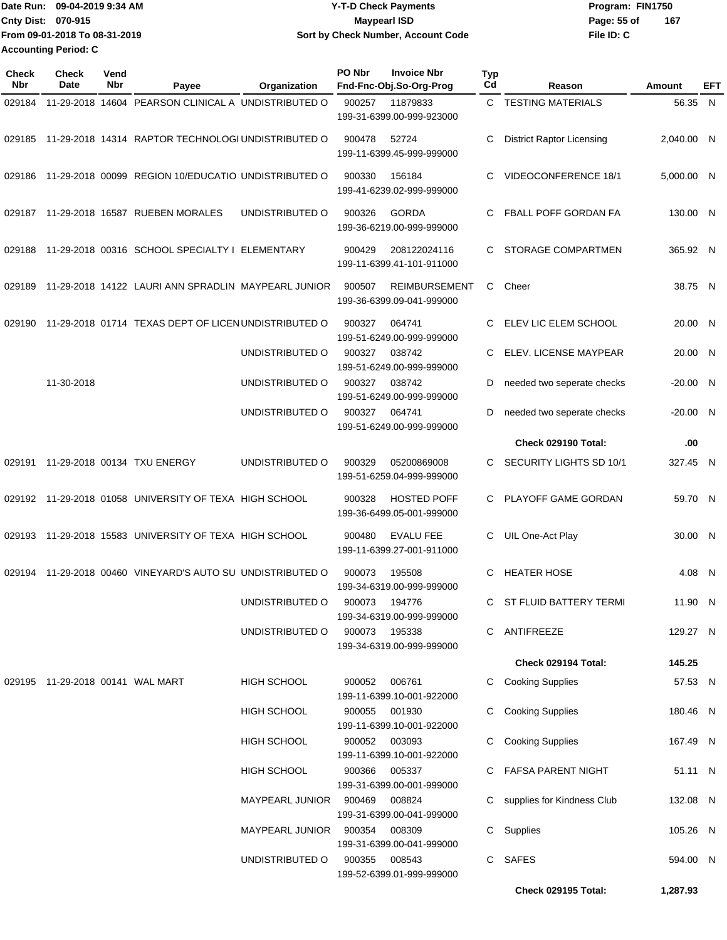|                             | Date Run: 09-04-2019 9:34 AM  | <b>Y-T-D Check Payments</b>        | Program: FIN1750   |
|-----------------------------|-------------------------------|------------------------------------|--------------------|
| <b>Cnty Dist: 070-915</b>   |                               | <b>Mavpearl ISD</b>                | 167<br>Page: 55 of |
|                             | From 09-01-2018 To 08-31-2019 | Sort by Check Number, Account Code | File ID: C         |
| <b>Accounting Period: C</b> |                               |                                    |                    |

| Check<br>Nbr | <b>Check</b><br>Date             | Vend<br>Nbr | Payee                                                  | Organization                  | <b>PO Nbr</b> | <b>Invoice Nbr</b><br>Fnd-Fnc-Obj.So-Org-Prog     | <b>Typ</b><br>Cd | Reason                           | Amount     | EFT |
|--------------|----------------------------------|-------------|--------------------------------------------------------|-------------------------------|---------------|---------------------------------------------------|------------------|----------------------------------|------------|-----|
| 029184       |                                  |             | 11-29-2018 14604 PEARSON CLINICAL A UNDISTRIBUTED O    |                               | 900257        | 11879833<br>199-31-6399.00-999-923000             | C.               | <b>TESTING MATERIALS</b>         | 56.35 N    |     |
| 029185       |                                  |             | 11-29-2018 14314 RAPTOR TECHNOLOGI UNDISTRIBUTED O     |                               | 900478        | 52724<br>199-11-6399.45-999-999000                | C                | <b>District Raptor Licensing</b> | 2,040.00 N |     |
| 029186       |                                  |             | 11-29-2018 00099 REGION 10/EDUCATIO UNDISTRIBUTED O    |                               | 900330        | 156184<br>199-41-6239.02-999-999000               | C                | VIDEOCONFERENCE 18/1             | 5,000.00 N |     |
| 029187       |                                  |             | 11-29-2018 16587 RUEBEN MORALES                        | UNDISTRIBUTED O               | 900326        | <b>GORDA</b><br>199-36-6219.00-999-999000         | C.               | FBALL POFF GORDAN FA             | 130.00 N   |     |
| 029188       |                                  |             | 11-29-2018 00316 SCHOOL SPECIALTY I ELEMENTARY         |                               | 900429        | 208122024116<br>199-11-6399.41-101-911000         | C.               | STORAGE COMPARTMEN               | 365.92 N   |     |
| 029189       |                                  |             | 11-29-2018 14122 LAURI ANN SPRADLIN MAYPEARL JUNIOR    |                               | 900507        | <b>REIMBURSEMENT</b><br>199-36-6399.09-041-999000 | C                | Cheer                            | 38.75 N    |     |
| 029190       |                                  |             | 11-29-2018 01714 TEXAS DEPT OF LICEN UNDISTRIBUTED O   |                               | 900327        | 064741<br>199-51-6249.00-999-999000               | C.               | ELEV LIC ELEM SCHOOL             | 20.00 N    |     |
|              |                                  |             |                                                        | UNDISTRIBUTED O               | 900327        | 038742<br>199-51-6249.00-999-999000               | C                | ELEV. LICENSE MAYPEAR            | 20.00 N    |     |
|              | 11-30-2018                       |             |                                                        | UNDISTRIBUTED O               | 900327        | 038742<br>199-51-6249.00-999-999000               | D                | needed two seperate checks       | $-20.00$ N |     |
|              |                                  |             |                                                        | UNDISTRIBUTED O               | 900327        | 064741<br>199-51-6249.00-999-999000               | D                | needed two seperate checks       | $-20.00$ N |     |
|              |                                  |             |                                                        |                               |               |                                                   |                  | Check 029190 Total:              | .00        |     |
| 029191       |                                  |             | 11-29-2018 00134 TXU ENERGY                            | UNDISTRIBUTED O               | 900329        | 05200869008<br>199-51-6259.04-999-999000          | C.               | SECURITY LIGHTS SD 10/1          | 327.45 N   |     |
|              |                                  |             | 029192 11-29-2018 01058 UNIVERSITY OF TEXA HIGH SCHOOL |                               | 900328        | <b>HOSTED POFF</b><br>199-36-6499.05-001-999000   | C.               | PLAYOFF GAME GORDAN              | 59.70 N    |     |
| 029193       |                                  |             | 11-29-2018 15583 UNIVERSITY OF TEXA HIGH SCHOOL        |                               | 900480        | <b>EVALU FEE</b><br>199-11-6399.27-001-911000     | C                | UIL One-Act Play                 | 30.00 N    |     |
| 029194       |                                  |             | 11-29-2018 00460 VINEYARD'S AUTO SU UNDISTRIBUTED O    |                               | 900073        | 195508<br>199-34-6319.00-999-999000               | C                | <b>HEATER HOSE</b>               | 4.08 N     |     |
|              |                                  |             |                                                        | UNDISTRIBUTED O               | 900073 194776 | 199-34-6319.00-999-999000                         |                  | ST FLUID BATTERY TERMI           | 11.90 N    |     |
|              |                                  |             |                                                        | UNDISTRIBUTED O               | 900073 195338 | 199-34-6319.00-999-999000                         |                  | C ANTIFREEZE                     | 129.27 N   |     |
|              |                                  |             |                                                        |                               |               |                                                   |                  | Check 029194 Total:              | 145.25     |     |
|              | 029195 11-29-2018 00141 WAL MART |             |                                                        | HIGH SCHOOL                   | 900052        | 006761<br>199-11-6399.10-001-922000               |                  | C Cooking Supplies               | 57.53 N    |     |
|              |                                  |             |                                                        | HIGH SCHOOL                   | 900055        | 001930<br>199-11-6399.10-001-922000               | C.               | <b>Cooking Supplies</b>          | 180.46 N   |     |
|              |                                  |             |                                                        | HIGH SCHOOL                   | 900052 003093 | 199-11-6399.10-001-922000                         | C                | <b>Cooking Supplies</b>          | 167.49 N   |     |
|              |                                  |             |                                                        | HIGH SCHOOL                   | 900366        | 005337<br>199-31-6399.00-001-999000               | C.               | FAFSA PARENT NIGHT               | 51.11 N    |     |
|              |                                  |             |                                                        | MAYPEARL JUNIOR               | 900469        | 008824<br>199-31-6399.00-041-999000               |                  | C supplies for Kindness Club     | 132.08 N   |     |
|              |                                  |             |                                                        | MAYPEARL JUNIOR 900354 008309 |               | 199-31-6399.00-041-999000                         |                  | C Supplies                       | 105.26 N   |     |
|              |                                  |             |                                                        | UNDISTRIBUTED O               | 900355        | 008543<br>199-52-6399.01-999-999000               |                  | C SAFES                          | 594.00 N   |     |
|              |                                  |             |                                                        |                               |               |                                                   |                  | Check 029195 Total:              | 1,287.93   |     |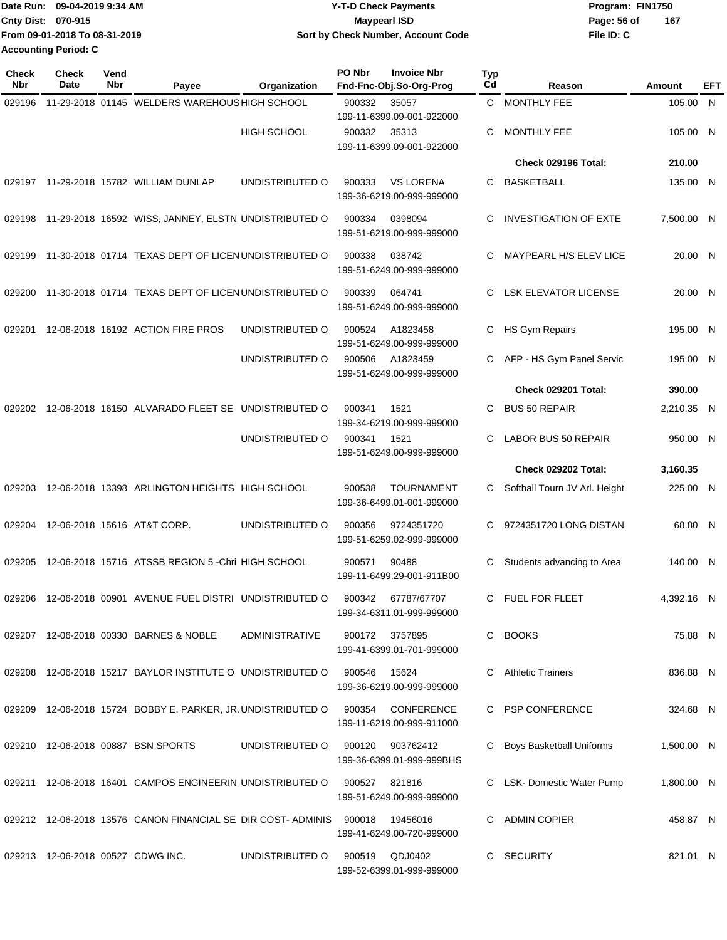|                           | Date Run: 09-04-2019 9:34 AM  | <b>Y-T-D Check Payments</b>        | Program: FIN1750   |
|---------------------------|-------------------------------|------------------------------------|--------------------|
| <b>Cnty Dist: 070-915</b> |                               | <b>Mavpearl ISD</b>                | 167<br>Page: 56 of |
|                           | From 09-01-2018 To 08-31-2019 | Sort by Check Number, Account Code | File ID: C         |
|                           | Accounting Period: C          |                                    |                    |

| Check<br><b>Nbr</b> | Check<br>Date | Vend<br>Nbr | Payee                                                                        | Organization       | PO Nbr         | <b>Invoice Nbr</b><br>Fnd-Fnc-Obj.So-Org-Prog  | <b>Typ</b><br>Cd | Reason                        | Amount     | <b>EFT</b> |
|---------------------|---------------|-------------|------------------------------------------------------------------------------|--------------------|----------------|------------------------------------------------|------------------|-------------------------------|------------|------------|
| 029196              |               |             | 11-29-2018 01145 WELDERS WAREHOUS HIGH SCHOOL                                |                    | 900332         | 35057<br>199-11-6399.09-001-922000             | C.               | <b>MONTHLY FEE</b>            | 105.00     | <b>N</b>   |
|                     |               |             |                                                                              | <b>HIGH SCHOOL</b> | 900332         | 35313<br>199-11-6399.09-001-922000             | C                | MONTHLY FEE                   | 105.00 N   |            |
|                     |               |             |                                                                              |                    |                |                                                |                  | Check 029196 Total:           | 210.00     |            |
| 029197              |               |             | 11-29-2018 15782 WILLIAM DUNLAP                                              | UNDISTRIBUTED O    | 900333         | <b>VS LORENA</b><br>199-36-6219.00-999-999000  | C.               | <b>BASKETBALL</b>             | 135.00 N   |            |
| 029198              |               |             | 11-29-2018 16592 WISS, JANNEY, ELSTN UNDISTRIBUTED O                         |                    | 900334         | 0398094<br>199-51-6219.00-999-999000           | C                | <b>INVESTIGATION OF EXTE</b>  | 7,500.00 N |            |
| 029199              |               |             | 11-30-2018 01714 TEXAS DEPT OF LICEN UNDISTRIBUTED O                         |                    | 900338         | 038742<br>199-51-6249.00-999-999000            | C                | MAYPEARL H/S ELEV LICE        | 20.00 N    |            |
| 029200              |               |             | 11-30-2018 01714 TEXAS DEPT OF LICEN UNDISTRIBUTED O                         |                    | 900339         | 064741<br>199-51-6249.00-999-999000            | C                | <b>LSK ELEVATOR LICENSE</b>   | 20.00 N    |            |
| 029201              |               |             | 12-06-2018 16192 ACTION FIRE PROS                                            | UNDISTRIBUTED O    | 900524         | A1823458<br>199-51-6249.00-999-999000          | C                | HS Gym Repairs                | 195.00 N   |            |
|                     |               |             |                                                                              | UNDISTRIBUTED O    | 900506         | A1823459<br>199-51-6249.00-999-999000          | C.               | AFP - HS Gym Panel Servic     | 195.00 N   |            |
|                     |               |             |                                                                              |                    |                |                                                |                  | Check 029201 Total:           | 390.00     |            |
| 029202              |               |             | 12-06-2018 16150 ALVARADO FLEET SE UNDISTRIBUTED O                           |                    | 900341         | 1521<br>199-34-6219.00-999-999000              | C.               | <b>BUS 50 REPAIR</b>          | 2,210.35 N |            |
|                     |               |             |                                                                              | UNDISTRIBUTED O    | 900341         | 1521<br>199-51-6249.00-999-999000              | C                | LABOR BUS 50 REPAIR           | 950.00 N   |            |
|                     |               |             |                                                                              |                    |                |                                                |                  | Check 029202 Total:           | 3,160.35   |            |
| 029203              |               |             | 12-06-2018 13398 ARLINGTON HEIGHTS HIGH SCHOOL                               |                    | 900538         | <b>TOURNAMENT</b><br>199-36-6499.01-001-999000 | C.               | Softball Tourn JV Arl. Height | 225.00 N   |            |
| 029204              |               |             | 12-06-2018 15616 AT&T CORP.                                                  | UNDISTRIBUTED O    | 900356         | 9724351720<br>199-51-6259.02-999-999000        | C.               | 9724351720 LONG DISTAN        | 68.80 N    |            |
| 029205              |               |             | 12-06-2018 15716 ATSSB REGION 5 - Chri HIGH SCHOOL                           |                    | 900571         | 90488<br>199-11-6499.29-001-911B00             | С                | Students advancing to Area    | 140.00 N   |            |
|                     |               |             | 029206 12-06-2018 00901 AVENUE FUEL DISTRI UNDISTRIBUTED O                   |                    | 900342         | 67787/67707<br>199-34-6311.01-999-999000       |                  | C FUEL FOR FLEET              | 4,392.16 N |            |
|                     |               |             | 029207 12-06-2018 00330 BARNES & NOBLE                                       | ADMINISTRATIVE     | 900172 3757895 | 199-41-6399.01-701-999000                      |                  | C BOOKS                       | 75.88 N    |            |
|                     |               |             | 029208 12-06-2018 15217 BAYLOR INSTITUTE O UNDISTRIBUTED O                   |                    | 900546         | 15624<br>199-36-6219.00-999-999000             |                  | C Athletic Trainers           | 836.88 N   |            |
|                     |               |             | 029209 12-06-2018 15724 BOBBY E. PARKER, JR. UNDISTRIBUTED O                 |                    |                | 900354 CONFERENCE<br>199-11-6219.00-999-911000 |                  | C PSP CONFERENCE              | 324.68 N   |            |
|                     |               |             | 029210 12-06-2018 00887 BSN SPORTS                                           | UNDISTRIBUTED O    | 900120         | 903762412<br>199-36-6399.01-999-999BHS         |                  | C Boys Basketball Uniforms    | 1,500.00 N |            |
|                     |               |             | 029211  12-06-2018  16401  CAMPOS ENGINEERIN UNDISTRIBUTED O  900527  821816 |                    |                | 199-51-6249.00-999-999000                      |                  | C LSK-Domestic Water Pump     | 1,800.00 N |            |
|                     |               |             | 029212 12-06-2018 13576 CANON FINANCIAL SE DIR COST-ADMINIS 900018           |                    |                | 19456016<br>199-41-6249.00-720-999000          |                  | C ADMIN COPIER                | 458.87 N   |            |
|                     |               |             | 029213 12-06-2018 00527 CDWG INC.                                            | UNDISTRIBUTED O    | 900519         | QDJ0402<br>199-52-6399.01-999-999000           |                  | C SECURITY                    | 821.01 N   |            |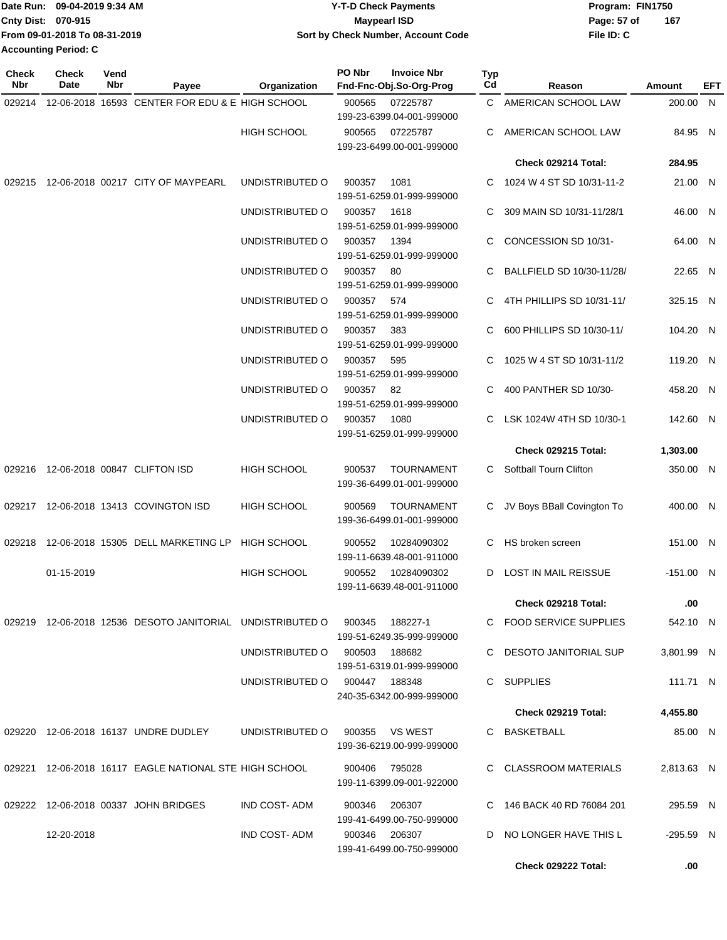|                             | Date Run: 09-04-2019 9:34 AM  | <b>Y-T-D Check Payments</b>        | Program: FIN1750 |     |  |  |
|-----------------------------|-------------------------------|------------------------------------|------------------|-----|--|--|
| Cnty Dist: 070-915          |                               | <b>Mavpearl ISD</b>                | Page: 57 of      | 167 |  |  |
|                             | From 09-01-2018 To 08-31-2019 | Sort by Check Number, Account Code | File ID: C       |     |  |  |
| <b>Accounting Period: C</b> |                               |                                    |                  |     |  |  |

| <b>Check</b><br>Nbr | <b>Check</b><br>Date | Vend<br>Nbr | Payee                                                        | Organization                  | PO Nbr     | <b>Invoice Nbr</b><br>Fnd-Fnc-Obj.So-Org-Prog  | Typ<br>Cd | Reason                     | Amount      | EFT |
|---------------------|----------------------|-------------|--------------------------------------------------------------|-------------------------------|------------|------------------------------------------------|-----------|----------------------------|-------------|-----|
|                     |                      |             | 029214 12-06-2018 16593 CENTER FOR EDU & E HIGH SCHOOL       |                               | 900565     | 07225787                                       |           | C AMERICAN SCHOOL LAW      | 200.00 N    |     |
|                     |                      |             |                                                              | <b>HIGH SCHOOL</b>            | 900565     | 199-23-6399.04-001-999000<br>07225787          | C         | AMERICAN SCHOOL LAW        | 84.95 N     |     |
|                     |                      |             |                                                              |                               |            | 199-23-6499.00-001-999000                      |           | Check 029214 Total:        | 284.95      |     |
|                     |                      |             | 029215 12-06-2018 00217 CITY OF MAYPEARL                     | UNDISTRIBUTED O               | 900357     | 1081<br>199-51-6259.01-999-999000              | C         | 1024 W 4 ST SD 10/31-11-2  | 21.00 N     |     |
|                     |                      |             |                                                              | UNDISTRIBUTED O               | 900357     | 1618<br>199-51-6259.01-999-999000              | C         | 309 MAIN SD 10/31-11/28/1  | 46.00 N     |     |
|                     |                      |             |                                                              | UNDISTRIBUTED O               | 900357     | 1394<br>199-51-6259.01-999-999000              | C         | CONCESSION SD 10/31-       | 64.00 N     |     |
|                     |                      |             |                                                              | UNDISTRIBUTED O               | 900357 80  | 199-51-6259.01-999-999000                      |           | BALLFIELD SD 10/30-11/28/  | 22.65 N     |     |
|                     |                      |             |                                                              | UNDISTRIBUTED O               | 900357 574 | 199-51-6259.01-999-999000                      | C         | 4TH PHILLIPS SD 10/31-11/  | 325.15 N    |     |
|                     |                      |             |                                                              | UNDISTRIBUTED O               | 900357     | 383<br>199-51-6259.01-999-999000               | C         | 600 PHILLIPS SD 10/30-11/  | 104.20 N    |     |
|                     |                      |             |                                                              | UNDISTRIBUTED O               | 900357     | 595<br>199-51-6259.01-999-999000               | C         | 1025 W 4 ST SD 10/31-11/2  | 119.20 N    |     |
|                     |                      |             |                                                              | UNDISTRIBUTED O               | 900357     | -82<br>199-51-6259.01-999-999000               | C         | 400 PANTHER SD 10/30-      | 458.20 N    |     |
|                     |                      |             |                                                              | UNDISTRIBUTED O               | 900357     | 1080<br>199-51-6259.01-999-999000              |           | LSK 1024W 4TH SD 10/30-1   | 142.60 N    |     |
|                     |                      |             |                                                              |                               |            |                                                |           | <b>Check 029215 Total:</b> | 1,303.00    |     |
|                     |                      |             | 029216 12-06-2018 00847 CLIFTON ISD                          | <b>HIGH SCHOOL</b>            | 900537     | <b>TOURNAMENT</b><br>199-36-6499.01-001-999000 | C.        | Softball Tourn Clifton     | 350.00 N    |     |
|                     |                      |             | 029217 12-06-2018 13413 COVINGTON ISD                        | <b>HIGH SCHOOL</b>            | 900569     | <b>TOURNAMENT</b><br>199-36-6499.01-001-999000 | C         | JV Boys BBall Covington To | 400.00 N    |     |
| 029218              |                      |             | 12-06-2018 15305 DELL MARKETING LP                           | <b>HIGH SCHOOL</b>            | 900552     | 10284090302<br>199-11-6639.48-001-911000       | C         | HS broken screen           | 151.00 N    |     |
|                     | 01-15-2019           |             |                                                              | <b>HIGH SCHOOL</b>            | 900552     | 10284090302<br>199-11-6639.48-001-911000       | D         | LOST IN MAIL REISSUE       | $-151.00$ N |     |
|                     |                      |             |                                                              |                               |            |                                                |           | Check 029218 Total:        | .00         |     |
|                     |                      |             | 029219 12-06-2018 12536  DESOTO JANITORIAL   UNDISTRIBUTED O |                               | 900345     | 188227-1<br>199-51-6249.35-999-999000          |           | C FOOD SERVICE SUPPLIES    | 542.10 N    |     |
|                     |                      |             |                                                              | UNDISTRIBUTED 0 900503 188682 |            | 199-51-6319.01-999-999000                      |           | C DESOTO JANITORIAL SUP    | 3,801.99 N  |     |
|                     |                      |             |                                                              | UNDISTRIBUTED O 900447 188348 |            | 240-35-6342.00-999-999000                      |           | C SUPPLIES                 | 111.71 N    |     |
|                     |                      |             |                                                              |                               |            |                                                |           | Check 029219 Total:        | 4,455.80    |     |
|                     |                      |             | 029220 12-06-2018 16137 UNDRE DUDLEY                         | UNDISTRIBUTED O               |            | 900355 VS WEST<br>199-36-6219.00-999-999000    |           | C BASKETBALL               | 85.00 N     |     |
|                     |                      |             | 029221 12-06-2018 16117 EAGLE NATIONAL STE HIGH SCHOOL       |                               | 900406     | 795028<br>199-11-6399.09-001-922000            |           | C CLASSROOM MATERIALS      | 2,813.63 N  |     |
|                     |                      |             | 029222 12-06-2018 00337 JOHN BRIDGES                         | IND COST- ADM                 | 900346     | 206307<br>199-41-6499.00-750-999000            |           | C 146 BACK 40 RD 76084 201 | 295.59 N    |     |
|                     | 12-20-2018           |             |                                                              | IND COST-ADM                  |            | 900346 206307<br>199-41-6499.00-750-999000     |           | D NO LONGER HAVE THIS L    | $-295.59$ N |     |
|                     |                      |             |                                                              |                               |            |                                                |           | Check 029222 Total:        | .00.        |     |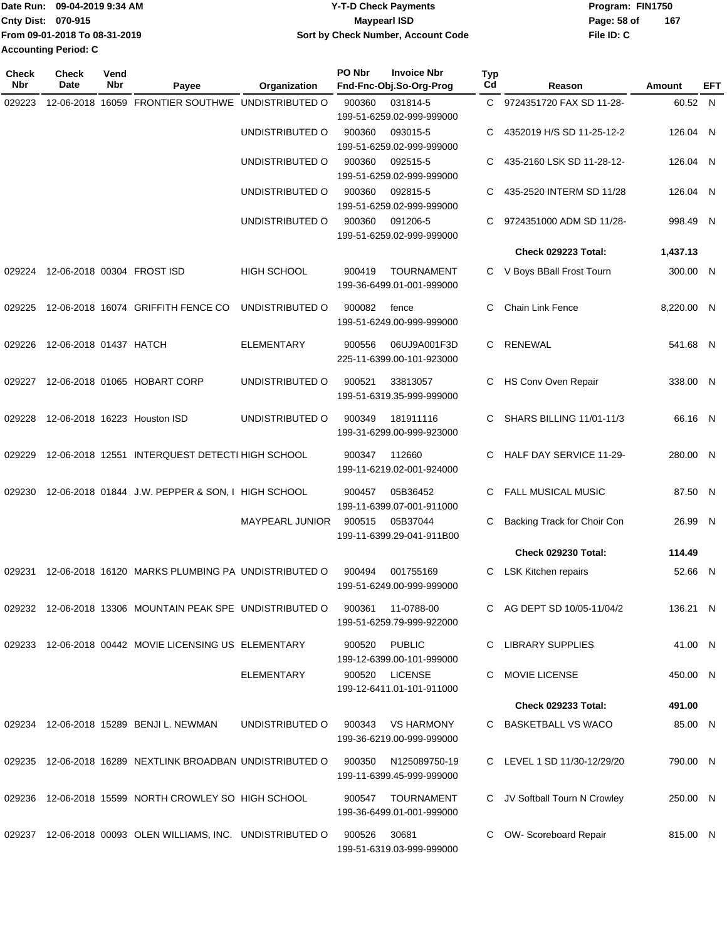|                           | IDate Run: 09-04-2019 9:34 AM | <b>Y-T-D Check Payments</b>               | Program: FIN1750   |
|---------------------------|-------------------------------|-------------------------------------------|--------------------|
| <b>Cnty Dist: 070-915</b> |                               | Maypearl ISD                              | 167<br>Page: 58 of |
|                           | From 09-01-2018 To 08-31-2019 | <b>Sort by Check Number, Account Code</b> | File ID: C         |
|                           | <b>Accounting Period: C</b>   |                                           |                    |

| <b>Check</b><br>Nbr | <b>Check</b><br>Date       | Vend<br>Nbr | Payee                                                       | Organization       | PO Nbr | <b>Invoice Nbr</b><br>Fnd-Fnc-Obj.So-Org-Prog | Typ<br>Cd | Reason                          | Amount     | EFT |
|---------------------|----------------------------|-------------|-------------------------------------------------------------|--------------------|--------|-----------------------------------------------|-----------|---------------------------------|------------|-----|
| 029223              |                            |             | 12-06-2018 16059 FRONTIER SOUTHWE UNDISTRIBUTED O           |                    | 900360 | 031814-5                                      | C.        | 9724351720 FAX SD 11-28-        | 60.52 N    |     |
|                     |                            |             |                                                             |                    |        | 199-51-6259.02-999-999000                     |           |                                 |            |     |
|                     |                            |             |                                                             | UNDISTRIBUTED O    | 900360 | 093015-5                                      | С         | 4352019 H/S SD 11-25-12-2       | 126.04 N   |     |
|                     |                            |             |                                                             |                    |        | 199-51-6259.02-999-999000                     |           |                                 |            |     |
|                     |                            |             |                                                             | UNDISTRIBUTED O    | 900360 | 092515-5                                      | С         | 435-2160 LSK SD 11-28-12-       | 126.04 N   |     |
|                     |                            |             |                                                             |                    |        | 199-51-6259.02-999-999000                     |           |                                 |            |     |
|                     |                            |             |                                                             | UNDISTRIBUTED O    | 900360 | 092815-5                                      | С         | 435-2520 INTERM SD 11/28        | 126.04 N   |     |
|                     |                            |             |                                                             |                    |        | 199-51-6259.02-999-999000                     |           |                                 |            |     |
|                     |                            |             |                                                             | UNDISTRIBUTED O    | 900360 | 091206-5                                      | С         | 9724351000 ADM SD 11/28-        | 998.49 N   |     |
|                     |                            |             |                                                             |                    |        | 199-51-6259.02-999-999000                     |           |                                 |            |     |
|                     |                            |             |                                                             |                    |        |                                               |           | Check 029223 Total:             | 1,437.13   |     |
| 029224              | 12-06-2018 00304 FROST ISD |             |                                                             | <b>HIGH SCHOOL</b> | 900419 | <b>TOURNAMENT</b>                             | C         | V Boys BBall Frost Tourn        | 300.00 N   |     |
|                     |                            |             |                                                             |                    |        | 199-36-6499.01-001-999000                     |           |                                 |            |     |
| 029225              |                            |             | 12-06-2018 16074 GRIFFITH FENCE CO                          | UNDISTRIBUTED O    | 900082 | fence                                         | С         | <b>Chain Link Fence</b>         | 8,220.00 N |     |
|                     |                            |             |                                                             |                    |        | 199-51-6249.00-999-999000                     |           |                                 |            |     |
|                     |                            |             |                                                             | <b>ELEMENTARY</b>  |        |                                               |           | <b>RENEWAL</b>                  |            |     |
| 029226              | 12-06-2018 01437 HATCH     |             |                                                             |                    | 900556 | 06UJ9A001F3D<br>225-11-6399.00-101-923000     | C         |                                 | 541.68 N   |     |
|                     |                            |             |                                                             |                    |        |                                               |           |                                 |            |     |
| 029227              |                            |             | 12-06-2018 01065 HOBART CORP                                | UNDISTRIBUTED O    | 900521 | 33813057                                      | С         | HS Conv Oven Repair             | 338.00 N   |     |
|                     |                            |             |                                                             |                    |        | 199-51-6319.35-999-999000                     |           |                                 |            |     |
| 029228              |                            |             | 12-06-2018 16223 Houston ISD                                | UNDISTRIBUTED O    | 900349 | 181911116                                     | С         | <b>SHARS BILLING 11/01-11/3</b> | 66.16 N    |     |
|                     |                            |             |                                                             |                    |        | 199-31-6299.00-999-923000                     |           |                                 |            |     |
| 029229              |                            |             | 12-06-2018 12551 INTERQUEST DETECTI HIGH SCHOOL             |                    | 900347 | 112660                                        | С         | HALF DAY SERVICE 11-29-         | 280.00 N   |     |
|                     |                            |             |                                                             |                    |        | 199-11-6219.02-001-924000                     |           |                                 |            |     |
|                     |                            |             |                                                             |                    |        |                                               |           |                                 |            |     |
| 029230              |                            |             | 12-06-2018 01844 J.W. PEPPER & SON, I HIGH SCHOOL           |                    | 900457 | 05B36452                                      | С         | <b>FALL MUSICAL MUSIC</b>       | 87.50 N    |     |
|                     |                            |             |                                                             |                    |        | 199-11-6399.07-001-911000                     |           |                                 |            |     |
|                     |                            |             |                                                             | MAYPEARL JUNIOR    | 900515 | 05B37044                                      | С         | Backing Track for Choir Con     | 26.99 N    |     |
|                     |                            |             |                                                             |                    |        | 199-11-6399.29-041-911B00                     |           |                                 |            |     |
|                     |                            |             |                                                             |                    |        |                                               |           | <b>Check 029230 Total:</b>      | 114.49     |     |
| 029231              |                            |             | 12-06-2018 16120 MARKS PLUMBING PA UNDISTRIBUTED O          |                    | 900494 | 001755169                                     | С         | <b>LSK Kitchen repairs</b>      | 52.66 N    |     |
|                     |                            |             |                                                             |                    |        | 199-51-6249.00-999-999000                     |           |                                 |            |     |
|                     |                            |             | 029232 12-06-2018 13306 MOUNTAIN PEAK SPE UNDISTRIBUTED O   |                    | 900361 | 11-0788-00                                    |           | C AG DEPT SD 10/05-11/04/2      | 136.21 N   |     |
|                     |                            |             |                                                             |                    |        | 199-51-6259.79-999-922000                     |           |                                 |            |     |
|                     |                            |             | 029233 12-06-2018 00442 MOVIE LICENSING US ELEMENTARY       |                    |        |                                               |           | C LIBRARY SUPPLIES              |            |     |
|                     |                            |             |                                                             |                    |        | 900520 PUBLIC<br>199-12-6399.00-101-999000    |           |                                 | 41.00 N    |     |
|                     |                            |             |                                                             | <b>ELEMENTARY</b>  |        | 900520 LICENSE                                |           | MOVIE LICENSE                   | 450.00 N   |     |
|                     |                            |             |                                                             |                    |        | 199-12-6411.01-101-911000                     |           |                                 |            |     |
|                     |                            |             |                                                             |                    |        |                                               |           | <b>Check 029233 Total:</b>      | 491.00     |     |
|                     |                            |             |                                                             |                    |        |                                               |           |                                 |            |     |
|                     |                            |             | 029234 12-06-2018 15289 BENJI L. NEWMAN                     | UNDISTRIBUTED O    | 900343 | VS HARMONY<br>199-36-6219.00-999-999000       |           | C BASKETBALL VS WACO            | 85.00 N    |     |
|                     |                            |             |                                                             |                    |        |                                               |           |                                 |            |     |
|                     |                            |             | 029235 12-06-2018 16289 NEXTLINK BROADBAN UNDISTRIBUTED O   |                    | 900350 | N125089750-19                                 |           | C LEVEL 1 SD 11/30-12/29/20     | 790.00 N   |     |
|                     |                            |             |                                                             |                    |        | 199-11-6399.45-999-999000                     |           |                                 |            |     |
|                     |                            |             | 029236 12-06-2018 15599 NORTH CROWLEY SO HIGH SCHOOL        |                    | 900547 | TOURNAMENT                                    |           | C JV Softball Tourn N Crowley   | 250.00 N   |     |
|                     |                            |             |                                                             |                    |        | 199-36-6499.01-001-999000                     |           |                                 |            |     |
|                     |                            |             | 029237 12-06-2018 00093 OLEN WILLIAMS, INC. UNDISTRIBUTED O |                    | 900526 | 30681                                         | C         |                                 | 815.00 N   |     |
|                     |                            |             |                                                             |                    |        | 199-51-6319.03-999-999000                     |           | OW- Scoreboard Repair           |            |     |
|                     |                            |             |                                                             |                    |        |                                               |           |                                 |            |     |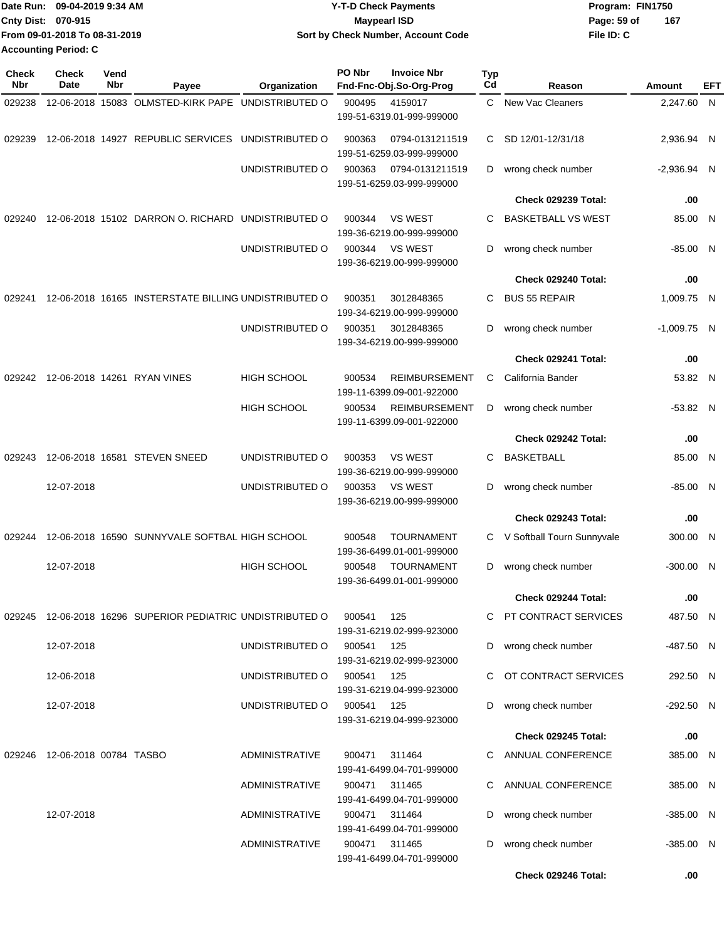|                           | Date Run: 09-04-2019 9:34 AM  | <b>Y-T-D Check Payments</b>        | Program: FIN1750 |     |
|---------------------------|-------------------------------|------------------------------------|------------------|-----|
| <b>Cnty Dist: 070-915</b> |                               | Maypearl ISD                       | Page: 59 of      | 167 |
|                           | From 09-01-2018 To 08-31-2019 | Sort by Check Number, Account Code | File ID: C       |     |
|                           | <b>Accounting Period: C</b>   |                                    |                  |     |

| <b>Check</b><br>Nbr | <b>Check</b><br>Date          | Vend<br>Nbr | Payee                                                      | Organization          | PO Nbr     | <b>Invoice Nbr</b><br>Fnd-Fnc-Obj.So-Org-Prog     | <b>Typ</b><br>Cd | Reason                       | Amount        | EFT |
|---------------------|-------------------------------|-------------|------------------------------------------------------------|-----------------------|------------|---------------------------------------------------|------------------|------------------------------|---------------|-----|
| 029238              |                               |             | 12-06-2018 15083 OLMSTED-KIRK PAPE                         | UNDISTRIBUTED O       | 900495     | 4159017<br>199-51-6319.01-999-999000              | C.               | New Vac Cleaners             | 2,247.60 N    |     |
| 029239              |                               |             | 12-06-2018 14927 REPUBLIC SERVICES                         | UNDISTRIBUTED O       | 900363     | 0794-0131211519<br>199-51-6259.03-999-999000      | C.               | SD 12/01-12/31/18            | 2,936.94 N    |     |
|                     |                               |             |                                                            | UNDISTRIBUTED O       | 900363     | 0794-0131211519<br>199-51-6259.03-999-999000      | D                | wrong check number           | $-2,936.94$ N |     |
|                     |                               |             |                                                            |                       |            |                                                   |                  | Check 029239 Total:          | .00           |     |
| 029240              |                               |             | 12-06-2018 15102 DARRON O. RICHARD UNDISTRIBUTED O         |                       | 900344     | <b>VS WEST</b><br>199-36-6219.00-999-999000       | С                | <b>BASKETBALL VS WEST</b>    | 85.00 N       |     |
|                     |                               |             |                                                            | UNDISTRIBUTED O       | 900344     | <b>VS WEST</b><br>199-36-6219.00-999-999000       | D                | wrong check number           | $-85.00$ N    |     |
|                     |                               |             |                                                            |                       |            |                                                   |                  | Check 029240 Total:          | .00           |     |
| 029241              |                               |             | 12-06-2018 16165 INSTERSTATE BILLING UNDISTRIBUTED O       |                       | 900351     | 3012848365<br>199-34-6219.00-999-999000           | C                | <b>BUS 55 REPAIR</b>         | 1,009.75 N    |     |
|                     |                               |             |                                                            | UNDISTRIBUTED O       | 900351     | 3012848365<br>199-34-6219.00-999-999000           | D                | wrong check number           | $-1,009.75$ N |     |
|                     |                               |             |                                                            |                       |            |                                                   |                  | Check 029241 Total:          | .00           |     |
| 029242              |                               |             | 12-06-2018 14261 RYAN VINES                                | <b>HIGH SCHOOL</b>    | 900534     | <b>REIMBURSEMENT</b><br>199-11-6399.09-001-922000 | C                | California Bander            | 53.82 N       |     |
|                     |                               |             |                                                            | <b>HIGH SCHOOL</b>    | 900534     | <b>REIMBURSEMENT</b><br>199-11-6399.09-001-922000 | D                | wrong check number           | $-53.82$ N    |     |
|                     |                               |             |                                                            |                       |            |                                                   |                  | Check 029242 Total:          | .00           |     |
| 029243              |                               |             | 12-06-2018 16581 STEVEN SNEED                              | UNDISTRIBUTED O       | 900353     | <b>VS WEST</b><br>199-36-6219.00-999-999000       | C                | <b>BASKETBALL</b>            | 85.00 N       |     |
|                     | 12-07-2018                    |             |                                                            | UNDISTRIBUTED O       | 900353     | <b>VS WEST</b><br>199-36-6219.00-999-999000       | D                | wrong check number           | -85.00 N      |     |
|                     |                               |             |                                                            |                       |            |                                                   |                  | Check 029243 Total:          | .00           |     |
| 029244              |                               |             | 12-06-2018 16590 SUNNYVALE SOFTBAL HIGH SCHOOL             |                       | 900548     | <b>TOURNAMENT</b><br>199-36-6499.01-001-999000    |                  | C V Softball Tourn Sunnyvale | 300.00 N      |     |
|                     | 12-07-2018                    |             |                                                            | <b>HIGH SCHOOL</b>    | 900548     | <b>TOURNAMENT</b><br>199-36-6499.01-001-999000    | D                | wrong check number           | $-300.00$ N   |     |
|                     |                               |             |                                                            |                       |            |                                                   |                  | Check 029244 Total:          | .00           |     |
|                     |                               |             | 029245 12-06-2018 16296 SUPERIOR PEDIATRIC UNDISTRIBUTED O |                       | 900541     | 125<br>199-31-6219.02-999-923000                  |                  | C PT CONTRACT SERVICES       | 487.50 N      |     |
|                     | 12-07-2018                    |             |                                                            | UNDISTRIBUTED O       | 900541     | 125<br>199-31-6219.02-999-923000                  |                  | D wrong check number         | -487.50 N     |     |
|                     | 12-06-2018                    |             |                                                            | UNDISTRIBUTED O       | 900541 125 | 199-31-6219.04-999-923000                         |                  | C OT CONTRACT SERVICES       | 292.50 N      |     |
|                     | 12-07-2018                    |             |                                                            | UNDISTRIBUTED O       | 900541 125 | 199-31-6219.04-999-923000                         |                  | D wrong check number         | -292.50 N     |     |
|                     |                               |             |                                                            |                       |            |                                                   |                  | Check 029245 Total:          | .00           |     |
|                     | 029246 12-06-2018 00784 TASBO |             |                                                            | <b>ADMINISTRATIVE</b> |            | 900471 311464<br>199-41-6499.04-701-999000        |                  | C ANNUAL CONFERENCE          | 385.00 N      |     |
|                     |                               |             |                                                            | ADMINISTRATIVE        |            | 900471 311465<br>199-41-6499.04-701-999000        |                  | C ANNUAL CONFERENCE          | 385.00 N      |     |
|                     | 12-07-2018                    |             |                                                            | ADMINISTRATIVE        |            | 900471 311464<br>199-41-6499.04-701-999000        |                  | D wrong check number         | $-385.00$ N   |     |
|                     |                               |             |                                                            | <b>ADMINISTRATIVE</b> |            | 900471 311465<br>199-41-6499.04-701-999000        | D                | wrong check number           | $-385.00$ N   |     |
|                     |                               |             |                                                            |                       |            |                                                   |                  | Check 029246 Total:          | .00.          |     |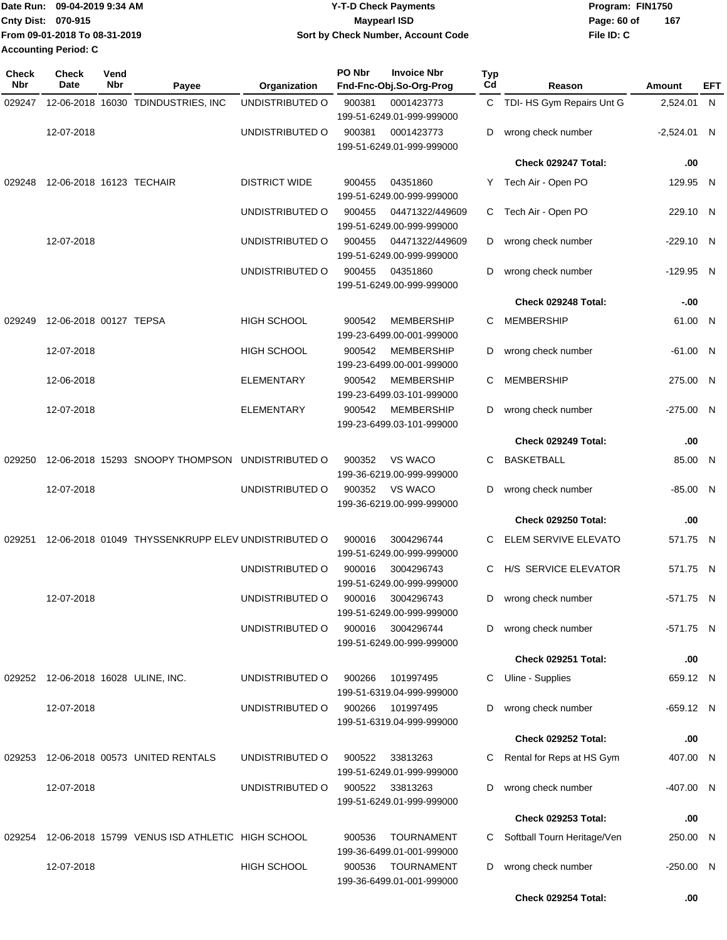|                             | Date Run: 09-04-2019 9:34 AM  | <b>Y-T-D Check Payments</b>        | Program: FIN1750 |     |  |  |  |
|-----------------------------|-------------------------------|------------------------------------|------------------|-----|--|--|--|
| Cnty Dist: 070-915          |                               | Maypearl ISD                       | Page: 60 of      | 167 |  |  |  |
|                             | From 09-01-2018 To 08-31-2019 | Sort by Check Number, Account Code | File ID: C       |     |  |  |  |
| <b>Accounting Period: C</b> |                               |                                    |                  |     |  |  |  |

| <b>Check</b><br>Nbr | <b>Check</b><br>Date                | Vend<br>Nbr | Payee                                              | Organization         | PO Nbr | <b>Invoice Nbr</b><br>Fnd-Fnc-Obj.So-Org-Prog  | <b>Typ</b><br>Cd | Reason                      | Amount        | EFT |
|---------------------|-------------------------------------|-------------|----------------------------------------------------|----------------------|--------|------------------------------------------------|------------------|-----------------------------|---------------|-----|
| 029247              |                                     |             | 12-06-2018 16030 TDINDUSTRIES, INC                 | UNDISTRIBUTED O      | 900381 | 0001423773<br>199-51-6249.01-999-999000        |                  | C TDI- HS Gym Repairs Unt G | 2,524.01 N    |     |
|                     | 12-07-2018                          |             |                                                    | UNDISTRIBUTED O      | 900381 | 0001423773<br>199-51-6249.01-999-999000        | D                | wrong check number          | $-2,524.01$ N |     |
|                     |                                     |             |                                                    |                      |        |                                                |                  | Check 029247 Total:         | .00           |     |
| 029248              | 12-06-2018 16123 TECHAIR            |             |                                                    | <b>DISTRICT WIDE</b> | 900455 | 04351860<br>199-51-6249.00-999-999000          |                  | Y Tech Air - Open PO        | 129.95 N      |     |
|                     |                                     |             |                                                    | UNDISTRIBUTED O      | 900455 | 04471322/449609<br>199-51-6249.00-999-999000   | C.               | Tech Air - Open PO          | 229.10 N      |     |
|                     | 12-07-2018                          |             |                                                    | UNDISTRIBUTED O      | 900455 | 04471322/449609<br>199-51-6249.00-999-999000   | D                | wrong check number          | $-229.10$ N   |     |
|                     |                                     |             |                                                    | UNDISTRIBUTED O      | 900455 | 04351860<br>199-51-6249.00-999-999000          | D                | wrong check number          | $-129.95$ N   |     |
|                     |                                     |             |                                                    |                      |        |                                                |                  | Check 029248 Total:         | $-0.00$       |     |
| 029249              | 12-06-2018 00127 TEPSA              |             |                                                    | <b>HIGH SCHOOL</b>   | 900542 | <b>MEMBERSHIP</b><br>199-23-6499.00-001-999000 | С                | MEMBERSHIP                  | 61.00 N       |     |
|                     | 12-07-2018                          |             |                                                    | <b>HIGH SCHOOL</b>   | 900542 | <b>MEMBERSHIP</b><br>199-23-6499.00-001-999000 | D                | wrong check number          | $-61.00$ N    |     |
|                     | 12-06-2018                          |             |                                                    | <b>ELEMENTARY</b>    | 900542 | <b>MEMBERSHIP</b><br>199-23-6499.03-101-999000 | С                | <b>MEMBERSHIP</b>           | 275.00 N      |     |
|                     | 12-07-2018                          |             |                                                    | <b>ELEMENTARY</b>    | 900542 | MEMBERSHIP<br>199-23-6499.03-101-999000        | D                | wrong check number          | $-275.00$ N   |     |
|                     |                                     |             |                                                    |                      |        |                                                |                  | Check 029249 Total:         | .00           |     |
| 029250              |                                     |             | 12-06-2018 15293 SNOOPY THOMPSON                   | UNDISTRIBUTED O      | 900352 | VS WACO<br>199-36-6219.00-999-999000           | С                | BASKETBALL                  | 85.00 N       |     |
|                     | 12-07-2018                          |             |                                                    | UNDISTRIBUTED O      | 900352 | VS WACO<br>199-36-6219.00-999-999000           | D                | wrong check number          | $-85.00$ N    |     |
|                     |                                     |             |                                                    |                      |        |                                                |                  | Check 029250 Total:         | .00           |     |
| 029251              |                                     |             | 12-06-2018 01049 THYSSENKRUPP ELEV UNDISTRIBUTED O |                      | 900016 | 3004296744<br>199-51-6249.00-999-999000        | C.               | ELEM SERVIVE ELEVATO        | 571.75 N      |     |
|                     |                                     |             |                                                    | UNDISTRIBUTED O      | 900016 | 3004296743<br>199-51-6249.00-999-999000        | C.               | H/S SERVICE ELEVATOR        | 571.75 N      |     |
|                     | 12-07-2018                          |             |                                                    | UNDISTRIBUTED O      | 900016 | 3004296743<br>199-51-6249.00-999-999000        | D                | wrong check number          | -571.75 N     |     |
|                     |                                     |             |                                                    | UNDISTRIBUTED O      | 900016 | 3004296744<br>199-51-6249.00-999-999000        | D                | wrong check number          | -571.75 N     |     |
|                     |                                     |             |                                                    |                      |        |                                                |                  | Check 029251 Total:         | .00           |     |
|                     | 029252 12-06-2018 16028 ULINE, INC. |             |                                                    | UNDISTRIBUTED O      | 900266 | 101997495<br>199-51-6319.04-999-999000         | С                | Uline - Supplies            | 659.12 N      |     |
|                     | 12-07-2018                          |             |                                                    | UNDISTRIBUTED O      | 900266 | 101997495<br>199-51-6319.04-999-999000         | D                | wrong check number          | $-659.12$ N   |     |
|                     |                                     |             |                                                    |                      |        |                                                |                  | Check 029252 Total:         | .00           |     |
| 029253              |                                     |             | 12-06-2018 00573 UNITED RENTALS                    | UNDISTRIBUTED O      | 900522 | 33813263<br>199-51-6249.01-999-999000          | С                | Rental for Reps at HS Gym   | 407.00 N      |     |
|                     | 12-07-2018                          |             |                                                    | UNDISTRIBUTED O      | 900522 | 33813263<br>199-51-6249.01-999-999000          | D                | wrong check number          | -407.00 N     |     |
|                     |                                     |             |                                                    |                      |        |                                                |                  | Check 029253 Total:         | .00           |     |
| 029254              |                                     |             | 12-06-2018 15799 VENUS ISD ATHLETIC HIGH SCHOOL    |                      | 900536 | <b>TOURNAMENT</b><br>199-36-6499.01-001-999000 | C                | Softball Tourn Heritage/Ven | 250.00 N      |     |
|                     | 12-07-2018                          |             |                                                    | <b>HIGH SCHOOL</b>   | 900536 | TOURNAMENT<br>199-36-6499.01-001-999000        | D                | wrong check number          | -250.00 N     |     |
|                     |                                     |             |                                                    |                      |        |                                                |                  | Check 029254 Total:         | .00           |     |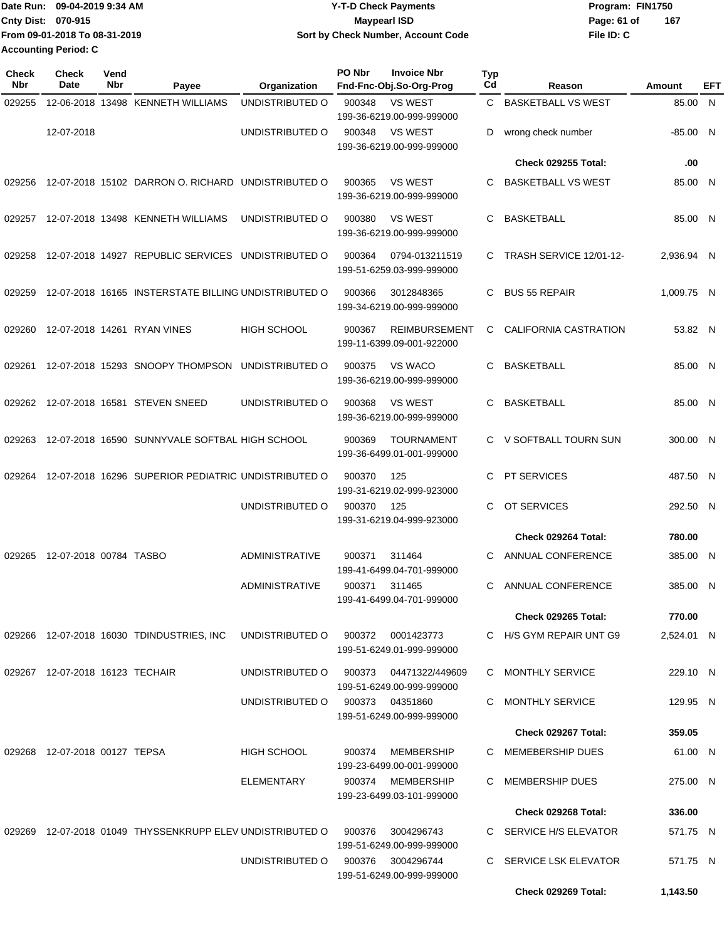Date Run: 09-04-2019 9:34 AM **Date Run:** 09-04-2019 9:34 AM **Program:** FIN1750 **Cnty Dist:** 070-915 **Page: 61 of** Maypearl ISD **Contract ISD File ID: C From 09-01-2018 To 08-31-2019 09-04-2019 9:34 AM Y-T-D Check Payments 070-915 Maypearl ISD Sort by Check Number, Account Code 167 Accounting Period: C**

| <b>Check</b><br>Nbr | Check<br>Date                   | Vend<br>Nbr | Payee                                                | Organization          | PO Nbr | <b>Invoice Nbr</b><br>Fnd-Fnc-Obj.So-Org-Prog     | <b>Typ</b><br>Cd | Reason                     | <b>Amount</b> | EFT |
|---------------------|---------------------------------|-------------|------------------------------------------------------|-----------------------|--------|---------------------------------------------------|------------------|----------------------------|---------------|-----|
| 029255              |                                 |             | 12-06-2018 13498 KENNETH WILLIAMS                    | UNDISTRIBUTED O       | 900348 | <b>VS WEST</b><br>199-36-6219.00-999-999000       | C.               | <b>BASKETBALL VS WEST</b>  | 85.00 N       |     |
|                     | 12-07-2018                      |             |                                                      | UNDISTRIBUTED O       | 900348 | <b>VS WEST</b><br>199-36-6219.00-999-999000       | D                | wrong check number         | $-85.00$ N    |     |
|                     |                                 |             |                                                      |                       |        |                                                   |                  | <b>Check 029255 Total:</b> | .00           |     |
| 029256              |                                 |             | 12-07-2018 15102 DARRON O. RICHARD UNDISTRIBUTED O   |                       | 900365 | <b>VS WEST</b><br>199-36-6219.00-999-999000       | C.               | <b>BASKETBALL VS WEST</b>  | 85.00 N       |     |
| 029257              |                                 |             | 12-07-2018 13498 KENNETH WILLIAMS                    | UNDISTRIBUTED O       | 900380 | <b>VS WEST</b><br>199-36-6219.00-999-999000       | C                | <b>BASKETBALL</b>          | 85.00 N       |     |
| 029258              |                                 |             | 12-07-2018 14927 REPUBLIC SERVICES UNDISTRIBUTED O   |                       | 900364 | 0794-013211519<br>199-51-6259.03-999-999000       | C                | TRASH SERVICE 12/01-12-    | 2,936.94 N    |     |
| 029259              |                                 |             | 12-07-2018 16165 INSTERSTATE BILLING UNDISTRIBUTED O |                       | 900366 | 3012848365<br>199-34-6219.00-999-999000           | C                | <b>BUS 55 REPAIR</b>       | 1,009.75 N    |     |
| 029260              |                                 |             | 12-07-2018 14261 RYAN VINES                          | <b>HIGH SCHOOL</b>    | 900367 | <b>REIMBURSEMENT</b><br>199-11-6399.09-001-922000 | C                | CALIFORNIA CASTRATION      | 53.82 N       |     |
| 029261              |                                 |             | 12-07-2018 15293 SNOOPY THOMPSON                     | UNDISTRIBUTED O       | 900375 | VS WACO<br>199-36-6219.00-999-999000              | C                | <b>BASKETBALL</b>          | 85.00 N       |     |
| 029262              |                                 |             | 12-07-2018 16581 STEVEN SNEED                        | UNDISTRIBUTED O       | 900368 | <b>VS WEST</b><br>199-36-6219.00-999-999000       | C                | <b>BASKETBALL</b>          | 85.00 N       |     |
| 029263              |                                 |             | 12-07-2018 16590 SUNNYVALE SOFTBAL HIGH SCHOOL       |                       | 900369 | <b>TOURNAMENT</b><br>199-36-6499.01-001-999000    | C.               | V SOFTBALL TOURN SUN       | 300.00 N      |     |
| 029264              |                                 |             | 12-07-2018 16296 SUPERIOR PEDIATRIC UNDISTRIBUTED O  |                       | 900370 | 125<br>199-31-6219.02-999-923000                  | C.               | <b>PT SERVICES</b>         | 487.50 N      |     |
|                     |                                 |             |                                                      | UNDISTRIBUTED O       | 900370 | 125<br>199-31-6219.04-999-923000                  | C                | OT SERVICES                | 292.50 N      |     |
|                     |                                 |             |                                                      |                       |        |                                                   |                  | Check 029264 Total:        | 780.00        |     |
| 029265              | 12-07-2018 00784 TASBO          |             |                                                      | <b>ADMINISTRATIVE</b> | 900371 | 311464<br>199-41-6499.04-701-999000               | C.               | ANNUAL CONFERENCE          | 385.00 N      |     |
|                     |                                 |             |                                                      | <b>ADMINISTRATIVE</b> | 900371 | 311465<br>199-41-6499.04-701-999000               | С                | ANNUAL CONFERENCE          | 385.00 N      |     |
|                     |                                 |             |                                                      |                       |        |                                                   |                  | <b>Check 029265 Total:</b> | 770.00        |     |
|                     |                                 |             | 029266 12-07-2018 16030 TDINDUSTRIES, INC            | UNDISTRIBUTED O       | 900372 | 0001423773<br>199-51-6249.01-999-999000           |                  | C H/S GYM REPAIR UNT G9    | 2,524.01 N    |     |
|                     | 029267 12-07-2018 16123 TECHAIR |             |                                                      | UNDISTRIBUTED O       | 900373 | 04471322/449609<br>199-51-6249.00-999-999000      |                  | C MONTHLY SERVICE          | 229.10 N      |     |
|                     |                                 |             |                                                      | UNDISTRIBUTED O       |        | 900373 04351860<br>199-51-6249.00-999-999000      |                  | C MONTHLY SERVICE          | 129.95 N      |     |
|                     |                                 |             |                                                      |                       |        |                                                   |                  | Check 029267 Total:        | 359.05        |     |
|                     | 029268 12-07-2018 00127 TEPSA   |             |                                                      | <b>HIGH SCHOOL</b>    | 900374 | MEMBERSHIP<br>199-23-6499.00-001-999000           |                  | C MEMEBERSHIP DUES         | 61.00 N       |     |
|                     |                                 |             |                                                      | ELEMENTARY            |        | 900374 MEMBERSHIP<br>199-23-6499.03-101-999000    |                  | C MEMBERSHIP DUES          | 275.00 N      |     |
|                     |                                 |             |                                                      |                       |        |                                                   |                  | <b>Check 029268 Total:</b> | 336.00        |     |
| 029269              |                                 |             | 12-07-2018 01049 THYSSENKRUPP ELEV UNDISTRIBUTED O   |                       | 900376 | 3004296743<br>199-51-6249.00-999-999000           |                  | C SERVICE H/S ELEVATOR     | 571.75 N      |     |
|                     |                                 |             |                                                      | UNDISTRIBUTED O       | 900376 | 3004296744<br>199-51-6249.00-999-999000           |                  | C SERVICE LSK ELEVATOR     | 571.75 N      |     |
|                     |                                 |             |                                                      |                       |        |                                                   |                  | Check 029269 Total:        | 1,143.50      |     |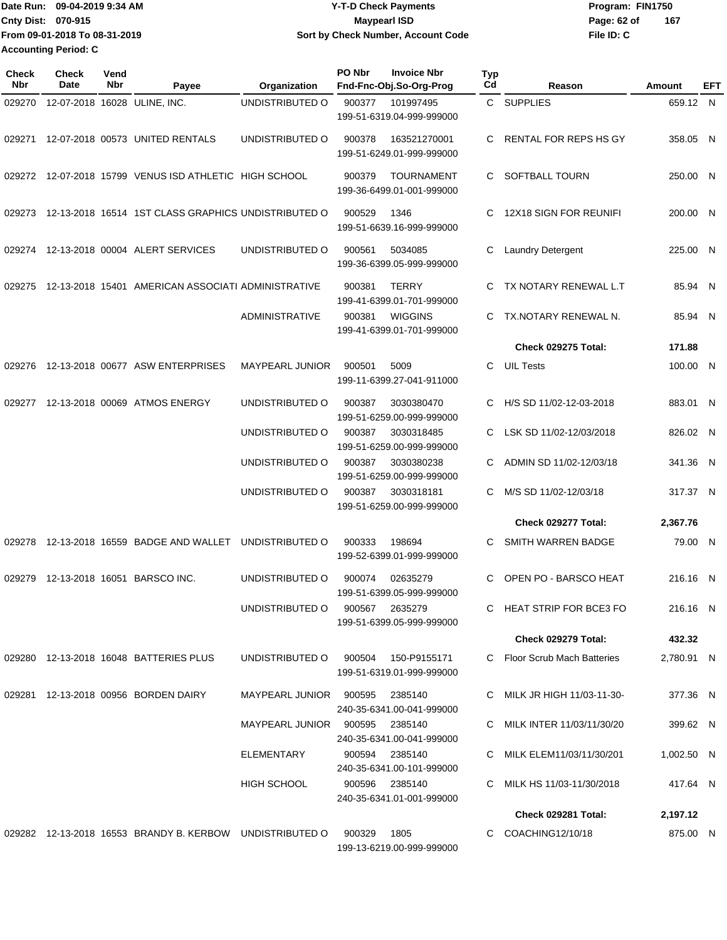| Date Run: 09-04-2019 9:34 AM  | <b>Y-T-D Check Payments</b>        | Program: FIN1750 |     |
|-------------------------------|------------------------------------|------------------|-----|
| <b>Cnty Dist: 070-915</b>     | Maypearl ISD                       | Page: 62 of      | 167 |
| From 09-01-2018 To 08-31-2019 | Sort by Check Number, Account Code | File ID: C       |     |
| <b>Accounting Period: C</b>   |                                    |                  |     |

| Check<br><b>Nbr</b> | Check<br>Date | Vend<br><b>Nbr</b> | Payee                                                    | Organization           | PO Nbr<br><b>Invoice Nbr</b><br>Fnd-Fnc-Obj.So-Org-Prog  | Typ<br>Cd | Reason                       | Amount     | EFT          |
|---------------------|---------------|--------------------|----------------------------------------------------------|------------------------|----------------------------------------------------------|-----------|------------------------------|------------|--------------|
| 029270              |               |                    | 12-07-2018 16028 ULINE, INC.                             | UNDISTRIBUTED O        | 900377<br>101997495<br>199-51-6319.04-999-999000         |           | C SUPPLIES                   | 659.12 N   |              |
| 029271              |               |                    | 12-07-2018 00573 UNITED RENTALS                          | UNDISTRIBUTED O        | 163521270001<br>900378<br>199-51-6249.01-999-999000      | C         | <b>RENTAL FOR REPS HS GY</b> | 358.05     | $\mathsf{N}$ |
| 029272              |               |                    | 12-07-2018 15799 VENUS ISD ATHLETIC HIGH SCHOOL          |                        | <b>TOURNAMENT</b><br>900379<br>199-36-6499.01-001-999000 | C.        | SOFTBALL TOURN               | 250.00 N   |              |
| 029273              |               |                    | 12-13-2018 16514 1ST CLASS GRAPHICS UNDISTRIBUTED O      |                        | 900529<br>1346<br>199-51-6639.16-999-999000              | C         | 12X18 SIGN FOR REUNIFI       | 200.00 N   |              |
| 029274              |               |                    | 12-13-2018 00004 ALERT SERVICES                          | UNDISTRIBUTED O        | 900561<br>5034085<br>199-36-6399.05-999-999000           | C         | Laundry Detergent            | 225.00 N   |              |
| 029275              |               |                    | 12-13-2018 15401 AMERICAN ASSOCIATI ADMINISTRATIVE       |                        | 900381<br><b>TERRY</b><br>199-41-6399.01-701-999000      | C         | TX NOTARY RENEWAL L.T        | 85.94 N    |              |
|                     |               |                    |                                                          | <b>ADMINISTRATIVE</b>  | 900381<br><b>WIGGINS</b><br>199-41-6399.01-701-999000    | С         | TX.NOTARY RENEWAL N.         | 85.94 N    |              |
|                     |               |                    |                                                          |                        |                                                          |           | <b>Check 029275 Total:</b>   | 171.88     |              |
| 029276              |               |                    | 12-13-2018 00677 ASW ENTERPRISES                         | <b>MAYPEARL JUNIOR</b> | 900501<br>5009<br>199-11-6399.27-041-911000              | C         | <b>UIL Tests</b>             | 100.00     | N            |
| 029277              |               |                    | 12-13-2018 00069 ATMOS ENERGY                            | UNDISTRIBUTED O        | 900387<br>3030380470<br>199-51-6259.00-999-999000        | C         | H/S SD 11/02-12-03-2018      | 883.01     | $\mathsf{N}$ |
|                     |               |                    |                                                          | UNDISTRIBUTED O        | 3030318485<br>900387<br>199-51-6259.00-999-999000        | C         | LSK SD 11/02-12/03/2018      | 826.02 N   |              |
|                     |               |                    |                                                          | UNDISTRIBUTED O        | 900387<br>3030380238<br>199-51-6259.00-999-999000        | C         | ADMIN SD 11/02-12/03/18      | 341.36 N   |              |
|                     |               |                    |                                                          | UNDISTRIBUTED O        | 900387<br>3030318181<br>199-51-6259.00-999-999000        | C         | M/S SD 11/02-12/03/18        | 317.37 N   |              |
|                     |               |                    |                                                          |                        |                                                          |           | Check 029277 Total:          | 2,367.76   |              |
| 029278              |               |                    | 12-13-2018 16559 BADGE AND WALLET                        | UNDISTRIBUTED O        | 900333<br>198694<br>199-52-6399.01-999-999000            | C         | SMITH WARREN BADGE           | 79.00 N    |              |
| 029279              |               |                    | 12-13-2018 16051 BARSCO INC.                             | UNDISTRIBUTED O        | 02635279<br>900074<br>199-51-6399.05-999-999000          | C         | OPEN PO - BARSCO HEAT        | 216.16 N   |              |
|                     |               |                    |                                                          | UNDISTRIBUTED O        | 900567<br>2635279<br>199-51-6399.05-999-999000           | C.        | HEAT STRIP FOR BCE3 FO       | 216.16 N   |              |
|                     |               |                    |                                                          |                        |                                                          |           | <b>Check 029279 Total:</b>   | 432.32     |              |
|                     |               |                    | 029280 12-13-2018 16048 BATTERIES PLUS                   | UNDISTRIBUTED O        | 900504<br>150-P9155171<br>199-51-6319.01-999-999000      |           | Floor Scrub Mach Batteries   | 2,780.91 N |              |
|                     |               |                    | 029281 12-13-2018 00956 BORDEN DAIRY                     | MAYPEARL JUNIOR 900595 | 2385140<br>240-35-6341.00-041-999000                     |           | C MILK JR HIGH 11/03-11-30-  | 377.36 N   |              |
|                     |               |                    |                                                          | MAYPEARL JUNIOR 900595 | 2385140<br>240-35-6341.00-041-999000                     |           | C MILK INTER 11/03/11/30/20  | 399.62 N   |              |
|                     |               |                    |                                                          | ELEMENTARY             | 900594<br>2385140<br>240-35-6341.00-101-999000           | C.        | MILK ELEM11/03/11/30/201     | 1,002.50 N |              |
|                     |               |                    |                                                          | <b>HIGH SCHOOL</b>     | 900596<br>2385140<br>240-35-6341.01-001-999000           |           | MILK HS 11/03-11/30/2018     | 417.64 N   |              |
|                     |               |                    |                                                          |                        |                                                          |           | Check 029281 Total:          | 2,197.12   |              |
|                     |               |                    | 029282 12-13-2018 16553 BRANDY B. KERBOW UNDISTRIBUTED O |                        | 900329<br>1805<br>199-13-6219.00-999-999000              | C.        | COACHING12/10/18             | 875.00 N   |              |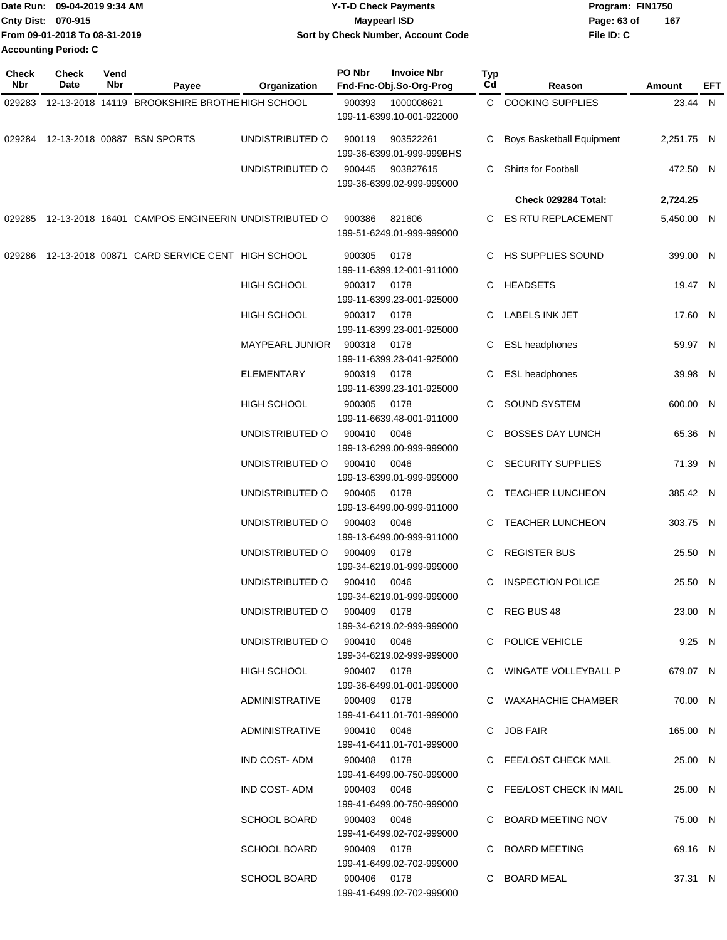|                    | Date Run: 09-04-2019 9:34 AM  | <b>Y-T-D Check Payments</b>        | Program: FIN1750 |     |
|--------------------|-------------------------------|------------------------------------|------------------|-----|
| Cnty Dist: 070-915 |                               | <b>Mavpearl ISD</b>                | Page: 63 of      | 167 |
|                    | From 09-01-2018 To 08-31-2019 | Sort by Check Number, Account Code | File ID: C       |     |
|                    | <b>Accounting Period: C</b>   |                                    |                  |     |

| <b>Check</b><br>Nbr | <b>Check</b><br>Date | Vend<br>Nbr | Payee                                                     | Organization                | PO Nbr                            | <b>Invoice Nbr</b><br>Fnd-Fnc-Obj.So-Org-Prog | Typ<br>Cd                | Reason                           | Amount     | EFT |
|---------------------|----------------------|-------------|-----------------------------------------------------------|-----------------------------|-----------------------------------|-----------------------------------------------|--------------------------|----------------------------------|------------|-----|
| 029283              |                      |             | 12-13-2018 14119 BROOKSHIRE BROTHE HIGH SCHOOL            |                             | 900393                            | 1000008621<br>199-11-6399.10-001-922000       |                          | C COOKING SUPPLIES               | 23.44 N    |     |
| 029284              |                      |             | 12-13-2018 00887 BSN SPORTS                               | UNDISTRIBUTED O             | 900119                            | 903522261<br>199-36-6399.01-999-999BHS        | С                        | <b>Boys Basketball Equipment</b> | 2,251.75 N |     |
|                     |                      |             |                                                           | UNDISTRIBUTED O             | 900445                            | 903827615<br>199-36-6399.02-999-999000        | C.                       | Shirts for Football              | 472.50 N   |     |
|                     |                      |             |                                                           |                             |                                   |                                               |                          | Check 029284 Total:              | 2,724.25   |     |
|                     |                      |             | 029285 12-13-2018 16401 CAMPOS ENGINEERIN UNDISTRIBUTED O |                             | 900386                            | 821606<br>199-51-6249.01-999-999000           | C.                       | ES RTU REPLACEMENT               | 5,450.00 N |     |
| 029286              |                      |             | 12-13-2018 00871 CARD SERVICE CENT HIGH SCHOOL            |                             | 900305                            | 0178<br>199-11-6399.12-001-911000             |                          | C HS SUPPLIES SOUND              | 399.00 N   |     |
|                     |                      |             |                                                           | HIGH SCHOOL                 | 900317                            | 0178<br>199-11-6399.23-001-925000             | С                        | HEADSETS                         | 19.47 N    |     |
|                     |                      |             |                                                           | <b>HIGH SCHOOL</b>          | 900317                            | 0178<br>199-11-6399.23-001-925000             | С                        | LABELS INK JET                   | 17.60 N    |     |
|                     |                      |             |                                                           | <b>MAYPEARL JUNIOR</b>      | 900318                            | 0178<br>199-11-6399.23-041-925000             | С                        | ESL headphones                   | 59.97 N    |     |
|                     |                      |             |                                                           | <b>ELEMENTARY</b>           | 900319                            | 0178<br>199-11-6399.23-101-925000             | С                        | ESL headphones                   | 39.98 N    |     |
|                     |                      |             |                                                           | <b>HIGH SCHOOL</b>          | 900305                            | 0178<br>199-11-6639.48-001-911000             | C                        | <b>SOUND SYSTEM</b>              | 600.00 N   |     |
|                     |                      |             |                                                           | UNDISTRIBUTED O             | 900410                            | 0046<br>199-13-6299.00-999-999000             |                          | <b>BOSSES DAY LUNCH</b>          | 65.36 N    |     |
|                     |                      |             | UNDISTRIBUTED O                                           | 900410                      | 0046<br>199-13-6399.01-999-999000 | C                                             | <b>SECURITY SUPPLIES</b> | 71.39 N                          |            |     |
|                     |                      |             |                                                           | UNDISTRIBUTED O             | 900405                            | 0178<br>199-13-6499.00-999-911000             |                          | C TEACHER LUNCHEON               | 385.42 N   |     |
|                     |                      |             |                                                           | UNDISTRIBUTED O             | 900403                            | 0046<br>199-13-6499.00-999-911000             | C                        | <b>TEACHER LUNCHEON</b>          | 303.75 N   |     |
|                     |                      |             |                                                           | UNDISTRIBUTED O             | 900409                            | 0178<br>199-34-6219.01-999-999000             | С                        | <b>REGISTER BUS</b>              | 25.50 N    |     |
|                     |                      |             |                                                           | UNDISTRIBUTED O             | 900410                            | 0046<br>199-34-6219.01-999-999000             | C                        | <b>INSPECTION POLICE</b>         | 25.50 N    |     |
|                     |                      |             |                                                           | UNDISTRIBUTED O 900409 0178 |                                   | 199-34-6219.02-999-999000                     |                          | C REG BUS 48                     | 23.00 N    |     |
|                     |                      |             |                                                           | UNDISTRIBUTED O 900410 0046 |                                   | 199-34-6219.02-999-999000                     |                          | C POLICE VEHICLE                 | 9.25 N     |     |
|                     |                      |             |                                                           | HIGH SCHOOL                 | 900407 0178                       | 199-36-6499.01-001-999000                     |                          | C WINGATE VOLLEYBALL P           | 679.07 N   |     |
|                     |                      |             |                                                           | ADMINISTRATIVE              | 900409 0178                       | 199-41-6411.01-701-999000                     |                          | C WAXAHACHIE CHAMBER             | 70.00 N    |     |
|                     |                      |             |                                                           | ADMINISTRATIVE              | 900410 0046                       | 199-41-6411.01-701-999000                     |                          | C JOB FAIR                       | 165.00 N   |     |
|                     |                      |             |                                                           | IND COST- ADM               | 900408 0178                       | 199-41-6499.00-750-999000                     |                          | C FEE/LOST CHECK MAIL            | 25.00 N    |     |
|                     |                      |             |                                                           | IND COST- ADM               | 900403 0046                       | 199-41-6499.00-750-999000                     |                          | C FEE/LOST CHECK IN MAIL         | 25.00 N    |     |
|                     |                      |             |                                                           | SCHOOL BOARD                | 900403 0046                       | 199-41-6499.02-702-999000                     |                          | C BOARD MEETING NOV              | 75.00 N    |     |
|                     |                      |             |                                                           | <b>SCHOOL BOARD</b>         | 900409 0178                       | 199-41-6499.02-702-999000                     |                          | C BOARD MEETING                  | 69.16 N    |     |
|                     |                      |             |                                                           | SCHOOL BOARD                | 900406 0178                       | 199-41-6499.02-702-999000                     |                          | C BOARD MEAL                     | 37.31 N    |     |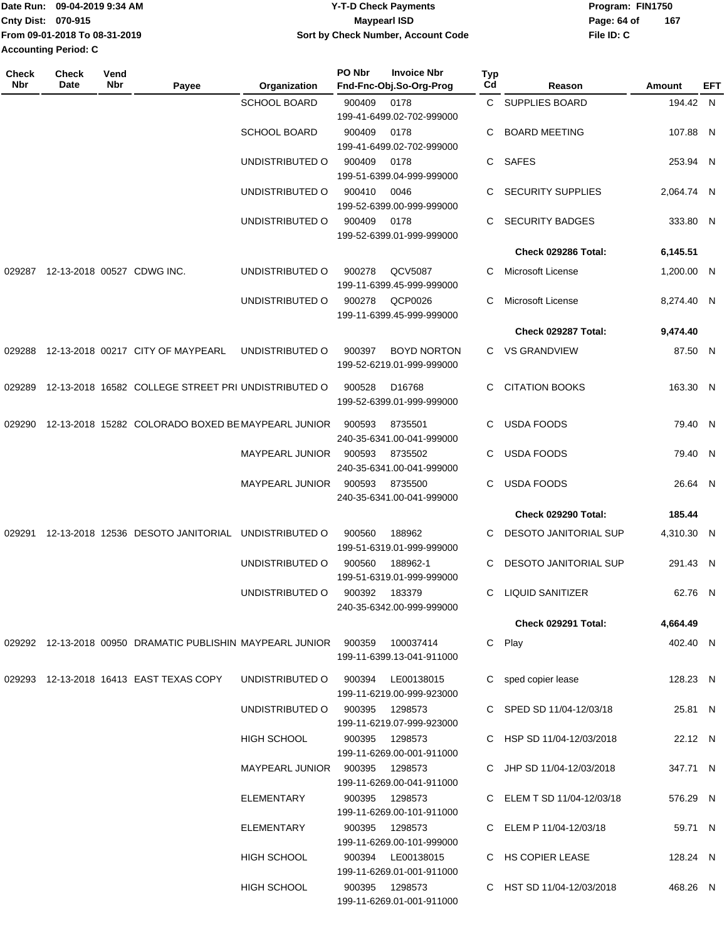|                           | Date Run: 09-04-2019 9:34 AM  | <b>Y-T-D Check Payments</b>        | Program: FIN1750 |     |
|---------------------------|-------------------------------|------------------------------------|------------------|-----|
| <b>Cnty Dist: 070-915</b> |                               | <b>Mavpearl ISD</b>                | Page: 64 of      | 167 |
|                           | From 09-01-2018 To 08-31-2019 | Sort by Check Number, Account Code | File ID: C       |     |
| Accounting Period: C      |                               |                                    |                  |     |

| <b>Check</b><br>Nbr | Check<br>Date | Vend<br>Nbr | Payee                                                                         | Organization                   | PO Nbr | <b>Invoice Nbr</b><br>Fnd-Fnc-Obj.So-Org-Prog | <b>Typ</b><br>Cd | Reason                       | Amount     | EFT |
|---------------------|---------------|-------------|-------------------------------------------------------------------------------|--------------------------------|--------|-----------------------------------------------|------------------|------------------------------|------------|-----|
|                     |               |             |                                                                               | <b>SCHOOL BOARD</b>            | 900409 | 0178                                          |                  | C SUPPLIES BOARD             | 194.42 N   |     |
|                     |               |             |                                                                               |                                |        | 199-41-6499.02-702-999000                     |                  |                              |            |     |
|                     |               |             |                                                                               | <b>SCHOOL BOARD</b>            | 900409 | 0178<br>199-41-6499.02-702-999000             | C                | <b>BOARD MEETING</b>         | 107.88 N   |     |
|                     |               |             |                                                                               | UNDISTRIBUTED O                | 900409 | 0178                                          | C.               | SAFES                        | 253.94 N   |     |
|                     |               |             |                                                                               |                                |        | 199-51-6399.04-999-999000                     |                  |                              |            |     |
|                     |               |             |                                                                               | UNDISTRIBUTED O                | 900410 | 0046<br>199-52-6399.00-999-999000             |                  | <b>SECURITY SUPPLIES</b>     | 2,064.74 N |     |
|                     |               |             |                                                                               | UNDISTRIBUTED O                | 900409 | 0178                                          | C                | <b>SECURITY BADGES</b>       | 333.80 N   |     |
|                     |               |             |                                                                               |                                |        | 199-52-6399.01-999-999000                     |                  |                              |            |     |
|                     |               |             |                                                                               |                                |        |                                               |                  | Check 029286 Total:          | 6,145.51   |     |
| 029287              |               |             | 12-13-2018 00527 CDWG INC.                                                    | UNDISTRIBUTED O                | 900278 | QCV5087                                       | C                | Microsoft License            | 1,200.00 N |     |
|                     |               |             |                                                                               |                                |        | 199-11-6399.45-999-999000                     |                  |                              |            |     |
|                     |               |             |                                                                               | UNDISTRIBUTED O                | 900278 | QCP0026<br>199-11-6399.45-999-999000          | C                | Microsoft License            | 8,274.40 N |     |
|                     |               |             |                                                                               |                                |        |                                               |                  | Check 029287 Total:          | 9,474.40   |     |
| 029288              |               |             | 12-13-2018 00217 CITY OF MAYPEARL                                             | UNDISTRIBUTED O                | 900397 | <b>BOYD NORTON</b>                            |                  | C VS GRANDVIEW               | 87.50 N    |     |
|                     |               |             |                                                                               |                                |        | 199-52-6219.01-999-999000                     |                  |                              |            |     |
| 029289              |               |             | 12-13-2018 16582 COLLEGE STREET PRI UNDISTRIBUTED O                           |                                | 900528 | D <sub>16768</sub>                            | C.               | <b>CITATION BOOKS</b>        | 163.30 N   |     |
|                     |               |             |                                                                               |                                |        | 199-52-6399.01-999-999000                     |                  |                              |            |     |
| 029290              |               |             | 12-13-2018 15282 COLORADO BOXED BE MAYPEARL JUNIOR                            |                                | 900593 | 8735501                                       | C                | <b>USDA FOODS</b>            | 79.40 N    |     |
|                     |               |             |                                                                               |                                |        | 240-35-6341.00-041-999000                     |                  |                              |            |     |
|                     |               |             |                                                                               | <b>MAYPEARL JUNIOR</b>         | 900593 | 8735502                                       | C                | <b>USDA FOODS</b>            | 79.40 N    |     |
|                     |               |             |                                                                               | <b>MAYPEARL JUNIOR</b>         | 900593 | 240-35-6341.00-041-999000<br>8735500          | C                | <b>USDA FOODS</b>            | 26.64 N    |     |
|                     |               |             |                                                                               |                                |        | 240-35-6341.00-041-999000                     |                  |                              |            |     |
|                     |               |             |                                                                               |                                |        |                                               |                  | Check 029290 Total:          | 185.44     |     |
| 029291              |               |             | 12-13-2018 12536 DESOTO JANITORIAL                                            | UNDISTRIBUTED O                | 900560 | 188962                                        | C.               | <b>DESOTO JANITORIAL SUP</b> | 4,310.30 N |     |
|                     |               |             |                                                                               |                                |        | 199-51-6319.01-999-999000                     |                  |                              |            |     |
|                     |               |             |                                                                               | UNDISTRIBUTED O                | 900560 | 188962-1                                      | C.               | <b>DESOTO JANITORIAL SUP</b> | 291.43 N   |     |
|                     |               |             |                                                                               |                                |        | 199-51-6319.01-999-999000<br>183379           |                  |                              |            |     |
|                     |               |             |                                                                               | UNDISTRIBUTED O                | 900392 | 240-35-6342.00-999-999000                     | C.               | LIQUID SANITIZER             | 62.76 N    |     |
|                     |               |             |                                                                               |                                |        |                                               |                  | <b>Check 029291 Total:</b>   | 4,664.49   |     |
|                     |               |             | 029292 12-13-2018 00950 DRAMATIC PUBLISHIN MAYPEARL JUNIOR  900359  100037414 |                                |        |                                               |                  | C Play                       | 402.40 N   |     |
|                     |               |             |                                                                               |                                |        | 199-11-6399.13-041-911000                     |                  |                              |            |     |
|                     |               |             | 029293 12-13-2018 16413 EAST TEXAS COPY                                       | UNDISTRIBUTED O                | 900394 | LE00138015                                    |                  | C sped copier lease          | 128.23 N   |     |
|                     |               |             |                                                                               |                                |        | 199-11-6219.00-999-923000                     |                  |                              |            |     |
|                     |               |             |                                                                               | UNDISTRIBUTED O                | 900395 | 1298573<br>199-11-6219.07-999-923000          |                  | C SPED SD 11/04-12/03/18     | 25.81 N    |     |
|                     |               |             |                                                                               | HIGH SCHOOL                    |        | 900395 1298573                                |                  | C HSP SD 11/04-12/03/2018    | 22.12 N    |     |
|                     |               |             |                                                                               |                                |        | 199-11-6269.00-001-911000                     |                  |                              |            |     |
|                     |               |             |                                                                               | MAYPEARL JUNIOR 900395 1298573 |        |                                               |                  | C JHP SD 11/04-12/03/2018    | 347.71 N   |     |
|                     |               |             |                                                                               |                                |        | 199-11-6269.00-041-911000                     |                  |                              |            |     |
|                     |               |             |                                                                               | ELEMENTARY                     |        | 900395 1298573<br>199-11-6269.00-101-911000   |                  | C ELEM T SD 11/04-12/03/18   | 576.29 N   |     |
|                     |               |             |                                                                               | ELEMENTARY                     |        | 900395 1298573                                |                  | C ELEM P 11/04-12/03/18      | 59.71 N    |     |
|                     |               |             |                                                                               |                                |        | 199-11-6269.00-101-999000                     |                  |                              |            |     |
|                     |               |             |                                                                               | HIGH SCHOOL                    |        | 900394 LE00138015                             |                  | C HS COPIER LEASE            | 128.24 N   |     |
|                     |               |             |                                                                               |                                |        | 199-11-6269.01-001-911000                     |                  |                              |            |     |
|                     |               |             |                                                                               | HIGH SCHOOL                    |        | 900395 1298573<br>199-11-6269.01-001-911000   |                  | C HST SD 11/04-12/03/2018    | 468.26 N   |     |
|                     |               |             |                                                                               |                                |        |                                               |                  |                              |            |     |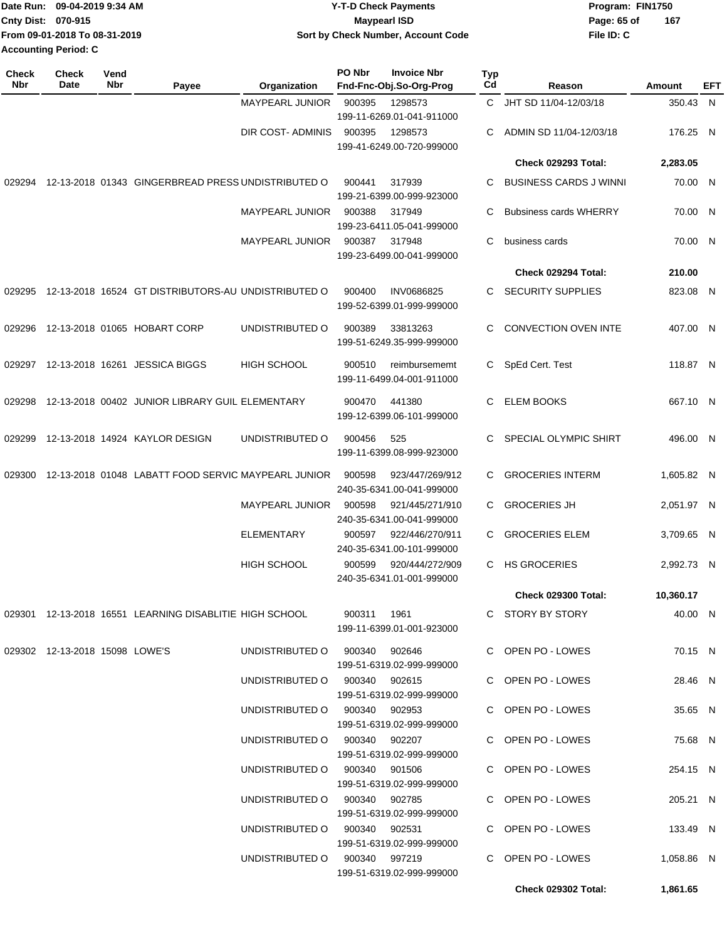| IDate Run: 09-04-2019 9:34 AM | <b>Y-T-D Check Payments</b>        | Program: FIN1750 |     |
|-------------------------------|------------------------------------|------------------|-----|
| <b>Cnty Dist: 070-915</b>     | <b>Mavpearl ISD</b>                | Page: 65 of      | 167 |
| From 09-01-2018 To 08-31-2019 | Sort by Check Number, Account Code | File ID: C       |     |
| Accounting Period: C          |                                    |                  |     |

| <b>Check</b><br>Nbr | Check<br>Date                  | Vend<br>Nbr | Payee                                                                 | Organization                                                   | PO Nbr                                       | <b>Invoice Nbr</b><br>Fnd-Fnc-Obj.So-Org-Prog  | Typ<br>Cd           | Reason                                 | Amount                 | EFT |
|---------------------|--------------------------------|-------------|-----------------------------------------------------------------------|----------------------------------------------------------------|----------------------------------------------|------------------------------------------------|---------------------|----------------------------------------|------------------------|-----|
|                     |                                |             |                                                                       | <b>MAYPEARL JUNIOR</b>                                         | 900395                                       | 1298573<br>199-11-6269.01-041-911000           | C.                  | JHT SD 11/04-12/03/18                  | 350.43 N               |     |
|                     |                                |             |                                                                       | DIR COST- ADMINIS                                              | 900395                                       | 1298573<br>199-41-6249.00-720-999000           | C                   | ADMIN SD 11/04-12/03/18                | 176.25 N               |     |
|                     |                                |             |                                                                       |                                                                |                                              |                                                |                     | <b>Check 029293 Total:</b>             | 2,283.05               |     |
| 029294              |                                |             | 12-13-2018 01343 GINGERBREAD PRESS UNDISTRIBUTED O                    |                                                                | 900441                                       | 317939<br>199-21-6399.00-999-923000            | C                   | <b>BUSINESS CARDS J WINNI</b>          | 70.00 N                |     |
|                     |                                |             |                                                                       | <b>MAYPEARL JUNIOR</b>                                         | 900388                                       | 317949<br>199-23-6411.05-041-999000            | C                   | <b>Bubsiness cards WHERRY</b>          | 70.00 N                |     |
|                     |                                |             |                                                                       | <b>MAYPEARL JUNIOR</b>                                         | 900387                                       | 317948<br>199-23-6499.00-041-999000            | C                   | business cards                         | 70.00 N                |     |
|                     |                                |             |                                                                       |                                                                |                                              |                                                |                     | Check 029294 Total:                    | 210.00                 |     |
| 029295              |                                |             | 12-13-2018 16524 GT DISTRIBUTORS-AU UNDISTRIBUTED O                   |                                                                | 900400                                       | <b>INV0686825</b><br>199-52-6399.01-999-999000 | C.                  | SECURITY SUPPLIES                      | 823.08 N               |     |
| 029296              |                                |             | 12-13-2018 01065 HOBART CORP                                          | UNDISTRIBUTED O                                                | 900389                                       | 33813263<br>199-51-6249.35-999-999000          | C.                  | <b>CONVECTION OVEN INTE</b>            | 407.00 N               |     |
| 029297              |                                |             | 12-13-2018 16261 JESSICA BIGGS                                        | <b>HIGH SCHOOL</b>                                             | 900510                                       | reimbursememt<br>199-11-6499.04-001-911000     | C.                  | SpEd Cert. Test                        | 118.87 N               |     |
| 029298              |                                |             | 12-13-2018 00402 JUNIOR LIBRARY GUIL ELEMENTARY                       |                                                                | 900470                                       | 441380<br>199-12-6399.06-101-999000            | C.                  | <b>ELEM BOOKS</b>                      | 667.10 N               |     |
| 029299              |                                |             | 12-13-2018 14924 KAYLOR DESIGN                                        | UNDISTRIBUTED O                                                | 900456                                       | 525<br>199-11-6399.08-999-923000               | C.                  | SPECIAL OLYMPIC SHIRT                  | 496.00 N               |     |
| 029300              |                                |             | 12-13-2018 01048 LABATT FOOD SERVIC MAYPEARL JUNIOR                   |                                                                | 900598                                       | 923/447/269/912<br>240-35-6341.00-041-999000   | C.                  | <b>GROCERIES INTERM</b>                | 1,605.82 N             |     |
|                     |                                |             | MAYPEARL JUNIOR                                                       | 900598                                                         | 921/445/271/910<br>240-35-6341.00-041-999000 | C.                                             | <b>GROCERIES JH</b> | 2,051.97 N                             |                        |     |
|                     |                                |             |                                                                       | <b>ELEMENTARY</b>                                              | 900597                                       | 922/446/270/911<br>240-35-6341.00-101-999000   | C.                  | <b>GROCERIES ELEM</b>                  | 3,709.65 N             |     |
|                     |                                |             |                                                                       | <b>HIGH SCHOOL</b>                                             | 900599                                       | 920/444/272/909<br>240-35-6341.01-001-999000   | C                   | <b>HS GROCERIES</b>                    | 2.992.73 N             |     |
|                     |                                |             |                                                                       |                                                                |                                              |                                                |                     | Check 029300 Total:                    | 10,360.17              |     |
|                     |                                |             | 029301 12-13-2018 16551 LEARNING DISABLITIE HIGH SCHOOL  900311  1961 |                                                                |                                              | 199-11-6399.01-001-923000                      |                     | C STORY BY STORY                       | 40.00 N                |     |
|                     | 029302 12-13-2018 15098 LOWE'S |             |                                                                       | UNDISTRIBUTED O 900340 902646                                  |                                              | 199-51-6319.02-999-999000                      |                     | C OPEN PO - LOWES                      | 70.15 N                |     |
|                     |                                |             |                                                                       | UNDISTRIBUTED O 900340 902615                                  |                                              | 199-51-6319.02-999-999000                      |                     | C OPEN PO - LOWES                      | 28.46 N                |     |
|                     |                                |             |                                                                       | UNDISTRIBUTED O 900340 902953                                  |                                              | 199-51-6319.02-999-999000                      |                     | C OPEN PO - LOWES                      | 35.65 N                |     |
|                     |                                |             |                                                                       | UNDISTRIBUTED O 900340 902207                                  |                                              | 199-51-6319.02-999-999000                      |                     | C OPEN PO - LOWES                      | 75.68 N                |     |
|                     |                                |             |                                                                       | UNDISTRIBUTED O 900340 901506                                  |                                              | 199-51-6319.02-999-999000                      |                     | C OPEN PO - LOWES                      | 254.15 N               |     |
|                     |                                |             |                                                                       | UNDISTRIBUTED O 900340 902785                                  |                                              | 199-51-6319.02-999-999000                      |                     | C OPEN PO - LOWES                      | 205.21 N               |     |
|                     |                                |             |                                                                       | UNDISTRIBUTED O 900340 902531<br>UNDISTRIBUTED O 900340 997219 |                                              | 199-51-6319.02-999-999000                      |                     | C OPEN PO - LOWES<br>C OPEN PO - LOWES | 133.49 N<br>1,058.86 N |     |
|                     |                                |             |                                                                       |                                                                |                                              | 199-51-6319.02-999-999000                      |                     |                                        |                        |     |
|                     |                                |             |                                                                       |                                                                |                                              |                                                |                     | Check 029302 Total:                    | 1,861.65               |     |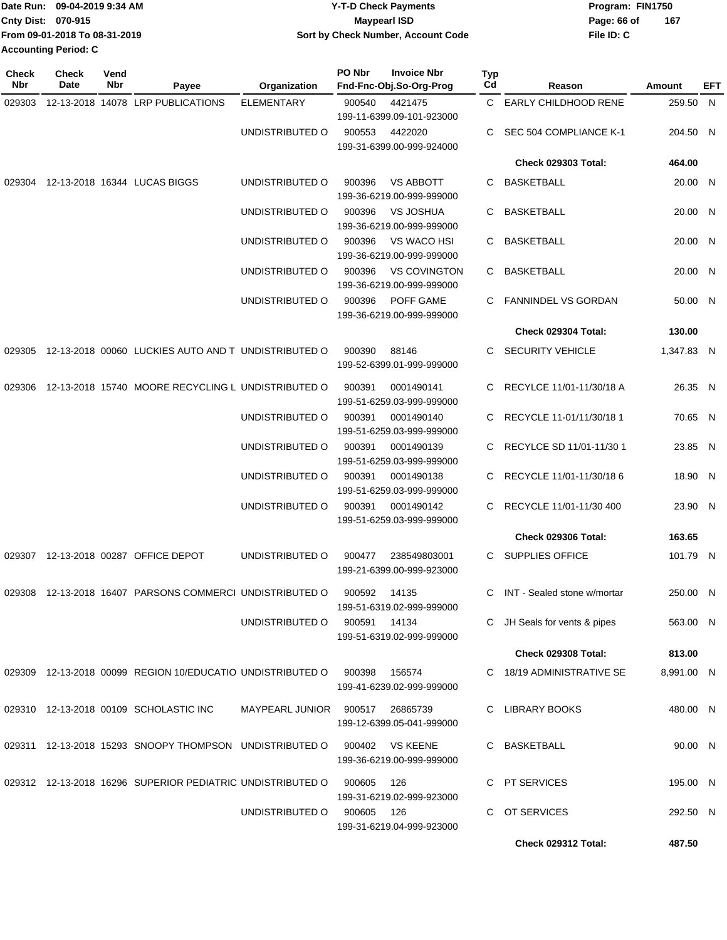|                             | IDate Run: 09-04-2019 9:34 AM | <b>Y-T-D Check Payments</b>        | Program: FIN1750   |
|-----------------------------|-------------------------------|------------------------------------|--------------------|
| <b>Cnty Dist: 070-915</b>   |                               | <b>Maypearl ISD</b>                | 167<br>Page: 66 of |
|                             | From 09-01-2018 To 08-31-2019 | Sort by Check Number, Account Code | File ID: C         |
| <b>Accounting Period: C</b> |                               |                                    |                    |

| <b>Check</b><br><b>Nbr</b> | <b>Check</b><br>Date | Vend<br>Nbr | Payee                                                      | Organization                 | PO Nbr       | <b>Invoice Nbr</b><br>Fnd-Fnc-Obj.So-Org-Prog    | Typ<br>Cd | Reason                        | Amount     | EFT |
|----------------------------|----------------------|-------------|------------------------------------------------------------|------------------------------|--------------|--------------------------------------------------|-----------|-------------------------------|------------|-----|
| 029303                     |                      |             | 12-13-2018 14078 LRP PUBLICATIONS                          | <b>ELEMENTARY</b>            | 900540       | 4421475<br>199-11-6399.09-101-923000             |           | C EARLY CHILDHOOD RENE        | 259.50 N   |     |
|                            |                      |             |                                                            | UNDISTRIBUTED O              | 900553       | 4422020<br>199-31-6399.00-999-924000             | C.        | SEC 504 COMPLIANCE K-1        | 204.50 N   |     |
|                            |                      |             |                                                            |                              |              |                                                  |           | <b>Check 029303 Total:</b>    | 464.00     |     |
| 029304                     |                      |             | 12-13-2018 16344 LUCAS BIGGS                               | UNDISTRIBUTED O              | 900396       | <b>VS ABBOTT</b><br>199-36-6219.00-999-999000    | C         | BASKETBALL                    | 20.00 N    |     |
|                            |                      |             |                                                            | UNDISTRIBUTED O              | 900396       | <b>VS JOSHUA</b><br>199-36-6219.00-999-999000    | С         | <b>BASKETBALL</b>             | 20.00 N    |     |
|                            |                      |             |                                                            | UNDISTRIBUTED O              | 900396       | VS WACO HSI<br>199-36-6219.00-999-999000         | C         | <b>BASKETBALL</b>             | 20.00 N    |     |
|                            |                      |             |                                                            | UNDISTRIBUTED O              | 900396       | <b>VS COVINGTON</b><br>199-36-6219.00-999-999000 | C         | <b>BASKETBALL</b>             | 20.00 N    |     |
|                            |                      |             |                                                            | UNDISTRIBUTED O              | 900396       | POFF GAME<br>199-36-6219.00-999-999000           | C         | FANNINDEL VS GORDAN           | 50.00 N    |     |
|                            |                      |             |                                                            |                              |              |                                                  |           | Check 029304 Total:           | 130.00     |     |
|                            |                      |             | 029305 12-13-2018 00060 LUCKIES AUTO AND T UNDISTRIBUTED O |                              | 900390       | 88146<br>199-52-6399.01-999-999000               |           | C SECURITY VEHICLE            | 1,347.83 N |     |
|                            |                      |             | 029306 12-13-2018 15740 MOORE RECYCLING L UNDISTRIBUTED O  |                              | 900391       | 0001490141<br>199-51-6259.03-999-999000          | C         | RECYLCE 11/01-11/30/18 A      | 26.35 N    |     |
|                            |                      |             |                                                            | UNDISTRIBUTED O              | 900391       | 0001490140<br>199-51-6259.03-999-999000          | C.        | RECYCLE 11-01/11/30/18 1      | 70.65 N    |     |
|                            |                      |             |                                                            | UNDISTRIBUTED O              | 900391       | 0001490139<br>199-51-6259.03-999-999000          | C         | RECYLCE SD 11/01-11/30 1      | 23.85 N    |     |
|                            |                      |             |                                                            | UNDISTRIBUTED O              | 900391       | 0001490138<br>199-51-6259.03-999-999000          | C.        | RECYCLE 11/01-11/30/18 6      | 18.90 N    |     |
|                            |                      |             |                                                            | UNDISTRIBUTED O              | 900391       | 0001490142<br>199-51-6259.03-999-999000          | С         | RECYCLE 11/01-11/30 400       | 23.90 N    |     |
|                            |                      |             |                                                            |                              |              |                                                  |           | <b>Check 029306 Total:</b>    | 163.65     |     |
|                            |                      |             | 029307 12-13-2018 00287 OFFICE DEPOT                       | UNDISTRIBUTED O              | 900477       | 238549803001<br>199-21-6399.00-999-923000        |           | C SUPPLIES OFFICE             | 101.79 N   |     |
|                            |                      |             | 029308 12-13-2018 16407 PARSONS COMMERCI UNDISTRIBUTED O   |                              | 900592 14135 | 199-51-6319.02-999-999000                        |           | C INT - Sealed stone w/mortar | 250.00 N   |     |
|                            |                      |             |                                                            | UNDISTRIBUTED O 900591 14134 |              | 199-51-6319.02-999-999000                        |           | C JH Seals for vents & pipes  | 563.00 N   |     |
|                            |                      |             |                                                            |                              |              |                                                  |           | Check 029308 Total:           | 813.00     |     |
|                            |                      |             | 029309 12-13-2018 00099 REGION 10/EDUCATIO UNDISTRIBUTED O |                              | 900398       | 156574<br>199-41-6239.02-999-999000              |           | C 18/19 ADMINISTRATIVE SE     | 8,991.00 N |     |
|                            |                      |             | 029310 12-13-2018 00109 SCHOLASTIC INC                     | MAYPEARL JUNIOR              |              | 900517 26865739<br>199-12-6399.05-041-999000     |           | C LIBRARY BOOKS               | 480.00 N   |     |
|                            |                      |             | 029311 12-13-2018 15293 SNOOPY THOMPSON UNDISTRIBUTED O    |                              | 900402       | <b>VS KEENE</b><br>199-36-6219.00-999-999000     |           | C BASKETBALL                  | 90.00 N    |     |
|                            |                      |             | 029312 12-13-2018 16296 SUPERIOR PEDIATRIC UNDISTRIBUTED O |                              | 900605       | - 126<br>199-31-6219.02-999-923000               |           | C PT SERVICES                 | 195.00 N   |     |
|                            |                      |             |                                                            | UNDISTRIBUTED O              | 900605 126   | 199-31-6219.04-999-923000                        | C.        | OT SERVICES                   | 292.50 N   |     |
|                            |                      |             |                                                            |                              |              |                                                  |           | Check 029312 Total:           | 487.50     |     |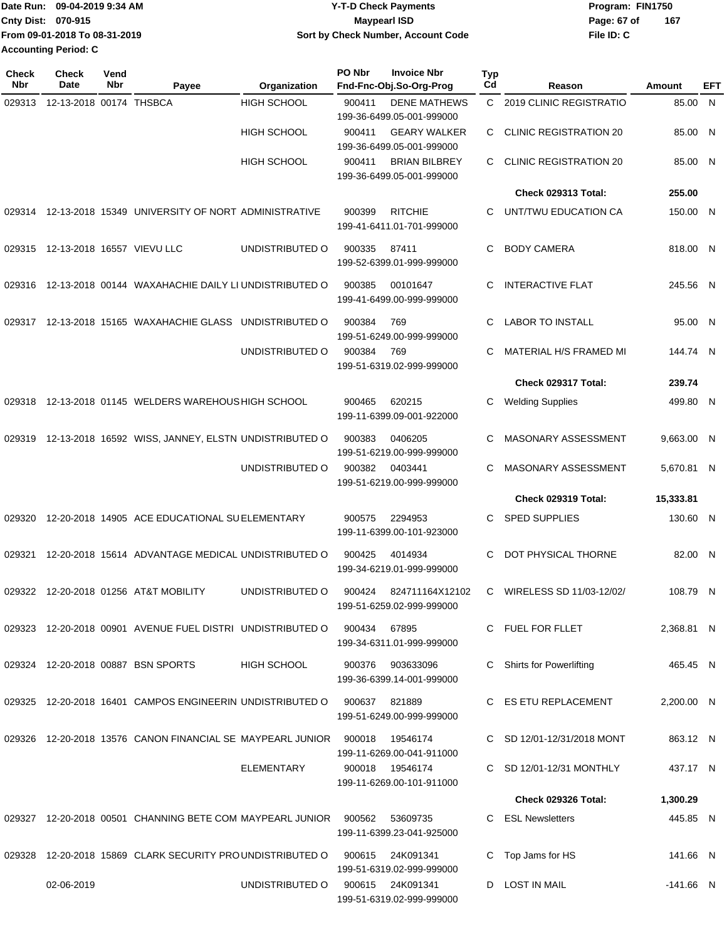|                             | Date Run: 09-04-2019 9:34 AM  | <b>Y-T-D Check Payments</b>        | Program: FIN1750 |     |
|-----------------------------|-------------------------------|------------------------------------|------------------|-----|
| Cnty Dist: 070-915          |                               | <b>Mavpearl ISD</b>                | Page: 67 of      | 167 |
|                             | From 09-01-2018 To 08-31-2019 | Sort by Check Number, Account Code | File ID: C       |     |
| <b>Accounting Period: C</b> |                               |                                    |                  |     |

| Check<br>Nbr | <b>Check</b><br>Date       | Vend<br>Nbr | Payee                                                       | Organization       | PO Nbr | <b>Invoice Nbr</b><br>Fnd-Fnc-Obj.So-Org-Prog     | Typ<br>Cd    | Reason                        | Amount     | EFT |
|--------------|----------------------------|-------------|-------------------------------------------------------------|--------------------|--------|---------------------------------------------------|--------------|-------------------------------|------------|-----|
| 029313       | 12-13-2018 00174 THSBCA    |             |                                                             | <b>HIGH SCHOOL</b> | 900411 | <b>DENE MATHEWS</b>                               | $\mathbf{C}$ | 2019 CLINIC REGISTRATIO       | 85.00 N    |     |
|              |                            |             |                                                             |                    |        | 199-36-6499.05-001-999000                         |              |                               |            |     |
|              |                            |             |                                                             | <b>HIGH SCHOOL</b> | 900411 | <b>GEARY WALKER</b>                               | C.           | <b>CLINIC REGISTRATION 20</b> | 85.00 N    |     |
|              |                            |             |                                                             | <b>HIGH SCHOOL</b> | 900411 | 199-36-6499.05-001-999000<br><b>BRIAN BILBREY</b> | C.           | <b>CLINIC REGISTRATION 20</b> |            |     |
|              |                            |             |                                                             |                    |        | 199-36-6499.05-001-999000                         |              |                               | 85.00 N    |     |
|              |                            |             |                                                             |                    |        |                                                   |              | Check 029313 Total:           | 255.00     |     |
| 029314       |                            |             | 12-13-2018 15349 UNIVERSITY OF NORT ADMINISTRATIVE          |                    | 900399 | <b>RITCHIE</b>                                    | C.           | UNT/TWU EDUCATION CA          | 150.00 N   |     |
|              |                            |             |                                                             |                    |        | 199-41-6411.01-701-999000                         |              |                               |            |     |
| 029315       | 12-13-2018 16557 VIEVU LLC |             |                                                             | UNDISTRIBUTED O    | 900335 | 87411                                             | C.           | <b>BODY CAMERA</b>            | 818.00 N   |     |
|              |                            |             |                                                             |                    |        | 199-52-6399.01-999-999000                         |              |                               |            |     |
|              |                            |             | 029316 12-13-2018 00144 WAXAHACHIE DAILY LI UNDISTRIBUTED O |                    | 900385 | 00101647                                          | C            | <b>INTERACTIVE FLAT</b>       | 245.56 N   |     |
|              |                            |             |                                                             |                    |        | 199-41-6499.00-999-999000                         |              |                               |            |     |
|              |                            |             |                                                             |                    |        |                                                   |              |                               |            |     |
| 029317       |                            |             | 12-13-2018 15165 WAXAHACHIE GLASS UNDISTRIBUTED O           |                    | 900384 | 769<br>199-51-6249.00-999-999000                  | C            | <b>LABOR TO INSTALL</b>       | 95.00 N    |     |
|              |                            |             |                                                             | UNDISTRIBUTED O    | 900384 | 769                                               | C            | MATERIAL H/S FRAMED MI        | 144.74 N   |     |
|              |                            |             |                                                             |                    |        | 199-51-6319.02-999-999000                         |              |                               |            |     |
|              |                            |             |                                                             |                    |        |                                                   |              | Check 029317 Total:           | 239.74     |     |
| 029318       |                            |             | 12-13-2018 01145 WELDERS WAREHOUS HIGH SCHOOL               |                    | 900465 | 620215                                            | C            | <b>Welding Supplies</b>       | 499.80 N   |     |
|              |                            |             |                                                             |                    |        | 199-11-6399.09-001-922000                         |              |                               |            |     |
| 029319       |                            |             | 12-13-2018 16592 WISS, JANNEY, ELSTN UNDISTRIBUTED O        |                    | 900383 | 0406205                                           | C            | MASONARY ASSESSMENT           | 9,663.00 N |     |
|              |                            |             |                                                             |                    |        | 199-51-6219.00-999-999000                         |              |                               |            |     |
|              |                            |             |                                                             | UNDISTRIBUTED O    | 900382 | 0403441                                           | C            | MASONARY ASSESSMENT           | 5,670.81 N |     |
|              |                            |             |                                                             |                    |        | 199-51-6219.00-999-999000                         |              | Check 029319 Total:           | 15,333.81  |     |
|              |                            |             |                                                             |                    |        | 2294953                                           | C.           |                               |            |     |
| 029320       |                            |             | 12-20-2018 14905 ACE EDUCATIONAL SUELEMENTARY               |                    | 900575 | 199-11-6399.00-101-923000                         |              | <b>SPED SUPPLIES</b>          | 130.60 N   |     |
|              |                            |             |                                                             |                    |        |                                                   |              |                               |            |     |
| 029321       |                            |             | 12-20-2018 15614 ADVANTAGE MEDICAL UNDISTRIBUTED O          |                    | 900425 | 4014934<br>199-34-6219.01-999-999000              | C            | DOT PHYSICAL THORNE           | 82.00 N    |     |
|              |                            |             |                                                             |                    |        |                                                   |              |                               |            |     |
|              |                            |             | 029322 12-20-2018 01256 AT&T MOBILITY                       | UNDISTRIBUTED O    | 900424 | 824711164X12102<br>199-51-6259.02-999-999000      | C            | WIRELESS SD 11/03-12/02/      | 108.79 N   |     |
|              |                            |             |                                                             |                    |        |                                                   |              |                               |            |     |
|              |                            |             | 029323 12-20-2018 00901 AVENUE FUEL DISTRI UNDISTRIBUTED O  |                    | 900434 | 67895                                             |              | C FUEL FOR FLLET              | 2,368.81 N |     |
|              |                            |             |                                                             |                    |        | 199-34-6311.01-999-999000                         |              |                               |            |     |
|              |                            |             | 029324 12-20-2018 00887 BSN SPORTS                          | <b>HIGH SCHOOL</b> | 900376 | 903633096                                         | C.           | Shirts for Powerlifting       | 465.45 N   |     |
|              |                            |             |                                                             |                    |        | 199-36-6399.14-001-999000                         |              |                               |            |     |
|              |                            |             | 029325 12-20-2018 16401 CAMPOS ENGINEERIN UNDISTRIBUTED O   |                    | 900637 | 821889                                            |              | C ES ETU REPLACEMENT          | 2,200.00 N |     |
|              |                            |             |                                                             |                    |        | 199-51-6249.00-999-999000                         |              |                               |            |     |
| 029326       |                            |             | 12-20-2018 13576 CANON FINANCIAL SE MAYPEARL JUNIOR         |                    | 900018 | 19546174                                          |              | C SD 12/01-12/31/2018 MONT    | 863.12 N   |     |
|              |                            |             |                                                             |                    |        | 199-11-6269.00-041-911000                         |              |                               |            |     |
|              |                            |             |                                                             | <b>ELEMENTARY</b>  | 900018 | 19546174<br>199-11-6269.00-101-911000             |              | C SD 12/01-12/31 MONTHLY      | 437.17 N   |     |
|              |                            |             |                                                             |                    |        |                                                   |              | Check 029326 Total:           | 1,300.29   |     |
|              |                            |             | 029327 12-20-2018 00501 CHANNING BETE COM MAYPEARL JUNIOR   |                    | 900562 | 53609735                                          | C.           | <b>ESL Newsletters</b>        | 445.85 N   |     |
|              |                            |             |                                                             |                    |        | 199-11-6399.23-041-925000                         |              |                               |            |     |
|              |                            |             | 12-20-2018 15869 CLARK SECURITY PROUNDISTRIBUTED O          |                    | 900615 | 24K091341                                         | C            |                               |            |     |
| 029328       |                            |             |                                                             |                    |        | 199-51-6319.02-999-999000                         |              | Top Jams for HS               | 141.66 N   |     |
|              | 02-06-2019                 |             |                                                             | UNDISTRIBUTED O    | 900615 | 24K091341                                         | D            | <b>LOST IN MAIL</b>           | -141.66 N  |     |
|              |                            |             |                                                             |                    |        | 199-51-6319.02-999-999000                         |              |                               |            |     |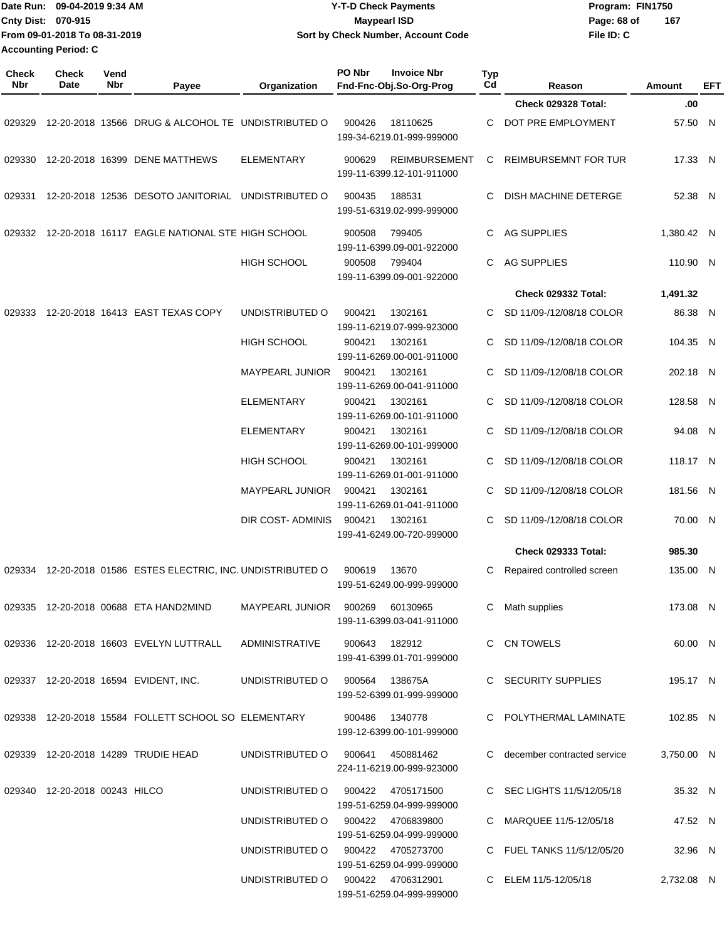| Date Run: 09-04-2019 9:34 AM<br>Cnty Dist: 070-915<br>From 09-01-2018 To 08-31-2019<br><b>Accounting Period: C</b> |                               |             |                                                              |                                 | <b>Y-T-D Check Payments</b><br><b>Maypearl ISD</b><br>Sort by Check Number, Account Code |                                                   |                       |                               | Program: FIN1750<br>Page: 68 of<br>File ID: C | 167           |     |
|--------------------------------------------------------------------------------------------------------------------|-------------------------------|-------------|--------------------------------------------------------------|---------------------------------|------------------------------------------------------------------------------------------|---------------------------------------------------|-----------------------|-------------------------------|-----------------------------------------------|---------------|-----|
| <b>Check</b><br>Nbr                                                                                                | <b>Check</b><br>Date          | Vend<br>Nbr |                                                              |                                 | PO Nbr                                                                                   | <b>Invoice Nbr</b>                                | Typ<br>C <sub>d</sub> |                               |                                               | <b>Amount</b> |     |
|                                                                                                                    |                               |             | Payee                                                        | Organization                    |                                                                                          | Fnd-Fnc-Obj.So-Org-Prog                           |                       | Reason<br>Check 029328 Total: |                                               | .00           | EFT |
| 029329                                                                                                             |                               |             | 12-20-2018 13566 DRUG & ALCOHOL TE UNDISTRIBUTED O           |                                 | 900426                                                                                   | 18110625<br>199-34-6219.01-999-999000             | С                     | DOT PRE EMPLOYMENT            |                                               | 57.50 N       |     |
| 029330                                                                                                             |                               |             | 12-20-2018 16399 DENE MATTHEWS                               | <b>ELEMENTARY</b>               | 900629                                                                                   | <b>REIMBURSEMENT</b><br>199-11-6399.12-101-911000 | С                     | <b>REIMBURSEMNT FOR TUR</b>   |                                               | 17.33 N       |     |
| 029331                                                                                                             |                               |             | 12-20-2018 12536 DESOTO JANITORIAL UNDISTRIBUTED O           |                                 | 900435                                                                                   | 188531<br>199-51-6319.02-999-999000               | С                     | DISH MACHINE DETERGE          |                                               | 52.38 N       |     |
| 029332                                                                                                             |                               |             | 12-20-2018 16117 EAGLE NATIONAL STE HIGH SCHOOL              |                                 | 900508                                                                                   | 799405<br>199-11-6399.09-001-922000               | C                     | AG SUPPLIES                   |                                               | 1,380.42 N    |     |
|                                                                                                                    |                               |             |                                                              | <b>HIGH SCHOOL</b>              | 900508                                                                                   | 799404<br>199-11-6399.09-001-922000               | C                     | AG SUPPLIES                   |                                               | 110.90 N      |     |
|                                                                                                                    |                               |             |                                                              |                                 |                                                                                          |                                                   |                       | Check 029332 Total:           |                                               | 1,491.32      |     |
| 029333                                                                                                             |                               |             | 12-20-2018 16413 EAST TEXAS COPY                             | UNDISTRIBUTED O                 | 900421                                                                                   | 1302161<br>199-11-6219.07-999-923000              | C                     | SD 11/09-/12/08/18 COLOR      |                                               | 86.38 N       |     |
|                                                                                                                    |                               |             |                                                              | <b>HIGH SCHOOL</b>              | 900421                                                                                   | 1302161<br>199-11-6269.00-001-911000              | C                     | SD 11/09-/12/08/18 COLOR      |                                               | 104.35 N      |     |
|                                                                                                                    |                               |             |                                                              | <b>MAYPEARL JUNIOR</b>          | 900421                                                                                   | 1302161<br>199-11-6269.00-041-911000              |                       | SD 11/09-/12/08/18 COLOR      |                                               | 202.18 N      |     |
|                                                                                                                    |                               |             |                                                              | <b>ELEMENTARY</b>               | 900421                                                                                   | 1302161<br>199-11-6269.00-101-911000              | C.                    | SD 11/09-/12/08/18 COLOR      |                                               | 128.58 N      |     |
|                                                                                                                    |                               |             |                                                              | <b>ELEMENTARY</b>               | 900421                                                                                   | 1302161<br>199-11-6269.00-101-999000              | C                     | SD 11/09-/12/08/18 COLOR      |                                               | 94.08 N       |     |
|                                                                                                                    |                               |             |                                                              | <b>HIGH SCHOOL</b>              | 900421                                                                                   | 1302161<br>199-11-6269.01-001-911000              |                       | SD 11/09-/12/08/18 COLOR      |                                               | 118.17 N      |     |
|                                                                                                                    |                               |             |                                                              | <b>MAYPEARL JUNIOR</b>          | 900421                                                                                   | 1302161<br>199-11-6269.01-041-911000              | C                     | SD 11/09-/12/08/18 COLOR      |                                               | 181.56 N      |     |
|                                                                                                                    |                               |             |                                                              | DIR COST- ADMINIS               | 900421                                                                                   | 1302161<br>199-41-6249.00-720-999000              | C                     | SD 11/09-/12/08/18 COLOR      |                                               | 70.00 N       |     |
|                                                                                                                    |                               |             |                                                              |                                 |                                                                                          |                                                   |                       | <b>Check 029333 Total:</b>    |                                               | 985.30        |     |
|                                                                                                                    |                               |             | 029334 12-20-2018 01586 ESTES ELECTRIC, INC. UNDISTRIBUTED O |                                 | 900619                                                                                   | 13670<br>199-51-6249.00-999-999000                | C                     | Repaired controlled screen    |                                               | 135.00 N      |     |
|                                                                                                                    |                               |             | 029335 12-20-2018 00688 ETA HAND2MIND                        | MAYPEARL JUNIOR 900269 60130965 |                                                                                          | 199-11-6399.03-041-911000                         |                       | Math supplies                 |                                               | 173.08 N      |     |
|                                                                                                                    |                               |             | 029336 12-20-2018 16603 EVELYN LUTTRALL                      | <b>ADMINISTRATIVE</b>           | 900643                                                                                   | 182912<br>199-41-6399.01-701-999000               |                       | C CN TOWELS                   |                                               | 60.00 N       |     |
|                                                                                                                    |                               |             | 029337 12-20-2018 16594 EVIDENT, INC.                        | UNDISTRIBUTED O                 | 900564                                                                                   | 138675A<br>199-52-6399.01-999-999000              |                       | C SECURITY SUPPLIES           |                                               | 195.17 N      |     |
|                                                                                                                    |                               |             | 029338 12-20-2018 15584 FOLLETT SCHOOL SO ELEMENTARY         |                                 | 900486                                                                                   | 1340778<br>199-12-6399.00-101-999000              |                       | POLYTHERMAL LAMINATE          |                                               | 102.85 N      |     |
|                                                                                                                    |                               |             | 029339 12-20-2018 14289 TRUDIE HEAD                          | UNDISTRIBUTED O                 | 900641                                                                                   | 450881462<br>224-11-6219.00-999-923000            |                       | C december contracted service |                                               | 3,750.00 N    |     |
|                                                                                                                    | 029340 12-20-2018 00243 HILCO |             |                                                              | UNDISTRIBUTED O                 | 900422                                                                                   | 4705171500<br>199-51-6259.04-999-999000           |                       | SEC LIGHTS 11/5/12/05/18      |                                               | 35.32 N       |     |
|                                                                                                                    |                               |             |                                                              | UNDISTRIBUTED O                 |                                                                                          | 900422 4706839800<br>199-51-6259.04-999-999000    |                       | C MARQUEE 11/5-12/05/18       |                                               | 47.52 N       |     |
|                                                                                                                    |                               |             |                                                              | UNDISTRIBUTED O                 |                                                                                          | 900422 4705273700<br>199-51-6259.04-999-999000    |                       | C FUEL TANKS 11/5/12/05/20    |                                               | 32.96 N       |     |
|                                                                                                                    |                               |             |                                                              | UNDISTRIBUTED O                 | 900422                                                                                   | 4706312901<br>199-51-6259.04-999-999000           |                       | C ELEM 11/5-12/05/18          |                                               | 2,732.08 N    |     |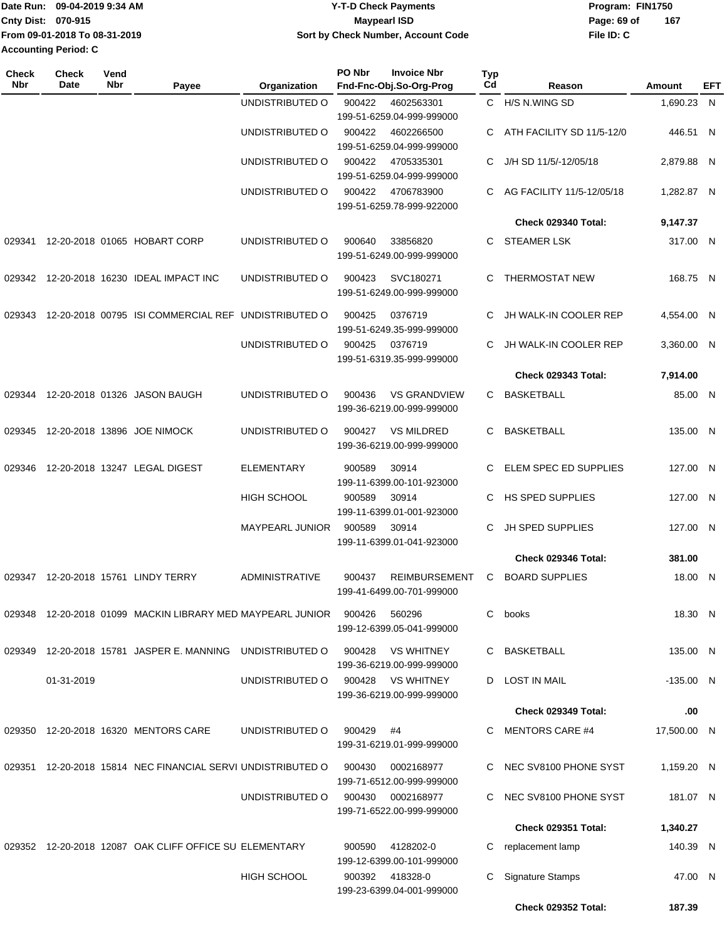|                           | Date Run: 09-04-2019 9:34 AM  | <b>Y-T-D Check Payments</b>        | Program: FIN1750   |
|---------------------------|-------------------------------|------------------------------------|--------------------|
| <b>Cnty Dist: 070-915</b> |                               | <b>Mavpearl ISD</b>                | 167<br>Page: 69 of |
|                           | From 09-01-2018 To 08-31-2019 | Sort by Check Number, Account Code | File ID: C         |
| Accounting Period: C      |                               |                                    |                    |

| Check<br><b>Nbr</b> | <b>Check</b><br>Date | Vend<br>Nbr | Payee                                                      | Organization           | PO Nbr | <b>Invoice Nbr</b><br>Fnd-Fnc-Obj.So-Org-Prog     | <b>Typ</b><br>Cd | Reason                     | Amount      | EFT |
|---------------------|----------------------|-------------|------------------------------------------------------------|------------------------|--------|---------------------------------------------------|------------------|----------------------------|-------------|-----|
|                     |                      |             |                                                            | UNDISTRIBUTED O        | 900422 | 4602563301<br>199-51-6259.04-999-999000           |                  | C H/S N.WING SD            | 1,690.23 N  |     |
|                     |                      |             |                                                            | UNDISTRIBUTED O        | 900422 | 4602266500<br>199-51-6259.04-999-999000           | C.               | ATH FACILITY SD 11/5-12/0  | 446.51 N    |     |
|                     |                      |             |                                                            | UNDISTRIBUTED O        | 900422 | 4705335301<br>199-51-6259.04-999-999000           | C                | J/H SD 11/5/-12/05/18      | 2,879.88 N  |     |
|                     |                      |             |                                                            | UNDISTRIBUTED O        | 900422 | 4706783900<br>199-51-6259.78-999-922000           | C.               | AG FACILITY 11/5-12/05/18  | 1,282.87 N  |     |
|                     |                      |             |                                                            |                        |        |                                                   |                  | Check 029340 Total:        | 9,147.37    |     |
| 029341              |                      |             | 12-20-2018 01065 HOBART CORP                               | UNDISTRIBUTED O        | 900640 | 33856820<br>199-51-6249.00-999-999000             | C.               | <b>STEAMER LSK</b>         | 317.00 N    |     |
|                     |                      |             | 029342 12-20-2018 16230 IDEAL IMPACT INC                   | UNDISTRIBUTED O        | 900423 | SVC180271<br>199-51-6249.00-999-999000            | C                | <b>THERMOSTAT NEW</b>      | 168.75 N    |     |
| 029343              |                      |             | 12-20-2018 00795 ISI COMMERCIAL REF UNDISTRIBUTED O        |                        | 900425 | 0376719<br>199-51-6249.35-999-999000              | C                | JH WALK-IN COOLER REP      | 4.554.00 N  |     |
|                     |                      |             |                                                            | UNDISTRIBUTED O        | 900425 | 0376719<br>199-51-6319.35-999-999000              | C                | JH WALK-IN COOLER REP      | 3,360.00 N  |     |
|                     |                      |             |                                                            |                        |        |                                                   |                  | Check 029343 Total:        | 7,914.00    |     |
| 029344              |                      |             | 12-20-2018 01326 JASON BAUGH                               | UNDISTRIBUTED O        | 900436 | <b>VS GRANDVIEW</b><br>199-36-6219.00-999-999000  | C.               | <b>BASKETBALL</b>          | 85.00 N     |     |
| 029345              |                      |             | 12-20-2018 13896 JOE NIMOCK                                | UNDISTRIBUTED O        | 900427 | <b>VS MILDRED</b><br>199-36-6219.00-999-999000    | C.               | <b>BASKETBALL</b>          | 135.00 N    |     |
| 029346              |                      |             | 12-20-2018 13247 LEGAL DIGEST                              | <b>ELEMENTARY</b>      | 900589 | 30914<br>199-11-6399.00-101-923000                | C                | ELEM SPEC ED SUPPLIES      | 127.00 N    |     |
|                     |                      |             |                                                            | <b>HIGH SCHOOL</b>     | 900589 | 30914<br>199-11-6399.01-001-923000                | C.               | HS SPED SUPPLIES           | 127.00 N    |     |
|                     |                      |             |                                                            | <b>MAYPEARL JUNIOR</b> | 900589 | 30914<br>199-11-6399.01-041-923000                | C                | <b>JH SPED SUPPLIES</b>    | 127.00 N    |     |
|                     |                      |             |                                                            |                        |        |                                                   |                  | Check 029346 Total:        | 381.00      |     |
| 029347              |                      |             | 12-20-2018 15761 LINDY TERRY                               | ADMINISTRATIVE         | 900437 | <b>REIMBURSEMENT</b><br>199-41-6499.00-701-999000 | C                | <b>BOARD SUPPLIES</b>      | 18.00 N     |     |
|                     |                      |             | 029348 12-20-2018 01099 MACKIN LIBRARY MED MAYPEARL JUNIOR |                        | 900426 | 560296<br>199-12-6399.05-041-999000               | C.               | books                      | 18.30 N     |     |
| 029349              |                      |             | 12-20-2018 15781 JASPER E. MANNING                         | UNDISTRIBUTED O        | 900428 | <b>VS WHITNEY</b><br>199-36-6219.00-999-999000    |                  | C BASKETBALL               | 135.00 N    |     |
|                     | 01-31-2019           |             |                                                            | UNDISTRIBUTED O        | 900428 | VS WHITNEY<br>199-36-6219.00-999-999000           | D                | <b>LOST IN MAIL</b>        | $-135.00$ N |     |
|                     |                      |             |                                                            |                        |        |                                                   |                  | Check 029349 Total:        | .00         |     |
|                     |                      |             | 029350 12-20-2018 16320 MENTORS CARE                       | UNDISTRIBUTED O        | 900429 | #4<br>199-31-6219.01-999-999000                   | C.               | <b>MENTORS CARE #4</b>     | 17,500.00 N |     |
| 029351              |                      |             | 12-20-2018 15814 NEC FINANCIAL SERVI UNDISTRIBUTED O       |                        | 900430 | 0002168977<br>199-71-6512.00-999-999000           | C.               | NEC SV8100 PHONE SYST      | 1,159.20 N  |     |
|                     |                      |             |                                                            | UNDISTRIBUTED O        | 900430 | 0002168977<br>199-71-6522.00-999-999000           | C.               | NEC SV8100 PHONE SYST      | 181.07 N    |     |
|                     |                      |             |                                                            |                        |        |                                                   |                  | <b>Check 029351 Total:</b> | 1,340.27    |     |
|                     |                      |             | 029352 12-20-2018 12087 OAK CLIFF OFFICE SU ELEMENTARY     |                        | 900590 | 4128202-0<br>199-12-6399.00-101-999000            | C                | replacement lamp           | 140.39 N    |     |
|                     |                      |             |                                                            | <b>HIGH SCHOOL</b>     |        | 900392 418328-0<br>199-23-6399.04-001-999000      | C                | <b>Signature Stamps</b>    | 47.00 N     |     |
|                     |                      |             |                                                            |                        |        |                                                   |                  | Check 029352 Total:        | 187.39      |     |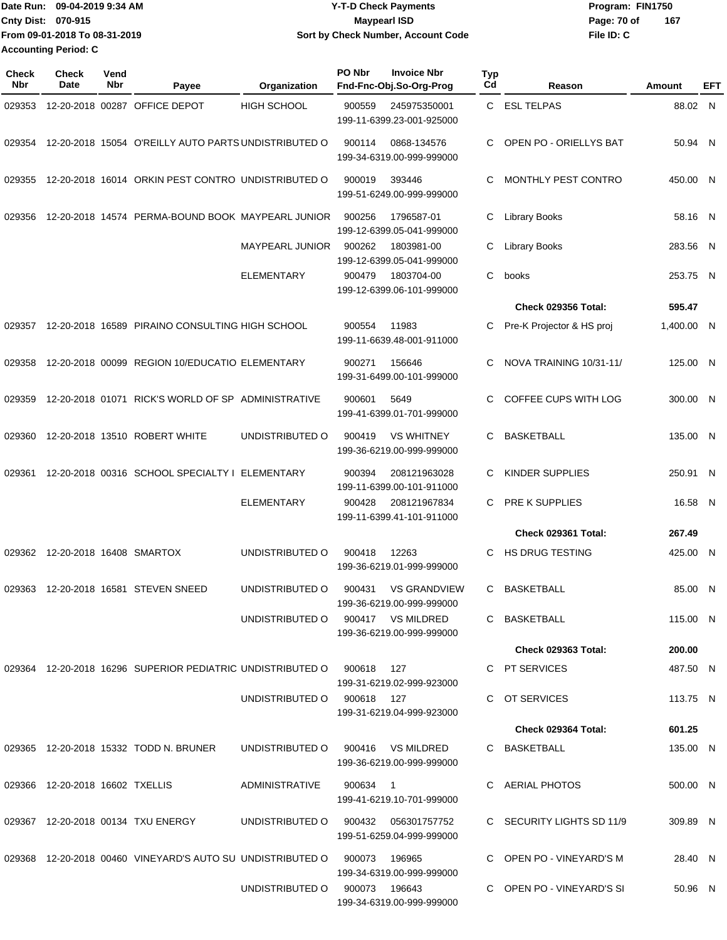|                           | Date Run: 09-04-2019 9:34 AM  | <b>Y-T-D Check Payments</b>        | Program: FIN1750 |     |  |  |
|---------------------------|-------------------------------|------------------------------------|------------------|-----|--|--|
| <b>Cnty Dist: 070-915</b> |                               | Maypearl ISD                       | Page: 70 of      | 167 |  |  |
|                           | From 09-01-2018 To 08-31-2019 | Sort by Check Number, Account Code | File ID: C       |     |  |  |
|                           | <b>Accounting Period: C</b>   |                                    |                  |     |  |  |

| <b>Check</b><br><b>Nbr</b> | <b>Check</b><br>Date            | Vend<br>Nbr | Payee                                                                      | Organization                      | PO Nbr   | <b>Invoice Nbr</b><br>Fnd-Fnc-Obj.So-Org-Prog    | Typ<br>Cd | Reason                     | Amount     | EFT |
|----------------------------|---------------------------------|-------------|----------------------------------------------------------------------------|-----------------------------------|----------|--------------------------------------------------|-----------|----------------------------|------------|-----|
| 029353                     |                                 |             | 12-20-2018 00287 OFFICE DEPOT                                              | HIGH SCHOOL                       | 900559   | 245975350001<br>199-11-6399.23-001-925000        |           | C ESL TELPAS               | 88.02 N    |     |
| 029354                     |                                 |             | 12-20-2018 15054 O'REILLY AUTO PARTS UNDISTRIBUTED O                       |                                   | 900114   | 0868-134576<br>199-34-6319.00-999-999000         | С         | OPEN PO - ORIELLYS BAT     | 50.94 N    |     |
| 029355                     |                                 |             | 12-20-2018 16014 ORKIN PEST CONTRO UNDISTRIBUTED O                         |                                   | 900019   | 393446<br>199-51-6249.00-999-999000              | С         | MONTHLY PEST CONTRO        | 450.00 N   |     |
| 029356                     |                                 |             | 12-20-2018 14574 PERMA-BOUND BOOK MAYPEARL JUNIOR                          |                                   | 900256   | 1796587-01<br>199-12-6399.05-041-999000          | С         | Library Books              | 58.16 N    |     |
|                            |                                 |             |                                                                            | <b>MAYPEARL JUNIOR</b>            | 900262   | 1803981-00<br>199-12-6399.05-041-999000          | С         | <b>Library Books</b>       | 283.56 N   |     |
|                            |                                 |             |                                                                            | <b>ELEMENTARY</b>                 | 900479   | 1803704-00<br>199-12-6399.06-101-999000          | С         | books                      | 253.75 N   |     |
|                            |                                 |             |                                                                            |                                   |          |                                                  |           | Check 029356 Total:        | 595.47     |     |
| 029357                     |                                 |             | 12-20-2018 16589 PIRAINO CONSULTING HIGH SCHOOL                            |                                   | 900554   | 11983<br>199-11-6639.48-001-911000               | С         | Pre-K Projector & HS proj  | 1,400.00 N |     |
| 029358                     |                                 |             | 12-20-2018 00099 REGION 10/EDUCATIO ELEMENTARY                             |                                   | 900271   | 156646<br>199-31-6499.00-101-999000              | С         | NOVA TRAINING 10/31-11/    | 125.00 N   |     |
| 029359                     |                                 |             | 12-20-2018 01071 RICK'S WORLD OF SP ADMINISTRATIVE                         |                                   | 900601   | 5649<br>199-41-6399.01-701-999000                | С         | COFFEE CUPS WITH LOG       | 300.00 N   |     |
| 029360                     |                                 |             | 12-20-2018 13510 ROBERT WHITE                                              | UNDISTRIBUTED O                   | 900419   | <b>VS WHITNEY</b><br>199-36-6219.00-999-999000   | С         | <b>BASKETBALL</b>          | 135.00 N   |     |
| 029361                     |                                 |             | 12-20-2018 00316 SCHOOL SPECIALTY I ELEMENTARY                             |                                   | 900394   | 208121963028<br>199-11-6399.00-101-911000        | С         | KINDER SUPPLIES            | 250.91 N   |     |
|                            |                                 |             |                                                                            | <b>ELEMENTARY</b>                 | 900428   | 208121967834<br>199-11-6399.41-101-911000        | С         | <b>PRE K SUPPLIES</b>      | 16.58 N    |     |
|                            |                                 |             |                                                                            |                                   |          |                                                  |           | Check 029361 Total:        | 267.49     |     |
| 029362                     | 12-20-2018 16408 SMARTOX        |             |                                                                            | UNDISTRIBUTED O                   | 900418   | 12263<br>199-36-6219.01-999-999000               | С         | <b>HS DRUG TESTING</b>     | 425.00 N   |     |
| 029363                     |                                 |             | 12-20-2018 16581 STEVEN SNEED                                              | UNDISTRIBUTED O                   | 900431   | <b>VS GRANDVIEW</b><br>199-36-6219.00-999-999000 | С         | <b>BASKETBALL</b>          | 85.00 N    |     |
|                            |                                 |             |                                                                            | UNDISTRIBUTED O                   |          | 900417 VS MILDRED<br>199-36-6219.00-999-999000   |           | C BASKETBALL               | 115.00 N   |     |
|                            |                                 |             |                                                                            |                                   |          |                                                  |           | Check 029363 Total:        | 200.00     |     |
|                            |                                 |             | 029364 12-20-2018 16296 SUPERIOR PEDIATRIC UNDISTRIBUTED O  900618  127    |                                   |          | 199-31-6219.02-999-923000                        |           | C PT SERVICES              | 487.50 N   |     |
|                            |                                 |             |                                                                            | UNDISTRIBUTED O 900618 127        |          | 199-31-6219.04-999-923000                        |           | C OT SERVICES              | 113.75 N   |     |
|                            |                                 |             |                                                                            |                                   |          |                                                  |           | <b>Check 029364 Total:</b> | 601.25     |     |
|                            |                                 |             | 029365 12-20-2018 15332 TODD N. BRUNER                                     | UNDISTRIBUTED O 900416 VS MILDRED |          | 199-36-6219.00-999-999000                        |           | C BASKETBALL               | 135.00 N   |     |
|                            | 029366 12-20-2018 16602 TXELLIS |             |                                                                            | ADMINISTRATIVE                    | 900634 1 | 199-41-6219.10-701-999000                        |           | C AERIAL PHOTOS            | 500.00 N   |     |
|                            |                                 |             | 029367 12-20-2018 00134 TXU ENERGY                                         | UNDISTRIBUTED O                   |          | 199-51-6259.04-999-999000                        |           | C SECURITY LIGHTS SD 11/9  | 309.89 N   |     |
|                            |                                 |             | 029368  12-20-2018  00460  VINEYARD'S  AUTO SU  UNDISTRIBUTED   0   900073 |                                   |          | 196965<br>199-34-6319.00-999-999000              |           | C OPEN PO - VINEYARD'S M   | 28.40 N    |     |
|                            |                                 |             |                                                                            | UNDISTRIBUTED O                   |          | 900073 196643<br>199-34-6319.00-999-999000       |           | C OPEN PO - VINEYARD'S SI  | 50.96 N    |     |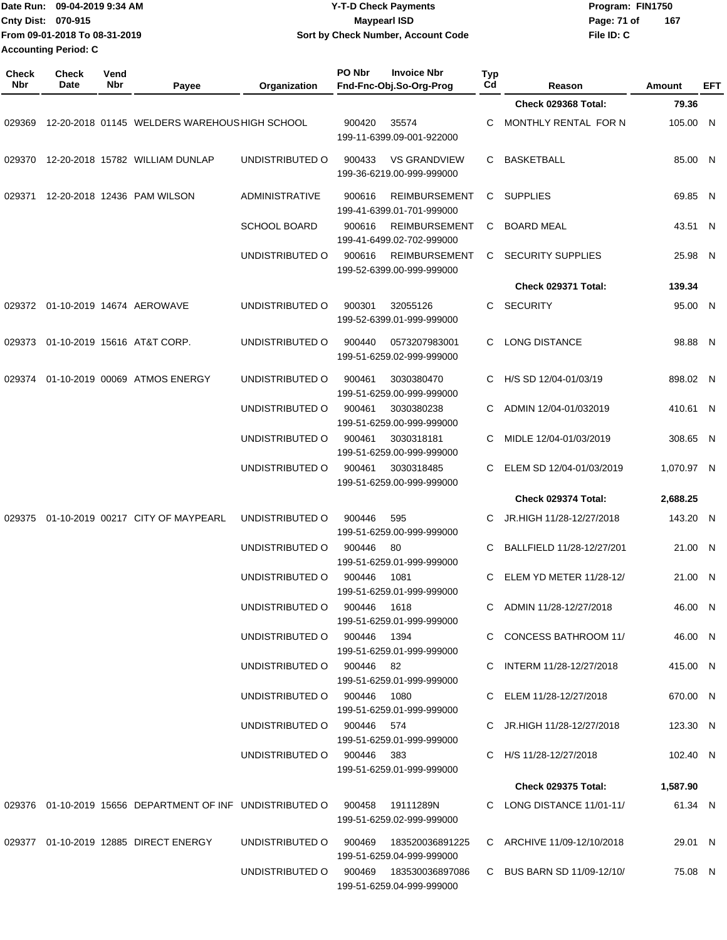| Date Run: 09-04-2019 9:34 AM  | <b>Y-T-D Check Payments</b>        | Program: FIN1750   |
|-------------------------------|------------------------------------|--------------------|
| <b>Cnty Dist: 070-915</b>     | <b>Mavpearl ISD</b>                | 167<br>Page: 71 of |
| From 09-01-2018 To 08-31-2019 | Sort by Check Number, Account Code | File ID: C         |
| <b>Accounting Period: C</b>   |                                    |                    |

| <b>Check</b><br><b>Nbr</b> | <b>Check</b><br>Date | Vend<br>Nbr | Payee                                                        | Organization                           | <b>PO Nbr</b><br>Fnd-Fnc-Obj.So-Org-Prog | <b>Invoice Nbr</b>                                | <b>Typ</b><br>Cd | Reason                     | Amount     | EFT          |
|----------------------------|----------------------|-------------|--------------------------------------------------------------|----------------------------------------|------------------------------------------|---------------------------------------------------|------------------|----------------------------|------------|--------------|
|                            |                      |             |                                                              |                                        |                                          |                                                   |                  | <b>Check 029368 Total:</b> | 79.36      |              |
| 029369                     |                      |             | 12-20-2018 01145 WELDERS WAREHOUS HIGH SCHOOL                |                                        | 900420                                   | 35574<br>199-11-6399.09-001-922000                | C                | MONTHLY RENTAL FOR N       | 105.00 N   |              |
| 029370                     |                      |             | 12-20-2018 15782 WILLIAM DUNLAP                              | UNDISTRIBUTED O                        | 900433                                   | <b>VS GRANDVIEW</b><br>199-36-6219.00-999-999000  | C                | <b>BASKETBALL</b>          | 85.00 N    |              |
| 029371                     |                      |             | 12-20-2018 12436 PAM WILSON                                  | <b>ADMINISTRATIVE</b>                  | 900616                                   | <b>REIMBURSEMENT</b><br>199-41-6399.01-701-999000 | С                | <b>SUPPLIES</b>            | 69.85 N    |              |
|                            |                      |             |                                                              | <b>SCHOOL BOARD</b>                    | 900616                                   | <b>REIMBURSEMENT</b><br>199-41-6499.02-702-999000 | С                | <b>BOARD MEAL</b>          | 43.51 N    |              |
|                            |                      |             |                                                              | UNDISTRIBUTED O                        | 900616                                   | <b>REIMBURSEMENT</b><br>199-52-6399.00-999-999000 | C                | <b>SECURITY SUPPLIES</b>   | 25.98 N    |              |
|                            |                      |             |                                                              |                                        |                                          |                                                   |                  | <b>Check 029371 Total:</b> | 139.34     |              |
| 029372                     |                      |             | 01-10-2019 14674 AEROWAVE                                    | UNDISTRIBUTED O                        | 900301                                   | 32055126<br>199-52-6399.01-999-999000             | C                | <b>SECURITY</b>            | 95.00 N    |              |
| 029373                     |                      |             | 01-10-2019 15616 AT&T CORP.                                  | UNDISTRIBUTED O                        | 900440                                   | 0573207983001<br>199-51-6259.02-999-999000        | C.               | <b>LONG DISTANCE</b>       | 98.88 N    |              |
| 029374                     |                      |             | 01-10-2019 00069 ATMOS ENERGY                                | UNDISTRIBUTED O                        | 900461                                   | 3030380470<br>199-51-6259.00-999-999000           | C                | H/S SD 12/04-01/03/19      | 898.02 N   |              |
|                            |                      |             |                                                              | UNDISTRIBUTED O                        | 900461                                   | 3030380238<br>199-51-6259.00-999-999000           | C                | ADMIN 12/04-01/032019      | 410.61 N   |              |
|                            |                      |             |                                                              | UNDISTRIBUTED O                        | 900461                                   | 3030318181<br>199-51-6259.00-999-999000           | С                | MIDLE 12/04-01/03/2019     | 308.65     | $\mathsf{N}$ |
|                            |                      |             |                                                              | UNDISTRIBUTED O                        | 900461                                   | 3030318485<br>199-51-6259.00-999-999000           | C                | ELEM SD 12/04-01/03/2019   | 1,070.97 N |              |
|                            |                      |             |                                                              |                                        |                                          |                                                   |                  | Check 029374 Total:        | 2,688.25   |              |
| 029375                     |                      |             | 01-10-2019 00217 CITY OF MAYPEARL                            | UNDISTRIBUTED O                        | 900446                                   | 595<br>199-51-6259.00-999-999000                  | С                | JR.HIGH 11/28-12/27/2018   | 143.20 N   |              |
|                            |                      |             |                                                              | UNDISTRIBUTED O                        | 900446<br>80                             | 199-51-6259.01-999-999000                         | С                | BALLFIELD 11/28-12/27/201  | 21.00 N    |              |
|                            |                      |             |                                                              | UNDISTRIBUTED O                        | 900446                                   | 1081<br>199-51-6259.01-999-999000                 | C                | ELEM YD METER 11/28-12/    | 21.00 N    |              |
|                            |                      |             |                                                              | UNDISTRIBUTED O                        | 900446 1618                              | 199-51-6259.01-999-999000                         |                  | C ADMIN 11/28-12/27/2018   | 46.00 N    |              |
|                            |                      |             |                                                              | UNDISTRIBUTED O 900446 1394            |                                          | 199-51-6259.01-999-999000                         |                  | C CONCESS BATHROOM 11/     | 46.00 N    |              |
|                            |                      |             |                                                              | UNDISTRIBUTED O 900446 82              |                                          | 199-51-6259.01-999-999000                         |                  | C INTERM 11/28-12/27/2018  | 415.00 N   |              |
|                            |                      |             |                                                              | UNDISTRIBUTED O 900446 1080            |                                          | 199-51-6259.01-999-999000                         |                  | C ELEM 11/28-12/27/2018    | 670.00 N   |              |
|                            |                      |             |                                                              | UNDISTRIBUTED O 900446 574             |                                          | 199-51-6259.01-999-999000                         |                  | C JR.HIGH 11/28-12/27/2018 | 123.30 N   |              |
|                            |                      |             |                                                              | UNDISTRIBUTED O 900446 383             |                                          | 199-51-6259.01-999-999000                         |                  | C H/S 11/28-12/27/2018     | 102.40 N   |              |
|                            |                      |             |                                                              |                                        |                                          |                                                   |                  | <b>Check 029375 Total:</b> | 1,587.90   |              |
|                            |                      |             | 029376  01-10-2019  15656  DEPARTMENT OF INF UNDISTRIBUTED O |                                        | 900458                                   | 19111289N<br>199-51-6259.02-999-999000            |                  | C LONG DISTANCE 11/01-11/  | 61.34 N    |              |
|                            |                      |             | 029377 01-10-2019 12885 DIRECT ENERGY                        | UNDISTRIBUTED O                        | 900469                                   | 183520036891225<br>199-51-6259.04-999-999000      |                  | C ARCHIVE 11/09-12/10/2018 | 29.01 N    |              |
|                            |                      |             |                                                              | UNDISTRIBUTED O 900469 183530036897086 |                                          | 199-51-6259.04-999-999000                         |                  | C BUS BARN SD 11/09-12/10/ | 75.08 N    |              |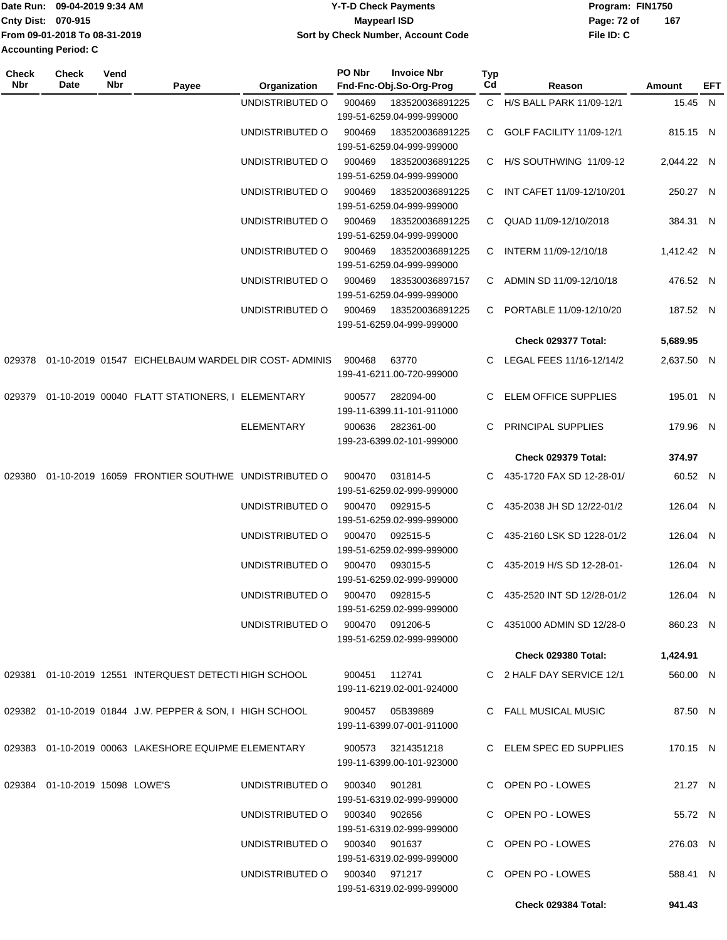|                             | Date Run: 09-04-2019 9:34 AM  | <b>Y-T-D Check Payments</b>        | Program: FIN1750 |     |
|-----------------------------|-------------------------------|------------------------------------|------------------|-----|
| Cnty Dist: 070-915          |                               | Maypearl ISD                       | Page: 72 of      | 167 |
|                             | From 09-01-2018 To 08-31-2019 | Sort by Check Number, Account Code | File ID: C       |     |
| <b>Accounting Period: C</b> |                               |                                    |                  |     |
|                             |                               |                                    |                  |     |

| <b>Check</b><br>Nbr | <b>Check</b><br>Date              | Vend<br>Nbr | Payee                                                      | Organization                  | PO Nbr | <b>Invoice Nbr</b><br>Fnd-Fnc-Obj.So-Org-Prog  | <b>Typ</b><br>Cd | Reason                       | Amount     | EFT |
|---------------------|-----------------------------------|-------------|------------------------------------------------------------|-------------------------------|--------|------------------------------------------------|------------------|------------------------------|------------|-----|
|                     |                                   |             |                                                            | UNDISTRIBUTED O               | 900469 | 183520036891225                                |                  | C H/S BALL PARK 11/09-12/1   | 15.45 N    |     |
|                     |                                   |             |                                                            |                               |        | 199-51-6259.04-999-999000                      |                  |                              |            |     |
|                     |                                   |             |                                                            | UNDISTRIBUTED O               | 900469 | 183520036891225                                | C.               | GOLF FACILITY 11/09-12/1     | 815.15 N   |     |
|                     |                                   |             |                                                            |                               |        | 199-51-6259.04-999-999000                      |                  |                              |            |     |
|                     |                                   |             |                                                            | UNDISTRIBUTED O               | 900469 | 183520036891225<br>199-51-6259.04-999-999000   |                  | C H/S SOUTHWING 11/09-12     | 2,044.22 N |     |
|                     |                                   |             |                                                            | UNDISTRIBUTED O               | 900469 | 183520036891225<br>199-51-6259.04-999-999000   |                  | C INT CAFET 11/09-12/10/201  | 250.27 N   |     |
|                     |                                   |             |                                                            | UNDISTRIBUTED O               | 900469 | 183520036891225<br>199-51-6259.04-999-999000   | $\mathbf{C}$     | QUAD 11/09-12/10/2018        | 384.31 N   |     |
|                     |                                   |             |                                                            | UNDISTRIBUTED O               | 900469 | 183520036891225<br>199-51-6259.04-999-999000   | C                | INTERM 11/09-12/10/18        | 1,412.42 N |     |
|                     |                                   |             |                                                            | UNDISTRIBUTED O               | 900469 | 183530036897157                                |                  | C ADMIN SD 11/09-12/10/18    | 476.52 N   |     |
|                     |                                   |             |                                                            | UNDISTRIBUTED O               | 900469 | 199-51-6259.04-999-999000<br>183520036891225   | C.               | PORTABLE 11/09-12/10/20      | 187.52 N   |     |
|                     |                                   |             |                                                            |                               |        | 199-51-6259.04-999-999000                      |                  |                              |            |     |
|                     |                                   |             |                                                            |                               |        |                                                |                  | Check 029377 Total:          | 5,689.95   |     |
|                     |                                   |             | 029378 01-10-2019 01547 EICHELBAUM WARDEL DIR COST-ADMINIS |                               | 900468 | 63770<br>199-41-6211.00-720-999000             |                  | C LEGAL FEES 11/16-12/14/2   | 2,637.50 N |     |
|                     |                                   |             | 029379  01-10-2019  00040  FLATT STATIONERS, I ELEMENTARY  |                               | 900577 | 282094-00<br>199-11-6399.11-101-911000         |                  | C ELEM OFFICE SUPPLIES       | 195.01 N   |     |
|                     |                                   |             |                                                            | <b>ELEMENTARY</b>             | 900636 | 282361-00<br>199-23-6399.02-101-999000         | C.               | PRINCIPAL SUPPLIES           | 179.96 N   |     |
|                     |                                   |             |                                                            |                               |        |                                                |                  | Check 029379 Total:          | 374.97     |     |
|                     |                                   |             |                                                            |                               |        |                                                |                  |                              |            |     |
| 029380              |                                   |             | 01-10-2019 16059 FRONTIER SOUTHWE UNDISTRIBUTED O          |                               | 900470 | 031814-5<br>199-51-6259.02-999-999000          | C.               | 435-1720 FAX SD 12-28-01/    | 60.52 N    |     |
|                     |                                   |             |                                                            | UNDISTRIBUTED O               | 900470 | 092915-5<br>199-51-6259.02-999-999000          |                  | 435-2038 JH SD 12/22-01/2    | 126.04 N   |     |
|                     |                                   |             |                                                            | UNDISTRIBUTED O               | 900470 | 092515-5<br>199-51-6259.02-999-999000          | C.               | 435-2160 LSK SD 1228-01/2    | 126.04 N   |     |
|                     |                                   |             |                                                            | UNDISTRIBUTED O               | 900470 | 093015-5<br>199-51-6259.02-999-999000          | C.               | 435-2019 H/S SD 12-28-01-    | 126.04 N   |     |
|                     |                                   |             |                                                            | UNDISTRIBUTED O               | 900470 | 092815-5<br>199-51-6259.02-999-999000          |                  | C 435-2520 INT SD 12/28-01/2 | 126.04 N   |     |
|                     |                                   |             |                                                            | UNDISTRIBUTED O               |        | 900470 091206-5<br>199-51-6259.02-999-999000   |                  | C 4351000 ADMIN SD 12/28-0   | 860.23 N   |     |
|                     |                                   |             |                                                            |                               |        |                                                |                  | Check 029380 Total:          | 1,424.91   |     |
|                     |                                   |             |                                                            |                               |        |                                                |                  |                              |            |     |
|                     |                                   |             | 029381 01-10-2019 12551 INTERQUEST DETECTI HIGH SCHOOL     |                               |        | 900451 112741<br>199-11-6219.02-001-924000     |                  | C 2 HALF DAY SERVICE 12/1    | 560.00 N   |     |
|                     |                                   |             | 029382 01-10-2019 01844 J.W. PEPPER & SON, I HIGH SCHOOL   |                               |        | 900457 05B39889<br>199-11-6399.07-001-911000   |                  | C FALL MUSICAL MUSIC         | 87.50 N    |     |
|                     |                                   |             | 029383 01-10-2019 00063 LAKESHORE EQUIPME ELEMENTARY       |                               |        | 900573 3214351218<br>199-11-6399.00-101-923000 |                  | C ELEM SPEC ED SUPPLIES      | 170.15 N   |     |
|                     |                                   |             |                                                            |                               |        |                                                |                  |                              |            |     |
|                     | 029384  01-10-2019  15098  LOWE'S |             |                                                            | UNDISTRIBUTED O               |        | 900340 901281<br>199-51-6319.02-999-999000     |                  | C OPEN PO - LOWES            | 21.27 N    |     |
|                     |                                   |             |                                                            | UNDISTRIBUTED 0 900340 902656 |        | 199-51-6319.02-999-999000                      |                  | C OPEN PO - LOWES            | 55.72 N    |     |
|                     |                                   |             |                                                            | UNDISTRIBUTED 0 900340 901637 |        | 199-51-6319.02-999-999000                      |                  | C OPEN PO - LOWES            | 276.03 N   |     |
|                     |                                   |             |                                                            | UNDISTRIBUTED 0 900340 971217 |        | 199-51-6319.02-999-999000                      |                  | C OPEN PO - LOWES            | 588.41 N   |     |
|                     |                                   |             |                                                            |                               |        |                                                |                  | Check 029384 Total:          | 941.43     |     |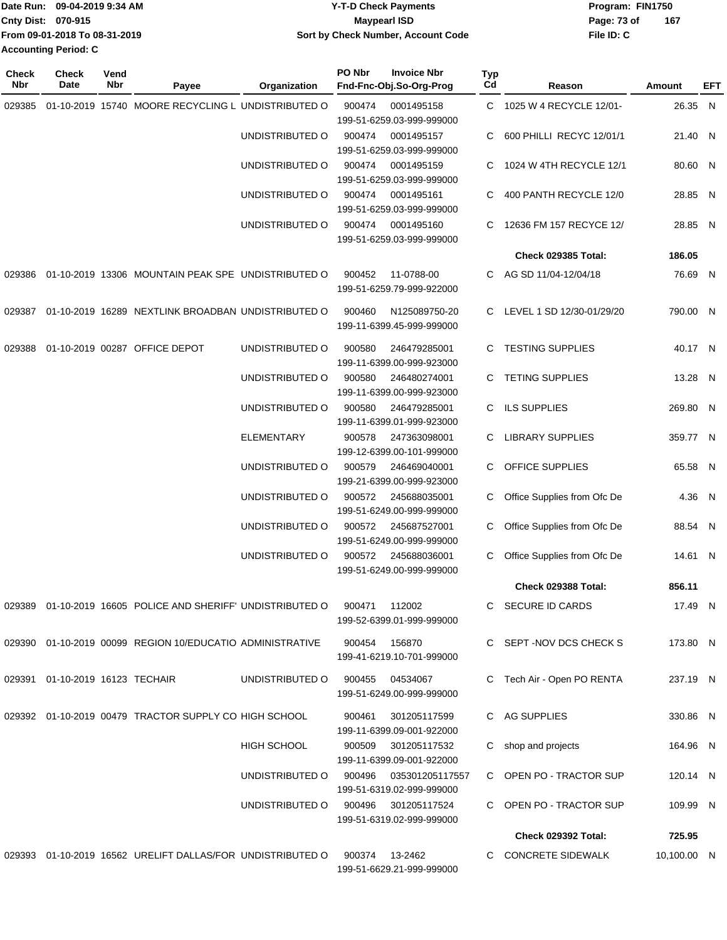| IDate Run: 09-04-2019 9:34 AM | <b>Y-T-D Check Payments</b>        | Program: FIN1750 |     |  |  |  |
|-------------------------------|------------------------------------|------------------|-----|--|--|--|
| <b>Cnty Dist: 070-915</b>     | Maypearl ISD                       | Page: 73 of      | 167 |  |  |  |
| From 09-01-2018 To 08-31-2019 | Sort by Check Number, Account Code | File ID: C       |     |  |  |  |
| Accounting Period: C          |                                    |                  |     |  |  |  |

| <b>Check</b><br>Nbr | <b>Check</b><br>Date            | Vend<br>Nbr | Payee                                                       | Organization    | PO Nbr | <b>Invoice Nbr</b><br>Fnd-Fnc-Obj.So-Org-Prog | <b>Typ</b><br>Cd | Reason                      | Amount      | EFT |
|---------------------|---------------------------------|-------------|-------------------------------------------------------------|-----------------|--------|-----------------------------------------------|------------------|-----------------------------|-------------|-----|
| 029385              |                                 |             | 01-10-2019 15740 MOORE RECYCLING L UNDISTRIBUTED O          |                 | 900474 | 0001495158<br>199-51-6259.03-999-999000       | C                | 1025 W 4 RECYCLE 12/01-     | 26.35 N     |     |
|                     |                                 |             |                                                             | UNDISTRIBUTED O | 900474 | 0001495157<br>199-51-6259.03-999-999000       | C                | 600 PHILLI RECYC 12/01/1    | 21.40 N     |     |
|                     |                                 |             |                                                             | UNDISTRIBUTED O | 900474 | 0001495159<br>199-51-6259.03-999-999000       | C                | 1024 W 4TH RECYCLE 12/1     | 80.60 N     |     |
|                     |                                 |             |                                                             | UNDISTRIBUTED O | 900474 | 0001495161<br>199-51-6259.03-999-999000       | C                | 400 PANTH RECYCLE 12/0      | 28.85 N     |     |
|                     |                                 |             |                                                             | UNDISTRIBUTED O | 900474 | 0001495160<br>199-51-6259.03-999-999000       | C                | 12636 FM 157 RECYCE 12/     | 28.85 N     |     |
|                     |                                 |             |                                                             |                 |        |                                               |                  | <b>Check 029385 Total:</b>  | 186.05      |     |
| 029386              |                                 |             | 01-10-2019 13306 MOUNTAIN PEAK SPE UNDISTRIBUTED O          |                 | 900452 | 11-0788-00<br>199-51-6259.79-999-922000       | C.               | AG SD 11/04-12/04/18        | 76.69 N     |     |
| 029387              |                                 |             | 01-10-2019 16289 NEXTLINK BROADBAN UNDISTRIBUTED O          |                 | 900460 | N125089750-20<br>199-11-6399.45-999-999000    |                  | C LEVEL 1 SD 12/30-01/29/20 | 790.00 N    |     |
| 029388              |                                 |             | 01-10-2019 00287 OFFICE DEPOT                               | UNDISTRIBUTED O | 900580 | 246479285001<br>199-11-6399.00-999-923000     | C                | <b>TESTING SUPPLIES</b>     | 40.17 N     |     |
|                     |                                 |             |                                                             | UNDISTRIBUTED O | 900580 | 246480274001<br>199-11-6399.00-999-923000     | C                | <b>TETING SUPPLIES</b>      | 13.28 N     |     |
|                     |                                 |             |                                                             | UNDISTRIBUTED O | 900580 | 246479285001<br>199-11-6399.01-999-923000     | C                | <b>ILS SUPPLIES</b>         | 269.80 N    |     |
|                     |                                 |             |                                                             | ELEMENTARY      | 900578 | 247363098001<br>199-12-6399.00-101-999000     | С                | <b>LIBRARY SUPPLIES</b>     | 359.77 N    |     |
|                     |                                 |             |                                                             | UNDISTRIBUTED O | 900579 | 246469040001<br>199-21-6399.00-999-923000     | C                | OFFICE SUPPLIES             | 65.58 N     |     |
|                     |                                 |             |                                                             | UNDISTRIBUTED O | 900572 | 245688035001<br>199-51-6249.00-999-999000     | С                | Office Supplies from Ofc De | 4.36        | N   |
|                     |                                 |             |                                                             | UNDISTRIBUTED O | 900572 | 245687527001<br>199-51-6249.00-999-999000     | C                | Office Supplies from Ofc De | 88.54 N     |     |
|                     |                                 |             |                                                             | UNDISTRIBUTED O | 900572 | 245688036001<br>199-51-6249.00-999-999000     | С                | Office Supplies from Ofc De | 14.61 N     |     |
|                     |                                 |             |                                                             |                 |        |                                               |                  | Check 029388 Total:         | 856.11      |     |
|                     |                                 |             | 029389 01-10-2019 16605 POLICE AND SHERIFF' UNDISTRIBUTED O |                 | 900471 | 112002<br>199-52-6399.01-999-999000           |                  | C SECURE ID CARDS           | 17.49 N     |     |
|                     |                                 |             | 029390 01-10-2019 00099 REGION 10/EDUCATIO ADMINISTRATIVE   |                 |        | 900454 156870<br>199-41-6219.10-701-999000    |                  | C SEPT-NOV DCS CHECK S      | 173.80 N    |     |
|                     | 029391 01-10-2019 16123 TECHAIR |             |                                                             | UNDISTRIBUTED O | 900455 | 04534067<br>199-51-6249.00-999-999000         |                  | C Tech Air - Open PO RENTA  | 237.19 N    |     |
|                     |                                 |             | 029392 01-10-2019 00479 TRACTOR SUPPLY CO HIGH SCHOOL       |                 | 900461 | 301205117599<br>199-11-6399.09-001-922000     |                  | C AG SUPPLIES               | 330.86 N    |     |
|                     |                                 |             |                                                             | HIGH SCHOOL     | 900509 | 301205117532<br>199-11-6399.09-001-922000     |                  | C shop and projects         | 164.96 N    |     |
|                     |                                 |             |                                                             | UNDISTRIBUTED O | 900496 | 035301205117557<br>199-51-6319.02-999-999000  |                  | C OPEN PO - TRACTOR SUP     | 120.14 N    |     |
|                     |                                 |             |                                                             | UNDISTRIBUTED O | 900496 | 301205117524<br>199-51-6319.02-999-999000     |                  | C OPEN PO - TRACTOR SUP     | 109.99 N    |     |
|                     |                                 |             |                                                             |                 |        |                                               |                  | <b>Check 029392 Total:</b>  | 725.95      |     |
|                     |                                 |             | 029393 01-10-2019 16562 URELIFT DALLAS/FOR UNDISTRIBUTED O  |                 |        | 900374 13-2462<br>199-51-6629.21-999-999000   |                  | C CONCRETE SIDEWALK         | 10,100.00 N |     |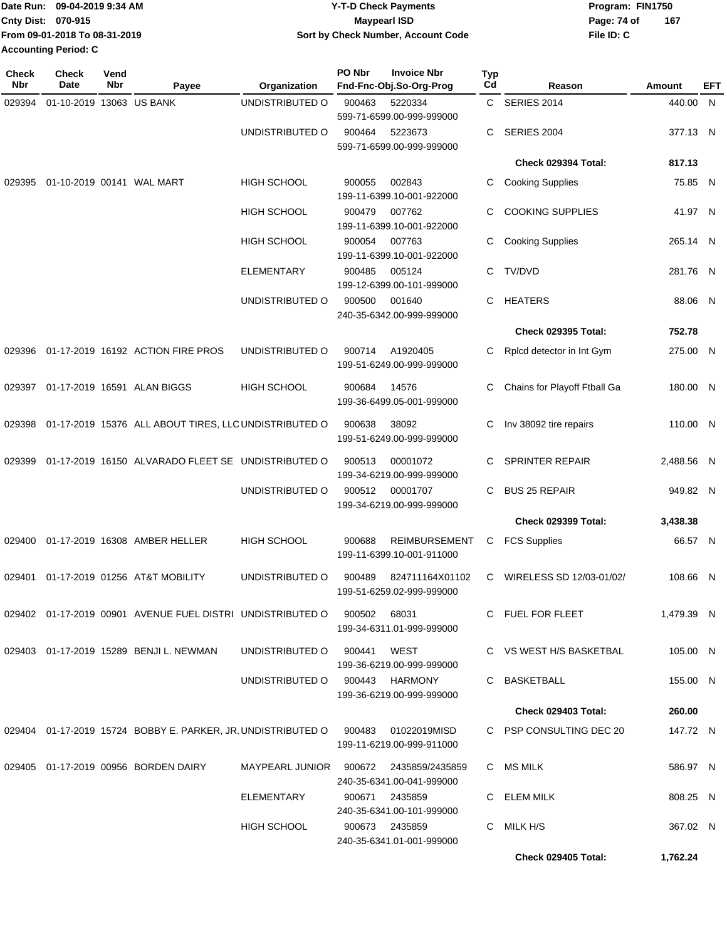|                    | Date Run: 09-04-2019 9:34 AM  | <b>Y-T-D Check Payments</b>        | Program: FIN1750 |     |  |
|--------------------|-------------------------------|------------------------------------|------------------|-----|--|
| Cnty Dist: 070-915 |                               | Maypearl ISD                       | Page: 74 of      | 167 |  |
|                    | From 09-01-2018 To 08-31-2019 | Sort by Check Number, Account Code | File ID: C       |     |  |
|                    | <b>Accounting Period: C</b>   |                                    |                  |     |  |

| Check<br>Nbr | <b>Check</b><br>Date      | Vend<br>Nbr | Payee                                                                                 | Organization                           | PO Nbr      | <b>Invoice Nbr</b><br>Fnd-Fnc-Obj.So-Org-Prog     | Typ<br>Cd | Reason                       | Amount     | EFT |
|--------------|---------------------------|-------------|---------------------------------------------------------------------------------------|----------------------------------------|-------------|---------------------------------------------------|-----------|------------------------------|------------|-----|
| 029394       | 01-10-2019 13063 US BANK  |             |                                                                                       | UNDISTRIBUTED O                        | 900463      | 5220334                                           | C.        | <b>SERIES 2014</b>           | 440.00 N   |     |
|              |                           |             |                                                                                       | UNDISTRIBUTED O                        |             | 599-71-6599.00-999-999000<br>5223673              | С         | <b>SERIES 2004</b>           | 377.13 N   |     |
|              |                           |             |                                                                                       |                                        | 900464      | 599-71-6599.00-999-999000                         |           |                              |            |     |
|              |                           |             |                                                                                       |                                        |             |                                                   |           | Check 029394 Total:          | 817.13     |     |
| 029395       | 01-10-2019 00141 WAL MART |             |                                                                                       | <b>HIGH SCHOOL</b>                     | 900055      | 002843<br>199-11-6399.10-001-922000               | С         | <b>Cooking Supplies</b>      | 75.85 N    |     |
|              |                           |             |                                                                                       | <b>HIGH SCHOOL</b>                     | 900479      | 007762<br>199-11-6399.10-001-922000               | С         | <b>COOKING SUPPLIES</b>      | 41.97 N    |     |
|              |                           |             |                                                                                       | <b>HIGH SCHOOL</b>                     | 900054      | 007763<br>199-11-6399.10-001-922000               | С         | <b>Cooking Supplies</b>      | 265.14 N   |     |
|              |                           |             |                                                                                       | <b>ELEMENTARY</b>                      | 900485      | 005124<br>199-12-6399.00-101-999000               | С         | TV/DVD                       | 281.76 N   |     |
|              |                           |             |                                                                                       | UNDISTRIBUTED O                        | 900500      | 001640<br>240-35-6342.00-999-999000               | С         | <b>HEATERS</b>               | 88.06 N    |     |
|              |                           |             |                                                                                       |                                        |             |                                                   |           | <b>Check 029395 Total:</b>   | 752.78     |     |
| 029396       |                           |             | 01-17-2019 16192 ACTION FIRE PROS                                                     | UNDISTRIBUTED O                        | 900714      | A1920405<br>199-51-6249.00-999-999000             | С         | Rplcd detector in Int Gym    | 275.00 N   |     |
| 029397       |                           |             | 01-17-2019 16591 ALAN BIGGS                                                           | <b>HIGH SCHOOL</b>                     | 900684      | 14576<br>199-36-6499.05-001-999000                | С         | Chains for Playoff Ftball Ga | 180.00 N   |     |
| 029398       |                           |             | 01-17-2019 15376 ALL ABOUT TIRES, LLC UNDISTRIBUTED O                                 |                                        | 900638      | 38092<br>199-51-6249.00-999-999000                | С         | Inv 38092 tire repairs       | 110.00 N   |     |
| 029399       |                           |             | 01-17-2019 16150 ALVARADO FLEET SE UNDISTRIBUTED O                                    |                                        | 900513      | 00001072<br>199-34-6219.00-999-999000             | С         | <b>SPRINTER REPAIR</b>       | 2,488.56 N |     |
|              |                           |             |                                                                                       | UNDISTRIBUTED O                        | 900512      | 00001707<br>199-34-6219.00-999-999000             | С         | <b>BUS 25 REPAIR</b>         | 949.82 N   |     |
|              |                           |             |                                                                                       |                                        |             |                                                   |           | <b>Check 029399 Total:</b>   | 3,438.38   |     |
| 029400       |                           |             | 01-17-2019 16308 AMBER HELLER                                                         | <b>HIGH SCHOOL</b>                     | 900688      | <b>REIMBURSEMENT</b><br>199-11-6399.10-001-911000 | С         | <b>FCS Supplies</b>          | 66.57 N    |     |
| 029401       |                           |             | 01-17-2019 01256 AT&T MOBILITY                                                        | UNDISTRIBUTED O                        | 900489      | 824711164X01102<br>199-51-6259.02-999-999000      | C         | WIRELESS SD 12/03-01/02/     | 108.66 N   |     |
|              |                           |             | 029402 01-17-2019 00901 AVENUE FUEL DISTRI UNDISTRIBUTED O                            |                                        | 900502      | 68031<br>199-34-6311.01-999-999000                |           | C FUEL FOR FLEET             | 1,479.39 N |     |
|              |                           |             | 029403 01-17-2019 15289 BENJI L. NEWMAN                                               | UNDISTRIBUTED O                        | 900441 WEST | 199-36-6219.00-999-999000                         |           | C VS WEST H/S BASKETBAL      | 105.00 N   |     |
|              |                           |             |                                                                                       | UNDISTRIBUTED O 900443 HARMONY         |             | 199-36-6219.00-999-999000                         |           | C BASKETBALL                 | 155.00 N   |     |
|              |                           |             |                                                                                       |                                        |             |                                                   |           | <b>Check 029403 Total:</b>   | 260.00     |     |
|              |                           |             | 029404  01-17-2019  15724  BOBBY E. PARKER, JR. UNDISTRIBUTED O  900483  01022019MISD |                                        |             | 199-11-6219.00-999-911000                         |           | C PSP CONSULTING DEC 20      | 147.72 N   |     |
|              |                           |             | 029405 01-17-2019 00956 BORDEN DAIRY                                                  | MAYPEARL JUNIOR 900672 2435859/2435859 |             | 240-35-6341.00-041-999000                         |           | C MS MILK                    | 586.97 N   |     |
|              |                           |             |                                                                                       | ELEMENTARY                             | 900671      | 2435859<br>240-35-6341.00-101-999000              |           | C ELEM MILK                  | 808.25 N   |     |
|              |                           |             |                                                                                       | HIGH SCHOOL                            |             | 900673 2435859<br>240-35-6341.01-001-999000       |           | C MILK H/S                   | 367.02 N   |     |
|              |                           |             |                                                                                       |                                        |             |                                                   |           | Check 029405 Total:          | 1,762.24   |     |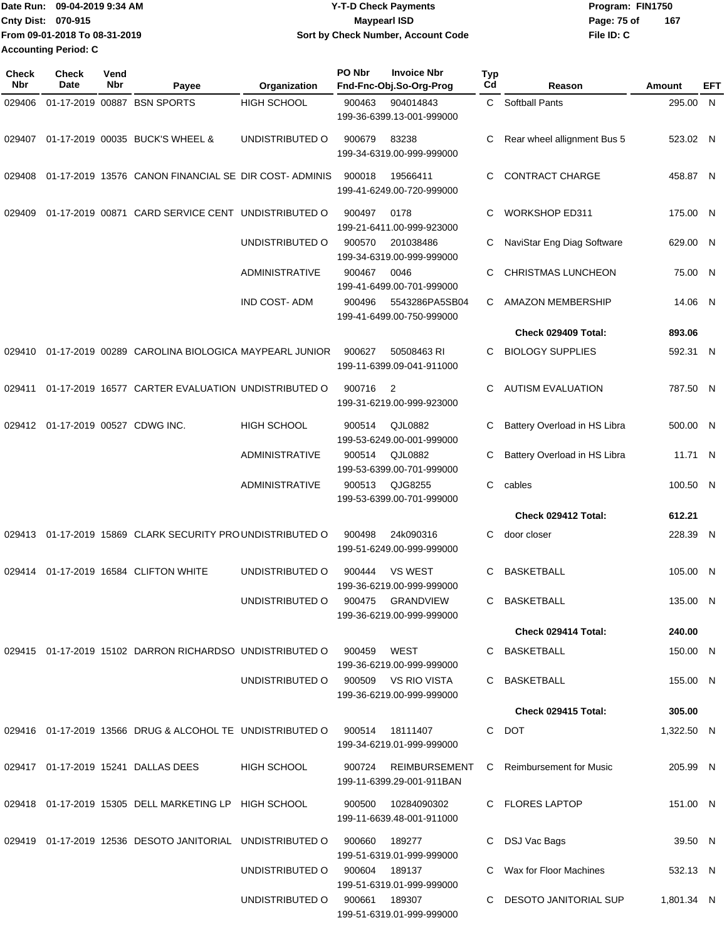| 09-04-2019 9:34 AM<br><b>Date Run:</b> | <b>Y-T-D Check Payments</b>        | Program: FIN1750   |
|----------------------------------------|------------------------------------|--------------------|
| <b>Cnty Dist: 070-915</b>              | <b>Mavpearl ISD</b>                | 167<br>Page: 75 of |
| From 09-01-2018 To 08-31-2019          | Sort by Check Number, Account Code | File ID: C         |
| <b>Accounting Period: C</b>            |                                    |                    |

| <b>Check</b><br>Nbr | <b>Check</b><br>Date              | Vend<br>Nbr | Payee                                                        | Organization          | PO Nbr | <b>Invoice Nbr</b><br>Fnd-Fnc-Obj.So-Org-Prog    | Typ<br>Cd | Reason                       | Amount     | EFT |
|---------------------|-----------------------------------|-------------|--------------------------------------------------------------|-----------------------|--------|--------------------------------------------------|-----------|------------------------------|------------|-----|
| 029406              |                                   |             | 01-17-2019 00887 BSN SPORTS                                  | <b>HIGH SCHOOL</b>    | 900463 | 904014843<br>199-36-6399.13-001-999000           | C.        | <b>Softball Pants</b>        | 295.00 N   |     |
|                     |                                   |             | 029407 01-17-2019 00035 BUCK'S WHEEL &                       | UNDISTRIBUTED O       | 900679 | 83238<br>199-34-6319.00-999-999000               | С         | Rear wheel allignment Bus 5  | 523.02 N   |     |
| 029408              |                                   |             | 01-17-2019 13576 CANON FINANCIAL SE DIR COST-ADMINIS         |                       | 900018 | 19566411<br>199-41-6249.00-720-999000            | C.        | <b>CONTRACT CHARGE</b>       | 458.87 N   |     |
| 029409              |                                   |             | 01-17-2019 00871 CARD SERVICE CENT UNDISTRIBUTED O           |                       | 900497 | 0178<br>199-21-6411.00-999-923000                | С         | <b>WORKSHOP ED311</b>        | 175.00 N   |     |
|                     |                                   |             |                                                              | UNDISTRIBUTED O       | 900570 | 201038486<br>199-34-6319.00-999-999000           | С         | NaviStar Eng Diag Software   | 629.00 N   |     |
|                     |                                   |             |                                                              | <b>ADMINISTRATIVE</b> | 900467 | 0046<br>199-41-6499.00-701-999000                | C         | <b>CHRISTMAS LUNCHEON</b>    | 75.00 N    |     |
|                     |                                   |             |                                                              | <b>IND COST-ADM</b>   | 900496 | 5543286PA5SB04<br>199-41-6499.00-750-999000      | C.        | <b>AMAZON MEMBERSHIP</b>     | 14.06 N    |     |
|                     |                                   |             |                                                              |                       |        |                                                  |           | Check 029409 Total:          | 893.06     |     |
| 029410              |                                   |             | 01-17-2019 00289 CAROLINA BIOLOGICA MAYPEARL JUNIOR          |                       | 900627 | 50508463 RI<br>199-11-6399.09-041-911000         | C.        | <b>BIOLOGY SUPPLIES</b>      | 592.31 N   |     |
| 029411              |                                   |             | 01-17-2019 16577 CARTER EVALUATION UNDISTRIBUTED O           |                       | 900716 | $\overline{2}$<br>199-31-6219.00-999-923000      | C.        | <b>AUTISM EVALUATION</b>     | 787.50 N   |     |
|                     | 029412 01-17-2019 00527 CDWG INC. |             |                                                              | <b>HIGH SCHOOL</b>    | 900514 | QJL0882<br>199-53-6249.00-001-999000             | С         | Battery Overload in HS Libra | 500.00 N   |     |
|                     |                                   |             |                                                              | <b>ADMINISTRATIVE</b> | 900514 | QJL0882<br>199-53-6399.00-701-999000             | С         | Battery Overload in HS Libra | 11.71 N    |     |
|                     |                                   |             |                                                              | <b>ADMINISTRATIVE</b> | 900513 | QJG8255<br>199-53-6399.00-701-999000             | C         | cables                       | 100.50 N   |     |
|                     |                                   |             |                                                              |                       |        |                                                  |           | Check 029412 Total:          | 612.21     |     |
|                     |                                   |             | 029413 01-17-2019 15869 CLARK SECURITY PROUNDISTRIBUTED O    |                       | 900498 | 24k090316<br>199-51-6249.00-999-999000           | C         | door closer                  | 228.39 N   |     |
| 029414              |                                   |             | 01-17-2019 16584 CLIFTON WHITE                               | UNDISTRIBUTED O       | 900444 | <b>VS WEST</b><br>199-36-6219.00-999-999000      | C         | <b>BASKETBALL</b>            | 105.00 N   |     |
|                     |                                   |             |                                                              | UNDISTRIBUTED O       |        | 900475 GRANDVIEW<br>199-36-6219.00-999-999000    | C.        | <b>BASKETBALL</b>            | 135.00 N   |     |
|                     |                                   |             |                                                              |                       |        |                                                  |           | Check 029414 Total:          | 240.00     |     |
|                     |                                   |             | 029415  01-17-2019  15102  DARRON RICHARDSO  UNDISTRIBUTED O |                       | 900459 | WEST<br>199-36-6219.00-999-999000                |           | C BASKETBALL                 | 150.00 N   |     |
|                     |                                   |             |                                                              | UNDISTRIBUTED O       |        | 900509 VS RIO VISTA<br>199-36-6219.00-999-999000 |           | C BASKETBALL                 | 155.00 N   |     |
|                     |                                   |             |                                                              |                       |        |                                                  |           | Check 029415 Total:          | 305.00     |     |
|                     |                                   |             | 029416  01-17-2019  13566  DRUG & ALCOHOL TE UNDISTRIBUTED O |                       |        | 900514 18111407<br>199-34-6219.01-999-999000     |           | C DOT                        | 1,322.50 N |     |
|                     |                                   |             | 029417  01-17-2019  15241  DALLAS DEES                       | <b>HIGH SCHOOL</b>    | 900724 | REIMBURSEMENT<br>199-11-6399.29-001-911BAN       |           | C Reimbursement for Music    | 205.99 N   |     |
|                     |                                   |             | 029418 01-17-2019 15305 DELL MARKETING LP HIGH SCHOOL        |                       | 900500 | 10284090302<br>199-11-6639.48-001-911000         |           | C FLORES LAPTOP              | 151.00 N   |     |
|                     |                                   |             | 029419 01-17-2019 12536 DESOTO JANITORIAL UNDISTRIBUTED O    |                       | 900660 | 189277<br>199-51-6319.01-999-999000              |           | DSJ Vac Bags                 | 39.50 N    |     |
|                     |                                   |             |                                                              | UNDISTRIBUTED O       | 900604 | 189137<br>199-51-6319.01-999-999000              |           | Wax for Floor Machines       | 532.13 N   |     |
|                     |                                   |             |                                                              | UNDISTRIBUTED O       |        | 900661 189307<br>199-51-6319.01-999-999000       |           | C DESOTO JANITORIAL SUP      | 1,801.34 N |     |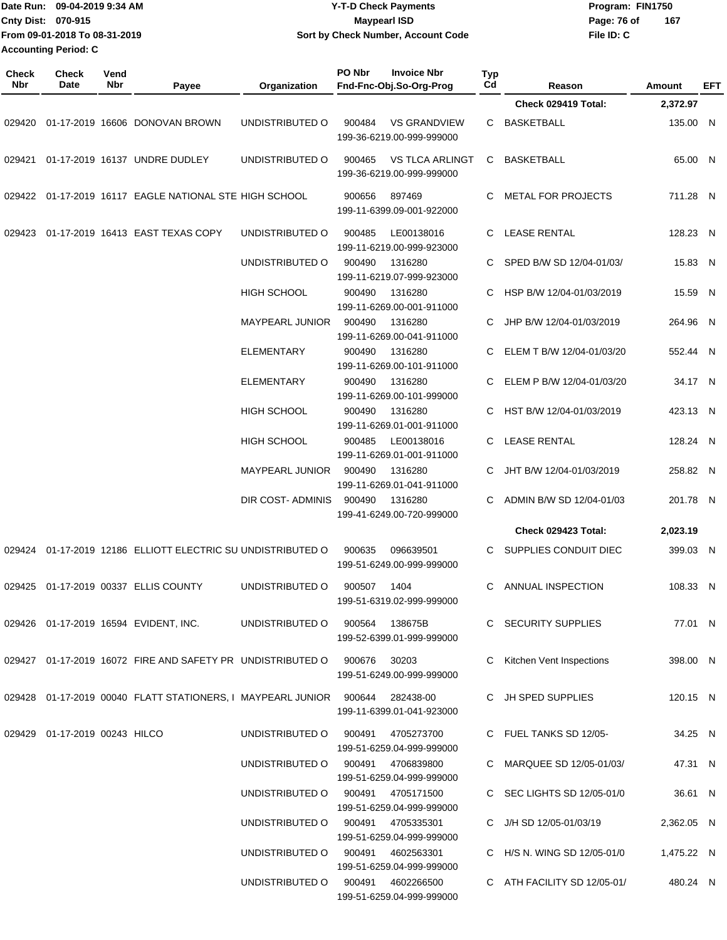|              | Date Run: 09-04-2019 9:34 AM<br>Cnty Dist: 070-915<br>From 09-01-2018 To 08-31-2019<br><b>Accounting Period: C</b><br>Check<br>Vend |            |                                                                                   |                        | <b>Y-T-D Check Payments</b><br><b>Maypearl ISD</b><br>Sort by Check Number, Account Code |           |                             | Program: FIN1750<br>Page: 76 of<br>167<br>File ID: C |               |     |
|--------------|-------------------------------------------------------------------------------------------------------------------------------------|------------|-----------------------------------------------------------------------------------|------------------------|------------------------------------------------------------------------------------------|-----------|-----------------------------|------------------------------------------------------|---------------|-----|
| Check<br>Nbr | Date                                                                                                                                | <b>Nbr</b> | Payee                                                                             | Organization           | PO Nbr<br><b>Invoice Nbr</b><br>Fnd-Fnc-Obj.So-Org-Prog                                  | Typ<br>Cd | Reason                      |                                                      | <b>Amount</b> | EFT |
|              |                                                                                                                                     |            |                                                                                   |                        |                                                                                          |           | Check 029419 Total:         |                                                      | 2,372.97      |     |
| 029420       |                                                                                                                                     |            | 01-17-2019 16606 DONOVAN BROWN                                                    | UNDISTRIBUTED O        | <b>VS GRANDVIEW</b><br>900484<br>199-36-6219.00-999-999000                               | С         | <b>BASKETBALL</b>           |                                                      | 135.00 N      |     |
| 029421       |                                                                                                                                     |            | 01-17-2019 16137 UNDRE DUDLEY                                                     | UNDISTRIBUTED O        | <b>VS TLCA ARLINGT</b><br>900465<br>199-36-6219.00-999-999000                            | С         | <b>BASKETBALL</b>           |                                                      | 65.00 N       |     |
|              |                                                                                                                                     |            | 029422 01-17-2019 16117 EAGLE NATIONAL STE HIGH SCHOOL                            |                        | 897469<br>900656<br>199-11-6399.09-001-922000                                            | С         | <b>METAL FOR PROJECTS</b>   |                                                      | 711.28 N      |     |
| 029423       |                                                                                                                                     |            | 01-17-2019 16413 EAST TEXAS COPY                                                  | UNDISTRIBUTED O        | 900485<br>LE00138016<br>199-11-6219.00-999-923000                                        | С         | <b>LEASE RENTAL</b>         |                                                      | 128.23 N      |     |
|              |                                                                                                                                     |            |                                                                                   | UNDISTRIBUTED O        | 900490<br>1316280<br>199-11-6219.07-999-923000                                           | С         | SPED B/W SD 12/04-01/03/    |                                                      | 15.83 N       |     |
|              |                                                                                                                                     |            |                                                                                   | <b>HIGH SCHOOL</b>     | 900490<br>1316280<br>199-11-6269.00-001-911000                                           | С         | HSP B/W 12/04-01/03/2019    |                                                      | 15.59 N       |     |
|              |                                                                                                                                     |            |                                                                                   | <b>MAYPEARL JUNIOR</b> | 900490<br>1316280<br>199-11-6269.00-041-911000                                           | С         | JHP B/W 12/04-01/03/2019    |                                                      | 264.96 N      |     |
|              |                                                                                                                                     |            |                                                                                   | <b>ELEMENTARY</b>      | 900490<br>1316280<br>199-11-6269.00-101-911000                                           | С         | ELEM T B/W 12/04-01/03/20   |                                                      | 552.44 N      |     |
|              |                                                                                                                                     |            |                                                                                   | ELEMENTARY             | 900490<br>1316280<br>199-11-6269.00-101-999000                                           | С         | ELEM P B/W 12/04-01/03/20   |                                                      | 34.17 N       |     |
|              |                                                                                                                                     |            |                                                                                   | <b>HIGH SCHOOL</b>     | 900490<br>1316280<br>199-11-6269.01-001-911000                                           | С         | HST B/W 12/04-01/03/2019    |                                                      | 423.13 N      |     |
|              |                                                                                                                                     |            |                                                                                   | <b>HIGH SCHOOL</b>     | 900485<br>LE00138016<br>199-11-6269.01-001-911000                                        | С         | <b>LEASE RENTAL</b>         |                                                      | 128.24 N      |     |
|              |                                                                                                                                     |            |                                                                                   | <b>MAYPEARL JUNIOR</b> | 900490<br>1316280<br>199-11-6269.01-041-911000                                           | С         | JHT B/W 12/04-01/03/2019    |                                                      | 258.82 N      |     |
|              |                                                                                                                                     |            |                                                                                   | DIR COST- ADMINIS      | 900490<br>1316280<br>199-41-6249.00-720-999000                                           | С         | ADMIN B/W SD 12/04-01/03    |                                                      | 201.78 N      |     |
|              |                                                                                                                                     |            |                                                                                   |                        |                                                                                          |           | <b>Check 029423 Total:</b>  |                                                      | 2.023.19      |     |
|              |                                                                                                                                     |            | 029424 01-17-2019 12186 ELLIOTT ELECTRIC SU UNDISTRIBUTED O 900635 096639501      |                        | 199-51-6249.00-999-999000                                                                |           | C SUPPLIES CONDUIT DIEC     |                                                      | 399.03 N      |     |
|              |                                                                                                                                     |            | 029425  01-17-2019  00337  ELLIS  COUNTY                                          | UNDISTRIBUTED O        | 900507 1404<br>199-51-6319.02-999-999000                                                 |           | C ANNUAL INSPECTION         |                                                      | 108.33 N      |     |
|              |                                                                                                                                     |            | 029426  01-17-2019  16594  EVIDENT, INC.                                          |                        | UNDISTRIBUTED O 900564 138675B<br>199-52-6399.01-999-999000                              |           | C SECURITY SUPPLIES         |                                                      | 77.01 N       |     |
|              |                                                                                                                                     |            | 029427  01-17-2019  16072  FIRE AND SAFETY PR  UNDISTRIBUTED O  900676  30203     |                        | 199-51-6249.00-999-999000                                                                |           | C Kitchen Vent Inspections  |                                                      | 398.00 N      |     |
|              |                                                                                                                                     |            | 029428  01-17-2019  00040  FLATT STATIONERS, I MAYPEARL JUNIOR  900644  282438-00 |                        | 199-11-6399.01-041-923000                                                                |           | C JH SPED SUPPLIES          |                                                      | 120.15 N      |     |
|              | 029429  01-17-2019  00243  HILCO                                                                                                    |            |                                                                                   | UNDISTRIBUTED O        | 900491 4705273700<br>199-51-6259.04-999-999000                                           |           | C FUEL TANKS SD 12/05-      |                                                      | 34.25 N       |     |
|              |                                                                                                                                     |            |                                                                                   |                        | UNDISTRIBUTED O 900491 4706839800<br>199-51-6259.04-999-999000                           |           | C MARQUEE SD 12/05-01/03/   |                                                      | 47.31 N       |     |
|              |                                                                                                                                     |            |                                                                                   |                        | UNDISTRIBUTED O 900491 4705171500<br>199-51-6259.04-999-999000                           |           | C SEC LIGHTS SD 12/05-01/0  |                                                      | 36.61 N       |     |
|              |                                                                                                                                     |            |                                                                                   |                        | UNDISTRIBUTED O 900491 4705335301<br>199-51-6259.04-999-999000                           |           | C J/H SD 12/05-01/03/19     |                                                      | 2,362.05 N    |     |
|              |                                                                                                                                     |            |                                                                                   |                        | UNDISTRIBUTED O 900491 4602563301<br>199-51-6259.04-999-999000                           |           | C H/S N. WING SD 12/05-01/0 |                                                      | 1,475.22 N    |     |
|              |                                                                                                                                     |            |                                                                                   |                        | UNDISTRIBUTED O 900491 4602266500                                                        |           | C ATH FACILITY SD 12/05-01/ |                                                      | 480.24 N      |     |

199-51-6259.04-999-999000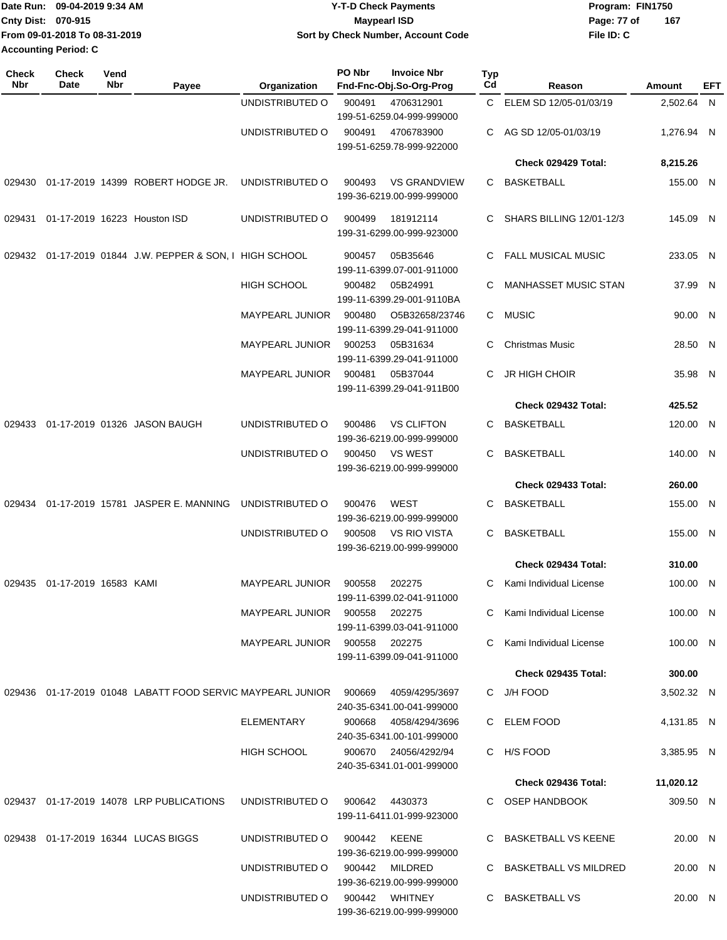|                           | Date Run: 09-04-2019 9:34 AM  | <b>Y-T-D Check Payments</b>        | Program: FIN1750   |  |  |  |
|---------------------------|-------------------------------|------------------------------------|--------------------|--|--|--|
| <b>Cnty Dist: 070-915</b> |                               | Maypearl ISD                       | 167<br>Page: 77 of |  |  |  |
|                           | From 09-01-2018 To 08-31-2019 | Sort by Check Number, Account Code | File ID: C         |  |  |  |
| Accounting Period: C      |                               |                                    |                    |  |  |  |

| <b>Check</b><br><b>Nbr</b> | <b>Check</b><br><b>Date</b> | Vend<br>Nbr | Payee                                                                 | Organization                  | PO Nbr | <b>Invoice Nbr</b><br>Fnd-Fnc-Obj.So-Org-Prog     | Typ<br>Cd | Reason                          | Amount     | EFT |
|----------------------------|-----------------------------|-------------|-----------------------------------------------------------------------|-------------------------------|--------|---------------------------------------------------|-----------|---------------------------------|------------|-----|
|                            |                             |             |                                                                       | UNDISTRIBUTED O               | 900491 | 4706312901                                        |           | C ELEM SD 12/05-01/03/19        | 2,502.64 N |     |
|                            |                             |             |                                                                       |                               |        | 199-51-6259.04-999-999000                         |           |                                 |            |     |
|                            |                             |             |                                                                       | UNDISTRIBUTED O               | 900491 | 4706783900                                        | C         | AG SD 12/05-01/03/19            | 1,276.94 N |     |
|                            |                             |             |                                                                       |                               |        | 199-51-6259.78-999-922000                         |           |                                 |            |     |
|                            |                             |             |                                                                       |                               |        |                                                   |           | Check 029429 Total:             | 8,215.26   |     |
|                            |                             |             | 029430  01-17-2019  14399  ROBERT HODGE JR.                           | UNDISTRIBUTED O               | 900493 | <b>VS GRANDVIEW</b><br>199-36-6219.00-999-999000  | C         | BASKETBALL                      | 155.00 N   |     |
| 029431                     |                             |             | 01-17-2019 16223 Houston ISD                                          | UNDISTRIBUTED O               | 900499 | 181912114<br>199-31-6299.00-999-923000            | C         | <b>SHARS BILLING 12/01-12/3</b> | 145.09 N   |     |
|                            |                             |             | 029432 01-17-2019 01844 J.W. PEPPER & SON, I HIGH SCHOOL              |                               | 900457 | 05B35646<br>199-11-6399.07-001-911000             | C         | <b>FALL MUSICAL MUSIC</b>       | 233.05 N   |     |
|                            |                             |             |                                                                       | <b>HIGH SCHOOL</b>            | 900482 | 05B24991<br>199-11-6399.29-001-9110BA             | C         | <b>MANHASSET MUSIC STAN</b>     | 37.99 N    |     |
|                            |                             |             |                                                                       | <b>MAYPEARL JUNIOR</b>        | 900480 | O5B32658/23746<br>199-11-6399.29-041-911000       |           | C MUSIC                         | 90.00 N    |     |
|                            |                             |             |                                                                       | <b>MAYPEARL JUNIOR</b>        | 900253 | 05B31634<br>199-11-6399.29-041-911000             | C         | <b>Christmas Music</b>          | 28.50 N    |     |
|                            |                             |             |                                                                       | <b>MAYPEARL JUNIOR</b>        | 900481 | 05B37044<br>199-11-6399.29-041-911B00             | C         | JR HIGH CHOIR                   | 35.98 N    |     |
|                            |                             |             |                                                                       |                               |        |                                                   |           | Check 029432 Total:             | 425.52     |     |
|                            |                             |             | 029433  01-17-2019  01326  JASON BAUGH                                | UNDISTRIBUTED O               | 900486 | <b>VS CLIFTON</b><br>199-36-6219.00-999-999000    | C         | <b>BASKETBALL</b>               | 120.00 N   |     |
|                            |                             |             |                                                                       | UNDISTRIBUTED O               | 900450 | <b>VS WEST</b><br>199-36-6219.00-999-999000       | C         | <b>BASKETBALL</b>               | 140.00 N   |     |
|                            |                             |             |                                                                       |                               |        |                                                   |           | <b>Check 029433 Total:</b>      | 260.00     |     |
|                            |                             |             | 029434 01-17-2019 15781 JASPER E. MANNING                             | UNDISTRIBUTED O               | 900476 | <b>WEST</b><br>199-36-6219.00-999-999000          | C         | <b>BASKETBALL</b>               | 155.00 N   |     |
|                            |                             |             |                                                                       | UNDISTRIBUTED O               | 900508 | <b>VS RIO VISTA</b><br>199-36-6219.00-999-999000  | C         | <b>BASKETBALL</b>               | 155.00 N   |     |
|                            |                             |             |                                                                       |                               |        |                                                   |           | Check 029434 Total:             | 310.00     |     |
| 029435                     | 01-17-2019 16583 KAMI       |             |                                                                       | <b>MAYPEARL JUNIOR</b>        | 900558 | 202275<br>199-11-6399.02-041-911000               | C         | Kami Individual License         | 100.00 N   |     |
|                            |                             |             |                                                                       | MAYPEARL JUNIOR               | 900558 | 202275<br>199-11-6399.03-041-911000               |           | Kami Individual License         | 100.00 N   |     |
|                            |                             |             |                                                                       | MAYPEARL JUNIOR 900558 202275 |        | 199-11-6399.09-041-911000                         | C         | Kami Individual License         | 100.00 N   |     |
|                            |                             |             |                                                                       |                               |        |                                                   |           | <b>Check 029435 Total:</b>      | 300.00     |     |
|                            |                             |             | 029436  01-17-2019  01048  LABATT FOOD SERVIC MAYPEARL JUNIOR  900669 |                               |        | 4059/4295/3697<br>240-35-6341.00-041-999000       |           | C J/H FOOD                      | 3,502.32 N |     |
|                            |                             |             |                                                                       | ELEMENTARY                    | 900668 | 4058/4294/3696<br>240-35-6341.00-101-999000       |           | C ELEM FOOD                     | 4,131.85 N |     |
|                            |                             |             |                                                                       | HIGH SCHOOL                   |        | 900670 24056/4292/94<br>240-35-6341.01-001-999000 |           | C H/S FOOD                      | 3,385.95 N |     |
|                            |                             |             |                                                                       |                               |        |                                                   |           | Check 029436 Total:             | 11,020.12  |     |
|                            |                             |             | 029437 01-17-2019 14078 LRP PUBLICATIONS                              | UNDISTRIBUTED O               |        | 900642 4430373<br>199-11-6411.01-999-923000       |           | C OSEP HANDBOOK                 | 309.50 N   |     |
|                            |                             |             | 029438  01-17-2019  16344  LUCAS BIGGS                                | UNDISTRIBUTED O               | 900442 | KEENE<br>199-36-6219.00-999-999000                |           | C BASKETBALL VS KEENE           | 20.00 N    |     |
|                            |                             |             |                                                                       | UNDISTRIBUTED O               | 900442 | MILDRED<br>199-36-6219.00-999-999000              |           | C BASKETBALL VS MILDRED         | 20.00 N    |     |
|                            |                             |             |                                                                       | UNDISTRIBUTED O               |        | 900442 WHITNEY<br>199-36-6219.00-999-999000       |           | C BASKETBALL VS                 | 20.00 N    |     |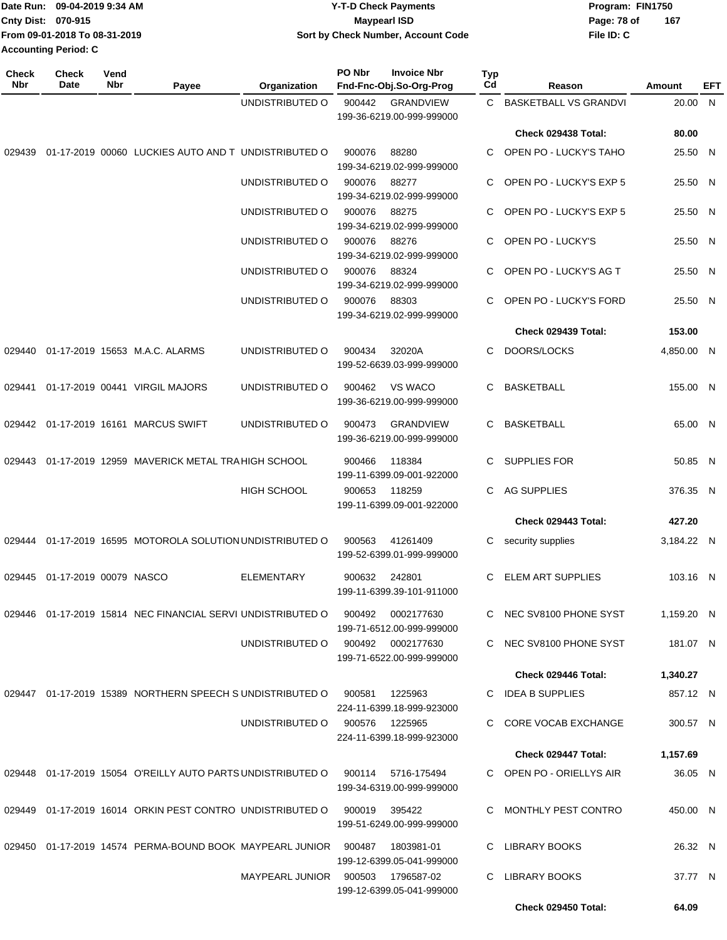| Date Run: 09-04-2019 9:34 AM  |  | <b>Y-T-D Check Payments</b>        | Program: FIN1750   |  |  |  |
|-------------------------------|--|------------------------------------|--------------------|--|--|--|
| <b>Cnty Dist: 070-915</b>     |  | <b>Mavpearl ISD</b>                | 167<br>Page: 78 of |  |  |  |
| From 09-01-2018 To 08-31-2019 |  | Sort by Check Number, Account Code | File ID: C         |  |  |  |
| Accounting Period: C          |  |                                    |                    |  |  |  |

| <b>Check</b><br>Nbr | Check<br>Date          | Vend<br>Nbr | Payee                                                                | Organization           | PO Nbr | <b>Invoice Nbr</b><br>Fnd-Fnc-Obj.So-Org-Prog    | Typ<br>Cd | Reason                       | Amount     | EFT |
|---------------------|------------------------|-------------|----------------------------------------------------------------------|------------------------|--------|--------------------------------------------------|-----------|------------------------------|------------|-----|
|                     |                        |             |                                                                      | UNDISTRIBUTED O        | 900442 | <b>GRANDVIEW</b>                                 | C.        | <b>BASKETBALL VS GRANDVI</b> | 20.00 N    |     |
|                     |                        |             |                                                                      |                        |        | 199-36-6219.00-999-999000                        |           |                              |            |     |
|                     |                        |             |                                                                      |                        |        |                                                  |           | Check 029438 Total:          | 80.00      |     |
| 029439              |                        |             | 01-17-2019 00060 LUCKIES AUTO AND T UNDISTRIBUTED O                  |                        | 900076 | 88280<br>199-34-6219.02-999-999000               | C.        | OPEN PO - LUCKY'S TAHO       | 25.50 N    |     |
|                     |                        |             |                                                                      | UNDISTRIBUTED O        | 900076 | 88277<br>199-34-6219.02-999-999000               | С         | OPEN PO - LUCKY'S EXP 5      | 25.50 N    |     |
|                     |                        |             |                                                                      | UNDISTRIBUTED O        | 900076 | 88275<br>199-34-6219.02-999-999000               | C.        | OPEN PO - LUCKY'S EXP 5      | 25.50 N    |     |
|                     |                        |             |                                                                      | UNDISTRIBUTED O        | 900076 | 88276<br>199-34-6219.02-999-999000               | C         | OPEN PO - LUCKY'S            | 25.50 N    |     |
|                     |                        |             |                                                                      | UNDISTRIBUTED O        | 900076 | 88324<br>199-34-6219.02-999-999000               | С         | OPEN PO - LUCKY'S AG T       | 25.50 N    |     |
|                     |                        |             |                                                                      | UNDISTRIBUTED O        | 900076 | 88303<br>199-34-6219.02-999-999000               | С         | OPEN PO - LUCKY'S FORD       | 25.50 N    |     |
|                     |                        |             |                                                                      |                        |        |                                                  |           | Check 029439 Total:          | 153.00     |     |
|                     |                        |             | 029440 01-17-2019 15653 M.A.C. ALARMS                                | UNDISTRIBUTED O        | 900434 | 32020A<br>199-52-6639.03-999-999000              | С         | DOORS/LOCKS                  | 4,850.00 N |     |
| 029441              |                        |             | 01-17-2019 00441 VIRGIL MAJORS                                       | UNDISTRIBUTED O        | 900462 | <b>VS WACO</b><br>199-36-6219.00-999-999000      | С         | <b>BASKETBALL</b>            | 155.00 N   |     |
|                     |                        |             | 029442  01-17-2019  16161  MARCUS SWIFT                              | UNDISTRIBUTED O        | 900473 | <b>GRANDVIEW</b><br>199-36-6219.00-999-999000    | С         | <b>BASKETBALL</b>            | 65.00 N    |     |
| 029443              |                        |             | 01-17-2019 12959 MAVERICK METAL TRA HIGH SCHOOL                      |                        | 900466 | 118384<br>199-11-6399.09-001-922000              | С         | <b>SUPPLIES FOR</b>          | 50.85 N    |     |
|                     |                        |             |                                                                      | <b>HIGH SCHOOL</b>     | 900653 | 118259<br>199-11-6399.09-001-922000              | С         | AG SUPPLIES                  | 376.35 N   |     |
|                     |                        |             |                                                                      |                        |        |                                                  |           | Check 029443 Total:          | 427.20     |     |
| 029444              |                        |             | 01-17-2019 16595 MOTOROLA SOLUTION UNDISTRIBUTED O                   |                        | 900563 | 41261409<br>199-52-6399.01-999-999000            | С         | security supplies            | 3,184.22 N |     |
| 029445              | 01-17-2019 00079 NASCO |             |                                                                      | <b>ELEMENTARY</b>      | 900632 | 242801<br>199-11-6399.39-101-911000              | С         | ELEM ART SUPPLIES            | 103.16 N   |     |
|                     |                        |             | 029446 01-17-2019 15814 NEC FINANCIAL SERVI UNDISTRIBUTED O          |                        | 900492 | 0002177630<br>199-71-6512.00-999-999000          |           | C NEC SV8100 PHONE SYST      | 1,159.20 N |     |
|                     |                        |             |                                                                      | UNDISTRIBUTED O        |        | 900492   0002177630<br>199-71-6522.00-999-999000 |           | C NEC SV8100 PHONE SYST      | 181.07 N   |     |
|                     |                        |             |                                                                      |                        |        |                                                  |           | Check 029446 Total:          | 1,340.27   |     |
|                     |                        |             | 029447 01-17-2019 15389 NORTHERN SPEECH SUNDISTRIBUTED O             |                        | 900581 | 1225963<br>224-11-6399.18-999-923000             |           | C IDEA B SUPPLIES            | 857.12 N   |     |
|                     |                        |             |                                                                      | UNDISTRIBUTED O        |        | 900576 1225965<br>224-11-6399.18-999-923000      |           | C CORE VOCAB EXCHANGE        | 300.57 N   |     |
|                     |                        |             |                                                                      |                        |        |                                                  |           | Check 029447 Total:          | 1,157.69   |     |
|                     |                        |             | 029448 01-17-2019 15054 O'REILLY AUTO PARTS UNDISTRIBUTED O          |                        |        | 900114 5716-175494<br>199-34-6319.00-999-999000  |           | C OPEN PO - ORIELLYS AIR     | 36.05 N    |     |
|                     |                        |             | 029449 01-17-2019 16014 ORKIN PEST CONTRO UNDISTRIBUTED O            |                        | 900019 | 395422<br>199-51-6249.00-999-999000              | C.        | MONTHLY PEST CONTRO          | 450.00 N   |     |
|                     |                        |             | 029450  01-17-2019  14574  PERMA-BOUND BOOK  MAYPEARL JUNIOR  900487 |                        |        | 1803981-01<br>199-12-6399.05-041-999000          |           | C LIBRARY BOOKS              | 26.32 N    |     |
|                     |                        |             |                                                                      | MAYPEARL JUNIOR 900503 |        | 1796587-02<br>199-12-6399.05-041-999000          | C.        | <b>LIBRARY BOOKS</b>         | 37.77 N    |     |
|                     |                        |             |                                                                      |                        |        |                                                  |           | Check 029450 Total:          | 64.09      |     |
|                     |                        |             |                                                                      |                        |        |                                                  |           |                              |            |     |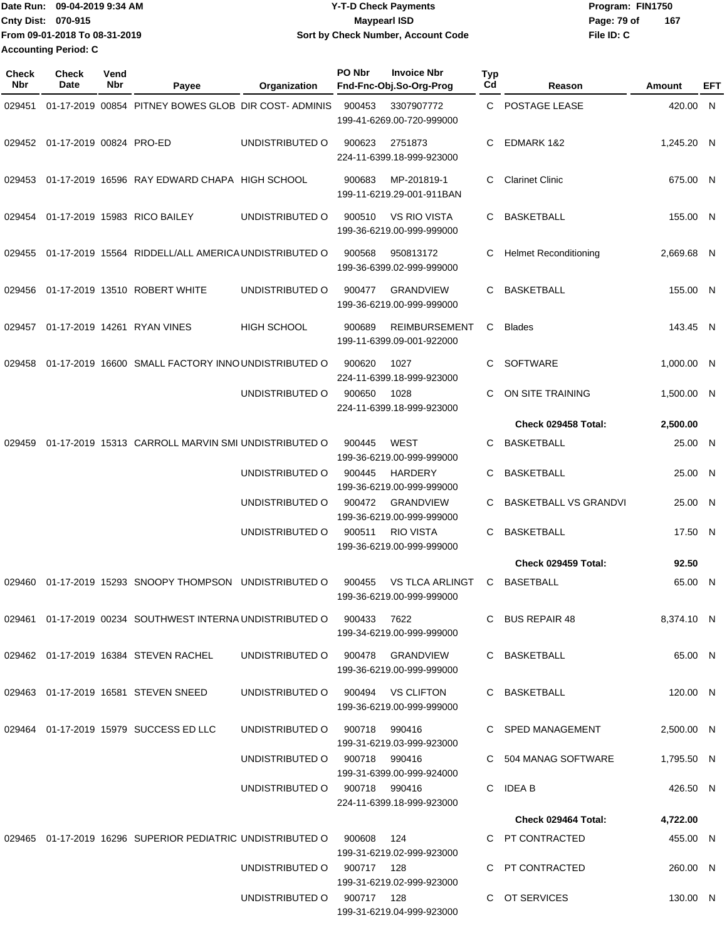Date Run: 09-04-2019 9:34 AM **Date Runity Controller State Payments** Program: FIN1750 **Cnty Dist:** 070-915 **Page: 79 of MaypearI ISD Page: 79 of File ID: C From 09-01-2018 To 08-31-2019 09-04-2019 9:34 AM Y-T-D Check Payments 070-915 Maypearl ISD Sort by Check Number, Account Code 167 Accounting Period: C**

| Check<br>Nbr | <b>Check</b><br>Date           | Vend<br>Nbr | Payee                                                                     | Organization                      | PO Nbr | <b>Invoice Nbr</b><br>Fnd-Fnc-Obj.So-Org-Prog       | <b>Typ</b><br>Cd | Reason                       | Amount     | EFT |
|--------------|--------------------------------|-------------|---------------------------------------------------------------------------|-----------------------------------|--------|-----------------------------------------------------|------------------|------------------------------|------------|-----|
| 029451       |                                |             | 01-17-2019 00854 PITNEY BOWES GLOB DIR COST-ADMINIS                       |                                   | 900453 | 3307907772<br>199-41-6269.00-720-999000             | C.               | POSTAGE LEASE                | 420.00 N   |     |
|              | 029452 01-17-2019 00824 PRO-ED |             |                                                                           | UNDISTRIBUTED O                   | 900623 | 2751873<br>224-11-6399.18-999-923000                | C                | EDMARK 1&2                   | 1,245.20 N |     |
| 029453       |                                |             | 01-17-2019 16596 RAY EDWARD CHAPA HIGH SCHOOL                             |                                   | 900683 | MP-201819-1<br>199-11-6219.29-001-911BAN            | C                | <b>Clarinet Clinic</b>       | 675.00 N   |     |
| 029454       |                                |             | 01-17-2019 15983 RICO BAILEY                                              | UNDISTRIBUTED O                   | 900510 | <b>VS RIO VISTA</b><br>199-36-6219.00-999-999000    | C                | <b>BASKETBALL</b>            | 155.00 N   |     |
| 029455       |                                |             | 01-17-2019 15564 RIDDELL/ALL AMERICA UNDISTRIBUTED O                      |                                   | 900568 | 950813172<br>199-36-6399.02-999-999000              | С                | <b>Helmet Reconditioning</b> | 2,669.68 N |     |
| 029456       |                                |             | 01-17-2019 13510 ROBERT WHITE                                             | UNDISTRIBUTED O                   | 900477 | <b>GRANDVIEW</b><br>199-36-6219.00-999-999000       | C.               | <b>BASKETBALL</b>            | 155.00 N   |     |
| 029457       |                                |             | 01-17-2019 14261 RYAN VINES                                               | <b>HIGH SCHOOL</b>                | 900689 | <b>REIMBURSEMENT</b><br>199-11-6399.09-001-922000   | C.               | <b>Blades</b>                | 143.45 N   |     |
| 029458       |                                |             | 01-17-2019 16600 SMALL FACTORY INNO UNDISTRIBUTED O                       |                                   | 900620 | 1027<br>224-11-6399.18-999-923000                   | C                | <b>SOFTWARE</b>              | 1,000.00 N |     |
|              |                                |             |                                                                           | UNDISTRIBUTED O                   | 900650 | 1028<br>224-11-6399.18-999-923000                   | C                | ON SITE TRAINING             | 1,500.00 N |     |
|              |                                |             |                                                                           |                                   |        |                                                     |                  | Check 029458 Total:          | 2,500.00   |     |
| 029459       |                                |             | 01-17-2019 15313 CARROLL MARVIN SMI UNDISTRIBUTED O                       |                                   | 900445 | <b>WEST</b><br>199-36-6219.00-999-999000            | C                | <b>BASKETBALL</b>            | 25.00 N    |     |
|              |                                |             |                                                                           | UNDISTRIBUTED O                   | 900445 | <b>HARDERY</b><br>199-36-6219.00-999-999000         | C                | <b>BASKETBALL</b>            | 25.00 N    |     |
|              |                                |             |                                                                           | UNDISTRIBUTED O                   | 900472 | <b>GRANDVIEW</b><br>199-36-6219.00-999-999000       | C                | <b>BASKETBALL VS GRANDVI</b> | 25.00 N    |     |
|              |                                |             |                                                                           | UNDISTRIBUTED O                   | 900511 | <b>RIO VISTA</b><br>199-36-6219.00-999-999000       | C.               | <b>BASKETBALL</b>            | 17.50 N    |     |
|              |                                |             |                                                                           |                                   |        |                                                     |                  | Check 029459 Total:          | 92.50      |     |
| 029460       |                                |             | 01-17-2019 15293 SNOOPY THOMPSON                                          | UNDISTRIBUTED O                   | 900455 | <b>VS TLCA ARLINGT</b><br>199-36-6219.00-999-999000 | C.               | <b>BASETBALL</b>             | 65.00 N    |     |
|              |                                |             | 029461  01-17-2019  00234  SOUTHWEST INTERNA UNDISTRIBUTED   000433  7622 |                                   |        | 199-34-6219.00-999-999000                           |                  | C BUS REPAIR 48              | 8,374.10 N |     |
|              |                                |             | 029462 01-17-2019 16384 STEVEN RACHEL                                     | UNDISTRIBUTED O 900478 GRANDVIEW  |        | 199-36-6219.00-999-999000                           |                  | C BASKETBALL                 | 65.00 N    |     |
|              |                                |             | 029463 01-17-2019 16581 STEVEN SNEED                                      | UNDISTRIBUTED O 900494 VS CLIFTON |        | 199-36-6219.00-999-999000                           |                  | C BASKETBALL                 | 120.00 N   |     |
|              |                                |             | 029464 01-17-2019 15979 SUCCESS ED LLC                                    | UNDISTRIBUTED O 900718 990416     |        | 199-31-6219.03-999-923000                           |                  | C SPED MANAGEMENT            | 2,500.00 N |     |
|              |                                |             |                                                                           | UNDISTRIBUTED 0 900718 990416     |        | 199-31-6399.00-999-924000                           |                  | C 504 MANAG SOFTWARE         | 1,795.50 N |     |
|              |                                |             |                                                                           | UNDISTRIBUTED 0 900718 990416     |        | 224-11-6399.18-999-923000                           |                  | C IDEA B                     | 426.50 N   |     |
|              |                                |             |                                                                           |                                   |        |                                                     |                  | Check 029464 Total:          | 4,722.00   |     |
|              |                                |             | 029465  01-17-2019  16296  SUPERIOR PEDIATRIC UNDISTRIBUTED O  900608     |                                   |        | - 124<br>199-31-6219.02-999-923000                  |                  | C PT CONTRACTED              | 455.00 N   |     |
|              |                                |             |                                                                           | UNDISTRIBUTED 0 900717 128        |        | 199-31-6219.02-999-923000                           |                  | C PT CONTRACTED              | 260.00 N   |     |
|              |                                |             |                                                                           | UNDISTRIBUTED 0 900717 128        |        | 199-31-6219.04-999-923000                           |                  | C OT SERVICES                | 130.00 N   |     |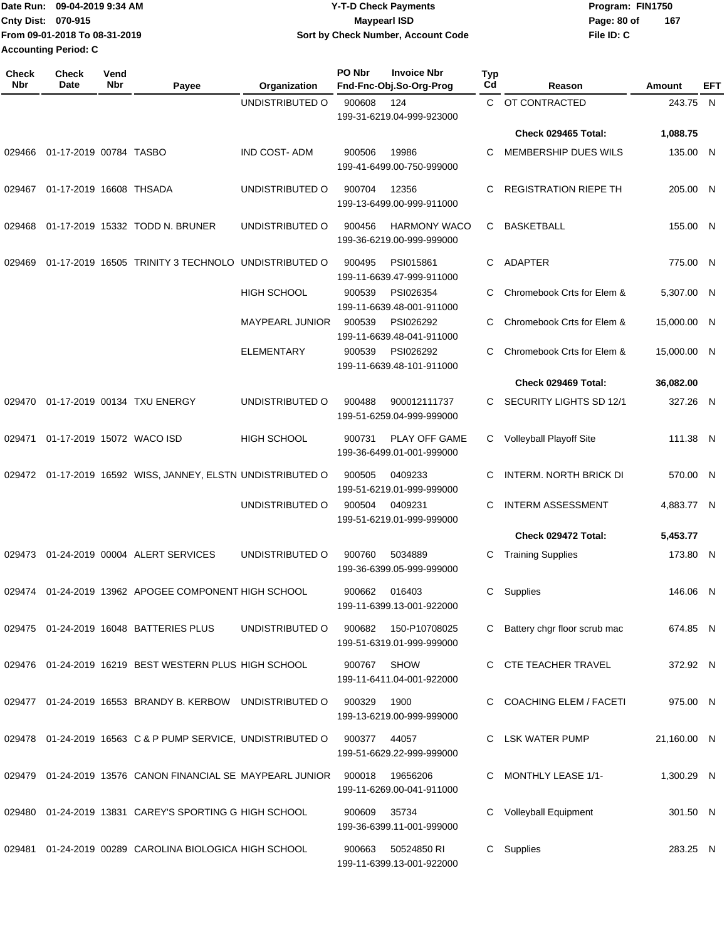| Date Run: 09-04-2019 9:34 AM  | <b>Y-T-D Check Payments</b>        | Program: FIN1750   |
|-------------------------------|------------------------------------|--------------------|
| Cnty Dist: 070-915            | <b>Mavpearl ISD</b>                | 167<br>Page: 80 of |
| From 09-01-2018 To 08-31-2019 | Sort by Check Number, Account Code | File ID: C         |
| Accounting Period: C          |                                    |                    |

| <b>Check</b><br>Nbr | <b>Check</b><br>Date      | Vend<br>Nbr | Payee                                                       | Organization        | PO Nbr | <b>Invoice Nbr</b><br>Fnd-Fnc-Obj.So-Org-Prog    | Typ<br>Cd    | Reason                         | Amount      | EFT |
|---------------------|---------------------------|-------------|-------------------------------------------------------------|---------------------|--------|--------------------------------------------------|--------------|--------------------------------|-------------|-----|
|                     |                           |             |                                                             | UNDISTRIBUTED O     | 900608 | 124<br>199-31-6219.04-999-923000                 | $\mathbf{C}$ | OT CONTRACTED                  | 243.75 N    |     |
|                     |                           |             |                                                             |                     |        |                                                  |              | Check 029465 Total:            | 1,088.75    |     |
| 029466              | 01-17-2019 00784 TASBO    |             |                                                             | <b>IND COST-ADM</b> | 900506 | 19986<br>199-41-6499.00-750-999000               | C            | MEMBERSHIP DUES WILS           | 135.00 N    |     |
| 029467              | 01-17-2019 16608 THSADA   |             |                                                             | UNDISTRIBUTED O     | 900704 | 12356<br>199-13-6499.00-999-911000               | C            | <b>REGISTRATION RIEPE TH</b>   | 205.00 N    |     |
| 029468              |                           |             | 01-17-2019 15332 TODD N. BRUNER                             | UNDISTRIBUTED O     | 900456 | <b>HARMONY WACO</b><br>199-36-6219.00-999-999000 | C.           | <b>BASKETBALL</b>              | 155.00 N    |     |
| 029469              |                           |             | 01-17-2019 16505 TRINITY 3 TECHNOLO                         | UNDISTRIBUTED O     | 900495 | PSI015861<br>199-11-6639.47-999-911000           | C.           | <b>ADAPTER</b>                 | 775.00 N    |     |
|                     |                           |             |                                                             | <b>HIGH SCHOOL</b>  | 900539 | PSI026354<br>199-11-6639.48-001-911000           | С            | Chromebook Crts for Elem &     | 5,307.00 N  |     |
|                     |                           |             |                                                             | MAYPEARL JUNIOR     | 900539 | PSI026292<br>199-11-6639.48-041-911000           | C            | Chromebook Crts for Elem &     | 15,000.00 N |     |
|                     |                           |             |                                                             | <b>ELEMENTARY</b>   | 900539 | PSI026292<br>199-11-6639.48-101-911000           | C            | Chromebook Crts for Elem &     | 15,000.00 N |     |
|                     |                           |             |                                                             |                     |        |                                                  |              | Check 029469 Total:            | 36,082.00   |     |
| 029470              |                           |             | 01-17-2019 00134 TXU ENERGY                                 | UNDISTRIBUTED O     | 900488 | 900012111737<br>199-51-6259.04-999-999000        | C.           | SECURITY LIGHTS SD 12/1        | 327.26 N    |     |
| 029471              | 01-17-2019 15072 WACO ISD |             |                                                             | <b>HIGH SCHOOL</b>  | 900731 | PLAY OFF GAME<br>199-36-6499.01-001-999000       | C.           | Volleyball Playoff Site        | 111.38 N    |     |
| 029472              |                           |             | 01-17-2019 16592 WISS, JANNEY, ELSTN UNDISTRIBUTED O        |                     | 900505 | 0409233<br>199-51-6219.01-999-999000             | C            | <b>INTERM. NORTH BRICK DI</b>  | 570.00 N    |     |
|                     |                           |             |                                                             | UNDISTRIBUTED O     | 900504 | 0409231<br>199-51-6219.01-999-999000             | C            | <b>INTERM ASSESSMENT</b>       | 4,883.77 N  |     |
|                     |                           |             |                                                             |                     |        |                                                  |              | Check 029472 Total:            | 5,453.77    |     |
| 029473              |                           |             | 01-24-2019 00004 ALERT SERVICES                             | UNDISTRIBUTED O     | 900760 | 5034889<br>199-36-6399.05-999-999000             | С            | <b>Training Supplies</b>       | 173.80 N    |     |
| 029474              |                           |             | 01-24-2019 13962 APOGEE COMPONENT HIGH SCHOOL               |                     | 900662 | 016403<br>199-11-6399.13-001-922000              | С            | Supplies                       | 146.06 N    |     |
|                     |                           |             | 029475 01-24-2019 16048 BATTERIES PLUS                      | UNDISTRIBUTED O     | 900682 | 150-P10708025<br>199-51-6319.01-999-999000       |              | C Battery chgr floor scrub mac | 674.85 N    |     |
|                     |                           |             | 029476 01-24-2019 16219 BEST WESTERN PLUS HIGH SCHOOL       |                     | 900767 | <b>SHOW</b><br>199-11-6411.04-001-922000         |              | C CTE TEACHER TRAVEL           | 372.92 N    |     |
|                     |                           |             | 029477 01-24-2019 16553 BRANDY B. KERBOW UNDISTRIBUTED O    |                     | 900329 | 1900<br>199-13-6219.00-999-999000                |              | C COACHING ELEM / FACETI       | 975.00 N    |     |
|                     |                           |             | 029478 01-24-2019 16563 C & P PUMP SERVICE, UNDISTRIBUTED O |                     | 900377 | 44057<br>199-51-6629.22-999-999000               | C            | LSK WATER PUMP                 | 21,160.00 N |     |
|                     |                           |             | 029479 01-24-2019 13576 CANON FINANCIAL SE MAYPEARL JUNIOR  |                     | 900018 | 19656206<br>199-11-6269.00-041-911000            | C            | <b>MONTHLY LEASE 1/1-</b>      | 1,300.29 N  |     |
|                     |                           |             | 029480 01-24-2019 13831 CAREY'S SPORTING G HIGH SCHOOL      |                     | 900609 | 35734<br>199-36-6399.11-001-999000               |              | Volleyball Equipment           | 301.50 N    |     |
| 029481              |                           |             | 01-24-2019 00289 CAROLINA BIOLOGICA HIGH SCHOOL             |                     | 900663 | 50524850 RI<br>199-11-6399.13-001-922000         |              | C Supplies                     | 283.25 N    |     |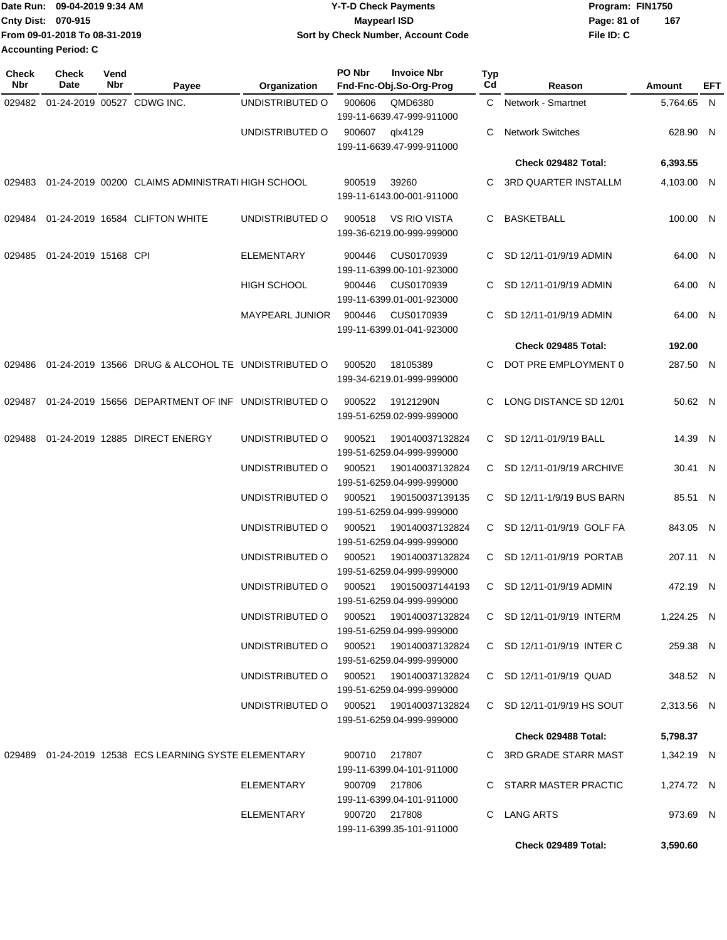|                           | IDate Run: 09-04-2019 9:34 AM | <b>Y-T-D Check Payments</b>        | Program: FIN1750   |
|---------------------------|-------------------------------|------------------------------------|--------------------|
| <b>Cnty Dist: 070-915</b> |                               | Maypearl ISD                       | 167<br>Page: 81 of |
|                           | From 09-01-2018 To 08-31-2019 | Sort by Check Number, Account Code | File ID: C         |
|                           | <b>Accounting Period: C</b>   |                                    |                    |

**PO Nbr Invoice Nbr**

| Check<br>Nbr | <b>Check</b><br>Date       | Vend<br>Nbr | Payee                                                       | Organization                           | PO Nbr        | <b>Invoice Nbr</b><br>Fnd-Fnc-Obj.So-Org-Prog    | Typ<br>Cd | Reason                      | Amount     | EFT |
|--------------|----------------------------|-------------|-------------------------------------------------------------|----------------------------------------|---------------|--------------------------------------------------|-----------|-----------------------------|------------|-----|
| 029482       | 01-24-2019 00527 CDWG INC. |             |                                                             | UNDISTRIBUTED O                        | 900606        | QMD6380<br>199-11-6639.47-999-911000             |           | C Network - Smartnet        | 5,764.65 N |     |
|              |                            |             |                                                             | UNDISTRIBUTED O                        | 900607        | qlx4129<br>199-11-6639.47-999-911000             | C         | <b>Network Switches</b>     | 628.90 N   |     |
|              |                            |             |                                                             |                                        |               |                                                  |           | Check 029482 Total:         | 6,393.55   |     |
| 029483       |                            |             | 01-24-2019 00200 CLAIMS ADMINISTRATI HIGH SCHOOL            |                                        | 900519        | 39260<br>199-11-6143.00-001-911000               | С         | <b>3RD QUARTER INSTALLM</b> | 4,103.00 N |     |
| 029484       |                            |             | 01-24-2019 16584 CLIFTON WHITE                              | UNDISTRIBUTED O                        | 900518        | <b>VS RIO VISTA</b><br>199-36-6219.00-999-999000 | С         | <b>BASKETBALL</b>           | 100.00 N   |     |
| 029485       | 01-24-2019 15168 CPI       |             |                                                             | <b>ELEMENTARY</b>                      | 900446        | CUS0170939<br>199-11-6399.00-101-923000          | C.        | SD 12/11-01/9/19 ADMIN      | 64.00 N    |     |
|              |                            |             |                                                             | <b>HIGH SCHOOL</b>                     | 900446        | CUS0170939<br>199-11-6399.01-001-923000          | C.        | SD 12/11-01/9/19 ADMIN      | 64.00 N    |     |
|              |                            |             |                                                             | <b>MAYPEARL JUNIOR</b>                 | 900446        | CUS0170939<br>199-11-6399.01-041-923000          |           | SD 12/11-01/9/19 ADMIN      | 64.00 N    |     |
|              |                            |             |                                                             |                                        |               |                                                  |           | Check 029485 Total:         | 192.00     |     |
| 029486       |                            |             | 01-24-2019 13566 DRUG & ALCOHOL TE UNDISTRIBUTED O          |                                        | 900520        | 18105389<br>199-34-6219.01-999-999000            |           | DOT PRE EMPLOYMENT 0        | 287.50 N   |     |
| 029487       |                            |             | 01-24-2019 15656 DEPARTMENT OF INF UNDISTRIBUTED O          |                                        | 900522        | 19121290N<br>199-51-6259.02-999-999000           | C.        | LONG DISTANCE SD 12/01      | 50.62 N    |     |
| 029488       |                            |             | 01-24-2019 12885 DIRECT ENERGY                              | UNDISTRIBUTED O                        | 900521        | 190140037132824<br>199-51-6259.04-999-999000     |           | C SD 12/11-01/9/19 BALL     | 14.39 N    |     |
|              |                            |             |                                                             | UNDISTRIBUTED O                        | 900521        | 190140037132824<br>199-51-6259.04-999-999000     | C.        | SD 12/11-01/9/19 ARCHIVE    | 30.41 N    |     |
|              |                            |             |                                                             | UNDISTRIBUTED O                        | 900521        | 190150037139135<br>199-51-6259.04-999-999000     |           | C SD 12/11-1/9/19 BUS BARN  | 85.51 N    |     |
|              |                            |             |                                                             | UNDISTRIBUTED O                        | 900521        | 190140037132824<br>199-51-6259.04-999-999000     | C.        | SD 12/11-01/9/19 GOLF FA    | 843.05 N   |     |
|              |                            |             |                                                             | UNDISTRIBUTED O                        | 900521        | 190140037132824<br>199-51-6259.04-999-999000     |           | C SD 12/11-01/9/19 PORTAB   | 207.11 N   |     |
|              |                            |             |                                                             | UNDISTRIBUTED O                        | 900521        | 190150037144193<br>199-51-6259.04-999-999000     |           | C SD 12/11-01/9/19 ADMIN    | 472.19 N   |     |
|              |                            |             |                                                             | UNDISTRIBUTED O                        | 900521        | 190140037132824<br>199-51-6259.04-999-999000     |           | C SD 12/11-01/9/19 INTERM   | 1,224.25 N |     |
|              |                            |             |                                                             | UNDISTRIBUTED O                        | 900521        | 190140037132824<br>199-51-6259.04-999-999000     |           | C SD 12/11-01/9/19 INTER C  | 259.38 N   |     |
|              |                            |             |                                                             | UNDISTRIBUTED O                        | 900521        | 190140037132824<br>199-51-6259.04-999-999000     |           | C SD 12/11-01/9/19 QUAD     | 348.52 N   |     |
|              |                            |             |                                                             | UNDISTRIBUTED O 900521 190140037132824 |               | 199-51-6259.04-999-999000                        |           | C SD 12/11-01/9/19 HS SOUT  | 2,313.56 N |     |
|              |                            |             |                                                             |                                        |               |                                                  |           | Check 029488 Total:         | 5,798.37   |     |
|              |                            |             | 029489   01-24-2019   12538   ECS LEARNING SYSTE ELEMENTARY |                                        | 900710 217807 | 199-11-6399.04-101-911000                        |           | C 3RD GRADE STARR MAST      | 1,342.19 N |     |
|              |                            |             |                                                             | ELEMENTARY                             | 900709 217806 | 199-11-6399.04-101-911000                        |           | C STARR MASTER PRACTIC      | 1,274.72 N |     |
|              |                            |             |                                                             | ELEMENTARY                             | 900720 217808 | 199-11-6399.35-101-911000                        |           | C LANG ARTS                 | 973.69 N   |     |
|              |                            |             |                                                             |                                        |               |                                                  |           | Check 029489 Total:         | 3,590.60   |     |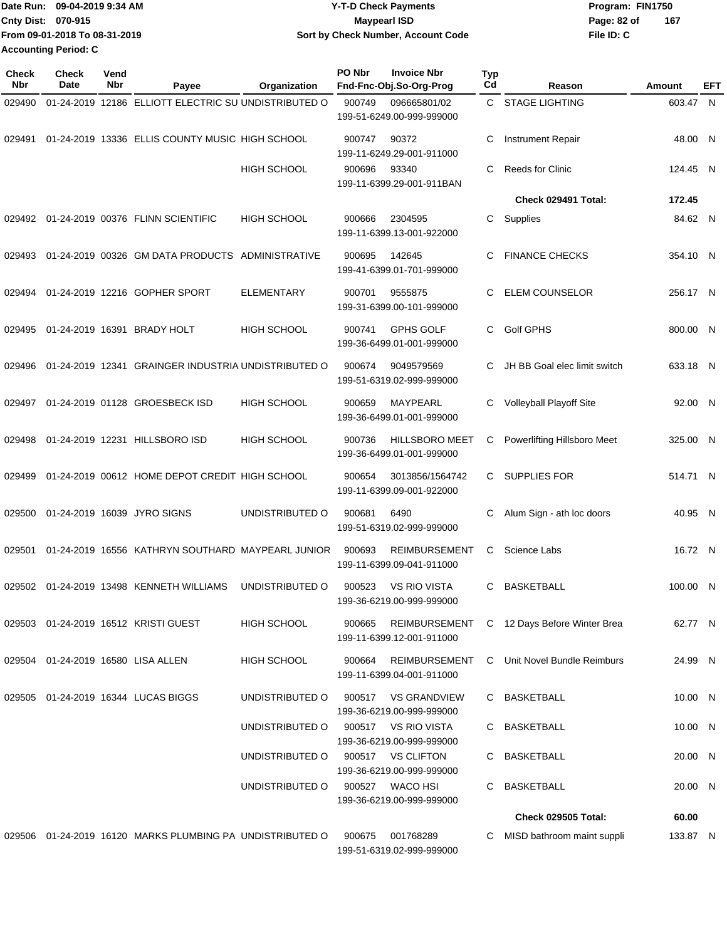|                             | IDate Run: 09-04-2019 9:34 AM | <b>Y-T-D Check Payments</b>        | Program: FIN1750   |
|-----------------------------|-------------------------------|------------------------------------|--------------------|
| <b>Cnty Dist: 070-915</b>   |                               | <b>Mavpearl ISD</b>                | 167<br>Page: 82 of |
|                             | From 09-01-2018 To 08-31-2019 | Sort by Check Number, Account Code | File ID: C         |
| <b>Accounting Period: C</b> |                               |                                    |                    |

| <b>Check</b><br>Nbr | <b>Check</b><br>Date | Vend<br>Nbr | Payee                                                     | Organization       | PO Nbr | <b>Invoice Nbr</b><br>Fnd-Fnc-Obj.So-Org-Prog      | <b>Typ</b><br>Cd | Reason                                     | Amount   | EFT |
|---------------------|----------------------|-------------|-----------------------------------------------------------|--------------------|--------|----------------------------------------------------|------------------|--------------------------------------------|----------|-----|
| 029490              |                      |             | 01-24-2019 12186 ELLIOTT ELECTRIC SU UNDISTRIBUTED O      |                    | 900749 | 096665801/02<br>199-51-6249.00-999-999000          |                  | C STAGE LIGHTING                           | 603.47 N |     |
| 029491              |                      |             | 01-24-2019 13336 ELLIS COUNTY MUSIC HIGH SCHOOL           |                    | 900747 | 90372<br>199-11-6249.29-001-911000                 | С                | <b>Instrument Repair</b>                   | 48.00 N  |     |
|                     |                      |             |                                                           | <b>HIGH SCHOOL</b> | 900696 | 93340<br>199-11-6399.29-001-911BAN                 | C                | <b>Reeds for Clinic</b>                    | 124.45 N |     |
|                     |                      |             |                                                           |                    |        |                                                    |                  | Check 029491 Total:                        | 172.45   |     |
| 029492              |                      |             | 01-24-2019 00376 FLINN SCIENTIFIC                         | <b>HIGH SCHOOL</b> | 900666 | 2304595<br>199-11-6399.13-001-922000               | C                | Supplies                                   | 84.62 N  |     |
| 029493              |                      |             | 01-24-2019 00326 GM DATA PRODUCTS ADMINISTRATIVE          |                    | 900695 | 142645<br>199-41-6399.01-701-999000                |                  | <b>FINANCE CHECKS</b>                      | 354.10 N |     |
| 029494              |                      |             | 01-24-2019 12216 GOPHER SPORT                             | <b>ELEMENTARY</b>  | 900701 | 9555875<br>199-31-6399.00-101-999000               | C                | <b>ELEM COUNSELOR</b>                      | 256.17 N |     |
| 029495              |                      |             | 01-24-2019 16391 BRADY HOLT                               | HIGH SCHOOL        | 900741 | <b>GPHS GOLF</b><br>199-36-6499.01-001-999000      | С                | Golf GPHS                                  | 800.00 N |     |
| 029496              |                      |             | 01-24-2019 12341 GRAINGER INDUSTRIA UNDISTRIBUTED O       |                    | 900674 | 9049579569<br>199-51-6319.02-999-999000            |                  | JH BB Goal elec limit switch               | 633.18 N |     |
| 029497              |                      |             | 01-24-2019 01128 GROESBECK ISD                            | <b>HIGH SCHOOL</b> | 900659 | MAYPEARL<br>199-36-6499.01-001-999000              | С                | Volleyball Playoff Site                    | 92.00 N  |     |
| 029498              |                      |             | 01-24-2019 12231 HILLSBORO ISD                            | <b>HIGH SCHOOL</b> | 900736 | <b>HILLSBORO MEET</b><br>199-36-6499.01-001-999000 | С                | Powerlifting Hillsboro Meet                | 325.00 N |     |
| 029499              |                      |             | 01-24-2019 00612 HOME DEPOT CREDIT HIGH SCHOOL            |                    | 900654 | 3013856/1564742<br>199-11-6399.09-001-922000       | C.               | <b>SUPPLIES FOR</b>                        | 514.71 N |     |
| 029500              |                      |             | 01-24-2019 16039 JYRO SIGNS                               | UNDISTRIBUTED O    | 900681 | 6490<br>199-51-6319.02-999-999000                  | С                | Alum Sign - ath loc doors                  | 40.95 N  |     |
| 029501              |                      |             | 01-24-2019 16556 KATHRYN SOUTHARD MAYPEARL JUNIOR         |                    | 900693 | <b>REIMBURSEMENT</b><br>199-11-6399.09-041-911000  | С                | Science Labs                               | 16.72 N  |     |
|                     |                      |             | 029502 01-24-2019 13498 KENNETH WILLIAMS                  | UNDISTRIBUTED O    | 900523 | <b>VS RIO VISTA</b><br>199-36-6219.00-999-999000   | C                | <b>BASKETBALL</b>                          | 100.00 N |     |
|                     |                      |             | 029503  01-24-2019  16512  KRISTI GUEST                   | <b>HIGH SCHOOL</b> | 900665 | 199-11-6399.12-001-911000                          |                  | REIMBURSEMENT C 12 Days Before Winter Brea | 62.77 N  |     |
|                     |                      |             | 029504 01-24-2019 16580 LISA ALLEN                        | <b>HIGH SCHOOL</b> | 900664 | REIMBURSEMENT<br>199-11-6399.04-001-911000         |                  | C Unit Novel Bundle Reimburs               | 24.99 N  |     |
|                     |                      |             | 029505 01-24-2019 16344 LUCAS BIGGS                       | UNDISTRIBUTED O    | 900517 | <b>VS GRANDVIEW</b><br>199-36-6219.00-999-999000   |                  | C BASKETBALL                               | 10.00 N  |     |
|                     |                      |             |                                                           | UNDISTRIBUTED O    |        | 900517 VS RIO VISTA<br>199-36-6219.00-999-999000   |                  | BASKETBALL                                 | 10.00 N  |     |
|                     |                      |             |                                                           | UNDISTRIBUTED O    | 900517 | <b>VS CLIFTON</b><br>199-36-6219.00-999-999000     |                  | BASKETBALL                                 | 20.00 N  |     |
|                     |                      |             |                                                           | UNDISTRIBUTED O    |        | 900527 WACO HSI<br>199-36-6219.00-999-999000       | C                | BASKETBALL                                 | 20.00 N  |     |
|                     |                      |             |                                                           |                    |        |                                                    |                  | <b>Check 029505 Total:</b>                 | 60.00    |     |
|                     |                      |             | 029506 01-24-2019 16120 MARKS PLUMBING PA UNDISTRIBUTED O |                    | 900675 | 001768289<br>199-51-6319.02-999-999000             | C.               | MISD bathroom maint suppli                 | 133.87 N |     |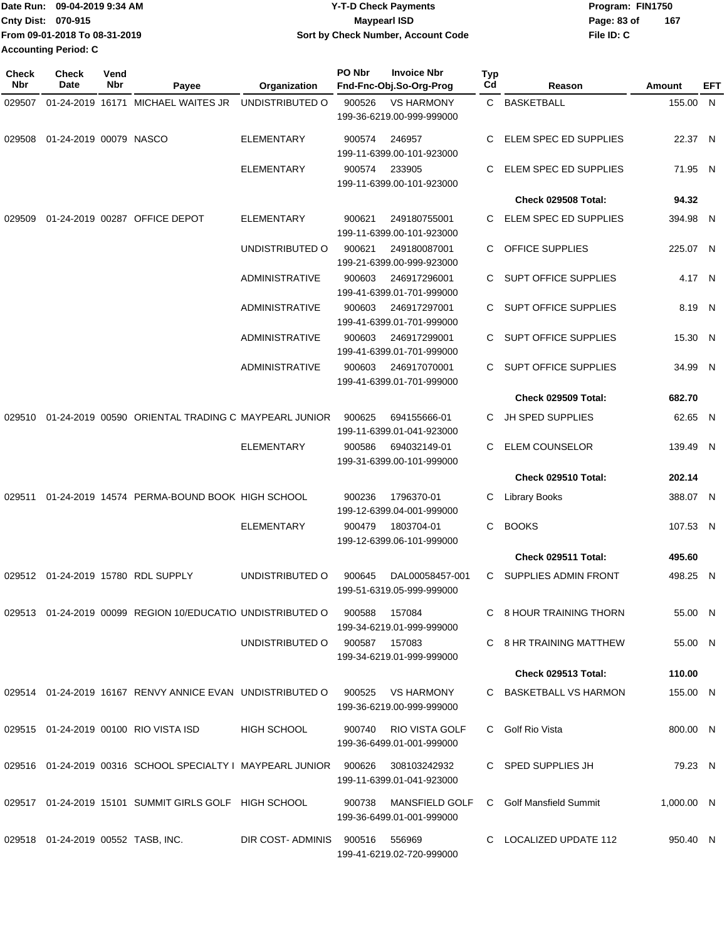|                             | Date Run: 09-04-2019 9:34 AM  | <b>Y-T-D Check Payments</b>        | Program: FIN1750   |  |  |
|-----------------------------|-------------------------------|------------------------------------|--------------------|--|--|
| <b>Cnty Dist: 070-915</b>   |                               | Maypearl ISD                       | 167<br>Page: 83 of |  |  |
|                             | From 09-01-2018 To 08-31-2019 | Sort by Check Number, Account Code | File ID: C         |  |  |
| <b>Accounting Period: C</b> |                               |                                    |                    |  |  |

**PO Nbr Invoice Nbr**

| <b>Check</b><br>Nbr | <b>Check</b><br>Date                  | Vend<br>Nbr | Payee                                                                 | Organization          | PO Nbr        | <b>Invoice Nbr</b><br>Fnd-Fnc-Obj.So-Org-Prog      | Typ<br>Cd | Reason                      | <b>Amount</b> | EFT |
|---------------------|---------------------------------------|-------------|-----------------------------------------------------------------------|-----------------------|---------------|----------------------------------------------------|-----------|-----------------------------|---------------|-----|
| 029507              |                                       |             | 01-24-2019 16171 MICHAEL WAITES JR                                    | UNDISTRIBUTED O       | 900526        | <b>VS HARMONY</b>                                  |           | C BASKETBALL                | 155.00 N      |     |
|                     |                                       |             |                                                                       |                       |               | 199-36-6219.00-999-999000                          |           |                             |               |     |
| 029508              | 01-24-2019 00079 NASCO                |             |                                                                       | <b>ELEMENTARY</b>     | 900574        | 246957<br>199-11-6399.00-101-923000                | C.        | ELEM SPEC ED SUPPLIES       | 22.37 N       |     |
|                     |                                       |             |                                                                       | <b>ELEMENTARY</b>     | 900574        | 233905<br>199-11-6399.00-101-923000                | C.        | ELEM SPEC ED SUPPLIES       | 71.95 N       |     |
|                     |                                       |             |                                                                       |                       |               |                                                    |           | Check 029508 Total:         | 94.32         |     |
| 029509              |                                       |             | 01-24-2019 00287 OFFICE DEPOT                                         | <b>ELEMENTARY</b>     | 900621        | 249180755001<br>199-11-6399.00-101-923000          |           | ELEM SPEC ED SUPPLIES       | 394.98 N      |     |
|                     |                                       |             |                                                                       | UNDISTRIBUTED O       | 900621        | 249180087001<br>199-21-6399.00-999-923000          | C         | <b>OFFICE SUPPLIES</b>      | 225.07 N      |     |
|                     |                                       |             |                                                                       | <b>ADMINISTRATIVE</b> | 900603        | 246917296001                                       | C.        | <b>SUPT OFFICE SUPPLIES</b> | 4.17 N        |     |
|                     |                                       |             |                                                                       |                       |               | 199-41-6399.01-701-999000                          |           |                             |               |     |
|                     |                                       |             |                                                                       | <b>ADMINISTRATIVE</b> | 900603        | 246917297001<br>199-41-6399.01-701-999000          |           | <b>SUPT OFFICE SUPPLIES</b> | 8.19 N        |     |
|                     |                                       |             |                                                                       | <b>ADMINISTRATIVE</b> | 900603        | 246917299001<br>199-41-6399.01-701-999000          | C.        | <b>SUPT OFFICE SUPPLIES</b> | 15.30 N       |     |
|                     |                                       |             |                                                                       | <b>ADMINISTRATIVE</b> | 900603        | 246917070001<br>199-41-6399.01-701-999000          | C.        | SUPT OFFICE SUPPLIES        | 34.99 N       |     |
|                     |                                       |             |                                                                       |                       |               |                                                    |           | Check 029509 Total:         | 682.70        |     |
| 029510              |                                       |             | 01-24-2019 00590 ORIENTAL TRADING C MAYPEARL JUNIOR                   |                       | 900625        | 694155666-01<br>199-11-6399.01-041-923000          | C.        | <b>JH SPED SUPPLIES</b>     | 62.65 N       |     |
|                     |                                       |             |                                                                       | <b>ELEMENTARY</b>     | 900586        | 694032149-01<br>199-31-6399.00-101-999000          | C.        | <b>ELEM COUNSELOR</b>       | 139.49 N      |     |
|                     |                                       |             |                                                                       |                       |               |                                                    |           | Check 029510 Total:         | 202.14        |     |
| 029511              |                                       |             | 01-24-2019 14574 PERMA-BOUND BOOK HIGH SCHOOL                         |                       | 900236        | 1796370-01<br>199-12-6399.04-001-999000            | С         | <b>Library Books</b>        | 388.07 N      |     |
|                     |                                       |             |                                                                       | <b>ELEMENTARY</b>     | 900479        | 1803704-01                                         | C         | <b>BOOKS</b>                | 107.53 N      |     |
|                     |                                       |             |                                                                       |                       |               | 199-12-6399.06-101-999000                          |           | Check 029511 Total:         | 495.60        |     |
|                     |                                       |             |                                                                       |                       |               |                                                    |           |                             |               |     |
|                     |                                       |             | 029512 01-24-2019 15780 RDL SUPPLY                                    | UNDISTRIBUTED O       | 900645        | DAL00058457-001<br>199-51-6319.05-999-999000       | C         | <b>SUPPLIES ADMIN FRONT</b> | 498.25 N      |     |
|                     |                                       |             | 029513 01-24-2019 00099 REGION 10/EDUCATIO UNDISTRIBUTED O            |                       | 900588        | 157084<br>199-34-6219.01-999-999000                |           | C 8 HOUR TRAINING THORN     | 55.00 N       |     |
|                     |                                       |             |                                                                       | UNDISTRIBUTED O       | 900587 157083 | 199-34-6219.01-999-999000                          |           | C 8 HR TRAINING MATTHEW     | 55.00 N       |     |
|                     |                                       |             |                                                                       |                       |               |                                                    |           | Check 029513 Total:         | 110.00        |     |
|                     |                                       |             | 029514 01-24-2019 16167 RENVY ANNICE EVAN UNDISTRIBUTED O             |                       | 900525        | VS HARMONY<br>199-36-6219.00-999-999000            |           | C BASKETBALL VS HARMON      | 155.00 N      |     |
|                     |                                       |             | 029515 01-24-2019 00100 RIO VISTA ISD                                 | <b>HIGH SCHOOL</b>    |               | 900740 RIO VISTA GOLF<br>199-36-6499.01-001-999000 |           | C Golf Rio Vista            | 800.00 N      |     |
|                     |                                       |             | 029516  01-24-2019  00316  SCHOOL SPECIALTY I MAYPEARL JUNIOR  900626 |                       |               | 308103242932<br>199-11-6399.01-041-923000          |           | C SPED SUPPLIES JH          | 79.23 N       |     |
|                     |                                       |             | 029517 01-24-2019 15101 SUMMIT GIRLS GOLF HIGH SCHOOL                 |                       | 900738        | MANSFIELD GOLF<br>199-36-6499.01-001-999000        |           | C Golf Mansfield Summit     | 1,000.00 N    |     |
|                     | 029518  01-24-2019  00552  TASB, INC. |             |                                                                       | DIR COST-ADMINIS      | 900516        | 556969<br>199-41-6219.02-720-999000                |           | C LOCALIZED UPDATE 112      | 950.40 N      |     |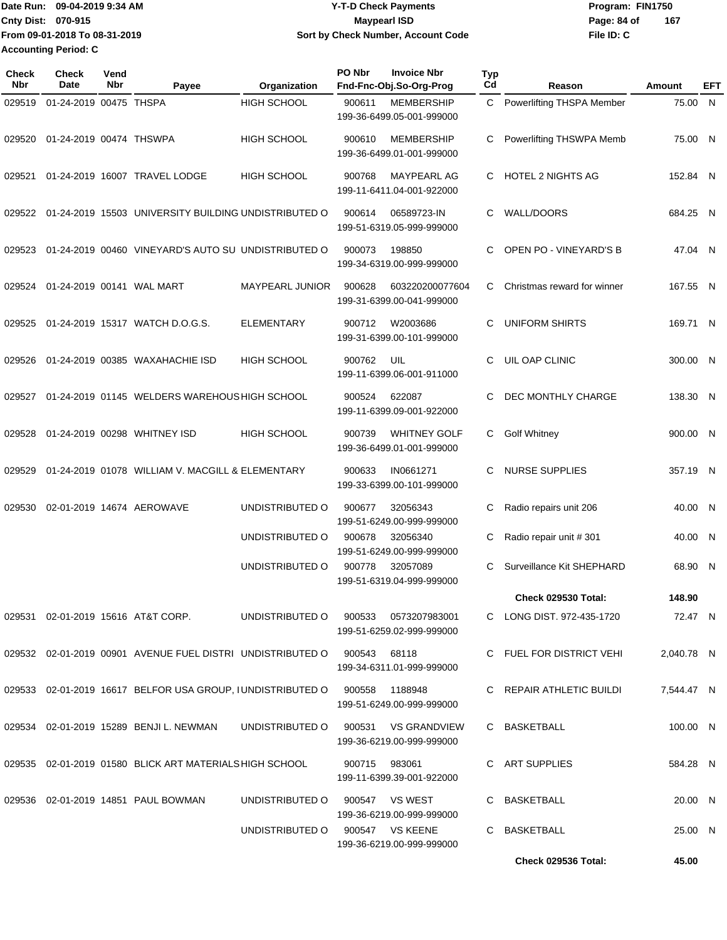Date Run: 09-04-2019 9:34 AM **Date Run:** 09-04-2019 9:34 AM **Cnty Dist:** 070-915 **Page: 84 of MaypearI ISD MaypearI ISD Page: 84 of File ID: C From 09-01-2018 To 08-31-2019 09-04-2019 9:34 AM Y-T-D Check Payments 070-915 Maypearl ISD Sort by Check Number, Account Code 167 Accounting Period: C**

| Check<br>Nbr | <b>Check</b><br>Date    | Vend<br><b>Nbr</b> | Payee                                                                     | Organization                         | PO Nbr        | <b>Invoice Nbr</b><br>Fnd-Fnc-Obj.So-Org-Prog    | <b>Typ</b><br>Cd | Reason                      | <b>Amount</b> | EFT |
|--------------|-------------------------|--------------------|---------------------------------------------------------------------------|--------------------------------------|---------------|--------------------------------------------------|------------------|-----------------------------|---------------|-----|
| 029519       | 01-24-2019 00475 THSPA  |                    |                                                                           | <b>HIGH SCHOOL</b>                   | 900611        | <b>MEMBERSHIP</b><br>199-36-6499.05-001-999000   | $\mathbf{C}$     | Powerlifting THSPA Member   | 75.00 N       |     |
| 029520       | 01-24-2019 00474 THSWPA |                    |                                                                           | <b>HIGH SCHOOL</b>                   | 900610        | <b>MEMBERSHIP</b><br>199-36-6499.01-001-999000   | C                | Powerlifting THSWPA Memb    | 75.00 N       |     |
| 029521       |                         |                    | 01-24-2019 16007 TRAVEL LODGE                                             | <b>HIGH SCHOOL</b>                   | 900768        | <b>MAYPEARL AG</b><br>199-11-6411.04-001-922000  | C.               | <b>HOTEL 2 NIGHTS AG</b>    | 152.84 N      |     |
| 029522       |                         |                    | 01-24-2019 15503 UNIVERSITY BUILDING UNDISTRIBUTED O                      |                                      | 900614        | 06589723-IN<br>199-51-6319.05-999-999000         | C.               | <b>WALL/DOORS</b>           | 684.25 N      |     |
| 029523       |                         |                    | 01-24-2019 00460 VINEYARD'S AUTO SU UNDISTRIBUTED O                       |                                      | 900073        | 198850<br>199-34-6319.00-999-999000              | C                | OPEN PO - VINEYARD'S B      | 47.04 N       |     |
| 029524       |                         |                    | 01-24-2019 00141 WAL MART                                                 | <b>MAYPEARL JUNIOR</b>               | 900628        | 603220200077604<br>199-31-6399.00-041-999000     | C                | Christmas reward for winner | 167.55 N      |     |
| 029525       |                         |                    | 01-24-2019 15317 WATCH D.O.G.S.                                           | <b>ELEMENTARY</b>                    | 900712        | W2003686<br>199-31-6399.00-101-999000            | С                | <b>UNIFORM SHIRTS</b>       | 169.71 N      |     |
| 029526       |                         |                    | 01-24-2019 00385 WAXAHACHIE ISD                                           | <b>HIGH SCHOOL</b>                   | 900762        | UIL<br>199-11-6399.06-001-911000                 | C.               | UIL OAP CLINIC              | 300.00 N      |     |
| 029527       |                         |                    | 01-24-2019 01145 WELDERS WAREHOUS HIGH SCHOOL                             |                                      | 900524        | 622087<br>199-11-6399.09-001-922000              | C                | DEC MONTHLY CHARGE          | 138.30 N      |     |
| 029528       |                         |                    | 01-24-2019 00298 WHITNEY ISD                                              | <b>HIGH SCHOOL</b>                   | 900739        | <b>WHITNEY GOLF</b><br>199-36-6499.01-001-999000 | C.               | <b>Golf Whitney</b>         | 900.00 N      |     |
| 029529       |                         |                    | 01-24-2019 01078 WILLIAM V. MACGILL & ELEMENTARY                          |                                      | 900633        | IN0661271<br>199-33-6399.00-101-999000           | C                | <b>NURSE SUPPLIES</b>       | 357.19 N      |     |
| 029530       |                         |                    | 02-01-2019 14674 AEROWAVE                                                 | UNDISTRIBUTED O                      | 900677        | 32056343<br>199-51-6249.00-999-999000            | С                | Radio repairs unit 206      | 40.00 N       |     |
|              |                         |                    |                                                                           | UNDISTRIBUTED O                      | 900678        | 32056340<br>199-51-6249.00-999-999000            | С                | Radio repair unit #301      | 40.00 N       |     |
|              |                         |                    |                                                                           | UNDISTRIBUTED O                      | 900778        | 32057089<br>199-51-6319.04-999-999000            | C                | Surveillance Kit SHEPHARD   | 68.90 N       |     |
|              |                         |                    |                                                                           |                                      |               |                                                  |                  | Check 029530 Total:         | 148.90        |     |
|              |                         |                    | 029531 02-01-2019 15616 AT&T CORP.                                        | UNDISTRIBUTED O 900533 0573207983001 |               | 199-51-6259.02-999-999000                        |                  | C LONG DIST. 972-435-1720   | 72.47 N       |     |
|              |                         |                    | 029532 02-01-2019 00901 AVENUE FUEL DISTRI UNDISTRIBUTED O 900543         |                                      |               | 68118<br>199-34-6311.01-999-999000               |                  | C FUEL FOR DISTRICT VEHI    | 2,040.78 N    |     |
|              |                         |                    | 029533 02-01-2019 16617 BELFOR USA GROUP, IUNDISTRIBUTED O 900558 1188948 |                                      |               | 199-51-6249.00-999-999000                        |                  | C REPAIR ATHLETIC BUILDI    | 7,544.47 N    |     |
|              |                         |                    | 029534 02-01-2019 15289 BENJI L. NEWMAN                                   | UNDISTRIBUTED O 900531 VS GRANDVIEW  |               | 199-36-6219.00-999-999000                        |                  | C BASKETBALL                | 100.00 N      |     |
|              |                         |                    | 029535 02-01-2019 01580 BLICK ART MATERIALS HIGH SCHOOL                   |                                      | 900715 983061 | 199-11-6399.39-001-922000                        |                  | C ART SUPPLIES              | 584.28 N      |     |
|              |                         |                    | 029536 02-01-2019 14851 PAUL BOWMAN                                       | UNDISTRIBUTED O                      |               | 900547 VS WEST<br>199-36-6219.00-999-999000      |                  | C BASKETBALL                | 20.00 N       |     |
|              |                         |                    |                                                                           | UNDISTRIBUTED O 900547 VS KEENE      |               | 199-36-6219.00-999-999000                        |                  | C BASKETBALL                | 25.00 N       |     |
|              |                         |                    |                                                                           |                                      |               |                                                  |                  | <b>Check 029536 Total:</b>  | 45.00         |     |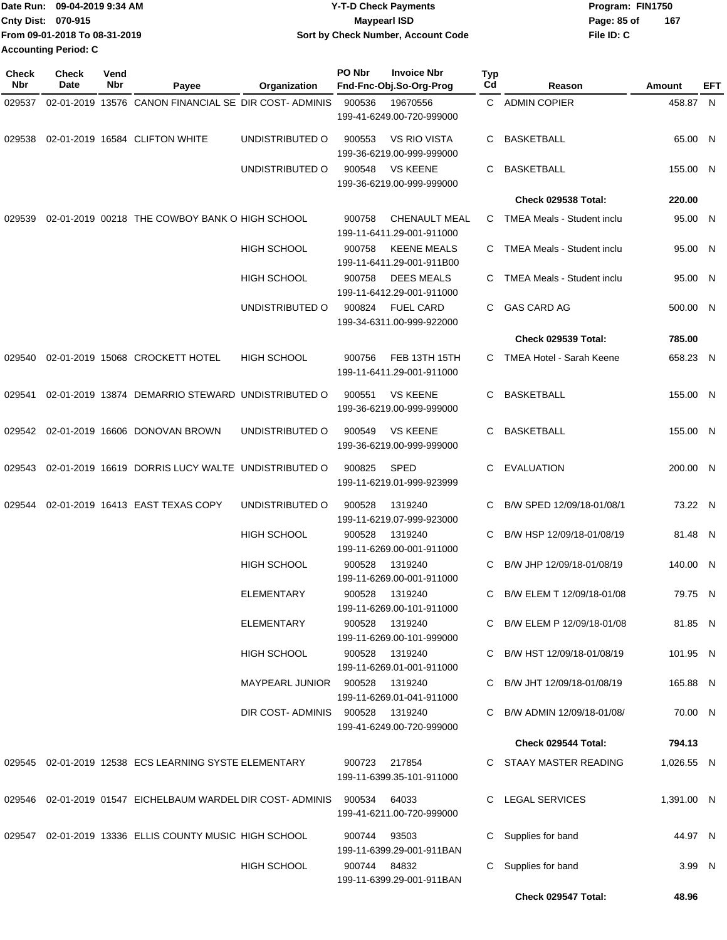|                             | Date Run: 09-04-2019 9:34 AM  | <b>Y-T-D Check Payments</b>        | Program: FIN1750   |  |
|-----------------------------|-------------------------------|------------------------------------|--------------------|--|
| <b>Cnty Dist: 070-915</b>   |                               | <b>Mavpearl ISD</b>                | 167<br>Page: 85 of |  |
|                             | From 09-01-2018 To 08-31-2019 | Sort by Check Number, Account Code | File ID: C         |  |
| <b>Accounting Period: C</b> |                               |                                    |                    |  |

| <b>Check</b><br>Nbr | <b>Check</b><br>Date | Vend<br>Nbr | Payee                                                          | Organization       | PO Nbr       | <b>Invoice Nbr</b><br>Fnd-Fnc-Obj.So-Org-Prog     | Typ<br>Cd | Reason                            | Amount     | EFT |
|---------------------|----------------------|-------------|----------------------------------------------------------------|--------------------|--------------|---------------------------------------------------|-----------|-----------------------------------|------------|-----|
| 029537              |                      |             | 02-01-2019 13576 CANON FINANCIAL SE DIR COST-ADMINIS           |                    | 900536       | 19670556                                          |           | C ADMIN COPIER                    | 458.87 N   |     |
|                     |                      |             |                                                                |                    |              | 199-41-6249.00-720-999000                         |           |                                   |            |     |
| 029538              |                      |             | 02-01-2019 16584 CLIFTON WHITE                                 | UNDISTRIBUTED O    | 900553       | <b>VS RIO VISTA</b><br>199-36-6219.00-999-999000  | C         | BASKETBALL                        | 65.00 N    |     |
|                     |                      |             |                                                                | UNDISTRIBUTED O    | 900548       | <b>VS KEENE</b><br>199-36-6219.00-999-999000      | C         | <b>BASKETBALL</b>                 | 155.00 N   |     |
|                     |                      |             |                                                                |                    |              |                                                   |           | Check 029538 Total:               | 220.00     |     |
| 029539              |                      |             | 02-01-2019 00218 THE COWBOY BANK O HIGH SCHOOL                 |                    | 900758       | <b>CHENAULT MEAL</b><br>199-11-6411.29-001-911000 | C.        | TMEA Meals - Student inclu        | 95.00 N    |     |
|                     |                      |             |                                                                | <b>HIGH SCHOOL</b> | 900758       | <b>KEENE MEALS</b><br>199-11-6411.29-001-911B00   | C.        | TMEA Meals - Student inclu        | 95.00 N    |     |
|                     |                      |             |                                                                | HIGH SCHOOL        | 900758       | <b>DEES MEALS</b><br>199-11-6412.29-001-911000    | C         | <b>TMEA Meals - Student inclu</b> | 95.00 N    |     |
|                     |                      |             |                                                                | UNDISTRIBUTED O    | 900824       | <b>FUEL CARD</b><br>199-34-6311.00-999-922000     | C.        | <b>GAS CARD AG</b>                | 500.00 N   |     |
|                     |                      |             |                                                                |                    |              |                                                   |           | <b>Check 029539 Total:</b>        | 785.00     |     |
| 029540              |                      |             | 02-01-2019 15068 CROCKETT HOTEL                                | <b>HIGH SCHOOL</b> | 900756       | FEB 13TH 15TH<br>199-11-6411.29-001-911000        | C.        | <b>TMEA Hotel - Sarah Keene</b>   | 658.23 N   |     |
| 029541              |                      |             | 02-01-2019 13874 DEMARRIO STEWARD UNDISTRIBUTED O              |                    | 900551       | <b>VS KEENE</b><br>199-36-6219.00-999-999000      | C         | <b>BASKETBALL</b>                 | 155.00 N   |     |
| 029542              |                      |             | 02-01-2019 16606 DONOVAN BROWN                                 | UNDISTRIBUTED O    | 900549       | <b>VS KEENE</b><br>199-36-6219.00-999-999000      | C         | <b>BASKETBALL</b>                 | 155.00 N   |     |
| 029543              |                      |             | 02-01-2019 16619 DORRIS LUCY WALTE UNDISTRIBUTED O             |                    | 900825       | <b>SPED</b><br>199-11-6219.01-999-923999          | C.        | <b>EVALUATION</b>                 | 200.00 N   |     |
| 029544              |                      |             | 02-01-2019 16413 EAST TEXAS COPY                               | UNDISTRIBUTED O    | 900528       | 1319240<br>199-11-6219.07-999-923000              | C.        | B/W SPED 12/09/18-01/08/1         | 73.22 N    |     |
|                     |                      |             |                                                                | HIGH SCHOOL        | 900528       | 1319240<br>199-11-6269.00-001-911000              | C         | B/W HSP 12/09/18-01/08/19         | 81.48 N    |     |
|                     |                      |             |                                                                | <b>HIGH SCHOOL</b> | 900528       | 1319240<br>199-11-6269.00-001-911000              | C.        | B/W JHP 12/09/18-01/08/19         | 140.00 N   |     |
|                     |                      |             |                                                                | <b>ELEMENTARY</b>  | 900528       | 1319240<br>199-11-6269.00-101-911000              | C         | B/W ELEM T 12/09/18-01/08         | 79.75 N    |     |
|                     |                      |             |                                                                | ELEMENTARY         | 900528       | 1319240<br>199-11-6269.00-101-999000              |           | C B/W ELEM P 12/09/18-01/08       | 81.85 N    |     |
|                     |                      |             |                                                                | HIGH SCHOOL        | 900528       | 1319240<br>199-11-6269.01-001-911000              |           | C B/W HST 12/09/18-01/08/19       | 101.95 N   |     |
|                     |                      |             |                                                                | MAYPEARL JUNIOR    | 900528       | 1319240<br>199-11-6269.01-041-911000              |           | C B/W JHT 12/09/18-01/08/19       | 165.88 N   |     |
|                     |                      |             |                                                                | DIR COST-ADMINIS   | 900528       | 1319240<br>199-41-6249.00-720-999000              |           | B/W ADMIN 12/09/18-01/08/         | 70.00 N    |     |
|                     |                      |             |                                                                |                    |              |                                                   |           | Check 029544 Total:               | 794.13     |     |
|                     |                      |             | 029545 02-01-2019 12538 ECS LEARNING SYSTE ELEMENTARY          |                    |              | 900723 217854<br>199-11-6399.35-101-911000        |           | C STAAY MASTER READING            | 1,026.55 N |     |
|                     |                      |             | 029546  02-01-2019  01547  EICHELBAUM WARDEL DIR COST- ADMINIS |                    | 900534       | 64033<br>199-41-6211.00-720-999000                |           | C LEGAL SERVICES                  | 1,391.00 N |     |
|                     |                      |             | 029547 02-01-2019 13336 ELLIS COUNTY MUSIC HIGH SCHOOL         |                    | 900744       | 93503<br>199-11-6399.29-001-911BAN                | C.        | Supplies for band                 | 44.97 N    |     |
|                     |                      |             |                                                                | <b>HIGH SCHOOL</b> | 900744 84832 | 199-11-6399.29-001-911BAN                         |           | Supplies for band                 | 3.99 N     |     |
|                     |                      |             |                                                                |                    |              |                                                   |           | Check 029547 Total:               | 48.96      |     |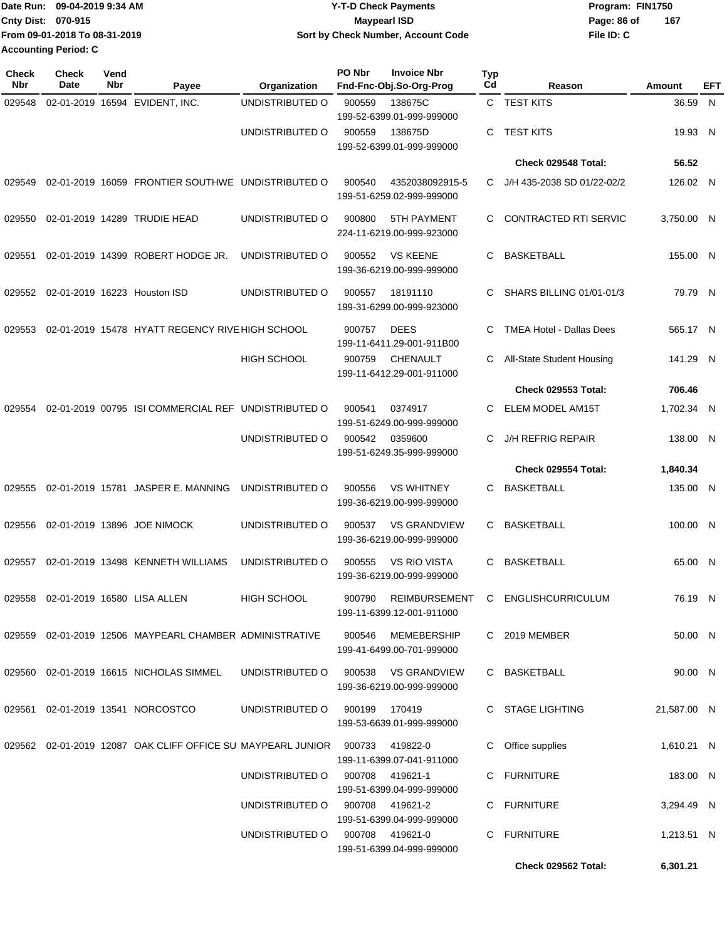|                    | Date Run: 09-04-2019 9:34 AM  | <b>Y-T-D Check Payments</b>        | Program: FIN1750 |     |
|--------------------|-------------------------------|------------------------------------|------------------|-----|
| Cnty Dist: 070-915 |                               | Maypearl ISD                       | Page: 86 of      | 167 |
|                    | From 09-01-2018 To 08-31-2019 | Sort by Check Number, Account Code | File ID: C       |     |
|                    | <b>Accounting Period: C</b>   |                                    |                  |     |

| Check<br>Nbr | <b>Check</b><br>Date | Vend<br>Nbr | Payee                                                              | Organization                    | PO Nbr        | <b>Invoice Nbr</b><br>Fnd-Fnc-Obj.So-Org-Prog    | <b>Typ</b><br>Cd | Reason                                   | Amount      | EFT |
|--------------|----------------------|-------------|--------------------------------------------------------------------|---------------------------------|---------------|--------------------------------------------------|------------------|------------------------------------------|-------------|-----|
| 029548       |                      |             | 02-01-2019 16594 EVIDENT, INC.                                     | UNDISTRIBUTED O                 | 900559        | 138675C<br>199-52-6399.01-999-999000             |                  | C TEST KITS                              | 36.59 N     |     |
|              |                      |             |                                                                    | UNDISTRIBUTED O                 | 900559        | 138675D<br>199-52-6399.01-999-999000             | C.               | <b>TEST KITS</b>                         | 19.93 N     |     |
|              |                      |             |                                                                    |                                 |               |                                                  |                  | Check 029548 Total:                      | 56.52       |     |
| 029549       |                      |             | 02-01-2019 16059 FRONTIER SOUTHWE UNDISTRIBUTED O                  |                                 | 900540        | 4352038092915-5<br>199-51-6259.02-999-999000     | C.               | J/H 435-2038 SD 01/22-02/2               | 126.02 N    |     |
| 029550       |                      |             | 02-01-2019 14289 TRUDIE HEAD                                       | UNDISTRIBUTED O                 | 900800        | 5TH PAYMENT<br>224-11-6219.00-999-923000         | C                | <b>CONTRACTED RTI SERVIC</b>             | 3,750.00 N  |     |
| 029551       |                      |             | 02-01-2019 14399 ROBERT HODGE JR.                                  | UNDISTRIBUTED O                 | 900552        | <b>VS KEENE</b><br>199-36-6219.00-999-999000     | C                | <b>BASKETBALL</b>                        | 155.00 N    |     |
| 029552       |                      |             | 02-01-2019 16223 Houston ISD                                       | UNDISTRIBUTED O                 | 900557        | 18191110<br>199-31-6299.00-999-923000            | C.               | SHARS BILLING 01/01-01/3                 | 79.79 N     |     |
| 029553       |                      |             | 02-01-2019 15478 HYATT REGENCY RIVE HIGH SCHOOL                    |                                 | 900757        | <b>DEES</b><br>199-11-6411.29-001-911B00         | C                | <b>TMEA Hotel - Dallas Dees</b>          | 565.17 N    |     |
|              |                      |             |                                                                    | HIGH SCHOOL                     | 900759        | <b>CHENAULT</b><br>199-11-6412.29-001-911000     | C                | All-State Student Housing                | 141.29 N    |     |
|              |                      |             |                                                                    |                                 |               |                                                  |                  | <b>Check 029553 Total:</b>               | 706.46      |     |
| 029554       |                      |             | 02-01-2019 00795 ISI COMMERCIAL REF UNDISTRIBUTED O                |                                 | 900541        | 0374917<br>199-51-6249.00-999-999000             | C                | <b>ELEM MODEL AM15T</b>                  | 1,702.34 N  |     |
|              |                      |             |                                                                    | UNDISTRIBUTED O                 | 900542        | 0359600<br>199-51-6249.35-999-999000             | C                | <b>J/H REFRIG REPAIR</b>                 | 138.00 N    |     |
|              |                      |             |                                                                    |                                 |               |                                                  |                  | Check 029554 Total:                      | 1,840.34    |     |
| 029555       |                      |             | 02-01-2019 15781 JASPER E. MANNING                                 | UNDISTRIBUTED O                 | 900556        | <b>VS WHITNEY</b><br>199-36-6219.00-999-999000   | C                | <b>BASKETBALL</b>                        | 135.00 N    |     |
| 029556       |                      |             | 02-01-2019 13896 JOE NIMOCK                                        | UNDISTRIBUTED O                 | 900537        | <b>VS GRANDVIEW</b><br>199-36-6219.00-999-999000 | C                | <b>BASKETBALL</b>                        | 100.00 N    |     |
| 029557       |                      |             | 02-01-2019 13498 KENNETH WILLIAMS                                  | UNDISTRIBUTED O                 | 900555        | <b>VS RIO VISTA</b><br>199-36-6219.00-999-999000 | C                | <b>BASKETBALL</b>                        | 65.00 N     |     |
|              |                      |             | 029558 02-01-2019 16580 LISA ALLEN                                 | HIGH SCHOOL                     |               | 199-11-6399.12-001-911000                        |                  | 900790 REIMBURSEMENT C ENGLISHCURRICULUM | 76.19 N     |     |
|              |                      |             | 029559 02-01-2019 12506 MAYPEARL CHAMBER ADMINISTRATIVE            |                                 | 900546        | MEMEBERSHIP<br>199-41-6499.00-701-999000         |                  | C 2019 MEMBER                            | 50.00 N     |     |
|              |                      |             | 029560 02-01-2019 16615 NICHOLAS SIMMEL                            | UNDISTRIBUTED O                 |               | 900538 VS GRANDVIEW<br>199-36-6219.00-999-999000 |                  | C BASKETBALL                             | 90.00 N     |     |
|              |                      |             | 029561  02-01-2019  13541  NORCOSTCO                               | UNDISTRIBUTED O                 | 900199 170419 | 199-53-6639.01-999-999000                        |                  | C STAGE LIGHTING                         | 21,587.00 N |     |
|              |                      |             | 029562 02-01-2019 12087 OAK CLIFF OFFICE SU MAYPEARL JUNIOR 900733 |                                 |               | 419822-0<br>199-11-6399.07-041-911000            |                  | C Office supplies                        | 1,610.21 N  |     |
|              |                      |             |                                                                    | UNDISTRIBUTED O 900708 419621-1 |               | 199-51-6399.04-999-999000                        |                  | C FURNITURE                              | 183.00 N    |     |
|              |                      |             |                                                                    | UNDISTRIBUTED O 900708 419621-2 |               | 199-51-6399.04-999-999000                        |                  | C FURNITURE                              | 3,294.49 N  |     |
|              |                      |             |                                                                    | UNDISTRIBUTED O 900708 419621-0 |               | 199-51-6399.04-999-999000                        |                  | C FURNITURE                              | 1,213.51 N  |     |
|              |                      |             |                                                                    |                                 |               |                                                  |                  | Check 029562 Total:                      | 6,301.21    |     |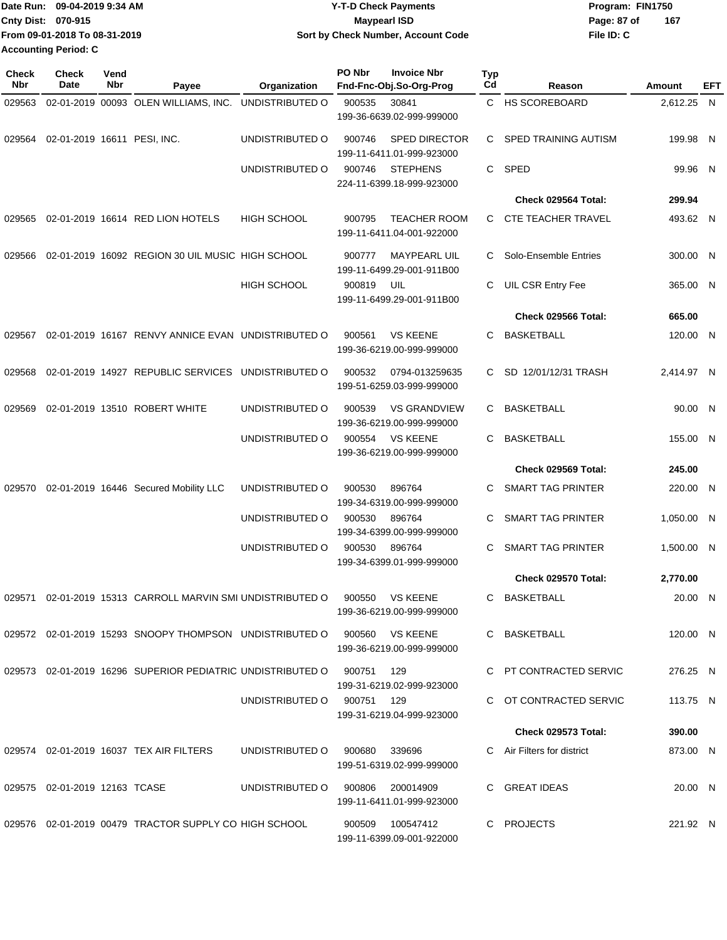|                           | IDate Run: 09-04-2019 9:34 AM | <b>Y-T-D Check Payments</b>        | Program: FIN1750 |     |
|---------------------------|-------------------------------|------------------------------------|------------------|-----|
| <b>Cnty Dist: 070-915</b> |                               | <b>Maypearl ISD</b>                | Page: 87 of      | 167 |
|                           | From 09-01-2018 To 08-31-2019 | Sort by Check Number, Account Code | File ID: C       |     |
|                           | <b>Accounting Period: C</b>   |                                    |                  |     |

| <b>Check</b><br>Nbr | <b>Check</b><br><b>Date</b>   | Vend<br>Nbr | Payee                                                                   | Organization               | PO Nbr | <b>Invoice Nbr</b><br>Fnd-Fnc-Obj.So-Org-Prog     | <b>Typ</b><br>Cd | Reason                     | Amount     | EFT |
|---------------------|-------------------------------|-------------|-------------------------------------------------------------------------|----------------------------|--------|---------------------------------------------------|------------------|----------------------------|------------|-----|
| 029563              |                               |             | 02-01-2019 00093 OLEN WILLIAMS, INC.                                    | UNDISTRIBUTED O            | 900535 | 30841<br>199-36-6639.02-999-999000                |                  | C HS SCOREBOARD            | 2,612.25 N |     |
| 029564              | 02-01-2019 16611 PESI, INC.   |             |                                                                         | UNDISTRIBUTED O            | 900746 | <b>SPED DIRECTOR</b><br>199-11-6411.01-999-923000 | C.               | SPED TRAINING AUTISM       | 199.98 N   |     |
|                     |                               |             |                                                                         | UNDISTRIBUTED O            | 900746 | <b>STEPHENS</b><br>224-11-6399.18-999-923000      | C.               | <b>SPED</b>                | 99.96 N    |     |
|                     |                               |             |                                                                         |                            |        |                                                   |                  | Check 029564 Total:        | 299.94     |     |
| 029565              |                               |             | 02-01-2019 16614 RED LION HOTELS                                        | <b>HIGH SCHOOL</b>         | 900795 | <b>TEACHER ROOM</b><br>199-11-6411.04-001-922000  |                  | C CTE TEACHER TRAVEL       | 493.62 N   |     |
| 029566              |                               |             | 02-01-2019 16092 REGION 30 UIL MUSIC HIGH SCHOOL                        |                            | 900777 | <b>MAYPEARL UIL</b><br>199-11-6499.29-001-911B00  | C.               | Solo-Ensemble Entries      | 300.00 N   |     |
|                     |                               |             |                                                                         | <b>HIGH SCHOOL</b>         | 900819 | UIL<br>199-11-6499.29-001-911B00                  | C                | UIL CSR Entry Fee          | 365.00 N   |     |
|                     |                               |             |                                                                         |                            |        |                                                   |                  | Check 029566 Total:        | 665.00     |     |
| 029567              |                               |             | 02-01-2019 16167 RENVY ANNICE EVAN UNDISTRIBUTED O                      |                            | 900561 | <b>VS KEENE</b><br>199-36-6219.00-999-999000      | C                | <b>BASKETBALL</b>          | 120.00 N   |     |
| 029568              |                               |             | 02-01-2019 14927 REPUBLIC SERVICES UNDISTRIBUTED O                      |                            | 900532 | 0794-013259635<br>199-51-6259.03-999-999000       | C.               | SD 12/01/12/31 TRASH       | 2,414.97 N |     |
| 029569              |                               |             | 02-01-2019 13510 ROBERT WHITE                                           | UNDISTRIBUTED O            | 900539 | <b>VS GRANDVIEW</b><br>199-36-6219.00-999-999000  | C.               | <b>BASKETBALL</b>          | 90.00 N    |     |
|                     |                               |             |                                                                         | UNDISTRIBUTED O            | 900554 | <b>VS KEENE</b><br>199-36-6219.00-999-999000      | C                | <b>BASKETBALL</b>          | 155.00 N   |     |
|                     |                               |             |                                                                         |                            |        |                                                   |                  | Check 029569 Total:        | 245.00     |     |
| 029570              |                               |             | 02-01-2019 16446 Secured Mobility LLC                                   | UNDISTRIBUTED O            | 900530 | 896764<br>199-34-6319.00-999-999000               | C.               | SMART TAG PRINTER          | 220.00 N   |     |
|                     |                               |             |                                                                         | UNDISTRIBUTED O            | 900530 | 896764<br>199-34-6399.00-999-999000               | C                | <b>SMART TAG PRINTER</b>   | 1,050.00 N |     |
|                     |                               |             |                                                                         | UNDISTRIBUTED O            | 900530 | 896764<br>199-34-6399.01-999-999000               | C                | <b>SMART TAG PRINTER</b>   | 1,500.00 N |     |
|                     |                               |             |                                                                         |                            |        |                                                   |                  | Check 029570 Total:        | 2,770.00   |     |
| 029571              |                               |             | 02-01-2019 15313 CARROLL MARVIN SMI UNDISTRIBUTED O                     |                            | 900550 | <b>VS KEENE</b><br>199-36-6219.00-999-999000      |                  | C BASKETBALL               | 20.00 N    |     |
|                     |                               |             | 029572 02-01-2019 15293 SNOOPY THOMPSON UNDISTRIBUTED O 900560 VS KEENE |                            |        | 199-36-6219.00-999-999000                         |                  | C BASKETBALL               | 120.00 N   |     |
|                     |                               |             | 029573 02-01-2019 16296 SUPERIOR PEDIATRIC UNDISTRIBUTED O 900751 129   |                            |        | 199-31-6219.02-999-923000                         |                  | C PT CONTRACTED SERVIC     | 276.25 N   |     |
|                     |                               |             |                                                                         | UNDISTRIBUTED O 900751 129 |        | 199-31-6219.04-999-923000                         |                  | C OT CONTRACTED SERVIC     | 113.75 N   |     |
|                     |                               |             |                                                                         |                            |        |                                                   |                  | Check 029573 Total:        | 390.00     |     |
|                     |                               |             | 029574 02-01-2019 16037 TEX AIR FILTERS                                 | UNDISTRIBUTED O            | 900680 | 339696<br>199-51-6319.02-999-999000               |                  | C Air Filters for district | 873.00 N   |     |
|                     | 029575 02-01-2019 12163 TCASE |             |                                                                         | UNDISTRIBUTED O            |        | 900806 200014909<br>199-11-6411.01-999-923000     |                  | C GREAT IDEAS              | 20.00 N    |     |
|                     |                               |             | 029576 02-01-2019 00479 TRACTOR SUPPLY CO HIGH SCHOOL                   |                            |        | 900509 100547412<br>199-11-6399.09-001-922000     |                  | C PROJECTS                 | 221.92 N   |     |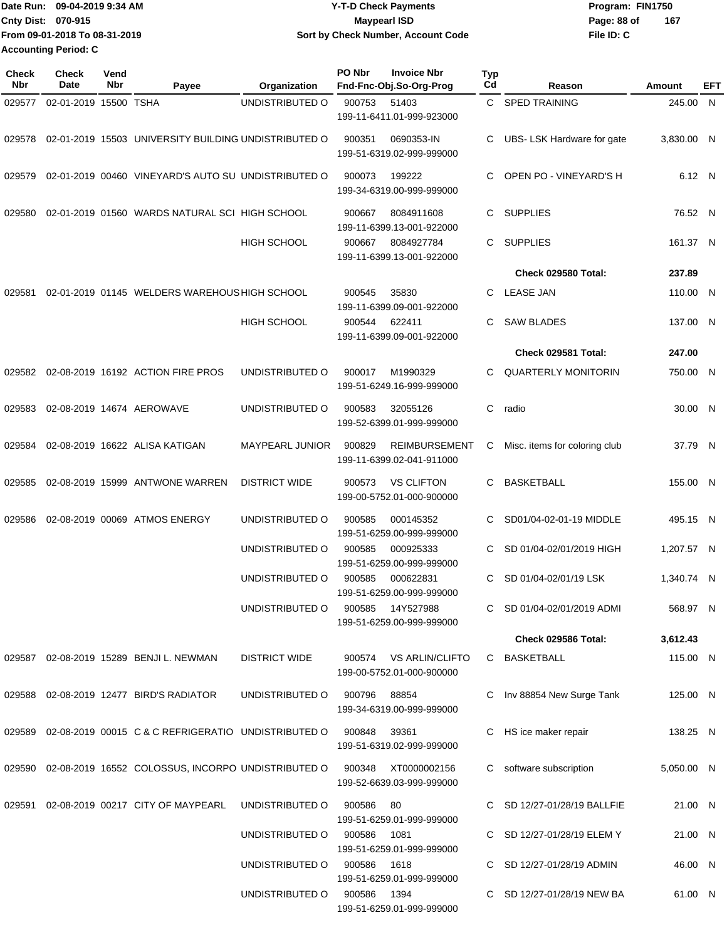|                             | IDate Run: 09-04-2019 9:34 AM | <b>Y-T-D Check Payments</b>        | Program: FIN1750   |
|-----------------------------|-------------------------------|------------------------------------|--------------------|
| <b>Cnty Dist: 070-915</b>   |                               | <b>Mavpearl ISD</b>                | 167<br>Page: 88 of |
|                             | From 09-01-2018 To 08-31-2019 | Sort by Check Number, Account Code | File ID: C         |
| <b>Accounting Period: C</b> |                               |                                    |                    |

| Check<br>Nbr | Check<br>Date         | Vend<br>Nbr | Payee                                                     | Organization         | PO Nbr      | <b>Invoice Nbr</b><br>Fnd-Fnc-Obj.So-Org-Prog       | Typ<br>Cd | Reason                        | Amount     | EFT |
|--------------|-----------------------|-------------|-----------------------------------------------------------|----------------------|-------------|-----------------------------------------------------|-----------|-------------------------------|------------|-----|
| 029577       | 02-01-2019 15500 TSHA |             |                                                           | UNDISTRIBUTED O      | 900753      | 51403<br>199-11-6411.01-999-923000                  |           | C SPED TRAINING               | 245.00 N   |     |
| 029578       |                       |             | 02-01-2019 15503 UNIVERSITY BUILDING UNDISTRIBUTED O      |                      | 900351      | 0690353-IN<br>199-51-6319.02-999-999000             | C         | UBS- LSK Hardware for gate    | 3,830.00 N |     |
| 029579       |                       |             | 02-01-2019 00460 VINEYARD'S AUTO SU UNDISTRIBUTED O       |                      | 900073      | 199222<br>199-34-6319.00-999-999000                 | C.        | OPEN PO - VINEYARD'S H        | 6.12 N     |     |
| 029580       |                       |             | 02-01-2019 01560 WARDS NATURAL SCI HIGH SCHOOL            |                      | 900667      | 8084911608<br>199-11-6399.13-001-922000             | C         | <b>SUPPLIES</b>               | 76.52 N    |     |
|              |                       |             |                                                           | <b>HIGH SCHOOL</b>   | 900667      | 8084927784<br>199-11-6399.13-001-922000             | C         | <b>SUPPLIES</b>               | 161.37 N   |     |
|              |                       |             |                                                           |                      |             |                                                     |           | Check 029580 Total:           | 237.89     |     |
| 029581       |                       |             | 02-01-2019 01145 WELDERS WAREHOUS HIGH SCHOOL             |                      | 900545      | 35830<br>199-11-6399.09-001-922000                  | C         | <b>LEASE JAN</b>              | 110.00 N   |     |
|              |                       |             |                                                           | HIGH SCHOOL          | 900544      | 622411<br>199-11-6399.09-001-922000                 | C         | <b>SAW BLADES</b>             | 137.00 N   |     |
|              |                       |             |                                                           |                      |             |                                                     |           | Check 029581 Total:           | 247.00     |     |
| 029582       |                       |             | 02-08-2019 16192 ACTION FIRE PROS                         | UNDISTRIBUTED O      | 900017      | M1990329<br>199-51-6249.16-999-999000               | C         | <b>QUARTERLY MONITORIN</b>    | 750.00 N   |     |
| 029583       |                       |             | 02-08-2019 14674 AEROWAVE                                 | UNDISTRIBUTED O      | 900583      | 32055126<br>199-52-6399.01-999-999000               | C         | radio                         | 30.00 N    |     |
| 029584       |                       |             | 02-08-2019 16622 ALISA KATIGAN                            | MAYPEARL JUNIOR      | 900829      | <b>REIMBURSEMENT</b><br>199-11-6399.02-041-911000   | С         | Misc. items for coloring club | 37.79 N    |     |
| 029585       |                       |             | 02-08-2019 15999 ANTWONE WARREN                           | <b>DISTRICT WIDE</b> | 900573      | <b>VS CLIFTON</b><br>199-00-5752.01-000-900000      | C         | <b>BASKETBALL</b>             | 155.00 N   |     |
| 029586       |                       |             | 02-08-2019 00069 ATMOS ENERGY                             | UNDISTRIBUTED O      | 900585      | 000145352<br>199-51-6259.00-999-999000              | C         | SD01/04-02-01-19 MIDDLE       | 495.15 N   |     |
|              |                       |             |                                                           | UNDISTRIBUTED O      | 900585      | 000925333<br>199-51-6259.00-999-999000              | C         | SD 01/04-02/01/2019 HIGH      | 1,207.57 N |     |
|              |                       |             |                                                           | UNDISTRIBUTED O      | 900585      | 000622831<br>199-51-6259.00-999-999000              | C         | SD 01/04-02/01/19 LSK         | 1.340.74 N |     |
|              |                       |             |                                                           | UNDISTRIBUTED O      | 900585      | 14Y527988<br>199-51-6259.00-999-999000              |           | C SD 01/04-02/01/2019 ADMI    | 568.97 N   |     |
|              |                       |             |                                                           |                      |             |                                                     |           | Check 029586 Total:           | 3,612.43   |     |
|              |                       |             | 029587 02-08-2019 15289 BENJI L. NEWMAN                   | <b>DISTRICT WIDE</b> |             | 900574 VS ARLIN/CLIFTO<br>199-00-5752.01-000-900000 |           | C BASKETBALL                  | 115.00 N   |     |
| 029588       |                       |             | 02-08-2019 12477 BIRD'S RADIATOR                          | UNDISTRIBUTED O      | 900796      | 88854<br>199-34-6319.00-999-999000                  |           | C Inv 88854 New Surge Tank    | 125.00 N   |     |
| 029589       |                       |             | 02-08-2019 00015 C & C REFRIGERATIO UNDISTRIBUTED O       |                      | 900848      | 39361<br>199-51-6319.02-999-999000                  |           | C HS ice maker repair         | 138.25 N   |     |
|              |                       |             | 029590 02-08-2019 16552 COLOSSUS, INCORPO UNDISTRIBUTED O |                      | 900348      | XT0000002156<br>199-52-6639.03-999-999000           |           | C software subscription       | 5,050.00 N |     |
| 029591       |                       |             | 02-08-2019 00217 CITY OF MAYPEARL                         | UNDISTRIBUTED O      | 900586      | 80<br>199-51-6259.01-999-999000                     |           | C SD 12/27-01/28/19 BALLFIE   | 21.00 N    |     |
|              |                       |             |                                                           | UNDISTRIBUTED O      | 900586      | 1081<br>199-51-6259.01-999-999000                   |           | C SD 12/27-01/28/19 ELEM Y    | 21.00 N    |     |
|              |                       |             |                                                           | UNDISTRIBUTED O      | 900586      | 1618<br>199-51-6259.01-999-999000                   |           | C SD 12/27-01/28/19 ADMIN     | 46.00 N    |     |
|              |                       |             |                                                           | UNDISTRIBUTED O      | 900586 1394 | 199-51-6259.01-999-999000                           |           | C SD 12/27-01/28/19 NEW BA    | 61.00 N    |     |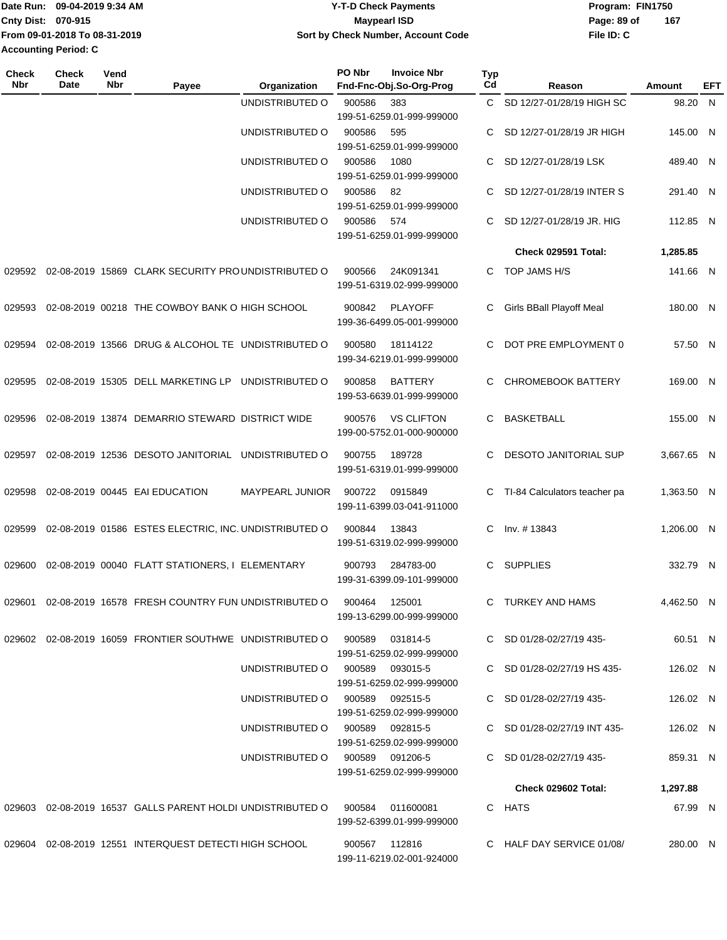| Date Run:                   | 09-04-2019 9:34 AM            | <b>Y-T-D Check Payments</b>        | Program: FIN1750 |     |
|-----------------------------|-------------------------------|------------------------------------|------------------|-----|
| <b>Cnty Dist: 070-915</b>   |                               | <b>Maypearl ISD</b>                | Page: 89 of      | 167 |
|                             | From 09-01-2018 To 08-31-2019 | Sort by Check Number, Account Code | File ID: C       |     |
| <b>Accounting Period: C</b> |                               |                                    |                  |     |

| <b>Check</b><br>Nbr | <b>Check</b><br><b>Date</b> | Vend<br>Nbr | Payee                                                                    | Organization                    | PO Nbr        | <b>Invoice Nbr</b><br>Fnd-Fnc-Obj.So-Org-Prog  | <b>Typ</b><br>Cd | Reason                       | Amount     | EFT |
|---------------------|-----------------------------|-------------|--------------------------------------------------------------------------|---------------------------------|---------------|------------------------------------------------|------------------|------------------------------|------------|-----|
|                     |                             |             |                                                                          | UNDISTRIBUTED O                 | 900586        | 383<br>199-51-6259.01-999-999000               | C.               | SD 12/27-01/28/19 HIGH SC    | 98.20 N    |     |
|                     |                             |             |                                                                          | UNDISTRIBUTED O                 | 900586        | 595<br>199-51-6259.01-999-999000               | C                | SD 12/27-01/28/19 JR HIGH    | 145.00 N   |     |
|                     |                             |             |                                                                          | UNDISTRIBUTED O                 | 900586        | 1080<br>199-51-6259.01-999-999000              | C                | SD 12/27-01/28/19 LSK        | 489.40 N   |     |
|                     |                             |             |                                                                          | UNDISTRIBUTED O                 | 900586        | 82<br>199-51-6259.01-999-999000                | C.               | SD 12/27-01/28/19 INTER S    | 291.40 N   |     |
|                     |                             |             |                                                                          | UNDISTRIBUTED O                 | 900586        | 574<br>199-51-6259.01-999-999000               | C                | SD 12/27-01/28/19 JR. HIG    | 112.85 N   |     |
|                     |                             |             |                                                                          |                                 |               |                                                |                  | Check 029591 Total:          | 1,285.85   |     |
| 029592              |                             |             | 02-08-2019 15869 CLARK SECURITY PROUNDISTRIBUTED O                       |                                 | 900566        | 24K091341<br>199-51-6319.02-999-999000         | $\mathbf{C}$     | TOP JAMS H/S                 | 141.66 N   |     |
| 029593              |                             |             | 02-08-2019 00218 THE COWBOY BANK O HIGH SCHOOL                           |                                 | 900842        | <b>PLAYOFF</b><br>199-36-6499.05-001-999000    | C                | Girls BBall Playoff Meal     | 180.00 N   |     |
| 029594              |                             |             | 02-08-2019 13566 DRUG & ALCOHOL TE UNDISTRIBUTED O                       |                                 | 900580        | 18114122<br>199-34-6219.01-999-999000          | C.               | DOT PRE EMPLOYMENT 0         | 57.50 N    |     |
| 029595              |                             |             | 02-08-2019 15305 DELL MARKETING LP                                       | UNDISTRIBUTED O                 | 900858        | <b>BATTERY</b><br>199-53-6639.01-999-999000    | C                | <b>CHROMEBOOK BATTERY</b>    | 169.00 N   |     |
| 029596              |                             |             | 02-08-2019 13874 DEMARRIO STEWARD DISTRICT WIDE                          |                                 | 900576        | <b>VS CLIFTON</b><br>199-00-5752.01-000-900000 | C.               | <b>BASKETBALL</b>            | 155.00 N   |     |
| 029597              |                             |             | 02-08-2019 12536 DESOTO JANITORIAL UNDISTRIBUTED O                       |                                 | 900755        | 189728<br>199-51-6319.01-999-999000            | C                | DESOTO JANITORIAL SUP        | 3,667.65 N |     |
| 029598              |                             |             | 02-08-2019 00445 EAI EDUCATION                                           | MAYPEARL JUNIOR                 | 900722        | 0915849<br>199-11-6399.03-041-911000           | C                | TI-84 Calculators teacher pa | 1,363.50 N |     |
| 029599              |                             |             | 02-08-2019 01586 ESTES ELECTRIC, INC. UNDISTRIBUTED O                    |                                 | 900844        | 13843<br>199-51-6319.02-999-999000             | C.               | Inv. #13843                  | 1.206.00 N |     |
| 029600              |                             |             | 02-08-2019 00040 FLATT STATIONERS, I ELEMENTARY                          |                                 | 900793        | 284783-00<br>199-31-6399.09-101-999000         | C.               | <b>SUPPLIES</b>              | 332.79 N   |     |
|                     |                             |             | 029601 02-08-2019 16578 FRESH COUNTRY FUN UNDISTRIBUTED O 900464 125001  |                                 |               | 199-13-6299.00-999-999000                      |                  | C TURKEY AND HAMS            | 4,462.50 N |     |
|                     |                             |             | 029602 02-08-2019 16059 FRONTIER SOUTHWE UNDISTRIBUTED O 900589 031814-5 |                                 |               | 199-51-6259.02-999-999000                      |                  | C SD 01/28-02/27/19 435-     | 60.51 N    |     |
|                     |                             |             |                                                                          | UNDISTRIBUTED O 900589 093015-5 |               | 199-51-6259.02-999-999000                      |                  | C SD 01/28-02/27/19 HS 435-  | 126.02 N   |     |
|                     |                             |             |                                                                          | UNDISTRIBUTED O 900589 092515-5 |               | 199-51-6259.02-999-999000                      |                  | C SD 01/28-02/27/19 435-     | 126.02 N   |     |
|                     |                             |             |                                                                          | UNDISTRIBUTED O 900589 092815-5 |               | 199-51-6259.02-999-999000                      |                  | C SD 01/28-02/27/19 INT 435- | 126.02 N   |     |
|                     |                             |             |                                                                          | UNDISTRIBUTED O 900589 091206-5 |               | 199-51-6259.02-999-999000                      |                  | C SD 01/28-02/27/19 435-     | 859.31 N   |     |
|                     |                             |             |                                                                          |                                 |               |                                                |                  | Check 029602 Total:          | 1,297.88   |     |
|                     |                             |             |                                                                          |                                 |               | 011600081<br>199-52-6399.01-999-999000         |                  | C HATS                       | 67.99 N    |     |
|                     |                             |             | 029604 02-08-2019 12551 INTERQUEST DETECTI HIGH SCHOOL                   |                                 | 900567 112816 | 199-11-6219.02-001-924000                      |                  | C HALF DAY SERVICE 01/08/    | 280.00 N   |     |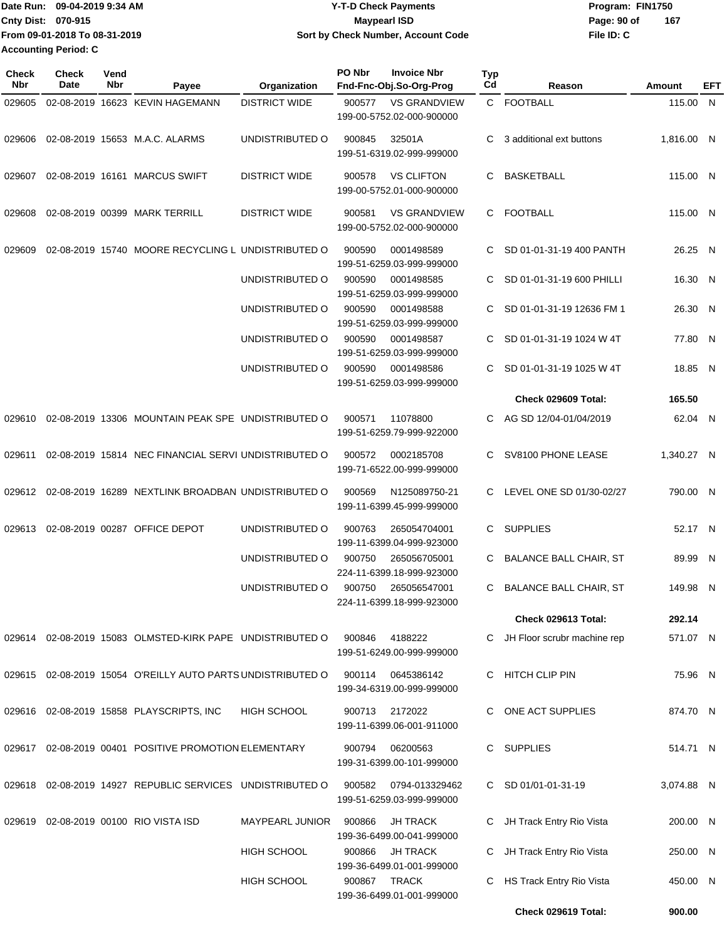|                             | IDate Run: 09-04-2019 9:34 AM | <b>Y-T-D Check Payments</b>        | Program: FIN1750   |  |
|-----------------------------|-------------------------------|------------------------------------|--------------------|--|
| <b>Cnty Dist: 070-915</b>   |                               | Maypearl ISD                       | 167<br>Page: 90 of |  |
|                             | From 09-01-2018 To 08-31-2019 | Sort by Check Number, Account Code | File ID: C         |  |
| <b>Accounting Period: C</b> |                               |                                    |                    |  |

| <b>Check</b><br>Nbr | Check<br>Date | Vend<br>Nbr | Payee                                                | Organization           | PO Nbr | <b>Invoice Nbr</b><br>Fnd-Fnc-Obj.So-Org-Prog    | Typ<br>Cd | Reason                        | Amount     | EFT |
|---------------------|---------------|-------------|------------------------------------------------------|------------------------|--------|--------------------------------------------------|-----------|-------------------------------|------------|-----|
| 029605              |               |             | 02-08-2019 16623 KEVIN HAGEMANN                      | <b>DISTRICT WIDE</b>   | 900577 | <b>VS GRANDVIEW</b><br>199-00-5752.02-000-900000 |           | C FOOTBALL                    | 115.00 N   |     |
| 029606              |               |             | 02-08-2019 15653 M.A.C. ALARMS                       | UNDISTRIBUTED O        | 900845 | 32501A<br>199-51-6319.02-999-999000              | C         | 3 additional ext buttons      | 1,816.00 N |     |
| 029607              |               |             | 02-08-2019 16161 MARCUS SWIFT                        | <b>DISTRICT WIDE</b>   | 900578 | <b>VS CLIFTON</b><br>199-00-5752.01-000-900000   | C         | <b>BASKETBALL</b>             | 115.00 N   |     |
| 029608              |               |             | 02-08-2019 00399 MARK TERRILL                        | <b>DISTRICT WIDE</b>   | 900581 | <b>VS GRANDVIEW</b><br>199-00-5752.02-000-900000 | C.        | <b>FOOTBALL</b>               | 115.00 N   |     |
| 029609              |               |             | 02-08-2019 15740 MOORE RECYCLING L UNDISTRIBUTED O   |                        | 900590 | 0001498589<br>199-51-6259.03-999-999000          | C         | SD 01-01-31-19 400 PANTH      | 26.25 N    |     |
|                     |               |             |                                                      | UNDISTRIBUTED O        | 900590 | 0001498585<br>199-51-6259.03-999-999000          | C         | SD 01-01-31-19 600 PHILLI     | 16.30 N    |     |
|                     |               |             |                                                      | UNDISTRIBUTED O        | 900590 | 0001498588<br>199-51-6259.03-999-999000          | C         | SD 01-01-31-19 12636 FM 1     | 26.30 N    |     |
|                     |               |             |                                                      | UNDISTRIBUTED O        | 900590 | 0001498587<br>199-51-6259.03-999-999000          | C         | SD 01-01-31-19 1024 W 4T      | 77.80 N    |     |
|                     |               |             |                                                      | UNDISTRIBUTED O        | 900590 | 0001498586<br>199-51-6259.03-999-999000          | C.        | SD 01-01-31-19 1025 W 4T      | 18.85 N    |     |
|                     |               |             |                                                      |                        |        |                                                  |           | Check 029609 Total:           | 165.50     |     |
| 029610              |               |             | 02-08-2019 13306 MOUNTAIN PEAK SPE UNDISTRIBUTED O   |                        | 900571 | 11078800<br>199-51-6259.79-999-922000            | C         | AG SD 12/04-01/04/2019        | 62.04 N    |     |
| 029611              |               |             | 02-08-2019 15814 NEC FINANCIAL SERVI UNDISTRIBUTED O |                        | 900572 | 0002185708<br>199-71-6522.00-999-999000          | C.        | SV8100 PHONE LEASE            | 1,340.27 N |     |
| 029612              |               |             | 02-08-2019 16289 NEXTLINK BROADBAN UNDISTRIBUTED O   |                        | 900569 | N125089750-21<br>199-11-6399.45-999-999000       | C.        | LEVEL ONE SD 01/30-02/27      | 790.00 N   |     |
| 029613              |               |             | 02-08-2019 00287 OFFICE DEPOT                        | UNDISTRIBUTED O        | 900763 | 265054704001<br>199-11-6399.04-999-923000        |           | C SUPPLIES                    | 52.17 N    |     |
|                     |               |             |                                                      | UNDISTRIBUTED O        | 900750 | 265056705001<br>224-11-6399.18-999-923000        |           | C BALANCE BALL CHAIR, ST      | 89.99 N    |     |
|                     |               |             |                                                      | UNDISTRIBUTED O        | 900750 | 265056547001<br>224-11-6399.18-999-923000        | C         | <b>BALANCE BALL CHAIR, ST</b> | 149.98 N   |     |
|                     |               |             |                                                      |                        |        |                                                  |           | Check 029613 Total:           | 292.14     |     |
| 029614              |               |             | 02-08-2019 15083 OLMSTED-KIRK PAPE UNDISTRIBUTED O   |                        | 900846 | 4188222<br>199-51-6249.00-999-999000             | C         | JH Floor scrubr machine rep   | 571.07 N   |     |
| 029615              |               |             | 02-08-2019 15054 O'REILLY AUTO PARTS UNDISTRIBUTED O |                        | 900114 | 0645386142<br>199-34-6319.00-999-999000          |           | C HITCH CLIP PIN              | 75.96 N    |     |
|                     |               |             | 029616 02-08-2019 15858 PLAYSCRIPTS, INC             | <b>HIGH SCHOOL</b>     | 900713 | 2172022<br>199-11-6399.06-001-911000             |           | C ONE ACT SUPPLIES            | 874.70 N   |     |
| 029617              |               |             | 02-08-2019 00401 POSITIVE PROMOTION ELEMENTARY       |                        | 900794 | 06200563<br>199-31-6399.00-101-999000            |           | C SUPPLIES                    | 514.71 N   |     |
| 029618              |               |             | 02-08-2019 14927 REPUBLIC SERVICES UNDISTRIBUTED O   |                        | 900582 | 0794-013329462<br>199-51-6259.03-999-999000      |           | C SD 01/01-01-31-19           | 3,074.88 N |     |
| 029619              |               |             | 02-08-2019 00100 RIO VISTA ISD                       | <b>MAYPEARL JUNIOR</b> | 900866 | <b>JH TRACK</b><br>199-36-6499.00-041-999000     | C.        | JH Track Entry Rio Vista      | 200.00 N   |     |
|                     |               |             |                                                      | <b>HIGH SCHOOL</b>     | 900866 | <b>JH TRACK</b><br>199-36-6499.01-001-999000     | C         | JH Track Entry Rio Vista      | 250.00 N   |     |
|                     |               |             |                                                      | <b>HIGH SCHOOL</b>     | 900867 | TRACK<br>199-36-6499.01-001-999000               | C         | HS Track Entry Rio Vista      | 450.00 N   |     |
|                     |               |             |                                                      |                        |        |                                                  |           | Check 029619 Total:           | 900.00     |     |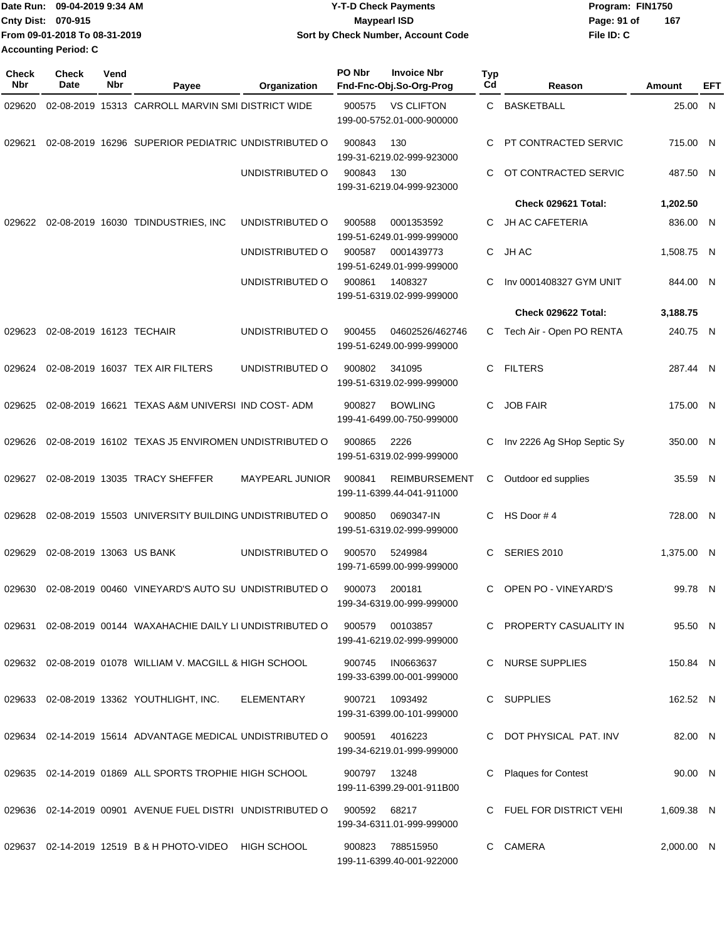| Date Run:                 | 09-04-2019 9:34 AM            | <b>Y-T-D Check Payments</b>               | Program: FIN1750   |
|---------------------------|-------------------------------|-------------------------------------------|--------------------|
| <b>Cnty Dist: 070-915</b> |                               | <b>Mavpearl ISD</b>                       | 167<br>Page: 91 of |
|                           | From 09-01-2018 To 08-31-2019 | <b>Sort by Check Number, Account Code</b> | File ID: C         |
| Accounting Period: C      |                               |                                           |                    |

| <b>Check</b><br>Nbr | <b>Check</b><br>Date     | Vend<br>Nbr | Payee                                                       | Organization           | PO Nbr       | <b>Invoice Nbr</b><br>Fnd-Fnc-Obj.So-Org-Prog     | <b>Typ</b><br>Cd | Reason                     | Amount     | EFT |
|---------------------|--------------------------|-------------|-------------------------------------------------------------|------------------------|--------------|---------------------------------------------------|------------------|----------------------------|------------|-----|
| 029620              |                          |             | 02-08-2019 15313 CARROLL MARVIN SMI DISTRICT WIDE           |                        | 900575       | <b>VS CLIFTON</b><br>199-00-5752.01-000-900000    |                  | C BASKETBALL               | 25.00 N    |     |
| 029621              |                          |             | 02-08-2019 16296 SUPERIOR PEDIATRIC UNDISTRIBUTED O         |                        | 900843       | 130<br>199-31-6219.02-999-923000                  | C                | PT CONTRACTED SERVIC       | 715.00 N   |     |
|                     |                          |             |                                                             | UNDISTRIBUTED O        | 900843       | 130<br>199-31-6219.04-999-923000                  | C                | OT CONTRACTED SERVIC       | 487.50 N   |     |
|                     |                          |             |                                                             |                        |              |                                                   |                  | Check 029621 Total:        | 1,202.50   |     |
|                     |                          |             | 029622 02-08-2019 16030 TDINDUSTRIES, INC                   | UNDISTRIBUTED O        | 900588       | 0001353592<br>199-51-6249.01-999-999000           | C                | <b>JH AC CAFETERIA</b>     | 836.00 N   |     |
|                     |                          |             |                                                             | UNDISTRIBUTED O        | 900587       | 0001439773<br>199-51-6249.01-999-999000           | C.               | JH AC                      | 1,508.75 N |     |
|                     |                          |             |                                                             | UNDISTRIBUTED O        | 900861       | 1408327<br>199-51-6319.02-999-999000              | С                | Inv 0001408327 GYM UNIT    | 844.00 N   |     |
|                     |                          |             |                                                             |                        |              |                                                   |                  | Check 029622 Total:        | 3,188.75   |     |
| 029623              | 02-08-2019 16123 TECHAIR |             |                                                             | UNDISTRIBUTED O        | 900455       | 04602526/462746<br>199-51-6249.00-999-999000      | C.               | Tech Air - Open PO RENTA   | 240.75 N   |     |
| 029624              |                          |             | 02-08-2019 16037 TEX AIR FILTERS                            | UNDISTRIBUTED O        | 900802       | 341095<br>199-51-6319.02-999-999000               | C.               | <b>FILTERS</b>             | 287.44 N   |     |
| 029625              |                          |             | 02-08-2019 16621 TEXAS A&M UNIVERSI IND COST-ADM            |                        | 900827       | <b>BOWLING</b><br>199-41-6499.00-750-999000       | C.               | <b>JOB FAIR</b>            | 175.00 N   |     |
| 029626              |                          |             | 02-08-2019 16102 TEXAS J5 ENVIROMEN UNDISTRIBUTED O         |                        | 900865       | 2226<br>199-51-6319.02-999-999000                 | С                | Inv 2226 Ag SHop Septic Sy | 350.00 N   |     |
| 029627              |                          |             | 02-08-2019 13035 TRACY SHEFFER                              | <b>MAYPEARL JUNIOR</b> | 900841       | <b>REIMBURSEMENT</b><br>199-11-6399.44-041-911000 | С                | Outdoor ed supplies        | 35.59 N    |     |
| 029628              |                          |             | 02-08-2019 15503 UNIVERSITY BUILDING UNDISTRIBUTED O        |                        | 900850       | 0690347-IN<br>199-51-6319.02-999-999000           | C                | HS Door #4                 | 728.00 N   |     |
| 029629              | 02-08-2019 13063 US BANK |             |                                                             | UNDISTRIBUTED O        | 900570       | 5249984<br>199-71-6599.00-999-999000              | C                | <b>SERIES 2010</b>         | 1.375.00 N |     |
| 029630              |                          |             | 02-08-2019 00460 VINEYARD'S AUTO SU UNDISTRIBUTED O         |                        | 900073       | 200181<br>199-34-6319.00-999-999000               | C                | OPEN PO - VINEYARD'S       | 99.78 N    |     |
|                     |                          |             | 029631 02-08-2019 00144 WAXAHACHIE DAILY LI UNDISTRIBUTED O |                        | 900579       | 00103857<br>199-41-6219.02-999-999000             |                  | C PROPERTY CASUALITY IN    | 95.50 N    |     |
|                     |                          |             | 029632 02-08-2019 01078 WILLIAM V. MACGILL & HIGH SCHOOL    |                        | 900745       | IN0663637<br>199-33-6399.00-001-999000            |                  | C NURSE SUPPLIES           | 150.84 N   |     |
|                     |                          |             | 029633 02-08-2019 13362 YOUTHLIGHT, INC.                    | ELEMENTARY             | 900721       | 1093492<br>199-31-6399.00-101-999000              |                  | C SUPPLIES                 | 162.52 N   |     |
|                     |                          |             | 029634 02-14-2019 15614 ADVANTAGE MEDICAL UNDISTRIBUTED O   |                        | 900591       | 4016223<br>199-34-6219.01-999-999000              |                  | C DOT PHYSICAL PAT. INV    | 82.00 N    |     |
|                     |                          |             | 029635 02-14-2019 01869 ALL SPORTS TROPHIE HIGH SCHOOL      |                        | 900797 13248 | 199-11-6399.29-001-911B00                         |                  | <b>Plaques for Contest</b> | 90.00 N    |     |
|                     |                          |             | 029636 02-14-2019 00901 AVENUE FUEL DISTRI UNDISTRIBUTED O  |                        | 900592       | 68217<br>199-34-6311.01-999-999000                |                  | C FUEL FOR DISTRICT VEHI   | 1,609.38 N |     |
|                     |                          |             | 029637 02-14-2019 12519 B & H PHOTO-VIDEO                   | HIGH SCHOOL            | 900823       | 788515950<br>199-11-6399.40-001-922000            | $\mathbf{C}$     | CAMERA                     | 2,000.00 N |     |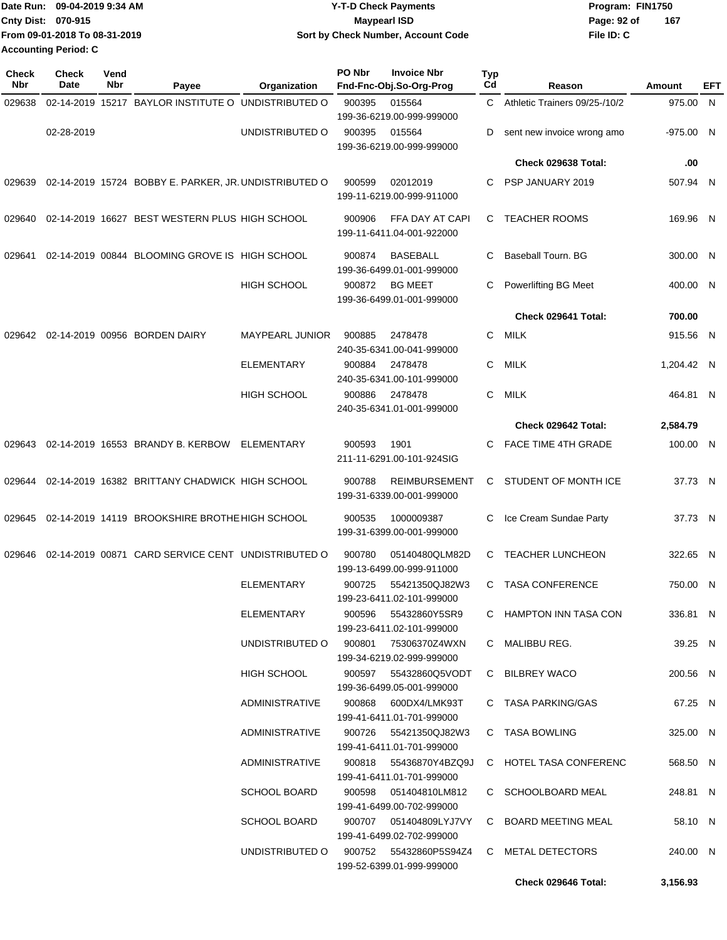|                           | Date Run: 09-04-2019 9:34 AM  | <b>Y-T-D Check Payments</b>        | Program: FIN1750   |
|---------------------------|-------------------------------|------------------------------------|--------------------|
| <b>Cnty Dist: 070-915</b> |                               | <b>Mavpearl ISD</b>                | 167<br>Page: 92 of |
|                           | From 09-01-2018 To 08-31-2019 | Sort by Check Number, Account Code | File ID: C         |
| Accounting Period: C      |                               |                                    |                    |

| <b>Check</b><br>Nbr | <b>Check</b><br>Date | Vend<br>Nbr | Payee                                                 | Organization           | PO Nbr | <b>Invoice Nbr</b><br>Fnd-Fnc-Obj.So-Org-Prog                       | Typ<br>Cd | Reason                        | Amount      | EFT |
|---------------------|----------------------|-------------|-------------------------------------------------------|------------------------|--------|---------------------------------------------------------------------|-----------|-------------------------------|-------------|-----|
| 029638              |                      |             | 02-14-2019 15217 BAYLOR INSTITUTE O UNDISTRIBUTED O   |                        | 900395 | 015564                                                              | C         | Athletic Trainers 09/25-/10/2 | 975.00 N    |     |
|                     | 02-28-2019           |             |                                                       | UNDISTRIBUTED O        |        | 199-36-6219.00-999-999000                                           |           |                               | $-975.00$ N |     |
|                     |                      |             |                                                       |                        | 900395 | 015564<br>199-36-6219.00-999-999000                                 | D         | sent new invoice wrong amo    |             |     |
|                     |                      |             |                                                       |                        |        |                                                                     |           | Check 029638 Total:           | .00         |     |
| 029639              |                      |             | 02-14-2019 15724 BOBBY E. PARKER, JR. UNDISTRIBUTED O |                        | 900599 | 02012019<br>199-11-6219.00-999-911000                               | С         | PSP JANUARY 2019              | 507.94 N    |     |
| 029640              |                      |             | 02-14-2019 16627 BEST WESTERN PLUS HIGH SCHOOL        |                        | 900906 | FFA DAY AT CAPI<br>199-11-6411.04-001-922000                        | C         | <b>TEACHER ROOMS</b>          | 169.96 N    |     |
| 029641              |                      |             | 02-14-2019 00844 BLOOMING GROVE IS HIGH SCHOOL        |                        | 900874 | <b>BASEBALL</b><br>199-36-6499.01-001-999000                        | С         | Baseball Tourn. BG            | 300.00 N    |     |
|                     |                      |             |                                                       | <b>HIGH SCHOOL</b>     | 900872 | <b>BG MEET</b><br>199-36-6499.01-001-999000                         | С         | Powerlifting BG Meet          | 400.00 N    |     |
|                     |                      |             |                                                       |                        |        |                                                                     |           | Check 029641 Total:           | 700.00      |     |
| 029642              |                      |             | 02-14-2019 00956 BORDEN DAIRY                         | <b>MAYPEARL JUNIOR</b> | 900885 | 2478478<br>240-35-6341.00-041-999000                                | C         | MILK                          | 915.56 N    |     |
|                     |                      |             |                                                       | <b>ELEMENTARY</b>      | 900884 | 2478478<br>240-35-6341.00-101-999000                                | C         | MILK                          | 1,204.42 N  |     |
|                     |                      |             |                                                       | <b>HIGH SCHOOL</b>     | 900886 | 2478478<br>240-35-6341.01-001-999000                                | С         | MILK                          | 464.81 N    |     |
|                     |                      |             |                                                       |                        |        |                                                                     |           | Check 029642 Total:           | 2,584.79    |     |
| 029643              |                      |             | 02-14-2019 16553 BRANDY B. KERBOW                     | ELEMENTARY             | 900593 | 1901<br>211-11-6291.00-101-924SIG                                   | С         | <b>FACE TIME 4TH GRADE</b>    | 100.00 N    |     |
| 029644              |                      |             | 02-14-2019 16382 BRITTANY CHADWICK HIGH SCHOOL        |                        | 900788 | <b>REIMBURSEMENT</b><br>199-31-6339.00-001-999000                   | С         | STUDENT OF MONTH ICE          | 37.73 N     |     |
| 029645              |                      |             | 02-14-2019 14119 BROOKSHIRE BROTHE HIGH SCHOOL        |                        | 900535 | 1000009387<br>199-31-6399.00-001-999000                             | C         | Ice Cream Sundae Party        | 37.73 N     |     |
| 029646              |                      |             | 02-14-2019 00871 CARD SERVICE CENT UNDISTRIBUTED O    |                        | 900780 | 05140480QLM82D<br>199-13-6499.00-999-911000                         | C         | <b>TEACHER LUNCHEON</b>       | 322.65 N    |     |
|                     |                      |             |                                                       | <b>ELEMENTARY</b>      | 900725 | 55421350QJ82W3<br>199-23-6411.02-101-999000                         | C.        | <b>TASA CONFERENCE</b>        | 750.00 N    |     |
|                     |                      |             |                                                       | ELEMENTARY             | 900596 | 55432860Y5SR9<br>199-23-6411.02-101-999000                          |           | C HAMPTON INN TASA CON        | 336.81 N    |     |
|                     |                      |             |                                                       | UNDISTRIBUTED O 900801 |        | 75306370Z4WXN<br>199-34-6219.02-999-999000                          |           | C MALIBBU REG.                | 39.25 N     |     |
|                     |                      |             |                                                       | HIGH SCHOOL            |        | 900597    55432860Q5VODT<br>199-36-6499.05-001-999000               |           | C BILBREY WACO                | 200.56 N    |     |
|                     |                      |             |                                                       | ADMINISTRATIVE         |        | 900868 600DX4/LMK93T<br>199-41-6411.01-701-999000                   |           | C TASA PARKING/GAS            | 67.25 N     |     |
|                     |                      |             |                                                       | ADMINISTRATIVE         |        | 900726 55421350QJ82W3<br>199-41-6411.01-701-999000                  |           | C TASA BOWLING                | 325.00 N    |     |
|                     |                      |             |                                                       | ADMINISTRATIVE         |        | 900818 55436870Y4BZQ9J<br>199-41-6411.01-701-999000                 |           | C HOTEL TASA CONFERENC        | 568.50 N    |     |
|                     |                      |             |                                                       | <b>SCHOOL BOARD</b>    |        | 900598  051404810LM812<br>199-41-6499.00-702-999000                 |           | C SCHOOLBOARD MEAL            | 248.81 N    |     |
|                     |                      |             |                                                       | <b>SCHOOL BOARD</b>    |        | 900707  051404809LYJ7VY<br>199-41-6499.02-702-999000                |           | C BOARD MEETING MEAL          | 58.10 N     |     |
|                     |                      |             |                                                       |                        |        | UNDISTRIBUTED O 900752 55432860P5S94Z4<br>199-52-6399.01-999-999000 |           | C METAL DETECTORS             | 240.00 N    |     |
|                     |                      |             |                                                       |                        |        |                                                                     |           | Check 029646 Total:           | 3,156.93    |     |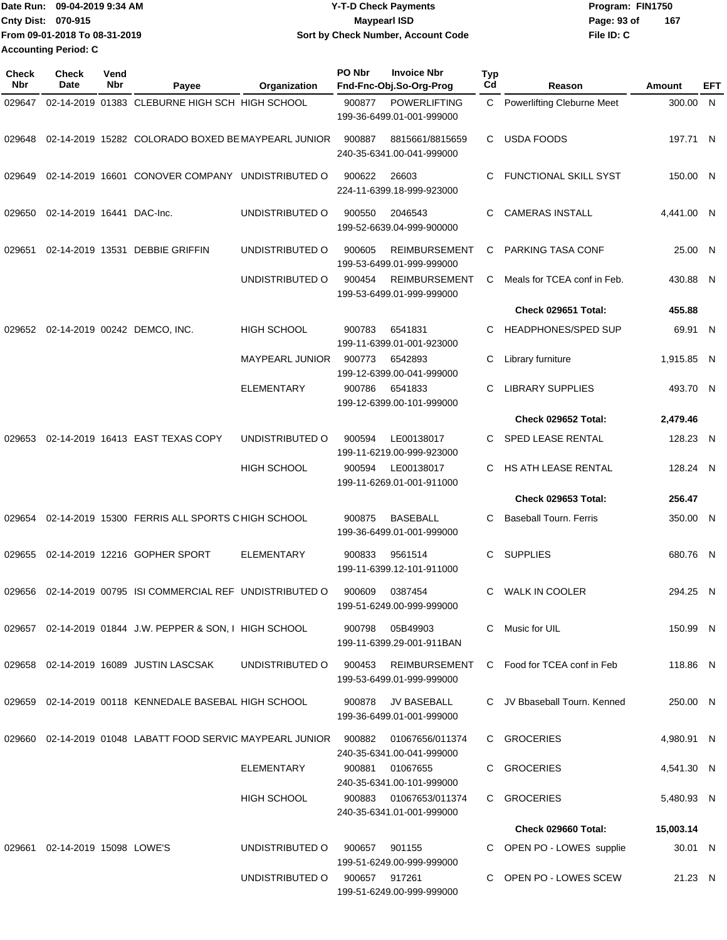| Date Run: 09-04-2019 9:34 AM  | <b>Y-T-D Check Payments</b>        | Program: FIN1750   |
|-------------------------------|------------------------------------|--------------------|
| <b>Cnty Dist: 070-915</b>     | <b>Mavpearl ISD</b>                | 167<br>Page: 93 of |
| From 09-01-2018 To 08-31-2019 | Sort by Check Number, Account Code | File ID: C         |
| <b>Accounting Period: C</b>   |                                    |                    |

| <b>Check</b><br>Nbr | <b>Check</b><br>Date      | Vend<br><b>Nbr</b> | Payee                                                      | Organization           | PO Nbr | <b>Invoice Nbr</b><br>Fnd-Fnc-Obj.So-Org-Prog     | Typ<br>Cd | Reason                        | <b>Amount</b> | EFT |
|---------------------|---------------------------|--------------------|------------------------------------------------------------|------------------------|--------|---------------------------------------------------|-----------|-------------------------------|---------------|-----|
| 029647              |                           |                    | 02-14-2019 01383 CLEBURNE HIGH SCH HIGH SCHOOL             |                        | 900877 | <b>POWERLIFTING</b><br>199-36-6499.01-001-999000  | C.        | Powerlifting Cleburne Meet    | 300.00 N      |     |
| 029648              |                           |                    | 02-14-2019 15282 COLORADO BOXED BE MAYPEARL JUNIOR         |                        | 900887 | 8815661/8815659<br>240-35-6341.00-041-999000      | C.        | <b>USDA FOODS</b>             | 197.71 N      |     |
| 029649              |                           |                    | 02-14-2019 16601 CONOVER COMPANY UNDISTRIBUTED O           |                        | 900622 | 26603<br>224-11-6399.18-999-923000                | C.        | <b>FUNCTIONAL SKILL SYST</b>  | 150.00 N      |     |
| 029650              | 02-14-2019 16441 DAC-Inc. |                    |                                                            | UNDISTRIBUTED O        | 900550 | 2046543<br>199-52-6639.04-999-900000              | C.        | <b>CAMERAS INSTALL</b>        | 4,441.00 N    |     |
| 029651              |                           |                    | 02-14-2019 13531 DEBBIE GRIFFIN                            | UNDISTRIBUTED O        | 900605 | <b>REIMBURSEMENT</b><br>199-53-6499.01-999-999000 | C         | PARKING TASA CONF             | 25.00 N       |     |
|                     |                           |                    |                                                            | UNDISTRIBUTED O        | 900454 | <b>REIMBURSEMENT</b><br>199-53-6499.01-999-999000 | C         | Meals for TCEA conf in Feb.   | 430.88 N      |     |
|                     |                           |                    |                                                            |                        |        |                                                   |           | Check 029651 Total:           | 455.88        |     |
| 029652              |                           |                    | 02-14-2019 00242 DEMCO, INC.                               | <b>HIGH SCHOOL</b>     | 900783 | 6541831<br>199-11-6399.01-001-923000              | C.        | <b>HEADPHONES/SPED SUP</b>    | 69.91 N       |     |
|                     |                           |                    |                                                            | <b>MAYPEARL JUNIOR</b> | 900773 | 6542893<br>199-12-6399.00-041-999000              | C         | Library furniture             | 1,915.85 N    |     |
|                     |                           |                    |                                                            | <b>ELEMENTARY</b>      | 900786 | 6541833<br>199-12-6399.00-101-999000              | C         | <b>LIBRARY SUPPLIES</b>       | 493.70 N      |     |
|                     |                           |                    |                                                            |                        |        |                                                   |           | Check 029652 Total:           | 2,479.46      |     |
| 029653              |                           |                    | 02-14-2019 16413 EAST TEXAS COPY                           | UNDISTRIBUTED O        | 900594 | LE00138017<br>199-11-6219.00-999-923000           | C.        | SPED LEASE RENTAL             | 128.23 N      |     |
|                     |                           |                    |                                                            | <b>HIGH SCHOOL</b>     | 900594 | LE00138017<br>199-11-6269.01-001-911000           | C.        | HS ATH LEASE RENTAL           | 128.24 N      |     |
|                     |                           |                    |                                                            |                        |        |                                                   |           | Check 029653 Total:           | 256.47        |     |
| 029654              |                           |                    | 02-14-2019 15300 FERRIS ALL SPORTS CHIGH SCHOOL            |                        | 900875 | <b>BASEBALL</b><br>199-36-6499.01-001-999000      | C.        | <b>Baseball Tourn. Ferris</b> | 350.00 N      |     |
| 029655              |                           |                    | 02-14-2019 12216 GOPHER SPORT                              | <b>ELEMENTARY</b>      | 900833 | 9561514<br>199-11-6399.12-101-911000              | C         | <b>SUPPLIES</b>               | 680.76 N      |     |
| 029656              |                           |                    | 02-14-2019 00795 ISI COMMERCIAL REF UNDISTRIBUTED O        |                        | 900609 | 0387454<br>199-51-6249.00-999-999000              | C         | <b>WALK IN COOLER</b>         | 294.25 N      |     |
|                     |                           |                    | 029657 02-14-2019 01844 J.W. PEPPER & SON, I HIGH SCHOOL   |                        | 900798 | 05B49903<br>199-11-6399.29-001-911BAN             | C.        | Music for UIL                 | 150.99 N      |     |
| 029658              |                           |                    | 02-14-2019 16089 JUSTIN LASCSAK                            | UNDISTRIBUTED O        | 900453 | REIMBURSEMENT<br>199-53-6499.01-999-999000        |           | C Food for TCEA conf in Feb   | 118.86 N      |     |
|                     |                           |                    | 029659 02-14-2019 00118 KENNEDALE BASEBAL HIGH SCHOOL      |                        | 900878 | JV BASEBALL<br>199-36-6499.01-001-999000          |           | C JV Bbaseball Tourn, Kenned  | 250.00 N      |     |
|                     |                           |                    | 029660 02-14-2019 01048 LABATT FOOD SERVIC MAYPEARL JUNIOR |                        | 900882 | 01067656/011374<br>240-35-6341.00-041-999000      |           | C GROCERIES                   | 4,980.91 N    |     |
|                     |                           |                    |                                                            | ELEMENTARY             | 900881 | 01067655<br>240-35-6341.00-101-999000             |           | C GROCERIES                   | 4,541.30 N    |     |
|                     |                           |                    |                                                            | <b>HIGH SCHOOL</b>     | 900883 | 01067653/011374<br>240-35-6341.01-001-999000      |           | C GROCERIES                   | 5,480.93 N    |     |
|                     |                           |                    |                                                            |                        |        |                                                   |           | Check 029660 Total:           | 15,003.14     |     |
| 029661              | 02-14-2019 15098 LOWE'S   |                    |                                                            | UNDISTRIBUTED O        | 900657 | 901155<br>199-51-6249.00-999-999000               |           | OPEN PO - LOWES supplie       | 30.01 N       |     |
|                     |                           |                    |                                                            | UNDISTRIBUTED O        | 900657 | 917261<br>199-51-6249.00-999-999000               |           | C OPEN PO - LOWES SCEW        | 21.23 N       |     |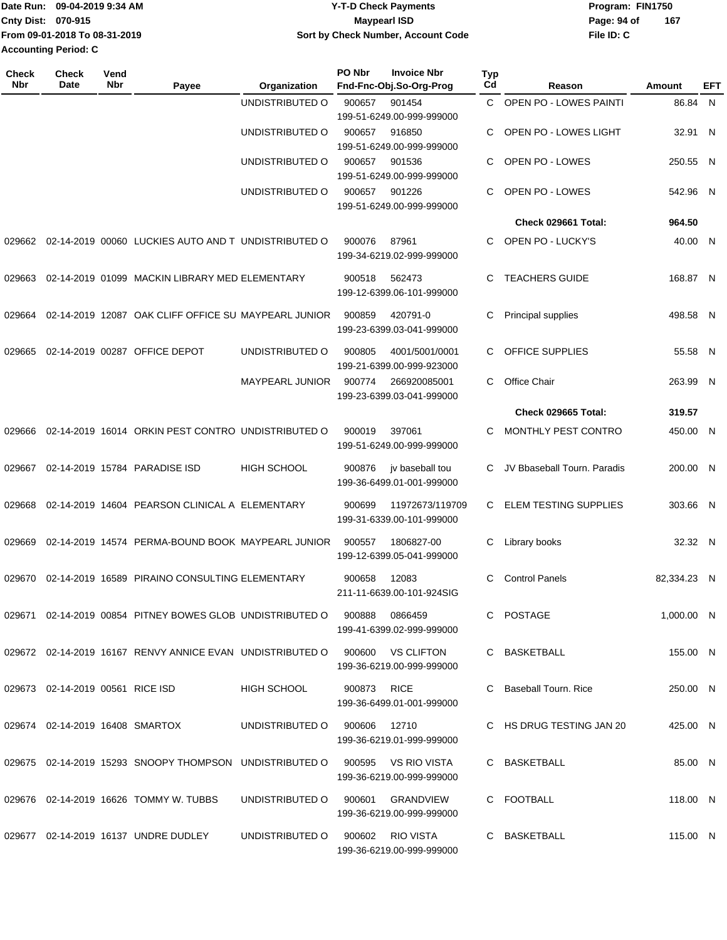|                           | Date Run: 09-04-2019 9:34 AM  | Y-T-D Check Payments               | Program: FIN1750   |
|---------------------------|-------------------------------|------------------------------------|--------------------|
| <b>Cnty Dist: 070-915</b> |                               | Maypearl ISD                       | 167<br>Page: 94 of |
|                           | From 09-01-2018 To 08-31-2019 | Sort by Check Number, Account Code | File ID: C         |
| Accounting Period: C      |                               |                                    |                    |

| <b>Check</b><br>Nbr | <b>Check</b><br>Date             | Vend<br>Nbr | Payee                                                                       | Organization           | PO Nbr       | <b>Invoice Nbr</b><br>Fnd-Fnc-Obj.So-Org-Prog | <b>Typ</b><br>Cd | Reason                       | Amount       | EFT |
|---------------------|----------------------------------|-------------|-----------------------------------------------------------------------------|------------------------|--------------|-----------------------------------------------|------------------|------------------------------|--------------|-----|
|                     |                                  |             |                                                                             | UNDISTRIBUTED O        | 900657       | 901454                                        | C.               | OPEN PO - LOWES PAINTI       | 86.84 N      |     |
|                     |                                  |             |                                                                             |                        |              | 199-51-6249.00-999-999000                     |                  |                              |              |     |
|                     |                                  |             |                                                                             | UNDISTRIBUTED O        | 900657       | 916850                                        | C                | <b>OPEN PO - LOWES LIGHT</b> | 32.91 N      |     |
|                     |                                  |             |                                                                             |                        |              | 199-51-6249.00-999-999000                     |                  |                              |              |     |
|                     |                                  |             |                                                                             | UNDISTRIBUTED O        | 900657       | 901536                                        | С                | OPEN PO - LOWES              | 250.55 N     |     |
|                     |                                  |             |                                                                             |                        |              | 199-51-6249.00-999-999000                     |                  | OPEN PO - LOWES              |              |     |
|                     |                                  |             |                                                                             | UNDISTRIBUTED O        | 900657       | 901226<br>199-51-6249.00-999-999000           | С                |                              | 542.96 N     |     |
|                     |                                  |             |                                                                             |                        |              |                                               |                  | Check 029661 Total:          | 964.50       |     |
| 029662              |                                  |             | 02-14-2019 00060 LUCKIES AUTO AND T UNDISTRIBUTED O                         |                        | 900076       | 87961<br>199-34-6219.02-999-999000            | C.               | OPEN PO - LUCKY'S            | 40.00 N      |     |
| 029663              |                                  |             | 02-14-2019 01099 MACKIN LIBRARY MED ELEMENTARY                              |                        | 900518       | 562473                                        | C.               | <b>TEACHERS GUIDE</b>        | 168.87 N     |     |
|                     |                                  |             |                                                                             |                        |              | 199-12-6399.06-101-999000                     |                  |                              |              |     |
| 029664              |                                  |             | 02-14-2019 12087 OAK CLIFF OFFICE SU MAYPEARL JUNIOR                        |                        | 900859       | 420791-0                                      | C                | Principal supplies           | 498.58 N     |     |
|                     |                                  |             |                                                                             |                        |              | 199-23-6399.03-041-999000                     |                  |                              |              |     |
|                     |                                  |             |                                                                             |                        |              |                                               |                  | OFFICE SUPPLIES              |              |     |
| 029665              |                                  |             | 02-14-2019 00287 OFFICE DEPOT                                               | UNDISTRIBUTED O        | 900805       | 4001/5001/0001<br>199-21-6399.00-999-923000   | C.               |                              | 55.58 N      |     |
|                     |                                  |             |                                                                             | <b>MAYPEARL JUNIOR</b> | 900774       | 266920085001                                  | C                | Office Chair                 | 263.99 N     |     |
|                     |                                  |             |                                                                             |                        |              | 199-23-6399.03-041-999000                     |                  |                              |              |     |
|                     |                                  |             |                                                                             |                        |              |                                               |                  | Check 029665 Total:          | 319.57       |     |
| 029666              |                                  |             | 02-14-2019 16014 ORKIN PEST CONTRO UNDISTRIBUTED O                          |                        | 900019       | 397061                                        | C                | MONTHLY PEST CONTRO          | 450.00 N     |     |
|                     |                                  |             |                                                                             |                        |              | 199-51-6249.00-999-999000                     |                  |                              |              |     |
| 029667              |                                  |             | 02-14-2019 15784 PARADISE ISD                                               | <b>HIGH SCHOOL</b>     | 900876       | jv baseball tou                               | C                | JV Bbaseball Tourn. Paradis  | 200.00 N     |     |
|                     |                                  |             |                                                                             |                        |              | 199-36-6499.01-001-999000                     |                  |                              |              |     |
|                     |                                  |             |                                                                             |                        |              |                                               |                  | <b>ELEM TESTING SUPPLIES</b> |              |     |
| 029668              |                                  |             | 02-14-2019 14604 PEARSON CLINICAL A ELEMENTARY                              |                        | 900699       | 11972673/119709<br>199-31-6339.00-101-999000  | C                |                              | 303.66 N     |     |
|                     |                                  |             |                                                                             |                        |              |                                               |                  |                              |              |     |
| 029669              |                                  |             | 02-14-2019 14574 PERMA-BOUND BOOK MAYPEARL JUNIOR                           |                        | 900557       | 1806827-00<br>199-12-6399.05-041-999000       | С                | Library books                | 32.32 N      |     |
|                     |                                  |             |                                                                             |                        |              |                                               |                  |                              |              |     |
| 029670              |                                  |             | 02-14-2019 16589 PIRAINO CONSULTING ELEMENTARY                              |                        | 900658       | 12083                                         | C.               | <b>Control Panels</b>        | 82,334.23 N  |     |
|                     |                                  |             |                                                                             |                        |              | 211-11-6639.00-101-924SIG                     |                  |                              |              |     |
|                     |                                  |             | 029671  02-14-2019  00854  PITNEY BOWES  GLOB  UNDISTRIBUTED   0  900888    |                        |              | 0866459                                       |                  | C POSTAGE                    | $1,000.00$ N |     |
|                     |                                  |             |                                                                             |                        |              | 199-41-6399.02-999-999000                     |                  |                              |              |     |
|                     |                                  |             | 029672 02-14-2019 16167 RENVY ANNICE EVAN UNDISTRIBUTED O 900600 VS CLIFTON |                        |              |                                               |                  | C BASKETBALL                 | 155.00 N     |     |
|                     |                                  |             |                                                                             |                        |              | 199-36-6219.00-999-999000                     |                  |                              |              |     |
|                     | 029673 02-14-2019 00561 RICE ISD |             |                                                                             | HIGH SCHOOL            | 900873 RICE  |                                               |                  | C Baseball Tourn, Rice       | 250.00 N     |     |
|                     |                                  |             |                                                                             |                        |              | 199-36-6499.01-001-999000                     |                  |                              |              |     |
|                     | 029674 02-14-2019 16408 SMARTOX  |             |                                                                             | UNDISTRIBUTED O        | 900606 12710 |                                               |                  | C HS DRUG TESTING JAN 20     | 425.00 N     |     |
|                     |                                  |             |                                                                             |                        |              | 199-36-6219.01-999-999000                     |                  |                              |              |     |
|                     |                                  |             |                                                                             |                        |              |                                               |                  |                              |              |     |
|                     |                                  |             | 029675 02-14-2019 15293 SNOOPY THOMPSON UNDISTRIBUTED O 900595 VS RIO VISTA |                        |              | 199-36-6219.00-999-999000                     |                  | C BASKETBALL                 | 85.00 N      |     |
|                     |                                  |             |                                                                             |                        |              |                                               |                  |                              |              |     |
|                     |                                  |             | 029676 02-14-2019 16626 TOMMY W. TUBBS                                      | UNDISTRIBUTED O        | 900601       | GRANDVIEW                                     |                  | C FOOTBALL                   | 118.00 N     |     |
|                     |                                  |             |                                                                             |                        |              | 199-36-6219.00-999-999000                     |                  |                              |              |     |
|                     |                                  |             | 029677  02-14-2019  16137  UNDRE DUDLEY                                     | UNDISTRIBUTED O        |              | 900602 RIO VISTA                              |                  | C BASKETBALL                 | 115.00 N     |     |
|                     |                                  |             |                                                                             |                        |              | 199-36-6219.00-999-999000                     |                  |                              |              |     |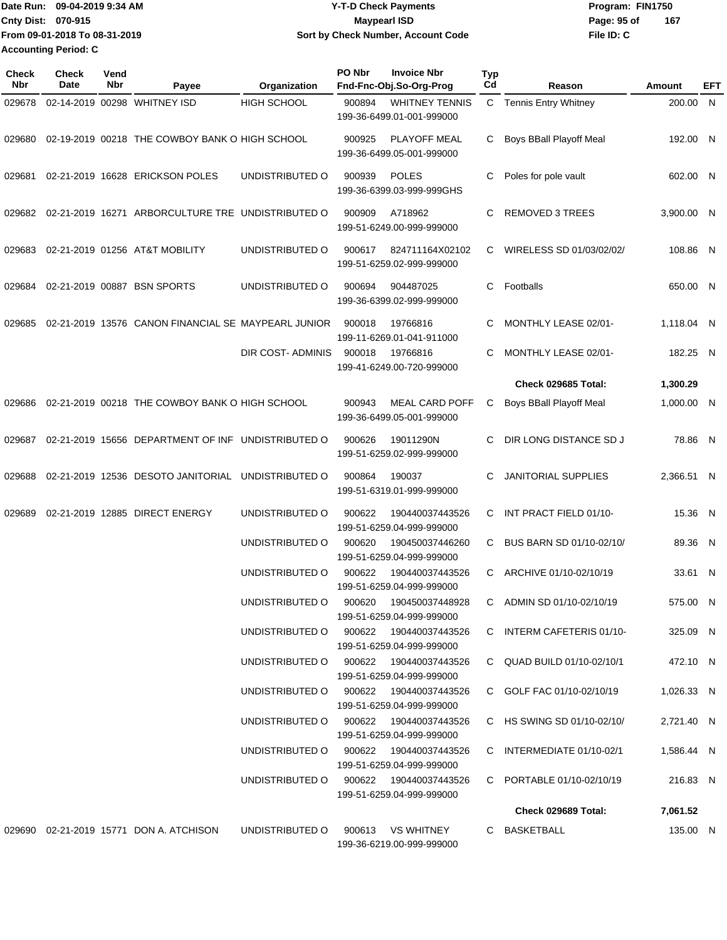Date Run: 09-04-2019 9:34 AM **Date Runity Controller State Payments** Program: FIN1750 **Cnty Dist:** 070-915 **Page: 95 of MaypearI ISD Conty Dist:** 070-915 **File ID: C From 09-01-2018 To 08-31-2019 09-04-2019 9:34 AM Y-T-D Check Payments 070-915 Maypearl ISD Sort by Check Number, Account Code 167 Accounting Period: C**

| <b>Check</b><br>Nbr | <b>Check</b><br><b>Date</b> | Vend<br>Nbr | Payee                                               | Organization                                              | PO Nbr | <b>Invoice Nbr</b><br>Fnd-Fnc-Obj.So-Org-Prog       | Typ<br>Cd | Reason                     | Amount                   | EFT |
|---------------------|-----------------------------|-------------|-----------------------------------------------------|-----------------------------------------------------------|--------|-----------------------------------------------------|-----------|----------------------------|--------------------------|-----|
| 029678              |                             |             | 02-14-2019 00298 WHITNEY ISD                        | <b>HIGH SCHOOL</b>                                        | 900894 | <b>WHITNEY TENNIS</b><br>199-36-6499.01-001-999000  |           | C Tennis Entry Whitney     | 200.00 N                 |     |
| 029680              |                             |             | 02-19-2019 00218 THE COWBOY BANK O HIGH SCHOOL      |                                                           | 900925 | PLAYOFF MEAL<br>199-36-6499.05-001-999000           | C         | Boys BBall Playoff Meal    | 192.00 N                 |     |
| 029681              |                             |             | 02-21-2019 16628 ERICKSON POLES                     | UNDISTRIBUTED O                                           | 900939 | <b>POLES</b><br>199-36-6399.03-999-999GHS           | С         | Poles for pole vault       | 602.00 N                 |     |
| 029682              |                             |             | 02-21-2019 16271 ARBORCULTURE TRE UNDISTRIBUTED O   |                                                           | 900909 | A718962<br>199-51-6249.00-999-999000                | C         | <b>REMOVED 3 TREES</b>     | 3,900.00 N               |     |
| 029683              |                             |             | 02-21-2019 01256 AT&T MOBILITY                      | UNDISTRIBUTED O                                           | 900617 | 824711164X02102<br>199-51-6259.02-999-999000        | C         | WIRELESS SD 01/03/02/02/   | 108.86 N                 |     |
| 029684              |                             |             | 02-21-2019 00887 BSN SPORTS                         | UNDISTRIBUTED O                                           | 900694 | 904487025<br>199-36-6399.02-999-999000              | C.        | Footballs                  | 650.00 N                 |     |
| 029685              |                             |             | 02-21-2019 13576 CANON FINANCIAL SE MAYPEARL JUNIOR |                                                           | 900018 | 19766816<br>199-11-6269.01-041-911000               | C         | MONTHLY LEASE 02/01-       | 1,118.04 N               |     |
|                     |                             |             |                                                     | DIR COST-ADMINIS                                          | 900018 | 19766816<br>199-41-6249.00-720-999000               | C         | MONTHLY LEASE 02/01-       | 182.25 N                 |     |
|                     |                             |             |                                                     |                                                           |        |                                                     |           | Check 029685 Total:        | 1,300.29                 |     |
| 029686              |                             |             | 02-21-2019 00218 THE COWBOY BANK O HIGH SCHOOL      |                                                           | 900943 | <b>MEAL CARD POFF</b><br>199-36-6499.05-001-999000  | C         | Boys BBall Playoff Meal    | 1,000.00 N               |     |
| 029687              |                             |             | 02-21-2019 15656 DEPARTMENT OF INF UNDISTRIBUTED O  |                                                           | 900626 | 19011290N<br>199-51-6259.02-999-999000              | C         | DIR LONG DISTANCE SD J     | 78.86 N                  |     |
| 029688              |                             |             | 02-21-2019 12536 DESOTO JANITORIAL UNDISTRIBUTED O  |                                                           | 900864 | 190037<br>199-51-6319.01-999-999000                 | C         | <b>JANITORIAL SUPPLIES</b> | 2,366.51 N               |     |
| 029689              |                             |             | 02-21-2019 12885 DIRECT ENERGY                      | UNDISTRIBUTED O                                           | 900622 | 190440037443526<br>199-51-6259.04-999-999000        | C         | INT PRACT FIELD 01/10-     | 15.36 N                  |     |
|                     |                             |             |                                                     | UNDISTRIBUTED O                                           | 900620 | 190450037446260<br>199-51-6259.04-999-999000        | C.        | BUS BARN SD 01/10-02/10/   | 89.36 N                  |     |
|                     |                             |             |                                                     | UNDISTRIBUTED O                                           | 900622 | 190440037443526<br>199-51-6259.04-999-999000        | C.        | ARCHIVE 01/10-02/10/19     | 33.61 N                  |     |
|                     |                             |             |                                                     | UNDISTRIBUTED O                                           |        | 199-51-6259.04-999-999000                           |           | C ADMIN SD 01/10-02/10/19  | 575.00 N                 |     |
|                     |                             |             |                                                     | UNDISTRIBUTED O                                           |        | 900622 190440037443526<br>199-51-6259.04-999-999000 |           | C INTERM CAFETERIS 01/10-  | 325.09 N                 |     |
|                     |                             |             |                                                     | UNDISTRIBUTED O                                           |        | 900622 190440037443526<br>199-51-6259.04-999-999000 |           | C QUAD BUILD 01/10-02/10/1 | 472.10 N                 |     |
|                     |                             |             |                                                     | UNDISTRIBUTED O 900622 190440037443526                    |        | 199-51-6259.04-999-999000                           |           | C GOLF FAC 01/10-02/10/19  | 1,026.33 N               |     |
|                     |                             |             |                                                     | UNDISTRIBUTED O 900622 190440037443526<br>UNDISTRIBUTED O |        | 199-51-6259.04-999-999000<br>900622 190440037443526 |           | C HS SWING SD 01/10-02/10/ | 2,721.40 N<br>1,586.44 N |     |
|                     |                             |             |                                                     |                                                           |        | 199-51-6259.04-999-999000                           |           | C INTERMEDIATE 01/10-02/1  |                          |     |
|                     |                             |             |                                                     | UNDISTRIBUTED O                                           |        | 900622 190440037443526<br>199-51-6259.04-999-999000 |           | C PORTABLE 01/10-02/10/19  | 216.83 N                 |     |
|                     |                             |             |                                                     |                                                           |        |                                                     |           | Check 029689 Total:        | 7,061.52                 |     |
|                     |                             |             | 029690 02-21-2019 15771 DON A. ATCHISON             | UNDISTRIBUTED O                                           |        | 900613 VS WHITNEY<br>199-36-6219.00-999-999000      |           | C BASKETBALL               | 135.00 N                 |     |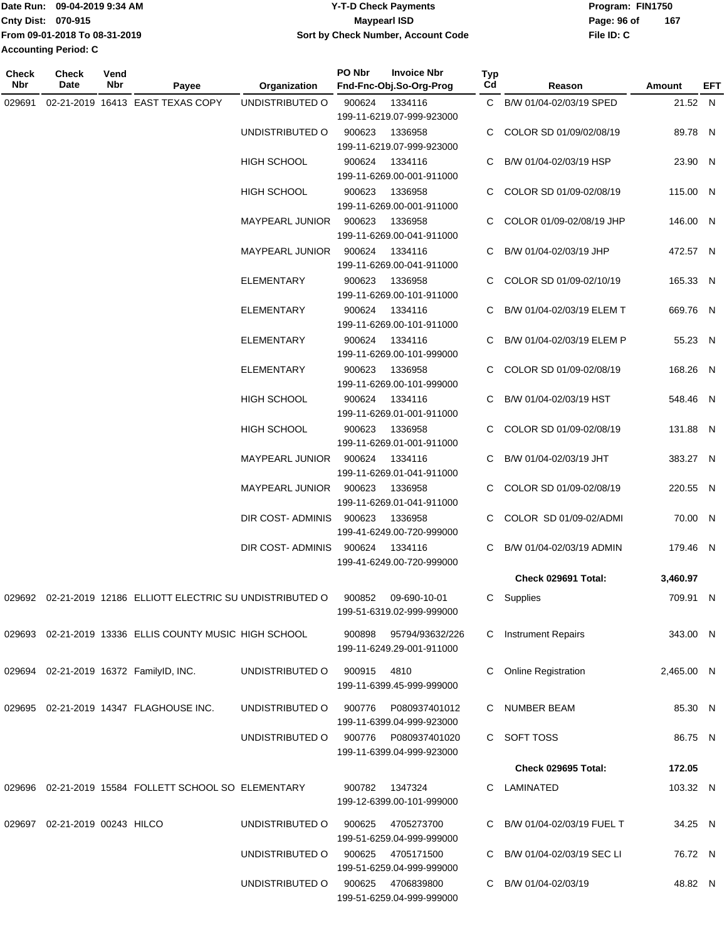|                           | IDate Run: 09-04-2019 9:34 AM | <b>Y-T-D Check Payments</b>        | Program: FIN1750   |
|---------------------------|-------------------------------|------------------------------------|--------------------|
| <b>Cnty Dist: 070-915</b> |                               | <b>Mavpearl ISD</b>                | 167<br>Page: 96 of |
|                           | From 09-01-2018 To 08-31-2019 | Sort by Check Number, Account Code | File ID: C         |
| Accounting Period: C      |                               |                                    |                    |

| <b>Check</b><br>Nbr | Check<br><b>Date</b>          | Vend<br><b>Nbr</b> | Payee                                                       | Organization                      | PO Nbr      | <b>Invoice Nbr</b><br>Fnd-Fnc-Obj.So-Org-Prog | Typ<br>Cd | Reason                      | Amount     | <b>EFT</b> |
|---------------------|-------------------------------|--------------------|-------------------------------------------------------------|-----------------------------------|-------------|-----------------------------------------------|-----------|-----------------------------|------------|------------|
| 029691              |                               |                    | 02-21-2019 16413 EAST TEXAS COPY                            | UNDISTRIBUTED O                   | 900624      | 1334116                                       |           | C B/W 01/04-02/03/19 SPED   | 21.52 N    |            |
|                     |                               |                    |                                                             |                                   |             | 199-11-6219.07-999-923000                     |           |                             |            |            |
|                     |                               |                    |                                                             | UNDISTRIBUTED O                   | 900623      | 1336958                                       | C.        | COLOR SD 01/09/02/08/19     | 89.78 N    |            |
|                     |                               |                    |                                                             |                                   |             | 199-11-6219.07-999-923000                     |           |                             |            |            |
|                     |                               |                    |                                                             | HIGH SCHOOL                       | 900624      | 1334116                                       | C.        | B/W 01/04-02/03/19 HSP      | 23.90 N    |            |
|                     |                               |                    |                                                             |                                   |             | 199-11-6269.00-001-911000                     |           |                             |            |            |
|                     |                               |                    |                                                             | HIGH SCHOOL                       | 900623      | 1336958                                       |           | COLOR SD 01/09-02/08/19     | 115.00 N   |            |
|                     |                               |                    |                                                             |                                   |             | 199-11-6269.00-001-911000                     |           |                             |            |            |
|                     |                               |                    |                                                             | MAYPEARL JUNIOR                   | 900623      | 1336958                                       | C.        | COLOR 01/09-02/08/19 JHP    | 146.00 N   |            |
|                     |                               |                    |                                                             |                                   |             | 199-11-6269.00-041-911000                     |           |                             |            |            |
|                     |                               |                    |                                                             | MAYPEARL JUNIOR                   | 900624      | 1334116                                       |           | C B/W 01/04-02/03/19 JHP    | 472.57 N   |            |
|                     |                               |                    |                                                             |                                   |             | 199-11-6269.00-041-911000                     |           |                             |            |            |
|                     |                               |                    |                                                             | ELEMENTARY                        | 900623      | 1336958                                       |           | C COLOR SD 01/09-02/10/19   | 165.33 N   |            |
|                     |                               |                    |                                                             |                                   |             | 199-11-6269.00-101-911000                     |           |                             |            |            |
|                     |                               |                    |                                                             | <b>ELEMENTARY</b>                 | 900624      | 1334116                                       |           | C B/W 01/04-02/03/19 ELEM T | 669.76 N   |            |
|                     |                               |                    |                                                             |                                   |             | 199-11-6269.00-101-911000                     |           |                             |            |            |
|                     |                               |                    |                                                             | <b>ELEMENTARY</b>                 | 900624      | 1334116                                       |           | C B/W 01/04-02/03/19 ELEM P | 55.23 N    |            |
|                     |                               |                    |                                                             |                                   |             | 199-11-6269.00-101-999000                     |           |                             |            |            |
|                     |                               |                    |                                                             | <b>ELEMENTARY</b>                 | 900623      | 1336958                                       |           | C COLOR SD 01/09-02/08/19   | 168.26 N   |            |
|                     |                               |                    |                                                             |                                   |             | 199-11-6269.00-101-999000                     |           |                             |            |            |
|                     |                               |                    |                                                             | <b>HIGH SCHOOL</b>                | 900624      | 1334116                                       |           | C B/W 01/04-02/03/19 HST    | 548.46 N   |            |
|                     |                               |                    |                                                             |                                   |             | 199-11-6269.01-001-911000                     |           |                             |            |            |
|                     |                               |                    |                                                             | <b>HIGH SCHOOL</b>                | 900623      | 1336958                                       |           | C COLOR SD 01/09-02/08/19   | 131.88 N   |            |
|                     |                               |                    |                                                             |                                   |             | 199-11-6269.01-001-911000                     |           |                             |            |            |
|                     |                               |                    |                                                             | MAYPEARL JUNIOR                   | 900624      | 1334116                                       |           | C B/W 01/04-02/03/19 JHT    | 383.27 N   |            |
|                     |                               |                    |                                                             |                                   |             | 199-11-6269.01-041-911000                     |           |                             |            |            |
|                     |                               |                    |                                                             | MAYPEARL JUNIOR                   | 900623      | 1336958                                       |           | COLOR SD 01/09-02/08/19     | 220.55 N   |            |
|                     |                               |                    |                                                             |                                   |             | 199-11-6269.01-041-911000                     |           |                             |            |            |
|                     |                               |                    |                                                             | DIR COST-ADMINIS                  | 900623      | 1336958                                       | C.        | COLOR SD 01/09-02/ADMI      | 70.00 N    |            |
|                     |                               |                    |                                                             |                                   |             | 199-41-6249.00-720-999000                     |           |                             |            |            |
|                     |                               |                    |                                                             | DIR COST- ADMINIS                 | 900624      | 1334116                                       | C.        | B/W 01/04-02/03/19 ADMIN    | 179.46 N   |            |
|                     |                               |                    |                                                             |                                   |             | 199-41-6249.00-720-999000                     |           |                             |            |            |
|                     |                               |                    |                                                             |                                   |             |                                               |           | Check 029691 Total:         | 3,460.97   |            |
|                     |                               |                    | 029692 02-21-2019 12186 ELLIOTT ELECTRIC SU UNDISTRIBUTED O |                                   | 900852      | 09-690-10-01                                  |           | C Supplies                  | 709.91 N   |            |
|                     |                               |                    |                                                             |                                   |             | 199-51-6319.02-999-999000                     |           |                             |            |            |
|                     |                               |                    |                                                             |                                   |             |                                               |           |                             |            |            |
|                     |                               |                    | 029693 02-21-2019 13336 ELLIS COUNTY MUSIC HIGH SCHOOL      |                                   | 900898      | 95794/93632/226                               |           | C Instrument Repairs        | 343.00 N   |            |
|                     |                               |                    |                                                             |                                   |             | 199-11-6249.29-001-911000                     |           |                             |            |            |
|                     |                               |                    | 029694 02-21-2019 16372 FamilyID, INC.                      | UNDISTRIBUTED O                   | 900915 4810 |                                               |           | C Online Registration       | 2,465.00 N |            |
|                     |                               |                    |                                                             |                                   |             | 199-11-6399.45-999-999000                     |           |                             |            |            |
|                     |                               |                    |                                                             |                                   |             |                                               |           |                             |            |            |
|                     |                               |                    | 029695 02-21-2019 14347 FLAGHOUSE INC.                      | UNDISTRIBUTED O                   | 900776      | P080937401012                                 |           | C NUMBER BEAM               | 85.30 N    |            |
|                     |                               |                    |                                                             |                                   |             | 199-11-6399.04-999-923000                     |           |                             |            |            |
|                     |                               |                    |                                                             | UNDISTRIBUTED O                   | 900776      | P080937401020                                 |           | C SOFT TOSS                 | 86.75 N    |            |
|                     |                               |                    |                                                             |                                   |             | 199-11-6399.04-999-923000                     |           |                             |            |            |
|                     |                               |                    |                                                             |                                   |             |                                               |           | Check 029695 Total:         | 172.05     |            |
|                     |                               |                    | 029696 02-21-2019 15584 FOLLETT SCHOOL SO ELEMENTARY        |                                   |             | 900782 1347324                                |           | C LAMINATED                 | 103.32 N   |            |
|                     |                               |                    |                                                             |                                   |             | 199-12-6399.00-101-999000                     |           |                             |            |            |
|                     |                               |                    |                                                             |                                   |             |                                               |           |                             |            |            |
|                     | 029697 02-21-2019 00243 HILCO |                    |                                                             | UNDISTRIBUTED O                   | 900625      | 4705273700<br>199-51-6259.04-999-999000       |           | C B/W 01/04-02/03/19 FUEL T | 34.25 N    |            |
|                     |                               |                    |                                                             | UNDISTRIBUTED O                   |             | 900625 4705171500                             |           | C B/W 01/04-02/03/19 SEC LI | 76.72 N    |            |
|                     |                               |                    |                                                             |                                   |             | 199-51-6259.04-999-999000                     |           |                             |            |            |
|                     |                               |                    |                                                             | UNDISTRIBUTED O 900625 4706839800 |             |                                               |           | C B/W 01/04-02/03/19        | 48.82 N    |            |
|                     |                               |                    |                                                             |                                   |             | 199-51-6259.04-999-999000                     |           |                             |            |            |
|                     |                               |                    |                                                             |                                   |             |                                               |           |                             |            |            |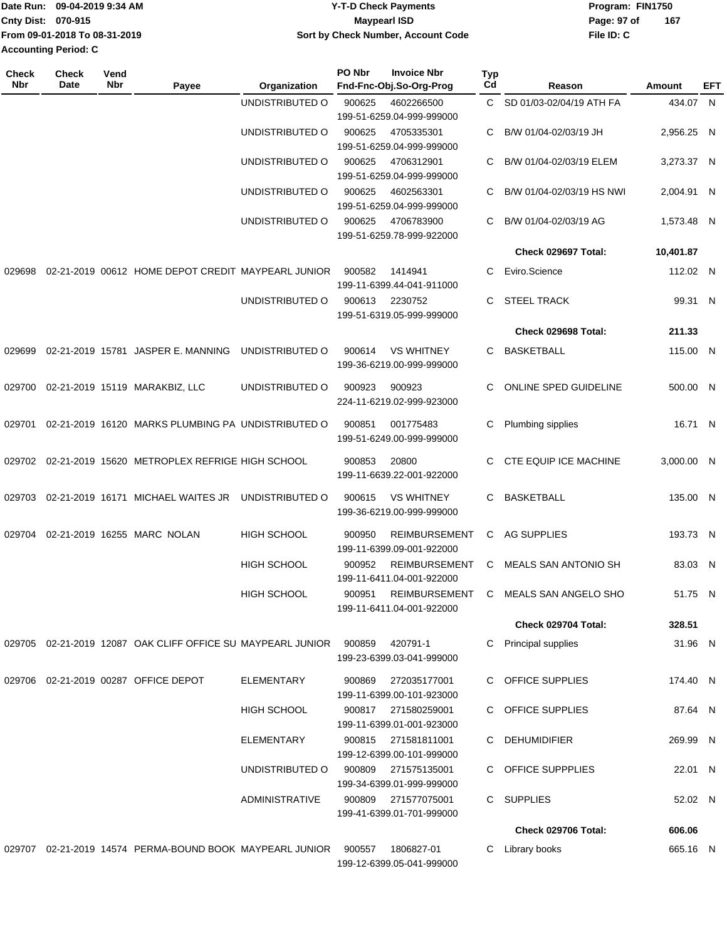|                             | Date Run: 09-04-2019 9:34 AM  | <b>Y-T-D Check Payments</b>        | Program: FIN1750 |     |  |  |
|-----------------------------|-------------------------------|------------------------------------|------------------|-----|--|--|
| Cnty Dist: 070-915          |                               | Maypearl ISD                       | Page: 97 of      | 167 |  |  |
|                             | From 09-01-2018 To 08-31-2019 | Sort by Check Number, Account Code | File ID: C       |     |  |  |
| <b>Accounting Period: C</b> |                               |                                    |                  |     |  |  |

| Check<br><b>Nbr</b> | <b>Check</b><br>Date | Vend<br>Nbr | Payee                                                       | Organization          | PO Nbr | <b>Invoice Nbr</b><br>Fnd-Fnc-Obj.So-Org-Prog     | <b>Typ</b><br>Cd | Reason                               | Amount     | EFT |
|---------------------|----------------------|-------------|-------------------------------------------------------------|-----------------------|--------|---------------------------------------------------|------------------|--------------------------------------|------------|-----|
|                     |                      |             |                                                             | UNDISTRIBUTED O       | 900625 | 4602266500<br>199-51-6259.04-999-999000           |                  | C SD 01/03-02/04/19 ATH FA           | 434.07 N   |     |
|                     |                      |             |                                                             | UNDISTRIBUTED O       | 900625 | 4705335301<br>199-51-6259.04-999-999000           | C.               | B/W 01/04-02/03/19 JH                | 2,956.25 N |     |
|                     |                      |             |                                                             | UNDISTRIBUTED O       | 900625 | 4706312901<br>199-51-6259.04-999-999000           | C.               | B/W 01/04-02/03/19 ELEM              | 3,273.37 N |     |
|                     |                      |             |                                                             | UNDISTRIBUTED O       | 900625 | 4602563301<br>199-51-6259.04-999-999000           | C.               | B/W 01/04-02/03/19 HS NWI            | 2,004.91 N |     |
|                     |                      |             |                                                             | UNDISTRIBUTED O       | 900625 | 4706783900<br>199-51-6259.78-999-922000           | C                | B/W 01/04-02/03/19 AG                | 1,573.48 N |     |
|                     |                      |             |                                                             |                       |        |                                                   |                  | Check 029697 Total:                  | 10,401.87  |     |
| 029698              |                      |             | 02-21-2019 00612 HOME DEPOT CREDIT MAYPEARL JUNIOR          |                       | 900582 | 1414941<br>199-11-6399.44-041-911000              | C                | Eviro.Science                        | 112.02 N   |     |
|                     |                      |             |                                                             | UNDISTRIBUTED O       | 900613 | 2230752<br>199-51-6319.05-999-999000              | C.               | <b>STEEL TRACK</b>                   | 99.31 N    |     |
|                     |                      |             |                                                             |                       |        |                                                   |                  | Check 029698 Total:                  | 211.33     |     |
| 029699              |                      |             | 02-21-2019 15781 JASPER E. MANNING                          | UNDISTRIBUTED O       | 900614 | <b>VS WHITNEY</b><br>199-36-6219.00-999-999000    |                  | C BASKETBALL                         | 115.00 N   |     |
|                     |                      |             | 029700 02-21-2019 15119 MARAKBIZ, LLC                       | UNDISTRIBUTED O       | 900923 | 900923<br>224-11-6219.02-999-923000               | C.               | ONLINE SPED GUIDELINE                | 500.00 N   |     |
| 029701              |                      |             | 02-21-2019 16120 MARKS PLUMBING PA UNDISTRIBUTED O          |                       | 900851 | 001775483<br>199-51-6249.00-999-999000            | C                | Plumbing sipplies                    | 16.71 N    |     |
|                     |                      |             | 029702 02-21-2019 15620 METROPLEX REFRIGE HIGH SCHOOL       |                       | 900853 | 20800<br>199-11-6639.22-001-922000                |                  | C CTE EQUIP ICE MACHINE              | 3,000.00 N |     |
|                     |                      |             | 029703 02-21-2019 16171 MICHAEL WAITES JR                   | UNDISTRIBUTED O       | 900615 | <b>VS WHITNEY</b><br>199-36-6219.00-999-999000    |                  | C BASKETBALL                         | 135.00 N   |     |
| 029704              |                      |             | 02-21-2019 16255 MARC NOLAN                                 | <b>HIGH SCHOOL</b>    | 900950 | <b>REIMBURSEMENT</b><br>199-11-6399.09-001-922000 | C.               | <b>AG SUPPLIES</b>                   | 193.73 N   |     |
|                     |                      |             |                                                             | <b>HIGH SCHOOL</b>    | 900952 | <b>REIMBURSEMENT</b><br>199-11-6411.04-001-922000 |                  | C MEALS SAN ANTONIO SH               | 83.03 N    |     |
|                     |                      |             |                                                             | <b>HIGH SCHOOL</b>    | 900951 | 199-11-6411.04-001-922000                         |                  | REIMBURSEMENT C MEALS SAN ANGELO SHO | 51.75 N    |     |
|                     |                      |             |                                                             |                       |        |                                                   |                  | Check 029704 Total:                  | 328.51     |     |
|                     |                      |             | 029705 02-21-2019 12087 OAK CLIFF OFFICE SU MAYPEARL JUNIOR |                       | 900859 | 420791-1<br>199-23-6399.03-041-999000             | C.               | Principal supplies                   | 31.96 N    |     |
|                     |                      |             | 029706 02-21-2019 00287 OFFICE DEPOT                        | ELEMENTARY            | 900869 | 272035177001<br>199-11-6399.00-101-923000         |                  | <b>OFFICE SUPPLIES</b>               | 174.40 N   |     |
|                     |                      |             |                                                             | <b>HIGH SCHOOL</b>    | 900817 | 271580259001<br>199-11-6399.01-001-923000         |                  | C OFFICE SUPPLIES                    | 87.64 N    |     |
|                     |                      |             |                                                             | <b>ELEMENTARY</b>     | 900815 | 271581811001<br>199-12-6399.00-101-999000         | C.               | <b>DEHUMIDIFIER</b>                  | 269.99 N   |     |
|                     |                      |             |                                                             | UNDISTRIBUTED O       | 900809 | 271575135001<br>199-34-6399.01-999-999000         | C.               | OFFICE SUPPPLIES                     | 22.01 N    |     |
|                     |                      |             |                                                             | <b>ADMINISTRATIVE</b> | 900809 | 271577075001<br>199-41-6399.01-701-999000         | C                | <b>SUPPLIES</b>                      | 52.02 N    |     |
|                     |                      |             |                                                             |                       |        |                                                   |                  | Check 029706 Total:                  | 606.06     |     |
| 029707              |                      |             | 02-21-2019 14574 PERMA-BOUND BOOK MAYPEARL JUNIOR           |                       | 900557 | 1806827-01<br>199-12-6399.05-041-999000           |                  | C Library books                      | 665.16 N   |     |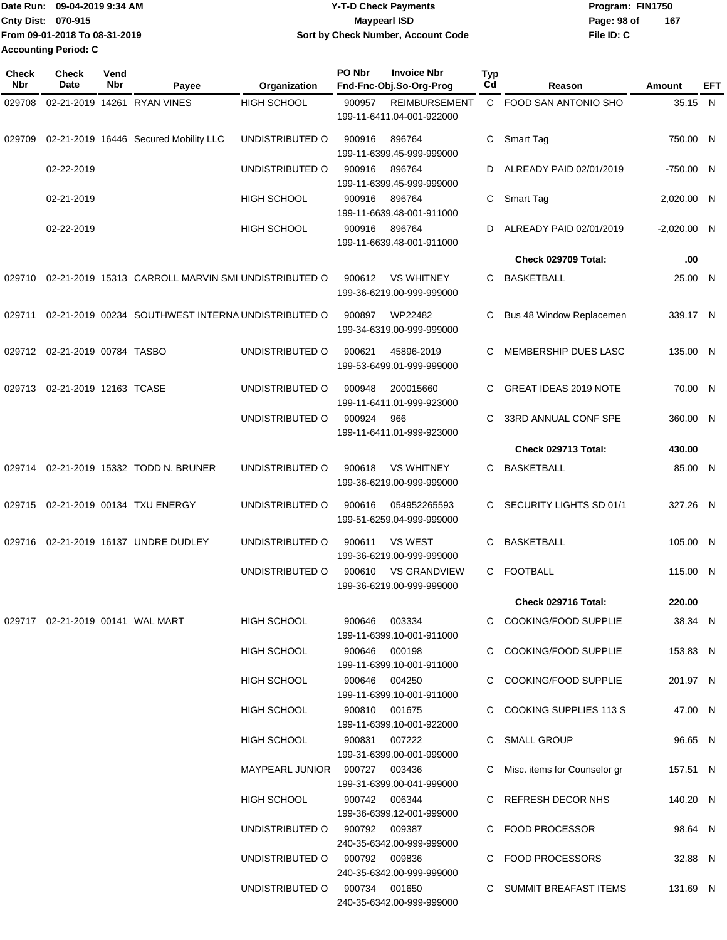|                             | Date Run: 09-04-2019 9:34 AM  | <b>Y-T-D Check Payments</b>        | Program: FIN1750 |     |
|-----------------------------|-------------------------------|------------------------------------|------------------|-----|
| <b>Cnty Dist: 070-915</b>   |                               | Maypearl ISD                       | Page: 98 of      | 167 |
|                             | From 09-01-2018 To 08-31-2019 | Sort by Check Number, Account Code | File ID: C       |     |
| <b>Accounting Period: C</b> |                               |                                    |                  |     |

| <b>Check</b><br>Nbr | Check<br>Date                    | Vend<br>Nbr | Payee                                               | Organization                  | PO Nbr | <b>Invoice Nbr</b><br>Fnd-Fnc-Obj.So-Org-Prog    | <b>Typ</b><br>Cd | Reason                         | Amount        | EFT |
|---------------------|----------------------------------|-------------|-----------------------------------------------------|-------------------------------|--------|--------------------------------------------------|------------------|--------------------------------|---------------|-----|
| 029708              |                                  |             | 02-21-2019 14261 RYAN VINES                         | <b>HIGH SCHOOL</b>            | 900957 | <b>REIMBURSEMENT</b>                             | $\mathsf{C}$     | FOOD SAN ANTONIO SHO           | 35.15 N       |     |
|                     |                                  |             |                                                     |                               |        | 199-11-6411.04-001-922000                        |                  |                                |               |     |
| 029709              |                                  |             | 02-21-2019 16446 Secured Mobility LLC               | UNDISTRIBUTED O               | 900916 | 896764<br>199-11-6399.45-999-999000              | C                | Smart Tag                      | 750.00 N      |     |
|                     | 02-22-2019                       |             |                                                     | UNDISTRIBUTED O               | 900916 | 896764<br>199-11-6399.45-999-999000              | D                | ALREADY PAID 02/01/2019        | -750.00 N     |     |
|                     | 02-21-2019                       |             |                                                     | <b>HIGH SCHOOL</b>            | 900916 | 896764<br>199-11-6639.48-001-911000              | C.               | Smart Tag                      | 2,020.00 N    |     |
|                     | 02-22-2019                       |             |                                                     | <b>HIGH SCHOOL</b>            | 900916 | 896764<br>199-11-6639.48-001-911000              | D.               | ALREADY PAID 02/01/2019        | $-2,020.00$ N |     |
|                     |                                  |             |                                                     |                               |        |                                                  |                  | Check 029709 Total:            | .00           |     |
| 029710              |                                  |             | 02-21-2019 15313 CARROLL MARVIN SMI UNDISTRIBUTED O |                               | 900612 | <b>VS WHITNEY</b><br>199-36-6219.00-999-999000   | C.               | <b>BASKETBALL</b>              | 25.00 N       |     |
| 029711              |                                  |             | 02-21-2019 00234 SOUTHWEST INTERNA UNDISTRIBUTED O  |                               | 900897 | WP22482<br>199-34-6319.00-999-999000             | C                | Bus 48 Window Replacemen       | 339.17 N      |     |
|                     | 029712 02-21-2019 00784 TASBO    |             |                                                     | UNDISTRIBUTED O               | 900621 | 45896-2019<br>199-53-6499.01-999-999000          | C                | MEMBERSHIP DUES LASC           | 135.00 N      |     |
| 029713              | 02-21-2019 12163 TCASE           |             |                                                     | UNDISTRIBUTED O               | 900948 | 200015660<br>199-11-6411.01-999-923000           | C                | <b>GREAT IDEAS 2019 NOTE</b>   | 70.00 N       |     |
|                     |                                  |             |                                                     | UNDISTRIBUTED O               | 900924 | 966<br>199-11-6411.01-999-923000                 | C.               | 33RD ANNUAL CONF SPE           | 360.00 N      |     |
|                     |                                  |             |                                                     |                               |        |                                                  |                  | Check 029713 Total:            | 430.00        |     |
| 029714              |                                  |             | 02-21-2019 15332 TODD N. BRUNER                     | UNDISTRIBUTED O               | 900618 | <b>VS WHITNEY</b><br>199-36-6219.00-999-999000   | C                | <b>BASKETBALL</b>              | 85.00 N       |     |
| 029715              |                                  |             | 02-21-2019 00134 TXU ENERGY                         | UNDISTRIBUTED O               | 900616 | 054952265593<br>199-51-6259.04-999-999000        | C.               | SECURITY LIGHTS SD 01/1        | 327.26 N      |     |
| 029716              |                                  |             | 02-21-2019 16137 UNDRE DUDLEY                       | UNDISTRIBUTED O               | 900611 | <b>VS WEST</b><br>199-36-6219.00-999-999000      | C                | <b>BASKETBALL</b>              | 105.00 N      |     |
|                     |                                  |             |                                                     | UNDISTRIBUTED O               | 900610 | <b>VS GRANDVIEW</b><br>199-36-6219.00-999-999000 | C.               | <b>FOOTBALL</b>                | 115.00 N      |     |
|                     |                                  |             |                                                     |                               |        |                                                  |                  | Check 029716 Total:            | 220.00        |     |
|                     | 029717 02-21-2019 00141 WAL MART |             |                                                     | HIGH SCHOOL                   | 900646 | 003334<br>199-11-6399.10-001-911000              |                  | C COOKING/FOOD SUPPLIE         | 38.34 N       |     |
|                     |                                  |             |                                                     | HIGH SCHOOL                   |        | 900646 000198<br>199-11-6399.10-001-911000       |                  | C COOKING/FOOD SUPPLIE         | 153.83 N      |     |
|                     |                                  |             |                                                     | HIGH SCHOOL                   |        | 900646 004250<br>199-11-6399.10-001-911000       |                  | C COOKING/FOOD SUPPLIE         | 201.97 N      |     |
|                     |                                  |             |                                                     | HIGH SCHOOL                   |        | 900810 001675<br>199-11-6399.10-001-922000       |                  | C COOKING SUPPLIES 113 S       | 47.00 N       |     |
|                     |                                  |             |                                                     | HIGH SCHOOL                   |        | 900831 007222<br>199-31-6399.00-001-999000       |                  | C SMALL GROUP                  | 96.65 N       |     |
|                     |                                  |             |                                                     | MAYPEARL JUNIOR 900727 003436 |        | 199-31-6399.00-041-999000                        |                  | C Misc. items for Counselor gr | 157.51 N      |     |
|                     |                                  |             |                                                     | <b>HIGH SCHOOL</b>            |        | 900742 006344<br>199-36-6399.12-001-999000       |                  | C REFRESH DECOR NHS            | 140.20 N      |     |
|                     |                                  |             |                                                     | UNDISTRIBUTED O 900792 009387 |        | 240-35-6342.00-999-999000                        |                  | C FOOD PROCESSOR               | 98.64 N       |     |
|                     |                                  |             |                                                     | UNDISTRIBUTED O 900792 009836 |        | 240-35-6342.00-999-999000                        |                  | C FOOD PROCESSORS              | 32.88 N       |     |
|                     |                                  |             |                                                     | UNDISTRIBUTED 0 900734 001650 |        | 240-35-6342.00-999-999000                        |                  | C SUMMIT BREAFAST ITEMS        | 131.69 N      |     |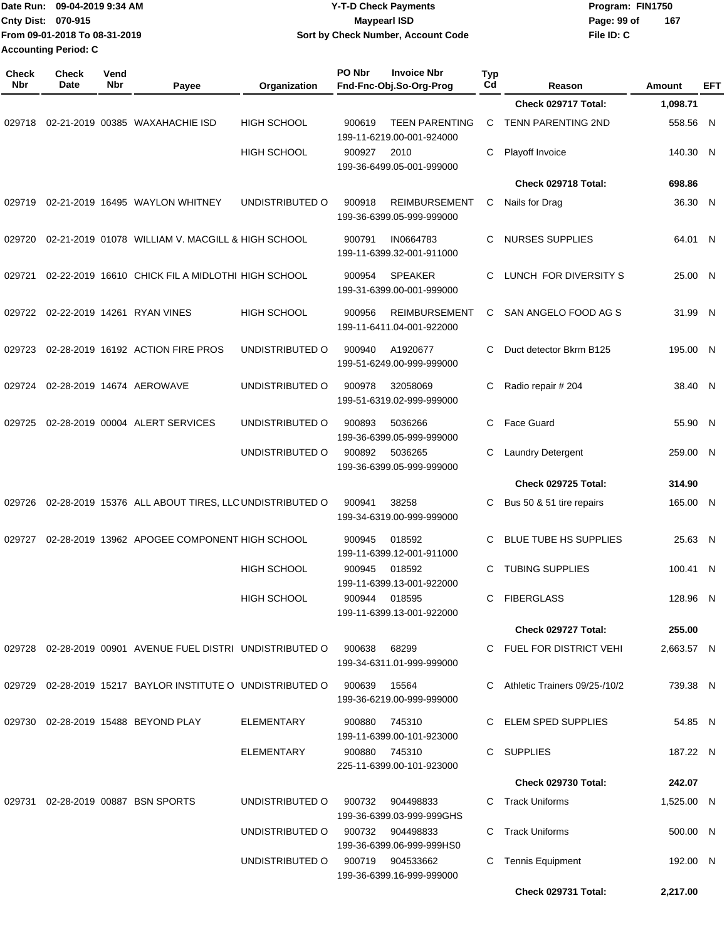|                     | Date Run: 09-04-2019 9:34 AM<br>Cnty Dist: 070-915<br>From 09-01-2018 To 08-31-2019<br><b>Accounting Period: C</b> |             |                                                            |                                  | <b>Y-T-D Check Payments</b><br><b>Maypearl ISD</b><br>Sort by Check Number, Account Code |                                                    |           |                               | Program: FIN1750<br>Page: 99 of<br>File ID: C | 167        |            |
|---------------------|--------------------------------------------------------------------------------------------------------------------|-------------|------------------------------------------------------------|----------------------------------|------------------------------------------------------------------------------------------|----------------------------------------------------|-----------|-------------------------------|-----------------------------------------------|------------|------------|
| <b>Check</b><br>Nbr | Check<br>Date                                                                                                      | Vend<br>Nbr | Payee                                                      | Organization                     | PO Nbr                                                                                   | <b>Invoice Nbr</b><br>Fnd-Fnc-Obj.So-Org-Prog      | Typ<br>Cd | Reason                        |                                               | Amount     | <b>EFT</b> |
|                     |                                                                                                                    |             |                                                            |                                  |                                                                                          |                                                    |           | Check 029717 Total:           |                                               | 1,098.71   |            |
| 029718              |                                                                                                                    |             | 02-21-2019 00385 WAXAHACHIE ISD                            | <b>HIGH SCHOOL</b>               | 900619                                                                                   | <b>TEEN PARENTING</b><br>199-11-6219.00-001-924000 | С         | TENN PARENTING 2ND            |                                               | 558.56 N   |            |
|                     |                                                                                                                    |             |                                                            | <b>HIGH SCHOOL</b>               | 900927                                                                                   | 2010<br>199-36-6499.05-001-999000                  | C         | Playoff Invoice               |                                               | 140.30 N   |            |
|                     |                                                                                                                    |             |                                                            |                                  |                                                                                          |                                                    |           | Check 029718 Total:           |                                               | 698.86     |            |
| 029719              |                                                                                                                    |             | 02-21-2019 16495 WAYLON WHITNEY                            | UNDISTRIBUTED O                  | 900918                                                                                   | <b>REIMBURSEMENT</b><br>199-36-6399.05-999-999000  | С         | Nails for Drag                |                                               | 36.30 N    |            |
| 029720              |                                                                                                                    |             | 02-21-2019 01078 WILLIAM V. MACGILL & HIGH SCHOOL          |                                  | 900791                                                                                   | IN0664783<br>199-11-6399.32-001-911000             | С         | <b>NURSES SUPPLIES</b>        |                                               | 64.01 N    |            |
| 029721              |                                                                                                                    |             | 02-22-2019 16610 CHICK FIL A MIDLOTHI HIGH SCHOOL          |                                  | 900954                                                                                   | <b>SPEAKER</b><br>199-31-6399.00-001-999000        | C         | LUNCH FOR DIVERSITY S         |                                               | 25.00 N    |            |
|                     |                                                                                                                    |             | 029722 02-22-2019 14261 RYAN VINES                         | <b>HIGH SCHOOL</b>               | 900956                                                                                   | <b>REIMBURSEMENT</b><br>199-11-6411.04-001-922000  | С         | SAN ANGELO FOOD AG S          |                                               | 31.99 N    |            |
| 029723              |                                                                                                                    |             | 02-28-2019 16192 ACTION FIRE PROS                          | UNDISTRIBUTED O                  | 900940                                                                                   | A1920677<br>199-51-6249.00-999-999000              | С         | Duct detector Bkrm B125       |                                               | 195.00 N   |            |
| 029724              |                                                                                                                    |             | 02-28-2019 14674 AEROWAVE                                  | UNDISTRIBUTED O                  | 900978                                                                                   | 32058069<br>199-51-6319.02-999-999000              | С         | Radio repair # 204            |                                               | 38.40 N    |            |
| 029725              |                                                                                                                    |             | 02-28-2019 00004 ALERT SERVICES                            | UNDISTRIBUTED O                  | 900893                                                                                   | 5036266<br>199-36-6399.05-999-999000               | C         | Face Guard                    |                                               | 55.90 N    |            |
|                     |                                                                                                                    |             |                                                            | UNDISTRIBUTED O                  | 900892                                                                                   | 5036265<br>199-36-6399.05-999-999000               | С         | Laundry Detergent             |                                               | 259.00 N   |            |
|                     |                                                                                                                    |             |                                                            |                                  |                                                                                          |                                                    |           | <b>Check 029725 Total:</b>    |                                               | 314.90     |            |
| 029726              |                                                                                                                    |             | 02-28-2019 15376 ALL ABOUT TIRES, LLC UNDISTRIBUTED O      |                                  | 900941                                                                                   | 38258<br>199-34-6319.00-999-999000                 | С         | Bus 50 & 51 tire repairs      |                                               | 165.00 N   |            |
|                     |                                                                                                                    |             | 029727 02-28-2019 13962 APOGEE COMPONENT HIGH SCHOOL       |                                  | 900945                                                                                   | 018592<br>199-11-6399.12-001-911000                |           | C BLUE TUBE HS SUPPLIES       |                                               | 25.63 N    |            |
|                     |                                                                                                                    |             |                                                            | <b>HIGH SCHOOL</b>               |                                                                                          | 900945 018592<br>199-11-6399.13-001-922000         |           | C TUBING SUPPLIES             |                                               | 100.41 N   |            |
|                     |                                                                                                                    |             |                                                            | <b>HIGH SCHOOL</b>               |                                                                                          | 900944 018595<br>199-11-6399.13-001-922000         |           | C FIBERGLASS                  |                                               | 128.96 N   |            |
|                     |                                                                                                                    |             |                                                            |                                  |                                                                                          |                                                    |           | Check 029727 Total:           |                                               | 255.00     |            |
|                     |                                                                                                                    |             | 029728 02-28-2019 00901 AVENUE FUEL DISTRI UNDISTRIBUTED O |                                  | 900638 68299                                                                             | 199-34-6311.01-999-999000                          |           | C FUEL FOR DISTRICT VEHI      |                                               | 2,663.57 N |            |
|                     |                                                                                                                    |             | 029729 02-28-2019 15217 BAYLOR INSTITUTE O UNDISTRIBUTED O |                                  | 900639                                                                                   | 15564<br>199-36-6219.00-999-999000                 |           | Athletic Trainers 09/25-/10/2 |                                               | 739.38 N   |            |
|                     |                                                                                                                    |             | 029730 02-28-2019 15488 BEYOND PLAY                        | ELEMENTARY                       | 900880                                                                                   | 745310<br>199-11-6399.00-101-923000                |           | C ELEM SPED SUPPLIES          |                                               | 54.85 N    |            |
|                     |                                                                                                                    |             |                                                            | ELEMENTARY                       |                                                                                          | 900880 745310<br>225-11-6399.00-101-923000         |           | C SUPPLIES                    |                                               | 187.22 N   |            |
|                     |                                                                                                                    |             |                                                            |                                  |                                                                                          |                                                    |           | Check 029730 Total:           |                                               | 242.07     |            |
|                     |                                                                                                                    |             | 029731 02-28-2019 00887 BSN SPORTS                         | UNDISTRIBUTED O                  | 900732                                                                                   | 904498833<br>199-36-6399.03-999-999GHS             |           | Track Uniforms                |                                               | 1,525.00 N |            |
|                     |                                                                                                                    |             |                                                            | UNDISTRIBUTED O                  | 900732                                                                                   | 904498833<br>199-36-6399.06-999-999HS0             | C         | Track Uniforms                |                                               | 500.00 N   |            |
|                     |                                                                                                                    |             |                                                            | UNDISTRIBUTED O 900719 904533662 |                                                                                          | 199-36-6399.16-999-999000                          | С         | <b>Tennis Equipment</b>       |                                               | 192.00 N   |            |
|                     |                                                                                                                    |             |                                                            |                                  |                                                                                          |                                                    |           | Check 029731 Total:           |                                               | 2,217.00   |            |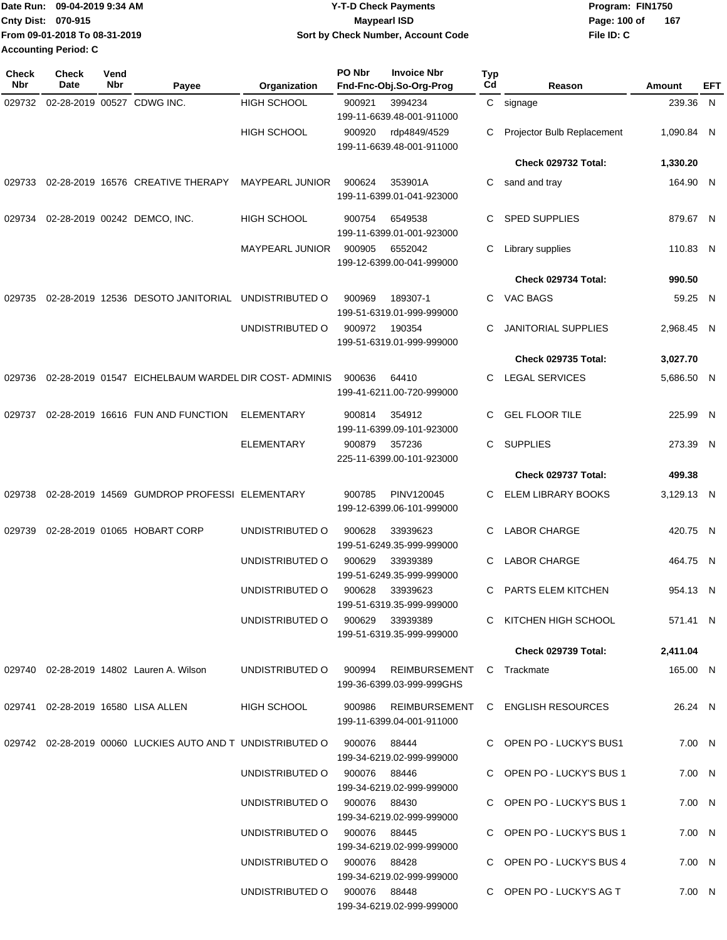|                             | Date Run: 09-04-2019 9:34 AM  | <b>Y-T-D Check Payments</b>        | Program: FIN1750    |
|-----------------------------|-------------------------------|------------------------------------|---------------------|
| <b>Cnty Dist: 070-915</b>   |                               | Maypearl ISD                       | 167<br>Page: 100 of |
|                             | From 09-01-2018 To 08-31-2019 | Sort by Check Number, Account Code | File ID: C          |
| <b>Accounting Period: C</b> |                               |                                    |                     |

| <b>Check</b><br>Nbr | <b>Check</b><br>Date | Vend<br>Nbr | Payee                                                                              | Organization                    | PO Nbr        | <b>Invoice Nbr</b><br>Fnd-Fnc-Obj.So-Org-Prog                                 | Typ<br>Cd | Reason                                   | Amount     | EFT |
|---------------------|----------------------|-------------|------------------------------------------------------------------------------------|---------------------------------|---------------|-------------------------------------------------------------------------------|-----------|------------------------------------------|------------|-----|
| 029732              |                      |             | 02-28-2019 00527 CDWG INC.                                                         | <b>HIGH SCHOOL</b>              | 900921        | 3994234<br>199-11-6639.48-001-911000                                          |           | C signage                                | 239.36     | N   |
|                     |                      |             |                                                                                    | <b>HIGH SCHOOL</b>              | 900920        | rdp4849/4529<br>199-11-6639.48-001-911000                                     | С         | Projector Bulb Replacement               | 1,090.84 N |     |
|                     |                      |             |                                                                                    |                                 |               |                                                                               |           | Check 029732 Total:                      | 1,330.20   |     |
| 029733              |                      |             | 02-28-2019 16576 CREATIVE THERAPY                                                  | <b>MAYPEARL JUNIOR</b>          | 900624        | 353901A<br>199-11-6399.01-041-923000                                          | С         | sand and tray                            | 164.90 N   |     |
| 029734              |                      |             | 02-28-2019 00242 DEMCO, INC.                                                       | <b>HIGH SCHOOL</b>              | 900754        | 6549538<br>199-11-6399.01-001-923000                                          | С         | <b>SPED SUPPLIES</b>                     | 879.67 N   |     |
|                     |                      |             |                                                                                    | MAYPEARL JUNIOR                 | 900905        | 6552042<br>199-12-6399.00-041-999000                                          | С         | Library supplies                         | 110.83 N   |     |
|                     |                      |             |                                                                                    |                                 |               |                                                                               |           | Check 029734 Total:                      | 990.50     |     |
| 029735              |                      |             | 02-28-2019 12536 DESOTO JANITORIAL                                                 | UNDISTRIBUTED O                 | 900969        | 189307-1<br>199-51-6319.01-999-999000                                         | С         | VAC BAGS                                 | 59.25 N    |     |
|                     |                      |             |                                                                                    | UNDISTRIBUTED O                 | 900972        | 190354<br>199-51-6319.01-999-999000                                           | С         | <b>JANITORIAL SUPPLIES</b>               | 2,968.45 N |     |
|                     |                      |             |                                                                                    |                                 |               |                                                                               |           | Check 029735 Total:                      | 3,027.70   |     |
| 029736              |                      |             | 02-28-2019 01547 EICHELBAUM WARDEL DIR COST-ADMINIS                                |                                 | 900636        | 64410<br>199-41-6211.00-720-999000                                            | С         | <b>LEGAL SERVICES</b>                    | 5,686.50 N |     |
| 029737              |                      |             | 02-28-2019 16616 FUN AND FUNCTION                                                  | ELEMENTARY                      | 900814        | 354912<br>199-11-6399.09-101-923000                                           | С         | <b>GEL FLOOR TILE</b>                    | 225.99 N   |     |
|                     |                      |             |                                                                                    | ELEMENTARY                      | 900879        | 357236<br>225-11-6399.00-101-923000                                           | С         | <b>SUPPLIES</b>                          | 273.39 N   |     |
|                     |                      |             |                                                                                    |                                 |               |                                                                               |           | Check 029737 Total:                      | 499.38     |     |
| 029738              |                      |             | 02-28-2019 14569 GUMDROP PROFESSI ELEMENTARY                                       |                                 | 900785        | PINV120045<br>199-12-6399.06-101-999000                                       | С         | ELEM LIBRARY BOOKS                       | 3,129.13 N |     |
| 029739              |                      |             | 02-28-2019 01065 HOBART CORP                                                       | UNDISTRIBUTED O                 | 900628        | 33939623<br>199-51-6249.35-999-999000                                         | С         | LABOR CHARGE                             | 420.75 N   |     |
|                     |                      |             |                                                                                    | UNDISTRIBUTED O                 | 900629        | 33939389<br>199-51-6249.35-999-999000                                         | С         | <b>LABOR CHARGE</b>                      | 464.75 N   |     |
|                     |                      |             |                                                                                    | UNDISTRIBUTED O                 | 900628        | 33939623<br>199-51-6319.35-999-999000                                         | С         | PARTS ELEM KITCHEN                       | 954.13 N   |     |
|                     |                      |             |                                                                                    | UNDISTRIBUTED O 900629 33939389 |               | 199-51-6319.35-999-999000                                                     |           | C KITCHEN HIGH SCHOOL                    | 571.41 N   |     |
|                     |                      |             |                                                                                    |                                 |               |                                                                               |           | <b>Check 029739 Total:</b>               | 2,411.04   |     |
|                     |                      |             | 029740 02-28-2019 14802 Lauren A. Wilson                                           |                                 |               | UNDISTRIBUTED O 900994 REIMBURSEMENT C Trackmate<br>199-36-6399.03-999-999GHS |           |                                          | 165.00 N   |     |
|                     |                      |             | 029741 02-28-2019 16580 LISA ALLEN                                                 | <b>HIGH SCHOOL</b>              |               | 199-11-6399.04-001-911000                                                     |           | 900986 REIMBURSEMENT C ENGLISH RESOURCES | 26.24 N    |     |
|                     |                      |             | 029742  02-28-2019  00060  LUCKIES  AUTO  AND T  UNDISTRIBUTED   0   900076  88444 |                                 |               | 199-34-6219.02-999-999000                                                     |           | C OPEN PO - LUCKY'S BUS1                 | 7.00 N     |     |
|                     |                      |             |                                                                                    | UNDISTRIBUTED O 900076 88446    |               | 199-34-6219.02-999-999000                                                     |           | C OPEN PO - LUCKY'S BUS 1                | 7.00 N     |     |
|                     |                      |             |                                                                                    | UNDISTRIBUTED O 900076 88430    |               | 199-34-6219.02-999-999000                                                     |           | C OPEN PO - LUCKY'S BUS 1                | 7.00 N     |     |
|                     |                      |             |                                                                                    | UNDISTRIBUTED 0 900076 88445    |               | 199-34-6219.02-999-999000                                                     |           | C OPEN PO - LUCKY'S BUS 1                | 7.00 N     |     |
|                     |                      |             |                                                                                    | UNDISTRIBUTED 0 900076 88428    |               | 199-34-6219.02-999-999000                                                     |           | C OPEN PO - LUCKY'S BUS 4                | 7.00 N     |     |
|                     |                      |             |                                                                                    | UNDISTRIBUTED O                 | 900076  88448 | 199-34-6219.02-999-999000                                                     |           | C OPEN PO - LUCKY'S AG T                 | 7.00 N     |     |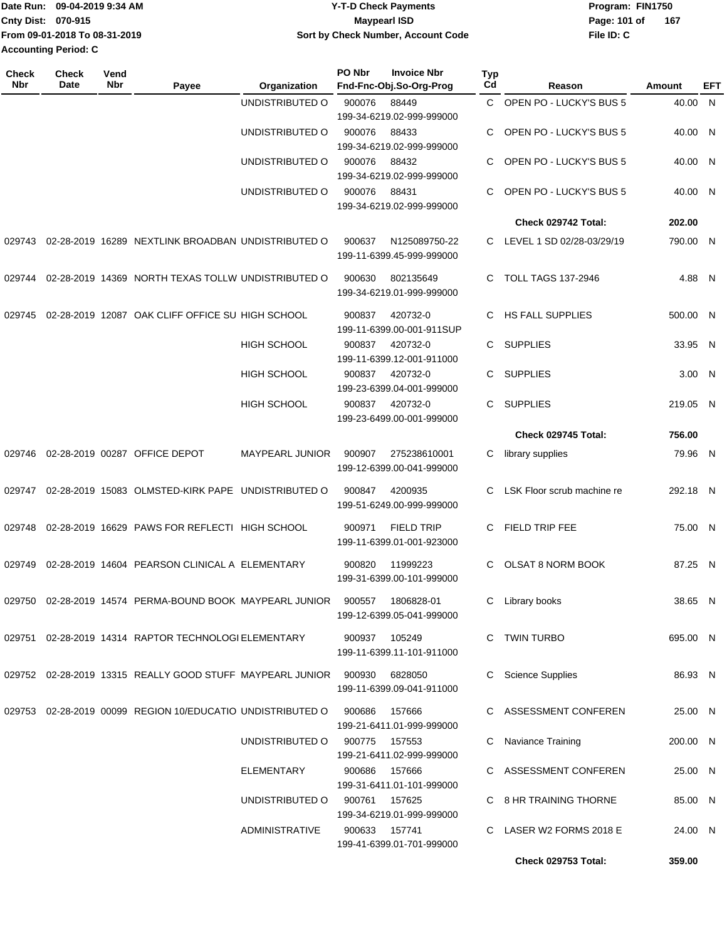|                             | Date Run: 09-04-2019 9:34 AM  | <b>Y-T-D Check Payments</b>        | Program: FIN1750 |     |  |  |
|-----------------------------|-------------------------------|------------------------------------|------------------|-----|--|--|
| <b>Cnty Dist: 070-915</b>   |                               | <b>Mavpearl ISD</b>                | Page: 101 of     | 167 |  |  |
|                             | From 09-01-2018 To 08-31-2019 | Sort by Check Number, Account Code | File ID: C       |     |  |  |
| <b>Accounting Period: C</b> |                               |                                    |                  |     |  |  |

| <b>Check</b><br>Nbr | <b>Check</b><br><b>Date</b> | Vend<br>Nbr | Payee                                                                      | Organization           | PO Nbr        | <b>Invoice Nbr</b><br>Fnd-Fnc-Obj.So-Org-Prog  | <b>Typ</b><br>Cd | Reason                     | Amount   | EFT |
|---------------------|-----------------------------|-------------|----------------------------------------------------------------------------|------------------------|---------------|------------------------------------------------|------------------|----------------------------|----------|-----|
|                     |                             |             |                                                                            | UNDISTRIBUTED O        | 900076        | 88449                                          | C.               | OPEN PO - LUCKY'S BUS 5    | 40.00 N  |     |
|                     |                             |             |                                                                            |                        |               | 199-34-6219.02-999-999000                      |                  |                            |          |     |
|                     |                             |             |                                                                            | UNDISTRIBUTED O        | 900076        | 88433                                          | C                | OPEN PO - LUCKY'S BUS 5    | 40.00 N  |     |
|                     |                             |             |                                                                            |                        |               | 199-34-6219.02-999-999000                      |                  |                            |          |     |
|                     |                             |             |                                                                            | UNDISTRIBUTED O        | 900076        | 88432<br>199-34-6219.02-999-999000             | C                | OPEN PO - LUCKY'S BUS 5    | 40.00 N  |     |
|                     |                             |             |                                                                            | UNDISTRIBUTED O        | 900076        | 88431                                          | C                | OPEN PO - LUCKY'S BUS 5    | 40.00 N  |     |
|                     |                             |             |                                                                            |                        |               | 199-34-6219.02-999-999000                      |                  |                            |          |     |
|                     |                             |             |                                                                            |                        |               |                                                |                  | <b>Check 029742 Total:</b> | 202.00   |     |
| 029743              |                             |             | 02-28-2019 16289 NEXTLINK BROADBAN UNDISTRIBUTED O                         |                        | 900637        | N125089750-22                                  | C.               | LEVEL 1 SD 02/28-03/29/19  | 790.00 N |     |
|                     |                             |             |                                                                            |                        |               | 199-11-6399.45-999-999000                      |                  |                            |          |     |
| 029744              |                             |             | 02-28-2019 14369 NORTH TEXAS TOLLW UNDISTRIBUTED O                         |                        | 900630        | 802135649                                      | C.               | <b>TOLL TAGS 137-2946</b>  | 4.88 N   |     |
|                     |                             |             |                                                                            |                        |               | 199-34-6219.01-999-999000                      |                  |                            |          |     |
| 029745              |                             |             | 02-28-2019 12087 OAK CLIFF OFFICE SU HIGH SCHOOL                           |                        | 900837        | 420732-0                                       | C                | <b>HS FALL SUPPLIES</b>    | 500.00 N |     |
|                     |                             |             |                                                                            |                        |               | 199-11-6399.00-001-911SUP                      |                  |                            |          |     |
|                     |                             |             |                                                                            | HIGH SCHOOL            | 900837        | 420732-0                                       | C.               | <b>SUPPLIES</b>            | 33.95 N  |     |
|                     |                             |             |                                                                            |                        |               | 199-11-6399.12-001-911000                      |                  |                            |          |     |
|                     |                             |             |                                                                            | HIGH SCHOOL            | 900837        | 420732-0                                       | C                | <b>SUPPLIES</b>            | 3.00 N   |     |
|                     |                             |             |                                                                            |                        |               | 199-23-6399.04-001-999000                      |                  |                            |          |     |
|                     |                             |             |                                                                            | <b>HIGH SCHOOL</b>     | 900837        | 420732-0<br>199-23-6499.00-001-999000          | C.               | <b>SUPPLIES</b>            | 219.05 N |     |
|                     |                             |             |                                                                            |                        |               |                                                |                  | Check 029745 Total:        | 756.00   |     |
| 029746              |                             |             | 02-28-2019 00287 OFFICE DEPOT                                              | <b>MAYPEARL JUNIOR</b> | 900907        | 275238610001                                   | С                | library supplies           | 79.96 N  |     |
|                     |                             |             |                                                                            |                        |               | 199-12-6399.00-041-999000                      |                  |                            |          |     |
|                     |                             |             | 02-28-2019 15083 OLMSTED-KIRK PAPE UNDISTRIBUTED O                         |                        | 900847        | 4200935                                        | C                | LSK Floor scrub machine re | 292.18 N |     |
| 029747              |                             |             |                                                                            |                        |               | 199-51-6249.00-999-999000                      |                  |                            |          |     |
|                     |                             |             |                                                                            |                        |               |                                                |                  |                            |          |     |
| 029748              |                             |             | 02-28-2019 16629 PAWS FOR REFLECTI HIGH SCHOOL                             |                        | 900971        | <b>FIELD TRIP</b><br>199-11-6399.01-001-923000 | C                | <b>FIELD TRIP FEE</b>      | 75.00 N  |     |
|                     |                             |             |                                                                            |                        |               |                                                |                  |                            |          |     |
| 029749              |                             |             | 02-28-2019 14604 PEARSON CLINICAL A ELEMENTARY                             |                        | 900820        | 11999223                                       | C.               | <b>OLSAT 8 NORM BOOK</b>   | 87.25 N  |     |
|                     |                             |             |                                                                            |                        |               | 199-31-6399.00-101-999000                      |                  |                            |          |     |
|                     |                             |             | 029750 02-28-2019 14574 PERMA-BOUND BOOK MAYPEARL JUNIOR 900557 1806828-01 |                        |               |                                                |                  | C Library books            | 38.65 N  |     |
|                     |                             |             |                                                                            |                        |               | 199-12-6399.05-041-999000                      |                  |                            |          |     |
|                     |                             |             | 029751 02-28-2019 14314 RAPTOR TECHNOLOGI ELEMENTARY                       |                        | 900937 105249 |                                                |                  | C TWIN TURBO               | 695.00 N |     |
|                     |                             |             |                                                                            |                        |               | 199-11-6399.11-101-911000                      |                  |                            |          |     |
|                     |                             |             | 029752  02-28-2019  13315  REALLY GOOD STUFF  MAYPEARL JUNIOR  900930      |                        |               | 6828050                                        | C.               | <b>Science Supplies</b>    | 86.93 N  |     |
|                     |                             |             |                                                                            |                        |               | 199-11-6399.09-041-911000                      |                  |                            |          |     |
|                     |                             |             | 029753 02-28-2019 00099 REGION 10/EDUCATIO UNDISTRIBUTED O                 |                        | 900686        | 157666                                         |                  | C ASSESSMENT CONFEREN      | 25.00 N  |     |
|                     |                             |             |                                                                            |                        |               | 199-21-6411.01-999-999000                      |                  |                            |          |     |
|                     |                             |             |                                                                            | UNDISTRIBUTED O        | 900775 157553 |                                                |                  | C Naviance Training        | 200.00 N |     |
|                     |                             |             |                                                                            |                        |               | 199-21-6411.02-999-999000                      |                  |                            |          |     |
|                     |                             |             |                                                                            | ELEMENTARY             | 900686        | 157666                                         |                  | C ASSESSMENT CONFEREN      | 25.00 N  |     |
|                     |                             |             |                                                                            | UNDISTRIBUTED O        | 900761 157625 | 199-31-6411.01-101-999000                      |                  | C 8 HR TRAINING THORNE     | 85.00 N  |     |
|                     |                             |             |                                                                            |                        |               | 199-34-6219.01-999-999000                      |                  |                            |          |     |
|                     |                             |             |                                                                            | <b>ADMINISTRATIVE</b>  | 900633 157741 |                                                |                  | C LASER W2 FORMS 2018 E    | 24.00 N  |     |
|                     |                             |             |                                                                            |                        |               | 199-41-6399.01-701-999000                      |                  |                            |          |     |
|                     |                             |             |                                                                            |                        |               |                                                |                  | Check 029753 Total:        | 359.00   |     |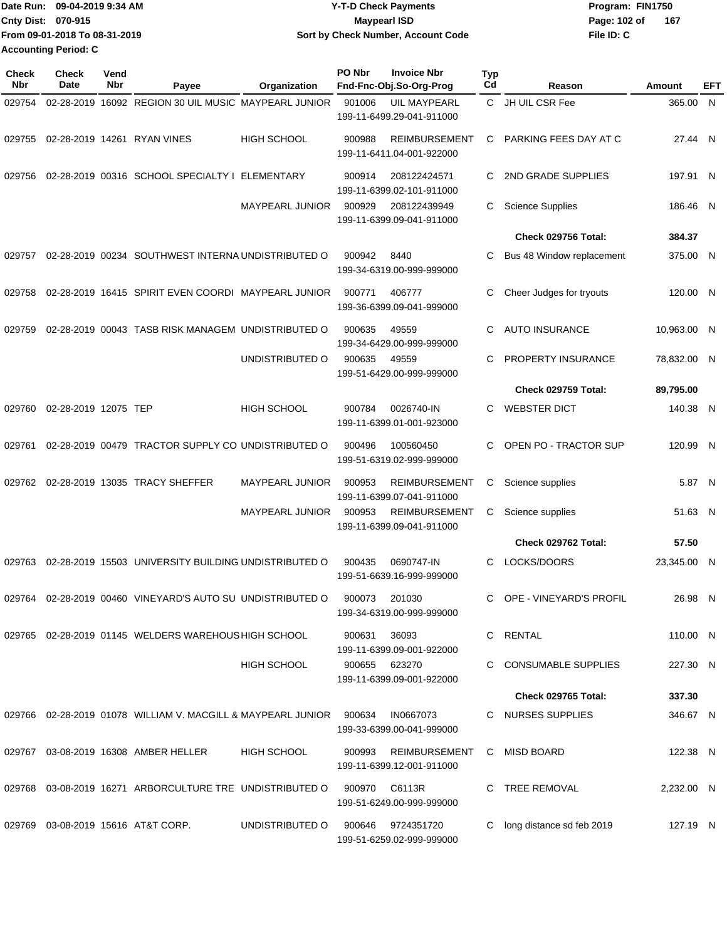| Date Run: 09-04-2019 9:34 AM  | <b>Y-T-D Check Payments</b>        | Program: FIN1750     |
|-------------------------------|------------------------------------|----------------------|
| <b>Cnty Dist: 070-915</b>     | Maypearl ISD                       | -167<br>Page: 102 of |
| From 09-01-2018 To 08-31-2019 | Sort by Check Number, Account Code | File ID: C           |
| <b>Accounting Period: C</b>   |                                    |                      |

| <b>Check</b><br>Nbr | <b>Check</b><br><b>Date</b> | Vend<br>Nbr | Payee                                                                   | Organization           | PO Nbr        | <b>Invoice Nbr</b><br>Fnd-Fnc-Obj.So-Org-Prog     | <b>Typ</b><br>Cd | Reason                      | Amount      | EFT |
|---------------------|-----------------------------|-------------|-------------------------------------------------------------------------|------------------------|---------------|---------------------------------------------------|------------------|-----------------------------|-------------|-----|
| 029754              |                             |             | 02-28-2019 16092 REGION 30 UIL MUSIC MAYPEARL JUNIOR                    |                        | 901006        | <b>UIL MAYPEARL</b><br>199-11-6499.29-041-911000  | C.               | JH UIL CSR Fee              | 365.00 N    |     |
|                     |                             |             | 029755 02-28-2019 14261 RYAN VINES                                      | <b>HIGH SCHOOL</b>     | 900988        | <b>REIMBURSEMENT</b><br>199-11-6411.04-001-922000 | C                | PARKING FEES DAY AT C       | 27.44 N     |     |
| 029756              |                             |             | 02-28-2019 00316 SCHOOL SPECIALTY I ELEMENTARY                          |                        | 900914        | 208122424571<br>199-11-6399.02-101-911000         | C                | 2ND GRADE SUPPLIES          | 197.91 N    |     |
|                     |                             |             |                                                                         | <b>MAYPEARL JUNIOR</b> | 900929        | 208122439949<br>199-11-6399.09-041-911000         | C                | <b>Science Supplies</b>     | 186.46 N    |     |
|                     |                             |             |                                                                         |                        |               |                                                   |                  | <b>Check 029756 Total:</b>  | 384.37      |     |
| 029757              |                             |             | 02-28-2019 00234 SOUTHWEST INTERNA UNDISTRIBUTED O                      |                        | 900942        | 8440<br>199-34-6319.00-999-999000                 | C                | Bus 48 Window replacement   | 375.00 N    |     |
| 029758              |                             |             | 02-28-2019 16415 SPIRIT EVEN COORDI MAYPEARL JUNIOR                     |                        | 900771        | 406777<br>199-36-6399.09-041-999000               | C                | Cheer Judges for tryouts    | 120.00 N    |     |
| 029759              |                             |             | 02-28-2019 00043 TASB RISK MANAGEM UNDISTRIBUTED O                      |                        | 900635        | 49559<br>199-34-6429.00-999-999000                | C                | <b>AUTO INSURANCE</b>       | 10,963.00 N |     |
|                     |                             |             |                                                                         | UNDISTRIBUTED O        | 900635        | 49559<br>199-51-6429.00-999-999000                | C                | PROPERTY INSURANCE          | 78,832.00 N |     |
|                     |                             |             |                                                                         |                        |               |                                                   |                  | Check 029759 Total:         | 89,795.00   |     |
| 029760              | 02-28-2019 12075 TEP        |             |                                                                         | <b>HIGH SCHOOL</b>     | 900784        | 0026740-IN<br>199-11-6399.01-001-923000           | C                | <b>WEBSTER DICT</b>         | 140.38 N    |     |
| 029761              |                             |             | 02-28-2019 00479 TRACTOR SUPPLY CO UNDISTRIBUTED O                      |                        | 900496        | 100560450<br>199-51-6319.02-999-999000            | C                | OPEN PO - TRACTOR SUP       | 120.99 N    |     |
| 029762              |                             |             | 02-28-2019 13035 TRACY SHEFFER                                          | <b>MAYPEARL JUNIOR</b> | 900953        | <b>REIMBURSEMENT</b><br>199-11-6399.07-041-911000 | С                | Science supplies            | 5.87 N      |     |
|                     |                             |             |                                                                         | <b>MAYPEARL JUNIOR</b> | 900953        | <b>REIMBURSEMENT</b><br>199-11-6399.09-041-911000 | С                | Science supplies            | 51.63 N     |     |
|                     |                             |             |                                                                         |                        |               |                                                   |                  | Check 029762 Total:         | 57.50       |     |
| 029763              |                             |             | 02-28-2019 15503 UNIVERSITY BUILDING UNDISTRIBUTED O                    |                        | 900435        | 0690747-IN<br>199-51-6639.16-999-999000           | C                | LOCKS/DOORS                 | 23,345.00 N |     |
| 029764              |                             |             | 02-28-2019 00460 VINEYARD'S AUTO SU UNDISTRIBUTED O                     |                        | 900073        | 201030<br>199-34-6319.00-999-999000               | С                | OPE - VINEYARD'S PROFIL     | 26.98 N     |     |
|                     |                             |             | 029765 02-28-2019 01145 WELDERS WAREHOUS HIGH SCHOOL                    |                        | 900631        | 36093<br>199-11-6399.09-001-922000                |                  | C RENTAL                    | 110.00 N    |     |
|                     |                             |             |                                                                         | HIGH SCHOOL            | 900655 623270 | 199-11-6399.09-001-922000                         |                  | C CONSUMABLE SUPPLIES       | 227.30 N    |     |
|                     |                             |             |                                                                         |                        |               |                                                   |                  | <b>Check 029765 Total:</b>  | 337.30      |     |
|                     |                             |             | 029766  02-28-2019  01078  WILLIAM V. MACGILL & MAYPEARL JUNIOR  900634 |                        |               | IN0667073<br>199-33-6399.00-041-999000            |                  | C NURSES SUPPLIES           | 346.67 N    |     |
|                     |                             |             | 029767 03-08-2019 16308 AMBER HELLER                                    | <b>HIGH SCHOOL</b>     | 900993        | REIMBURSEMENT<br>199-11-6399.12-001-911000        | C                | MISD BOARD                  | 122.38 N    |     |
|                     |                             |             | 029768 03-08-2019 16271 ARBORCULTURE TRE UNDISTRIBUTED O                |                        |               | 900970 C6113R<br>199-51-6249.00-999-999000        |                  | C TREE REMOVAL              | 2,232.00 N  |     |
|                     |                             |             | 029769  03-08-2019  15616  AT&T CORP.                                   | UNDISTRIBUTED O        | 900646        | 9724351720<br>199-51-6259.02-999-999000           |                  | C long distance sd feb 2019 | 127.19 N    |     |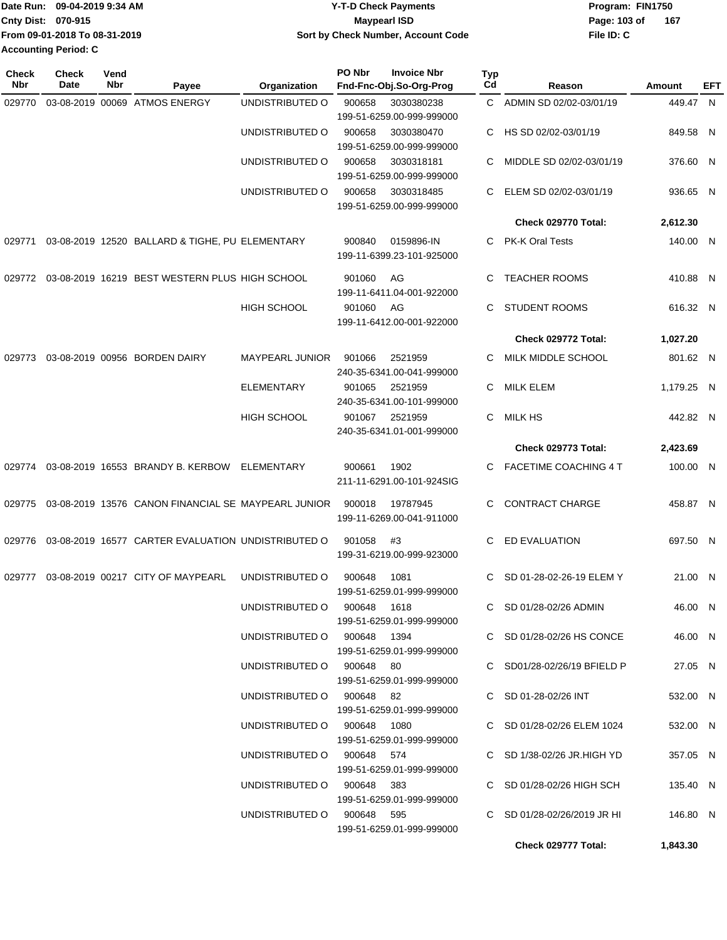| <b>IDate Run:</b>           | 09-04-2019 9:34 AM            | <b>Y-T-D Check Payments</b>        | Program: FIN1750 |       |  |  |  |
|-----------------------------|-------------------------------|------------------------------------|------------------|-------|--|--|--|
| <b>Cnty Dist: 070-915</b>   |                               | Maypearl ISD                       | Page: 103 of     | - 167 |  |  |  |
|                             | From 09-01-2018 To 08-31-2019 | Sort by Check Number, Account Code | File ID: C       |       |  |  |  |
| <b>Accounting Period: C</b> |                               |                                    |                  |       |  |  |  |

| <b>Check</b><br>Nbr | <b>Check</b><br>Date | Vend<br>Nbr | Payee                                               | Organization                | PO Nbr | <b>Invoice Nbr</b><br>Fnd-Fnc-Obj.So-Org-Prog | Typ<br>Cd | Reason                        | Amount     | EFT |
|---------------------|----------------------|-------------|-----------------------------------------------------|-----------------------------|--------|-----------------------------------------------|-----------|-------------------------------|------------|-----|
| 029770              |                      |             | 03-08-2019 00069 ATMOS ENERGY                       | UNDISTRIBUTED O             | 900658 | 3030380238                                    |           | C ADMIN SD 02/02-03/01/19     | 449.47 N   |     |
|                     |                      |             |                                                     |                             |        | 199-51-6259.00-999-999000                     |           |                               |            |     |
|                     |                      |             |                                                     | UNDISTRIBUTED O             | 900658 | 3030380470                                    | С         | HS SD 02/02-03/01/19          | 849.58 N   |     |
|                     |                      |             |                                                     |                             |        | 199-51-6259.00-999-999000                     |           |                               |            |     |
|                     |                      |             |                                                     | UNDISTRIBUTED O             | 900658 | 3030318181                                    | С         | MIDDLE SD 02/02-03/01/19      | 376.60 N   |     |
|                     |                      |             |                                                     |                             |        | 199-51-6259.00-999-999000                     |           |                               |            |     |
|                     |                      |             |                                                     | UNDISTRIBUTED O             | 900658 | 3030318485<br>199-51-6259.00-999-999000       | С         | ELEM SD 02/02-03/01/19        | 936.65 N   |     |
|                     |                      |             |                                                     |                             |        |                                               |           | Check 029770 Total:           | 2,612.30   |     |
| 029771              |                      |             | 03-08-2019 12520 BALLARD & TIGHE, PU ELEMENTARY     |                             | 900840 | 0159896-IN                                    | С         | PK-K Oral Tests               | 140.00 N   |     |
|                     |                      |             |                                                     |                             |        | 199-11-6399.23-101-925000                     |           |                               |            |     |
| 029772              |                      |             | 03-08-2019 16219 BEST WESTERN PLUS HIGH SCHOOL      |                             | 901060 | AG                                            | С         | <b>TEACHER ROOMS</b>          | 410.88 N   |     |
|                     |                      |             |                                                     |                             |        | 199-11-6411.04-001-922000                     |           |                               |            |     |
|                     |                      |             |                                                     | <b>HIGH SCHOOL</b>          | 901060 | AG                                            | C         | <b>STUDENT ROOMS</b>          | 616.32 N   |     |
|                     |                      |             |                                                     |                             |        | 199-11-6412.00-001-922000                     |           |                               |            |     |
|                     |                      |             |                                                     |                             |        |                                               |           | Check 029772 Total:           | 1,027.20   |     |
| 029773              |                      |             | 03-08-2019 00956 BORDEN DAIRY                       | <b>MAYPEARL JUNIOR</b>      | 901066 | 2521959                                       | С         | MILK MIDDLE SCHOOL            | 801.62 N   |     |
|                     |                      |             |                                                     |                             |        | 240-35-6341.00-041-999000                     |           |                               |            |     |
|                     |                      |             |                                                     | <b>ELEMENTARY</b>           | 901065 | 2521959                                       | С         | <b>MILK ELEM</b>              | 1,179.25 N |     |
|                     |                      |             |                                                     |                             |        | 240-35-6341.00-101-999000                     |           |                               |            |     |
|                     |                      |             |                                                     | <b>HIGH SCHOOL</b>          | 901067 | 2521959                                       | С         | <b>MILK HS</b>                | 442.82 N   |     |
|                     |                      |             |                                                     |                             |        | 240-35-6341.01-001-999000                     |           |                               |            |     |
|                     |                      |             |                                                     |                             |        |                                               |           | Check 029773 Total:           | 2,423.69   |     |
| 029774              |                      |             | 03-08-2019 16553 BRANDY B. KERBOW                   | ELEMENTARY                  | 900661 | 1902                                          | С         | FACETIME COACHING 4 T         | 100.00 N   |     |
|                     |                      |             |                                                     |                             |        | 211-11-6291.00-101-924SIG                     |           |                               |            |     |
| 029775              |                      |             | 03-08-2019 13576 CANON FINANCIAL SE MAYPEARL JUNIOR |                             | 900018 | 19787945                                      | C         | <b>CONTRACT CHARGE</b>        | 458.87 N   |     |
|                     |                      |             |                                                     |                             |        | 199-11-6269.00-041-911000                     |           |                               |            |     |
|                     |                      |             |                                                     |                             |        |                                               |           |                               |            |     |
| 029776              |                      |             | 03-08-2019 16577 CARTER EVALUATION UNDISTRIBUTED O  |                             | 901058 | #3                                            | С         | ED EVALUATION                 | 697.50 N   |     |
|                     |                      |             |                                                     |                             |        | 199-31-6219.00-999-923000                     |           |                               |            |     |
| 029777              |                      |             | 03-08-2019 00217 CITY OF MAYPEARL                   | UNDISTRIBUTED O             | 900648 | 1081                                          | C         | SD 01-28-02-26-19 ELEM Y      | 21.00 N    |     |
|                     |                      |             |                                                     |                             |        | 199-51-6259.01-999-999000                     |           |                               |            |     |
|                     |                      |             |                                                     | UNDISTRIBUTED O 900648      |        | 1618                                          |           | C SD 01/28-02/26 ADMIN        | 46.00 N    |     |
|                     |                      |             |                                                     |                             |        | 199-51-6259.01-999-999000                     |           |                               |            |     |
|                     |                      |             |                                                     | UNDISTRIBUTED O 900648 1394 |        |                                               |           | C SD $01/28-02/26$ HS CONCE   | 46.00 N    |     |
|                     |                      |             |                                                     |                             |        | 199-51-6259.01-999-999000                     |           |                               |            |     |
|                     |                      |             |                                                     | UNDISTRIBUTED O 900648 80   |        |                                               |           | C SD01/28-02/26/19 BFIELD P   | 27.05 N    |     |
|                     |                      |             |                                                     |                             |        | 199-51-6259.01-999-999000                     |           |                               |            |     |
|                     |                      |             |                                                     | UNDISTRIBUTED O 900648 82   |        | 199-51-6259.01-999-999000                     |           | $C$ SD 01-28-02/26 INT        | 532.00 N   |     |
|                     |                      |             |                                                     | UNDISTRIBUTED O 900648 1080 |        |                                               |           | C SD 01/28-02/26 ELEM 1024    | 532.00 N   |     |
|                     |                      |             |                                                     |                             |        | 199-51-6259.01-999-999000                     |           |                               |            |     |
|                     |                      |             |                                                     | UNDISTRIBUTED O 900648 574  |        |                                               |           | C SD 1/38-02/26 JR.HIGH YD    | 357.05 N   |     |
|                     |                      |             |                                                     |                             |        | 199-51-6259.01-999-999000                     |           |                               |            |     |
|                     |                      |             |                                                     | UNDISTRIBUTED O 900648 383  |        |                                               |           | C SD 01/28-02/26 HIGH SCH     | 135.40 N   |     |
|                     |                      |             |                                                     |                             |        | 199-51-6259.01-999-999000                     |           |                               |            |     |
|                     |                      |             |                                                     | UNDISTRIBUTED O 900648 595  |        |                                               |           | C SD $01/28-02/26/2019$ JR HI | 146.80 N   |     |
|                     |                      |             |                                                     |                             |        | 199-51-6259.01-999-999000                     |           |                               |            |     |
|                     |                      |             |                                                     |                             |        |                                               |           | Check 029777 Total:           | 1,843.30   |     |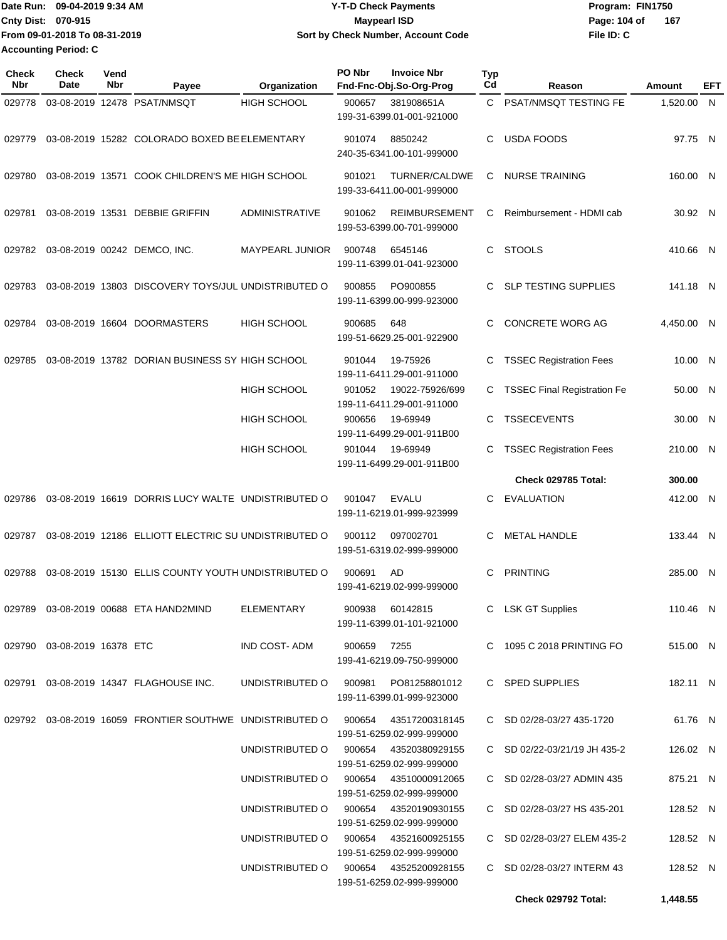Date Run: 09-04-2019 9:34 AM **Date Runity Controller State Payments** Program: FIN1750 **Cnty Dist: Page: 104 of File ID: C From 09-01-2018 To 08-31-2019 09-04-2019 9:34 AM Y-T-D Check Payments 070-915 Maypearl ISD Sort by Check Number, Account Code 167 Accounting Period: C**

| <b>Check</b><br>Nbr | <b>Check</b><br><b>Date</b> | Vend<br>Nbr | Payee                                                                          | Organization                          | PO Nbr                                            | <b>Invoice Nbr</b><br>Fnd-Fnc-Obj.So-Org-Prog      | <b>Typ</b><br>Cd | Reason                             | Amount     | EFT |
|---------------------|-----------------------------|-------------|--------------------------------------------------------------------------------|---------------------------------------|---------------------------------------------------|----------------------------------------------------|------------------|------------------------------------|------------|-----|
| 029778              |                             |             | 03-08-2019 12478 PSAT/NMSQT                                                    | <b>HIGH SCHOOL</b>                    | 900657<br>381908651A<br>199-31-6399.01-001-921000 |                                                    | C.               | PSAT/NMSQT TESTING FE              | 1,520.00 N |     |
| 029779              |                             |             | 03-08-2019 15282 COLORADO BOXED BE ELEMENTARY                                  |                                       | 901074                                            | 8850242<br>240-35-6341.00-101-999000               | C                | <b>USDA FOODS</b>                  | 97.75 N    |     |
| 029780              |                             |             | 03-08-2019 13571 COOK CHILDREN'S ME HIGH SCHOOL                                |                                       | 901021                                            | TURNER/CALDWE<br>199-33-6411.00-001-999000         | C                | <b>NURSE TRAINING</b>              | 160.00 N   |     |
| 029781              |                             |             | 03-08-2019 13531 DEBBIE GRIFFIN                                                | <b>ADMINISTRATIVE</b>                 | 901062                                            | <b>REIMBURSEMENT</b><br>199-53-6399.00-701-999000  | C                | Reimbursement - HDMI cab           | 30.92 N    |     |
|                     |                             |             | 029782 03-08-2019 00242 DEMCO, INC.                                            | MAYPEARL JUNIOR                       | 900748                                            | 6545146<br>199-11-6399.01-041-923000               | C                | <b>STOOLS</b>                      | 410.66 N   |     |
| 029783              |                             |             | 03-08-2019 13803 DISCOVERY TOYS/JUL UNDISTRIBUTED O                            |                                       | 900855                                            | PO900855<br>199-11-6399.00-999-923000              | C                | <b>SLP TESTING SUPPLIES</b>        | 141.18 N   |     |
| 029784              |                             |             | 03-08-2019 16604 DOORMASTERS                                                   | <b>HIGH SCHOOL</b>                    | 900685                                            | 648<br>199-51-6629.25-001-922900                   | C.               | <b>CONCRETE WORG AG</b>            | 4,450.00 N |     |
| 029785              |                             |             | 03-08-2019 13782 DORIAN BUSINESS SY HIGH SCHOOL                                |                                       | 901044                                            | 19-75926<br>199-11-6411.29-001-911000              | С                | <b>TSSEC Registration Fees</b>     | 10.00 N    |     |
|                     |                             |             |                                                                                | <b>HIGH SCHOOL</b>                    | 901052                                            | 19022-75926/699<br>199-11-6411.29-001-911000       | C                | <b>TSSEC Final Registration Fe</b> | 50.00 N    |     |
|                     |                             |             |                                                                                | <b>HIGH SCHOOL</b>                    | 900656                                            | 19-69949<br>199-11-6499.29-001-911B00              | C                | <b>TSSECEVENTS</b>                 | 30.00 N    |     |
|                     |                             |             |                                                                                | <b>HIGH SCHOOL</b>                    | 901044                                            | 19-69949<br>199-11-6499.29-001-911B00              | C                | <b>TSSEC Registration Fees</b>     | 210.00 N   |     |
|                     |                             |             |                                                                                |                                       |                                                   |                                                    |                  | Check 029785 Total:                | 300.00     |     |
| 029786              |                             |             | 03-08-2019 16619 DORRIS LUCY WALTE UNDISTRIBUTED O                             |                                       | 901047                                            | <b>EVALU</b><br>199-11-6219.01-999-923999          | C                | <b>EVALUATION</b>                  | 412.00 N   |     |
| 029787              |                             |             | 03-08-2019 12186 ELLIOTT ELECTRIC SU UNDISTRIBUTED O                           |                                       | 900112                                            | 097002701<br>199-51-6319.02-999-999000             | C                | <b>METAL HANDLE</b>                | 133.44 N   |     |
| 029788              |                             |             | 03-08-2019 15130 ELLIS COUNTY YOUTH UNDISTRIBUTED O                            |                                       | 900691                                            | AD<br>199-41-6219.02-999-999000                    | C                | <b>PRINTING</b>                    | 285.00 N   |     |
|                     |                             |             | 029789  03-08-2019  00688  ETA HAND2MIND                                       | ELEMENTARY                            | 900938                                            | 60142815<br>199-11-6399.01-101-921000              |                  | C LSK GT Supplies                  | 110.46 N   |     |
|                     | 029790 03-08-2019 16378 ETC |             |                                                                                | IND COST-ADM                          | 900659 7255                                       | 199-41-6219.09-750-999000                          |                  | C 1095 C 2018 PRINTING FO          | 515.00 N   |     |
|                     |                             |             | 029791 03-08-2019 14347 FLAGHOUSE INC.                                         | UNDISTRIBUTED O                       |                                                   | 900981 PO81258801012<br>199-11-6399.01-999-923000  |                  | C SPED SUPPLIES                    | 182.11 N   |     |
|                     |                             |             | 029792 03-08-2019 16059 FRONTIER SOUTHWE UNDISTRIBUTED O 900654 43517200318145 |                                       |                                                   | 199-51-6259.02-999-999000                          |                  | C SD 02/28-03/27 435-1720          | 61.76 N    |     |
|                     |                             |             |                                                                                | UNDISTRIBUTED O                       |                                                   | 900654 43520380929155<br>199-51-6259.02-999-999000 |                  | C SD 02/22-03/21/19 JH 435-2       | 126.02 N   |     |
|                     |                             |             |                                                                                | UNDISTRIBUTED O                       | 900654                                            | 43510000912065<br>199-51-6259.02-999-999000        |                  | C SD 02/28-03/27 ADMIN 435         | 875.21 N   |     |
|                     |                             |             |                                                                                | UNDISTRIBUTED O                       | 900654                                            | 43520190930155<br>199-51-6259.02-999-999000        |                  | C SD 02/28-03/27 HS 435-201        | 128.52 N   |     |
|                     |                             |             |                                                                                | UNDISTRIBUTED O                       | 900654                                            | 43521600925155<br>199-51-6259.02-999-999000        |                  | C SD 02/28-03/27 ELEM 435-2        | 128.52 N   |     |
|                     |                             |             |                                                                                | UNDISTRIBUTED O 900654 43525200928155 |                                                   | 199-51-6259.02-999-999000                          |                  | C SD 02/28-03/27 INTERM 43         | 128.52 N   |     |
|                     |                             |             |                                                                                |                                       |                                                   |                                                    |                  | Check 029792 Total:                | 1,448.55   |     |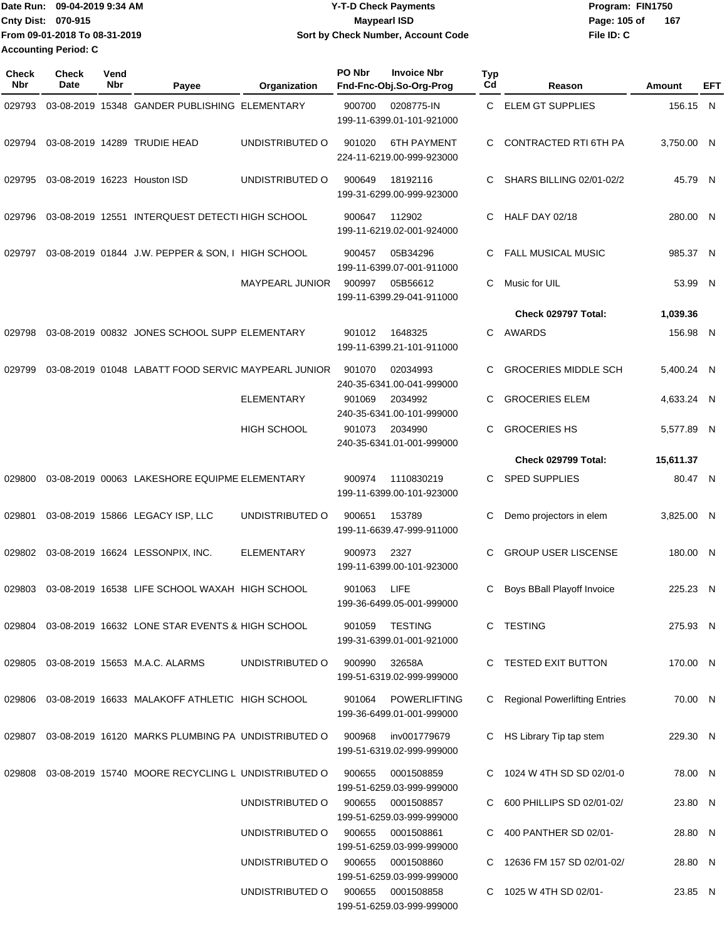| TDate Run: 09-04-2019 9:34 AM | <b>Y-T-D Check Payments</b>        | Program: FIN1750      |
|-------------------------------|------------------------------------|-----------------------|
| <b>Cnty Dist: 070-915</b>     | Maypearl ISD                       | - 167<br>Page: 105 of |
| From 09-01-2018 To 08-31-2019 | Sort by Check Number, Account Code | File ID: C            |
| <b>Accounting Period: C</b>   |                                    |                       |

| <b>Check</b><br>Nbr | Check<br>Date | Vend<br>Nbr | Payee                                                     | Organization           | PO Nbr | <b>Invoice Nbr</b><br>Fnd-Fnc-Obj.So-Org-Prog    | <b>Typ</b><br>Cd | Reason                          | Amount     | EFT |
|---------------------|---------------|-------------|-----------------------------------------------------------|------------------------|--------|--------------------------------------------------|------------------|---------------------------------|------------|-----|
| 029793              |               |             | 03-08-2019 15348 GANDER PUBLISHING ELEMENTARY             |                        | 900700 | 0208775-IN<br>199-11-6399.01-101-921000          | C.               | <b>ELEM GT SUPPLIES</b>         | 156.15 N   |     |
| 029794              |               |             | 03-08-2019 14289 TRUDIE HEAD                              | UNDISTRIBUTED O        | 901020 | <b>6TH PAYMENT</b><br>224-11-6219.00-999-923000  | C.               | <b>CONTRACTED RTI 6TH PA</b>    | 3,750.00 N |     |
| 029795              |               |             | 03-08-2019 16223 Houston ISD                              | UNDISTRIBUTED O        | 900649 | 18192116<br>199-31-6299.00-999-923000            | C                | SHARS BILLING 02/01-02/2        | 45.79 N    |     |
| 029796              |               |             | 03-08-2019 12551 INTERQUEST DETECTI HIGH SCHOOL           |                        | 900647 | 112902<br>199-11-6219.02-001-924000              | C                | HALF DAY 02/18                  | 280.00 N   |     |
| 029797              |               |             | 03-08-2019 01844 J.W. PEPPER & SON, I HIGH SCHOOL         |                        | 900457 | 05B34296<br>199-11-6399.07-001-911000            | C                | <b>FALL MUSICAL MUSIC</b>       | 985.37 N   |     |
|                     |               |             |                                                           | <b>MAYPEARL JUNIOR</b> | 900997 | 05B56612<br>199-11-6399.29-041-911000            | C                | Music for UIL                   | 53.99 N    |     |
|                     |               |             |                                                           |                        |        |                                                  |                  | Check 029797 Total:             | 1,039.36   |     |
| 029798              |               |             | 03-08-2019 00832 JONES SCHOOL SUPP ELEMENTARY             |                        | 901012 | 1648325<br>199-11-6399.21-101-911000             | C.               | AWARDS                          | 156.98 N   |     |
| 029799              |               |             | 03-08-2019 01048 LABATT FOOD SERVIC MAYPEARL JUNIOR       |                        | 901070 | 02034993<br>240-35-6341.00-041-999000            | C                | <b>GROCERIES MIDDLE SCH</b>     | 5,400.24 N |     |
|                     |               |             |                                                           | <b>ELEMENTARY</b>      | 901069 | 2034992<br>240-35-6341.00-101-999000             | C                | <b>GROCERIES ELEM</b>           | 4.633.24 N |     |
|                     |               |             |                                                           | <b>HIGH SCHOOL</b>     | 901073 | 2034990<br>240-35-6341.01-001-999000             | C                | <b>GROCERIES HS</b>             | 5,577.89 N |     |
|                     |               |             |                                                           |                        |        |                                                  |                  | Check 029799 Total:             | 15,611.37  |     |
| 029800              |               |             | 03-08-2019 00063 LAKESHORE EQUIPME ELEMENTARY             |                        | 900974 | 1110830219<br>199-11-6399.00-101-923000          | C                | <b>SPED SUPPLIES</b>            | 80.47 N    |     |
| 029801              |               |             | 03-08-2019 15866 LEGACY ISP, LLC                          | UNDISTRIBUTED O        | 900651 | 153789<br>199-11-6639.47-999-911000              | С                | Demo projectors in elem         | 3,825.00 N |     |
| 029802              |               |             | 03-08-2019 16624 LESSONPIX, INC.                          | <b>ELEMENTARY</b>      | 900973 | 2327<br>199-11-6399.00-101-923000                | C                | <b>GROUP USER LISCENSE</b>      | 180.00 N   |     |
| 029803              |               |             | 03-08-2019 16538 LIFE SCHOOL WAXAH HIGH SCHOOL            |                        | 901063 | LIFE<br>199-36-6499.05-001-999000                | C                | Boys BBall Playoff Invoice      | 225.23 N   |     |
|                     |               |             | 029804 03-08-2019 16632 LONE STAR EVENTS & HIGH SCHOOL    |                        | 901059 | <b>TESTING</b><br>199-31-6399.01-001-921000      |                  | C TESTING                       | 275.93 N   |     |
|                     |               |             | 029805 03-08-2019 15653 M.A.C. ALARMS                     | UNDISTRIBUTED O        | 900990 | 32658A<br>199-51-6319.02-999-999000              |                  | C TESTED EXIT BUTTON            | 170.00 N   |     |
|                     |               |             | 029806 03-08-2019 16633 MALAKOFF ATHLETIC HIGH SCHOOL     |                        | 901064 | <b>POWERLIFTING</b><br>199-36-6499.01-001-999000 |                  | C Regional Powerlifting Entries | 70.00 N    |     |
|                     |               |             | 029807 03-08-2019 16120 MARKS PLUMBING PA UNDISTRIBUTED O |                        | 900968 | inv001779679<br>199-51-6319.02-999-999000        |                  | C HS Library Tip tap stem       | 229.30 N   |     |
|                     |               |             | 029808 03-08-2019 15740 MOORE RECYCLING L UNDISTRIBUTED O |                        | 900655 | 0001508859<br>199-51-6259.03-999-999000          |                  | C 1024 W 4TH SD SD 02/01-0      | 78.00 N    |     |
|                     |               |             |                                                           | UNDISTRIBUTED O        | 900655 | 0001508857<br>199-51-6259.03-999-999000          |                  | C 600 PHILLIPS SD 02/01-02/     | 23.80 N    |     |
|                     |               |             |                                                           | UNDISTRIBUTED O        | 900655 | 0001508861<br>199-51-6259.03-999-999000          |                  | C 400 PANTHER SD 02/01-         | 28.80 N    |     |
|                     |               |             |                                                           | UNDISTRIBUTED O        | 900655 | 0001508860<br>199-51-6259.03-999-999000          |                  | C 12636 FM 157 SD 02/01-02/     | 28.80 N    |     |
|                     |               |             |                                                           | UNDISTRIBUTED O        | 900655 | 0001508858<br>199-51-6259.03-999-999000          |                  | C 1025 W 4TH SD 02/01-          | 23.85 N    |     |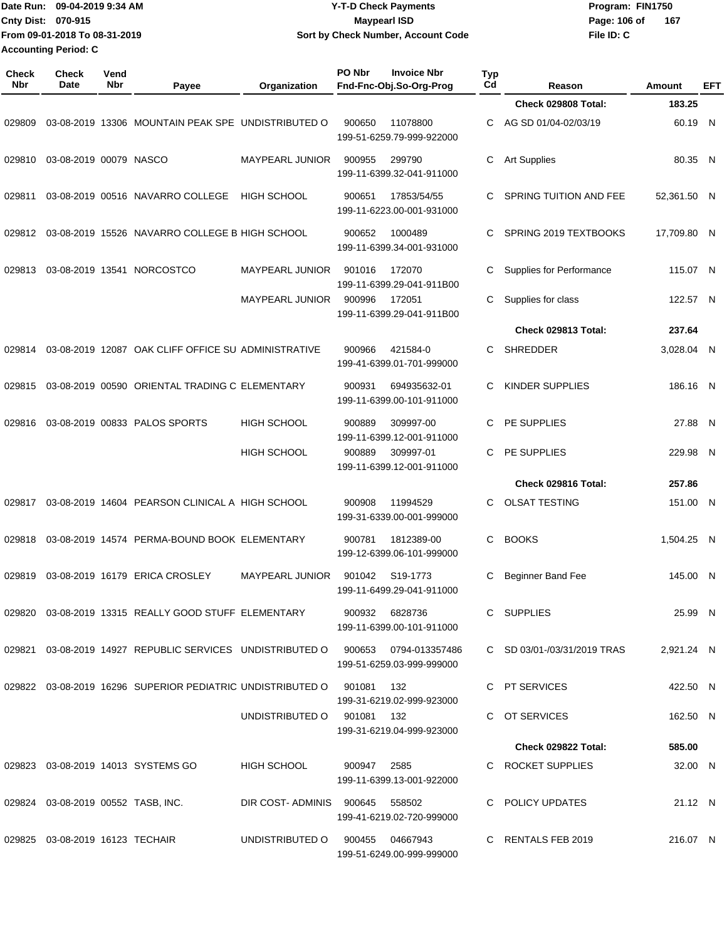| Date Run: 09-04-2019 9:34 AM<br>Cnty Dist: 070-915<br>From 09-01-2018 To 08-31-2019 |                             |                    | <b>Y-T-D Check Payments</b>                                                 |                                |             |                                               | Program: FIN1750 |                               |             |     |
|-------------------------------------------------------------------------------------|-----------------------------|--------------------|-----------------------------------------------------------------------------|--------------------------------|-------------|-----------------------------------------------|------------------|-------------------------------|-------------|-----|
|                                                                                     |                             |                    | <b>Maypearl ISD</b><br>Sort by Check Number, Account Code                   |                                |             |                                               | Page: 106 of     | 167                           |             |     |
|                                                                                     |                             |                    |                                                                             |                                |             |                                               | File ID: C       |                               |             |     |
|                                                                                     | <b>Accounting Period: C</b> |                    |                                                                             |                                |             |                                               |                  |                               |             |     |
| <b>Check</b><br><b>Nbr</b>                                                          | <b>Check</b><br><b>Date</b> | Vend<br><b>Nbr</b> | Payee                                                                       | Organization                   | PO Nbr      | <b>Invoice Nbr</b><br>Fnd-Fnc-Obj.So-Org-Prog | <b>Typ</b><br>Cd | Reason                        | Amount      | EFT |
|                                                                                     |                             |                    |                                                                             |                                |             |                                               |                  | Check 029808 Total:           | 183.25      |     |
| 029809                                                                              |                             |                    | 03-08-2019 13306 MOUNTAIN PEAK SPE UNDISTRIBUTED O                          |                                | 900650      | 11078800<br>199-51-6259.79-999-922000         | C                | AG SD 01/04-02/03/19          | 60.19 N     |     |
| 029810                                                                              | 03-08-2019 00079 NASCO      |                    |                                                                             | <b>MAYPEARL JUNIOR</b>         | 900955      | 299790<br>199-11-6399.32-041-911000           | С                | <b>Art Supplies</b>           | 80.35 N     |     |
| 029811                                                                              |                             |                    | 03-08-2019 00516 NAVARRO COLLEGE                                            | <b>HIGH SCHOOL</b>             | 900651      | 17853/54/55<br>199-11-6223.00-001-931000      | С                | <b>SPRING TUITION AND FEE</b> | 52,361.50 N |     |
| 029812                                                                              |                             |                    | 03-08-2019 15526 NAVARRO COLLEGE B HIGH SCHOOL                              |                                | 900652      | 1000489<br>199-11-6399.34-001-931000          | C.               | SPRING 2019 TEXTBOOKS         | 17,709.80 N |     |
| 029813                                                                              |                             |                    | 03-08-2019 13541 NORCOSTCO                                                  | MAYPEARL JUNIOR                | 901016      | 172070<br>199-11-6399.29-041-911B00           | С                | Supplies for Performance      | 115.07 N    |     |
|                                                                                     |                             |                    |                                                                             | <b>MAYPEARL JUNIOR</b>         | 900996      | 172051<br>199-11-6399.29-041-911B00           | С                | Supplies for class            | 122.57 N    |     |
|                                                                                     |                             |                    |                                                                             |                                |             |                                               |                  | Check 029813 Total:           | 237.64      |     |
| 029814                                                                              |                             |                    | 03-08-2019 12087 OAK CLIFF OFFICE SU ADMINISTRATIVE                         |                                | 900966      | 421584-0<br>199-41-6399.01-701-999000         | С                | <b>SHREDDER</b>               | 3,028.04 N  |     |
| 029815                                                                              |                             |                    | 03-08-2019 00590 ORIENTAL TRADING C ELEMENTARY                              |                                | 900931      | 694935632-01<br>199-11-6399.00-101-911000     | С                | KINDER SUPPLIES               | 186.16 N    |     |
| 029816                                                                              |                             |                    | 03-08-2019 00833 PALOS SPORTS                                               | <b>HIGH SCHOOL</b>             | 900889      | 309997-00<br>199-11-6399.12-001-911000        | C                | PE SUPPLIES                   | 27.88 N     |     |
|                                                                                     |                             |                    |                                                                             | <b>HIGH SCHOOL</b>             | 900889      | 309997-01<br>199-11-6399.12-001-911000        | C                | PE SUPPLIES                   | 229.98 N    |     |
|                                                                                     |                             |                    |                                                                             |                                |             |                                               |                  | Check 029816 Total:           | 257.86      |     |
| 029817                                                                              |                             |                    | 03-08-2019 14604 PEARSON CLINICAL A HIGH SCHOOL                             |                                | 900908      | 11994529<br>199-31-6339.00-001-999000         | С                | <b>OLSAT TESTING</b>          | 151.00 N    |     |
|                                                                                     |                             |                    | 029818  03-08-2019  14574  PERMA-BOUND BOOK ELEMENTARY  900781  1812389-00  |                                |             | 199-12-6399.06-101-999000                     |                  | C BOOKS                       | 1,504.25 N  |     |
|                                                                                     |                             |                    | 029819  03-08-2019  16179  ERICA CROSLEY  MAYPEARL JUNIOR  901042  S19-1773 |                                |             | 199-11-6499.29-041-911000                     |                  | C Beginner Band Fee           | 145.00 N    |     |
|                                                                                     |                             |                    | 029820  03-08-2019  13315  REALLY GOOD STUFF  ELEMENTARY  900932  6828736   |                                |             | 199-11-6399.00-101-911000                     |                  | C SUPPLIES                    | 25.99 N     |     |
| 029821                                                                              |                             |                    | 03-08-2019 14927 REPUBLIC SERVICES UNDISTRIBUTED O 900653 0794-013357486    |                                |             | 199-51-6259.03-999-999000                     |                  | C SD 03/01-/03/31/2019 TRAS   | 2,921.24 N  |     |
|                                                                                     |                             |                    | 029822  03-08-2019  16296  SUPERIOR PEDIATRIC UNDISTRIBUTED O  901081       |                                |             | 132<br>199-31-6219.02-999-923000              |                  | C PT SERVICES                 | 422.50 N    |     |
|                                                                                     |                             |                    |                                                                             | UNDISTRIBUTED O 901081 132     |             | 199-31-6219.04-999-923000                     |                  | C OT SERVICES                 | 162.50 N    |     |
|                                                                                     |                             |                    |                                                                             |                                |             |                                               |                  | Check 029822 Total:           | 585.00      |     |
|                                                                                     |                             |                    | 029823 03-08-2019 14013 SYSTEMS GO                                          | HIGH SCHOOL                    | 900947 2585 | 199-11-6399.13-001-922000                     |                  | C ROCKET SUPPLIES             | 32.00 N     |     |
|                                                                                     |                             |                    | 029824 03-08-2019 00552 TASB, INC.                                          | DIR COST-ADMINIS 900645 558502 |             |                                               |                  | C POLICY UPDATES              | 21.12 N     |     |

216.07 N

199-41-6219.02-720-999000 029825 03-08-2019 16123 TECHAIR UNDISTRIBUTED O 900455 04667943 C RENTALS FEB 2019 199-51-6249.00-999-999000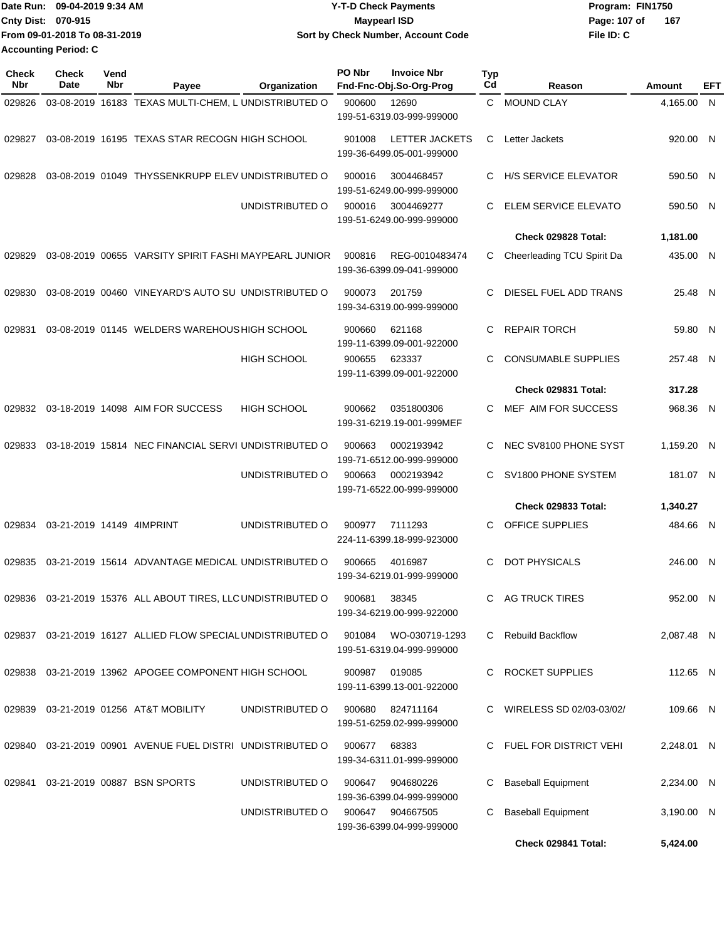| IDate Run: 09-04-2019 9:34 AM |                               | <b>Y-T-D Check Payments</b>        | Program: FIN1750    |  |  |  |
|-------------------------------|-------------------------------|------------------------------------|---------------------|--|--|--|
| <b>Cnty Dist: 070-915</b>     |                               | <b>Mavpearl ISD</b>                | Page: 107 of<br>167 |  |  |  |
|                               | From 09-01-2018 To 08-31-2019 | Sort by Check Number, Account Code | File ID: C          |  |  |  |
| <b>Accounting Period: C</b>   |                               |                                    |                     |  |  |  |

| Check<br><b>Nbr</b> | <b>Check</b><br>Date      | Vend<br>Nbr | Payee                                                          | Organization       | PO Nbr                                       | <b>Invoice Nbr</b><br>Fnd-Fnc-Obj.So-Org-Prog      | Typ<br>Cd | Reason                      | Amount     | EFT |
|---------------------|---------------------------|-------------|----------------------------------------------------------------|--------------------|----------------------------------------------|----------------------------------------------------|-----------|-----------------------------|------------|-----|
| 029826              |                           |             | 03-08-2019 16183 TEXAS MULTI-CHEM. L UNDISTRIBUTED O           |                    | 900600<br>12690<br>199-51-6319.03-999-999000 |                                                    | C.        | <b>MOUND CLAY</b>           | 4,165.00 N |     |
| 029827              |                           |             | 03-08-2019 16195 TEXAS STAR RECOGN HIGH SCHOOL                 |                    | 901008                                       | <b>LETTER JACKETS</b><br>199-36-6499.05-001-999000 | С         | Letter Jackets              | 920.00 N   |     |
| 029828              |                           |             | 03-08-2019 01049 THYSSENKRUPP ELEV UNDISTRIBUTED O             |                    | 900016                                       | 3004468457<br>199-51-6249.00-999-999000            | C         | <b>H/S SERVICE ELEVATOR</b> | 590.50 N   |     |
|                     |                           |             |                                                                | UNDISTRIBUTED O    | 900016                                       | 3004469277<br>199-51-6249.00-999-999000            | C         | ELEM SERVICE ELEVATO        | 590.50 N   |     |
|                     |                           |             |                                                                |                    |                                              |                                                    |           | Check 029828 Total:         | 1,181.00   |     |
| 029829              |                           |             | 03-08-2019 00655 VARSITY SPIRIT FASHI MAYPEARL JUNIOR          |                    | 900816                                       | REG-0010483474<br>199-36-6399.09-041-999000        | C         | Cheerleading TCU Spirit Da  | 435.00 N   |     |
| 029830              |                           |             | 03-08-2019 00460 VINEYARD'S AUTO SU UNDISTRIBUTED O            |                    | 900073                                       | 201759<br>199-34-6319.00-999-999000                | C         | DIESEL FUEL ADD TRANS       | 25.48 N    |     |
| 029831              |                           |             | 03-08-2019 01145 WELDERS WAREHOUS HIGH SCHOOL                  |                    | 900660                                       | 621168<br>199-11-6399.09-001-922000                | C         | <b>REPAIR TORCH</b>         | 59.80 N    |     |
|                     |                           |             |                                                                | <b>HIGH SCHOOL</b> | 900655                                       | 623337<br>199-11-6399.09-001-922000                | C         | <b>CONSUMABLE SUPPLIES</b>  | 257.48 N   |     |
|                     |                           |             |                                                                |                    |                                              |                                                    |           | Check 029831 Total:         | 317.28     |     |
| 029832              |                           |             | 03-18-2019 14098 AIM FOR SUCCESS                               | <b>HIGH SCHOOL</b> | 900662                                       | 0351800306<br>199-31-6219.19-001-999MEF            | C         | MEF AIM FOR SUCCESS         | 968.36     | N   |
| 029833              |                           |             | 03-18-2019 15814 NEC FINANCIAL SERVI UNDISTRIBUTED O           |                    | 900663                                       | 0002193942<br>199-71-6512.00-999-999000            | C         | NEC SV8100 PHONE SYST       | 1,159.20 N |     |
|                     |                           |             |                                                                | UNDISTRIBUTED O    | 900663                                       | 0002193942<br>199-71-6522.00-999-999000            | C         | SV1800 PHONE SYSTEM         | 181.07 N   |     |
|                     |                           |             |                                                                |                    |                                              |                                                    |           | <b>Check 029833 Total:</b>  | 1,340.27   |     |
| 029834              | 03-21-2019 14149 4IMPRINT |             |                                                                | UNDISTRIBUTED O    | 900977                                       | 7111293<br>224-11-6399.18-999-923000               | С         | OFFICE SUPPLIES             | 484.66 N   |     |
| 029835              |                           |             | 03-21-2019 15614 ADVANTAGE MEDICAL UNDISTRIBUTED O             |                    | 900665                                       | 4016987<br>199-34-6219.01-999-999000               | C         | <b>DOT PHYSICALS</b>        | 246.00 N   |     |
| 029836              |                           |             | 03-21-2019 15376 ALL ABOUT TIRES, LLC UNDISTRIBUTED O          |                    | 900681                                       | 38345<br>199-34-6219.00-999-922000                 | C.        | AG TRUCK TIRES              | 952.00 N   |     |
|                     |                           |             | 029837 03-21-2019 16127 ALLIED FLOW SPECIAL UNDISTRIBUTED O    |                    | 901084                                       | WO-030719-1293<br>199-51-6319.04-999-999000        | C.        | <b>Rebuild Backflow</b>     | 2,087.48 N |     |
|                     |                           |             | 029838 03-21-2019 13962 APOGEE COMPONENT HIGH SCHOOL           |                    | 900987                                       | 019085<br>199-11-6399.13-001-922000                |           | <b>ROCKET SUPPLIES</b>      | 112.65 N   |     |
| 029839              |                           |             | 03-21-2019 01256 AT&T MOBILITY                                 | UNDISTRIBUTED O    | 900680                                       | 824711164<br>199-51-6259.02-999-999000             |           | WIRELESS SD 02/03-03/02/    | 109.66 N   |     |
|                     |                           |             | 029840  03-21-2019  00901  AVENUE FUEL DISTRI  UNDISTRIBUTED O |                    | 900677                                       | 68383<br>199-34-6311.01-999-999000                 | C.        | FUEL FOR DISTRICT VEHI      | 2.248.01 N |     |
| 029841              |                           |             | 03-21-2019 00887 BSN SPORTS                                    | UNDISTRIBUTED O    | 900647                                       | 904680226<br>199-36-6399.04-999-999000             | С         | <b>Baseball Equipment</b>   | 2,234.00 N |     |
|                     |                           |             |                                                                | UNDISTRIBUTED O    | 900647                                       | 904667505<br>199-36-6399.04-999-999000             | С         | <b>Baseball Equipment</b>   | 3,190.00 N |     |
|                     |                           |             |                                                                |                    |                                              |                                                    |           | Check 029841 Total:         | 5,424.00   |     |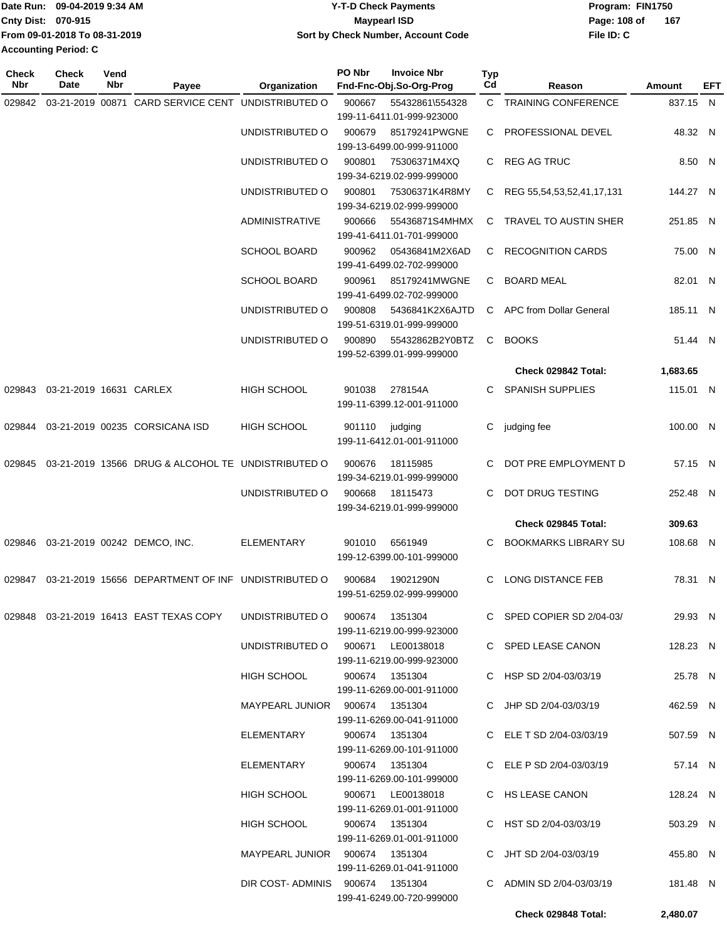|                             | Date Run: 09-04-2019 9:34 AM  | Y-T-D Check Payments               | Program: FIN1750 |     |  |  |
|-----------------------------|-------------------------------|------------------------------------|------------------|-----|--|--|
| <b>Cnty Dist: 070-915</b>   |                               | <b>Mavpearl ISD</b>                | Page: 108 of     | 167 |  |  |
|                             | From 09-01-2018 To 08-31-2019 | Sort by Check Number, Account Code | File ID: C       |     |  |  |
| <b>Accounting Period: C</b> |                               |                                    |                  |     |  |  |

**PO Nbr Invoice Nbr**

| <b>Check</b><br>Nbr | <b>Check</b><br>Date    | Vend<br>Nbr | Payee                                              | Organization                    | PO Nbr | <b>Invoice Nbr</b><br>Fnd-Fnc-Obj.So-Org-Prog | <b>Typ</b><br>Cd | Reason                      | <b>Amount</b> | EFT |
|---------------------|-------------------------|-------------|----------------------------------------------------|---------------------------------|--------|-----------------------------------------------|------------------|-----------------------------|---------------|-----|
| 029842              |                         |             | 03-21-2019 00871 CARD SERVICE CENT                 | UNDISTRIBUTED O                 | 900667 | 55432861\554328                               |                  | C TRAINING CONFERENCE       | 837.15 N      |     |
|                     |                         |             |                                                    |                                 |        | 199-11-6411.01-999-923000                     |                  |                             |               |     |
|                     |                         |             |                                                    | UNDISTRIBUTED O                 | 900679 | 85179241PWGNE                                 |                  | C PROFESSIONAL DEVEL        | 48.32 N       |     |
|                     |                         |             |                                                    | UNDISTRIBUTED O                 | 900801 | 199-13-6499.00-999-911000<br>75306371M4XQ     |                  | C REG AG TRUC               | 8.50 N        |     |
|                     |                         |             |                                                    |                                 |        | 199-34-6219.02-999-999000                     |                  |                             |               |     |
|                     |                         |             |                                                    | UNDISTRIBUTED O                 | 900801 | 75306371K4R8MY                                |                  | C REG 55,54,53,52,41,17,131 | 144.27 N      |     |
|                     |                         |             |                                                    |                                 |        | 199-34-6219.02-999-999000                     |                  |                             |               |     |
|                     |                         |             |                                                    | <b>ADMINISTRATIVE</b>           | 900666 | 55436871S4MHMX<br>199-41-6411.01-701-999000   |                  | C TRAVEL TO AUSTIN SHER     | 251.85 N      |     |
|                     |                         |             |                                                    | <b>SCHOOL BOARD</b>             | 900962 | 05436841M2X6AD<br>199-41-6499.02-702-999000   |                  | C RECOGNITION CARDS         | 75.00 N       |     |
|                     |                         |             |                                                    | SCHOOL BOARD                    | 900961 | 85179241MWGNE                                 | C.               | <b>BOARD MEAL</b>           | 82.01 N       |     |
|                     |                         |             |                                                    |                                 |        | 199-41-6499.02-702-999000                     |                  |                             |               |     |
|                     |                         |             |                                                    | UNDISTRIBUTED O                 | 900808 | 5436841K2X6AJTD                               |                  | C APC from Dollar General   | 185.11 N      |     |
|                     |                         |             |                                                    |                                 |        | 199-51-6319.01-999-999000                     |                  |                             |               |     |
|                     |                         |             |                                                    | UNDISTRIBUTED O                 | 900890 | 55432862B2Y0BTZ<br>199-52-6399.01-999-999000  | C.               | <b>BOOKS</b>                | 51.44 N       |     |
|                     |                         |             |                                                    |                                 |        |                                               |                  | Check 029842 Total:         | 1,683.65      |     |
| 029843              | 03-21-2019 16631 CARLEX |             |                                                    | <b>HIGH SCHOOL</b>              | 901038 | 278154A                                       | C.               | <b>SPANISH SUPPLIES</b>     | 115.01 N      |     |
|                     |                         |             |                                                    |                                 |        | 199-11-6399.12-001-911000                     |                  |                             |               |     |
| 029844              |                         |             | 03-21-2019 00235 CORSICANA ISD                     | HIGH SCHOOL                     | 901110 | judging                                       | C                | judging fee                 | 100.00 N      |     |
|                     |                         |             |                                                    |                                 |        | 199-11-6412.01-001-911000                     |                  |                             |               |     |
|                     |                         |             |                                                    |                                 |        |                                               |                  |                             |               |     |
| 029845              |                         |             | 03-21-2019 13566 DRUG & ALCOHOL TE UNDISTRIBUTED O |                                 | 900676 | 18115985<br>199-34-6219.01-999-999000         | C                | DOT PRE EMPLOYMENT D        | 57.15 N       |     |
|                     |                         |             |                                                    | UNDISTRIBUTED O                 | 900668 | 18115473                                      | C                | DOT DRUG TESTING            | 252.48 N      |     |
|                     |                         |             |                                                    |                                 |        | 199-34-6219.01-999-999000                     |                  |                             |               |     |
|                     |                         |             |                                                    |                                 |        |                                               |                  | Check 029845 Total:         | 309.63        |     |
|                     |                         |             | 029846  03-21-2019  00242  DEMCO, INC.             | <b>ELEMENTARY</b>               | 901010 | 6561949                                       | C.               | <b>BOOKMARKS LIBRARY SU</b> | 108.68 N      |     |
|                     |                         |             |                                                    |                                 |        | 199-12-6399.00-101-999000                     |                  |                             |               |     |
| 029847              |                         |             | 03-21-2019 15656 DEPARTMENT OF INF UNDISTRIBUTED O |                                 | 900684 | 19021290N                                     | C.               | <b>LONG DISTANCE FEB</b>    | 78.31 N       |     |
|                     |                         |             |                                                    |                                 |        | 199-51-6259.02-999-999000                     |                  |                             |               |     |
|                     |                         |             |                                                    |                                 |        |                                               |                  | C SPED COPIER SD 2/04-03/   |               |     |
|                     |                         |             | 029848  03-21-2019  16413  EAST TEXAS COPY         | UNDISTRIBUTED O 900674 1351304  |        | 199-11-6219.00-999-923000                     |                  |                             | 29.93 N       |     |
|                     |                         |             |                                                    | UNDISTRIBUTED O                 |        | 900671 LE00138018                             |                  | C SPED LEASE CANON          | 128.23 N      |     |
|                     |                         |             |                                                    |                                 |        | 199-11-6219.00-999-923000                     |                  |                             |               |     |
|                     |                         |             |                                                    | HIGH SCHOOL                     |        | 900674 1351304                                |                  | C HSP SD 2/04-03/03/19      | 25.78 N       |     |
|                     |                         |             |                                                    |                                 |        | 199-11-6269.00-001-911000                     |                  |                             |               |     |
|                     |                         |             |                                                    | MAYPEARL JUNIOR 900674 1351304  |        |                                               |                  | C JHP SD 2/04-03/03/19      | 462.59 N      |     |
|                     |                         |             |                                                    | ELEMENTARY                      |        | 199-11-6269.00-041-911000<br>900674 1351304   |                  | C ELE T SD 2/04-03/03/19    | 507.59 N      |     |
|                     |                         |             |                                                    |                                 |        | 199-11-6269.00-101-911000                     |                  |                             |               |     |
|                     |                         |             |                                                    | ELEMENTARY                      |        | 900674 1351304                                |                  | C ELE P SD 2/04-03/03/19    | 57.14 N       |     |
|                     |                         |             |                                                    |                                 |        | 199-11-6269.00-101-999000                     |                  |                             |               |     |
|                     |                         |             |                                                    | HIGH SCHOOL                     |        | 900671 LE00138018                             |                  | C HS LEASE CANON            | 128.24 N      |     |
|                     |                         |             |                                                    |                                 |        | 199-11-6269.01-001-911000                     |                  |                             |               |     |
|                     |                         |             |                                                    | <b>HIGH SCHOOL</b>              |        | 900674 1351304<br>199-11-6269.01-001-911000   |                  | C HST SD 2/04-03/03/19      | 503.29 N      |     |
|                     |                         |             |                                                    | MAYPEARL JUNIOR 900674 1351304  |        |                                               |                  | C JHT SD 2/04-03/03/19      | 455.80 N      |     |
|                     |                         |             |                                                    |                                 |        | 199-11-6269.01-041-911000                     |                  |                             |               |     |
|                     |                         |             |                                                    | DIR COST-ADMINIS 900674 1351304 |        |                                               |                  | C ADMIN SD 2/04-03/03/19    | 181.48 N      |     |
|                     |                         |             |                                                    |                                 |        | 199-41-6249.00-720-999000                     |                  |                             |               |     |
|                     |                         |             |                                                    |                                 |        |                                               |                  | Check 029848 Total:         | 2,480.07      |     |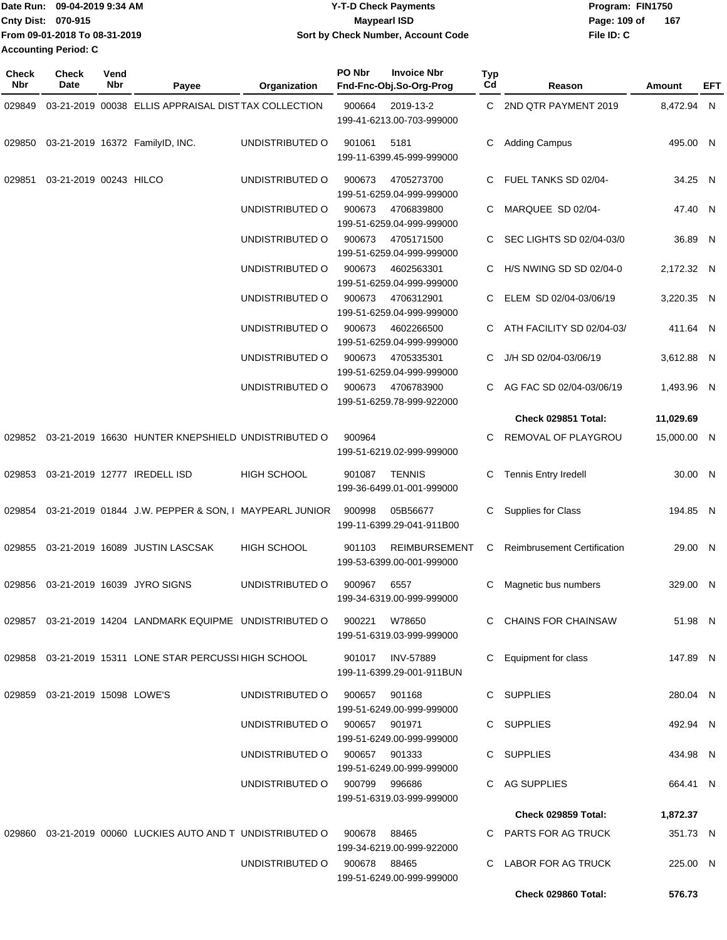| Date Run: 09-04-2019 9:34 AM  | <b>Y-T-D Check Payments</b>        | Program: FIN1750    |  |  |  |
|-------------------------------|------------------------------------|---------------------|--|--|--|
| <b>Cnty Dist: 070-915</b>     | <b>Mavpearl ISD</b>                | 167<br>Page: 109 of |  |  |  |
| From 09-01-2018 To 08-31-2019 | Sort by Check Number, Account Code | File ID: C          |  |  |  |
| <b>Accounting Period: C</b>   |                                    |                     |  |  |  |

| <b>Check</b><br>Nbr | Check<br>Date                  | Vend<br>Nbr | Payee                                                      | Organization                  | PO Nbr | <b>Invoice Nbr</b><br>Fnd-Fnc-Obj.So-Org-Prog     | <b>Typ</b><br>Cd | Reason                             | Amount      | EFT |
|---------------------|--------------------------------|-------------|------------------------------------------------------------|-------------------------------|--------|---------------------------------------------------|------------------|------------------------------------|-------------|-----|
| 029849              |                                |             | 03-21-2019 00038 ELLIS APPRAISAL DISTTAX COLLECTION        |                               | 900664 | 2019-13-2<br>199-41-6213.00-703-999000            |                  | C 2ND QTR PAYMENT 2019             | 8,472.94 N  |     |
| 029850              |                                |             | 03-21-2019 16372 FamilyID, INC.                            | UNDISTRIBUTED O               | 901061 | 5181<br>199-11-6399.45-999-999000                 | C                | <b>Adding Campus</b>               | 495.00 N    |     |
| 029851              | 03-21-2019 00243 HILCO         |             |                                                            | UNDISTRIBUTED O               | 900673 | 4705273700<br>199-51-6259.04-999-999000           | C.               | FUEL TANKS SD 02/04-               | 34.25 N     |     |
|                     |                                |             |                                                            | UNDISTRIBUTED O               | 900673 | 4706839800<br>199-51-6259.04-999-999000           | C                | MARQUEE SD 02/04-                  | 47.40 N     |     |
|                     |                                |             |                                                            | UNDISTRIBUTED O               | 900673 | 4705171500<br>199-51-6259.04-999-999000           | C                | SEC LIGHTS SD 02/04-03/0           | 36.89 N     |     |
|                     |                                |             |                                                            | UNDISTRIBUTED O               | 900673 | 4602563301<br>199-51-6259.04-999-999000           | C                | H/S NWING SD SD 02/04-0            | 2,172.32 N  |     |
|                     |                                |             |                                                            | UNDISTRIBUTED O               | 900673 | 4706312901<br>199-51-6259.04-999-999000           | C                | ELEM SD 02/04-03/06/19             | 3,220.35 N  |     |
|                     |                                |             |                                                            | UNDISTRIBUTED O               | 900673 | 4602266500<br>199-51-6259.04-999-999000           | C                | ATH FACILITY SD 02/04-03/          | 411.64 N    |     |
|                     |                                |             |                                                            | UNDISTRIBUTED O               | 900673 | 4705335301<br>199-51-6259.04-999-999000           | C                | J/H SD 02/04-03/06/19              | 3,612.88 N  |     |
|                     |                                |             |                                                            | UNDISTRIBUTED O               | 900673 | 4706783900<br>199-51-6259.78-999-922000           |                  | AG FAC SD 02/04-03/06/19           | 1,493.96 N  |     |
|                     |                                |             |                                                            |                               |        |                                                   |                  | Check 029851 Total:                | 11,029.69   |     |
| 029852              |                                |             | 03-21-2019 16630 HUNTER KNEPSHIELD UNDISTRIBUTED O         |                               | 900964 | 199-51-6219.02-999-999000                         | C                | REMOVAL OF PLAYGROU                | 15,000.00 N |     |
| 029853              |                                |             | 03-21-2019 12777 IREDELL ISD                               | <b>HIGH SCHOOL</b>            | 901087 | <b>TENNIS</b><br>199-36-6499.01-001-999000        | C                | <b>Tennis Entry Iredell</b>        | 30.00 N     |     |
| 029854              |                                |             | 03-21-2019 01844 J.W. PEPPER & SON, I MAYPEARL JUNIOR      |                               | 900998 | 05B56677<br>199-11-6399.29-041-911B00             | C                | Supplies for Class                 | 194.85 N    |     |
| 029855              |                                |             | 03-21-2019 16089 JUSTIN LASCSAK                            | <b>HIGH SCHOOL</b>            | 901103 | <b>REIMBURSEMENT</b><br>199-53-6399.00-001-999000 | C                | <b>Reimbrusement Certification</b> | 29.00 N     |     |
| 029856              |                                |             | 03-21-2019 16039 JYRO SIGNS                                | UNDISTRIBUTED O               | 900967 | 6557<br>199-34-6319.00-999-999000                 | C                | Magnetic bus numbers               | 329.00 N    |     |
|                     |                                |             | 029857 03-21-2019 14204 LANDMARK EQUIPME UNDISTRIBUTED O   |                               | 900221 | W78650<br>199-51-6319.03-999-999000               |                  | C CHAINS FOR CHAINSAW              | 51.98 N     |     |
|                     |                                |             | 029858 03-21-2019 15311 LONE STAR PERCUSSI HIGH SCHOOL     |                               |        | 901017 INV-57889<br>199-11-6399.29-001-911BUN     |                  | C Equipment for class              | 147.89 N    |     |
|                     | 029859 03-21-2019 15098 LOWE'S |             |                                                            | UNDISTRIBUTED O               | 900657 | 901168<br>199-51-6249.00-999-999000               |                  | C SUPPLIES                         | 280.04 N    |     |
|                     |                                |             |                                                            | UNDISTRIBUTED O               | 900657 | 901971<br>199-51-6249.00-999-999000               |                  | C SUPPLIES                         | 492.94 N    |     |
|                     |                                |             |                                                            | UNDISTRIBUTED 0 900657 901333 |        | 199-51-6249.00-999-999000                         |                  | C SUPPLIES                         | 434.98 N    |     |
|                     |                                |             |                                                            | UNDISTRIBUTED O 900799 996686 |        | 199-51-6319.03-999-999000                         |                  | C AG SUPPLIES                      | 664.41 N    |     |
|                     |                                |             |                                                            |                               |        |                                                   |                  | <b>Check 029859 Total:</b>         | 1,872.37    |     |
|                     |                                |             | 029860 03-21-2019 00060 LUCKIES AUTO AND T UNDISTRIBUTED O |                               | 900678 | 88465<br>199-34-6219.00-999-922000                |                  | C PARTS FOR AG TRUCK               | 351.73 N    |     |
|                     |                                |             |                                                            | UNDISTRIBUTED O               | 900678 | 88465<br>199-51-6249.00-999-999000                |                  | C LABOR FOR AG TRUCK               | 225.00 N    |     |
|                     |                                |             |                                                            |                               |        |                                                   |                  | Check 029860 Total:                | 576.73      |     |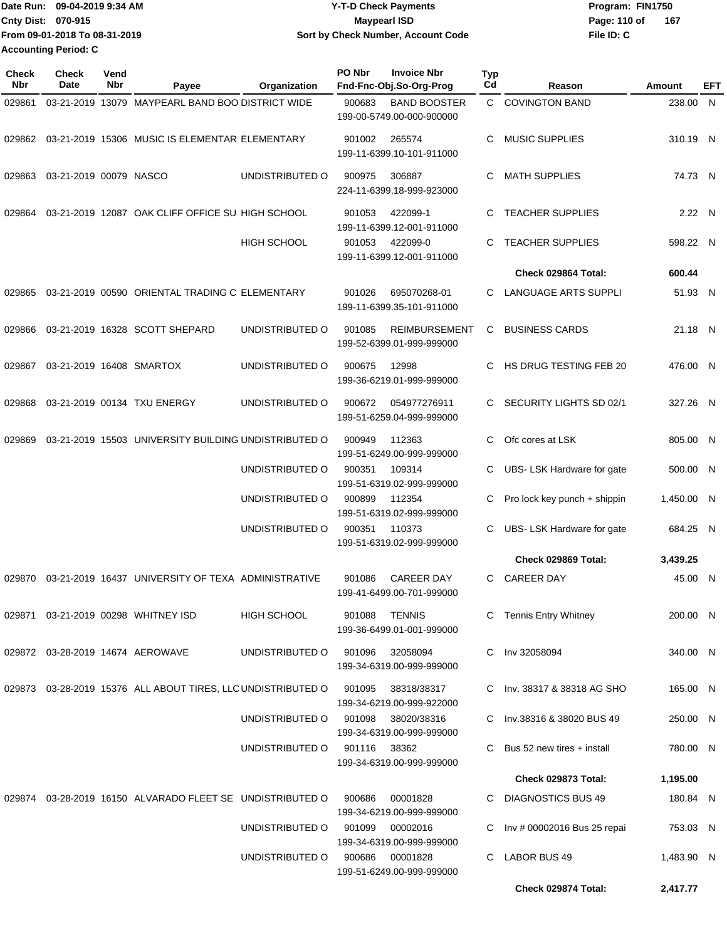| Date Run: 09-04-2019 9:34 AM  | <b>Y-T-D Check Payments</b>        | Program: FIN1750    |  |  |  |
|-------------------------------|------------------------------------|---------------------|--|--|--|
| Cnty Dist: 070-915            | <b>Mavpearl ISD</b>                | 167<br>Page: 110 of |  |  |  |
| From 09-01-2018 To 08-31-2019 | Sort by Check Number, Account Code | File ID: C          |  |  |  |
| <b>Accounting Period: C</b>   |                                    |                     |  |  |  |

| <b>Check</b><br>Nbr | <b>Check</b><br>Date     | Vend<br><b>Nbr</b> | Payee                                                        | Organization       | PO Nbr       | <b>Invoice Nbr</b><br>Fnd-Fnc-Obj.So-Org-Prog     | <b>Typ</b><br>Cd | Reason                       | Amount     | EFT |
|---------------------|--------------------------|--------------------|--------------------------------------------------------------|--------------------|--------------|---------------------------------------------------|------------------|------------------------------|------------|-----|
| 029861              |                          |                    | 03-21-2019 13079 MAYPEARL BAND BOO DISTRICT WIDE             |                    | 900683       | <b>BAND BOOSTER</b><br>199-00-5749.00-000-900000  | $\mathbf{C}$     | <b>COVINGTON BAND</b>        | 238.00 N   |     |
| 029862              |                          |                    | 03-21-2019 15306 MUSIC IS ELEMENTAR ELEMENTARY               |                    | 901002       | 265574<br>199-11-6399.10-101-911000               | C.               | <b>MUSIC SUPPLIES</b>        | 310.19 N   |     |
| 029863              | 03-21-2019 00079 NASCO   |                    |                                                              | UNDISTRIBUTED O    | 900975       | 306887<br>224-11-6399.18-999-923000               | C.               | <b>MATH SUPPLIES</b>         | 74.73 N    |     |
| 029864              |                          |                    | 03-21-2019 12087 OAK CLIFF OFFICE SU HIGH SCHOOL             |                    | 901053       | 422099-1<br>199-11-6399.12-001-911000             | C.               | <b>TEACHER SUPPLIES</b>      | 2.22 N     |     |
|                     |                          |                    |                                                              | <b>HIGH SCHOOL</b> | 901053       | 422099-0<br>199-11-6399.12-001-911000             | C                | <b>TEACHER SUPPLIES</b>      | 598.22 N   |     |
|                     |                          |                    |                                                              |                    |              |                                                   |                  | Check 029864 Total:          | 600.44     |     |
| 029865              |                          |                    | 03-21-2019 00590 ORIENTAL TRADING C ELEMENTARY               |                    | 901026       | 695070268-01<br>199-11-6399.35-101-911000         | C                | LANGUAGE ARTS SUPPLI         | 51.93 N    |     |
| 029866              |                          |                    | 03-21-2019 16328 SCOTT SHEPARD                               | UNDISTRIBUTED O    | 901085       | <b>REIMBURSEMENT</b><br>199-52-6399.01-999-999000 | C                | <b>BUSINESS CARDS</b>        | 21.18 N    |     |
| 029867              | 03-21-2019 16408 SMARTOX |                    |                                                              | UNDISTRIBUTED O    | 900675       | 12998<br>199-36-6219.01-999-999000                | C.               | HS DRUG TESTING FEB 20       | 476.00 N   |     |
| 029868              |                          |                    | 03-21-2019 00134 TXU ENERGY                                  | UNDISTRIBUTED O    | 900672       | 054977276911<br>199-51-6259.04-999-999000         | C.               | SECURITY LIGHTS SD 02/1      | 327.26 N   |     |
| 029869              |                          |                    | 03-21-2019 15503 UNIVERSITY BUILDING UNDISTRIBUTED O         |                    | 900949       | 112363<br>199-51-6249.00-999-999000               | C.               | Ofc cores at LSK             | 805.00 N   |     |
|                     |                          |                    |                                                              | UNDISTRIBUTED O    | 900351       | 109314<br>199-51-6319.02-999-999000               | C                | UBS- LSK Hardware for gate   | 500.00 N   |     |
|                     |                          |                    |                                                              | UNDISTRIBUTED O    | 900899       | 112354<br>199-51-6319.02-999-999000               | С                | Pro lock key punch + shippin | 1,450.00 N |     |
|                     |                          |                    |                                                              | UNDISTRIBUTED O    | 900351       | 110373<br>199-51-6319.02-999-999000               | C                | UBS- LSK Hardware for gate   | 684.25 N   |     |
|                     |                          |                    |                                                              |                    |              |                                                   |                  | Check 029869 Total:          | 3,439.25   |     |
| 029870              |                          |                    | 03-21-2019 16437 UNIVERSITY OF TEXA ADMINISTRATIVE           |                    | 901086       | <b>CAREER DAY</b><br>199-41-6499.00-701-999000    | C                | <b>CAREER DAY</b>            | 45.00 N    |     |
|                     |                          |                    | 029871  03-21-2019  00298  WHITNEY ISD                       | HIGH SCHOOL        | 901088       | TENNIS<br>199-36-6499.01-001-999000               |                  | C Tennis Entry Whitney       | 200.00 N   |     |
|                     |                          |                    | 029872 03-28-2019 14674 AEROWAVE                             | UNDISTRIBUTED O    | 901096       | 32058094<br>199-34-6319.00-999-999000             |                  | C Inv 32058094               | 340.00 N   |     |
|                     |                          |                    | 029873 03-28-2019 15376 ALL ABOUT TIRES, LLC UNDISTRIBUTED O |                    | 901095       | 38318/38317<br>199-34-6219.00-999-922000          |                  | C Inv. 38317 & 38318 AG SHO  | 165.00 N   |     |
|                     |                          |                    |                                                              | UNDISTRIBUTED O    | 901098       | 38020/38316<br>199-34-6319.00-999-999000          |                  | C Inv.38316 & 38020 BUS 49   | 250.00 N   |     |
|                     |                          |                    |                                                              | UNDISTRIBUTED O    | 901116 38362 | 199-34-6319.00-999-999000                         |                  | Bus 52 new tires + install   | 780.00 N   |     |
|                     |                          |                    |                                                              |                    |              |                                                   |                  | Check 029873 Total:          | 1,195.00   |     |
|                     |                          |                    | 029874 03-28-2019 16150 ALVARADO FLEET SE UNDISTRIBUTED O    |                    | 900686       | 00001828<br>199-34-6219.00-999-999000             |                  | <b>DIAGNOSTICS BUS 49</b>    | 180.84 N   |     |
|                     |                          |                    |                                                              | UNDISTRIBUTED O    | 901099       | 00002016<br>199-34-6319.00-999-999000             | C                | Inv # 00002016 Bus 25 repai  | 753.03 N   |     |
|                     |                          |                    |                                                              | UNDISTRIBUTED O    |              | 900686 00001828<br>199-51-6249.00-999-999000      | C.               | LABOR BUS 49                 | 1,483.90 N |     |
|                     |                          |                    |                                                              |                    |              |                                                   |                  | Check 029874 Total:          | 2,417.77   |     |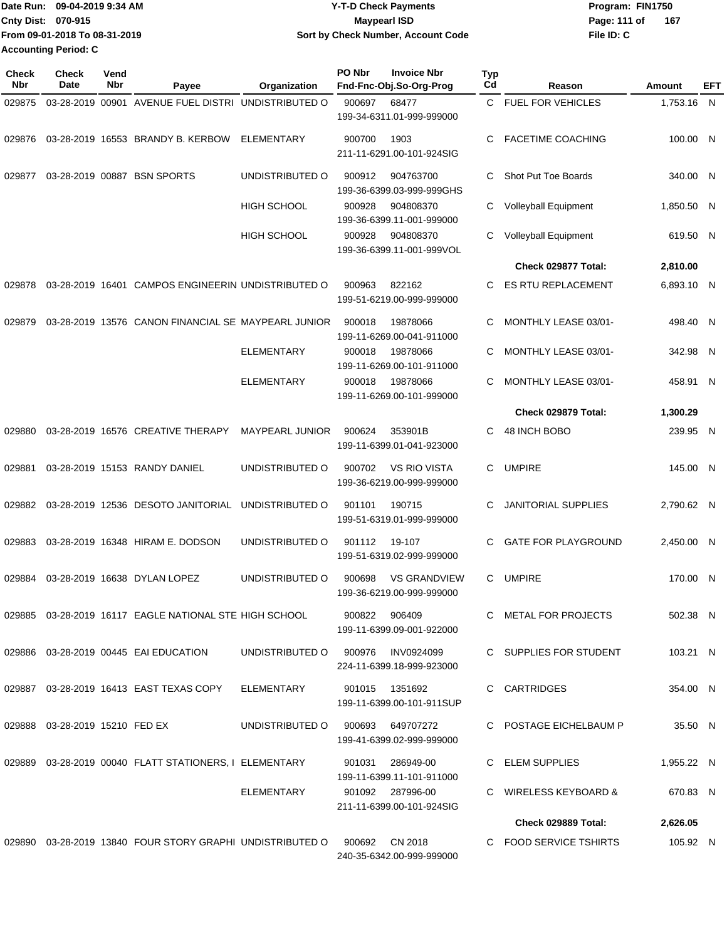| Date Run: 09-04-2019 9:34 AM  | <b>Y-T-D Check Payments</b>        | Program: FIN1750    |
|-------------------------------|------------------------------------|---------------------|
| <b>Cnty Dist: 070-915</b>     | Maypearl ISD                       | 167<br>Page: 111 of |
| From 09-01-2018 To 08-31-2019 | Sort by Check Number, Account Code | File ID: C          |
| <b>Accounting Period: C</b>   |                                    |                     |

| <b>Check</b><br>Nbr | <b>Check</b><br>Date              | Vend<br>Nbr | Payee                                                                         | Organization           | PO Nbr<br><b>Invoice Nbr</b><br>Fnd-Fnc-Obj.So-Org-Prog        | <b>Typ</b><br>Cd | Reason                     | Amount     | EFT |
|---------------------|-----------------------------------|-------------|-------------------------------------------------------------------------------|------------------------|----------------------------------------------------------------|------------------|----------------------------|------------|-----|
| 029875              |                                   |             | 03-28-2019 00901 AVENUE FUEL DISTRI                                           | UNDISTRIBUTED O        | 900697<br>68477<br>199-34-6311.01-999-999000                   | C.               | <b>FUEL FOR VEHICLES</b>   | 1,753.16 N |     |
| 029876              |                                   |             | 03-28-2019 16553 BRANDY B. KERBOW                                             | ELEMENTARY             | 900700<br>1903<br>211-11-6291.00-101-924SIG                    | C                | <b>FACETIME COACHING</b>   | 100.00 N   |     |
| 029877              |                                   |             | 03-28-2019 00887 BSN SPORTS                                                   | UNDISTRIBUTED O        | 900912<br>904763700<br>199-36-6399.03-999-999GHS               | C                | Shot Put Toe Boards        | 340.00 N   |     |
|                     |                                   |             |                                                                               | <b>HIGH SCHOOL</b>     | 900928<br>904808370<br>199-36-6399.11-001-999000               | C                | Volleyball Equipment       | 1,850.50 N |     |
|                     |                                   |             |                                                                               | <b>HIGH SCHOOL</b>     | 900928<br>904808370<br>199-36-6399.11-001-999VOL               | С                | Volleyball Equipment       | 619.50 N   |     |
|                     |                                   |             |                                                                               |                        |                                                                |                  | Check 029877 Total:        | 2,810.00   |     |
| 029878              |                                   |             | 03-28-2019 16401 CAMPOS ENGINEERIN UNDISTRIBUTED O                            |                        | 900963<br>822162<br>199-51-6219.00-999-999000                  | C                | ES RTU REPLACEMENT         | 6,893.10 N |     |
| 029879              |                                   |             | 03-28-2019 13576 CANON FINANCIAL SE MAYPEARL JUNIOR                           |                        | 900018<br>19878066<br>199-11-6269.00-041-911000                | С                | MONTHLY LEASE 03/01-       | 498.40 N   |     |
|                     |                                   |             |                                                                               | <b>ELEMENTARY</b>      | 19878066<br>900018<br>199-11-6269.00-101-911000                | C                | MONTHLY LEASE 03/01-       | 342.98 N   |     |
|                     |                                   |             |                                                                               | <b>ELEMENTARY</b>      | 900018<br>19878066<br>199-11-6269.00-101-999000                | C                | MONTHLY LEASE 03/01-       | 458.91 N   |     |
|                     |                                   |             |                                                                               |                        |                                                                |                  | Check 029879 Total:        | 1,300.29   |     |
| 029880              |                                   |             | 03-28-2019 16576 CREATIVE THERAPY                                             | <b>MAYPEARL JUNIOR</b> | 900624<br>353901B<br>199-11-6399.01-041-923000                 | C                | 48 INCH BOBO               | 239.95 N   |     |
| 029881              |                                   |             | 03-28-2019 15153 RANDY DANIEL                                                 | UNDISTRIBUTED O        | <b>VS RIO VISTA</b><br>900702<br>199-36-6219.00-999-999000     | C                | <b>UMPIRE</b>              | 145.00 N   |     |
| 029882              |                                   |             | 03-28-2019 12536 DESOTO JANITORIAL                                            | UNDISTRIBUTED O        | 190715<br>901101<br>199-51-6319.01-999-999000                  | C                | <b>JANITORIAL SUPPLIES</b> | 2,790.62 N |     |
| 029883              |                                   |             | 03-28-2019 16348 HIRAM E. DODSON                                              | UNDISTRIBUTED O        | 901112<br>19-107<br>199-51-6319.02-999-999000                  | С                | GATE FOR PLAYGROUND        | 2,450.00 N |     |
| 029884              |                                   |             | 03-28-2019 16638 DYLAN LOPEZ                                                  | UNDISTRIBUTED O        | <b>VS GRANDVIEW</b><br>900698<br>199-36-6219.00-999-999000     | C                | <b>UMPIRE</b>              | 170.00 N   |     |
|                     |                                   |             | 029885  03-28-2019  16117  EAGLE NATIONAL STE HIGH SCHOOL  900822  906409     |                        | 199-11-6399.09-001-922000                                      |                  | C METAL FOR PROJECTS       | 502.38 N   |     |
|                     |                                   |             | 029886  03-28-2019  00445  EAI EDUCATION                                      |                        | UNDISTRIBUTED O 900976 INV0924099<br>224-11-6399.18-999-923000 |                  | C SUPPLIES FOR STUDENT     | 103.21 N   |     |
|                     |                                   |             | 029887  03-28-2019  16413  EAST TEXAS COPY                                    | ELEMENTARY             | 901015 1351692<br>199-11-6399.00-101-911SUP                    |                  | C CARTRIDGES               | 354.00 N   |     |
|                     | 029888  03-28-2019  15210  FED EX |             |                                                                               | UNDISTRIBUTED O        | 900693 649707272<br>199-41-6399.02-999-999000                  |                  | C POSTAGE EICHELBAUM P     | 35.50 N    |     |
|                     |                                   |             | 029889  03-28-2019  00040  FLATT STATIONERS, I ELEMENTARY  901031  286949-00  |                        | 199-11-6399.11-101-911000                                      |                  | C ELEM SUPPLIES            | 1,955.22 N |     |
|                     |                                   |             |                                                                               |                        | ELEMENTARY 901092 287996-00<br>211-11-6399.00-101-924SIG       |                  | C WIRELESS KEYBOARD &      | 670.83 N   |     |
|                     |                                   |             |                                                                               |                        |                                                                |                  | Check 029889 Total:        | 2,626.05   |     |
|                     |                                   |             | 029890  03-28-2019  13840  FOUR STORY GRAPHI UNDISTRIBUTED O  900692  CN 2018 |                        | 240-35-6342.00-999-999000                                      |                  | C FOOD SERVICE TSHIRTS     | 105.92 N   |     |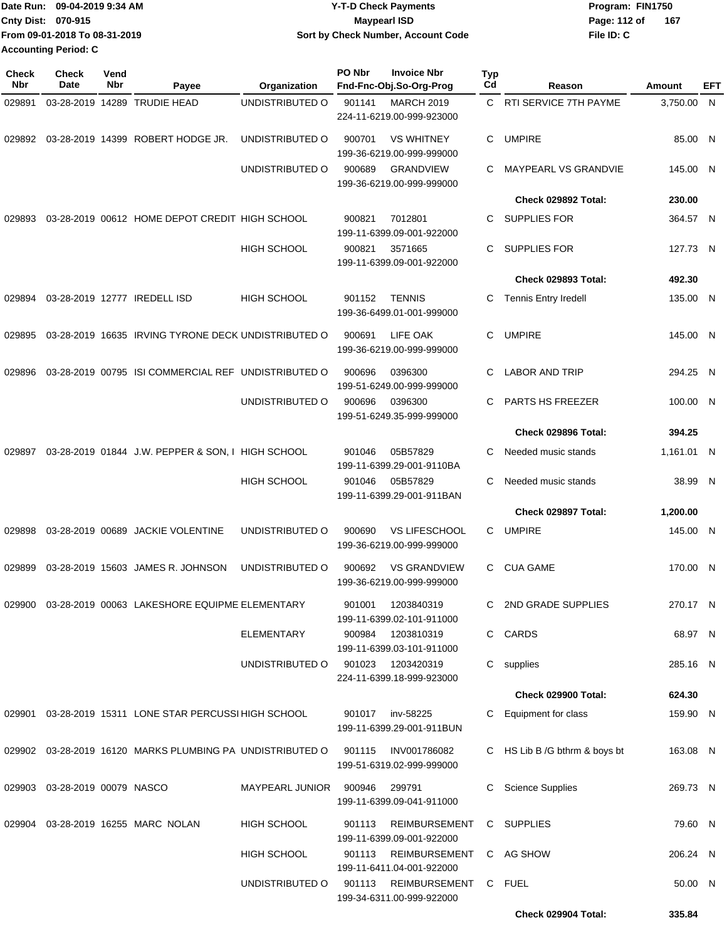| 1Date Run: 09-04-2019 9:34 AM | <b>Y-T-D Check Payments</b>        | Program: FIN1750    |  |  |  |
|-------------------------------|------------------------------------|---------------------|--|--|--|
| Cnty Dist: 070-915            | Maypearl ISD                       | 167<br>Page: 112 of |  |  |  |
| From 09-01-2018 To 08-31-2019 | Sort by Check Number, Account Code | File ID: C          |  |  |  |
| <b>Accounting Period: C</b>   |                                    |                     |  |  |  |

| <b>Check</b><br><b>Nbr</b> | Check<br>Date                 | Vend<br>Nbr | Payee                                                     | Organization           | PO Nbr | <b>Invoice Nbr</b><br>Fnd-Fnc-Obj.So-Org-Prog     | <b>Typ</b><br>Cd | Reason                        | Amount     | EFT |
|----------------------------|-------------------------------|-------------|-----------------------------------------------------------|------------------------|--------|---------------------------------------------------|------------------|-------------------------------|------------|-----|
| 029891                     |                               |             | 03-28-2019 14289 TRUDIE HEAD                              | UNDISTRIBUTED O        | 901141 | <b>MARCH 2019</b><br>224-11-6219.00-999-923000    | C.               | RTI SERVICE 7TH PAYME         | 3,750.00   | - N |
| 029892                     |                               |             | 03-28-2019 14399 ROBERT HODGE JR.                         | UNDISTRIBUTED O        | 900701 | <b>VS WHITNEY</b><br>199-36-6219.00-999-999000    | С                | <b>UMPIRE</b>                 | 85.00 N    |     |
|                            |                               |             |                                                           | UNDISTRIBUTED O        | 900689 | <b>GRANDVIEW</b><br>199-36-6219.00-999-999000     | С                | <b>MAYPEARL VS GRANDVIE</b>   | 145.00 N   |     |
|                            |                               |             |                                                           |                        |        |                                                   |                  | Check 029892 Total:           | 230.00     |     |
| 029893                     |                               |             | 03-28-2019 00612 HOME DEPOT CREDIT HIGH SCHOOL            |                        | 900821 | 7012801<br>199-11-6399.09-001-922000              | С                | <b>SUPPLIES FOR</b>           | 364.57 N   |     |
|                            |                               |             |                                                           | HIGH SCHOOL            | 900821 | 3571665<br>199-11-6399.09-001-922000              | С                | <b>SUPPLIES FOR</b>           | 127.73 N   |     |
|                            |                               |             |                                                           |                        |        |                                                   |                  | <b>Check 029893 Total:</b>    | 492.30     |     |
| 029894                     |                               |             | 03-28-2019 12777 IREDELL ISD                              | HIGH SCHOOL            | 901152 | <b>TENNIS</b><br>199-36-6499.01-001-999000        | С                | <b>Tennis Entry Iredell</b>   | 135.00 N   |     |
| 029895                     |                               |             | 03-28-2019 16635 IRVING TYRONE DECK UNDISTRIBUTED O       |                        | 900691 | LIFE OAK<br>199-36-6219.00-999-999000             | С                | <b>UMPIRE</b>                 | 145.00 N   |     |
| 029896                     |                               |             | 03-28-2019 00795 ISI COMMERCIAL REF UNDISTRIBUTED O       |                        | 900696 | 0396300<br>199-51-6249.00-999-999000              | С                | <b>LABOR AND TRIP</b>         | 294.25 N   |     |
|                            |                               |             |                                                           | UNDISTRIBUTED O        | 900696 | 0396300<br>199-51-6249.35-999-999000              | С                | PARTS HS FREEZER              | 100.00 N   |     |
|                            |                               |             |                                                           |                        |        |                                                   |                  | Check 029896 Total:           | 394.25     |     |
| 029897                     |                               |             | 03-28-2019 01844 J.W. PEPPER & SON, I HIGH SCHOOL         |                        | 901046 | 05B57829<br>199-11-6399.29-001-9110BA             | С                | Needed music stands           | 1,161.01 N |     |
|                            |                               |             |                                                           | <b>HIGH SCHOOL</b>     | 901046 | 05B57829<br>199-11-6399.29-001-911BAN             | C                | Needed music stands           | 38.99 N    |     |
|                            |                               |             |                                                           |                        |        |                                                   |                  | Check 029897 Total:           | 1,200.00   |     |
| 029898                     |                               |             | 03-28-2019 00689 JACKIE VOLENTINE                         | UNDISTRIBUTED O        | 900690 | <b>VS LIFESCHOOL</b><br>199-36-6219.00-999-999000 | С                | <b>UMPIRE</b>                 | 145.00 N   |     |
| 029899                     |                               |             | 03-28-2019 15603 JAMES R. JOHNSON                         | UNDISTRIBUTED O        | 900692 | <b>VS GRANDVIEW</b><br>199-36-6219.00-999-999000  | C                | <b>CUA GAME</b>               | 170.00 N   |     |
|                            |                               |             | 029900 03-28-2019 00063 LAKESHORE EQUIPME ELEMENTARY      |                        | 901001 | 1203840319<br>199-11-6399.02-101-911000           |                  | C 2ND GRADE SUPPLIES          | 270.17 N   |     |
|                            |                               |             |                                                           | <b>ELEMENTARY</b>      | 900984 | 1203810319<br>199-11-6399.03-101-911000           |                  | C CARDS                       | 68.97 N    |     |
|                            |                               |             |                                                           | UNDISTRIBUTED O        |        | 901023 1203420319<br>224-11-6399.18-999-923000    |                  | C supplies                    | 285.16 N   |     |
|                            |                               |             |                                                           |                        |        |                                                   |                  | Check 029900 Total:           | 624.30     |     |
|                            |                               |             | 029901 03-28-2019 15311 LONE STAR PERCUSSI HIGH SCHOOL    |                        |        | 901017 inv-58225<br>199-11-6399.29-001-911BUN     | C                | Equipment for class           | 159.90 N   |     |
|                            |                               |             | 029902 03-28-2019 16120 MARKS PLUMBING PA UNDISTRIBUTED O |                        | 901115 | INV001786082<br>199-51-6319.02-999-999000         |                  | C HS Lib B /G bthrm & boys bt | 163.08 N   |     |
|                            | 029903 03-28-2019 00079 NASCO |             |                                                           | <b>MAYPEARL JUNIOR</b> | 900946 | 299791<br>199-11-6399.09-041-911000               | С                | <b>Science Supplies</b>       | 269.73 N   |     |
|                            |                               |             | 029904  03-28-2019  16255  MARC  NOLAN                    | <b>HIGH SCHOOL</b>     | 901113 | REIMBURSEMENT<br>199-11-6399.09-001-922000        |                  | C SUPPLIES                    | 79.60 N    |     |
|                            |                               |             |                                                           | HIGH SCHOOL            | 901113 | REIMBURSEMENT<br>199-11-6411.04-001-922000        |                  | C AG SHOW                     | 206.24 N   |     |
|                            |                               |             |                                                           | UNDISTRIBUTED O        |        | 901113 REIMBURSEMENT<br>199-34-6311.00-999-922000 | C.               | <b>FUEL</b>                   | 50.00 N    |     |
|                            |                               |             |                                                           |                        |        |                                                   |                  | Check 029904 Total:           | 335.84     |     |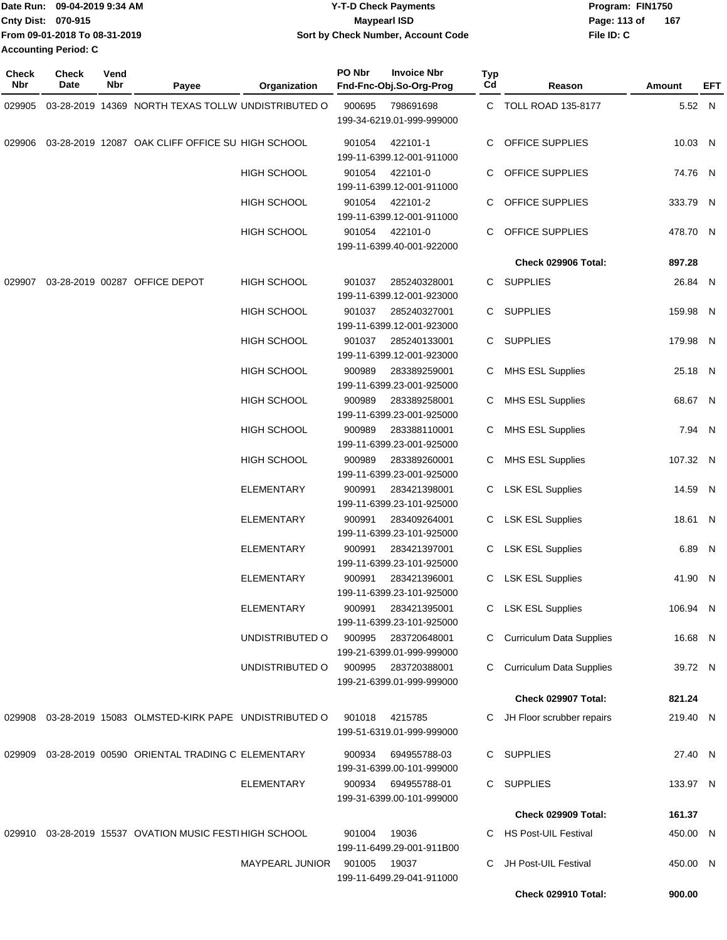| IDate Run: 09-04-2019 9:34 AM | <b>Y-T-D Check Payments</b>        | Program: FIN1750    |  |  |  |
|-------------------------------|------------------------------------|---------------------|--|--|--|
| <b>Cnty Dist: 070-915</b>     | <b>Mavpearl ISD</b>                | 167<br>Page: 113 of |  |  |  |
| From 09-01-2018 To 08-31-2019 | Sort by Check Number, Account Code | File ID: C          |  |  |  |
| <b>Accounting Period: C</b>   |                                    |                     |  |  |  |

| Check<br>Nbr | <b>Check</b><br>Date | Vend<br>Nbr | Payee                                              | Organization           | PO Nbr | <b>Invoice Nbr</b><br>Fnd-Fnc-Obj.So-Org-Prog                          | <b>Typ</b><br>Cd | Reason                          | Amount   | EFT |
|--------------|----------------------|-------------|----------------------------------------------------|------------------------|--------|------------------------------------------------------------------------|------------------|---------------------------------|----------|-----|
| 029905       |                      |             | 03-28-2019 14369 NORTH TEXAS TOLLW UNDISTRIBUTED O |                        | 900695 | 798691698<br>199-34-6219.01-999-999000                                 |                  | C TOLL ROAD 135-8177            | 5.52 N   |     |
| 029906       |                      |             | 03-28-2019 12087 OAK CLIFF OFFICE SU HIGH SCHOOL   |                        | 901054 | 422101-1<br>199-11-6399.12-001-911000                                  | C                | <b>OFFICE SUPPLIES</b>          | 10.03 N  |     |
|              |                      |             |                                                    | <b>HIGH SCHOOL</b>     | 901054 | 422101-0<br>199-11-6399.12-001-911000                                  | C                | <b>OFFICE SUPPLIES</b>          | 74.76 N  |     |
|              |                      |             |                                                    | HIGH SCHOOL            | 901054 | 422101-2<br>199-11-6399.12-001-911000                                  | C                | OFFICE SUPPLIES                 | 333.79 N |     |
|              |                      |             |                                                    | <b>HIGH SCHOOL</b>     | 901054 | 422101-0<br>199-11-6399.40-001-922000                                  | C                | OFFICE SUPPLIES                 | 478.70 N |     |
|              |                      |             |                                                    |                        |        |                                                                        |                  | Check 029906 Total:             | 897.28   |     |
| 029907       |                      |             | 03-28-2019 00287 OFFICE DEPOT                      | <b>HIGH SCHOOL</b>     | 901037 | 285240328001<br>199-11-6399.12-001-923000                              | C                | <b>SUPPLIES</b>                 | 26.84 N  |     |
|              |                      |             |                                                    | <b>HIGH SCHOOL</b>     | 901037 | 285240327001<br>199-11-6399.12-001-923000                              | C                | <b>SUPPLIES</b>                 | 159.98 N |     |
|              |                      |             |                                                    | <b>HIGH SCHOOL</b>     | 901037 | 285240133001                                                           | C.               | <b>SUPPLIES</b>                 | 179.98 N |     |
|              |                      |             |                                                    |                        |        | 199-11-6399.12-001-923000                                              |                  |                                 |          |     |
|              |                      |             |                                                    | HIGH SCHOOL            | 900989 | 283389259001<br>199-11-6399.23-001-925000                              | C                | <b>MHS ESL Supplies</b>         | 25.18 N  |     |
|              |                      |             |                                                    | <b>HIGH SCHOOL</b>     | 900989 | 283389258001<br>199-11-6399.23-001-925000                              | C                | <b>MHS ESL Supplies</b>         | 68.67 N  |     |
|              |                      |             |                                                    | HIGH SCHOOL            | 900989 | 283388110001<br>199-11-6399.23-001-925000                              | C                | <b>MHS ESL Supplies</b>         | 7.94 N   |     |
|              |                      |             |                                                    | <b>HIGH SCHOOL</b>     | 900989 | 283389260001<br>199-11-6399.23-001-925000                              | C                | <b>MHS ESL Supplies</b>         | 107.32 N |     |
|              |                      |             |                                                    | ELEMENTARY             | 900991 | 283421398001<br>199-11-6399.23-101-925000                              | C                | <b>LSK ESL Supplies</b>         | 14.59 N  |     |
|              |                      |             |                                                    | <b>ELEMENTARY</b>      | 900991 | 283409264001<br>199-11-6399.23-101-925000                              | C                | <b>LSK ESL Supplies</b>         | 18.61 N  |     |
|              |                      |             |                                                    | ELEMENTARY             | 900991 | 283421397001<br>199-11-6399.23-101-925000                              | C                | <b>LSK ESL Supplies</b>         | 6.89 N   |     |
|              |                      |             |                                                    | ELEMENTARY             | 900991 | 283421396001<br>199-11-6399.23-101-925000                              | C                | <b>LSK ESL Supplies</b>         | 41.90 N  |     |
|              |                      |             |                                                    | <b>ELEMENTARY</b>      | 900991 | 283421395001<br>199-11-6399.23-101-925000                              | C                | <b>LSK ESL Supplies</b>         | 106.94 N |     |
|              |                      |             |                                                    | UNDISTRIBUTED O        | 900995 | 283720648001<br>199-21-6399.01-999-999000                              | C                | <b>Curriculum Data Supplies</b> | 16.68 N  |     |
|              |                      |             |                                                    | UNDISTRIBUTED O        | 900995 | 283720388001<br>199-21-6399.01-999-999000                              | C                | <b>Curriculum Data Supplies</b> | 39.72 N  |     |
|              |                      |             |                                                    |                        |        |                                                                        |                  | Check 029907 Total:             | 821.24   |     |
| 029908       |                      |             | 03-28-2019 15083 OLMSTED-KIRK PAPE UNDISTRIBUTED O |                        | 901018 | 4215785<br>199-51-6319.01-999-999000                                   | C.               | JH Floor scrubber repairs       | 219.40 N |     |
| 029909       |                      |             | 03-28-2019 00590 ORIENTAL TRADING C ELEMENTARY     |                        | 900934 | 694955788-03                                                           | C.               | <b>SUPPLIES</b>                 | 27.40 N  |     |
|              |                      |             |                                                    | ELEMENTARY             | 900934 | 199-31-6399.00-101-999000<br>694955788-01<br>199-31-6399.00-101-999000 | C.               | <b>SUPPLIES</b>                 | 133.97 N |     |
|              |                      |             |                                                    |                        |        |                                                                        |                  | Check 029909 Total:             | 161.37   |     |
| 029910       |                      |             | 03-28-2019 15537 OVATION MUSIC FESTI HIGH SCHOOL   |                        | 901004 | 19036                                                                  | C                | <b>HS Post-UIL Festival</b>     | 450.00 N |     |
|              |                      |             |                                                    |                        |        | 199-11-6499.29-001-911B00                                              |                  |                                 |          |     |
|              |                      |             |                                                    | <b>MAYPEARL JUNIOR</b> | 901005 | 19037<br>199-11-6499.29-041-911000                                     | C                | JH Post-UIL Festival            | 450.00 N |     |
|              |                      |             |                                                    |                        |        |                                                                        |                  | Check 029910 Total:             | 900.00   |     |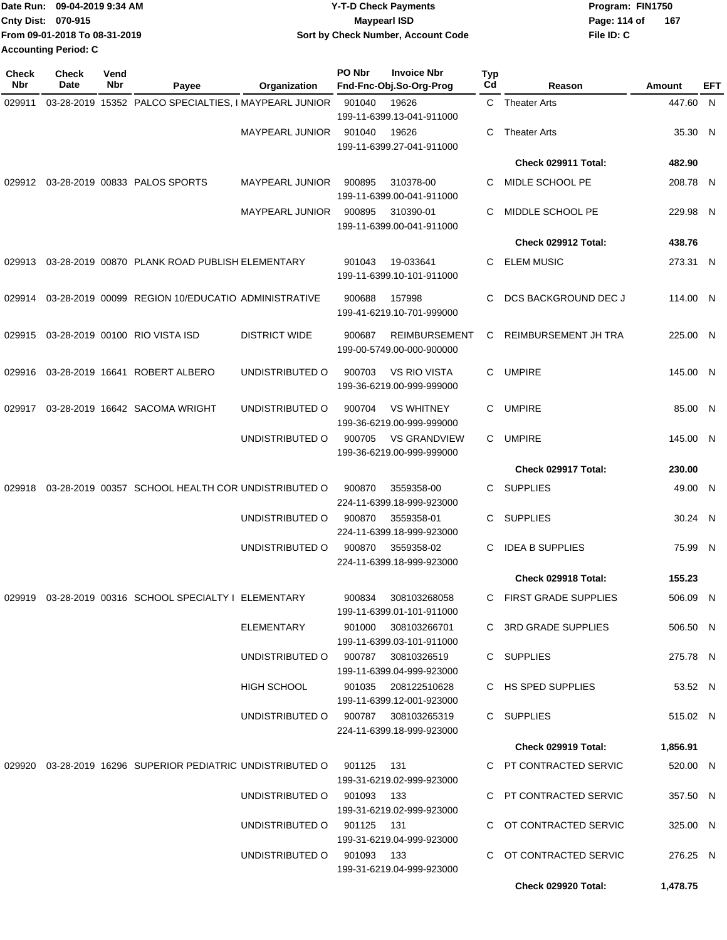|                    | Date Run: 09-04-2019 9:34 AM  | <b>Y-T-D Check Payments</b>        | Program: FIN1750 |     |  |  |
|--------------------|-------------------------------|------------------------------------|------------------|-----|--|--|
| Cnty Dist: 070-915 |                               | <b>Mavpearl ISD</b>                | Page: 114 of     | 167 |  |  |
|                    | From 09-01-2018 To 08-31-2019 | Sort by Check Number, Account Code | File ID: C       |     |  |  |
|                    | <b>Accounting Period: C</b>   |                                    |                  |     |  |  |

| <b>Check</b><br>Nbr | <b>Check</b><br><b>Date</b> | Vend<br>Nbr | Payee                                                             | Organization                        | PO Nbr | <b>Invoice Nbr</b><br>Fnd-Fnc-Obj.So-Org-Prog                                 | Typ<br>Cd | Reason                      | Amount   | EFT |
|---------------------|-----------------------------|-------------|-------------------------------------------------------------------|-------------------------------------|--------|-------------------------------------------------------------------------------|-----------|-----------------------------|----------|-----|
| 029911              |                             |             | 03-28-2019 15352 PALCO SPECIALTIES, I MAYPEARL JUNIOR             |                                     | 901040 | 19626                                                                         |           | C Theater Arts              | 447.60 N |     |
|                     |                             |             |                                                                   |                                     |        | 199-11-6399.13-041-911000                                                     |           |                             |          |     |
|                     |                             |             |                                                                   | MAYPEARL JUNIOR                     | 901040 | 19626                                                                         | С         | <b>Theater Arts</b>         | 35.30 N  |     |
|                     |                             |             |                                                                   |                                     |        | 199-11-6399.27-041-911000                                                     |           |                             |          |     |
|                     |                             |             |                                                                   |                                     |        |                                                                               |           | Check 029911 Total:         | 482.90   |     |
|                     |                             |             | 029912 03-28-2019 00833 PALOS SPORTS                              | <b>MAYPEARL JUNIOR</b>              | 900895 | 310378-00<br>199-11-6399.00-041-911000                                        | С         | MIDLE SCHOOL PE             | 208.78 N |     |
|                     |                             |             |                                                                   | <b>MAYPEARL JUNIOR</b>              | 900895 | 310390-01<br>199-11-6399.00-041-911000                                        | С         | MIDDLE SCHOOL PE            | 229.98 N |     |
|                     |                             |             |                                                                   |                                     |        |                                                                               |           | Check 029912 Total:         | 438.76   |     |
| 029913              |                             |             | 03-28-2019 00870 PLANK ROAD PUBLISH ELEMENTARY                    |                                     | 901043 | 19-033641<br>199-11-6399.10-101-911000                                        | С         | <b>ELEM MUSIC</b>           | 273.31 N |     |
| 029914              |                             |             | 03-28-2019 00099 REGION 10/EDUCATIO ADMINISTRATIVE                |                                     | 900688 | 157998<br>199-41-6219.10-701-999000                                           | С         | <b>DCS BACKGROUND DEC J</b> | 114.00 N |     |
| 029915              |                             |             | 03-28-2019 00100 RIO VISTA ISD                                    | <b>DISTRICT WIDE</b>                | 900687 | <b>REIMBURSEMENT</b><br>199-00-5749.00-000-900000                             | С         | REIMBURSEMENT JH TRA        | 225.00 N |     |
| 029916              |                             |             | 03-28-2019 16641 ROBERT ALBERO                                    | UNDISTRIBUTED O                     | 900703 | <b>VS RIO VISTA</b><br>199-36-6219.00-999-999000                              |           | C UMPIRE                    | 145.00 N |     |
| 029917              |                             |             | 03-28-2019 16642 SACOMA WRIGHT                                    | UNDISTRIBUTED O                     | 900704 | <b>VS WHITNEY</b>                                                             | С         | <b>UMPIRE</b>               | 85.00 N  |     |
|                     |                             |             |                                                                   | UNDISTRIBUTED O                     | 900705 | 199-36-6219.00-999-999000<br><b>VS GRANDVIEW</b><br>199-36-6219.00-999-999000 | C         | <b>UMPIRE</b>               | 145.00 N |     |
|                     |                             |             |                                                                   |                                     |        |                                                                               |           | Check 029917 Total:         | 230.00   |     |
| 029918              |                             |             | 03-28-2019 00357 SCHOOL HEALTH COR UNDISTRIBUTED O                |                                     | 900870 | 3559358-00                                                                    | С         | <b>SUPPLIES</b>             | 49.00 N  |     |
|                     |                             |             |                                                                   |                                     |        | 224-11-6399.18-999-923000                                                     |           |                             |          |     |
|                     |                             |             |                                                                   | UNDISTRIBUTED O                     | 900870 | 3559358-01<br>224-11-6399.18-999-923000                                       | С         | <b>SUPPLIES</b>             | 30.24 N  |     |
|                     |                             |             |                                                                   | UNDISTRIBUTED O                     | 900870 | 3559358-02<br>224-11-6399.18-999-923000                                       | С         | <b>IDEA B SUPPLIES</b>      | 75.99 N  |     |
|                     |                             |             |                                                                   |                                     |        |                                                                               |           | Check 029918 Total:         | 155.23   |     |
|                     |                             |             | 029919 03-28-2019 00316 SCHOOL SPECIALTY I ELEMENTARY             |                                     | 900834 | 308103268058<br>199-11-6399.01-101-911000                                     |           | C FIRST GRADE SUPPLIES      | 506.09 N |     |
|                     |                             |             |                                                                   | ELEMENTARY                          |        | 901000 308103266701<br>199-11-6399.03-101-911000                              |           | C 3RD GRADE SUPPLIES        | 506.50 N |     |
|                     |                             |             |                                                                   | UNDISTRIBUTED O 900787 30810326519  |        | 199-11-6399.04-999-923000                                                     |           | C SUPPLIES                  | 275.78 N |     |
|                     |                             |             |                                                                   | <b>HIGH SCHOOL</b>                  |        | 901035 208122510628<br>199-11-6399.12-001-923000                              |           | C HS SPED SUPPLIES          | 53.52 N  |     |
|                     |                             |             |                                                                   | UNDISTRIBUTED O 900787 308103265319 |        | 224-11-6399.18-999-923000                                                     |           | C SUPPLIES                  | 515.02 N |     |
|                     |                             |             |                                                                   |                                     |        |                                                                               |           | Check 029919 Total:         | 1,856.91 |     |
|                     |                             |             | 029920 03-28-2019 16296 SUPERIOR PEDIATRIC UNDISTRIBUTED O 901125 |                                     |        | - 131<br>199-31-6219.02-999-923000                                            |           | C PT CONTRACTED SERVIC      | 520.00 N |     |
|                     |                             |             |                                                                   | UNDISTRIBUTED O 901093 133          |        | 199-31-6219.02-999-923000                                                     |           | C PT CONTRACTED SERVIC      | 357.50 N |     |
|                     |                             |             |                                                                   | UNDISTRIBUTED O 901125 131          |        | 199-31-6219.04-999-923000                                                     |           | C OT CONTRACTED SERVIC      | 325.00 N |     |
|                     |                             |             |                                                                   | UNDISTRIBUTED O 901093 133          |        | 199-31-6219.04-999-923000                                                     |           | C OT CONTRACTED SERVIC      | 276.25 N |     |
|                     |                             |             |                                                                   |                                     |        |                                                                               |           | Check 029920 Total:         | 1,478.75 |     |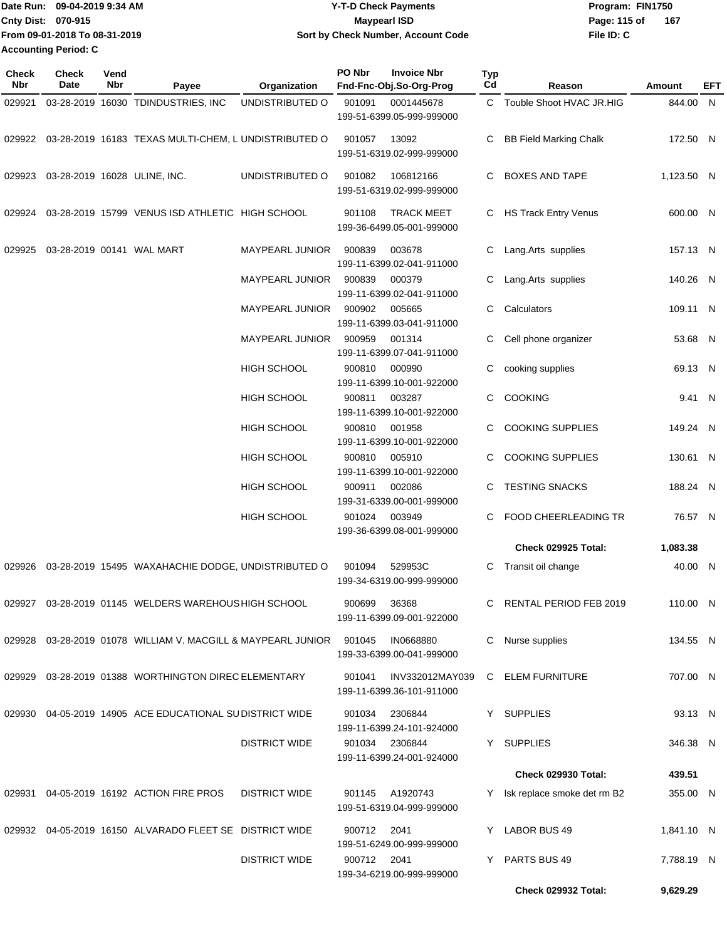Date Run: 09-04-2019 9:34 AM **Date Runity Controller State Payments** Program: FIN1750 **Cnty Dist: 070-915 File ID: C From 09-01-2018 To 08-31-2019 09-04-2019 9:34 AM Y-T-D Check Payments 070-915 Maypearl ISD Sort by Check Number, Account Code** Page: 115 of 167 **Accounting Period: C**

| Check<br>Nbr | Check<br>Date | Vend<br>Nbr | Payee                                                       | Organization         | PO Nbr      | <b>Invoice Nbr</b><br>Fnd-Fnc-Obj.So-Org-Prog  | Typ<br>Cd | Reason                        | Amount     | <b>EFT</b> |
|--------------|---------------|-------------|-------------------------------------------------------------|----------------------|-------------|------------------------------------------------|-----------|-------------------------------|------------|------------|
| 029921       |               |             | 03-28-2019 16030 TDINDUSTRIES, INC                          | UNDISTRIBUTED O      | 901091      | 0001445678<br>199-51-6399.05-999-999000        |           | C Touble Shoot HVAC JR.HIG    | 844.00 N   |            |
|              |               |             | 029922 03-28-2019 16183 TEXAS MULTI-CHEM, L UNDISTRIBUTED O |                      | 901057      | 13092<br>199-51-6319.02-999-999000             | C         | <b>BB Field Marking Chalk</b> | 172.50 N   |            |
| 029923       |               |             | 03-28-2019 16028 ULINE, INC.                                | UNDISTRIBUTED O      | 901082      | 106812166<br>199-51-6319.02-999-999000         | C.        | <b>BOXES AND TAPE</b>         | 1,123.50 N |            |
| 029924       |               |             | 03-28-2019 15799 VENUS ISD ATHLETIC HIGH SCHOOL             |                      | 901108      | <b>TRACK MEET</b><br>199-36-6499.05-001-999000 |           | C HS Track Entry Venus        | 600.00 N   |            |
| 029925       |               |             | 03-28-2019 00141 WAL MART                                   | MAYPEARL JUNIOR      | 900839      | 003678<br>199-11-6399.02-041-911000            | C         | Lang.Arts supplies            | 157.13 N   |            |
|              |               |             |                                                             | MAYPEARL JUNIOR      | 900839      | 000379<br>199-11-6399.02-041-911000            | C         | Lang.Arts supplies            | 140.26 N   |            |
|              |               |             |                                                             | MAYPEARL JUNIOR      | 900902      | 005665<br>199-11-6399.03-041-911000            | C         | Calculators                   | 109.11 N   |            |
|              |               |             |                                                             | MAYPEARL JUNIOR      | 900959      | 001314<br>199-11-6399.07-041-911000            | С         | Cell phone organizer          | 53.68 N    |            |
|              |               |             |                                                             | <b>HIGH SCHOOL</b>   | 900810      | 000990<br>199-11-6399.10-001-922000            | C         | cooking supplies              | 69.13 N    |            |
|              |               |             |                                                             | HIGH SCHOOL          | 900811      | 003287<br>199-11-6399.10-001-922000            | C         | <b>COOKING</b>                | 9.41 N     |            |
|              |               |             |                                                             | HIGH SCHOOL          | 900810      | 001958<br>199-11-6399.10-001-922000            | C         | <b>COOKING SUPPLIES</b>       | 149.24 N   |            |
|              |               |             |                                                             | <b>HIGH SCHOOL</b>   | 900810      | 005910<br>199-11-6399.10-001-922000            | C         | <b>COOKING SUPPLIES</b>       | 130.61 N   |            |
|              |               |             |                                                             | HIGH SCHOOL          | 900911      | 002086<br>199-31-6339.00-001-999000            | C.        | <b>TESTING SNACKS</b>         | 188.24 N   |            |
|              |               |             |                                                             | <b>HIGH SCHOOL</b>   | 901024      | 003949<br>199-36-6399.08-001-999000            | C         | FOOD CHEERLEADING TR          | 76.57 N    |            |
|              |               |             |                                                             |                      |             |                                                |           | Check 029925 Total:           | 1,083.38   |            |
| 029926       |               |             | 03-28-2019 15495 WAXAHACHIE DODGE, UNDISTRIBUTED O          |                      | 901094      | 529953C<br>199-34-6319.00-999-999000           | C         | Transit oil change            | 40.00 N    |            |
|              |               |             | 029927 03-28-2019 01145 WELDERS WAREHOUS HIGH SCHOOL        |                      | 900699      | 36368<br>199-11-6399.09-001-922000             |           | RENTAL PERIOD FEB 2019        | 110.00 N   |            |
| 029928       |               |             |                                                             |                      | 901045      | IN0668880<br>199-33-6399.00-041-999000         | C.        | Nurse supplies                | 134.55 N   |            |
| 029929       |               |             | 03-28-2019 01388 WORTHINGTON DIREC ELEMENTARY               |                      | 901041      | INV332012MAY039<br>199-11-6399.36-101-911000   |           | C ELEM FURNITURE              | 707.00 N   |            |
| 029930       |               |             | 04-05-2019 14905 ACE EDUCATIONAL SUDISTRICT WIDE            |                      | 901034      | 2306844<br>199-11-6399.24-101-924000           |           | Y SUPPLIES                    | 93.13 N    |            |
|              |               |             |                                                             | <b>DISTRICT WIDE</b> |             | 901034 2306844<br>199-11-6399.24-001-924000    |           | Y SUPPLIES                    | 346.38 N   |            |
|              |               |             |                                                             |                      |             |                                                |           | <b>Check 029930 Total:</b>    | 439.51     |            |
| 029931       |               |             | 04-05-2019 16192 ACTION FIRE PROS                           | <b>DISTRICT WIDE</b> |             | 901145 A1920743<br>199-51-6319.04-999-999000   | Y.        | Isk replace smoke det rm B2   | 355.00 N   |            |
|              |               |             | 029932 04-05-2019 16150 ALVARADO FLEET SE DISTRICT WIDE     |                      | 900712      | 2041<br>199-51-6249.00-999-999000              |           | LABOR BUS 49                  | 1,841.10 N |            |
|              |               |             |                                                             | <b>DISTRICT WIDE</b> | 900712 2041 | 199-34-6219.00-999-999000                      | Y.        | PARTS BUS 49                  | 7,788.19 N |            |
|              |               |             |                                                             |                      |             |                                                |           | <b>Check 029932 Total:</b>    | 9,629.29   |            |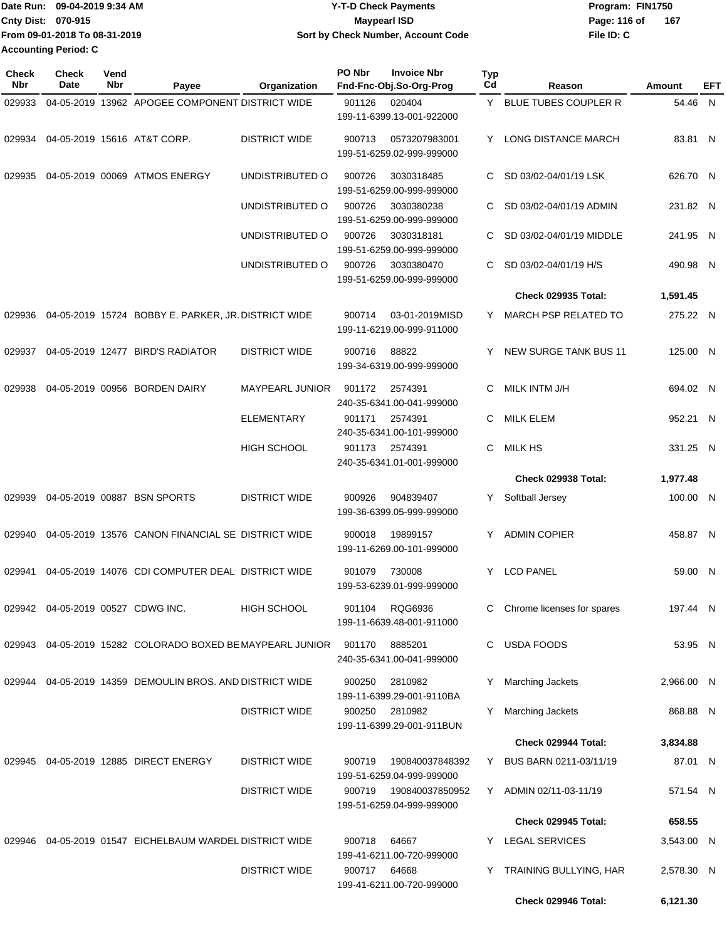| Date Run: 09-04-2019 9:34 AM  | Y-T-D Check Payments               | Program: FIN1750    |
|-------------------------------|------------------------------------|---------------------|
| <b>Cnty Dist: 070-915</b>     | Maypearl ISD                       | 167<br>Page: 116 of |
| From 09-01-2018 To 08-31-2019 | Sort by Check Number, Account Code | File ID: C          |
| <b>Accounting Period: C</b>   |                                    |                     |

| <b>Check</b><br>Nbr | Check<br>Date                     | Vend<br>Nbr | Payee                                                      | Organization           | PO Nbr | <b>Invoice Nbr</b><br>Fnd-Fnc-Obj.So-Org-Prog | <b>Typ</b><br>Cd | Reason                       | Amount     | EFT |
|---------------------|-----------------------------------|-------------|------------------------------------------------------------|------------------------|--------|-----------------------------------------------|------------------|------------------------------|------------|-----|
| 029933              |                                   |             | 04-05-2019 13962 APOGEE COMPONENT DISTRICT WIDE            |                        | 901126 | 020404                                        | Y.               | BLUE TUBES COUPLER R         | 54.46 N    |     |
|                     |                                   |             |                                                            |                        |        | 199-11-6399.13-001-922000                     |                  |                              |            |     |
| 029934              |                                   |             | 04-05-2019 15616 AT&T CORP.                                | <b>DISTRICT WIDE</b>   | 900713 | 0573207983001                                 | Y                | LONG DISTANCE MARCH          | 83.81 N    |     |
|                     |                                   |             |                                                            |                        |        | 199-51-6259.02-999-999000                     |                  |                              |            |     |
| 029935              |                                   |             | 04-05-2019 00069 ATMOS ENERGY                              | UNDISTRIBUTED O        | 900726 | 3030318485                                    | C                | SD 03/02-04/01/19 LSK        | 626.70 N   |     |
|                     |                                   |             |                                                            |                        |        | 199-51-6259.00-999-999000                     |                  |                              |            |     |
|                     |                                   |             |                                                            | UNDISTRIBUTED O        | 900726 | 3030380238                                    | C                | SD 03/02-04/01/19 ADMIN      | 231.82 N   |     |
|                     |                                   |             |                                                            |                        |        | 199-51-6259.00-999-999000                     |                  |                              |            |     |
|                     |                                   |             |                                                            | UNDISTRIBUTED O        | 900726 | 3030318181<br>199-51-6259.00-999-999000       | С                | SD 03/02-04/01/19 MIDDLE     | 241.95 N   |     |
|                     |                                   |             |                                                            | UNDISTRIBUTED O        | 900726 | 3030380470                                    | С                | SD 03/02-04/01/19 H/S        | 490.98 N   |     |
|                     |                                   |             |                                                            |                        |        | 199-51-6259.00-999-999000                     |                  |                              |            |     |
|                     |                                   |             |                                                            |                        |        |                                               |                  | <b>Check 029935 Total:</b>   | 1,591.45   |     |
| 029936              |                                   |             | 04-05-2019 15724 BOBBY E. PARKER, JR. DISTRICT WIDE        |                        | 900714 | 03-01-2019MISD                                | Y.               | <b>MARCH PSP RELATED TO</b>  | 275.22 N   |     |
|                     |                                   |             |                                                            |                        |        | 199-11-6219.00-999-911000                     |                  |                              |            |     |
| 029937              |                                   |             | 04-05-2019 12477 BIRD'S RADIATOR                           | <b>DISTRICT WIDE</b>   | 900716 | 88822                                         | Y                | <b>NEW SURGE TANK BUS 11</b> | 125.00 N   |     |
|                     |                                   |             |                                                            |                        |        | 199-34-6319.00-999-999000                     |                  |                              |            |     |
| 029938              |                                   |             | 04-05-2019 00956 BORDEN DAIRY                              | <b>MAYPEARL JUNIOR</b> | 901172 | 2574391                                       | С                | MILK INTM J/H                | 694.02 N   |     |
|                     |                                   |             |                                                            |                        |        | 240-35-6341.00-041-999000                     |                  |                              |            |     |
|                     |                                   |             |                                                            | <b>ELEMENTARY</b>      | 901171 | 2574391                                       | С                | <b>MILK ELEM</b>             | 952.21 N   |     |
|                     |                                   |             |                                                            |                        |        | 240-35-6341.00-101-999000                     |                  |                              |            |     |
|                     |                                   |             |                                                            | HIGH SCHOOL            | 901173 | 2574391                                       | С                | <b>MILK HS</b>               | 331.25 N   |     |
|                     |                                   |             |                                                            |                        |        | 240-35-6341.01-001-999000                     |                  |                              |            |     |
|                     |                                   |             |                                                            |                        |        |                                               |                  | Check 029938 Total:          | 1,977.48   |     |
| 029939              |                                   |             | 04-05-2019 00887 BSN SPORTS                                | <b>DISTRICT WIDE</b>   | 900926 | 904839407                                     | Y.               | Softball Jersey              | 100.00 N   |     |
|                     |                                   |             |                                                            |                        |        | 199-36-6399.05-999-999000                     |                  |                              |            |     |
| 029940              |                                   |             | 04-05-2019 13576 CANON FINANCIAL SE DISTRICT WIDE          |                        | 900018 | 19899157                                      | Y                | <b>ADMIN COPIER</b>          | 458.87 N   |     |
|                     |                                   |             |                                                            |                        |        | 199-11-6269.00-101-999000                     |                  |                              |            |     |
| 029941              |                                   |             | 04-05-2019 14076 CDI COMPUTER DEAL DISTRICT WIDE           |                        | 901079 | 730008                                        | Y                | <b>LCD PANEL</b>             | 59.00 N    |     |
|                     |                                   |             |                                                            |                        |        | 199-53-6239.01-999-999000                     |                  |                              |            |     |
|                     | 029942 04-05-2019 00527 CDWG INC. |             |                                                            | HIGH SCHOOL            | 901104 | RQG6936                                       | С                | Chrome licenses for spares   | 197.44 N   |     |
|                     |                                   |             |                                                            |                        |        | 199-11-6639.48-001-911000                     |                  |                              |            |     |
|                     |                                   |             | 029943 04-05-2019 15282 COLORADO BOXED BE MAYPEARL JUNIOR  |                        | 901170 | 8885201                                       | С                | <b>USDA FOODS</b>            | 53.95 N    |     |
|                     |                                   |             |                                                            |                        |        | 240-35-6341.00-041-999000                     |                  |                              |            |     |
|                     |                                   |             | 029944 04-05-2019 14359 DEMOULIN BROS. AND DISTRICT WIDE   |                        | 900250 | 2810982                                       |                  | Marching Jackets             | 2,966.00 N |     |
|                     |                                   |             |                                                            |                        |        | 199-11-6399.29-001-9110BA                     |                  |                              |            |     |
|                     |                                   |             |                                                            | <b>DISTRICT WIDE</b>   | 900250 | 2810982                                       |                  | <b>Marching Jackets</b>      | 868.88 N   |     |
|                     |                                   |             |                                                            |                        |        | 199-11-6399.29-001-911BUN                     |                  |                              |            |     |
|                     |                                   |             |                                                            |                        |        |                                               |                  | Check 029944 Total:          | 3,834.88   |     |
|                     |                                   |             | 029945 04-05-2019 12885 DIRECT ENERGY                      | <b>DISTRICT WIDE</b>   | 900719 | 190840037848392                               | Y                | BUS BARN 0211-03/11/19       | 87.01 N    |     |
|                     |                                   |             |                                                            |                        |        | 199-51-6259.04-999-999000                     |                  |                              |            |     |
|                     |                                   |             |                                                            | <b>DISTRICT WIDE</b>   | 900719 | 190840037850952<br>199-51-6259.04-999-999000  |                  | Y ADMIN 02/11-03-11/19       | 571.54 N   |     |
|                     |                                   |             |                                                            |                        |        |                                               |                  | Check 029945 Total:          | 658.55     |     |
|                     |                                   |             |                                                            |                        |        |                                               |                  |                              |            |     |
|                     |                                   |             | 029946  04-05-2019  01547  EICHELBAUM WARDEL DISTRICT WIDE |                        | 900718 | 64667<br>199-41-6211.00-720-999000            |                  | LEGAL SERVICES               | 3,543.00 N |     |
|                     |                                   |             |                                                            | <b>DISTRICT WIDE</b>   | 900717 | 64668                                         |                  | Y TRAINING BULLYING, HAR     | 2,578.30 N |     |
|                     |                                   |             |                                                            |                        |        | 199-41-6211.00-720-999000                     |                  |                              |            |     |
|                     |                                   |             |                                                            |                        |        |                                               |                  | Check 029946 Total:          | 6,121.30   |     |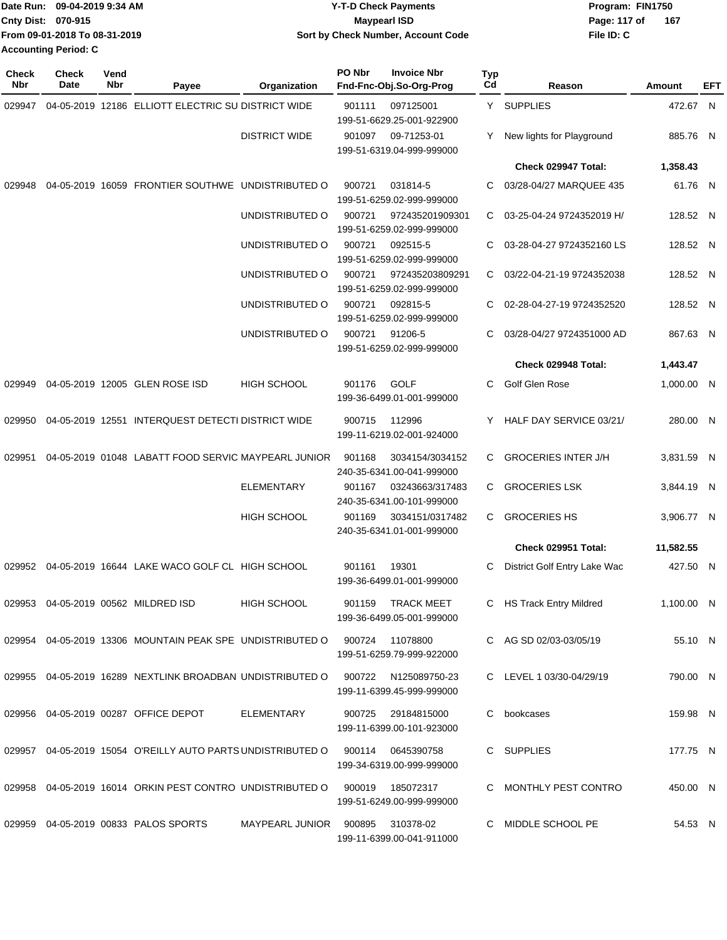|                           | Date Run: 09-04-2019 9:34 AM  | <b>Y-T-D Check Payments</b>        | Program: FIN1750      |
|---------------------------|-------------------------------|------------------------------------|-----------------------|
| <b>Cnty Dist: 070-915</b> |                               | <b>Mavpearl ISD</b>                | - 167<br>Page: 117 of |
|                           | From 09-01-2018 To 08-31-2019 | Sort by Check Number, Account Code | File ID: C            |
| Accounting Period: C      |                               |                                    |                       |

| Check<br>Nbr | <b>Check</b><br>Date | Vend<br>Nbr | Payee                                                                            | Organization           | PO Nbr | <b>Invoice Nbr</b><br>Fnd-Fnc-Obj.So-Org-Prog     | Typ<br>Cd | Reason                       | Amount     | EFT |
|--------------|----------------------|-------------|----------------------------------------------------------------------------------|------------------------|--------|---------------------------------------------------|-----------|------------------------------|------------|-----|
| 029947       |                      |             | 04-05-2019 12186 ELLIOTT ELECTRIC SU DISTRICT WIDE                               |                        | 901111 | 097125001<br>199-51-6629.25-001-922900            |           | Y SUPPLIES                   | 472.67 N   |     |
|              |                      |             |                                                                                  | <b>DISTRICT WIDE</b>   | 901097 | 09-71253-01<br>199-51-6319.04-999-999000          |           | New lights for Playground    | 885.76 N   |     |
|              |                      |             |                                                                                  |                        |        |                                                   |           | Check 029947 Total:          | 1,358.43   |     |
| 029948       |                      |             | 04-05-2019 16059 FRONTIER SOUTHWE UNDISTRIBUTED O                                |                        | 900721 | 031814-5<br>199-51-6259.02-999-999000             | C         | 03/28-04/27 MARQUEE 435      | 61.76 N    |     |
|              |                      |             |                                                                                  | UNDISTRIBUTED O        | 900721 | 972435201909301<br>199-51-6259.02-999-999000      | C         | 03-25-04-24 9724352019 H/    | 128.52 N   |     |
|              |                      |             |                                                                                  | UNDISTRIBUTED O        | 900721 | 092515-5<br>199-51-6259.02-999-999000             | C         | 03-28-04-27 9724352160 LS    | 128.52 N   |     |
|              |                      |             |                                                                                  | UNDISTRIBUTED O        | 900721 | 972435203809291<br>199-51-6259.02-999-999000      | C         | 03/22-04-21-19 9724352038    | 128.52 N   |     |
|              |                      |             |                                                                                  | UNDISTRIBUTED O        | 900721 | 092815-5<br>199-51-6259.02-999-999000             | C         | 02-28-04-27-19 9724352520    | 128.52 N   |     |
|              |                      |             |                                                                                  | UNDISTRIBUTED O        | 900721 | 91206-5<br>199-51-6259.02-999-999000              | C         | 03/28-04/27 9724351000 AD    | 867.63 N   |     |
|              |                      |             |                                                                                  |                        |        |                                                   |           | Check 029948 Total:          | 1,443.47   |     |
| 029949       |                      |             | 04-05-2019 12005 GLEN ROSE ISD                                                   | HIGH SCHOOL            | 901176 | GOLF<br>199-36-6499.01-001-999000                 | C         | Golf Glen Rose               | 1,000.00 N |     |
| 029950       |                      |             | 04-05-2019 12551 INTERQUEST DETECTI DISTRICT WIDE                                |                        | 900715 | 112996<br>199-11-6219.02-001-924000               |           | HALF DAY SERVICE 03/21/      | 280.00 N   |     |
| 029951       |                      |             | 04-05-2019 01048 LABATT FOOD SERVIC MAYPEARL JUNIOR                              |                        | 901168 | 3034154/3034152<br>240-35-6341.00-041-999000      | C         | <b>GROCERIES INTER J/H</b>   | 3,831.59 N |     |
|              |                      |             |                                                                                  | <b>ELEMENTARY</b>      | 901167 | 03243663/317483<br>240-35-6341.00-101-999000      | C         | <b>GROCERIES LSK</b>         | 3,844.19 N |     |
|              |                      |             |                                                                                  | <b>HIGH SCHOOL</b>     | 901169 | 3034151/0317482<br>240-35-6341.01-001-999000      | C         | <b>GROCERIES HS</b>          | 3,906.77 N |     |
|              |                      |             |                                                                                  |                        |        |                                                   |           | Check 029951 Total:          | 11,582.55  |     |
|              |                      |             | 029952 04-05-2019 16644 LAKE WACO GOLF CL HIGH SCHOOL                            |                        | 901161 | 19301<br>199-36-6499.01-001-999000                |           | District Golf Entry Lake Wac | 427.50 N   |     |
|              |                      |             | 029953 04-05-2019 00562 MILDRED ISD                                              | HIGH SCHOOL            | 901159 | <b>TRACK MEET</b><br>199-36-6499.05-001-999000    |           | C HS Track Entry Mildred     | 1,100.00 N |     |
|              |                      |             | 029954 04-05-2019 13306 MOUNTAIN PEAK SPE UNDISTRIBUTED O 900724 11078800        |                        |        | 199-51-6259.79-999-922000                         |           | C AG SD 02/03-03/05/19       | 55.10 N    |     |
|              |                      |             | 029955 04-05-2019 16289 NEXTLINK BROADBAN UNDISTRIBUTED O                        |                        |        | 900722 N125089750-23<br>199-11-6399.45-999-999000 |           | C LEVEL 1 03/30-04/29/19     | 790.00 N   |     |
|              |                      |             | 029956 04-05-2019 00287 OFFICE DEPOT                                             | ELEMENTARY             | 900725 | 29184815000<br>199-11-6399.00-101-923000          |           | C bookcases                  | 159.98 N   |     |
|              |                      |             | 029957 04-05-2019 15054 O'REILLY AUTO PARTS UNDISTRIBUTED O 900114 0645390758    |                        |        | 199-34-6319.00-999-999000                         |           | C SUPPLIES                   | 177.75 N   |     |
|              |                      |             | 029958  04-05-2019  16014  ORKIN PEST CONTRO UNDISTRIBUTED  0  900019  185072317 |                        |        | 199-51-6249.00-999-999000                         |           | C MONTHLY PEST CONTRO        | 450.00 N   |     |
|              |                      |             | 029959 04-05-2019 00833 PALOS SPORTS                                             | MAYPEARL JUNIOR 900895 |        | 310378-02<br>199-11-6399.00-041-911000            |           | C MIDDLE SCHOOL PE           | 54.53 N    |     |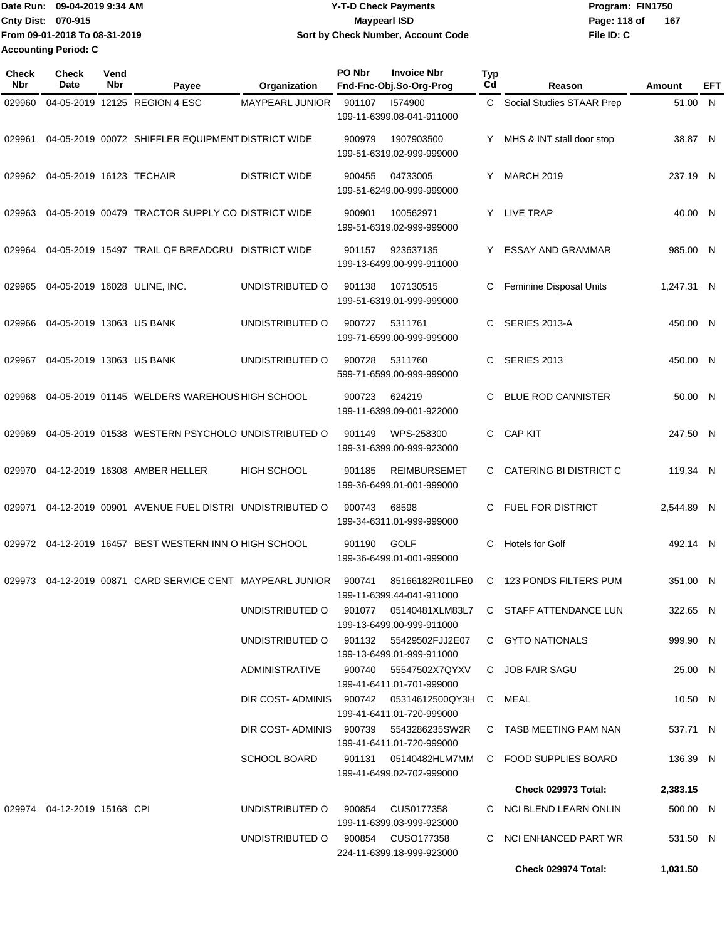**From 09-01-2018 To 08-31-2019 Accounting Period: C**

## Date Run: 09-04-2019 9:34 AM **Date Runity Controller State Payments** Program: FIN1750 **Cnty Dist:** 070-915 **Page: 118 of** Maypearl ISD **CONTEX CONTEX PAGES** 218 of **09-04-2019 9:34 AM Y-T-D Check Payments 070-915 Maypearl ISD Sort by Check Number, Account Code**

**File ID: C 167**

| <b>Check</b><br><b>Nbr</b> | <b>Check</b><br>Date            | Vend<br>Nbr | Payee                                               | Organization                           | PO Nbr | <b>Invoice Nbr</b><br>Fnd-Fnc-Obj.So-Org-Prog                        | <b>Typ</b><br>Cd | Reason                                                        | Amount     | EFT |
|----------------------------|---------------------------------|-------------|-----------------------------------------------------|----------------------------------------|--------|----------------------------------------------------------------------|------------------|---------------------------------------------------------------|------------|-----|
| 029960                     |                                 |             | 04-05-2019 12125 REGION 4 ESC                       | <b>MAYPEARL JUNIOR</b>                 | 901107 | 1574900<br>199-11-6399.08-041-911000                                 | C.               | Social Studies STAAR Prep                                     | 51.00 N    |     |
| 029961                     |                                 |             | 04-05-2019 00072 SHIFFLER EQUIPMENT DISTRICT WIDE   |                                        | 900979 | 1907903500<br>199-51-6319.02-999-999000                              | Y                | MHS & INT stall door stop                                     | 38.87 N    |     |
|                            | 029962 04-05-2019 16123 TECHAIR |             |                                                     | <b>DISTRICT WIDE</b>                   | 900455 | 04733005<br>199-51-6249.00-999-999000                                | Y                | <b>MARCH 2019</b>                                             | 237.19 N   |     |
| 029963                     |                                 |             | 04-05-2019 00479 TRACTOR SUPPLY CO DISTRICT WIDE    |                                        | 900901 | 100562971<br>199-51-6319.02-999-999000                               | Y                | LIVE TRAP                                                     | 40.00 N    |     |
| 029964                     |                                 |             | 04-05-2019 15497 TRAIL OF BREADCRU DISTRICT WIDE    |                                        | 901157 | 923637135<br>199-13-6499.00-999-911000                               | Y                | <b>ESSAY AND GRAMMAR</b>                                      | 985.00 N   |     |
| 029965                     |                                 |             | 04-05-2019 16028 ULINE, INC.                        | UNDISTRIBUTED O                        | 901138 | 107130515<br>199-51-6319.01-999-999000                               | С                | Feminine Disposal Units                                       | 1,247.31 N |     |
| 029966                     | 04-05-2019 13063 US BANK        |             |                                                     | UNDISTRIBUTED O                        | 900727 | 5311761<br>199-71-6599.00-999-999000                                 | C                | SERIES 2013-A                                                 | 450.00 N   |     |
| 029967                     | 04-05-2019 13063 US BANK        |             |                                                     | UNDISTRIBUTED O                        | 900728 | 5311760<br>599-71-6599.00-999-999000                                 | C                | <b>SERIES 2013</b>                                            | 450.00 N   |     |
| 029968                     |                                 |             | 04-05-2019 01145 WELDERS WAREHOUS HIGH SCHOOL       |                                        | 900723 | 624219<br>199-11-6399.09-001-922000                                  | C                | <b>BLUE ROD CANNISTER</b>                                     | 50.00 N    |     |
| 029969                     |                                 |             | 04-05-2019 01538 WESTERN PSYCHOLO UNDISTRIBUTED O   |                                        | 901149 | WPS-258300<br>199-31-6399.00-999-923000                              | C.               | <b>CAP KIT</b>                                                | 247.50 N   |     |
| 029970                     |                                 |             | 04-12-2019 16308 AMBER HELLER                       | <b>HIGH SCHOOL</b>                     | 901185 | <b>REIMBURSEMET</b><br>199-36-6499.01-001-999000                     | C.               | CATERING BI DISTRICT C                                        | 119.34 N   |     |
| 029971                     |                                 |             | 04-12-2019 00901 AVENUE FUEL DISTRI UNDISTRIBUTED O |                                        | 900743 | 68598<br>199-34-6311.01-999-999000                                   | C.               | FUEL FOR DISTRICT                                             | 2,544.89 N |     |
| 029972                     |                                 |             | 04-12-2019 16457 BEST WESTERN INN O HIGH SCHOOL     |                                        | 901190 | <b>GOLF</b><br>199-36-6499.01-001-999000                             | С                | <b>Hotels for Golf</b>                                        | 492.14 N   |     |
| 029973                     |                                 |             | 04-12-2019 00871 CARD SERVICE CENT MAYPEARL JUNIOR  |                                        | 900741 | 85166182R01LFE0<br>199-11-6399.44-041-911000                         | C.               | 123 PONDS FILTERS PUM                                         | 351.00 N   |     |
|                            |                                 |             |                                                     |                                        |        | 199-13-6499.00-999-911000                                            |                  | UNDISTRIBUTED O 901077 05140481XLM83L7 C STAFF ATTENDANCE LUN | 322.65 N   |     |
|                            |                                 |             |                                                     | UNDISTRIBUTED O 901132 55429502FJJ2E07 |        | 199-13-6499.01-999-911000                                            |                  | C GYTO NATIONALS                                              | 999.90 N   |     |
|                            |                                 |             |                                                     | ADMINISTRATIVE                         |        | 900740 55547502X7QYXV<br>199-41-6411.01-701-999000                   |                  | C JOB FAIR SAGU                                               | 25.00 N    |     |
|                            |                                 |             |                                                     |                                        |        | DIR COST-ADMINIS 900742 05314612500QY3H<br>199-41-6411.01-720-999000 |                  | C MEAL                                                        | 10.50 N    |     |
|                            |                                 |             |                                                     | DIR COST-ADMINIS 900739 5543286235SW2R |        | 199-41-6411.01-720-999000                                            |                  | C TASB MEETING PAM NAN                                        | 537.71 N   |     |
|                            |                                 |             |                                                     | <b>SCHOOL BOARD</b>                    |        | 901131      05140482HLM7MM<br>199-41-6499.02-702-999000              |                  | C FOOD SUPPLIES BOARD                                         | 136.39 N   |     |
|                            |                                 |             |                                                     |                                        |        |                                                                      |                  | Check 029973 Total:                                           | 2,383.15   |     |
|                            | 029974 04-12-2019 15168 CPI     |             |                                                     | UNDISTRIBUTED O 900854 CUS0177358      |        |                                                                      |                  | C NCI BLEND LEARN ONLIN                                       | 500.00 N   |     |
|                            |                                 |             |                                                     | UNDISTRIBUTED O 900854 CUSO177358      |        | 199-11-6399.03-999-923000                                            |                  | C NCI ENHANCED PART WR                                        | 531.50 N   |     |
|                            |                                 |             |                                                     |                                        |        | 224-11-6399.18-999-923000                                            |                  | Check 029974 Total:                                           | 1,031.50   |     |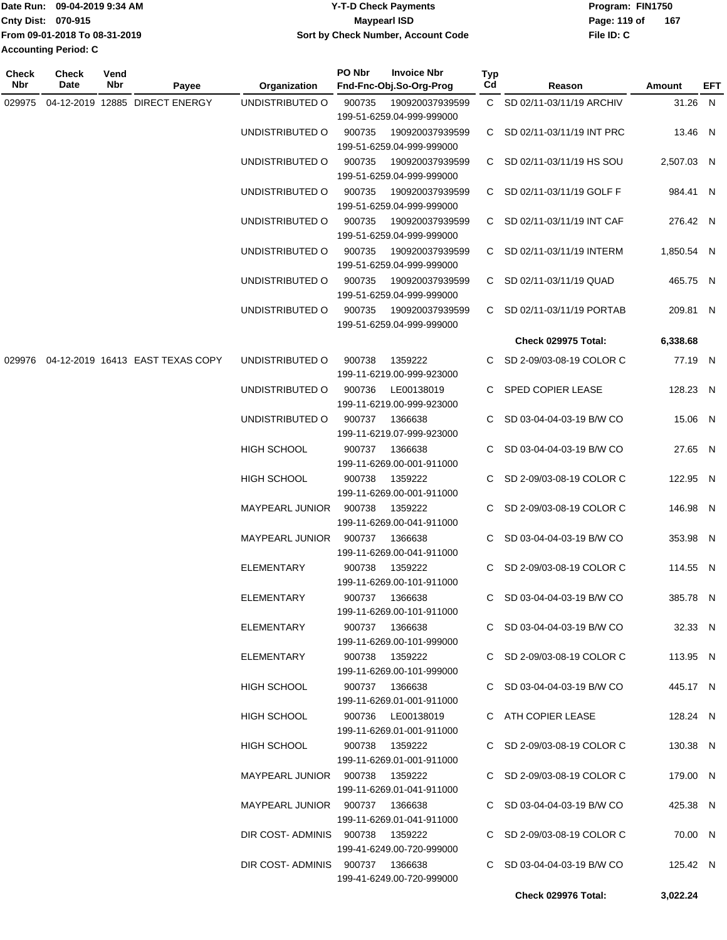|                           | Date Run: 09-04-2019 9:34 AM  | <b>Y-T-D Check Payments</b>        | Program: FIN1750 |     |  |
|---------------------------|-------------------------------|------------------------------------|------------------|-----|--|
| <b>Cnty Dist: 070-915</b> |                               | Maypearl ISD                       | Page: 119 of     | 167 |  |
|                           | From 09-01-2018 To 08-31-2019 | Sort by Check Number, Account Code | File ID: C       |     |  |
| Accounting Period: C      |                               |                                    |                  |     |  |

| <b>Check</b><br>Nbr | <b>Check</b><br>Date | Vend<br>Nbr | Payee                                   | Organization                    | PO Nbr         | <b>Invoice Nbr</b><br>Fnd-Fnc-Obj.So-Org-Prog | <b>Typ</b><br>Cd | Reason                       | Amount     | EFT |
|---------------------|----------------------|-------------|-----------------------------------------|---------------------------------|----------------|-----------------------------------------------|------------------|------------------------------|------------|-----|
|                     |                      |             | 029975 04-12-2019 12885 DIRECT ENERGY   | UNDISTRIBUTED O                 | 900735         | 190920037939599                               |                  | C SD 02/11-03/11/19 ARCHIV   | 31.26 N    |     |
|                     |                      |             |                                         |                                 |                | 199-51-6259.04-999-999000                     |                  |                              |            |     |
|                     |                      |             |                                         | UNDISTRIBUTED O                 | 900735         | 190920037939599                               |                  | C SD 02/11-03/11/19 INT PRC  | 13.46 N    |     |
|                     |                      |             |                                         |                                 |                | 199-51-6259.04-999-999000                     |                  |                              |            |     |
|                     |                      |             |                                         | UNDISTRIBUTED O                 | 900735         | 190920037939599                               |                  | C SD 02/11-03/11/19 HS SOU   | 2,507.03 N |     |
|                     |                      |             |                                         |                                 |                | 199-51-6259.04-999-999000                     |                  |                              |            |     |
|                     |                      |             |                                         | UNDISTRIBUTED O                 | 900735         | 190920037939599                               |                  | C SD 02/11-03/11/19 GOLF F   | 984.41 N   |     |
|                     |                      |             |                                         |                                 |                | 199-51-6259.04-999-999000                     |                  |                              |            |     |
|                     |                      |             |                                         | UNDISTRIBUTED O                 | 900735         | 190920037939599                               |                  | C SD 02/11-03/11/19 INT CAF  | 276.42 N   |     |
|                     |                      |             |                                         |                                 |                | 199-51-6259.04-999-999000                     |                  |                              |            |     |
|                     |                      |             |                                         | UNDISTRIBUTED O                 | 900735         | 190920037939599                               |                  | C SD 02/11-03/11/19 INTERM   | 1,850.54 N |     |
|                     |                      |             |                                         |                                 |                | 199-51-6259.04-999-999000                     |                  |                              |            |     |
|                     |                      |             |                                         | UNDISTRIBUTED O                 | 900735         | 190920037939599                               |                  | C SD 02/11-03/11/19 QUAD     | 465.75 N   |     |
|                     |                      |             |                                         |                                 |                | 199-51-6259.04-999-999000                     |                  |                              |            |     |
|                     |                      |             |                                         | UNDISTRIBUTED O                 | 900735         | 190920037939599                               |                  | C SD 02/11-03/11/19 PORTAB   | 209.81 N   |     |
|                     |                      |             |                                         |                                 |                | 199-51-6259.04-999-999000                     |                  |                              |            |     |
|                     |                      |             |                                         |                                 |                |                                               |                  | <b>Check 029975 Total:</b>   | 6,338.68   |     |
|                     |                      |             |                                         |                                 |                |                                               |                  |                              |            |     |
|                     |                      |             | 029976 04-12-2019 16413 EAST TEXAS COPY | UNDISTRIBUTED O                 | 900738         | 1359222                                       |                  | C SD 2-09/03-08-19 COLOR C   | 77.19 N    |     |
|                     |                      |             |                                         |                                 |                | 199-11-6219.00-999-923000                     |                  |                              |            |     |
|                     |                      |             |                                         | UNDISTRIBUTED O                 | 900736         | LE00138019                                    |                  | C SPED COPIER LEASE          | 128.23 N   |     |
|                     |                      |             |                                         |                                 |                | 199-11-6219.00-999-923000                     |                  |                              |            |     |
|                     |                      |             |                                         | UNDISTRIBUTED O                 | 900737         | 1366638                                       |                  | C SD 03-04-04-03-19 B/W CO   | 15.06 N    |     |
|                     |                      |             |                                         |                                 |                | 199-11-6219.07-999-923000                     |                  |                              |            |     |
|                     |                      |             |                                         | <b>HIGH SCHOOL</b>              |                | 900737 1366638                                |                  | C SD 03-04-04-03-19 B/W CO   | 27.65 N    |     |
|                     |                      |             |                                         |                                 |                | 199-11-6269.00-001-911000                     |                  |                              |            |     |
|                     |                      |             |                                         | HIGH SCHOOL                     | 900738         | 1359222                                       |                  | C SD 2-09/03-08-19 COLOR C   | 122.95 N   |     |
|                     |                      |             |                                         |                                 |                | 199-11-6269.00-001-911000                     |                  |                              |            |     |
|                     |                      |             |                                         | <b>MAYPEARL JUNIOR</b>          | 900738         | 1359222                                       |                  | C SD 2-09/03-08-19 COLOR C   | 146.98 N   |     |
|                     |                      |             |                                         |                                 |                | 199-11-6269.00-041-911000                     |                  |                              |            |     |
|                     |                      |             |                                         | MAYPEARL JUNIOR                 | 900737         | 1366638                                       |                  | C SD 03-04-04-03-19 B/W CO   | 353.98 N   |     |
|                     |                      |             |                                         |                                 |                | 199-11-6269.00-041-911000                     |                  |                              |            |     |
|                     |                      |             |                                         | <b>ELEMENTARY</b>               | 900738         | 1359222                                       |                  | C SD 2-09/03-08-19 COLOR C   | 114.55 N   |     |
|                     |                      |             |                                         |                                 |                | 199-11-6269.00-101-911000                     |                  |                              |            |     |
|                     |                      |             |                                         | ELEMENTARY                      |                | 900737 1366638                                |                  | C SD 03-04-04-03-19 B/W CO   | 385.78 N   |     |
|                     |                      |             |                                         |                                 |                | 199-11-6269.00-101-911000                     |                  |                              |            |     |
|                     |                      |             |                                         | ELEMENTARY                      |                | 900737 1366638                                |                  | C SD 03-04-04-03-19 B/W CO   | 32.33 N    |     |
|                     |                      |             |                                         |                                 |                | 199-11-6269.00-101-999000                     |                  |                              |            |     |
|                     |                      |             |                                         | ELEMENTARY                      |                | 900738 1359222                                |                  | C SD 2-09/03-08-19 COLOR C   | 113.95 N   |     |
|                     |                      |             |                                         |                                 |                | 199-11-6269.00-101-999000                     |                  |                              |            |     |
|                     |                      |             |                                         | HIGH SCHOOL                     |                | 900737 1366638                                |                  | $C$ SD 03-04-04-03-19 B/W CO | 445.17 N   |     |
|                     |                      |             |                                         |                                 |                | 199-11-6269.01-001-911000                     |                  |                              |            |     |
|                     |                      |             |                                         | HIGH SCHOOL                     |                | 900736 LE00138019                             |                  | C ATH COPIER LEASE           | 128.24 N   |     |
|                     |                      |             |                                         |                                 |                | 199-11-6269.01-001-911000                     |                  |                              |            |     |
|                     |                      |             |                                         | HIGH SCHOOL                     | 900738 1359222 |                                               |                  | C SD 2-09/03-08-19 COLOR C   | 130.38 N   |     |
|                     |                      |             |                                         |                                 |                | 199-11-6269.01-001-911000                     |                  |                              |            |     |
|                     |                      |             |                                         | MAYPEARL JUNIOR 900738 1359222  |                |                                               |                  | C SD 2-09/03-08-19 COLOR C   | 179.00 N   |     |
|                     |                      |             |                                         |                                 |                | 199-11-6269.01-041-911000                     |                  |                              |            |     |
|                     |                      |             |                                         | MAYPEARL JUNIOR 900737 1366638  |                |                                               |                  | C SD 03-04-04-03-19 B/W CO   | 425.38 N   |     |
|                     |                      |             |                                         |                                 |                | 199-11-6269.01-041-911000                     |                  |                              |            |     |
|                     |                      |             |                                         | DIR COST-ADMINIS 900738 1359222 |                |                                               |                  | C SD 2-09/03-08-19 COLOR C   | 70.00 N    |     |
|                     |                      |             |                                         |                                 |                | 199-41-6249.00-720-999000                     |                  |                              |            |     |
|                     |                      |             |                                         | DIR COST-ADMINIS 900737 1366638 |                |                                               |                  | C SD 03-04-04-03-19 B/W CO   | 125.42 N   |     |
|                     |                      |             |                                         |                                 |                | 199-41-6249.00-720-999000                     |                  |                              |            |     |
|                     |                      |             |                                         |                                 |                |                                               |                  | Check 029976 Total:          | 3,022.24   |     |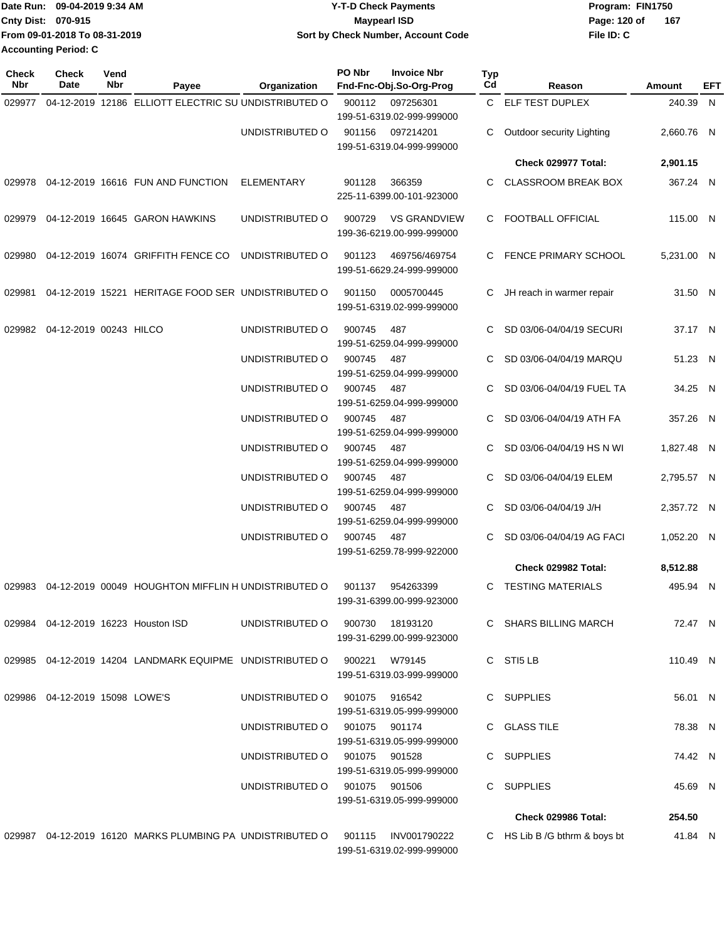| Date Run: 09-04-2019 9:34 AM  | Y-T-D Check Payments               | Program: FIN1750    |
|-------------------------------|------------------------------------|---------------------|
| <b>Cnty Dist: 070-915</b>     | <b>Mavpearl ISD</b>                | 167<br>Page: 120 of |
| From 09-01-2018 To 08-31-2019 | Sort by Check Number, Account Code | File ID: C          |
| <b>Accounting Period: C</b>   |                                    |                     |

| Check<br>Nbr | <b>Check</b><br>Date              | Vend<br>Nbr | Payee                                                        | Organization                    | PO Nbr | <b>Invoice Nbr</b><br>Fnd-Fnc-Obj.So-Org-Prog    | <b>Typ</b><br>Cd | Reason                        | Amount     | EFT |
|--------------|-----------------------------------|-------------|--------------------------------------------------------------|---------------------------------|--------|--------------------------------------------------|------------------|-------------------------------|------------|-----|
| 029977       |                                   |             | 04-12-2019 12186 ELLIOTT ELECTRIC SU UNDISTRIBUTED O         |                                 | 900112 | 097256301<br>199-51-6319.02-999-999000           |                  | C ELF TEST DUPLEX             | 240.39 N   |     |
|              |                                   |             |                                                              | UNDISTRIBUTED O                 | 901156 | 097214201<br>199-51-6319.04-999-999000           | C                | Outdoor security Lighting     | 2,660.76 N |     |
|              |                                   |             |                                                              |                                 |        |                                                  |                  | Check 029977 Total:           | 2,901.15   |     |
| 029978       |                                   |             | 04-12-2019 16616 FUN AND FUNCTION                            | ELEMENTARY                      | 901128 | 366359<br>225-11-6399.00-101-923000              |                  | CLASSROOM BREAK BOX           | 367.24 N   |     |
| 029979       |                                   |             | 04-12-2019 16645 GARON HAWKINS                               | UNDISTRIBUTED O                 | 900729 | <b>VS GRANDVIEW</b><br>199-36-6219.00-999-999000 |                  | C FOOTBALL OFFICIAL           | 115.00 N   |     |
| 029980       |                                   |             | 04-12-2019 16074 GRIFFITH FENCE CO                           | UNDISTRIBUTED O                 | 901123 | 469756/469754<br>199-51-6629.24-999-999000       |                  | C FENCE PRIMARY SCHOOL        | 5,231.00 N |     |
| 029981       |                                   |             | 04-12-2019 15221 HERITAGE FOOD SER UNDISTRIBUTED O           |                                 | 901150 | 0005700445<br>199-51-6319.02-999-999000          | C                | JH reach in warmer repair     | 31.50 N    |     |
|              | 029982 04-12-2019 00243 HILCO     |             |                                                              | UNDISTRIBUTED O                 | 900745 | 487<br>199-51-6259.04-999-999000                 | C.               | SD 03/06-04/04/19 SECURI      | 37.17 N    |     |
|              |                                   |             |                                                              | UNDISTRIBUTED O                 | 900745 | 487<br>199-51-6259.04-999-999000                 | C.               | SD 03/06-04/04/19 MARQU       | 51.23 N    |     |
|              |                                   |             |                                                              | UNDISTRIBUTED O                 | 900745 | 487<br>199-51-6259.04-999-999000                 |                  | SD 03/06-04/04/19 FUEL TA     | 34.25 N    |     |
|              |                                   |             |                                                              | UNDISTRIBUTED O                 | 900745 | 487<br>199-51-6259.04-999-999000                 | C.               | SD 03/06-04/04/19 ATH FA      | 357.26 N   |     |
|              |                                   |             |                                                              | UNDISTRIBUTED O                 | 900745 | 487<br>199-51-6259.04-999-999000                 | C.               | SD 03/06-04/04/19 HS N WI     | 1,827.48 N |     |
|              |                                   |             |                                                              | UNDISTRIBUTED O                 | 900745 | 487<br>199-51-6259.04-999-999000                 | C                | SD 03/06-04/04/19 ELEM        | 2,795.57 N |     |
|              |                                   |             |                                                              | UNDISTRIBUTED O                 | 900745 | 487<br>199-51-6259.04-999-999000                 | C.               | SD 03/06-04/04/19 J/H         | 2,357.72 N |     |
|              |                                   |             |                                                              | UNDISTRIBUTED O                 | 900745 | 487<br>199-51-6259.78-999-922000                 | C.               | SD 03/06-04/04/19 AG FACI     | 1,052.20 N |     |
|              |                                   |             |                                                              |                                 |        |                                                  |                  | Check 029982 Total:           | 8,512.88   |     |
|              |                                   |             | 029983 04-12-2019 00049 HOUGHTON MIFFLIN H UNDISTRIBUTED O   |                                 | 901137 | 954263399<br>199-31-6399.00-999-923000           |                  | C TESTING MATERIALS           | 495.94 N   |     |
|              |                                   |             | 029984 04-12-2019 16223 Houston ISD                          | UNDISTRIBUTED 0 900730 18193120 |        | 199-31-6299.00-999-923000                        |                  | C SHARS BILLING MARCH         | 72.47 N    |     |
|              |                                   |             | 029985 04-12-2019 14204 LANDMARK EQUIPME UNDISTRIBUTED O     |                                 | 900221 | W79145<br>199-51-6319.03-999-999000              |                  | C STI5 LB                     | 110.49 N   |     |
|              | 029986  04-12-2019  15098  LOWE'S |             |                                                              | UNDISTRIBUTED O                 |        | 901075 916542<br>199-51-6319.05-999-999000       |                  | C SUPPLIES                    | 56.01 N    |     |
|              |                                   |             |                                                              | UNDISTRIBUTED O                 |        | 901075 901174<br>199-51-6319.05-999-999000       |                  | C GLASS TILE                  | 78.38 N    |     |
|              |                                   |             |                                                              | UNDISTRIBUTED O 901075 901528   |        | 199-51-6319.05-999-999000                        |                  | C SUPPLIES                    | 74.42 N    |     |
|              |                                   |             |                                                              | UNDISTRIBUTED O 901075 901506   |        | 199-51-6319.05-999-999000                        |                  | C SUPPLIES                    | 45.69 N    |     |
|              |                                   |             |                                                              |                                 |        |                                                  |                  | Check 029986 Total:           | 254.50     |     |
|              |                                   |             | 029987 04-12-2019  16120  MARKS PLUMBING PA  UNDISTRIBUTED O |                                 |        | 901115 INV001790222<br>199-51-6319.02-999-999000 |                  | C HS Lib B /G bthrm & boys bt | 41.84 N    |     |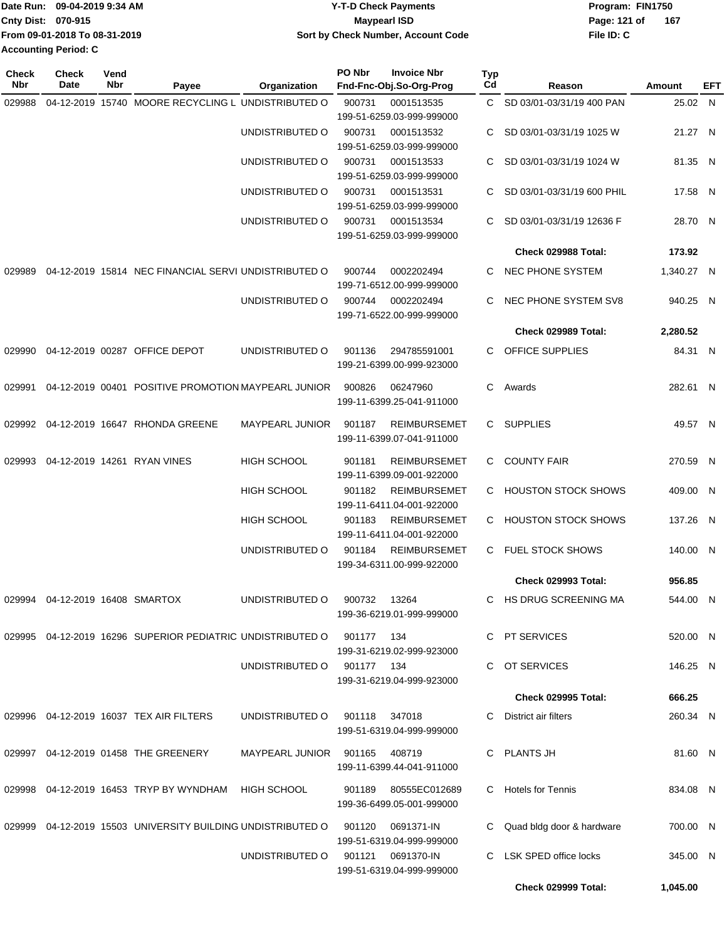| <b>Date Run:</b>            | 09-04-2019 9:34 AM            | <b>Y-T-D Check Payments</b>        | Program: FIN1750 |       |
|-----------------------------|-------------------------------|------------------------------------|------------------|-------|
| <b>Cnty Dist: 070-915</b>   |                               | Maypearl ISD                       | Page: 121 of     | - 167 |
|                             | From 09-01-2018 To 08-31-2019 | Sort by Check Number, Account Code | File ID: C       |       |
| <b>Accounting Period: C</b> |                               |                                    |                  |       |

| <b>Check</b><br>Nbr | Check<br>Date                   | Vend<br>Nbr | Payee                                                       | Organization           | PO Nbr       | <b>Invoice Nbr</b><br>Fnd-Fnc-Obj.So-Org-Prog | Typ<br>Cd | Reason                     | Amount     | EFT |
|---------------------|---------------------------------|-------------|-------------------------------------------------------------|------------------------|--------------|-----------------------------------------------|-----------|----------------------------|------------|-----|
| 029988              |                                 |             | 04-12-2019 15740 MOORE RECYCLING L UNDISTRIBUTED O          |                        | 900731       | 0001513535                                    | C.        | SD 03/01-03/31/19 400 PAN  | 25.02 N    |     |
|                     |                                 |             |                                                             |                        |              | 199-51-6259.03-999-999000                     |           |                            |            |     |
|                     |                                 |             |                                                             | UNDISTRIBUTED O        | 900731       | 0001513532                                    | C.        | SD 03/01-03/31/19 1025 W   | 21.27 N    |     |
|                     |                                 |             |                                                             |                        |              | 199-51-6259.03-999-999000                     |           |                            |            |     |
|                     |                                 |             |                                                             | UNDISTRIBUTED O        | 900731       | 0001513533                                    | C         | SD 03/01-03/31/19 1024 W   | 81.35 N    |     |
|                     |                                 |             |                                                             |                        |              | 199-51-6259.03-999-999000                     |           |                            |            |     |
|                     |                                 |             |                                                             | UNDISTRIBUTED O        | 900731       | 0001513531                                    | C         | SD 03/01-03/31/19 600 PHIL | 17.58 N    |     |
|                     |                                 |             |                                                             |                        |              | 199-51-6259.03-999-999000                     |           |                            |            |     |
|                     |                                 |             |                                                             | UNDISTRIBUTED O        | 900731       | 0001513534                                    | C         | SD 03/01-03/31/19 12636 F  | 28.70 N    |     |
|                     |                                 |             |                                                             |                        |              | 199-51-6259.03-999-999000                     |           |                            |            |     |
|                     |                                 |             |                                                             |                        |              |                                               |           | Check 029988 Total:        | 173.92     |     |
| 029989              |                                 |             | 04-12-2019 15814 NEC FINANCIAL SERVI UNDISTRIBUTED O        |                        | 900744       | 0002202494                                    | C.        | NEC PHONE SYSTEM           | 1,340.27 N |     |
|                     |                                 |             |                                                             |                        |              | 199-71-6512.00-999-999000                     |           |                            |            |     |
|                     |                                 |             |                                                             | UNDISTRIBUTED O        | 900744       | 0002202494                                    | C.        | NEC PHONE SYSTEM SV8       | 940.25 N   |     |
|                     |                                 |             |                                                             |                        |              | 199-71-6522.00-999-999000                     |           |                            |            |     |
|                     |                                 |             |                                                             |                        |              |                                               |           | Check 029989 Total:        | 2,280.52   |     |
| 029990              |                                 |             | 04-12-2019 00287 OFFICE DEPOT                               | UNDISTRIBUTED O        | 901136       | 294785591001                                  |           | C OFFICE SUPPLIES          | 84.31 N    |     |
|                     |                                 |             |                                                             |                        |              | 199-21-6399.00-999-923000                     |           |                            |            |     |
| 029991              |                                 |             | 04-12-2019 00401 POSITIVE PROMOTION MAYPEARL JUNIOR         |                        | 900826       | 06247960                                      | C.        | Awards                     | 282.61 N   |     |
|                     |                                 |             |                                                             |                        |              | 199-11-6399.25-041-911000                     |           |                            |            |     |
|                     |                                 |             |                                                             |                        |              |                                               |           |                            |            |     |
|                     |                                 |             | 029992 04-12-2019 16647 RHONDA GREENE                       | MAYPEARL JUNIOR        | 901187       | <b>REIMBURSEMET</b>                           |           | C SUPPLIES                 | 49.57 N    |     |
|                     |                                 |             |                                                             |                        |              | 199-11-6399.07-041-911000                     |           |                            |            |     |
| 029993              |                                 |             | 04-12-2019 14261 RYAN VINES                                 | <b>HIGH SCHOOL</b>     | 901181       | <b>REIMBURSEMET</b>                           | C.        | <b>COUNTY FAIR</b>         | 270.59 N   |     |
|                     |                                 |             |                                                             |                        |              | 199-11-6399.09-001-922000                     |           |                            |            |     |
|                     |                                 |             |                                                             | <b>HIGH SCHOOL</b>     | 901182       | <b>REIMBURSEMET</b>                           | C.        | <b>HOUSTON STOCK SHOWS</b> | 409.00 N   |     |
|                     |                                 |             |                                                             |                        |              | 199-11-6411.04-001-922000                     |           |                            |            |     |
|                     |                                 |             |                                                             | <b>HIGH SCHOOL</b>     | 901183       | <b>REIMBURSEMET</b>                           | C.        | <b>HOUSTON STOCK SHOWS</b> | 137.26 N   |     |
|                     |                                 |             |                                                             |                        |              | 199-11-6411.04-001-922000                     |           |                            |            |     |
|                     |                                 |             |                                                             | UNDISTRIBUTED O        | 901184       | <b>REIMBURSEMET</b>                           |           | C FUEL STOCK SHOWS         | 140.00 N   |     |
|                     |                                 |             |                                                             |                        |              | 199-34-6311.00-999-922000                     |           |                            |            |     |
|                     |                                 |             |                                                             |                        |              |                                               |           | <b>Check 029993 Total:</b> | 956.85     |     |
|                     | 029994 04-12-2019 16408 SMARTOX |             |                                                             | UNDISTRIBUTED O        | 900732 13264 |                                               |           | HS DRUG SCREENING MA       | 544.00 N   |     |
|                     |                                 |             |                                                             |                        |              | 199-36-6219.01-999-999000                     |           |                            |            |     |
|                     |                                 |             | 029995 04-12-2019 16296 SUPERIOR PEDIATRIC UNDISTRIBUTED O  |                        | 901177       | - 134                                         |           | C PT SERVICES              | 520.00 N   |     |
|                     |                                 |             |                                                             |                        |              | 199-31-6219.02-999-923000                     |           |                            |            |     |
|                     |                                 |             |                                                             | UNDISTRIBUTED O        | 901177 134   |                                               |           | C OT SERVICES              | 146.25 N   |     |
|                     |                                 |             |                                                             |                        |              | 199-31-6219.04-999-923000                     |           |                            |            |     |
|                     |                                 |             |                                                             |                        |              |                                               |           | <b>Check 029995 Total:</b> | 666.25     |     |
|                     |                                 |             | 029996 04-12-2019 16037 TEX AIR FILTERS                     | UNDISTRIBUTED O        |              | 901118 347018                                 |           | District air filters       | 260.34 N   |     |
|                     |                                 |             |                                                             |                        |              | 199-51-6319.04-999-999000                     |           |                            |            |     |
|                     |                                 |             |                                                             |                        |              |                                               |           |                            |            |     |
|                     |                                 |             | 029997 04-12-2019 01458 THE GREENERY                        | MAYPEARL JUNIOR 901165 |              | 408719                                        |           | C PLANTS JH                | 81.60 N    |     |
|                     |                                 |             |                                                             |                        |              | 199-11-6399.44-041-911000                     |           |                            |            |     |
|                     |                                 |             | 029998 04-12-2019 16453 TRYP BY WYNDHAM                     | <b>HIGH SCHOOL</b>     | 901189       | 80555EC012689                                 | C.        | <b>Hotels for Tennis</b>   | 834.08 N   |     |
|                     |                                 |             |                                                             |                        |              | 199-36-6499.05-001-999000                     |           |                            |            |     |
|                     |                                 |             |                                                             |                        |              |                                               |           |                            |            |     |
|                     |                                 |             | 029999 04-12-2019 15503 UNIVERSITY BUILDING UNDISTRIBUTED O |                        | 901120       | 0691371-IN                                    |           | Quad bldg door & hardware  | 700.00 N   |     |
|                     |                                 |             |                                                             | UNDISTRIBUTED O        | 901121       | 199-51-6319.04-999-999000<br>0691370-IN       | C.        | LSK SPED office locks      | 345.00 N   |     |
|                     |                                 |             |                                                             |                        |              | 199-51-6319.04-999-999000                     |           |                            |            |     |
|                     |                                 |             |                                                             |                        |              |                                               |           | <b>Check 029999 Total:</b> | 1,045.00   |     |
|                     |                                 |             |                                                             |                        |              |                                               |           |                            |            |     |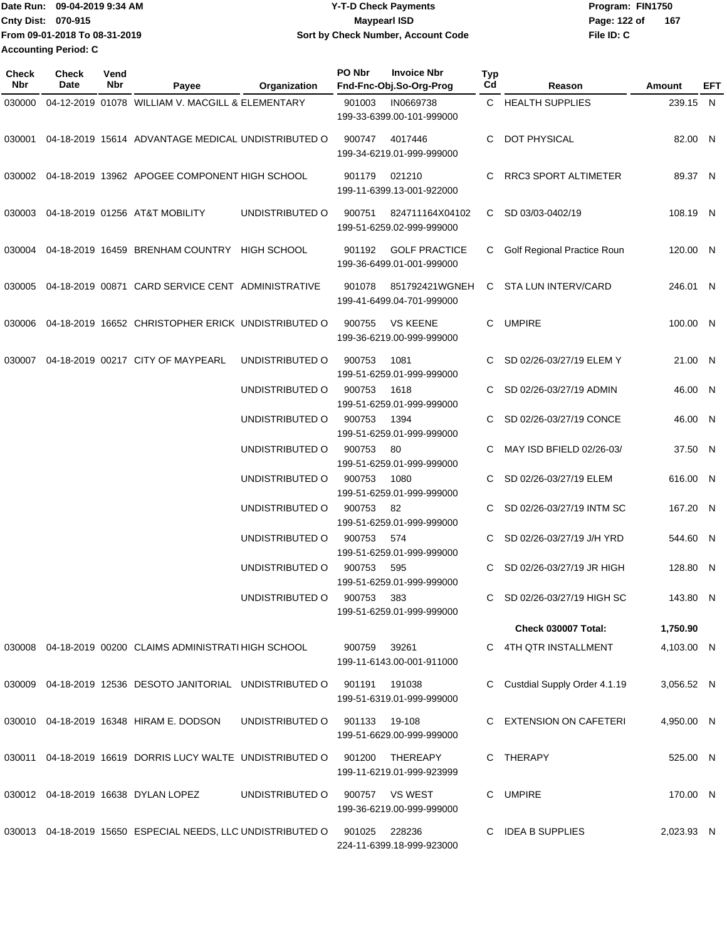Date Run: 09-04-2019 9:34 AM **Date Runity Controller State Payments** Program: FIN1750 **Cnty Dist:** 070-915 **Page: 122 of MaypearI ISD Page: 122 of File ID: C From 09-01-2018 To 08-31-2019 09-04-2019 9:34 AM Y-T-D Check Payments 070-915 Maypearl ISD Sort by Check Number, Account Code 167 Accounting Period: C**

**PO Nbr Invoice Nbr**

**Check**

**Vend**

| <b>Check</b><br>Nbr | <b>Check</b><br>Date | Vend<br>Nbr | Payee                                                       | Organization    | PO Nbr | <b>Invoice Nbr</b><br>Fnd-Fnc-Obj.So-Org-Prog     | Typ<br>Cd | Reason                        | Amount     | EFT |
|---------------------|----------------------|-------------|-------------------------------------------------------------|-----------------|--------|---------------------------------------------------|-----------|-------------------------------|------------|-----|
| 030000              |                      |             | 04-12-2019 01078 WILLIAM V. MACGILL & ELEMENTARY            |                 | 901003 | IN0669738<br>199-33-6399.00-101-999000            |           | C HEALTH SUPPLIES             | 239.15 N   |     |
|                     |                      |             | 030001 04-18-2019 15614 ADVANTAGE MEDICAL UNDISTRIBUTED O   |                 | 900747 | 4017446<br>199-34-6219.01-999-999000              |           | C DOT PHYSICAL                | 82.00 N    |     |
|                     |                      |             | 030002 04-18-2019 13962 APOGEE COMPONENT HIGH SCHOOL        |                 | 901179 | 021210<br>199-11-6399.13-001-922000               |           | RRC3 SPORT ALTIMETER          | 89.37 N    |     |
|                     |                      |             | 030003 04-18-2019 01256 AT&T MOBILITY                       | UNDISTRIBUTED O | 900751 | 824711164X04102<br>199-51-6259.02-999-999000      |           | C SD 03/03-0402/19            | 108.19 N   |     |
|                     |                      |             | 030004 04-18-2019 16459 BRENHAM COUNTRY HIGH SCHOOL         |                 | 901192 | <b>GOLF PRACTICE</b><br>199-36-6499.01-001-999000 |           | C Golf Regional Practice Roun | 120.00 N   |     |
|                     |                      |             | 030005 04-18-2019 00871 CARD SERVICE CENT ADMINISTRATIVE    |                 | 901078 | 851792421WGNEH<br>199-41-6499.04-701-999000       | C.        | STA LUN INTERV/CARD           | 246.01 N   |     |
|                     |                      |             | 030006 04-18-2019 16652 CHRISTOPHER ERICK UNDISTRIBUTED O   |                 | 900755 | <b>VS KEENE</b><br>199-36-6219.00-999-999000      |           | C UMPIRE                      | 100.00 N   |     |
|                     |                      |             | 030007 04-18-2019 00217 CITY OF MAYPEARL                    | UNDISTRIBUTED O | 900753 | 1081<br>199-51-6259.01-999-999000                 | C.        | SD 02/26-03/27/19 ELEM Y      | 21.00 N    |     |
|                     |                      |             |                                                             | UNDISTRIBUTED O | 900753 | 1618<br>199-51-6259.01-999-999000                 |           | SD 02/26-03/27/19 ADMIN       | 46.00 N    |     |
|                     |                      |             |                                                             | UNDISTRIBUTED O | 900753 | 1394<br>199-51-6259.01-999-999000                 | C         | SD 02/26-03/27/19 CONCE       | 46.00 N    |     |
|                     |                      |             |                                                             | UNDISTRIBUTED O | 900753 | 80<br>199-51-6259.01-999-999000                   |           | MAY ISD BFIELD 02/26-03/      | 37.50 N    |     |
|                     |                      |             |                                                             | UNDISTRIBUTED O | 900753 | 1080<br>199-51-6259.01-999-999000                 | C.        | SD 02/26-03/27/19 ELEM        | 616.00 N   |     |
|                     |                      |             |                                                             | UNDISTRIBUTED O | 900753 | 82<br>199-51-6259.01-999-999000                   | C.        | SD 02/26-03/27/19 INTM SC     | 167.20 N   |     |
|                     |                      |             |                                                             | UNDISTRIBUTED O | 900753 | 574<br>199-51-6259.01-999-999000                  |           | SD 02/26-03/27/19 J/H YRD     | 544.60 N   |     |
|                     |                      |             |                                                             | UNDISTRIBUTED O | 900753 | 595<br>199-51-6259.01-999-999000                  | C.        | SD 02/26-03/27/19 JR HIGH     | 128.80 N   |     |
|                     |                      |             |                                                             | UNDISTRIBUTED O | 900753 | 383<br>199-51-6259.01-999-999000                  |           | C SD 02/26-03/27/19 HIGH SC   | 143.80 N   |     |
|                     |                      |             |                                                             |                 |        |                                                   |           | Check 030007 Total:           | 1,750.90   |     |
|                     |                      |             | 030008 04-18-2019 00200 CLAIMS ADMINISTRATI HIGH SCHOOL     |                 | 900759 | 39261<br>199-11-6143.00-001-911000                |           | C 4TH QTR INSTALLMENT         | 4,103.00 N |     |
|                     |                      |             | 030009 04-18-2019 12536 DESOTO JANITORIAL UNDISTRIBUTED O   |                 | 901191 | 191038<br>199-51-6319.01-999-999000               |           | Custdial Supply Order 4.1.19  | 3,056.52 N |     |
|                     |                      |             | 030010 04-18-2019 16348 HIRAM E. DODSON                     | UNDISTRIBUTED O | 901133 | 19-108<br>199-51-6629.00-999-999000               |           | C EXTENSION ON CAFETERI       | 4,950.00 N |     |
|                     |                      |             | 030011 04-18-2019 16619 DORRIS LUCY WALTE UNDISTRIBUTED O   |                 | 901200 | THEREAPY<br>199-11-6219.01-999-923999             |           | C THERAPY                     | 525.00 N   |     |
|                     |                      |             | 030012  04-18-2019  16638  DYLAN LOPEZ                      | UNDISTRIBUTED O |        | 900757 VS WEST<br>199-36-6219.00-999-999000       |           | C UMPIRE                      | 170.00 N   |     |
|                     |                      |             | 030013 04-18-2019 15650 ESPECIAL NEEDS, LLC UNDISTRIBUTED O |                 | 901025 | 228236<br>224-11-6399.18-999-923000               |           | C IDEA B SUPPLIES             | 2,023.93 N |     |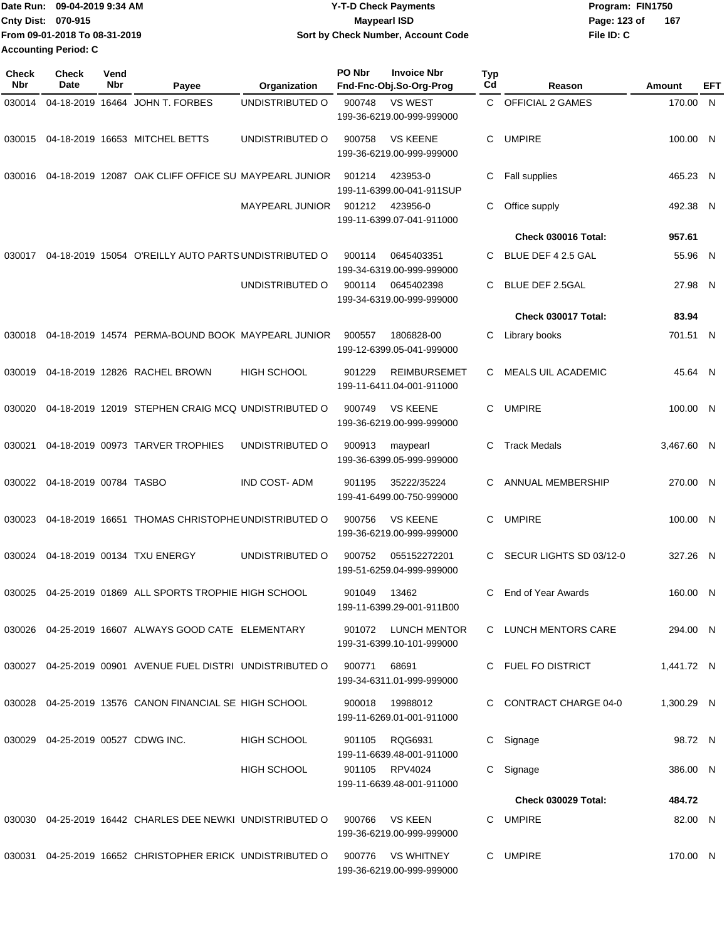| ∎Date Run: 09-04-2019 9:34 AM | <b>Y-T-D Check Payments</b>        | Program: FIN1750    |
|-------------------------------|------------------------------------|---------------------|
| <b>Cnty Dist: 070-915</b>     | <b>Mavpearl ISD</b>                | 167<br>Page: 123 of |
| From 09-01-2018 To 08-31-2019 | Sort by Check Number, Account Code | File ID: C          |
| <b>Accounting Period: C</b>   |                                    |                     |

| <b>Check</b><br>Nbr | <b>Check</b><br><b>Date</b>          | Vend<br>Nbr | Payee                                                      | Organization           | PO Nbr | <b>Invoice Nbr</b><br>Fnd-Fnc-Obj.So-Org-Prog    | <b>Typ</b><br>Cd | Reason                     | Amount     | EFT |
|---------------------|--------------------------------------|-------------|------------------------------------------------------------|------------------------|--------|--------------------------------------------------|------------------|----------------------------|------------|-----|
| 030014              |                                      |             | 04-18-2019 16464 JOHN T. FORBES                            | UNDISTRIBUTED O        | 900748 | <b>VS WEST</b>                                   | C.               | <b>OFFICIAL 2 GAMES</b>    | 170.00 N   |     |
|                     |                                      |             |                                                            |                        |        | 199-36-6219.00-999-999000                        |                  |                            |            |     |
|                     |                                      |             | 030015 04-18-2019 16653 MITCHEL BETTS                      | UNDISTRIBUTED O        | 900758 | <b>VS KEENE</b><br>199-36-6219.00-999-999000     | C.               | <b>UMPIRE</b>              | 100.00 N   |     |
| 030016              |                                      |             | 04-18-2019 12087 OAK CLIFF OFFICE SU MAYPEARL JUNIOR       |                        | 901214 | 423953-0<br>199-11-6399.00-041-911SUP            | C                | Fall supplies              | 465.23 N   |     |
|                     |                                      |             |                                                            | <b>MAYPEARL JUNIOR</b> | 901212 | 423956-0<br>199-11-6399.07-041-911000            | C                | Office supply              | 492.38 N   |     |
|                     |                                      |             |                                                            |                        |        |                                                  |                  | <b>Check 030016 Total:</b> | 957.61     |     |
| 030017              |                                      |             | 04-18-2019 15054 O'REILLY AUTO PARTS UNDISTRIBUTED O       |                        | 900114 | 0645403351<br>199-34-6319.00-999-999000          | C.               | BLUE DEF 4 2.5 GAL         | 55.96 N    |     |
|                     |                                      |             |                                                            | UNDISTRIBUTED O        | 900114 | 0645402398<br>199-34-6319.00-999-999000          | C                | <b>BLUE DEF 2.5GAL</b>     | 27.98 N    |     |
|                     |                                      |             |                                                            |                        |        |                                                  |                  | Check 030017 Total:        | 83.94      |     |
| 030018              |                                      |             | 04-18-2019 14574 PERMA-BOUND BOOK MAYPEARL JUNIOR          |                        | 900557 | 1806828-00<br>199-12-6399.05-041-999000          | С                | Library books              | 701.51 N   |     |
| 030019              |                                      |             | 04-18-2019 12826 RACHEL BROWN                              | <b>HIGH SCHOOL</b>     | 901229 | <b>REIMBURSEMET</b><br>199-11-6411.04-001-911000 | C.               | <b>MEALS UIL ACADEMIC</b>  | 45.64 N    |     |
| 030020              |                                      |             | 04-18-2019 12019 STEPHEN CRAIG MCQ UNDISTRIBUTED O         |                        | 900749 | <b>VS KEENE</b><br>199-36-6219.00-999-999000     | C                | <b>UMPIRE</b>              | 100.00 N   |     |
| 030021              |                                      |             | 04-18-2019 00973 TARVER TROPHIES                           | UNDISTRIBUTED O        | 900913 | maypearl<br>199-36-6399.05-999-999000            | C                | <b>Track Medals</b>        | 3,467.60 N |     |
|                     | 030022 04-18-2019 00784 TASBO        |             |                                                            | <b>IND COST-ADM</b>    | 901195 | 35222/35224<br>199-41-6499.00-750-999000         | C.               | ANNUAL MEMBERSHIP          | 270.00 N   |     |
| 030023              |                                      |             | 04-18-2019 16651 THOMAS CHRISTOPHE UNDISTRIBUTED O         |                        | 900756 | <b>VS KEENE</b><br>199-36-6219.00-999-999000     | C                | <b>UMPIRE</b>              | 100.00 N   |     |
| 030024              |                                      |             | 04-18-2019 00134 TXU ENERGY                                | UNDISTRIBUTED O        | 900752 | 055152272201<br>199-51-6259.04-999-999000        | C.               | SECUR LIGHTS SD 03/12-0    | 327.26 N   |     |
|                     |                                      |             | 030025 04-25-2019 01869 ALL SPORTS TROPHIE HIGH SCHOOL     |                        | 901049 | 13462<br>199-11-6399.29-001-911B00               | C                | End of Year Awards         | 160.00 N   |     |
|                     |                                      |             | 030026  04-25-2019  16607  ALWAYS  GOOD CATE  ELEMENTARY   |                        |        | 901072 LUNCH MENTOR<br>199-31-6399.10-101-999000 |                  | C LUNCH MENTORS CARE       | 294.00 N   |     |
|                     |                                      |             | 030027 04-25-2019 00901 AVENUE FUEL DISTRI UNDISTRIBUTED O |                        | 900771 | 68691<br>199-34-6311.01-999-999000               |                  | C FUEL FO DISTRICT         | 1,441.72 N |     |
|                     |                                      |             | 030028 04-25-2019 13576 CANON FINANCIAL SE HIGH SCHOOL     |                        | 900018 | 19988012<br>199-11-6269.01-001-911000            |                  | C CONTRACT CHARGE 04-0     | 1,300.29 N |     |
|                     | 030029  04-25-2019  00527  CDWG INC. |             |                                                            | HIGH SCHOOL            | 901105 | RQG6931<br>199-11-6639.48-001-911000             |                  | C Signage                  | 98.72 N    |     |
|                     |                                      |             |                                                            | <b>HIGH SCHOOL</b>     | 901105 | RPV4024<br>199-11-6639.48-001-911000             | C.               | Signage                    | 386.00 N   |     |
|                     |                                      |             |                                                            |                        |        |                                                  |                  | <b>Check 030029 Total:</b> | 484.72     |     |
|                     |                                      |             | 030030 04-25-2019 16442 CHARLES DEE NEWKI UNDISTRIBUTED O  |                        | 900766 | <b>VS KEEN</b><br>199-36-6219.00-999-999000      |                  | C UMPIRE                   | 82.00 N    |     |
|                     |                                      |             | 030031 04-25-2019 16652 CHRISTOPHER ERICK UNDISTRIBUTED O  |                        | 900776 | <b>VS WHITNEY</b><br>199-36-6219.00-999-999000   |                  | C UMPIRE                   | 170.00 N   |     |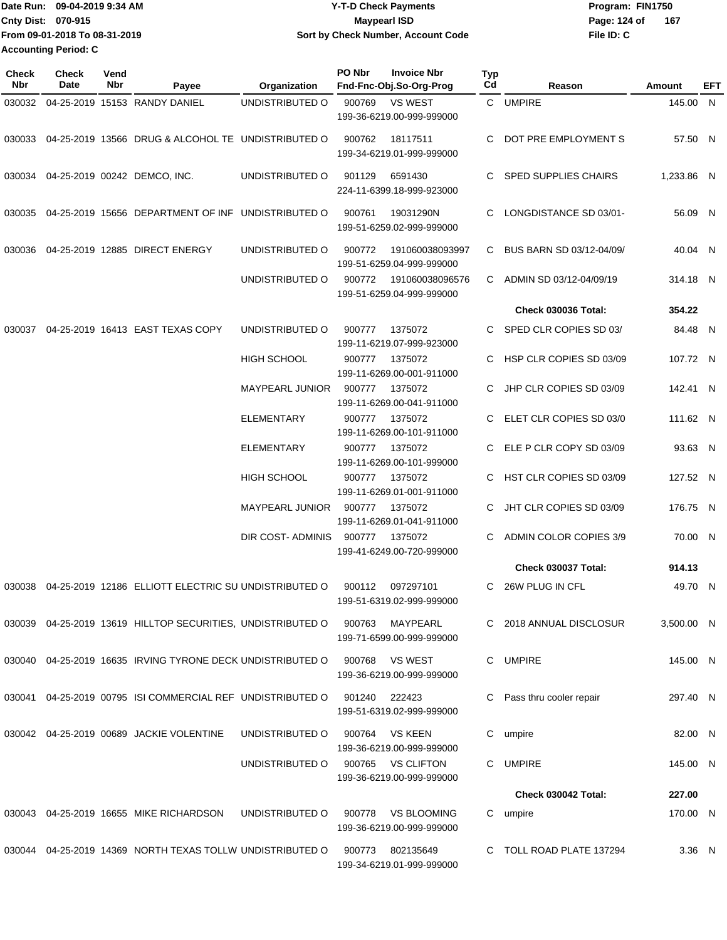Date Run: 09-04-2019 9:34 AM **Date Run:** 09-04-2019 9:34 AM **Cnty Dist: 070-915 File ID: C From 09-01-2018 To 08-31-2019 09-04-2019 9:34 AM Y-T-D Check Payments 070-915 Maypearl ISD Sort by Check Number, Account Code** Page: 124 of 167 **Accounting Period: C**

| <b>Check</b><br>Nbr | Check<br>Date | Vend<br>Nbr | Payee                                                       | Organization           | PO Nbr | <b>Invoice Nbr</b><br>Fnd-Fnc-Obj.So-Org-Prog   | <b>Typ</b><br>Cd | Reason                        | Amount     | EFT |
|---------------------|---------------|-------------|-------------------------------------------------------------|------------------------|--------|-------------------------------------------------|------------------|-------------------------------|------------|-----|
|                     |               |             | 030032 04-25-2019 15153 RANDY DANIEL                        | UNDISTRIBUTED O        | 900769 | <b>VS WEST</b><br>199-36-6219.00-999-999000     |                  | C UMPIRE                      | 145.00 N   |     |
| 030033              |               |             | 04-25-2019 13566 DRUG & ALCOHOL TE UNDISTRIBUTED O          |                        | 900762 | 18117511<br>199-34-6219.01-999-999000           |                  | DOT PRE EMPLOYMENT S          | 57.50 N    |     |
|                     |               |             | 030034 04-25-2019 00242 DEMCO, INC.                         | UNDISTRIBUTED O        | 901129 | 6591430<br>224-11-6399.18-999-923000            | C                | <b>SPED SUPPLIES CHAIRS</b>   | 1,233.86 N |     |
| 030035              |               |             | 04-25-2019 15656 DEPARTMENT OF INF UNDISTRIBUTED O          |                        | 900761 | 19031290N<br>199-51-6259.02-999-999000          | C                | LONGDISTANCE SD 03/01-        | 56.09 N    |     |
| 030036              |               |             | 04-25-2019 12885 DIRECT ENERGY                              | UNDISTRIBUTED O        | 900772 | 191060038093997<br>199-51-6259.04-999-999000    |                  | C BUS BARN SD 03/12-04/09/    | 40.04 N    |     |
|                     |               |             |                                                             | UNDISTRIBUTED O        | 900772 | 191060038096576<br>199-51-6259.04-999-999000    | C                | ADMIN SD 03/12-04/09/19       | 314.18 N   |     |
|                     |               |             |                                                             |                        |        |                                                 |                  | <b>Check 030036 Total:</b>    | 354.22     |     |
| 030037              |               |             | 04-25-2019 16413 EAST TEXAS COPY                            | UNDISTRIBUTED O        | 900777 | 1375072<br>199-11-6219.07-999-923000            | C                | SPED CLR COPIES SD 03/        | 84.48 N    |     |
|                     |               |             |                                                             | HIGH SCHOOL            | 900777 | 1375072<br>199-11-6269.00-001-911000            | C                | HSP CLR COPIES SD 03/09       | 107.72 N   |     |
|                     |               |             |                                                             | MAYPEARL JUNIOR        | 900777 | 1375072<br>199-11-6269.00-041-911000            |                  | JHP CLR COPIES SD 03/09       | 142.41 N   |     |
|                     |               |             |                                                             | ELEMENTARY             | 900777 | 1375072<br>199-11-6269.00-101-911000            |                  | ELET CLR COPIES SD 03/0       | 111.62 N   |     |
|                     |               |             |                                                             | ELEMENTARY             | 900777 | 1375072<br>199-11-6269.00-101-999000            |                  | ELE P CLR COPY SD 03/09       | 93.63 N    |     |
|                     |               |             |                                                             | HIGH SCHOOL            | 900777 | 1375072<br>199-11-6269.01-001-911000            |                  | HST CLR COPIES SD 03/09       | 127.52 N   |     |
|                     |               |             |                                                             | <b>MAYPEARL JUNIOR</b> | 900777 | 1375072<br>199-11-6269.01-041-911000            | C                | JHT CLR COPIES SD 03/09       | 176.75 N   |     |
|                     |               |             |                                                             | DIR COST- ADMINIS      | 900777 | 1375072<br>199-41-6249.00-720-999000            | C.               | <b>ADMIN COLOR COPIES 3/9</b> | 70.00 N    |     |
|                     |               |             |                                                             |                        |        |                                                 |                  | Check 030037 Total:           | 914.13     |     |
|                     |               |             | 030038 04-25-2019 12186 ELLIOTT ELECTRIC SU UNDISTRIBUTED O |                        | 900112 | 097297101<br>199-51-6319.02-999-999000          | C                | 26W PLUG IN CFL               | 49.70 N    |     |
|                     |               |             | 030039 04-25-2019 13619 HILLTOP SECURITIES, UNDISTRIBUTED O |                        | 900763 | MAYPEARL<br>199-71-6599.00-999-999000           |                  | 2018 ANNUAL DISCLOSUR         | 3,500.00 N |     |
|                     |               |             | 030040 04-25-2019 16635 IRVING TYRONE DECK UNDISTRIBUTED O  |                        | 900768 | <b>VS WEST</b><br>199-36-6219.00-999-999000     | C                | <b>UMPIRE</b>                 | 145.00 N   |     |
|                     |               |             | 030041 04-25-2019 00795 ISI COMMERCIAL REF UNDISTRIBUTED O  |                        | 901240 | 222423<br>199-51-6319.02-999-999000             | C                | Pass thru cooler repair       | 297.40 N   |     |
|                     |               |             | 030042  04-25-2019  00689  JACKIE VOLENTINE                 | UNDISTRIBUTED O        | 900764 | VS KEEN<br>199-36-6219.00-999-999000            | C                | umpire                        | 82.00 N    |     |
|                     |               |             |                                                             | UNDISTRIBUTED O        | 900765 | VS CLIFTON<br>199-36-6219.00-999-999000         |                  | C UMPIRE                      | 145.00 N   |     |
|                     |               |             |                                                             |                        |        |                                                 |                  | <b>Check 030042 Total:</b>    | 227.00     |     |
|                     |               |             | 030043 04-25-2019 16655 MIKE RICHARDSON                     | UNDISTRIBUTED O        | 900778 | <b>VS BLOOMING</b><br>199-36-6219.00-999-999000 | C                | umpire                        | 170.00 N   |     |
| 030044              |               |             | 04-25-2019 14369 NORTH TEXAS TOLLW UNDISTRIBUTED O          |                        | 900773 | 802135649<br>199-34-6219.01-999-999000          |                  | TOLL ROAD PLATE 137294        | $3.36$ N   |     |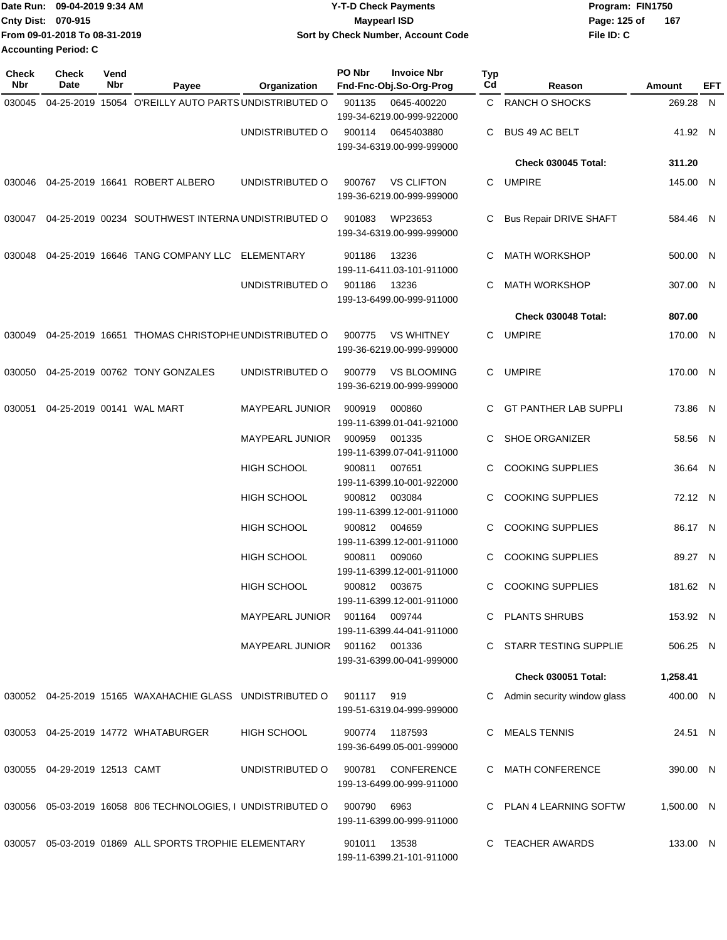| Date Run: 09-04-2019 9:34 AM  | <b>Y-T-D Check Payments</b>        | Program: FIN1750    |
|-------------------------------|------------------------------------|---------------------|
| Cnty Dist: 070-915            | Mavpearl ISD                       | 167<br>Page: 125 of |
| From 09-01-2018 To 08-31-2019 | Sort by Check Number, Account Code | File ID: C          |
| <b>Accounting Period: C</b>   |                                    |                     |

| <b>Check</b><br>Nbr | <b>Check</b><br>Date                | Vend<br>Nbr | Payee                                                          | Organization                  | PO Nbr       | <b>Invoice Nbr</b><br>Fnd-Fnc-Obj.So-Org-Prog   | <b>Typ</b><br>Cd | Reason                        | Amount     | EFT |
|---------------------|-------------------------------------|-------------|----------------------------------------------------------------|-------------------------------|--------------|-------------------------------------------------|------------------|-------------------------------|------------|-----|
| 030045              |                                     |             | 04-25-2019 15054 O'REILLY AUTO PARTS UNDISTRIBUTED O           |                               | 901135       | 0645-400220<br>199-34-6219.00-999-922000        |                  | C RANCH O SHOCKS              | 269.28 N   |     |
|                     |                                     |             |                                                                | UNDISTRIBUTED O               | 900114       | 0645403880<br>199-34-6319.00-999-999000         | C                | <b>BUS 49 AC BELT</b>         | 41.92 N    |     |
|                     |                                     |             |                                                                |                               |              |                                                 |                  | Check 030045 Total:           | 311.20     |     |
|                     |                                     |             | 030046  04-25-2019  16641  ROBERT ALBERO                       | UNDISTRIBUTED O               | 900767       | <b>VS CLIFTON</b><br>199-36-6219.00-999-999000  | C.               | UMPIRE                        | 145.00 N   |     |
| 030047              |                                     |             | 04-25-2019 00234 SOUTHWEST INTERNA UNDISTRIBUTED O             |                               | 901083       | WP23653<br>199-34-6319.00-999-999000            | C                | <b>Bus Repair DRIVE SHAFT</b> | 584.46 N   |     |
| 030048              |                                     |             | 04-25-2019 16646 TANG COMPANY LLC ELEMENTARY                   |                               | 901186       | 13236<br>199-11-6411.03-101-911000              |                  | <b>MATH WORKSHOP</b>          | 500.00 N   |     |
|                     |                                     |             |                                                                | UNDISTRIBUTED O               | 901186       | 13236<br>199-13-6499.00-999-911000              |                  | <b>MATH WORKSHOP</b>          | 307.00 N   |     |
|                     |                                     |             |                                                                |                               |              |                                                 |                  | Check 030048 Total:           | 807.00     |     |
|                     |                                     |             | 030049 04-25-2019 16651 THOMAS CHRISTOPHE UNDISTRIBUTED O      |                               | 900775       | <b>VS WHITNEY</b><br>199-36-6219.00-999-999000  | C.               | UMPIRE                        | 170.00 N   |     |
|                     |                                     |             | 030050 04-25-2019 00762 TONY GONZALES                          | UNDISTRIBUTED O               | 900779       | <b>VS BLOOMING</b><br>199-36-6219.00-999-999000 | C.               | <b>UMPIRE</b>                 | 170.00 N   |     |
|                     | 030051  04-25-2019  00141  WAL MART |             |                                                                | <b>MAYPEARL JUNIOR</b>        | 900919       | 000860<br>199-11-6399.01-041-921000             |                  | <b>GT PANTHER LAB SUPPLI</b>  | 73.86 N    |     |
|                     |                                     |             |                                                                | MAYPEARL JUNIOR               | 900959       | 001335<br>199-11-6399.07-041-911000             |                  | <b>SHOE ORGANIZER</b>         | 58.56 N    |     |
|                     |                                     |             |                                                                | <b>HIGH SCHOOL</b>            | 900811       | 007651<br>199-11-6399.10-001-922000             | C                | <b>COOKING SUPPLIES</b>       | 36.64 N    |     |
|                     |                                     |             |                                                                | <b>HIGH SCHOOL</b>            |              | 900812 003084<br>199-11-6399.12-001-911000      |                  | <b>COOKING SUPPLIES</b>       | 72.12 N    |     |
|                     |                                     |             |                                                                | HIGH SCHOOL                   | 900812       | 004659<br>199-11-6399.12-001-911000             | C                | <b>COOKING SUPPLIES</b>       | 86.17 N    |     |
|                     |                                     |             |                                                                | <b>HIGH SCHOOL</b>            | 900811       | 009060<br>199-11-6399.12-001-911000             | C                | <b>COOKING SUPPLIES</b>       | 89.27 N    |     |
|                     |                                     |             |                                                                | <b>HIGH SCHOOL</b>            |              | 900812 003675<br>199-11-6399.12-001-911000      | C.               | <b>COOKING SUPPLIES</b>       | 181.62 N   |     |
|                     |                                     |             |                                                                | MAYPEARL JUNIOR 901164 009744 |              | 199-11-6399.44-041-911000                       |                  | C PLANTS SHRUBS               | 153.92 N   |     |
|                     |                                     |             |                                                                | MAYPEARL JUNIOR 901162 001336 |              | 199-31-6399.00-041-999000                       |                  | C STARR TESTING SUPPLIE       | 506.25 N   |     |
|                     |                                     |             |                                                                |                               |              |                                                 |                  | <b>Check 030051 Total:</b>    | 1,258.41   |     |
|                     |                                     |             | 030052 04-25-2019 15165 WAXAHACHIE GLASS UNDISTRIBUTED O       |                               | 901117 919   | 199-51-6319.04-999-999000                       |                  | Admin security window glass   | 400.00 N   |     |
|                     |                                     |             | 030053  04-25-2019  14772  WHATABURGER                         | <b>HIGH SCHOOL</b>            |              | 900774 1187593<br>199-36-6499.05-001-999000     |                  | C MEALS TENNIS                | 24.51 N    |     |
|                     | 030055 04-29-2019 12513 CAMT        |             |                                                                | UNDISTRIBUTED O               |              | 900781 CONFERENCE<br>199-13-6499.00-999-911000  |                  | C MATH CONFERENCE             | 390.00 N   |     |
|                     |                                     |             | 030056  05-03-2019  16058  806 TECHNOLOGIES, I UNDISTRIBUTED O |                               | 900790 6963  | 199-11-6399.00-999-911000                       |                  | C PLAN 4 LEARNING SOFTW       | 1,500.00 N |     |
|                     |                                     |             | 030057 05-03-2019 01869 ALL SPORTS TROPHIE ELEMENTARY          |                               | 901011 13538 | 199-11-6399.21-101-911000                       |                  | C TEACHER AWARDS              | 133.00 N   |     |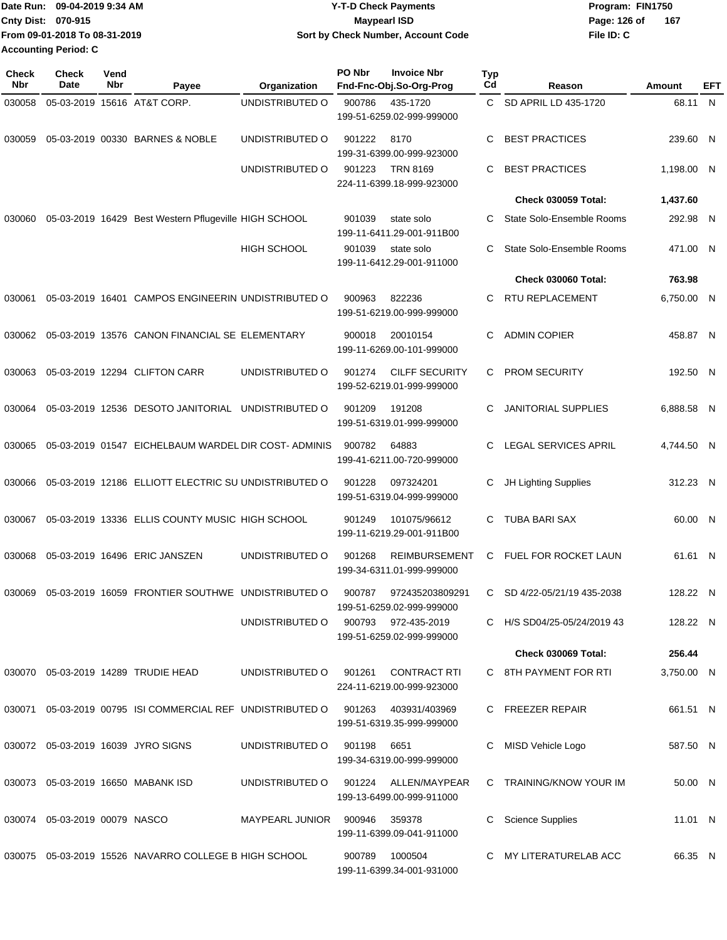| Date Run:                 | 09-04-2019 9:34 AM            | <b>Y-T-D Check Payments</b>        | Program: FIN1750 |     |
|---------------------------|-------------------------------|------------------------------------|------------------|-----|
| <b>Cnty Dist: 070-915</b> |                               | Maypearl ISD                       | Page: 126 of     | 167 |
|                           | From 09-01-2018 To 08-31-2019 | Sort by Check Number, Account Code | File ID: C       |     |
| Accounting Period: C      |                               |                                    |                  |     |

| Check<br><b>Nbr</b> | <b>Check</b><br>Date             | Vend<br>Nbr | Payee                                                 | Organization           | PO Nbr | <b>Invoice Nbr</b><br>Fnd-Fnc-Obj.So-Org-Prog      | Typ<br>Cd | Reason                      | Amount     | EFT |
|---------------------|----------------------------------|-------------|-------------------------------------------------------|------------------------|--------|----------------------------------------------------|-----------|-----------------------------|------------|-----|
| 030058              |                                  |             | 05-03-2019 15616 AT&T CORP.                           | UNDISTRIBUTED O        | 900786 | 435-1720                                           | C.        | SD APRIL LD 435-1720        | 68.11 N    |     |
|                     |                                  |             |                                                       |                        |        | 199-51-6259.02-999-999000                          |           |                             |            |     |
| 030059              |                                  |             | 05-03-2019 00330 BARNES & NOBLE                       | UNDISTRIBUTED O        | 901222 | 8170<br>199-31-6399.00-999-923000                  | С         | <b>BEST PRACTICES</b>       | 239.60 N   |     |
|                     |                                  |             |                                                       | UNDISTRIBUTED O        | 901223 | <b>TRN 8169</b>                                    | C         | <b>BEST PRACTICES</b>       | 1,198.00 N |     |
|                     |                                  |             |                                                       |                        |        | 224-11-6399.18-999-923000                          |           |                             |            |     |
|                     |                                  |             |                                                       |                        |        |                                                    |           | <b>Check 030059 Total:</b>  | 1,437.60   |     |
| 030060              |                                  |             | 05-03-2019 16429 Best Western Pflugeville HIGH SCHOOL |                        | 901039 | state solo<br>199-11-6411.29-001-911B00            | C.        | State Solo-Ensemble Rooms   | 292.98 N   |     |
|                     |                                  |             |                                                       | <b>HIGH SCHOOL</b>     | 901039 | state solo<br>199-11-6412.29-001-911000            |           | State Solo-Ensemble Rooms   | 471.00 N   |     |
|                     |                                  |             |                                                       |                        |        |                                                    |           | Check 030060 Total:         | 763.98     |     |
| 030061              |                                  |             | 05-03-2019 16401 CAMPOS ENGINEERIN UNDISTRIBUTED O    |                        | 900963 | 822236<br>199-51-6219.00-999-999000                | С         | RTU REPLACEMENT             | 6,750.00 N |     |
| 030062              |                                  |             | 05-03-2019 13576 CANON FINANCIAL SE ELEMENTARY        |                        | 900018 | 20010154                                           | C         | <b>ADMIN COPIER</b>         | 458.87 N   |     |
|                     |                                  |             |                                                       |                        |        | 199-11-6269.00-101-999000                          |           |                             |            |     |
| 030063              |                                  |             | 05-03-2019 12294 CLIFTON CARR                         | UNDISTRIBUTED O        | 901274 | <b>CILFF SECURITY</b><br>199-52-6219.01-999-999000 | С         | <b>PROM SECURITY</b>        | 192.50 N   |     |
| 030064              |                                  |             | 05-03-2019 12536 DESOTO JANITORIAL                    | UNDISTRIBUTED O        | 901209 | 191208<br>199-51-6319.01-999-999000                | C         | <b>JANITORIAL SUPPLIES</b>  | 6,888.58 N |     |
| 030065              |                                  |             | 05-03-2019 01547 EICHELBAUM WARDEL DIR COST-ADMINIS   |                        | 900782 | 64883                                              | C         | LEGAL SERVICES APRIL        | 4,744.50 N |     |
|                     |                                  |             |                                                       |                        |        | 199-41-6211.00-720-999000                          |           |                             |            |     |
| 030066              |                                  |             | 05-03-2019 12186 ELLIOTT ELECTRIC SU UNDISTRIBUTED O  |                        | 901228 | 097324201<br>199-51-6319.04-999-999000             | С         | JH Lighting Supplies        | 312.23 N   |     |
| 030067              |                                  |             | 05-03-2019 13336 ELLIS COUNTY MUSIC HIGH SCHOOL       |                        | 901249 | 101075/96612<br>199-11-6219.29-001-911B00          | C         | <b>TUBA BARI SAX</b>        | 60.00 N    |     |
| 030068              |                                  |             | 05-03-2019 16496 ERIC JANSZEN                         | UNDISTRIBUTED O        | 901268 | <b>REIMBURSEMENT</b><br>199-34-6311.01-999-999000  | С         | FUEL FOR ROCKET LAUN        | 61.61 N    |     |
| 030069              |                                  |             | 05-03-2019 16059 FRONTIER SOUTHWE UNDISTRIBUTED O     |                        | 900787 | 972435203809291<br>199-51-6259.02-999-999000       | C         | SD 4/22-05/21/19 435-2038   | 128.22 N   |     |
|                     |                                  |             |                                                       | UNDISTRIBUTED O        |        | 900793 972-435-2019<br>199-51-6259.02-999-999000   |           | C H/S SD04/25-05/24/2019 43 | 128.22 N   |     |
|                     |                                  |             |                                                       |                        |        |                                                    |           | <b>Check 030069 Total:</b>  | 256.44     |     |
|                     |                                  |             | 030070 05-03-2019 14289 TRUDIE HEAD                   | UNDISTRIBUTED O        | 901261 | <b>CONTRACT RTI</b><br>224-11-6219.00-999-923000   |           | C 8TH PAYMENT FOR RTI       | 3,750.00 N |     |
| 030071              |                                  |             | 05-03-2019 00795 ISI COMMERCIAL REF UNDISTRIBUTED O   |                        | 901263 | 403931/403969<br>199-51-6319.35-999-999000         |           | C FREEZER REPAIR            | 661.51 N   |     |
|                     |                                  |             | 030072 05-03-2019 16039 JYRO SIGNS                    | UNDISTRIBUTED O        | 901198 | 6651<br>199-34-6319.00-999-999000                  | C         | MISD Vehicle Logo           | 587.50 N   |     |
|                     |                                  |             | 030073  05-03-2019  16650  MABANK ISD                 | UNDISTRIBUTED O        | 901224 | ALLEN/MAYPEAR<br>199-13-6499.00-999-911000         |           | C TRAINING/KNOW YOUR IM     | 50.00 N    |     |
|                     | 030074  05-03-2019  00079  NASCO |             |                                                       | <b>MAYPEARL JUNIOR</b> | 900946 | 359378<br>199-11-6399.09-041-911000                |           | <b>Science Supplies</b>     | 11.01 N    |     |
|                     |                                  |             | 030075 05-03-2019 15526 NAVARRO COLLEGE B HIGH SCHOOL |                        | 900789 | 1000504<br>199-11-6399.34-001-931000               |           | C MY LITERATURELAB ACC      | 66.35 N    |     |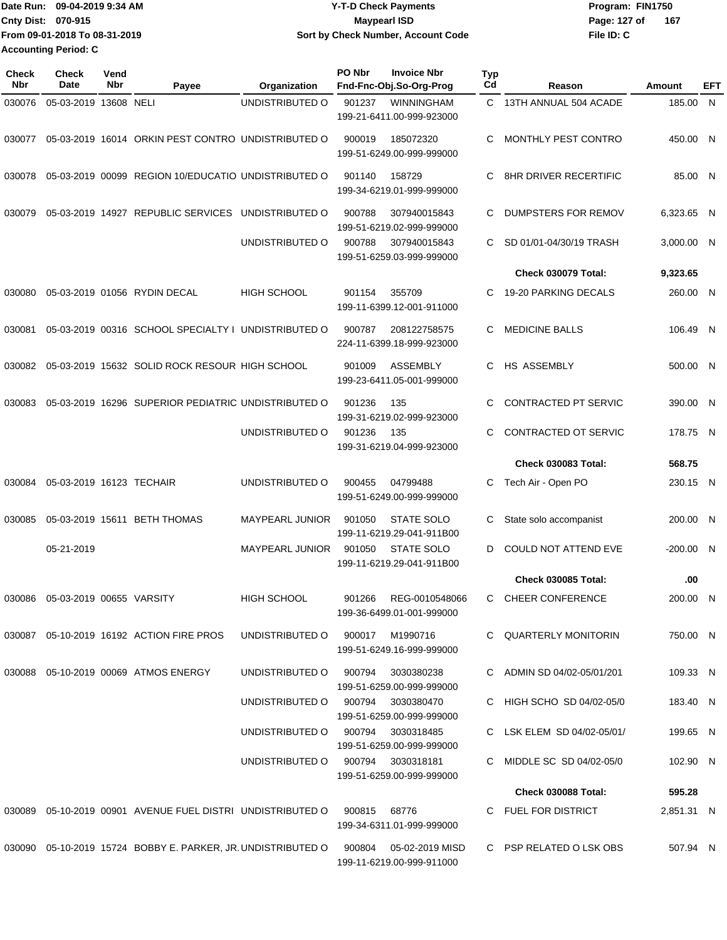| IDate Run: 09-04-2019 9:34 AM | <b>Y-T-D Check Payments</b>        | Program: FIN1750    |
|-------------------------------|------------------------------------|---------------------|
| <b>Cnty Dist: 070-915</b>     | Maypearl ISD                       | 167<br>Page: 127 of |
| From 09-01-2018 To 08-31-2019 | Sort by Check Number, Account Code | File ID: C          |
| <b>Accounting Period: C</b>   |                                    |                     |

| Check<br>Nbr | <b>Check</b><br>Date     | Vend<br>Nbr | Payee                                                          | Organization                      | <b>PO Nbr</b> | <b>Invoice Nbr</b><br>Fnd-Fnc-Obj.So-Org-Prog  | Typ<br>Cd | Reason                       | Amount      | EFT |
|--------------|--------------------------|-------------|----------------------------------------------------------------|-----------------------------------|---------------|------------------------------------------------|-----------|------------------------------|-------------|-----|
| 030076       | 05-03-2019 13608 NELI    |             |                                                                | UNDISTRIBUTED O                   | 901237        | <b>WINNINGHAM</b><br>199-21-6411.00-999-923000 | C.        | 13TH ANNUAL 504 ACADE        | 185.00 N    |     |
| 030077       |                          |             | 05-03-2019 16014 ORKIN PEST CONTRO UNDISTRIBUTED O             |                                   | 900019        | 185072320<br>199-51-6249.00-999-999000         | C.        | MONTHLY PEST CONTRO          | 450.00 N    |     |
| 030078       |                          |             | 05-03-2019 00099 REGION 10/EDUCATIO UNDISTRIBUTED O            |                                   | 901140        | 158729<br>199-34-6219.01-999-999000            | C         | <b>8HR DRIVER RECERTIFIC</b> | 85.00 N     |     |
| 030079       |                          |             | 05-03-2019 14927 REPUBLIC SERVICES                             | UNDISTRIBUTED O                   | 900788        | 307940015843<br>199-51-6219.02-999-999000      | C         | DUMPSTERS FOR REMOV          | 6,323.65 N  |     |
|              |                          |             |                                                                | UNDISTRIBUTED O                   | 900788        | 307940015843<br>199-51-6259.03-999-999000      | C.        | SD 01/01-04/30/19 TRASH      | 3,000.00 N  |     |
|              |                          |             |                                                                |                                   |               |                                                |           | Check 030079 Total:          | 9,323.65    |     |
| 030080       |                          |             | 05-03-2019 01056 RYDIN DECAL                                   | <b>HIGH SCHOOL</b>                | 901154        | 355709<br>199-11-6399.12-001-911000            | C         | 19-20 PARKING DECALS         | 260.00 N    |     |
| 030081       |                          |             | 05-03-2019 00316 SCHOOL SPECIALTY I UNDISTRIBUTED O            |                                   | 900787        | 208122758575<br>224-11-6399.18-999-923000      | C         | <b>MEDICINE BALLS</b>        | 106.49 N    |     |
| 030082       |                          |             | 05-03-2019 15632 SOLID ROCK RESOUR HIGH SCHOOL                 |                                   | 901009        | <b>ASSEMBLY</b><br>199-23-6411.05-001-999000   | C         | HS ASSEMBLY                  | 500.00 N    |     |
| 030083       |                          |             | 05-03-2019 16296 SUPERIOR PEDIATRIC UNDISTRIBUTED O            |                                   | 901236        | 135<br>199-31-6219.02-999-923000               | C         | CONTRACTED PT SERVIC         | 390.00 N    |     |
|              |                          |             |                                                                | UNDISTRIBUTED O                   | 901236        | 135<br>199-31-6219.04-999-923000               | C.        | CONTRACTED OT SERVIC         | 178.75 N    |     |
|              |                          |             |                                                                |                                   |               |                                                |           | Check 030083 Total:          | 568.75      |     |
| 030084       | 05-03-2019 16123 TECHAIR |             |                                                                | UNDISTRIBUTED O                   | 900455        | 04799488<br>199-51-6249.00-999-999000          | C.        | Tech Air - Open PO           | 230.15 N    |     |
| 030085       |                          |             | 05-03-2019 15611 BETH THOMAS                                   | <b>MAYPEARL JUNIOR</b>            | 901050        | STATE SOLO<br>199-11-6219.29-041-911B00        | C         | State solo accompanist       | 200.00 N    |     |
|              | 05-21-2019               |             |                                                                | <b>MAYPEARL JUNIOR</b>            | 901050        | <b>STATE SOLO</b><br>199-11-6219.29-041-911B00 | D         | <b>COULD NOT ATTEND EVE</b>  | $-200.00$ N |     |
|              |                          |             |                                                                |                                   |               |                                                |           | <b>Check 030085 Total:</b>   | .00         |     |
| 030086       | 05-03-2019 00655 VARSITY |             |                                                                | <b>HIGH SCHOOL</b>                | 901266        | REG-0010548066<br>199-36-6499.01-001-999000    | C.        | <b>CHEER CONFERENCE</b>      | 200.00 N    |     |
|              |                          |             | 030087  05-10-2019  16192  ACTION FIRE PROS                    | UNDISTRIBUTED O                   |               | 900017 M1990716<br>199-51-6249.16-999-999000   |           | C QUARTERLY MONITORIN        | 750.00 N    |     |
|              |                          |             | 030088  05-10-2019  00069  ATMOS ENERGY                        | UNDISTRIBUTED O                   | 900794        | 3030380238<br>199-51-6259.00-999-999000        |           | C ADMIN SD 04/02-05/01/201   | 109.33 N    |     |
|              |                          |             |                                                                | UNDISTRIBUTED O 900794 3030380470 |               | 199-51-6259.00-999-999000                      |           | C HIGH SCHO SD 04/02-05/0    | 183.40 N    |     |
|              |                          |             |                                                                | UNDISTRIBUTED O                   |               | 900794 3030318485<br>199-51-6259.00-999-999000 |           | C LSK ELEM SD 04/02-05/01/   | 199.65 N    |     |
|              |                          |             |                                                                | UNDISTRIBUTED O                   |               | 900794 3030318181<br>199-51-6259.00-999-999000 |           | C MIDDLE SC SD 04/02-05/0    | 102.90 N    |     |
|              |                          |             |                                                                |                                   |               |                                                |           | <b>Check 030088 Total:</b>   | 595.28      |     |
|              |                          |             | 030089  05-10-2019  00901  AVENUE FUEL DISTRI  UNDISTRIBUTED O |                                   | 900815        | 68776<br>199-34-6311.01-999-999000             |           | C FUEL FOR DISTRICT          | 2,851.31 N  |     |
|              |                          |             | 030090 05-10-2019 15724 BOBBY E. PARKER, JR. UNDISTRIBUTED O   |                                   | 900804        | 05-02-2019 MISD<br>199-11-6219.00-999-911000   |           | C PSP RELATED O LSK OBS      | 507.94 N    |     |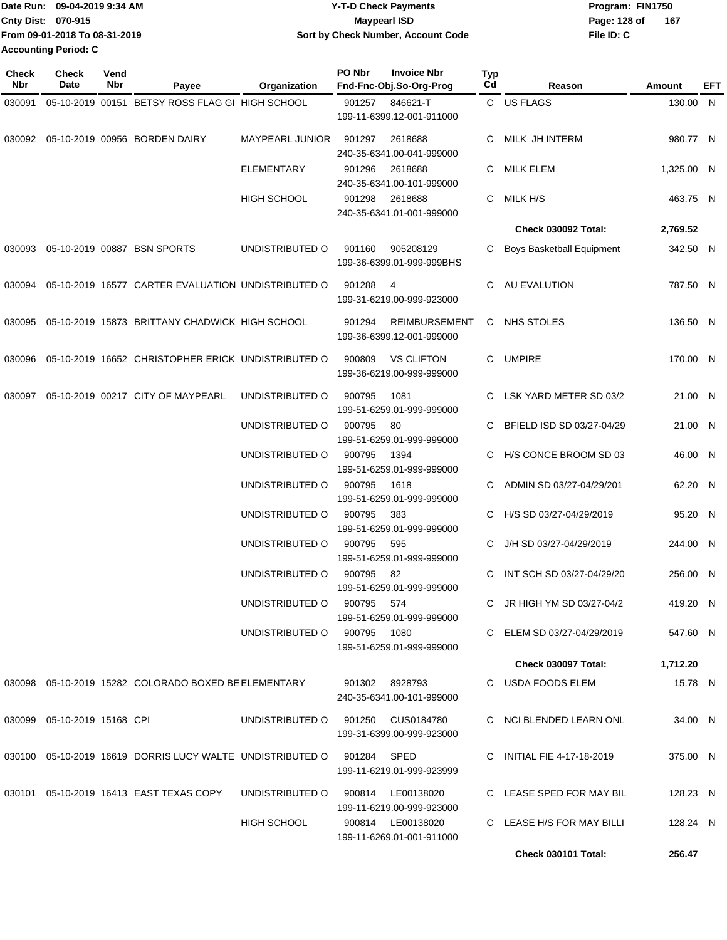| Date Run: 09-04-2019 9:34 AM  | <b>Y-T-D Check Payments</b>        | Program: FIN1750    |  |  |  |
|-------------------------------|------------------------------------|---------------------|--|--|--|
| <b>Cnty Dist: 070-915</b>     | Maypearl ISD                       | 167<br>Page: 128 of |  |  |  |
| From 09-01-2018 To 08-31-2019 | Sort by Check Number, Account Code | File ID: C          |  |  |  |
| <b>Accounting Period: C</b>   |                                    |                     |  |  |  |

**PO Nbr Invoice Nbr**

**Typ**

**Check**

**Check**

**Vend**

| Nbr    | Date                           | Nbr | Payee                                                     | Organization                       | Fnd-Fnc-Obj.So-Org-Prog                                     | Cd       | Reason                                                | Amount               | <b>EFT</b> |
|--------|--------------------------------|-----|-----------------------------------------------------------|------------------------------------|-------------------------------------------------------------|----------|-------------------------------------------------------|----------------------|------------|
| 030091 |                                |     | 05-10-2019 00151 BETSY ROSS FLAG GI HIGH SCHOOL           |                                    | 901257 846621-T<br>199-11-6399.12-001-911000                |          | C US FLAGS                                            | 130.00 N             |            |
|        |                                |     | 030092  05-10-2019  00956  BORDEN DAIRY                   | MAYPEARL JUNIOR                    | 2618688<br>901297<br>240-35-6341.00-041-999000              | C        | MILK JH INTERM                                        | 980.77 N             |            |
|        |                                |     |                                                           | <b>ELEMENTARY</b>                  | 901296<br>2618688<br>240-35-6341.00-101-999000              | C        | <b>MILK ELEM</b>                                      | 1,325.00 N           |            |
|        |                                |     |                                                           | <b>HIGH SCHOOL</b>                 | 2618688<br>901298<br>240-35-6341.01-001-999000              | C.       | MILK H/S                                              | 463.75 N             |            |
|        |                                |     |                                                           |                                    |                                                             |          | <b>Check 030092 Total:</b>                            | 2,769.52             |            |
|        |                                |     | 030093  05-10-2019  00887  BSN SPORTS                     | UNDISTRIBUTED O                    | 905208129<br>901160<br>199-36-6399.01-999-999BHS            | C.       | <b>Boys Basketball Equipment</b>                      | 342.50 N             |            |
| 030094 |                                |     | 05-10-2019 16577 CARTER EVALUATION UNDISTRIBUTED O        |                                    | 901288<br>-4<br>199-31-6219.00-999-923000                   | C        | AU EVALUTION                                          | 787.50 N             |            |
|        |                                |     | 030095 05-10-2019 15873 BRITTANY CHADWICK HIGH SCHOOL     |                                    | 901294<br><b>REIMBURSEMENT</b><br>199-36-6399.12-001-999000 |          | C NHS STOLES                                          | 136.50 N             |            |
|        |                                |     | 030096 05-10-2019 16652 CHRISTOPHER ERICK UNDISTRIBUTED O |                                    | <b>VS CLIFTON</b><br>900809<br>199-36-6219.00-999-999000    |          | C UMPIRE                                              | 170.00 N             |            |
| 030097 |                                |     | 05-10-2019 00217 CITY OF MAYPEARL                         | UNDISTRIBUTED O                    | 900795<br>1081<br>199-51-6259.01-999-999000                 |          | C LSK YARD METER SD 03/2                              | 21.00 N              |            |
|        |                                |     |                                                           | UNDISTRIBUTED O                    | 900795<br>- 80<br>199-51-6259.01-999-999000                 |          | C BFIELD ISD SD 03/27-04/29                           | 21.00 N              |            |
|        |                                |     |                                                           | UNDISTRIBUTED O                    | 900795<br>1394<br>199-51-6259.01-999-999000                 |          | C H/S CONCE BROOM SD 03                               | 46.00 N              |            |
|        |                                |     |                                                           | UNDISTRIBUTED O                    | 900795<br>1618<br>199-51-6259.01-999-999000                 | C.       | ADMIN SD 03/27-04/29/201                              | 62.20 N              |            |
|        |                                |     |                                                           | UNDISTRIBUTED O                    | 900795<br>383<br>199-51-6259.01-999-999000                  |          | C H/S SD 03/27-04/29/2019                             | 95.20 N              |            |
|        |                                |     |                                                           | UNDISTRIBUTED O                    | 900795<br>595<br>199-51-6259.01-999-999000                  |          | J/H SD 03/27-04/29/2019                               | 244.00 N             |            |
|        |                                |     |                                                           | UNDISTRIBUTED O<br>UNDISTRIBUTED O | 900795<br>82<br>199-51-6259.01-999-999000<br>900795<br>574  | C.<br>C. | INT SCH SD 03/27-04/29/20<br>JR HIGH YM SD 03/27-04/2 | 256.00 N<br>419.20 N |            |
|        |                                |     |                                                           | UNDISTRIBUTED O                    | 199-51-6259.01-999-999000<br>900795<br>1080                 |          | C ELEM SD 03/27-04/29/2019                            | 547.60 N             |            |
|        |                                |     |                                                           |                                    | 199-51-6259.01-999-999000                                   |          |                                                       |                      |            |
|        |                                |     |                                                           |                                    |                                                             |          | <b>Check 030097 Total:</b>                            | 1,712.20             |            |
|        |                                |     | 030098  05-10-2019  15282  COLORADO BOXED BE ELEMENTARY   |                                    | 901302<br>8928793<br>240-35-6341.00-101-999000              |          | C USDA FOODS ELEM                                     | 15.78 N              |            |
|        | 030099  05-10-2019  15168  CPI |     |                                                           | UNDISTRIBUTED O                    | 901250<br>CUS0184780<br>199-31-6399.00-999-923000           |          | C NCI BLENDED LEARN ONL                               | 34.00 N              |            |
|        |                                |     | 030100 05-10-2019 16619 DORRIS LUCY WALTE UNDISTRIBUTED O |                                    | 901284 SPED<br>199-11-6219.01-999-923999                    |          | C INITIAL FIE 4-17-18-2019                            | 375.00 N             |            |
|        |                                |     | 030101  05-10-2019  16413  EAST TEXAS COPY                | UNDISTRIBUTED O                    | 900814 LE00138020<br>199-11-6219.00-999-923000              |          | C LEASE SPED FOR MAY BIL                              | 128.23 N             |            |
|        |                                |     |                                                           | HIGH SCHOOL                        | 900814 LE00138020<br>199-11-6269.01-001-911000              |          | C LEASE H/S FOR MAY BILLI                             | 128.24 N             |            |
|        |                                |     |                                                           |                                    |                                                             |          | <b>Check 030101 Total:</b>                            | 256.47               |            |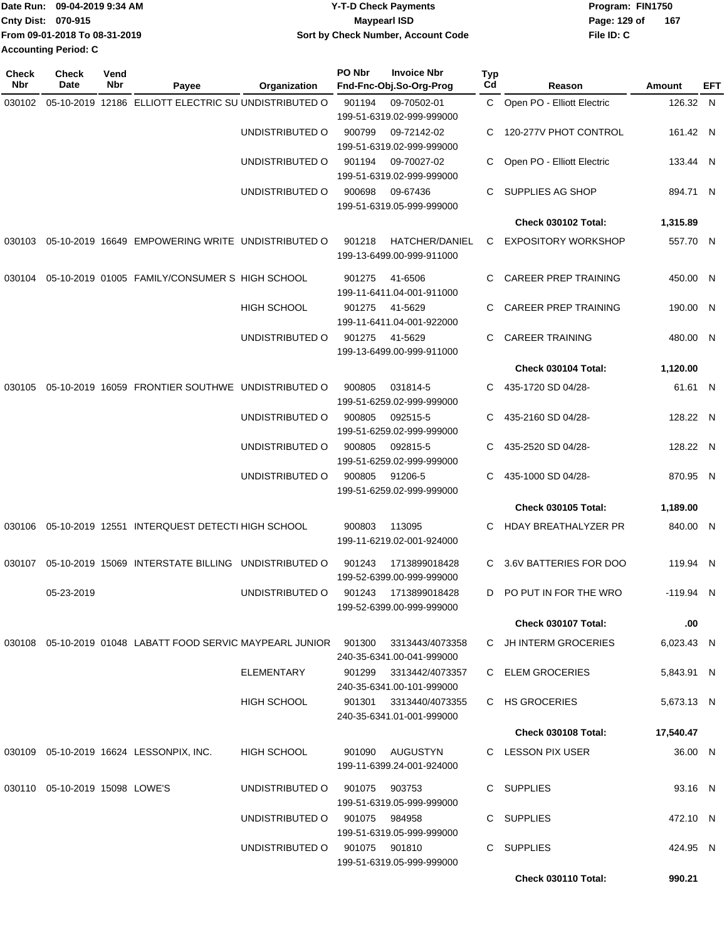|                             | Date Run: 09-04-2019 9:34 AM  | <b>Y-T-D Check Payments</b>        | Program: FIN1750 |     |  |  |
|-----------------------------|-------------------------------|------------------------------------|------------------|-----|--|--|
| <b>Cnty Dist: 070-915</b>   |                               | <b>Mavpearl ISD</b>                | Page: 129 of     | 167 |  |  |
|                             | From 09-01-2018 To 08-31-2019 | Sort by Check Number, Account Code | File ID: C       |     |  |  |
| <b>Accounting Period: C</b> |                               |                                    |                  |     |  |  |

| <b>Check</b><br>Nbr | Check<br>Date                     | Vend<br>Nbr | Payee                                                                 | Organization       | PO Nbr | <b>Invoice Nbr</b><br>Fnd-Fnc-Obj.So-Org-Prog       | <b>Typ</b><br>Cd | Reason                      | Amount      | EFT |
|---------------------|-----------------------------------|-------------|-----------------------------------------------------------------------|--------------------|--------|-----------------------------------------------------|------------------|-----------------------------|-------------|-----|
|                     |                                   |             |                                                                       |                    |        |                                                     |                  |                             |             |     |
| 030102              |                                   |             | 05-10-2019 12186 ELLIOTT ELECTRIC SU UNDISTRIBUTED O                  |                    | 901194 | 09-70502-01<br>199-51-6319.02-999-999000            | C                | Open PO - Elliott Electric  | 126.32 N    |     |
|                     |                                   |             |                                                                       | UNDISTRIBUTED O    | 900799 | 09-72142-02<br>199-51-6319.02-999-999000            | С                | 120-277V PHOT CONTROL       | 161.42 N    |     |
|                     |                                   |             |                                                                       | UNDISTRIBUTED O    | 901194 | 09-70027-02<br>199-51-6319.02-999-999000            | C.               | Open PO - Elliott Electric  | 133.44 N    |     |
|                     |                                   |             |                                                                       | UNDISTRIBUTED O    | 900698 | 09-67436<br>199-51-6319.05-999-999000               | C                | SUPPLIES AG SHOP            | 894.71 N    |     |
|                     |                                   |             |                                                                       |                    |        |                                                     |                  | Check 030102 Total:         | 1,315.89    |     |
| 030103              |                                   |             | 05-10-2019 16649 EMPOWERING WRITE UNDISTRIBUTED O                     |                    | 901218 | HATCHER/DANIEL<br>199-13-6499.00-999-911000         | C                | <b>EXPOSITORY WORKSHOP</b>  | 557.70 N    |     |
| 030104              |                                   |             | 05-10-2019 01005 FAMILY/CONSUMER S HIGH SCHOOL                        |                    | 901275 | 41-6506<br>199-11-6411.04-001-911000                | С                | <b>CAREER PREP TRAINING</b> | 450.00 N    |     |
|                     |                                   |             |                                                                       | <b>HIGH SCHOOL</b> | 901275 | 41-5629<br>199-11-6411.04-001-922000                | C                | <b>CAREER PREP TRAINING</b> | 190.00 N    |     |
|                     |                                   |             |                                                                       | UNDISTRIBUTED O    | 901275 | 41-5629<br>199-13-6499.00-999-911000                | С                | <b>CAREER TRAINING</b>      | 480.00 N    |     |
|                     |                                   |             |                                                                       |                    |        |                                                     |                  | Check 030104 Total:         | 1,120.00    |     |
| 030105              |                                   |             | 05-10-2019 16059 FRONTIER SOUTHWE UNDISTRIBUTED O                     |                    | 900805 | 031814-5<br>199-51-6259.02-999-999000               | С                | 435-1720 SD 04/28-          | 61.61 N     |     |
|                     |                                   |             |                                                                       | UNDISTRIBUTED O    | 900805 | 092515-5<br>199-51-6259.02-999-999000               | С                | 435-2160 SD 04/28-          | 128.22 N    |     |
|                     |                                   |             |                                                                       | UNDISTRIBUTED O    | 900805 | 092815-5<br>199-51-6259.02-999-999000               | С                | 435-2520 SD 04/28-          | 128.22 N    |     |
|                     |                                   |             |                                                                       | UNDISTRIBUTED O    | 900805 | 91206-5<br>199-51-6259.02-999-999000                | С                | 435-1000 SD 04/28-          | 870.95 N    |     |
|                     |                                   |             |                                                                       |                    |        |                                                     |                  | <b>Check 030105 Total:</b>  | 1,189.00    |     |
| 030106              |                                   |             | 05-10-2019 12551 INTERQUEST DETECTI HIGH SCHOOL                       |                    | 900803 | 113095<br>199-11-6219.02-001-924000                 | C                | HDAY BREATHALYZER PR        | 840.00 N    |     |
| 030107              |                                   |             | 05-10-2019 15069 INTERSTATE BILLING UNDISTRIBUTED O                   |                    | 901243 | 1713899018428<br>199-52-6399.00-999-999000          | С                | 3.6V BATTERIES FOR DOO      | 119.94 N    |     |
|                     | 05-23-2019                        |             |                                                                       | UNDISTRIBUTED O    | 901243 | 1713899018428<br>199-52-6399.00-999-999000          |                  | D PO PUT IN FOR THE WRO     | $-119.94$ N |     |
|                     |                                   |             |                                                                       |                    |        |                                                     |                  | <b>Check 030107 Total:</b>  | .00         |     |
|                     |                                   |             | 030108  05-10-2019  01048  LABATT FOOD SERVIC MAYPEARL JUNIOR  901300 |                    |        | 3313443/4073358<br>240-35-6341.00-041-999000        |                  | C JH INTERM GROCERIES       | 6,023.43 N  |     |
|                     |                                   |             |                                                                       | ELEMENTARY         | 901299 | 3313442/4073357<br>240-35-6341.00-101-999000        |                  | C ELEM GROCERIES            | 5,843.91 N  |     |
|                     |                                   |             |                                                                       | HIGH SCHOOL        |        | 901301 3313440/4073355<br>240-35-6341.01-001-999000 |                  | C HS GROCERIES              | 5.673.13 N  |     |
|                     |                                   |             |                                                                       |                    |        |                                                     |                  | <b>Check 030108 Total:</b>  | 17,540.47   |     |
|                     |                                   |             | 030109  05-10-2019  16624  LESSONPIX, INC.                            | HIGH SCHOOL        | 901090 | AUGUSTYN<br>199-11-6399.24-001-924000               |                  | C LESSON PIX USER           | 36.00 N     |     |
|                     | 030110  05-10-2019  15098  LOWE'S |             |                                                                       | UNDISTRIBUTED O    |        | 901075 903753<br>199-51-6319.05-999-999000          |                  | C SUPPLIES                  | 93.16 N     |     |
|                     |                                   |             |                                                                       | UNDISTRIBUTED O    |        | 901075 984958<br>199-51-6319.05-999-999000          |                  | C SUPPLIES                  | 472.10 N    |     |
|                     |                                   |             |                                                                       | UNDISTRIBUTED O    |        | 901075 901810<br>199-51-6319.05-999-999000          |                  | C SUPPLIES                  | 424.95 N    |     |
|                     |                                   |             |                                                                       |                    |        |                                                     |                  | Check 030110 Total:         | 990.21      |     |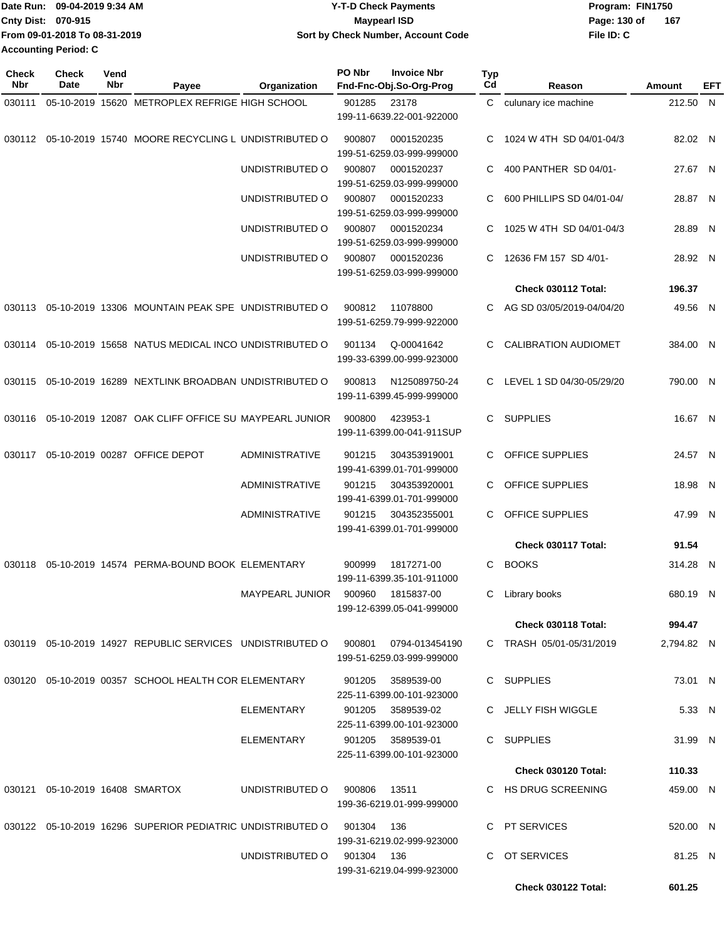| TDate Run: 09-04-2019 9:34 AM | <b>Y-T-D Check Payments</b>        | Program: FIN1750    |
|-------------------------------|------------------------------------|---------------------|
| <b>Cnty Dist: 070-915</b>     | <b>Mavpearl ISD</b>                | 167<br>Page: 130 of |
| From 09-01-2018 To 08-31-2019 | Sort by Check Number, Account Code | File ID: C          |
| <b>Accounting Period: C</b>   |                                    |                     |

| <b>Check</b><br>Nbr | Check<br>Date                      | Vend<br>Nbr | Payee                                                          | Organization           | PO Nbr     | <b>Invoice Nbr</b><br>Fnd-Fnc-Obj.So-Org-Prog  | Typ<br>Cd | Reason                      | Amount     | EFT |
|---------------------|------------------------------------|-------------|----------------------------------------------------------------|------------------------|------------|------------------------------------------------|-----------|-----------------------------|------------|-----|
| 030111              |                                    |             | 05-10-2019 15620 METROPLEX REFRIGE HIGH SCHOOL                 |                        | 901285     | 23178                                          | C         | culunary ice machine        | 212.50 N   |     |
|                     |                                    |             |                                                                |                        |            | 199-11-6639.22-001-922000                      |           |                             |            |     |
|                     |                                    |             | 030112 05-10-2019 15740 MOORE RECYCLING L UNDISTRIBUTED O      |                        | 900807     | 0001520235<br>199-51-6259.03-999-999000        | C         | 1024 W 4TH SD 04/01-04/3    | 82.02 N    |     |
|                     |                                    |             |                                                                | UNDISTRIBUTED O        | 900807     | 0001520237<br>199-51-6259.03-999-999000        | С         | 400 PANTHER SD 04/01-       | 27.67 N    |     |
|                     |                                    |             |                                                                | UNDISTRIBUTED O        | 900807     | 0001520233<br>199-51-6259.03-999-999000        | С         | 600 PHILLIPS SD 04/01-04/   | 28.87 N    |     |
|                     |                                    |             |                                                                | UNDISTRIBUTED O        | 900807     | 0001520234<br>199-51-6259.03-999-999000        | С         | 1025 W 4TH SD 04/01-04/3    | 28.89 N    |     |
|                     |                                    |             |                                                                | UNDISTRIBUTED O        | 900807     | 0001520236<br>199-51-6259.03-999-999000        | С         | 12636 FM 157 SD 4/01-       | 28.92 N    |     |
|                     |                                    |             |                                                                |                        |            |                                                |           | Check 030112 Total:         | 196.37     |     |
|                     |                                    |             | 030113 05-10-2019 13306 MOUNTAIN PEAK SPE UNDISTRIBUTED O      |                        | 900812     | 11078800<br>199-51-6259.79-999-922000          |           | C AG SD 03/05/2019-04/04/20 | 49.56 N    |     |
| 030114              |                                    |             | 05-10-2019 15658 NATUS MEDICAL INCO UNDISTRIBUTED O            |                        | 901134     | Q-00041642<br>199-33-6399.00-999-923000        | С         | <b>CALIBRATION AUDIOMET</b> | 384.00 N   |     |
|                     |                                    |             | 030115  05-10-2019  16289  NEXTLINK BROADBAN UNDISTRIBUTED O   |                        | 900813     | N125089750-24<br>199-11-6399.45-999-999000     | C.        | LEVEL 1 SD 04/30-05/29/20   | 790.00 N   |     |
|                     |                                    |             | 030116  05-10-2019  12087  OAK CLIFF OFFICE SU MAYPEARL JUNIOR |                        | 900800     | 423953-1<br>199-11-6399.00-041-911SUP          | C         | <b>SUPPLIES</b>             | 16.67 N    |     |
| 030117              |                                    |             | 05-10-2019 00287 OFFICE DEPOT                                  | <b>ADMINISTRATIVE</b>  | 901215     | 304353919001<br>199-41-6399.01-701-999000      | С         | OFFICE SUPPLIES             | 24.57 N    |     |
|                     |                                    |             |                                                                | <b>ADMINISTRATIVE</b>  | 901215     | 304353920001<br>199-41-6399.01-701-999000      | С         | OFFICE SUPPLIES             | 18.98 N    |     |
|                     |                                    |             |                                                                | <b>ADMINISTRATIVE</b>  | 901215     | 304352355001<br>199-41-6399.01-701-999000      | C.        | <b>OFFICE SUPPLIES</b>      | 47.99 N    |     |
|                     |                                    |             |                                                                |                        |            |                                                |           | Check 030117 Total:         | 91.54      |     |
| 030118              |                                    |             | 05-10-2019 14574 PERMA-BOUND BOOK ELEMENTARY                   |                        | 900999     | 1817271-00<br>199-11-6399.35-101-911000        | C         | <b>BOOKS</b>                | 314.28 N   |     |
|                     |                                    |             |                                                                | <b>MAYPEARL JUNIOR</b> | 900960     | 1815837-00<br>199-12-6399.05-041-999000        | C         | Library books               | 680.19 N   |     |
|                     |                                    |             |                                                                |                        |            |                                                |           | Check 030118 Total:         | 994.47     |     |
|                     |                                    |             | 030119  05-10-2019  14927  REPUBLIC SERVICES  UNDISTRIBUTED O  |                        | 900801     | 0794-013454190<br>199-51-6259.03-999-999000    |           | C TRASH 05/01-05/31/2019    | 2,794.82 N |     |
|                     |                                    |             | 030120 05-10-2019 00357 SCHOOL HEALTH COR ELEMENTARY           |                        | 901205     | 3589539-00<br>225-11-6399.00-101-923000        |           | C SUPPLIES                  | 73.01 N    |     |
|                     |                                    |             |                                                                | ELEMENTARY             | 901205     | 3589539-02<br>225-11-6399.00-101-923000        |           | C JELLY FISH WIGGLE         | 5.33 N     |     |
|                     |                                    |             |                                                                | ELEMENTARY             |            | 901205 3589539-01<br>225-11-6399.00-101-923000 |           | C SUPPLIES                  | 31.99 N    |     |
|                     |                                    |             |                                                                |                        |            |                                                |           | <b>Check 030120 Total:</b>  | 110.33     |     |
|                     | 030121  05-10-2019  16408  SMARTOX |             |                                                                | UNDISTRIBUTED O        | 900806     | 13511<br>199-36-6219.01-999-999000             |           | C HS DRUG SCREENING         | 459.00 N   |     |
|                     |                                    |             | 030122 05-10-2019 16296 SUPERIOR PEDIATRIC UNDISTRIBUTED O     |                        | 901304     | 136<br>199-31-6219.02-999-923000               |           | C PT SERVICES               | 520.00 N   |     |
|                     |                                    |             |                                                                | UNDISTRIBUTED O        | 901304 136 | 199-31-6219.04-999-923000                      | C.        | OT SERVICES                 | 81.25 N    |     |
|                     |                                    |             |                                                                |                        |            |                                                |           | Check 030122 Total:         | 601.25     |     |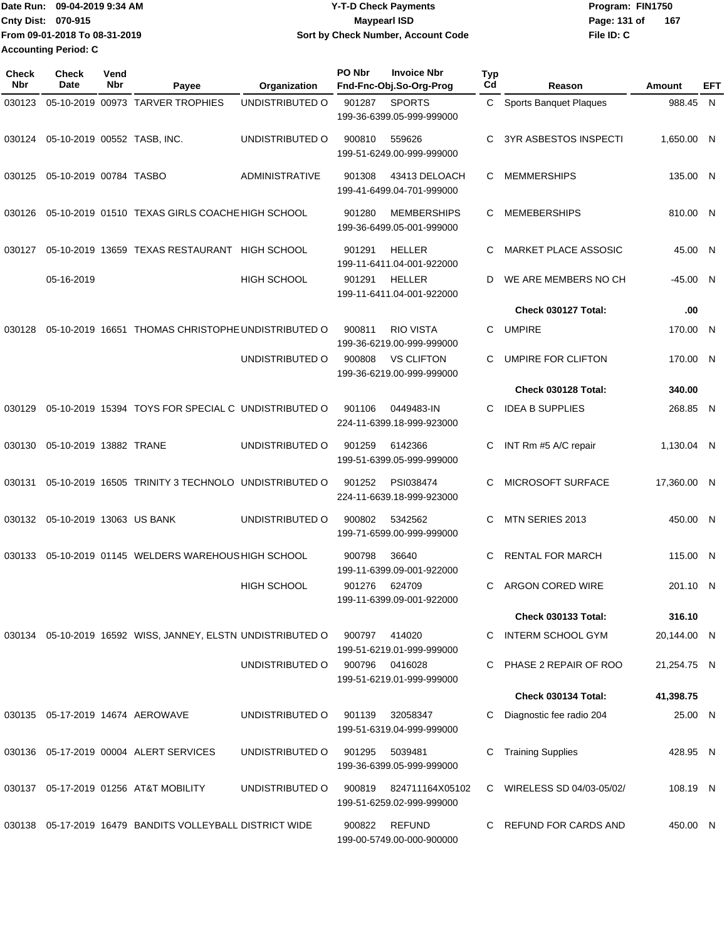| Date Run: 09-04-2019 9:34 AM  | Y-T-D Check Payments               | Program: FIN1750 |     |
|-------------------------------|------------------------------------|------------------|-----|
| <b>Cnty Dist: 070-915</b>     | Maypearl ISD                       | Page: 131 of     | 167 |
| From 09-01-2018 To 08-31-2019 | Sort by Check Number, Account Code | File ID: C       |     |
| <b>Accounting Period: C</b>   |                                    |                  |     |

| Check<br>Nbr | Check<br>Date               | Vend<br>Nbr | Payee                                                       | Organization          | PO Nbr | <b>Invoice Nbr</b><br>Fnd-Fnc-Obj.So-Org-Prog   | <b>Typ</b><br>Cd | Reason                        | Amount      | EFT |
|--------------|-----------------------------|-------------|-------------------------------------------------------------|-----------------------|--------|-------------------------------------------------|------------------|-------------------------------|-------------|-----|
| 030123       |                             |             | 05-10-2019 00973 TARVER TROPHIES                            | UNDISTRIBUTED O       | 901287 | <b>SPORTS</b><br>199-36-6399.05-999-999000      | $\mathbf{C}$     | <b>Sports Banquet Plaques</b> | 988.45 N    |     |
| 030124       | 05-10-2019 00552 TASB, INC. |             |                                                             | UNDISTRIBUTED O       | 900810 | 559626<br>199-51-6249.00-999-999000             | C                | <b>3YR ASBESTOS INSPECTI</b>  | 1,650.00 N  |     |
| 030125       | 05-10-2019 00784 TASBO      |             |                                                             | <b>ADMINISTRATIVE</b> | 901308 | 43413 DELOACH<br>199-41-6499.04-701-999000      | C                | <b>MEMMERSHIPS</b>            | 135.00 N    |     |
| 030126       |                             |             | 05-10-2019 01510 TEXAS GIRLS COACHE HIGH SCHOOL             |                       | 901280 | <b>MEMBERSHIPS</b><br>199-36-6499.05-001-999000 | C                | <b>MEMEBERSHIPS</b>           | 810.00 N    |     |
| 030127       |                             |             | 05-10-2019 13659 TEXAS RESTAURANT HIGH SCHOOL               |                       | 901291 | HELLER<br>199-11-6411.04-001-922000             | C                | <b>MARKET PLACE ASSOSIC</b>   | 45.00 N     |     |
|              | 05-16-2019                  |             |                                                             | <b>HIGH SCHOOL</b>    | 901291 | <b>HELLER</b><br>199-11-6411.04-001-922000      | D                | WE ARE MEMBERS NO CH          | $-45.00$ N  |     |
|              |                             |             |                                                             |                       |        |                                                 |                  | Check 030127 Total:           | .00         |     |
| 030128       |                             |             | 05-10-2019 16651 THOMAS CHRISTOPHE UNDISTRIBUTED O          |                       | 900811 | <b>RIO VISTA</b><br>199-36-6219.00-999-999000   | C                | <b>UMPIRE</b>                 | 170.00 N    |     |
|              |                             |             |                                                             | UNDISTRIBUTED O       | 900808 | <b>VS CLIFTON</b><br>199-36-6219.00-999-999000  | C                | UMPIRE FOR CLIFTON            | 170.00 N    |     |
|              |                             |             |                                                             |                       |        |                                                 |                  | Check 030128 Total:           | 340.00      |     |
| 030129       |                             |             | 05-10-2019 15394 TOYS FOR SPECIAL C UNDISTRIBUTED O         |                       | 901106 | 0449483-IN<br>224-11-6399.18-999-923000         | C                | <b>IDEA B SUPPLIES</b>        | 268.85 N    |     |
| 030130       | 05-10-2019 13882 TRANE      |             |                                                             | UNDISTRIBUTED O       | 901259 | 6142366<br>199-51-6399.05-999-999000            | C                | INT Rm #5 A/C repair          | 1,130.04 N  |     |
| 030131       |                             |             | 05-10-2019 16505 TRINITY 3 TECHNOLO UNDISTRIBUTED O         |                       | 901252 | PSI038474<br>224-11-6639.18-999-923000          | C                | MICROSOFT SURFACE             | 17,360.00 N |     |
| 030132       | 05-10-2019 13063 US BANK    |             |                                                             | UNDISTRIBUTED O       | 900802 | 5342562<br>199-71-6599.00-999-999000            | C                | MTN SERIES 2013               | 450.00 N    |     |
| 030133       |                             |             | 05-10-2019 01145 WELDERS WAREHOUS HIGH SCHOOL               |                       | 900798 | 36640<br>199-11-6399.09-001-922000              | C                | <b>RENTAL FOR MARCH</b>       | 115.00 N    |     |
|              |                             |             |                                                             | HIGH SCHOOL           | 901276 | 624709<br>199-11-6399.09-001-922000             | C                | <b>ARGON CORED WIRE</b>       | 201.10 N    |     |
|              |                             |             |                                                             |                       |        |                                                 |                  | <b>Check 030133 Total:</b>    | 316.10      |     |
|              |                             |             | 030134 05-10-2019 16592 WISS, JANNEY, ELSTN UNDISTRIBUTED O |                       | 900797 | 414020<br>199-51-6219.01-999-999000             |                  | C INTERM SCHOOL GYM           | 20,144.00 N |     |
|              |                             |             |                                                             | UNDISTRIBUTED O       | 900796 | 0416028<br>199-51-6219.01-999-999000            |                  | C PHASE 2 REPAIR OF ROO       | 21,254.75 N |     |
|              |                             |             |                                                             |                       |        |                                                 |                  | Check 030134 Total:           | 41,398.75   |     |
|              |                             |             | 030135  05-17-2019  14674  AEROWAVE                         | UNDISTRIBUTED O       | 901139 | 32058347<br>199-51-6319.04-999-999000           | C.               | Diagnostic fee radio 204      | 25.00 N     |     |
|              |                             |             | 030136  05-17-2019  00004  ALERT SERVICES                   | UNDISTRIBUTED O       | 901295 | 5039481<br>199-36-6399.05-999-999000            | C                | <b>Training Supplies</b>      | 428.95 N    |     |
|              |                             |             | 030137  05-17-2019  01256  AT&T MOBILITY                    | UNDISTRIBUTED O       | 900819 | 824711164X05102<br>199-51-6259.02-999-999000    |                  | C WIRELESS SD 04/03-05/02/    | 108.19 N    |     |
|              |                             |             | 030138  05-17-2019  16479  BANDITS VOLLEYBALL DISTRICT WIDE |                       | 900822 | REFUND<br>199-00-5749.00-000-900000             |                  | C REFUND FOR CARDS AND        | 450.00 N    |     |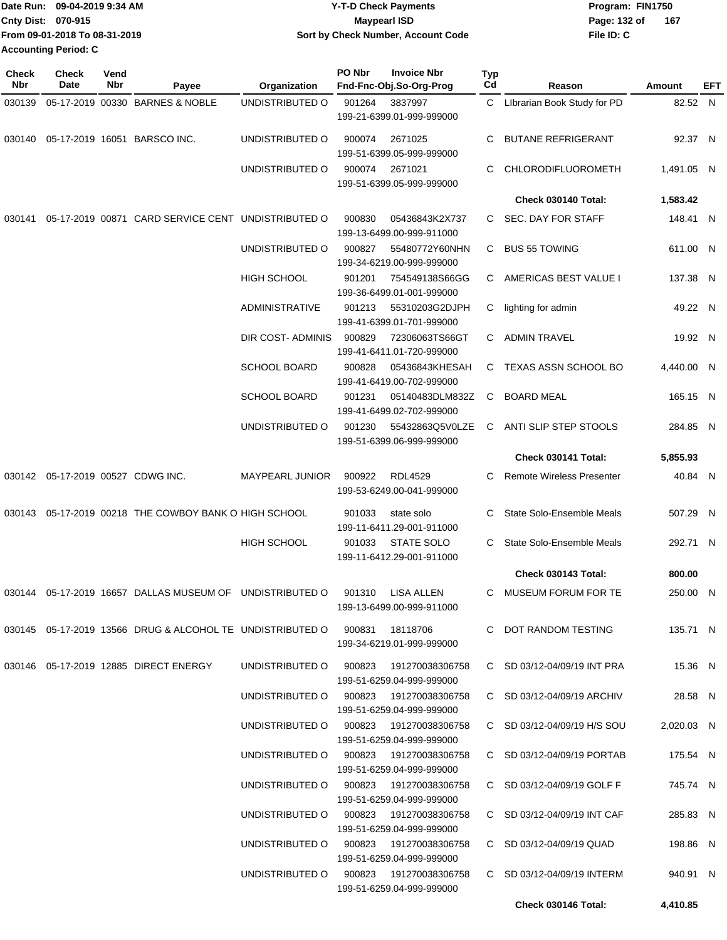| Date Run: 09-04-2019 9:34 AM |                               | <b>Y-T-D Check Payments</b>        | Program: FIN1750 |     |  |
|------------------------------|-------------------------------|------------------------------------|------------------|-----|--|
| <b>Cnty Dist: 070-915</b>    |                               | <b>Mavpearl ISD</b>                | Page: 132 of     | 167 |  |
|                              | From 09-01-2018 To 08-31-2019 | Sort by Check Number, Account Code | File ID: C       |     |  |
| <b>Accounting Period: C</b>  |                               |                                    |                  |     |  |

| <b>Check</b><br>Nbr | <b>Check</b><br>Date                 | Vend<br>Nbr | Payee                                                                          | Organization                           | PO Nbr | <b>Invoice Nbr</b><br>Fnd-Fnc-Obj.So-Org-Prog  | Typ<br>Cd | Reason                           | Amount     | EFT |
|---------------------|--------------------------------------|-------------|--------------------------------------------------------------------------------|----------------------------------------|--------|------------------------------------------------|-----------|----------------------------------|------------|-----|
| 030139              |                                      |             | 05-17-2019 00330 BARNES & NOBLE                                                | UNDISTRIBUTED O                        | 901264 | 3837997                                        |           | C Librarian Book Study for PD    | 82.52 N    |     |
|                     |                                      |             |                                                                                |                                        |        | 199-21-6399.01-999-999000                      |           |                                  |            |     |
| 030140              |                                      |             | 05-17-2019 16051 BARSCO INC.                                                   | UNDISTRIBUTED O                        | 900074 | 2671025<br>199-51-6399.05-999-999000           | С         | <b>BUTANE REFRIGERANT</b>        | 92.37 N    |     |
|                     |                                      |             |                                                                                | UNDISTRIBUTED O                        | 900074 | 2671021                                        | С         | CHLORODIFLUOROMETH               | 1,491.05 N |     |
|                     |                                      |             |                                                                                |                                        |        | 199-51-6399.05-999-999000                      |           |                                  |            |     |
|                     |                                      |             |                                                                                |                                        |        |                                                |           | Check 030140 Total:              | 1,583.42   |     |
| 030141              |                                      |             | 05-17-2019 00871 CARD SERVICE CENT UNDISTRIBUTED O                             |                                        | 900830 | 05436843K2X737                                 | C.        | SEC. DAY FOR STAFF               | 148.41 N   |     |
|                     |                                      |             |                                                                                | UNDISTRIBUTED O                        | 900827 | 199-13-6499.00-999-911000<br>55480772Y60NHN    | C         | <b>BUS 55 TOWING</b>             | 611.00 N   |     |
|                     |                                      |             |                                                                                |                                        |        | 199-34-6219.00-999-999000                      |           |                                  |            |     |
|                     |                                      |             |                                                                                | <b>HIGH SCHOOL</b>                     | 901201 | 754549138S66GG<br>199-36-6499.01-001-999000    |           | C AMERICAS BEST VALUE I          | 137.38 N   |     |
|                     |                                      |             |                                                                                | <b>ADMINISTRATIVE</b>                  | 901213 | 55310203G2DJPH                                 | C         | lighting for admin               | 49.22 N    |     |
|                     |                                      |             |                                                                                | DIR COST- ADMINIS                      | 900829 | 199-41-6399.01-701-999000<br>72306063TS66GT    |           | C ADMIN TRAVEL                   | 19.92 N    |     |
|                     |                                      |             |                                                                                |                                        |        | 199-41-6411.01-720-999000                      |           |                                  |            |     |
|                     |                                      |             |                                                                                | <b>SCHOOL BOARD</b>                    | 900828 | 05436843KHESAH<br>199-41-6419.00-702-999000    |           | C TEXAS ASSN SCHOOL BO           | 4,440.00 N |     |
|                     |                                      |             |                                                                                | <b>SCHOOL BOARD</b>                    | 901231 | 05140483DLM832Z                                | C         | <b>BOARD MEAL</b>                | 165.15 N   |     |
|                     |                                      |             |                                                                                |                                        |        | 199-41-6499.02-702-999000                      |           |                                  |            |     |
|                     |                                      |             |                                                                                | UNDISTRIBUTED O                        | 901230 | 55432863Q5V0LZE<br>199-51-6399.06-999-999000   | C         | ANTI SLIP STEP STOOLS            | 284.85 N   |     |
|                     |                                      |             |                                                                                |                                        |        |                                                |           | Check 030141 Total:              | 5,855.93   |     |
|                     | 030142  05-17-2019  00527  CDWG INC. |             |                                                                                | MAYPEARL JUNIOR                        | 900922 | <b>RDL4529</b><br>199-53-6249.00-041-999000    | C         | <b>Remote Wireless Presenter</b> | 40.84 N    |     |
| 030143              |                                      |             | 05-17-2019 00218 THE COWBOY BANK O HIGH SCHOOL                                 |                                        | 901033 | state solo                                     | С         | State Solo-Ensemble Meals        | 507.29 N   |     |
|                     |                                      |             |                                                                                |                                        |        | 199-11-6411.29-001-911000                      |           |                                  |            |     |
|                     |                                      |             |                                                                                | <b>HIGH SCHOOL</b>                     | 901033 | <b>STATE SOLO</b>                              | C.        | State Solo-Ensemble Meals        | 292.71 N   |     |
|                     |                                      |             |                                                                                |                                        |        | 199-11-6412.29-001-911000                      |           |                                  |            |     |
|                     |                                      |             |                                                                                |                                        |        |                                                |           | Check 030143 Total:              | 800.00     |     |
|                     |                                      |             | 030144  05-17-2019  16657  DALLAS MUSEUM OF  UNDISTRIBUTED O                   |                                        | 901310 | <b>LISA ALLEN</b><br>199-13-6499.00-999-911000 | C.        | MUSEUM FORUM FOR TE              | 250.00 N   |     |
|                     |                                      |             | 030145  05-17-2019  13566  DRUG & ALCOHOL TE UNDISTRIBUTED O  900831  18118706 |                                        |        |                                                |           | C DOT RANDOM TESTING             | 135.71 N   |     |
|                     |                                      |             |                                                                                |                                        |        | 199-34-6219.01-999-999000                      |           |                                  |            |     |
|                     |                                      |             | 030146  05-17-2019  12885  DIRECT ENERGY                                       | UNDISTRIBUTED O 900823 191270038306758 |        | 199-51-6259.04-999-999000                      |           | C SD 03/12-04/09/19 INT PRA      | 15.36 N    |     |
|                     |                                      |             |                                                                                | UNDISTRIBUTED O 900823 191270038306758 |        |                                                |           | C SD 03/12-04/09/19 ARCHIV       | 28.58 N    |     |
|                     |                                      |             |                                                                                | UNDISTRIBUTED O 900823 191270038306758 |        | 199-51-6259.04-999-999000                      |           | C SD 03/12-04/09/19 H/S SOU      | 2,020.03 N |     |
|                     |                                      |             |                                                                                |                                        |        | 199-51-6259.04-999-999000                      |           |                                  |            |     |
|                     |                                      |             |                                                                                | UNDISTRIBUTED O 900823 191270038306758 |        | 199-51-6259.04-999-999000                      |           | C SD 03/12-04/09/19 PORTAB       | 175.54 N   |     |
|                     |                                      |             |                                                                                | UNDISTRIBUTED O 900823 191270038306758 |        |                                                |           | C SD 03/12-04/09/19 GOLF F       | 745.74 N   |     |
|                     |                                      |             |                                                                                | UNDISTRIBUTED O 900823 191270038306758 |        | 199-51-6259.04-999-999000                      |           | C SD 03/12-04/09/19 INT CAF      | 285.83 N   |     |
|                     |                                      |             |                                                                                |                                        |        | 199-51-6259.04-999-999000                      |           |                                  |            |     |
|                     |                                      |             |                                                                                | UNDISTRIBUTED O 900823 191270038306758 |        | 199-51-6259.04-999-999000                      |           | C SD 03/12-04/09/19 QUAD         | 198.86 N   |     |
|                     |                                      |             |                                                                                | UNDISTRIBUTED O 900823 191270038306758 |        | 199-51-6259.04-999-999000                      |           | C SD 03/12-04/09/19 INTERM       | 940.91 N   |     |
|                     |                                      |             |                                                                                |                                        |        |                                                |           | Check 030146 Total:              | 4,410.85   |     |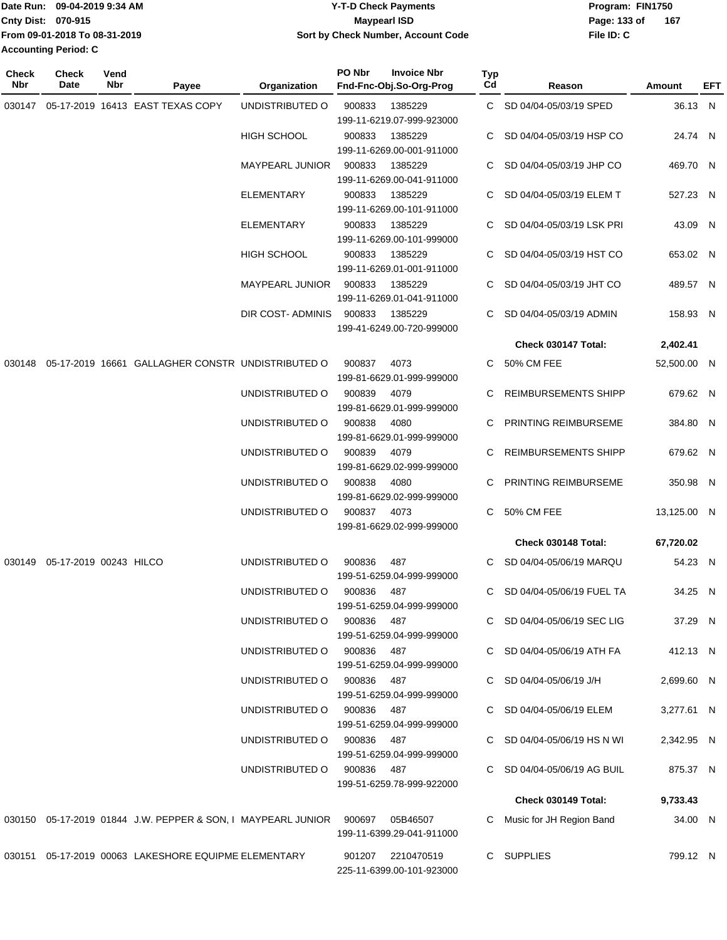| TDate Run: 09-04-2019 9:34 AM  | <b>Y-T-D Check Payments</b>        | Program: FIN1750      |  |  |
|--------------------------------|------------------------------------|-----------------------|--|--|
| <b>Cnty Dist: 070-915</b>      | <b>Mavpearl ISD</b>                | - 167<br>Page: 133 of |  |  |
| lFrom 09-01-2018 To 08-31-2019 | Sort by Check Number, Account Code | File ID: C            |  |  |
| <b>Accounting Period: C</b>    |                                    |                       |  |  |

| <b>Check</b><br>Nbr | Check<br>Date                    | Vend<br>Nbr | Payee                                                                             | Organization               | PO Nbr | <b>Invoice Nbr</b><br>Fnd-Fnc-Obj.So-Org-Prog  | Typ<br>Cd | Reason                      | Amount      | EFT |
|---------------------|----------------------------------|-------------|-----------------------------------------------------------------------------------|----------------------------|--------|------------------------------------------------|-----------|-----------------------------|-------------|-----|
|                     |                                  |             | 030147  05-17-2019  16413  EAST TEXAS COPY                                        | UNDISTRIBUTED O            | 900833 | 1385229<br>199-11-6219.07-999-923000           |           | C SD 04/04-05/03/19 SPED    | 36.13 N     |     |
|                     |                                  |             |                                                                                   | <b>HIGH SCHOOL</b>         | 900833 | 1385229<br>199-11-6269.00-001-911000           |           | SD 04/04-05/03/19 HSP CO    | 24.74 N     |     |
|                     |                                  |             |                                                                                   | <b>MAYPEARL JUNIOR</b>     | 900833 | 1385229<br>199-11-6269.00-041-911000           | C.        | SD 04/04-05/03/19 JHP CO    | 469.70 N    |     |
|                     |                                  |             |                                                                                   | <b>ELEMENTARY</b>          | 900833 | 1385229<br>199-11-6269.00-101-911000           |           | C SD 04/04-05/03/19 ELEM T  | 527.23 N    |     |
|                     |                                  |             |                                                                                   | <b>ELEMENTARY</b>          | 900833 | 1385229<br>199-11-6269.00-101-999000           | C.        | SD 04/04-05/03/19 LSK PRI   | 43.09 N     |     |
|                     |                                  |             |                                                                                   | <b>HIGH SCHOOL</b>         | 900833 | 1385229<br>199-11-6269.01-001-911000           | C.        | SD 04/04-05/03/19 HST CO    | 653.02 N    |     |
|                     |                                  |             |                                                                                   | MAYPEARL JUNIOR            | 900833 | 1385229<br>199-11-6269.01-041-911000           |           | C SD 04/04-05/03/19 JHT CO  | 489.57 N    |     |
|                     |                                  |             |                                                                                   | DIR COST-ADMINIS           | 900833 | 1385229<br>199-41-6249.00-720-999000           |           | C SD 04/04-05/03/19 ADMIN   | 158.93 N    |     |
|                     |                                  |             |                                                                                   |                            |        |                                                |           | Check 030147 Total:         | 2,402.41    |     |
|                     |                                  |             | 030148 05-17-2019 16661 GALLAGHER CONSTR UNDISTRIBUTED O                          |                            | 900837 | 4073<br>199-81-6629.01-999-999000              |           | C 50% CM FEE                | 52,500.00 N |     |
|                     |                                  |             |                                                                                   | UNDISTRIBUTED O            | 900839 | 4079<br>199-81-6629.01-999-999000              | C.        | REIMBURSEMENTS SHIPP        | 679.62 N    |     |
|                     |                                  |             |                                                                                   | UNDISTRIBUTED O            | 900838 | 4080<br>199-81-6629.01-999-999000              |           | C PRINTING REIMBURSEME      | 384.80 N    |     |
|                     |                                  |             |                                                                                   | UNDISTRIBUTED O            | 900839 | 4079<br>199-81-6629.02-999-999000              | C.        | <b>REIMBURSEMENTS SHIPP</b> | 679.62 N    |     |
|                     |                                  |             |                                                                                   | UNDISTRIBUTED O            | 900838 | 4080<br>199-81-6629.02-999-999000              | C.        | PRINTING REIMBURSEME        | 350.98 N    |     |
|                     |                                  |             |                                                                                   | UNDISTRIBUTED O            | 900837 | 4073<br>199-81-6629.02-999-999000              |           | C 50% CM FEE                | 13,125.00 N |     |
|                     |                                  |             |                                                                                   |                            |        |                                                |           | Check 030148 Total:         | 67,720.02   |     |
|                     | 030149  05-17-2019  00243  HILCO |             |                                                                                   | UNDISTRIBUTED O            | 900836 | 487<br>199-51-6259.04-999-999000               |           | C SD 04/04-05/06/19 MARQU   | 54.23 N     |     |
|                     |                                  |             |                                                                                   | UNDISTRIBUTED O            | 900836 | 487<br>199-51-6259.04-999-999000               |           | C SD 04/04-05/06/19 FUEL TA | 34.25 N     |     |
|                     |                                  |             |                                                                                   | UNDISTRIBUTED O            | 900836 | 487<br>199-51-6259.04-999-999000               |           | C SD 04/04-05/06/19 SEC LIG | 37.29 N     |     |
|                     |                                  |             |                                                                                   | UNDISTRIBUTED O            | 900836 | 487<br>199-51-6259.04-999-999000               |           | C SD 04/04-05/06/19 ATH FA  | 412.13 N    |     |
|                     |                                  |             |                                                                                   | UNDISTRIBUTED O            | 900836 | - 487<br>199-51-6259.04-999-999000             |           | C SD 04/04-05/06/19 J/H     | 2,699.60 N  |     |
|                     |                                  |             |                                                                                   | UNDISTRIBUTED O            | 900836 | 487<br>199-51-6259.04-999-999000               |           | C SD 04/04-05/06/19 ELEM    | 3,277.61 N  |     |
|                     |                                  |             |                                                                                   | UNDISTRIBUTED O            | 900836 | 487<br>199-51-6259.04-999-999000               |           | C SD 04/04-05/06/19 HS N WI | 2,342.95 N  |     |
|                     |                                  |             |                                                                                   | UNDISTRIBUTED O 900836 487 |        | 199-51-6259.78-999-922000                      |           | C SD 04/04-05/06/19 AG BUIL | 875.37 N    |     |
|                     |                                  |             |                                                                                   |                            |        |                                                |           | Check 030149 Total:         | 9,733.43    |     |
|                     |                                  |             | 030150  05-17-2019  01844  J.W. PEPPER & SON, I MAYPEARL JUNIOR  900697  05B46507 |                            |        | 199-11-6399.29-041-911000                      |           | Music for JH Region Band    | 34.00 N     |     |
|                     |                                  |             | 030151 05-17-2019 00063 LAKESHORE EQUIPME ELEMENTARY                              |                            |        | 901207 2210470519<br>225-11-6399.00-101-923000 |           | C SUPPLIES                  | 799.12 N    |     |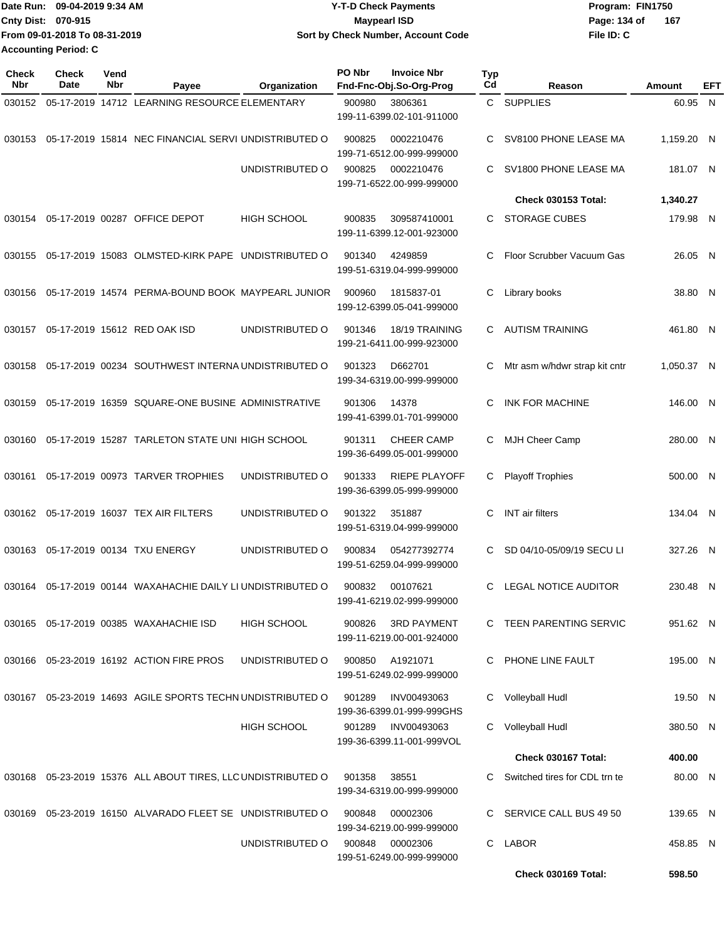| Date Run: 09-04-2019 9:34 AM |                               | Y-T-D Check Payments               | Program: FIN1750    |
|------------------------------|-------------------------------|------------------------------------|---------------------|
| <b>Cnty Dist: 070-915</b>    |                               | <b>Mavpearl ISD</b>                | 167<br>Page: 134 of |
|                              | From 09-01-2018 To 08-31-2019 | Sort by Check Number, Account Code | File ID: C          |
| <b>Accounting Period: C</b>  |                               |                                    |                     |

| <b>Check</b><br><b>Nbr</b> | <b>Check</b><br><b>Date</b> | Vend<br>Nbr | Payee                                                           | Organization       | PO Nbr | <b>Invoice Nbr</b><br>Fnd-Fnc-Obj.So-Org-Prog     | <b>Typ</b><br>Cd | Reason                        | Amount     | EFT |
|----------------------------|-----------------------------|-------------|-----------------------------------------------------------------|--------------------|--------|---------------------------------------------------|------------------|-------------------------------|------------|-----|
| 030152                     |                             |             | 05-17-2019 14712 LEARNING RESOURCE ELEMENTARY                   |                    | 900980 | 3806361<br>199-11-6399.02-101-911000              |                  | C SUPPLIES                    | 60.95 N    |     |
|                            |                             |             | 030153 05-17-2019 15814 NEC FINANCIAL SERVI UNDISTRIBUTED O     |                    | 900825 | 0002210476<br>199-71-6512.00-999-999000           | С                | SV8100 PHONE LEASE MA         | 1.159.20 N |     |
|                            |                             |             |                                                                 | UNDISTRIBUTED O    | 900825 | 0002210476<br>199-71-6522.00-999-999000           | С                | SV1800 PHONE LEASE MA         | 181.07 N   |     |
|                            |                             |             |                                                                 |                    |        |                                                   |                  | <b>Check 030153 Total:</b>    | 1,340.27   |     |
| 030154                     |                             |             | 05-17-2019 00287 OFFICE DEPOT                                   | <b>HIGH SCHOOL</b> | 900835 | 309587410001<br>199-11-6399.12-001-923000         | C.               | <b>STORAGE CUBES</b>          | 179.98 N   |     |
| 030155                     |                             |             | 05-17-2019 15083 OLMSTED-KIRK PAPE UNDISTRIBUTED O              |                    | 901340 | 4249859<br>199-51-6319.04-999-999000              | C                | Floor Scrubber Vacuum Gas     | 26.05 N    |     |
| 030156                     |                             |             | 05-17-2019 14574 PERMA-BOUND BOOK MAYPEARL JUNIOR               |                    | 900960 | 1815837-01<br>199-12-6399.05-041-999000           | С                | Library books                 | 38.80 N    |     |
| 030157                     |                             |             | 05-17-2019 15612 RED OAK ISD                                    | UNDISTRIBUTED O    | 901346 | 18/19 TRAINING<br>199-21-6411.00-999-923000       | С                | <b>AUTISM TRAINING</b>        | 461.80 N   |     |
| 030158                     |                             |             | 05-17-2019 00234 SOUTHWEST INTERNA UNDISTRIBUTED O              |                    | 901323 | D662701<br>199-34-6319.00-999-999000              | С                | Mtr asm w/hdwr strap kit cntr | 1,050.37 N |     |
| 030159                     |                             |             | 05-17-2019 16359 SQUARE-ONE BUSINE ADMINISTRATIVE               |                    | 901306 | 14378<br>199-41-6399.01-701-999000                | C                | <b>INK FOR MACHINE</b>        | 146.00 N   |     |
| 030160                     |                             |             | 05-17-2019 15287 TARLETON STATE UNI HIGH SCHOOL                 |                    | 901311 | <b>CHEER CAMP</b><br>199-36-6499.05-001-999000    | С                | MJH Cheer Camp                | 280.00     | -N  |
| 030161                     |                             |             | 05-17-2019 00973 TARVER TROPHIES                                | UNDISTRIBUTED O    | 901333 | <b>RIEPE PLAYOFF</b><br>199-36-6399.05-999-999000 | С                | <b>Playoff Trophies</b>       | 500.00 N   |     |
|                            |                             |             | 030162  05-17-2019  16037  TEX AIR FILTERS                      | UNDISTRIBUTED O    | 901322 | 351887<br>199-51-6319.04-999-999000               | С                | <b>INT</b> air filters        | 134.04 N   |     |
|                            |                             |             | 030163  05-17-2019  00134  TXU ENERGY                           | UNDISTRIBUTED O    | 900834 | 054277392774<br>199-51-6259.04-999-999000         |                  | SD 04/10-05/09/19 SECU LI     | 327.26 N   |     |
| 030164                     |                             |             | 05-17-2019 00144 WAXAHACHIE DAILY LI UNDISTRIBUTED O            |                    | 900832 | 00107621<br>199-41-6219.02-999-999000             | C                | <b>LEGAL NOTICE AUDITOR</b>   | 230.48 N   |     |
|                            |                             |             | 030165  05-17-2019  00385  WAXAHACHIE ISD                       | <b>HIGH SCHOOL</b> | 900826 | <b>3RD PAYMENT</b><br>199-11-6219.00-001-924000   |                  | C TEEN PARENTING SERVIC       | 951.62 N   |     |
|                            |                             |             | 030166  05-23-2019  16192  ACTION FIRE PROS                     | UNDISTRIBUTED O    | 900850 | A1921071<br>199-51-6249.02-999-999000             |                  | C PHONE LINE FAULT            | 195.00 N   |     |
|                            |                             |             | 030167 05-23-2019 14693 AGILE SPORTS TECHN UNDISTRIBUTED O      |                    | 901289 | INV00493063<br>199-36-6399.01-999-999GHS          | C                | Volleyball Hudl               | 19.50 N    |     |
|                            |                             |             |                                                                 | <b>HIGH SCHOOL</b> | 901289 | INV00493063<br>199-36-6399.11-001-999VOL          | С                | <b>Volleyball Hudl</b>        | 380.50 N   |     |
|                            |                             |             |                                                                 |                    |        |                                                   |                  | Check 030167 Total:           | 400.00     |     |
|                            |                             |             | 030168  05-23-2019  15376  ALL ABOUT TIRES, LLC UNDISTRIBUTED O |                    | 901358 | 38551<br>199-34-6319.00-999-999000                |                  | Switched tires for CDL trn te | 80.00 N    |     |
|                            |                             |             | 030169 05-23-2019 16150 ALVARADO FLEET SE UNDISTRIBUTED O       |                    | 900848 | 00002306<br>199-34-6219.00-999-999000             |                  | SERVICE CALL BUS 49 50        | 139.65 N   |     |
|                            |                             |             |                                                                 | UNDISTRIBUTED O    | 900848 | 00002306<br>199-51-6249.00-999-999000             | C.               | <b>LABOR</b>                  | 458.85 N   |     |
|                            |                             |             |                                                                 |                    |        |                                                   |                  | Check 030169 Total:           | 598.50     |     |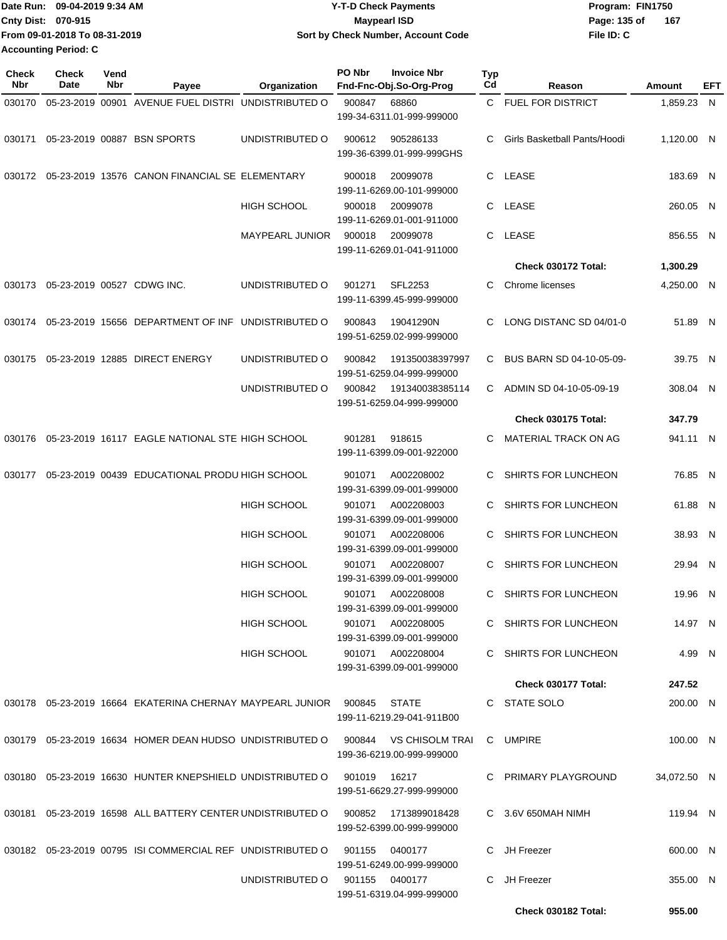| Date Run:                   | 09-04-2019 9:34 AM            | <b>Y-T-D Check Payments</b>        | Program: FIN1750      |  |  |  |
|-----------------------------|-------------------------------|------------------------------------|-----------------------|--|--|--|
| <b>Cnty Dist: 070-915</b>   |                               | Maypearl ISD                       | - 167<br>Page: 135 of |  |  |  |
|                             | From 09-01-2018 To 08-31-2019 | Sort by Check Number, Account Code | File ID: C            |  |  |  |
| <b>Accounting Period: C</b> |                               |                                    |                       |  |  |  |

| <b>Check</b><br><b>Nbr</b> | Check<br>Date              | Vend<br>Nbr | Payee                                                                             | Organization                   | PO Nbr       | <b>Invoice Nbr</b><br>Fnd-Fnc-Obj.So-Org-Prog  | <b>Typ</b><br>Cd | Reason                       | Amount      | EFT |
|----------------------------|----------------------------|-------------|-----------------------------------------------------------------------------------|--------------------------------|--------------|------------------------------------------------|------------------|------------------------------|-------------|-----|
|                            |                            |             |                                                                                   |                                |              |                                                |                  |                              |             |     |
| 030170                     |                            |             | 05-23-2019 00901 AVENUE FUEL DISTRI UNDISTRIBUTED O                               |                                | 900847       | 68860<br>199-34-6311.01-999-999000             |                  | C FUEL FOR DISTRICT          | 1,859.23 N  |     |
| 030171                     |                            |             | 05-23-2019 00887 BSN SPORTS                                                       | UNDISTRIBUTED O                | 900612       | 905286133<br>199-36-6399.01-999-999GHS         | С                | Girls Basketball Pants/Hoodi | 1,120.00 N  |     |
|                            |                            |             | 030172 05-23-2019 13576 CANON FINANCIAL SE ELEMENTARY                             |                                | 900018       | 20099078<br>199-11-6269.00-101-999000          |                  | C LEASE                      | 183.69 N    |     |
|                            |                            |             |                                                                                   | <b>HIGH SCHOOL</b>             | 900018       | 20099078<br>199-11-6269.01-001-911000          |                  | C LEASE                      | 260.05 N    |     |
|                            |                            |             |                                                                                   | <b>MAYPEARL JUNIOR</b>         | 900018       | 20099078<br>199-11-6269.01-041-911000          | C.               | LEASE                        | 856.55 N    |     |
|                            |                            |             |                                                                                   |                                |              |                                                |                  | <b>Check 030172 Total:</b>   | 1,300.29    |     |
|                            |                            |             |                                                                                   |                                |              |                                                | С                |                              |             |     |
| 030173                     | 05-23-2019 00527 CDWG INC. |             |                                                                                   | UNDISTRIBUTED O                | 901271       | <b>SFL2253</b><br>199-11-6399.45-999-999000    |                  | Chrome licenses              | 4,250.00 N  |     |
|                            |                            |             | 030174 05-23-2019 15656 DEPARTMENT OF INF UNDISTRIBUTED O                         |                                | 900843       | 19041290N<br>199-51-6259.02-999-999000         | С                | LONG DISTANC SD 04/01-0      | 51.89 N     |     |
| 030175                     |                            |             | 05-23-2019 12885 DIRECT ENERGY                                                    | UNDISTRIBUTED O                | 900842       | 191350038397997<br>199-51-6259.04-999-999000   | C.               | BUS BARN SD 04-10-05-09-     | 39.75 N     |     |
|                            |                            |             |                                                                                   | UNDISTRIBUTED O                | 900842       | 191340038385114<br>199-51-6259.04-999-999000   | С                | ADMIN SD 04-10-05-09-19      | 308.04 N    |     |
|                            |                            |             |                                                                                   |                                |              |                                                |                  | Check 030175 Total:          | 347.79      |     |
| 030176                     |                            |             | 05-23-2019 16117 EAGLE NATIONAL STE HIGH SCHOOL                                   |                                | 901281       | 918615<br>199-11-6399.09-001-922000            | С                | MATERIAL TRACK ON AG         | 941.11 N    |     |
| 030177                     |                            |             | 05-23-2019 00439 EDUCATIONAL PRODU HIGH SCHOOL                                    |                                | 901071       | A002208002<br>199-31-6399.09-001-999000        | С                | SHIRTS FOR LUNCHEON          | 76.85 N     |     |
|                            |                            |             |                                                                                   | <b>HIGH SCHOOL</b>             | 901071       | A002208003<br>199-31-6399.09-001-999000        | С                | SHIRTS FOR LUNCHEON          | 61.88 N     |     |
|                            |                            |             |                                                                                   | <b>HIGH SCHOOL</b>             | 901071       | A002208006<br>199-31-6399.09-001-999000        | C                | SHIRTS FOR LUNCHEON          | 38.93 N     |     |
|                            |                            |             |                                                                                   | <b>HIGH SCHOOL</b>             | 901071       | A002208007<br>199-31-6399.09-001-999000        | C.               | SHIRTS FOR LUNCHEON          | 29.94 N     |     |
|                            |                            |             |                                                                                   | <b>HIGH SCHOOL</b>             | 901071       | A002208008<br>199-31-6399.09-001-999000        | C                | SHIRTS FOR LUNCHEON          | 19.96 N     |     |
|                            |                            |             |                                                                                   | HIGH SCHOOL                    |              | 901071 A002208005<br>199-31-6399.09-001-999000 |                  | C SHIRTS FOR LUNCHEON        | 14.97 N     |     |
|                            |                            |             |                                                                                   | HIGH SCHOOL                    |              | 901071 A002208004<br>199-31-6399.09-001-999000 |                  | C SHIRTS FOR LUNCHEON        | 4.99 N      |     |
|                            |                            |             |                                                                                   |                                |              |                                                |                  | Check 030177 Total:          | 247.52      |     |
|                            |                            |             | 030178  05-23-2019  16664  EKATERINA CHERNAY MAYPEARL JUNIOR  900845  STATE       |                                |              | 199-11-6219.29-041-911B00                      |                  | C STATE SOLO                 | 200.00 N    |     |
|                            |                            |             | 030179 05-23-2019 16634 HOMER DEAN HUDSO UNDISTRIBUTED O 900844 VS CHISOLM TRAI   |                                |              | 199-36-6219.00-999-999000                      |                  | C UMPIRE                     | 100.00 N    |     |
|                            |                            |             | 030180  05-23-2019  16630  HUNTER KNEPSHIELD UNDISTRIBUTED O                      |                                | 901019 16217 | 199-51-6629.27-999-999000                      |                  | C PRIMARY PLAYGROUND         | 34,072.50 N |     |
|                            |                            |             | 030181  05-23-2019  16598  ALL BATTERY CENTER UNDISTRIBUTED O  900852             |                                |              | 1713899018428<br>199-52-6399.00-999-999000     |                  | C 3.6V 650MAH NIMH           | 119.94 N    |     |
|                            |                            |             | 030182  05-23-2019  00795  ISI COMMERCIAL REF UNDISTRIBUTED   0   901155  0400177 |                                |              | 199-51-6249.00-999-999000                      |                  | C JH Freezer                 | 600.00 N    |     |
|                            |                            |             |                                                                                   | UNDISTRIBUTED O 901155 0400177 |              | 199-51-6319.04-999-999000                      |                  | C JH Freezer                 | 355.00 N    |     |
|                            |                            |             |                                                                                   |                                |              |                                                |                  | Check 030182 Total:          | 955.00      |     |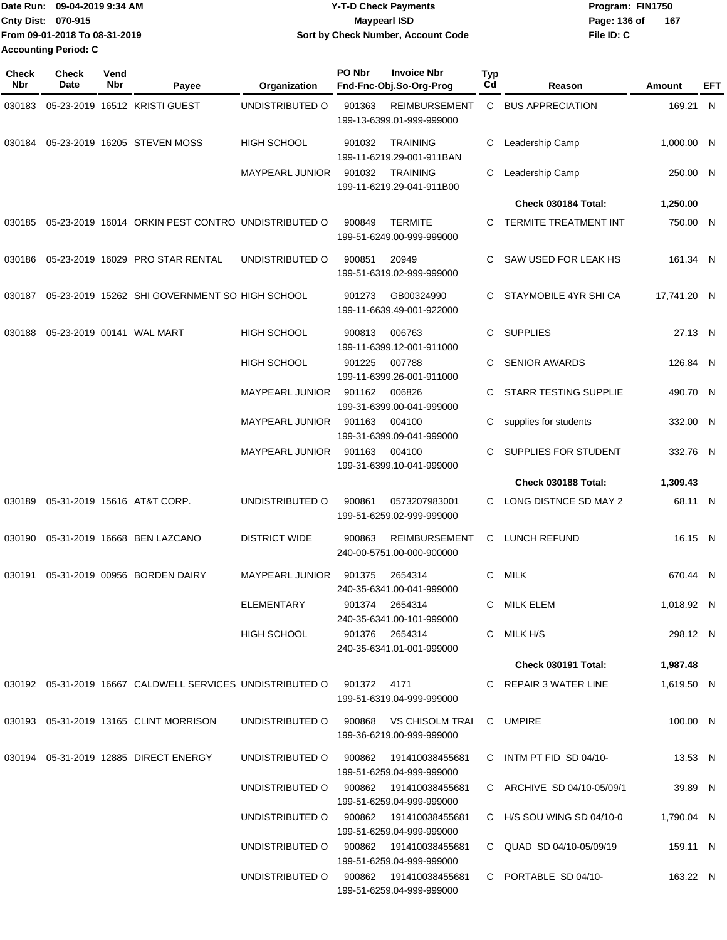| Date Run: 09-04-2019 9:34 AM  | <b>Y-T-D Check Payments</b>        | Program: FIN1750 |     |  |  |
|-------------------------------|------------------------------------|------------------|-----|--|--|
| <b>Cnty Dist: 070-915</b>     | Maypearl ISD                       | Page: 136 of     | 167 |  |  |
| From 09-01-2018 To 08-31-2019 | Sort by Check Number, Account Code | File ID: C       |     |  |  |
| <b>Accounting Period: C</b>   |                                    |                  |     |  |  |

| <b>Check</b><br>Nbr | <b>Check</b><br>Date | Vend<br>Nbr | Payee                                                                        | Organization                                         | PO Nbr<br><b>Invoice Nbr</b><br>Fnd-Fnc-Obj.So-Org-Prog             | Typ<br>Cd            | Reason                       | Amount      | EFT |
|---------------------|----------------------|-------------|------------------------------------------------------------------------------|------------------------------------------------------|---------------------------------------------------------------------|----------------------|------------------------------|-------------|-----|
| 030183              |                      |             | 05-23-2019 16512 KRISTI GUEST                                                | UNDISTRIBUTED O                                      | 901363<br><b>REIMBURSEMENT</b><br>199-13-6399.01-999-999000         | C                    | <b>BUS APPRECIATION</b>      | 169.21 N    |     |
| 030184              |                      |             | 05-23-2019 16205 STEVEN MOSS                                                 | <b>HIGH SCHOOL</b>                                   | <b>TRAINING</b><br>901032<br>199-11-6219.29-001-911BAN              | С                    | Leadership Camp              | 1,000.00 N  |     |
|                     |                      |             |                                                                              | <b>MAYPEARL JUNIOR</b>                               | 901032<br><b>TRAINING</b><br>199-11-6219.29-041-911B00              | С                    | Leadership Camp              | 250.00 N    |     |
|                     |                      |             |                                                                              |                                                      |                                                                     |                      | Check 030184 Total:          | 1,250.00    |     |
|                     |                      |             | 030185 05-23-2019 16014 ORKIN PEST CONTRO UNDISTRIBUTED O                    |                                                      | 900849<br><b>TERMITE</b><br>199-51-6249.00-999-999000               | C                    | <b>TERMITE TREATMENT INT</b> | 750.00 N    |     |
| 030186              |                      |             | 05-23-2019 16029 PRO STAR RENTAL                                             | UNDISTRIBUTED O                                      | 20949<br>900851<br>199-51-6319.02-999-999000                        | С                    | SAW USED FOR LEAK HS         | 161.34 N    |     |
|                     |                      |             | 030187 05-23-2019 15262 SHI GOVERNMENT SO HIGH SCHOOL                        |                                                      | GB00324990<br>901273<br>199-11-6639.49-001-922000                   | C                    | STAYMOBILE 4YR SHI CA        | 17,741.20 N |     |
| 030188              |                      |             | 05-23-2019 00141 WAL MART                                                    | <b>HIGH SCHOOL</b>                                   | 900813<br>006763<br>199-11-6399.12-001-911000                       | C                    | <b>SUPPLIES</b>              | 27.13 N     |     |
|                     |                      |             |                                                                              | <b>HIGH SCHOOL</b>                                   | 901225<br>007788<br>199-11-6399.26-001-911000                       | С                    | <b>SENIOR AWARDS</b>         | 126.84 N    |     |
|                     |                      |             |                                                                              | <b>MAYPEARL JUNIOR</b>                               | 901162<br>006826<br>199-31-6399.00-041-999000                       | C                    | STARR TESTING SUPPLIE        | 490.70 N    |     |
|                     |                      |             |                                                                              | <b>MAYPEARL JUNIOR</b>                               | 901163<br>004100<br>199-31-6399.09-041-999000                       | С                    | supplies for students        | 332.00 N    |     |
|                     |                      |             | MAYPEARL JUNIOR                                                              | 901163<br>004100<br>199-31-6399.10-041-999000        | С                                                                   | SUPPLIES FOR STUDENT | 332.76 N                     |             |     |
|                     |                      |             |                                                                              |                                                      |                                                                     |                      | Check 030188 Total:          | 1,309.43    |     |
| 030189              |                      |             | 05-31-2019 15616 AT&T CORP.                                                  | UNDISTRIBUTED O                                      | 900861<br>0573207983001<br>199-51-6259.02-999-999000                | С                    | LONG DISTNCE SD MAY 2        | 68.11 N     |     |
| 030190              |                      |             | 05-31-2019 16668 BEN LAZCANO                                                 | <b>DISTRICT WIDE</b>                                 | 900863<br><b>REIMBURSEMENT</b><br>240-00-5751.00-000-900000         | C                    | LUNCH REFUND                 | 16.15 N     |     |
| 030191              |                      |             | 05-31-2019 00956 BORDEN DAIRY                                                | <b>MAYPEARL JUNIOR</b>                               | 901375<br>2654314<br>240-35-6341.00-041-999000                      | C                    | MILK                         | 670.44 N    |     |
|                     |                      |             |                                                                              | <b>ELEMENTARY</b>                                    | 901374 2654314<br>240-35-6341.00-101-999000                         |                      | C MILK ELEM                  | 1,018.92 N  |     |
|                     |                      |             |                                                                              | HIGH SCHOOL                                          | 901376 2654314<br>240-35-6341.01-001-999000                         |                      | C MILK H/S                   | 298.12 N    |     |
|                     |                      |             |                                                                              |                                                      |                                                                     |                      | <b>Check 030191 Total:</b>   | 1,987.48    |     |
|                     |                      |             | 030192  05-31-2019  16667  CALDWELL SERVICES UNDISTRIBUTED   0  901372  4171 |                                                      | 199-51-6319.04-999-999000                                           |                      | C REPAIR 3 WATER LINE        | 1,619.50 N  |     |
|                     |                      |             | 030193  05-31-2019  13165  CLINT MORRISON                                    |                                                      | UNDISTRIBUTED O 900868 VS CHISOLM TRAI<br>199-36-6219.00-999-999000 |                      | C UMPIRE                     | 100.00 N    |     |
|                     |                      |             | 030194  05-31-2019  12885  DIRECT ENERGY                                     |                                                      | UNDISTRIBUTED O 900862 191410038455681<br>199-51-6259.04-999-999000 |                      | C INTM PT FID SD 04/10-      | 13.53 N     |     |
|                     |                      |             |                                                                              |                                                      | UNDISTRIBUTED O 900862 191410038455681<br>199-51-6259.04-999-999000 |                      | C ARCHIVE SD 04/10-05/09/1   | 39.89 N     |     |
|                     |                      |             |                                                                              |                                                      | UNDISTRIBUTED O 900862 191410038455681<br>199-51-6259.04-999-999000 |                      | C H/S SOU WING SD 04/10-0    | 1,790.04 N  |     |
|                     |                      |             |                                                                              |                                                      | UNDISTRIBUTED O 900862 191410038455681<br>199-51-6259.04-999-999000 |                      | C QUAD SD 04/10-05/09/19     | 159.11 N    |     |
|                     |                      |             | UNDISTRIBUTED O                                                              | 900862  191410038455681<br>199-51-6259.04-999-999000 |                                                                     | C PORTABLE SD 04/10- | 163.22 N                     |             |     |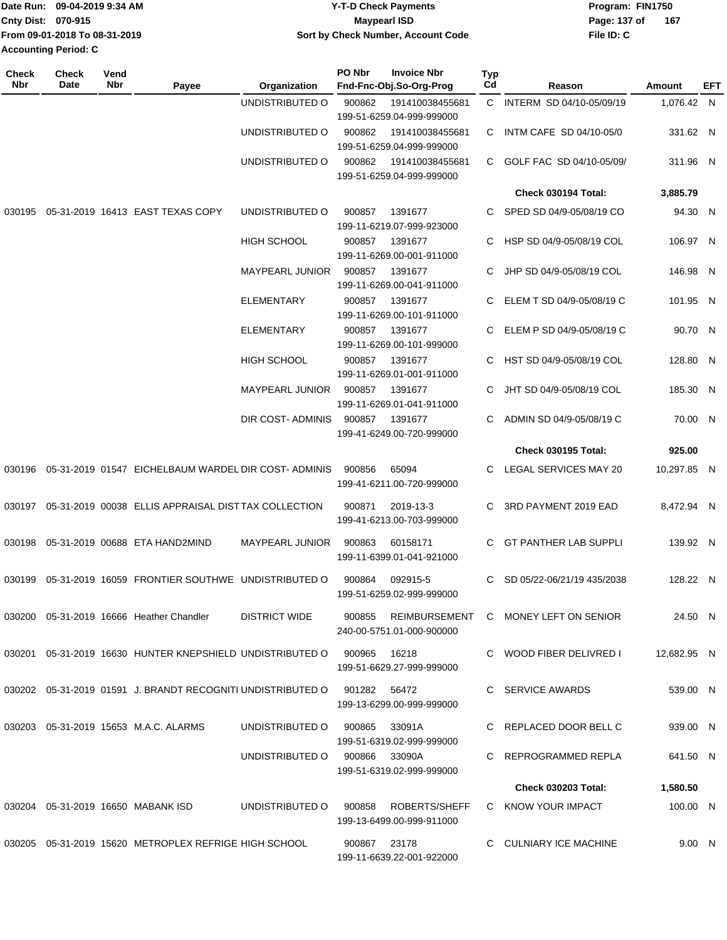| Date Run: 09-04-2019 9:34 AM  | <b>Y-T-D Check Payments</b>        | Program: FIN1750    |  |  |  |
|-------------------------------|------------------------------------|---------------------|--|--|--|
| <b>Cnty Dist: 070-915</b>     | <b>Mavpearl ISD</b>                | 167<br>Page: 137 of |  |  |  |
| From 09-01-2018 To 08-31-2019 | Sort by Check Number, Account Code | File ID: C          |  |  |  |
| <b>Accounting Period: C</b>   |                                    |                     |  |  |  |

| <b>Check</b><br>Nbr | Check<br>Date | Vend<br>Nbr | Payee                                                         | Organization           | PO Nbr         | <b>Invoice Nbr</b><br>Fnd-Fnc-Obj.So-Org-Prog | Typ<br>Cd | Reason                                      | Amount      | EFT |
|---------------------|---------------|-------------|---------------------------------------------------------------|------------------------|----------------|-----------------------------------------------|-----------|---------------------------------------------|-------------|-----|
|                     |               |             |                                                               | UNDISTRIBUTED O        | 900862         | 191410038455681                               |           | C INTERM SD 04/10-05/09/19                  | 1,076.42 N  |     |
|                     |               |             |                                                               |                        |                | 199-51-6259.04-999-999000                     |           |                                             |             |     |
|                     |               |             |                                                               | UNDISTRIBUTED O        | 900862         | 191410038455681                               | C.        | INTM CAFE SD 04/10-05/0                     | 331.62 N    |     |
|                     |               |             |                                                               |                        |                | 199-51-6259.04-999-999000                     |           |                                             |             |     |
|                     |               |             |                                                               | UNDISTRIBUTED O        | 900862         | 191410038455681<br>199-51-6259.04-999-999000  |           | C GOLF FAC SD 04/10-05/09/                  | 311.96 N    |     |
|                     |               |             |                                                               |                        |                |                                               |           |                                             |             |     |
|                     |               |             |                                                               |                        |                |                                               |           | Check 030194 Total:                         | 3,885.79    |     |
|                     |               |             | 030195  05-31-2019  16413  EAST TEXAS COPY                    | UNDISTRIBUTED O        | 900857         | 1391677<br>199-11-6219.07-999-923000          | C.        | SPED SD 04/9-05/08/19 CO                    | 94.30 N     |     |
|                     |               |             |                                                               | HIGH SCHOOL            | 900857         | 1391677                                       | C.        | HSP SD 04/9-05/08/19 COL                    | 106.97 N    |     |
|                     |               |             |                                                               |                        |                | 199-11-6269.00-001-911000                     |           |                                             |             |     |
|                     |               |             |                                                               | <b>MAYPEARL JUNIOR</b> | 900857         | 1391677                                       | C.        | JHP SD 04/9-05/08/19 COL                    | 146.98 N    |     |
|                     |               |             |                                                               |                        |                | 199-11-6269.00-041-911000                     |           |                                             |             |     |
|                     |               |             |                                                               | <b>ELEMENTARY</b>      | 900857         | 1391677                                       | С         | ELEM T SD 04/9-05/08/19 C                   | 101.95 N    |     |
|                     |               |             |                                                               |                        |                | 199-11-6269.00-101-911000                     |           |                                             |             |     |
|                     |               |             |                                                               | <b>ELEMENTARY</b>      | 900857         | 1391677                                       | C         | ELEM P SD 04/9-05/08/19 C                   | 90.70 N     |     |
|                     |               |             |                                                               |                        |                | 199-11-6269.00-101-999000                     |           |                                             |             |     |
|                     |               |             |                                                               | HIGH SCHOOL            | 900857         | 1391677<br>199-11-6269.01-001-911000          | С         | HST SD 04/9-05/08/19 COL                    | 128.80 N    |     |
|                     |               |             |                                                               | <b>MAYPEARL JUNIOR</b> | 900857         | 1391677                                       | C         | JHT SD 04/9-05/08/19 COL                    | 185.30 N    |     |
|                     |               |             |                                                               |                        |                | 199-11-6269.01-041-911000                     |           |                                             |             |     |
|                     |               |             |                                                               | DIR COST- ADMINIS      | 900857         | 1391677                                       | С         | ADMIN SD 04/9-05/08/19 C                    | 70.00 N     |     |
|                     |               |             |                                                               |                        |                | 199-41-6249.00-720-999000                     |           |                                             |             |     |
|                     |               |             |                                                               |                        |                |                                               |           | <b>Check 030195 Total:</b>                  | 925.00      |     |
|                     |               |             | 030196 05-31-2019 01547 EICHELBAUM WARDEL DIR COST-ADMINIS    |                        | 900856         | 65094                                         | С         | LEGAL SERVICES MAY 20                       | 10,297.85 N |     |
|                     |               |             |                                                               |                        |                | 199-41-6211.00-720-999000                     |           |                                             |             |     |
|                     |               |             |                                                               |                        |                |                                               |           |                                             |             |     |
|                     |               |             | 030197  05-31-2019  00038  ELLIS APPRAISAL DISTTAX COLLECTION |                        | 900871         | 2019-13-3<br>199-41-6213.00-703-999000        | С         | 3RD PAYMENT 2019 EAD                        | 8,472.94 N  |     |
|                     |               |             |                                                               |                        |                |                                               |           |                                             |             |     |
|                     |               |             | 030198  05-31-2019  00688  ETA HAND2MIND                      | <b>MAYPEARL JUNIOR</b> | 900863         | 60158171                                      | C         | <b>GT PANTHER LAB SUPPLI</b>                | 139.92 N    |     |
|                     |               |             |                                                               |                        |                | 199-11-6399.01-041-921000                     |           |                                             |             |     |
| 030199              |               |             | 05-31-2019 16059 FRONTIER SOUTHWE UNDISTRIBUTED O             |                        | 900864         | 092915-5                                      | C         | SD 05/22-06/21/19 435/2038                  | 128.22 N    |     |
|                     |               |             |                                                               |                        |                | 199-51-6259.02-999-999000                     |           |                                             |             |     |
|                     |               |             | 030200 05-31-2019 16666 Heather Chandler                      | <b>DISTRICT WIDE</b>   |                |                                               |           | 900855 REIMBURSEMENT C MONEY LEFT ON SENIOR | 24.50 N     |     |
|                     |               |             |                                                               |                        |                | 240-00-5751.01-000-900000                     |           |                                             |             |     |
|                     |               |             |                                                               |                        |                |                                               |           |                                             |             |     |
|                     |               |             | 030201 05-31-2019 16630 HUNTER KNEPSHIELD UNDISTRIBUTED O     |                        | 900965         | 16218                                         |           | C WOOD FIBER DELIVRED I                     | 12,682.95 N |     |
|                     |               |             |                                                               |                        |                | 199-51-6629.27-999-999000                     |           |                                             |             |     |
|                     |               |             | 030202 05-31-2019 01591 J. BRANDT RECOGNITI UNDISTRIBUTED O   |                        | 901282 56472   |                                               |           | C SERVICE AWARDS                            | 539.00 N    |     |
|                     |               |             |                                                               |                        |                | 199-13-6299.00-999-999000                     |           |                                             |             |     |
|                     |               |             | 030203  05-31-2019  15653  M.A.C. ALARMS                      | UNDISTRIBUTED O        | 900865         | 33091A                                        |           | C REPLACED DOOR BELL C                      | 939.00 N    |     |
|                     |               |             |                                                               |                        |                | 199-51-6319.02-999-999000                     |           |                                             |             |     |
|                     |               |             |                                                               | UNDISTRIBUTED O        | 900866  33090A |                                               |           | C REPROGRAMMED REPLA                        | 641.50 N    |     |
|                     |               |             |                                                               |                        |                | 199-51-6319.02-999-999000                     |           |                                             |             |     |
|                     |               |             |                                                               |                        |                |                                               |           | <b>Check 030203 Total:</b>                  | 1,580.50    |     |
|                     |               |             | 030204  05-31-2019  16650  MABANK ISD                         | UNDISTRIBUTED O        | 900858         | ROBERTS/SHEFF                                 |           | C KNOW YOUR IMPACT                          | 100.00 N    |     |
|                     |               |             |                                                               |                        |                | 199-13-6499.00-999-911000                     |           |                                             |             |     |
|                     |               |             | 030205 05-31-2019 15620 METROPLEX REFRIGE HIGH SCHOOL         |                        | 900867 23178   |                                               |           | C CULNIARY ICE MACHINE                      | 9.00 N      |     |
|                     |               |             |                                                               |                        |                | 199-11-6639.22-001-922000                     |           |                                             |             |     |
|                     |               |             |                                                               |                        |                |                                               |           |                                             |             |     |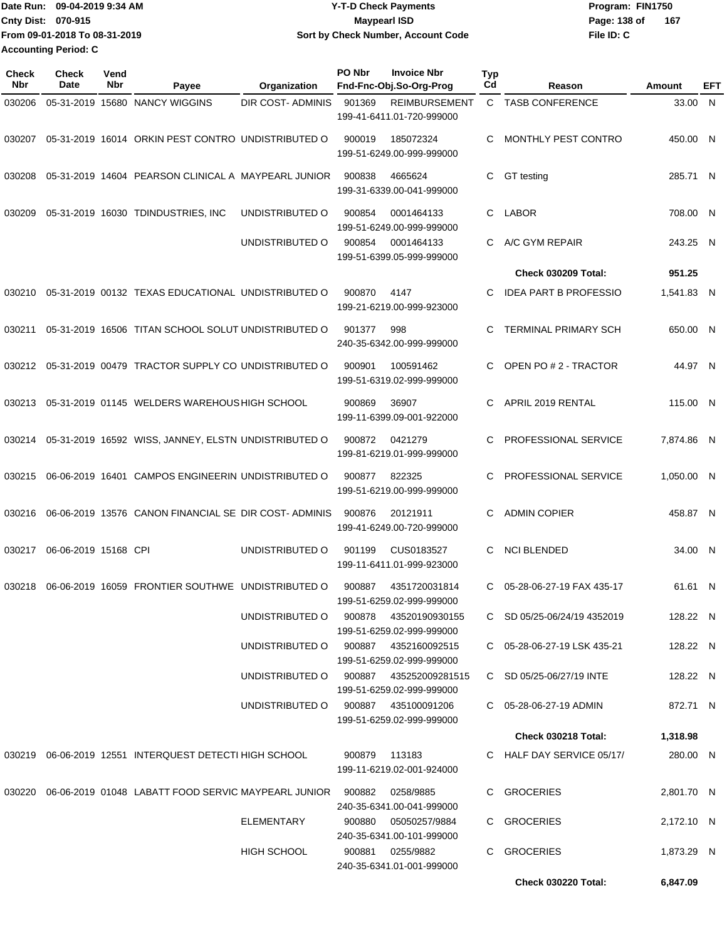| Date Run: 09-04-2019 9:34 AM  | <b>Y-T-D Check Payments</b>        | Program: FIN1750    |  |  |
|-------------------------------|------------------------------------|---------------------|--|--|
| <b>Cnty Dist: 070-915</b>     | <b>Mavpearl ISD</b>                | Page: 138 of<br>167 |  |  |
| From 09-01-2018 To 08-31-2019 | Sort by Check Number, Account Code | File ID: C          |  |  |
| <b>Accounting Period: C</b>   |                                    |                     |  |  |

| <b>Check</b><br>Nbr | <b>Check</b><br>Date | Vend<br>Nbr | Payee                                                      | Organization                        | PO Nbr        | <b>Invoice Nbr</b><br>Fnd-Fnc-Obj.So-Org-Prog       | <b>Typ</b><br>Cd | Reason                       | Amount     | EFT |
|---------------------|----------------------|-------------|------------------------------------------------------------|-------------------------------------|---------------|-----------------------------------------------------|------------------|------------------------------|------------|-----|
| 030206              |                      |             | 05-31-2019 15680 NANCY WIGGINS                             | <b>DIR COST- ADMINIS</b>            | 901369        | <b>REIMBURSEMENT</b><br>199-41-6411.01-720-999000   | C                | <b>TASB CONFERENCE</b>       | 33.00 N    |     |
| 030207              |                      |             | 05-31-2019 16014 ORKIN PEST CONTRO UNDISTRIBUTED O         |                                     | 900019        | 185072324<br>199-51-6249.00-999-999000              | C                | MONTHLY PEST CONTRO          | 450.00 N   |     |
| 030208              |                      |             | 05-31-2019 14604 PEARSON CLINICAL A MAYPEARL JUNIOR        |                                     | 900838        | 4665624<br>199-31-6339.00-041-999000                | C                | GT testing                   | 285.71 N   |     |
| 030209              |                      |             | 05-31-2019 16030 TDINDUSTRIES, INC                         | UNDISTRIBUTED O                     | 900854        | 0001464133<br>199-51-6249.00-999-999000             | C                | <b>LABOR</b>                 | 708.00 N   |     |
|                     |                      |             |                                                            | UNDISTRIBUTED O                     | 900854        | 0001464133<br>199-51-6399.05-999-999000             | C.               | A/C GYM REPAIR               | 243.25 N   |     |
|                     |                      |             |                                                            |                                     |               |                                                     |                  | <b>Check 030209 Total:</b>   | 951.25     |     |
| 030210              |                      |             | 05-31-2019 00132 TEXAS EDUCATIONAL UNDISTRIBUTED O         |                                     | 900870        | 4147<br>199-21-6219.00-999-923000                   | C.               | <b>IDEA PART B PROFESSIO</b> | 1,541.83 N |     |
| 030211              |                      |             | 05-31-2019 16506 TITAN SCHOOL SOLUT UNDISTRIBUTED O        |                                     | 901377        | 998<br>240-35-6342.00-999-999000                    | С                | <b>TERMINAL PRIMARY SCH</b>  | 650.00 N   |     |
| 030212              |                      |             | 05-31-2019 00479 TRACTOR SUPPLY CO UNDISTRIBUTED O         |                                     | 900901        | 100591462<br>199-51-6319.02-999-999000              | C.               | OPEN PO # 2 - TRACTOR        | 44.97 N    |     |
| 030213              |                      |             | 05-31-2019 01145 WELDERS WAREHOUS HIGH SCHOOL              |                                     | 900869        | 36907<br>199-11-6399.09-001-922000                  | C                | APRIL 2019 RENTAL            | 115.00 N   |     |
| 030214              |                      |             | 05-31-2019 16592 WISS, JANNEY, ELSTN UNDISTRIBUTED O       |                                     | 900872        | 0421279<br>199-81-6219.01-999-999000                | C                | PROFESSIONAL SERVICE         | 7,874.86 N |     |
| 030215              |                      |             | 06-06-2019 16401 CAMPOS ENGINEERIN UNDISTRIBUTED O         |                                     | 900877        | 822325<br>199-51-6219.00-999-999000                 | C                | PROFESSIONAL SERVICE         | 1,050.00 N |     |
| 030216              |                      |             | 06-06-2019 13576 CANON FINANCIAL SE DIR COST-ADMINIS       |                                     | 900876        | 20121911<br>199-41-6249.00-720-999000               | C                | <b>ADMIN COPIER</b>          | 458.87 N   |     |
| 030217              | 06-06-2019 15168 CPI |             |                                                            | UNDISTRIBUTED O                     | 901199        | CUS0183527<br>199-11-6411.01-999-923000             | C                | <b>NCI BLENDED</b>           | 34.00 N    |     |
| 030218              |                      |             | 06-06-2019 16059 FRONTIER SOUTHWE UNDISTRIBUTED O          |                                     | 900887        | 4351720031814<br>199-51-6259.02-999-999000          | C.               | 05-28-06-27-19 FAX 435-17    | 61.61 N    |     |
|                     |                      |             |                                                            | UNDISTRIBUTED O                     | 900878        | 43520190930155<br>199-51-6259.02-999-999000         |                  | C SD 05/25-06/24/19 4352019  | 128.22 N   |     |
|                     |                      |             |                                                            | UNDISTRIBUTED O                     | 900887        | 4352160092515<br>199-51-6259.02-999-999000          |                  | C 05-28-06-27-19 LSK 435-21  | 128.22 N   |     |
|                     |                      |             |                                                            | UNDISTRIBUTED O                     |               | 900887 435252009281515<br>199-51-6259.02-999-999000 |                  | C SD 05/25-06/27/19 INTE     | 128.22 N   |     |
|                     |                      |             |                                                            | UNDISTRIBUTED O 900887 435100091206 |               | 199-51-6259.02-999-999000                           |                  | C 05-28-06-27-19 ADMIN       | 872.71 N   |     |
|                     |                      |             |                                                            |                                     |               |                                                     |                  | <b>Check 030218 Total:</b>   | 1,318.98   |     |
|                     |                      |             | 030219 06-06-2019 12551 INTERQUEST DETECTI HIGH SCHOOL     |                                     | 900879 113183 | 199-11-6219.02-001-924000                           |                  | C HALF DAY SERVICE 05/17/    | 280.00 N   |     |
| 030220              |                      |             | 06-06-2019 01048 LABATT FOOD SERVIC MAYPEARL JUNIOR 900882 |                                     |               | 0258/9885<br>240-35-6341.00-041-999000              |                  | C GROCERIES                  | 2,801.70 N |     |
|                     |                      |             |                                                            | ELEMENTARY                          | 900880        | 05050257/9884<br>240-35-6341.00-101-999000          |                  | C GROCERIES                  | 2,172.10 N |     |
|                     |                      |             |                                                            | HIGH SCHOOL                         | 900881        | 0255/9882<br>240-35-6341.01-001-999000              | C.               | <b>GROCERIES</b>             | 1,873.29 N |     |
|                     |                      |             |                                                            |                                     |               |                                                     |                  | Check 030220 Total:          | 6,847.09   |     |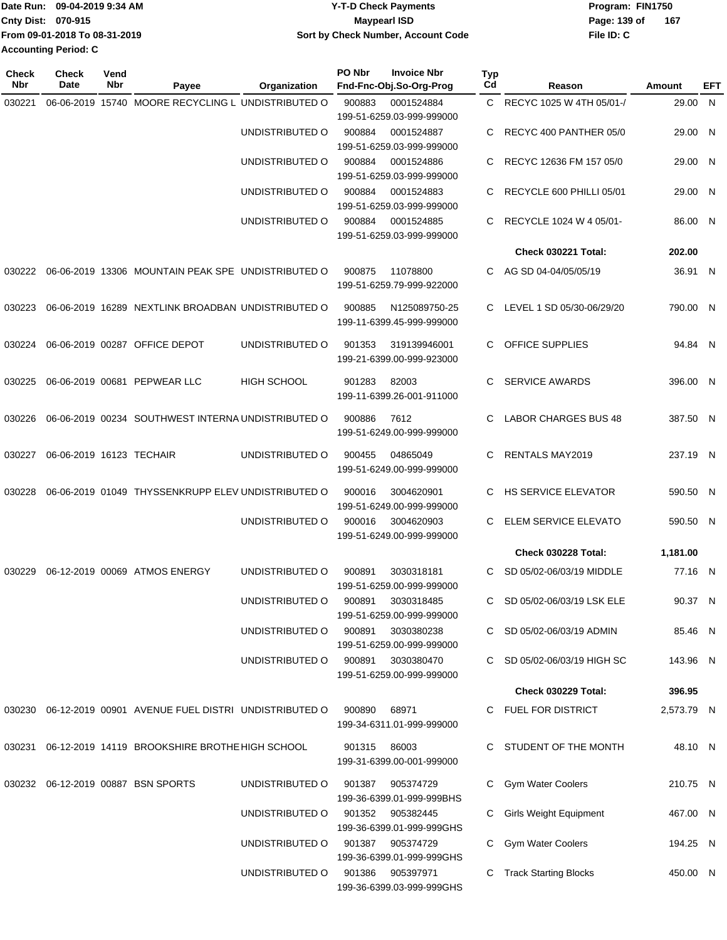| Date Run: 09-04-2019 9:34 AM  | <b>Y-T-D Check Payments</b>        | Program: FIN1750    |
|-------------------------------|------------------------------------|---------------------|
| <b>Cnty Dist: 070-915</b>     | <b>Mavpearl ISD</b>                | 167<br>Page: 139 of |
| From 09-01-2018 To 08-31-2019 | Sort by Check Number, Account Code | File ID: C          |
| <b>Accounting Period: C</b>   |                                    |                     |

| <b>Check</b><br>Nbr | <b>Check</b><br>Date     | Vend<br>Nbr | Payee                                                      | Organization       | PO Nbr                                        | <b>Invoice Nbr</b><br>Fnd-Fnc-Obj.So-Org-Prog | Typ<br>Cd               | Reason                        | Amount     | EFT |
|---------------------|--------------------------|-------------|------------------------------------------------------------|--------------------|-----------------------------------------------|-----------------------------------------------|-------------------------|-------------------------------|------------|-----|
| 030221              |                          |             | 06-06-2019 15740 MOORE RECYCLING L UNDISTRIBUTED O         |                    | 900883                                        | 0001524884                                    | C.                      | RECYC 1025 W 4TH 05/01-/      | 29.00 N    |     |
|                     |                          |             |                                                            |                    |                                               | 199-51-6259.03-999-999000                     |                         |                               |            |     |
|                     |                          |             |                                                            | UNDISTRIBUTED O    | 900884                                        | 0001524887<br>199-51-6259.03-999-999000       | C                       | RECYC 400 PANTHER 05/0        | 29.00 N    |     |
|                     |                          |             |                                                            | UNDISTRIBUTED O    | 900884                                        | 0001524886                                    | C                       | RECYC 12636 FM 157 05/0       | 29.00 N    |     |
|                     |                          |             |                                                            |                    |                                               | 199-51-6259.03-999-999000                     |                         |                               |            |     |
|                     |                          |             |                                                            | UNDISTRIBUTED O    | 900884                                        | 0001524883                                    | C                       | RECYCLE 600 PHILLI 05/01      | 29.00 N    |     |
|                     |                          |             |                                                            |                    |                                               | 199-51-6259.03-999-999000                     |                         |                               |            |     |
|                     |                          |             |                                                            | UNDISTRIBUTED O    | 900884                                        | 0001524885<br>199-51-6259.03-999-999000       | C                       | RECYCLE 1024 W 4 05/01-       | 86.00 N    |     |
|                     |                          |             |                                                            |                    |                                               |                                               |                         | Check 030221 Total:           | 202.00     |     |
| 030222              |                          |             | 06-06-2019 13306 MOUNTAIN PEAK SPE UNDISTRIBUTED O         |                    | 900875                                        | 11078800                                      | C                       | AG SD 04-04/05/05/19          | 36.91 N    |     |
|                     |                          |             |                                                            |                    |                                               | 199-51-6259.79-999-922000                     |                         |                               |            |     |
| 030223              |                          |             | 06-06-2019 16289 NEXTLINK BROADBAN UNDISTRIBUTED O         |                    | 900885                                        | N125089750-25                                 |                         | C LEVEL 1 SD 05/30-06/29/20   | 790.00 N   |     |
|                     |                          |             |                                                            |                    |                                               | 199-11-6399.45-999-999000                     |                         |                               |            |     |
| 030224              |                          |             | 06-06-2019 00287 OFFICE DEPOT                              | UNDISTRIBUTED O    | 901353                                        | 319139946001                                  | C                       | <b>OFFICE SUPPLIES</b>        | 94.84 N    |     |
|                     |                          |             |                                                            |                    |                                               | 199-21-6399.00-999-923000                     |                         |                               |            |     |
| 030225              |                          |             | 06-06-2019 00681 PEPWEAR LLC                               | <b>HIGH SCHOOL</b> | 901283                                        | 82003                                         | C                       | <b>SERVICE AWARDS</b>         | 396.00 N   |     |
|                     |                          |             |                                                            |                    |                                               | 199-11-6399.26-001-911000                     |                         |                               |            |     |
| 030226              |                          |             | 06-06-2019 00234 SOUTHWEST INTERNA UNDISTRIBUTED O         |                    | 900886                                        | 7612                                          | C                       | <b>LABOR CHARGES BUS 48</b>   | 387.50 N   |     |
|                     |                          |             |                                                            |                    |                                               | 199-51-6249.00-999-999000                     |                         |                               |            |     |
| 030227              | 06-06-2019 16123 TECHAIR |             |                                                            | UNDISTRIBUTED O    | 900455                                        | 04865049                                      | C                       | <b>RENTALS MAY2019</b>        | 237.19 N   |     |
|                     |                          |             |                                                            |                    |                                               | 199-51-6249.00-999-999000                     |                         |                               |            |     |
| 030228              |                          |             | 06-06-2019 01049 THYSSENKRUPP ELEV UNDISTRIBUTED O         |                    | 900016                                        | 3004620901                                    | C                       | <b>HS SERVICE ELEVATOR</b>    | 590.50 N   |     |
|                     |                          |             |                                                            |                    |                                               | 199-51-6249.00-999-999000                     |                         |                               |            |     |
|                     |                          |             | UNDISTRIBUTED O                                            | 900016             | 3004620903                                    | C                                             | ELEM SERVICE ELEVATO    | 590.50 N                      |            |     |
|                     |                          |             |                                                            |                    |                                               | 199-51-6249.00-999-999000                     |                         |                               |            |     |
|                     |                          |             |                                                            |                    |                                               |                                               |                         | Check 030228 Total:           | 1,181.00   |     |
| 030229              |                          |             | 06-12-2019 00069 ATMOS ENERGY                              | UNDISTRIBUTED O    | 900891                                        | 3030318181<br>199-51-6259.00-999-999000       | С                       | SD 05/02-06/03/19 MIDDLE      | 77.16 N    |     |
|                     |                          |             |                                                            | UNDISTRIBUTED O    |                                               | 900891 3030318485                             | C.                      | SD 05/02-06/03/19 LSK ELE     | 90.37 N    |     |
|                     |                          |             |                                                            |                    |                                               | 199-51-6259.00-999-999000                     |                         |                               |            |     |
|                     |                          |             |                                                            | UNDISTRIBUTED O    |                                               | 900891 3030380238                             |                         | C SD 05/02-06/03/19 ADMIN     | 85.46 N    |     |
|                     |                          |             |                                                            |                    |                                               | 199-51-6259.00-999-999000                     |                         |                               |            |     |
|                     |                          |             |                                                            | UNDISTRIBUTED O    |                                               | 900891 3030380470                             |                         | C SD 05/02-06/03/19 HIGH SC   | 143.96 N   |     |
|                     |                          |             |                                                            |                    |                                               | 199-51-6259.00-999-999000                     |                         | <b>Check 030229 Total:</b>    | 396.95     |     |
|                     |                          |             |                                                            |                    |                                               |                                               |                         |                               |            |     |
|                     |                          |             | 030230 06-12-2019 00901 AVENUE FUEL DISTRI UNDISTRIBUTED O |                    | 900890                                        | 68971<br>199-34-6311.01-999-999000            |                         | C FUEL FOR DISTRICT           | 2,573.79 N |     |
|                     |                          |             | 030231 06-12-2019 14119 BROOKSHIRE BROTHE HIGH SCHOOL      |                    | 901315 86003                                  |                                               |                         | C STUDENT OF THE MONTH        | 48.10 N    |     |
|                     |                          |             |                                                            |                    |                                               | 199-31-6399.00-001-999000                     |                         |                               |            |     |
|                     |                          |             | 030232 06-12-2019 00887 BSN SPORTS                         | UNDISTRIBUTED O    |                                               | 901387 905374729                              |                         | Gym Water Coolers             | 210.75 N   |     |
|                     |                          |             |                                                            |                    |                                               | 199-36-6399.01-999-999BHS                     |                         |                               |            |     |
|                     |                          |             |                                                            | UNDISTRIBUTED O    |                                               | 901352 905382445                              | C.                      | <b>Girls Weight Equipment</b> | 467.00 N   |     |
|                     |                          |             |                                                            |                    |                                               | 199-36-6399.01-999-999GHS                     |                         |                               |            |     |
|                     |                          |             | UNDISTRIBUTED O                                            |                    | 901387 905374729<br>199-36-6399.01-999-999GHS | C                                             | Gym Water Coolers       | 194.25 N                      |            |     |
|                     |                          |             | UNDISTRIBUTED O                                            |                    | 901386 905397971                              |                                               | C Track Starting Blocks | 450.00 N                      |            |     |
|                     |                          |             |                                                            |                    | 199-36-6399.03-999-999GHS                     |                                               |                         |                               |            |     |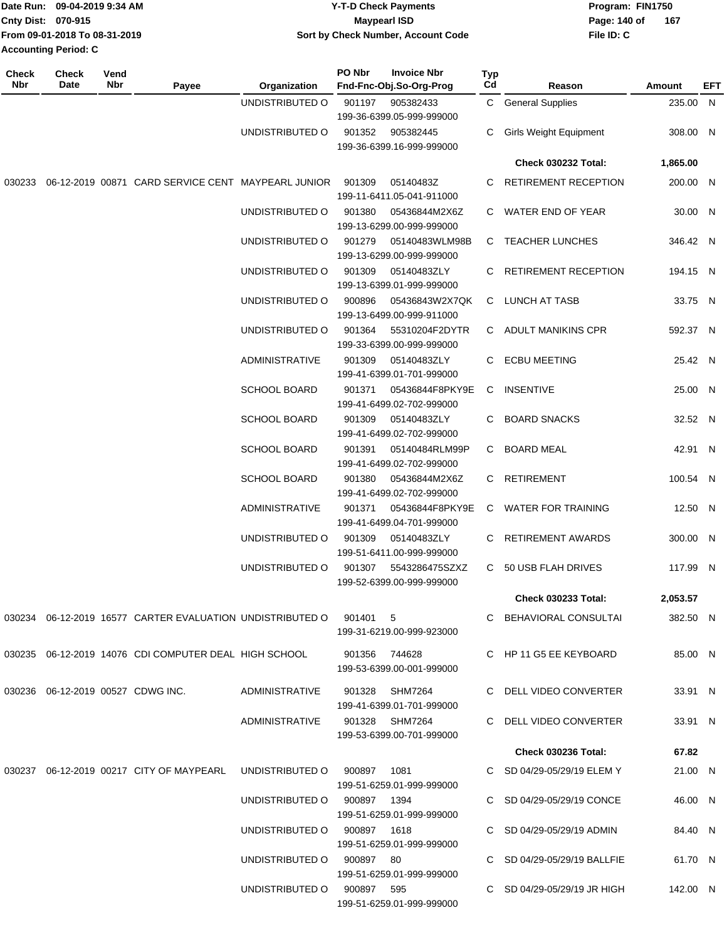| Date Run: 09-04-2019 9:34 AM |                               | <b>Y-T-D Check Payments</b>        | Program: FIN1750    |  |  |  |
|------------------------------|-------------------------------|------------------------------------|---------------------|--|--|--|
| <b>Cnty Dist: 070-915</b>    |                               | Maypearl ISD                       | 167<br>Page: 140 of |  |  |  |
|                              | From 09-01-2018 To 08-31-2019 | Sort by Check Number, Account Code | File ID: C          |  |  |  |
| <b>Accounting Period: C</b>  |                               |                                    |                     |  |  |  |

| <b>Check</b><br><b>Nbr</b> | <b>Check</b><br>Date | Vend<br>Nbr | Payee                                                                     | Organization                | PO Nbr         | <b>Invoice Nbr</b><br>Fnd-Fnc-Obj.So-Org-Prog | Typ<br>Cd | Reason                        | Amount   | EFT |
|----------------------------|----------------------|-------------|---------------------------------------------------------------------------|-----------------------------|----------------|-----------------------------------------------|-----------|-------------------------------|----------|-----|
|                            |                      |             |                                                                           | UNDISTRIBUTED O             | 901197         | 905382433                                     |           | C General Supplies            | 235.00 N |     |
|                            |                      |             |                                                                           | UNDISTRIBUTED O             |                | 199-36-6399.05-999-999000<br>901352 905382445 | С         | <b>Girls Weight Equipment</b> | 308.00 N |     |
|                            |                      |             |                                                                           |                             |                | 199-36-6399.16-999-999000                     |           |                               |          |     |
|                            |                      |             |                                                                           |                             |                |                                               |           | <b>Check 030232 Total:</b>    | 1,865.00 |     |
| 030233                     |                      |             | 06-12-2019 00871 CARD SERVICE CENT MAYPEARL JUNIOR                        |                             | 901309         | 05140483Z<br>199-11-6411.05-041-911000        |           | C RETIREMENT RECEPTION        | 200.00 N |     |
|                            |                      |             |                                                                           | UNDISTRIBUTED O             | 901380         | 05436844M2X6Z<br>199-13-6299.00-999-999000    |           | C WATER END OF YEAR           | 30.00 N  |     |
|                            |                      |             |                                                                           | UNDISTRIBUTED O             | 901279         | 05140483WLM98B<br>199-13-6299.00-999-999000   |           | C TEACHER LUNCHES             | 346.42 N |     |
|                            |                      |             |                                                                           | UNDISTRIBUTED O             | 901309         | 05140483ZLY<br>199-13-6399.01-999-999000      | C.        | RETIREMENT RECEPTION          | 194.15 N |     |
|                            |                      |             |                                                                           | UNDISTRIBUTED O             | 900896         | 05436843W2X7QK<br>199-13-6499.00-999-911000   |           | C LUNCH AT TASB               | 33.75 N  |     |
|                            |                      |             |                                                                           | UNDISTRIBUTED O             | 901364         | 55310204F2DYTR<br>199-33-6399.00-999-999000   |           | C ADULT MANIKINS CPR          | 592.37 N |     |
|                            |                      |             |                                                                           | <b>ADMINISTRATIVE</b>       | 901309         | 05140483ZLY<br>199-41-6399.01-701-999000      | C.        | <b>ECBU MEETING</b>           | 25.42 N  |     |
|                            |                      |             |                                                                           | <b>SCHOOL BOARD</b>         | 901371         | 05436844F8PKY9E<br>199-41-6499.02-702-999000  | C.        | INSENTIVE                     | 25.00 N  |     |
|                            |                      |             |                                                                           | <b>SCHOOL BOARD</b>         | 901309         | 05140483ZLY<br>199-41-6499.02-702-999000      |           | C BOARD SNACKS                | 32.52 N  |     |
|                            |                      |             |                                                                           | <b>SCHOOL BOARD</b>         | 901391         | 05140484RLM99P<br>199-41-6499.02-702-999000   | C.        | BOARD MEAL                    | 42.91 N  |     |
|                            |                      |             |                                                                           | <b>SCHOOL BOARD</b>         | 901380         | 05436844M2X6Z<br>199-41-6499.02-702-999000    |           | C RETIREMENT                  | 100.54 N |     |
|                            |                      |             |                                                                           | <b>ADMINISTRATIVE</b>       | 901371         | 05436844F8PKY9E<br>199-41-6499.04-701-999000  |           | C WATER FOR TRAINING          | 12.50 N  |     |
|                            |                      |             |                                                                           | UNDISTRIBUTED O             | 901309         | 05140483ZLY<br>199-51-6411.00-999-999000      |           | C RETIREMENT AWARDS           | 300.00 N |     |
|                            |                      |             |                                                                           | UNDISTRIBUTED O             | 901307         | 5543286475SZXZ<br>199-52-6399.00-999-999000   |           | C 50 USB FLAH DRIVES          | 117.99 N |     |
|                            |                      |             |                                                                           |                             |                |                                               |           | <b>Check 030233 Total:</b>    | 2,053.57 |     |
|                            |                      |             | 030234 06-12-2019 16577 CARTER EVALUATION UNDISTRIBUTED O 901401 5        |                             |                | 199-31-6219.00-999-923000                     |           | C BEHAVIORAL CONSULTAI        | 382.50 N |     |
|                            |                      |             | 030235 06-12-2019 14076 CDI COMPUTER DEAL HIGH SCHOOL                     |                             | 901356  744628 | 199-53-6399.00-001-999000                     |           | C HP 11 G5 EE KEYBOARD        | 85.00 N  |     |
|                            |                      |             | 030236 06-12-2019 00527 CDWG INC.                                         | ADMINISTRATIVE              |                | 901328 SHM7264<br>199-41-6399.01-701-999000   |           | C DELL VIDEO CONVERTER        | 33.91 N  |     |
|                            |                      |             |                                                                           | ADMINISTRATIVE              |                | 901328 SHM7264<br>199-53-6399.00-701-999000   |           | C DELL VIDEO CONVERTER        | 33.91 N  |     |
|                            |                      |             |                                                                           |                             |                |                                               |           | <b>Check 030236 Total:</b>    | 67.82    |     |
|                            |                      |             | 030237  06-12-2019  00217  CITY OF MAYPEARL  UNDISTRIBUTED   000897  1081 |                             |                | 199-51-6259.01-999-999000                     |           | C SD 04/29-05/29/19 ELEM Y    | 21.00 N  |     |
|                            |                      |             |                                                                           | UNDISTRIBUTED O 900897 1394 |                | 199-51-6259.01-999-999000                     |           | C SD 04/29-05/29/19 CONCE     | 46.00 N  |     |
|                            |                      |             |                                                                           | UNDISTRIBUTED O 900897 1618 |                | 199-51-6259.01-999-999000                     |           | C SD 04/29-05/29/19 ADMIN     | 84.40 N  |     |
|                            |                      |             |                                                                           | UNDISTRIBUTED O 900897 80   |                | 199-51-6259.01-999-999000                     |           | C SD 04/29-05/29/19 BALLFIE   | 61.70 N  |     |
|                            |                      |             |                                                                           | UNDISTRIBUTED O 900897 595  |                | 199-51-6259.01-999-999000                     |           | C SD 04/29-05/29/19 JR HIGH   | 142.00 N |     |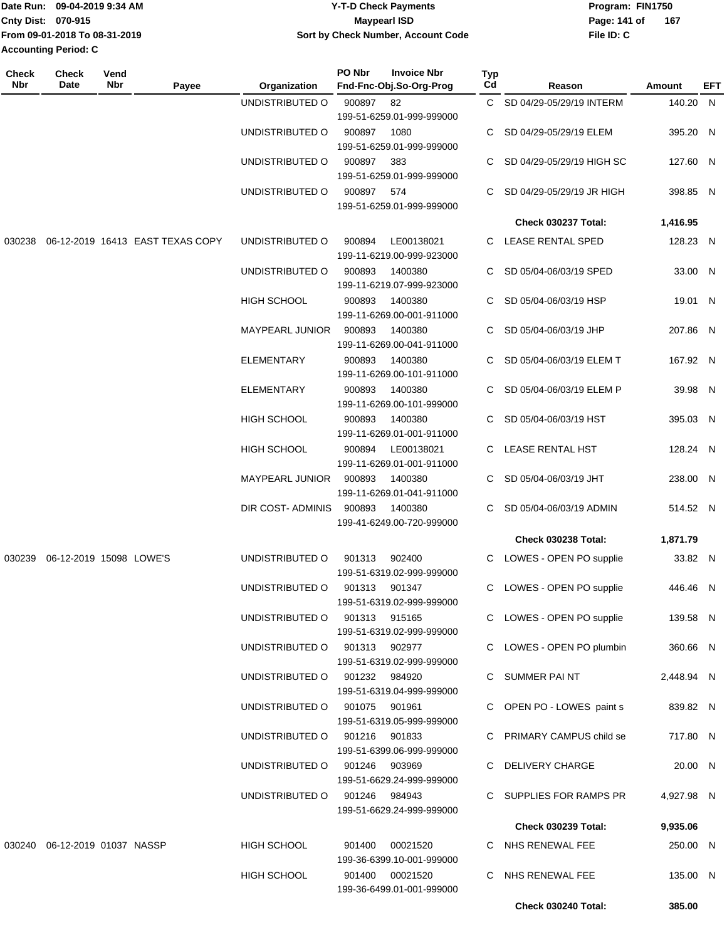|                           | Date Run: 09-04-2019 9:34 AM  | <b>Y-T-D Check Payments</b>        | Program: FIN1750 |     |
|---------------------------|-------------------------------|------------------------------------|------------------|-----|
| <b>Cnty Dist: 070-915</b> |                               | Maypearl ISD                       | Page: 141 of     | 167 |
|                           | From 09-01-2018 To 08-31-2019 | Sort by Check Number, Account Code | File ID: C       |     |
| Accounting Period: C      |                               |                                    |                  |     |

| <b>Check</b><br>Nbr | Check<br>Date                    | Vend<br>Nbr | Payee                            | Organization                  | PO Nbr | <b>Invoice Nbr</b><br>Fnd-Fnc-Obj.So-Org-Prog | Typ<br>Cd | Reason                     | Amount     | EFT |
|---------------------|----------------------------------|-------------|----------------------------------|-------------------------------|--------|-----------------------------------------------|-----------|----------------------------|------------|-----|
|                     |                                  |             |                                  | UNDISTRIBUTED O               | 900897 | 82                                            |           | C SD 04/29-05/29/19 INTERM | 140.20     | - N |
|                     |                                  |             |                                  |                               |        | 199-51-6259.01-999-999000                     |           |                            |            |     |
|                     |                                  |             |                                  | UNDISTRIBUTED O               | 900897 | 1080                                          |           | SD 04/29-05/29/19 ELEM     | 395.20 N   |     |
|                     |                                  |             |                                  |                               |        | 199-51-6259.01-999-999000                     |           |                            |            |     |
|                     |                                  |             |                                  | UNDISTRIBUTED O               | 900897 | 383                                           |           | SD 04/29-05/29/19 HIGH SC  | 127.60 N   |     |
|                     |                                  |             |                                  |                               |        | 199-51-6259.01-999-999000                     |           |                            |            |     |
|                     |                                  |             |                                  | UNDISTRIBUTED O               | 900897 | 574                                           |           | SD 04/29-05/29/19 JR HIGH  | 398.85 N   |     |
|                     |                                  |             |                                  |                               |        | 199-51-6259.01-999-999000                     |           |                            |            |     |
|                     |                                  |             |                                  |                               |        |                                               |           |                            |            |     |
|                     |                                  |             |                                  |                               |        |                                               |           | Check 030237 Total:        | 1,416.95   |     |
| 030238              |                                  |             | 06-12-2019 16413 EAST TEXAS COPY | UNDISTRIBUTED O               | 900894 | LE00138021                                    | C.        | LEASE RENTAL SPED          | 128.23 N   |     |
|                     |                                  |             |                                  |                               |        | 199-11-6219.00-999-923000                     |           |                            |            |     |
|                     |                                  |             |                                  | UNDISTRIBUTED O               | 900893 | 1400380                                       | C         | SD 05/04-06/03/19 SPED     | 33.00 N    |     |
|                     |                                  |             |                                  |                               |        | 199-11-6219.07-999-923000                     |           |                            |            |     |
|                     |                                  |             |                                  | <b>HIGH SCHOOL</b>            | 900893 | 1400380                                       | C         | SD 05/04-06/03/19 HSP      | 19.01 N    |     |
|                     |                                  |             |                                  |                               |        | 199-11-6269.00-001-911000                     |           |                            |            |     |
|                     |                                  |             |                                  | <b>MAYPEARL JUNIOR</b>        | 900893 | 1400380                                       |           | SD 05/04-06/03/19 JHP      | 207.86 N   |     |
|                     |                                  |             |                                  |                               |        | 199-11-6269.00-041-911000                     |           |                            |            |     |
|                     |                                  |             |                                  | ELEMENTARY                    | 900893 | 1400380                                       |           | SD 05/04-06/03/19 ELEM T   | 167.92 N   |     |
|                     |                                  |             |                                  |                               |        | 199-11-6269.00-101-911000                     |           |                            |            |     |
|                     |                                  |             |                                  | <b>ELEMENTARY</b>             |        |                                               |           |                            |            |     |
|                     |                                  |             |                                  |                               | 900893 | 1400380                                       |           | SD 05/04-06/03/19 ELEM P   | 39.98 N    |     |
|                     |                                  |             |                                  |                               |        | 199-11-6269.00-101-999000                     |           |                            |            |     |
|                     |                                  |             |                                  | HIGH SCHOOL                   | 900893 | 1400380                                       |           | SD 05/04-06/03/19 HST      | 395.03 N   |     |
|                     |                                  |             |                                  |                               |        | 199-11-6269.01-001-911000                     |           |                            |            |     |
|                     |                                  |             |                                  | HIGH SCHOOL                   | 900894 | LE00138021                                    | C         | LEASE RENTAL HST           | 128.24 N   |     |
|                     |                                  |             |                                  |                               |        | 199-11-6269.01-001-911000                     |           |                            |            |     |
|                     |                                  |             |                                  | <b>MAYPEARL JUNIOR</b>        | 900893 | 1400380                                       |           | C SD 05/04-06/03/19 JHT    | 238.00 N   |     |
|                     |                                  |             |                                  |                               |        | 199-11-6269.01-041-911000                     |           |                            |            |     |
|                     |                                  |             |                                  | DIR COST- ADMINIS             | 900893 | 1400380                                       | C.        | SD 05/04-06/03/19 ADMIN    | 514.52 N   |     |
|                     |                                  |             |                                  |                               |        | 199-41-6249.00-720-999000                     |           |                            |            |     |
|                     |                                  |             |                                  |                               |        |                                               |           | <b>Check 030238 Total:</b> | 1,871.79   |     |
|                     | 030239 06-12-2019 15098 LOWE'S   |             |                                  | UNDISTRIBUTED O               | 901313 | 902400                                        |           |                            | 33.82 N    |     |
|                     |                                  |             |                                  |                               |        | 199-51-6319.02-999-999000                     | C         | LOWES - OPEN PO supplie    |            |     |
|                     |                                  |             |                                  |                               |        |                                               |           |                            |            |     |
|                     |                                  |             |                                  | UNDISTRIBUTED O               | 901313 | 901347                                        | C         | LOWES - OPEN PO supplie    | 446.46 N   |     |
|                     |                                  |             |                                  |                               |        | 199-51-6319.02-999-999000                     |           |                            |            |     |
|                     |                                  |             |                                  | UNDISTRIBUTED O               | 901313 | 915165                                        |           | C LOWES - OPEN PO supplie  | 139.58 N   |     |
|                     |                                  |             |                                  |                               |        | 199-51-6319.02-999-999000                     |           |                            |            |     |
|                     |                                  |             |                                  | UNDISTRIBUTED O 901313 902977 |        |                                               |           | C LOWES - OPEN PO plumbin  | 360.66 N   |     |
|                     |                                  |             |                                  |                               |        | 199-51-6319.02-999-999000                     |           |                            |            |     |
|                     |                                  |             |                                  | UNDISTRIBUTED O 901232 984920 |        |                                               |           | C SUMMER PAINT             | 2,448.94 N |     |
|                     |                                  |             |                                  |                               |        | 199-51-6319.04-999-999000                     |           |                            |            |     |
|                     |                                  |             |                                  | UNDISTRIBUTED O               | 901075 | 901961                                        |           | C OPEN PO - LOWES paint s  | 839.82 N   |     |
|                     |                                  |             |                                  |                               |        | 199-51-6319.05-999-999000                     |           |                            |            |     |
|                     |                                  |             |                                  | UNDISTRIBUTED O               | 901216 | 901833                                        |           | C PRIMARY CAMPUS child se  | 717.80 N   |     |
|                     |                                  |             |                                  |                               |        | 199-51-6399.06-999-999000                     |           |                            |            |     |
|                     |                                  |             |                                  | UNDISTRIBUTED O               | 901246 | 903969                                        |           | C DELIVERY CHARGE          | 20.00 N    |     |
|                     |                                  |             |                                  |                               |        | 199-51-6629.24-999-999000                     |           |                            |            |     |
|                     |                                  |             |                                  |                               |        |                                               |           |                            |            |     |
|                     |                                  |             |                                  | UNDISTRIBUTED O               |        | 901246 984943                                 |           | C SUPPLIES FOR RAMPS PR    | 4,927.98 N |     |
|                     |                                  |             |                                  |                               |        | 199-51-6629.24-999-999000                     |           |                            |            |     |
|                     |                                  |             |                                  |                               |        |                                               |           | <b>Check 030239 Total:</b> | 9,935.06   |     |
|                     | 030240  06-12-2019  01037  NASSP |             |                                  | HIGH SCHOOL                   | 901400 | 00021520                                      |           | C NHS RENEWAL FEE          | 250.00 N   |     |
|                     |                                  |             |                                  |                               |        | 199-36-6399.10-001-999000                     |           |                            |            |     |
|                     |                                  |             |                                  | HIGH SCHOOL                   |        | 901400 00021520                               |           | C NHS RENEWAL FEE          | 135.00 N   |     |
|                     |                                  |             |                                  |                               |        | 199-36-6499.01-001-999000                     |           |                            |            |     |
|                     |                                  |             |                                  |                               |        |                                               |           | Check 030240 Total:        | 385.00     |     |
|                     |                                  |             |                                  |                               |        |                                               |           |                            |            |     |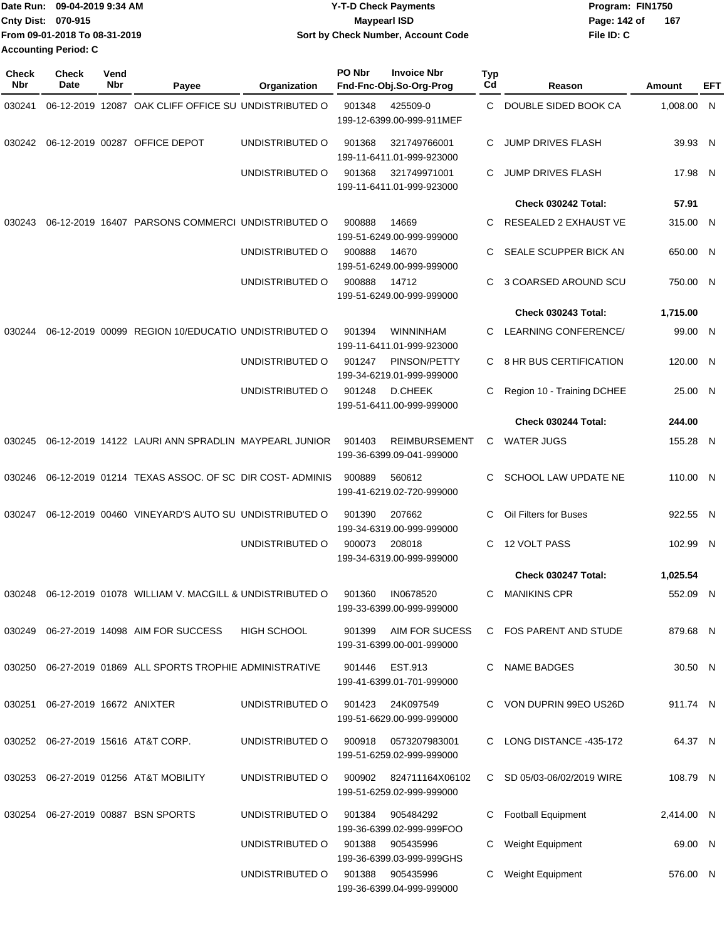|                             | Date Run: 09-04-2019 9:34 AM  | <b>Y-T-D Check Payments</b>        | Program: FIN1750 |     |
|-----------------------------|-------------------------------|------------------------------------|------------------|-----|
| Cnty Dist: 070-915          |                               | <b>Mavpearl ISD</b>                | Page: 142 of     | 167 |
|                             | From 09-01-2018 To 08-31-2019 | Sort by Check Number, Account Code | File ID: C       |     |
| <b>Accounting Period: C</b> |                               |                                    |                  |     |

| <b>Check</b><br>Nbr | <b>Check</b><br>Date            | Vend<br>Nbr | Payee                                                     | Organization       | PO Nbr | <b>Invoice Nbr</b><br>Fnd-Fnc-Obj.So-Org-Prog      | Typ<br>Cd | Reason                      | Amount     | EFT |
|---------------------|---------------------------------|-------------|-----------------------------------------------------------|--------------------|--------|----------------------------------------------------|-----------|-----------------------------|------------|-----|
| 030241              |                                 |             | 06-12-2019 12087 OAK CLIFF OFFICE SU UNDISTRIBUTED O      |                    | 901348 | 425509-0<br>199-12-6399.00-999-911MEF              | C         | DOUBLE SIDED BOOK CA        | 1,008.00 N |     |
| 030242              |                                 |             | 06-12-2019 00287 OFFICE DEPOT                             | UNDISTRIBUTED O    | 901368 | 321749766001<br>199-11-6411.01-999-923000          | C         | <b>JUMP DRIVES FLASH</b>    | 39.93 N    |     |
|                     |                                 |             |                                                           | UNDISTRIBUTED O    | 901368 | 321749971001<br>199-11-6411.01-999-923000          | C.        | <b>JUMP DRIVES FLASH</b>    | 17.98 N    |     |
|                     |                                 |             |                                                           |                    |        |                                                    |           | Check 030242 Total:         | 57.91      |     |
| 030243              |                                 |             | 06-12-2019 16407 PARSONS COMMERCI UNDISTRIBUTED O         |                    | 900888 | 14669<br>199-51-6249.00-999-999000                 | C.        | RESEALED 2 EXHAUST VE       | 315.00 N   |     |
|                     |                                 |             |                                                           | UNDISTRIBUTED O    | 900888 | 14670<br>199-51-6249.00-999-999000                 | C.        | SEALE SCUPPER BICK AN       | 650.00 N   |     |
|                     |                                 |             |                                                           | UNDISTRIBUTED O    | 900888 | 14712<br>199-51-6249.00-999-999000                 | C         | 3 COARSED AROUND SCU        | 750.00 N   |     |
|                     |                                 |             |                                                           |                    |        |                                                    |           | Check 030243 Total:         | 1,715.00   |     |
| 030244              |                                 |             | 06-12-2019 00099 REGION 10/EDUCATIO UNDISTRIBUTED O       |                    | 901394 | WINNINHAM<br>199-11-6411.01-999-923000             | C         | <b>LEARNING CONFERENCE/</b> | 99.00 N    |     |
|                     |                                 |             |                                                           | UNDISTRIBUTED O    | 901247 | PINSON/PETTY<br>199-34-6219.01-999-999000          | C         | 8 HR BUS CERTIFICATION      | 120.00 N   |     |
|                     |                                 |             |                                                           | UNDISTRIBUTED O    | 901248 | <b>D.CHEEK</b><br>199-51-6411.00-999-999000        | C         | Region 10 - Training DCHEE  | 25.00 N    |     |
|                     |                                 |             |                                                           |                    |        |                                                    |           | Check 030244 Total:         | 244.00     |     |
| 030245              |                                 |             | 06-12-2019 14122 LAURI ANN SPRADLIN MAYPEARL JUNIOR       |                    | 901403 | <b>REIMBURSEMENT</b><br>199-36-6399.09-041-999000  | C         | <b>WATER JUGS</b>           | 155.28 N   |     |
| 030246              |                                 |             | 06-12-2019 01214 TEXAS ASSOC. OF SC DIR COST-ADMINIS      |                    | 900889 | 560612<br>199-41-6219.02-720-999000                | C.        | SCHOOL LAW UPDATE NE        | 110.00 N   |     |
| 030247              |                                 |             | 06-12-2019 00460 VINEYARD'S AUTO SU UNDISTRIBUTED O       |                    | 901390 | 207662<br>199-34-6319.00-999-999000                | C.        | Oil Filters for Buses       | 922.55 N   |     |
|                     |                                 |             |                                                           | UNDISTRIBUTED O    | 900073 | 208018<br>199-34-6319.00-999-999000                | C         | 12 VOLT PASS                | 102.99 N   |     |
|                     |                                 |             |                                                           |                    |        |                                                    |           | Check 030247 Total:         | 1,025.54   |     |
| 030248              |                                 |             | 06-12-2019 01078 WILLIAM V. MACGILL & UNDISTRIBUTED O     |                    | 901360 | IN0678520<br>199-33-6399.00-999-999000             | C.        | <b>MANIKINS CPR</b>         | 552.09 N   |     |
|                     |                                 |             | 030249  06-27-2019  14098  AIM FOR SUCCESS                | <b>HIGH SCHOOL</b> | 901399 | AIM FOR SUCESS<br>199-31-6399.00-001-999000        |           | C FOS PARENT AND STUDE      | 879.68 N   |     |
|                     |                                 |             | 030250 06-27-2019 01869 ALL SPORTS TROPHIE ADMINISTRATIVE |                    | 901446 | EST.913<br>199-41-6399.01-701-999000               | C.        | NAME BADGES                 | 30.50 N    |     |
|                     | 030251 06-27-2019 16672 ANIXTER |             |                                                           | UNDISTRIBUTED O    | 901423 | 24K097549<br>199-51-6629.00-999-999000             |           | C VON DUPRIN 99EO US26D     | 911.74 N   |     |
|                     |                                 |             | 030252 06-27-2019 15616 AT&T CORP.                        | UNDISTRIBUTED O    |        | 900918  0573207983001<br>199-51-6259.02-999-999000 |           | C LONG DISTANCE -435-172    | 64.37 N    |     |
|                     |                                 |             | 030253 06-27-2019 01256 AT&T MOBILITY                     | UNDISTRIBUTED O    | 900902 | 824711164X06102<br>199-51-6259.02-999-999000       |           | C SD 05/03-06/02/2019 WIRE  | 108.79 N   |     |
|                     |                                 |             | 030254 06-27-2019 00887 BSN SPORTS                        | UNDISTRIBUTED O    | 901384 | 905484292<br>199-36-6399.02-999-999FOO             | C.        | <b>Football Equipment</b>   | 2,414.00 N |     |
|                     |                                 |             |                                                           | UNDISTRIBUTED O    | 901388 | 905435996<br>199-36-6399.03-999-999GHS             |           | Weight Equipment            | 69.00 N    |     |
|                     |                                 |             |                                                           | UNDISTRIBUTED O    | 901388 | 905435996<br>199-36-6399.04-999-999000             |           | C Weight Equipment          | 576.00 N   |     |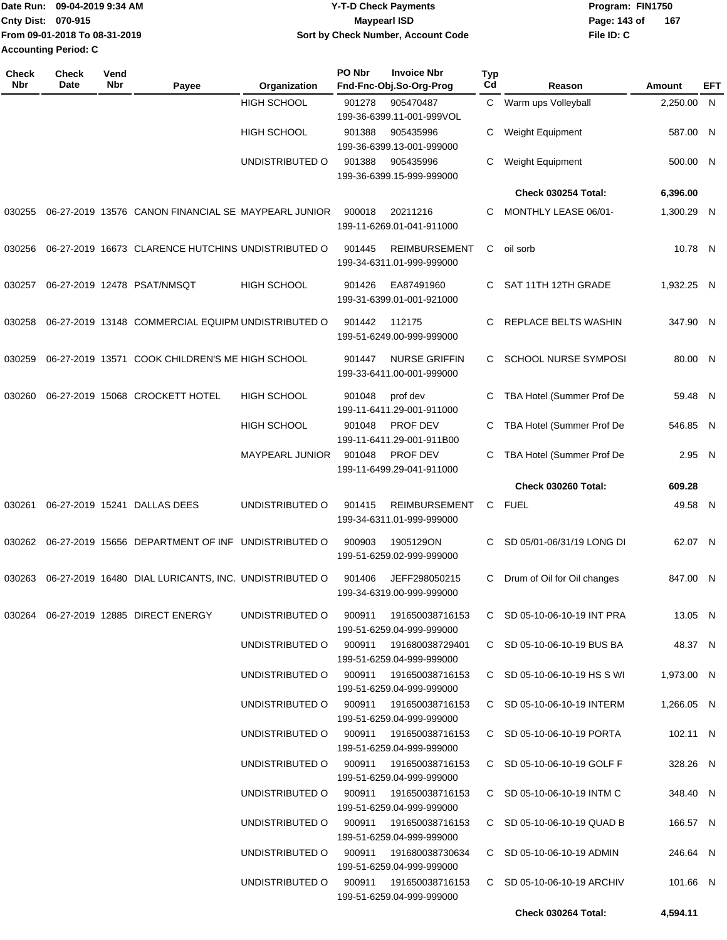| <b>Date Run:</b>            | 09-04-2019 9:34 AM            | Y-T-D Check Payments               | Program: FIN1750 |     |
|-----------------------------|-------------------------------|------------------------------------|------------------|-----|
| <b>Cnty Dist: 070-915</b>   |                               | Maypearl ISD                       | Page: 143 of     | 167 |
|                             | From 09-01-2018 To 08-31-2019 | Sort by Check Number, Account Code | File ID: C       |     |
| <b>Accounting Period: C</b> |                               |                                    |                  |     |

| Check<br>Nbr | <b>Check</b><br>Date | Vend<br>Nbr | Payee                                                 | Organization                           | PO Nbr | <b>Invoice Nbr</b><br>Fnd-Fnc-Obj.So-Org-Prog        | <b>Typ</b><br>Cd | Reason                        | Amount     | EFT |
|--------------|----------------------|-------------|-------------------------------------------------------|----------------------------------------|--------|------------------------------------------------------|------------------|-------------------------------|------------|-----|
|              |                      |             |                                                       | <b>HIGH SCHOOL</b>                     | 901278 | 905470487<br>199-36-6399.11-001-999VOL               |                  | Warm ups Volleyball           | 2,250.00 N |     |
|              |                      |             |                                                       | <b>HIGH SCHOOL</b>                     | 901388 | 905435996<br>199-36-6399.13-001-999000               | С                | Weight Equipment              | 587.00 N   |     |
|              |                      |             |                                                       | UNDISTRIBUTED O                        | 901388 | 905435996<br>199-36-6399.15-999-999000               | С                | Weight Equipment              | 500.00 N   |     |
|              |                      |             |                                                       |                                        |        |                                                      |                  | Check 030254 Total:           | 6,396.00   |     |
| 030255       |                      |             | 06-27-2019 13576 CANON FINANCIAL SE MAYPEARL JUNIOR   |                                        | 900018 | 20211216<br>199-11-6269.01-041-911000                | С                | MONTHLY LEASE 06/01-          | 1,300.29 N |     |
| 030256       |                      |             | 06-27-2019 16673 CLARENCE HUTCHINS UNDISTRIBUTED O    |                                        | 901445 | <b>REIMBURSEMENT</b><br>199-34-6311.01-999-999000    | C                | oil sorb                      | 10.78 N    |     |
| 030257       |                      |             | 06-27-2019 12478 PSAT/NMSQT                           | <b>HIGH SCHOOL</b>                     | 901426 | EA87491960<br>199-31-6399.01-001-921000              | C                | SAT 11TH 12TH GRADE           | 1,932.25 N |     |
| 030258       |                      |             | 06-27-2019 13148 COMMERCIAL EQUIPM UNDISTRIBUTED O    |                                        | 901442 | 112175<br>199-51-6249.00-999-999000                  | C.               | REPLACE BELTS WASHIN          | 347.90 N   |     |
| 030259       |                      |             | 06-27-2019 13571 COOK CHILDREN'S ME HIGH SCHOOL       |                                        | 901447 | <b>NURSE GRIFFIN</b><br>199-33-6411.00-001-999000    | C.               | SCHOOL NURSE SYMPOSI          | 80.00 N    |     |
| 030260       |                      |             | 06-27-2019 15068 CROCKETT HOTEL                       | <b>HIGH SCHOOL</b>                     | 901048 | prof dev<br>199-11-6411.29-001-911000                | C                | TBA Hotel (Summer Prof De     | 59.48 N    |     |
|              |                      |             |                                                       | <b>HIGH SCHOOL</b>                     | 901048 | <b>PROF DEV</b><br>199-11-6411.29-001-911B00         | С                | TBA Hotel (Summer Prof De     | 546.85 N   |     |
|              |                      |             |                                                       | <b>MAYPEARL JUNIOR</b>                 | 901048 | <b>PROF DEV</b><br>199-11-6499.29-041-911000         | C                | TBA Hotel (Summer Prof De     | 2.95 N     |     |
|              |                      |             |                                                       |                                        |        |                                                      |                  | Check 030260 Total:           | 609.28     |     |
| 030261       |                      |             | 06-27-2019 15241 DALLAS DEES                          | UNDISTRIBUTED O                        | 901415 | <b>REIMBURSEMENT</b><br>199-34-6311.01-999-999000    | С                | <b>FUEL</b>                   | 49.58 N    |     |
| 030262       |                      |             | 06-27-2019 15656 DEPARTMENT OF INF UNDISTRIBUTED O    |                                        | 900903 | 1905129ON<br>199-51-6259.02-999-999000               | C                | SD 05/01-06/31/19 LONG DI     | 62.07 N    |     |
| 030263       |                      |             | 06-27-2019 16480 DIAL LURICANTS, INC. UNDISTRIBUTED O |                                        | 901406 | JEFF298050215<br>199-34-6319.00-999-999000           | C                | Drum of Oil for Oil changes   | 847.00 N   |     |
|              |                      |             | 030264   06-27-2019   12885   DIRECT ENERGY           | UNDISTRIBUTED O                        | 900911 | 191650038716153<br>199-51-6259.04-999-999000         |                  | C SD 05-10-06-10-19 INT PRA   | 13.05 N    |     |
|              |                      |             |                                                       | UNDISTRIBUTED O                        |        | 900911  191680038729401<br>199-51-6259.04-999-999000 |                  | C SD 05-10-06-10-19 BUS BA    | 48.37 N    |     |
|              |                      |             |                                                       | UNDISTRIBUTED O                        |        | 900911 191650038716153<br>199-51-6259.04-999-999000  |                  | $C$ SD 05-10-06-10-19 HS S WI | 1,973.00 N |     |
|              |                      |             |                                                       | UNDISTRIBUTED O 900911 191650038716153 |        | 199-51-6259.04-999-999000                            |                  | C SD 05-10-06-10-19 INTERM    | 1,266.05 N |     |
|              |                      |             |                                                       | UNDISTRIBUTED O 900911 191650038716153 |        | 199-51-6259.04-999-999000                            |                  | C SD 05-10-06-10-19 PORTA     | 102.11 N   |     |
|              |                      |             |                                                       | UNDISTRIBUTED O                        |        | 199-51-6259.04-999-999000                            |                  | C SD 05-10-06-10-19 GOLF F    | 328.26 N   |     |
|              |                      |             |                                                       | UNDISTRIBUTED O                        |        | 900911  191650038716153<br>199-51-6259.04-999-999000 |                  | C SD 05-10-06-10-19 INTM C    | 348.40 N   |     |
|              |                      |             |                                                       | UNDISTRIBUTED O                        | 900911 | 191650038716153<br>199-51-6259.04-999-999000         |                  | C SD 05-10-06-10-19 QUAD B    | 166.57 N   |     |
|              |                      |             |                                                       | UNDISTRIBUTED O                        | 900911 | 191680038730634                                      |                  | C SD 05-10-06-10-19 ADMIN     | 246.64 N   |     |
|              |                      |             |                                                       | UNDISTRIBUTED O 900911 191650038716153 |        | 199-51-6259.04-999-999000                            |                  | C SD 05-10-06-10-19 ARCHIV    | 101.66 N   |     |
|              |                      |             |                                                       |                                        |        | 199-51-6259.04-999-999000                            |                  |                               |            |     |
|              |                      |             |                                                       |                                        |        |                                                      |                  | Check 030264 Total:           | 4,594.11   |     |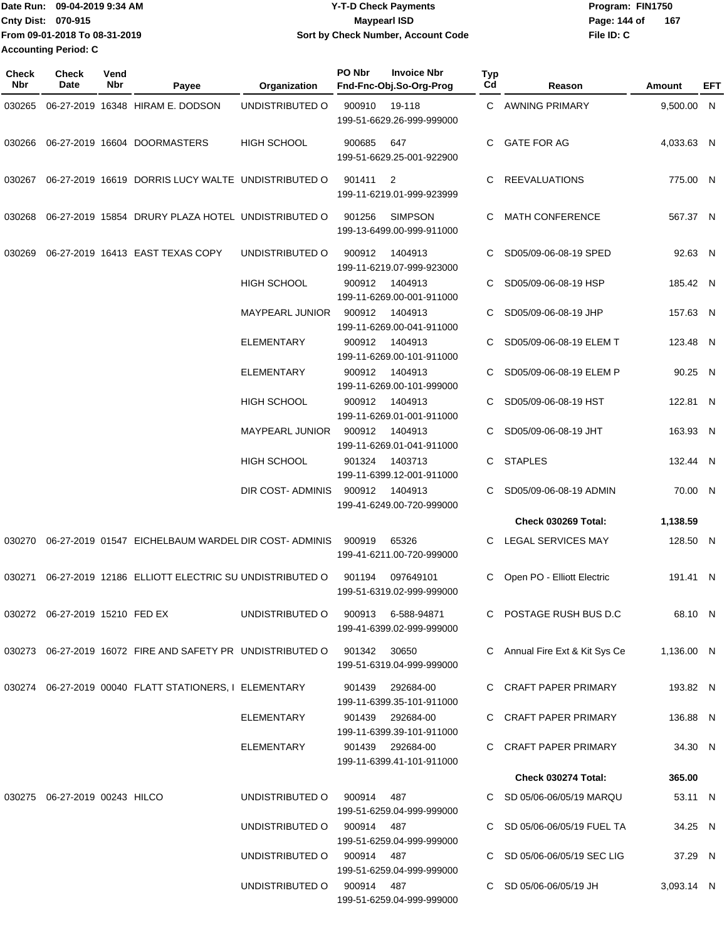Date Run: 09-04-2019 9:34 AM **Date Run:** 09-04-2019 9:34 AM **Program:** FIN1750 **Cnty Dist: 070-915 File ID: C From 09-01-2018 To 08-31-2019 09-04-2019 9:34 AM Y-T-D Check Payments 070-915 Maypearl ISD Sort by Check Number, Account Code** Page: 144 of 167 **Accounting Period: C**

| Check<br><b>Nbr</b> | <b>Check</b><br>Date                | Vend<br><b>Nbr</b> | Payee                                                                           | Organization                       | PO Nbr | <b>Invoice Nbr</b><br>Fnd-Fnc-Obj.So-Org-Prog  | <b>Typ</b><br>Cd | Reason                         | <b>Amount</b> | EFT |
|---------------------|-------------------------------------|--------------------|---------------------------------------------------------------------------------|------------------------------------|--------|------------------------------------------------|------------------|--------------------------------|---------------|-----|
| 030265              |                                     |                    | 06-27-2019 16348 HIRAM E. DODSON                                                | UNDISTRIBUTED O                    | 900910 | 19-118<br>199-51-6629.26-999-999000            |                  | C AWNING PRIMARY               | 9,500.00 N    |     |
| 030266              |                                     |                    | 06-27-2019 16604 DOORMASTERS                                                    | HIGH SCHOOL                        | 900685 | 647<br>199-51-6629.25-001-922900               | C.               | <b>GATE FOR AG</b>             | 4,033.63 N    |     |
| 030267              |                                     |                    | 06-27-2019 16619 DORRIS LUCY WALTE UNDISTRIBUTED O                              |                                    | 901411 | $\overline{2}$<br>199-11-6219.01-999-923999    | C                | <b>REEVALUATIONS</b>           | 775.00 N      |     |
| 030268              |                                     |                    | 06-27-2019 15854 DRURY PLAZA HOTEL UNDISTRIBUTED O                              |                                    | 901256 | <b>SIMPSON</b><br>199-13-6499.00-999-911000    | C                | <b>MATH CONFERENCE</b>         | 567.37 N      |     |
| 030269              |                                     |                    | 06-27-2019 16413 EAST TEXAS COPY                                                | UNDISTRIBUTED O                    | 900912 | 1404913<br>199-11-6219.07-999-923000           | C                | SD05/09-06-08-19 SPED          | 92.63 N       |     |
|                     |                                     |                    |                                                                                 | HIGH SCHOOL                        | 900912 | 1404913<br>199-11-6269.00-001-911000           | C.               | SD05/09-06-08-19 HSP           | 185.42 N      |     |
|                     |                                     |                    |                                                                                 | MAYPEARL JUNIOR                    | 900912 | 1404913<br>199-11-6269.00-041-911000           | C.               | SD05/09-06-08-19 JHP           | 157.63 N      |     |
|                     |                                     |                    |                                                                                 | <b>ELEMENTARY</b>                  | 900912 | 1404913<br>199-11-6269.00-101-911000           |                  | SD05/09-06-08-19 ELEM T        | 123.48 N      |     |
|                     |                                     |                    |                                                                                 | <b>ELEMENTARY</b>                  | 900912 | 1404913<br>199-11-6269.00-101-999000           |                  | SD05/09-06-08-19 ELEM P        | 90.25 N       |     |
|                     |                                     |                    |                                                                                 | <b>HIGH SCHOOL</b>                 | 900912 | 1404913<br>199-11-6269.01-001-911000           | C.               | SD05/09-06-08-19 HST           | 122.81 N      |     |
|                     |                                     |                    |                                                                                 | MAYPEARL JUNIOR                    | 900912 | 1404913<br>199-11-6269.01-041-911000           | C.               | SD05/09-06-08-19 JHT           | 163.93 N      |     |
|                     |                                     |                    |                                                                                 | HIGH SCHOOL                        | 901324 | 1403713<br>199-11-6399.12-001-911000           | C.               | <b>STAPLES</b>                 | 132.44 N      |     |
|                     |                                     |                    |                                                                                 | DIR COST- ADMINIS                  | 900912 | 1404913<br>199-41-6249.00-720-999000           | C.               | SD05/09-06-08-19 ADMIN         | 70.00 N       |     |
|                     |                                     |                    |                                                                                 |                                    |        |                                                |                  | Check 030269 Total:            | 1,138.59      |     |
| 030270              |                                     |                    | 06-27-2019 01547 EICHELBAUM WARDEL DIR COST-ADMINIS                             |                                    | 900919 | 65326<br>199-41-6211.00-720-999000             |                  | C LEGAL SERVICES MAY           | 128.50 N      |     |
| 030271              |                                     |                    | 06-27-2019 12186 ELLIOTT ELECTRIC SU UNDISTRIBUTED O                            |                                    | 901194 | 097649101<br>199-51-6319.02-999-999000         | C                | Open PO - Elliott Electric     | 191.41 N      |     |
|                     | 030272 06-27-2019 15210 FED EX      |                    |                                                                                 | UNDISTRIBUTED O 900913 6-588-94871 |        | 199-41-6399.02-999-999000                      |                  | C POSTAGE RUSH BUS D.C         | 68.10 N       |     |
|                     |                                     |                    | 030273  06-27-2019  16072  FIRE AND SAFETY PR  UNDISTRIBUTED   0  901342  30650 |                                    |        | 199-51-6319.04-999-999000                      |                  | C Annual Fire Ext & Kit Sys Ce | 1,136.00 N    |     |
|                     |                                     |                    | 030274  06-27-2019  00040  FLATT STATIONERS, I ELEMENTARY                       |                                    |        | 901439 292684-00<br>199-11-6399.35-101-911000  |                  | C CRAFT PAPER PRIMARY          | 193.82 N      |     |
|                     |                                     |                    |                                                                                 | ELEMENTARY                         |        | 901439  292684-00<br>199-11-6399.39-101-911000 |                  | C CRAFT PAPER PRIMARY          | 136.88 N      |     |
|                     |                                     |                    |                                                                                 | ELEMENTARY                         |        | 901439 292684-00<br>199-11-6399.41-101-911000  |                  | C CRAFT PAPER PRIMARY          | 34.30 N       |     |
|                     |                                     |                    |                                                                                 |                                    |        |                                                |                  | Check 030274 Total:            | 365.00        |     |
|                     | 030275   06-27-2019   00243   HILCO |                    |                                                                                 | UNDISTRIBUTED O 900914 487         |        | 199-51-6259.04-999-999000                      |                  | C SD 05/06-06/05/19 MARQU      | 53.11 N       |     |
|                     |                                     |                    |                                                                                 | UNDISTRIBUTED O 900914 487         |        | 199-51-6259.04-999-999000                      |                  | C SD 05/06-06/05/19 FUEL TA    | 34.25 N       |     |
|                     |                                     |                    |                                                                                 | UNDISTRIBUTED O 900914 487         |        | 199-51-6259.04-999-999000                      |                  | C SD 05/06-06/05/19 SEC LIG    | 37.29 N       |     |
|                     |                                     |                    |                                                                                 | UNDISTRIBUTED O 900914 487         |        | 199-51-6259.04-999-999000                      |                  | C SD 05/06-06/05/19 JH         | 3,093.14 N    |     |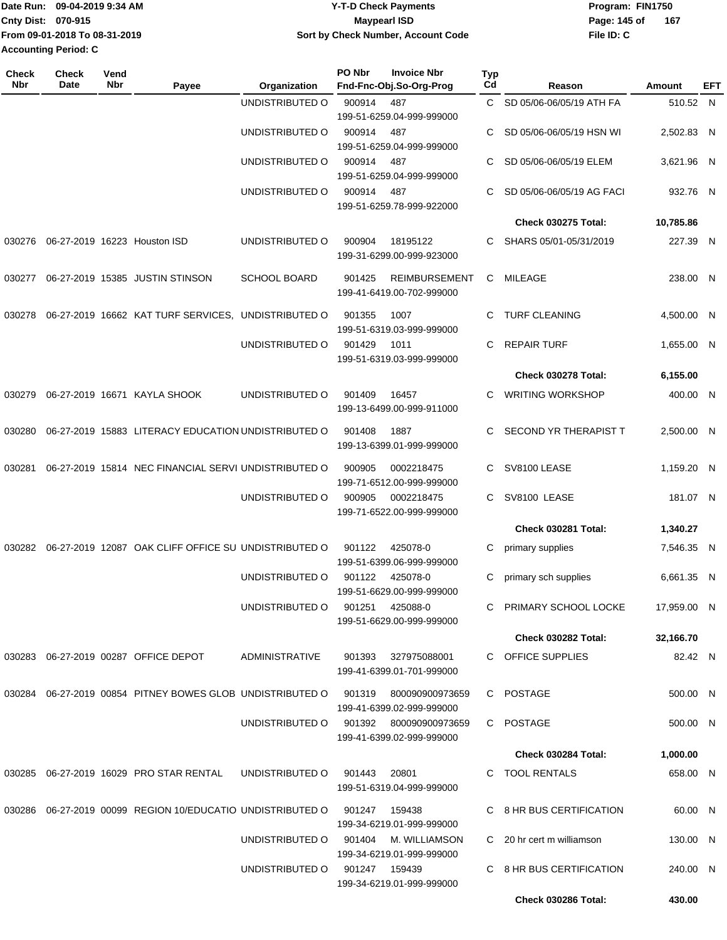|                             | Date Run: 09-04-2019 9:34 AM  | <b>Y-T-D Check Payments</b>        | Program: FIN1750 |     |  |  |
|-----------------------------|-------------------------------|------------------------------------|------------------|-----|--|--|
| Cnty Dist: 070-915          |                               | <b>Mavpearl ISD</b>                | Page: 145 of     | 167 |  |  |
|                             | From 09-01-2018 To 08-31-2019 | Sort by Check Number, Account Code | File ID: C       |     |  |  |
| <b>Accounting Period: C</b> |                               |                                    |                  |     |  |  |

| Check<br><b>Nbr</b> | <b>Check</b><br>Date | Vend<br>Nbr | Payee                                                            | Organization                  | PO Nbr        | <b>Invoice Nbr</b><br>Fnd-Fnc-Obj.So-Org-Prog     | <b>Typ</b><br>Cd | Reason                     | Amount      | EFT |
|---------------------|----------------------|-------------|------------------------------------------------------------------|-------------------------------|---------------|---------------------------------------------------|------------------|----------------------------|-------------|-----|
|                     |                      |             |                                                                  | UNDISTRIBUTED O               | 900914        | 487                                               | C.               | SD 05/06-06/05/19 ATH FA   | 510.52 N    |     |
|                     |                      |             |                                                                  |                               |               | 199-51-6259.04-999-999000                         |                  |                            |             |     |
|                     |                      |             |                                                                  | UNDISTRIBUTED O               | 900914        | 487                                               | C                | SD 05/06-06/05/19 HSN WI   | 2,502.83 N  |     |
|                     |                      |             |                                                                  |                               |               | 199-51-6259.04-999-999000                         |                  |                            |             |     |
|                     |                      |             |                                                                  | UNDISTRIBUTED O               | 900914        | 487<br>199-51-6259.04-999-999000                  | C                | SD 05/06-06/05/19 ELEM     | 3,621.96 N  |     |
|                     |                      |             |                                                                  | UNDISTRIBUTED O               | 900914        | 487                                               | C                | SD 05/06-06/05/19 AG FACI  | 932.76 N    |     |
|                     |                      |             |                                                                  |                               |               | 199-51-6259.78-999-922000                         |                  |                            |             |     |
|                     |                      |             |                                                                  |                               |               |                                                   |                  | <b>Check 030275 Total:</b> | 10,785.86   |     |
| 030276              |                      |             | 06-27-2019 16223 Houston ISD                                     | UNDISTRIBUTED O               | 900904        | 18195122                                          | C.               | SHARS 05/01-05/31/2019     | 227.39 N    |     |
|                     |                      |             |                                                                  |                               |               | 199-31-6299.00-999-923000                         |                  |                            |             |     |
|                     |                      |             |                                                                  |                               | 901425        |                                                   |                  |                            |             |     |
| 030277              |                      |             | 06-27-2019 15385 JUSTIN STINSON                                  | <b>SCHOOL BOARD</b>           |               | <b>REIMBURSEMENT</b><br>199-41-6419.00-702-999000 | C.               | MILEAGE                    | 238.00 N    |     |
|                     |                      |             |                                                                  |                               |               |                                                   |                  |                            |             |     |
| 030278              |                      |             | 06-27-2019 16662 KAT TURF SERVICES, UNDISTRIBUTED O              |                               | 901355        | 1007                                              | C.               | <b>TURF CLEANING</b>       | 4.500.00 N  |     |
|                     |                      |             |                                                                  | UNDISTRIBUTED O               | 901429        | 199-51-6319.03-999-999000<br>1011                 | C                | <b>REPAIR TURF</b>         |             |     |
|                     |                      |             |                                                                  |                               |               | 199-51-6319.03-999-999000                         |                  |                            | 1,655.00 N  |     |
|                     |                      |             |                                                                  |                               |               |                                                   |                  | Check 030278 Total:        | 6,155.00    |     |
| 030279              |                      |             | 06-27-2019 16671 KAYLA SHOOK                                     | UNDISTRIBUTED O               | 901409        | 16457                                             | C.               | <b>WRITING WORKSHOP</b>    | 400.00 N    |     |
|                     |                      |             |                                                                  |                               |               | 199-13-6499.00-999-911000                         |                  |                            |             |     |
|                     |                      |             |                                                                  |                               |               |                                                   |                  |                            |             |     |
| 030280              |                      |             | 06-27-2019 15883 LITERACY EDUCATION UNDISTRIBUTED O              |                               | 901408        | 1887                                              | C.               | SECOND YR THERAPIST T      | 2,500.00 N  |     |
|                     |                      |             |                                                                  |                               |               | 199-13-6399.01-999-999000                         |                  |                            |             |     |
| 030281              |                      |             | 06-27-2019 15814 NEC FINANCIAL SERVI UNDISTRIBUTED O             |                               | 900905        | 0002218475                                        | C                | SV8100 LEASE               | 1,159.20 N  |     |
|                     |                      |             |                                                                  |                               |               | 199-71-6512.00-999-999000                         |                  |                            |             |     |
|                     |                      |             |                                                                  | UNDISTRIBUTED O               | 900905        | 0002218475                                        | C                | SV8100 LEASE               | 181.07 N    |     |
|                     |                      |             |                                                                  |                               |               | 199-71-6522.00-999-999000                         |                  |                            |             |     |
|                     |                      |             |                                                                  |                               |               |                                                   |                  | Check 030281 Total:        | 1,340.27    |     |
| 030282              |                      |             | 06-27-2019 12087 OAK CLIFF OFFICE SU UNDISTRIBUTED O             |                               | 901122        | 425078-0<br>199-51-6399.06-999-999000             | С                | primary supplies           | 7,546.35 N  |     |
|                     |                      |             |                                                                  | UNDISTRIBUTED O               | 901122        | 425078-0                                          | С                | primary sch supplies       | 6,661.35 N  |     |
|                     |                      |             |                                                                  |                               |               | 199-51-6629.00-999-999000                         |                  |                            |             |     |
|                     |                      |             |                                                                  | UNDISTRIBUTED O               | 901251        | 425088-0                                          | C                | PRIMARY SCHOOL LOCKE       | 17,959.00 N |     |
|                     |                      |             |                                                                  |                               |               | 199-51-6629.00-999-999000                         |                  |                            |             |     |
|                     |                      |             |                                                                  |                               |               |                                                   |                  | Check 030282 Total:        | 32,166.70   |     |
|                     |                      |             | 030283 06-27-2019 00287 OFFICE DEPOT                             | ADMINISTRATIVE                |               | 901393 327975088001                               |                  | C OFFICE SUPPLIES          | 82.42 N     |     |
|                     |                      |             |                                                                  |                               |               | 199-41-6399.01-701-999000                         |                  |                            |             |     |
|                     |                      |             | 030284 06-27-2019 00854 PITNEY BOWES GLOB UNDISTRIBUTED O        |                               | 901319        | 800090900973659                                   |                  | C POSTAGE                  | 500.00 N    |     |
|                     |                      |             |                                                                  |                               |               | 199-41-6399.02-999-999000                         |                  |                            |             |     |
|                     |                      |             |                                                                  | UNDISTRIBUTED O               |               | 901392  800090900973659                           |                  | C POSTAGE                  | 500.00 N    |     |
|                     |                      |             |                                                                  |                               |               | 199-41-6399.02-999-999000                         |                  |                            |             |     |
|                     |                      |             |                                                                  |                               |               |                                                   |                  | Check 030284 Total:        | 1,000.00    |     |
|                     |                      |             | 030285 06-27-2019 16029 PRO STAR RENTAL                          | UNDISTRIBUTED O               | 901443        | 20801                                             |                  | C TOOL RENTALS             | 658.00 N    |     |
|                     |                      |             |                                                                  |                               |               | 199-51-6319.04-999-999000                         |                  |                            |             |     |
|                     |                      |             | 030286  06-27-2019  00099  REGION  10/EDUCATIO  UNDISTRIBUTED  O |                               | 901247 159438 |                                                   |                  | C 8 HR BUS CERTIFICATION   | 60.00 N     |     |
|                     |                      |             |                                                                  |                               |               | 199-34-6219.01-999-999000                         |                  |                            |             |     |
|                     |                      |             |                                                                  | UNDISTRIBUTED O               |               | 901404      M. WILLIAMSON                         |                  | C 20 hr cert m williamson  | 130.00 N    |     |
|                     |                      |             |                                                                  |                               |               | 199-34-6219.01-999-999000                         |                  |                            |             |     |
|                     |                      |             |                                                                  | UNDISTRIBUTED 0 901247 159439 |               |                                                   |                  | C 8 HR BUS CERTIFICATION   | 240.00 N    |     |
|                     |                      |             |                                                                  |                               |               | 199-34-6219.01-999-999000                         |                  |                            |             |     |
|                     |                      |             |                                                                  |                               |               |                                                   |                  | Check 030286 Total:        | 430.00      |     |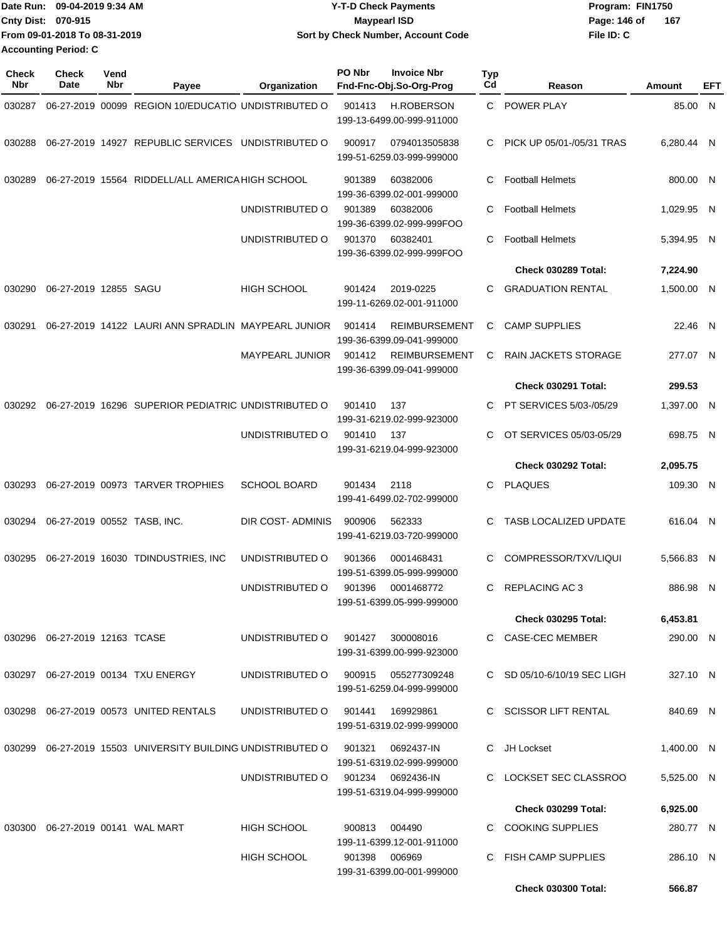| Date Run: 09-04-2019 9:34 AM |                               | <b>Y-T-D Check Payments</b>        | Program: FIN1750      |  |  |  |
|------------------------------|-------------------------------|------------------------------------|-----------------------|--|--|--|
| <b>Cnty Dist: 070-915</b>    |                               | <b>Mavpearl ISD</b>                | - 167<br>Page: 146 of |  |  |  |
|                              | From 09-01-2018 To 08-31-2019 | Sort by Check Number, Account Code | File ID: C            |  |  |  |
| Accounting Period: C         |                               |                                    |                       |  |  |  |

| <b>Check</b><br>Nbr | <b>Check</b><br>Date             | Vend<br>Nbr | Payee                                                       | Organization        | PO Nbr        | <b>Invoice Nbr</b><br>Fnd-Fnc-Obj.So-Org-Prog     | Typ<br>Cd | Reason                       | Amount     | EFT |
|---------------------|----------------------------------|-------------|-------------------------------------------------------------|---------------------|---------------|---------------------------------------------------|-----------|------------------------------|------------|-----|
| 030287              |                                  |             | 06-27-2019 00099 REGION 10/EDUCATIO UNDISTRIBUTED O         |                     | 901413        | <b>H.ROBERSON</b><br>199-13-6499.00-999-911000    |           | C POWER PLAY                 | 85.00 N    |     |
| 030288              |                                  |             | 06-27-2019 14927 REPUBLIC SERVICES UNDISTRIBUTED O          |                     | 900917        | 0794013505838<br>199-51-6259.03-999-999000        | C.        | PICK UP 05/01-/05/31 TRAS    | 6,280.44 N |     |
| 030289              |                                  |             | 06-27-2019 15564 RIDDELL/ALL AMERICA HIGH SCHOOL            |                     | 901389        | 60382006<br>199-36-6399.02-001-999000             | C         | <b>Football Helmets</b>      | 800.00 N   |     |
|                     |                                  |             |                                                             | UNDISTRIBUTED O     | 901389        | 60382006<br>199-36-6399.02-999-999FOO             | C         | <b>Football Helmets</b>      | 1,029.95 N |     |
|                     |                                  |             |                                                             | UNDISTRIBUTED O     | 901370        | 60382401<br>199-36-6399.02-999-999FOO             | С         | <b>Football Helmets</b>      | 5,394.95 N |     |
|                     |                                  |             |                                                             |                     |               |                                                   |           | <b>Check 030289 Total:</b>   | 7,224.90   |     |
| 030290              | 06-27-2019 12855 SAGU            |             |                                                             | <b>HIGH SCHOOL</b>  | 901424        | 2019-0225<br>199-11-6269.02-001-911000            | C         | <b>GRADUATION RENTAL</b>     | 1,500.00 N |     |
| 030291              |                                  |             | 06-27-2019 14122 LAURI ANN SPRADLIN MAYPEARL JUNIOR         |                     | 901414        | <b>REIMBURSEMENT</b><br>199-36-6399.09-041-999000 | C.        | <b>CAMP SUPPLIES</b>         | 22.46 N    |     |
|                     |                                  |             |                                                             | MAYPEARL JUNIOR     | 901412        | <b>REIMBURSEMENT</b><br>199-36-6399.09-041-999000 | C         | <b>RAIN JACKETS STORAGE</b>  | 277.07 N   |     |
|                     |                                  |             |                                                             |                     |               |                                                   |           | Check 030291 Total:          | 299.53     |     |
| 030292              |                                  |             | 06-27-2019 16296 SUPERIOR PEDIATRIC UNDISTRIBUTED O         |                     | 901410        | 137<br>199-31-6219.02-999-923000                  | C         | PT SERVICES 5/03-/05/29      | 1,397.00 N |     |
|                     |                                  |             |                                                             | UNDISTRIBUTED O     | 901410        | 137<br>199-31-6219.04-999-923000                  | C         | OT SERVICES 05/03-05/29      | 698.75 N   |     |
|                     |                                  |             |                                                             |                     |               |                                                   |           | <b>Check 030292 Total:</b>   | 2,095.75   |     |
| 030293              |                                  |             | 06-27-2019 00973 TARVER TROPHIES                            | <b>SCHOOL BOARD</b> | 901434        | 2118<br>199-41-6499.02-702-999000                 | C         | <b>PLAQUES</b>               | 109.30 N   |     |
| 030294              |                                  |             | 06-27-2019 00552 TASB, INC.                                 | DIR COST-ADMINIS    | 900906        | 562333<br>199-41-6219.03-720-999000               | C         | <b>TASB LOCALIZED UPDATE</b> | 616.04 N   |     |
| 030295              |                                  |             | 06-27-2019 16030 TDINDUSTRIES, INC                          | UNDISTRIBUTED O     | 901366        | 0001468431<br>199-51-6399.05-999-999000           | C         | COMPRESSOR/TXV/LIQUI         | 5,566.83 N |     |
|                     |                                  |             |                                                             | UNDISTRIBUTED O     | 901396        | 0001468772<br>199-51-6399.05-999-999000           | C.        | <b>REPLACING AC3</b>         | 886.98 N   |     |
|                     |                                  |             |                                                             |                     |               |                                                   |           | <b>Check 030295 Total:</b>   | 6,453.81   |     |
|                     | 030296  06-27-2019  12163  TCASE |             |                                                             | UNDISTRIBUTED O     | 901427        | 300008016<br>199-31-6399.00-999-923000            |           | C CASE-CEC MEMBER            | 290.00 N   |     |
|                     |                                  |             | 030297  06-27-2019  00134  TXU ENERGY                       | UNDISTRIBUTED O     |               | 900915 055277309248<br>199-51-6259.04-999-999000  |           | C SD 05/10-6/10/19 SEC LIGH  | 327.10 N   |     |
|                     |                                  |             | 030298  06-27-2019  00573  UNITED RENTALS                   | UNDISTRIBUTED O     | 901441        | 169929861<br>199-51-6319.02-999-999000            |           | C SCISSOR LIFT RENTAL        | 840.69 N   |     |
|                     |                                  |             | 030299 06-27-2019 15503 UNIVERSITY BUILDING UNDISTRIBUTED O |                     | 901321        | 0692437-IN<br>199-51-6319.02-999-999000           |           | C JH Lockset                 | 1,400.00 N |     |
|                     |                                  |             |                                                             | UNDISTRIBUTED O     |               | 901234 0692436-IN<br>199-51-6319.04-999-999000    |           | C LOCKSET SEC CLASSROO       | 5,525.00 N |     |
|                     |                                  |             |                                                             |                     |               |                                                   |           | <b>Check 030299 Total:</b>   | 6,925.00   |     |
|                     | 030300 06-27-2019 00141 WAL MART |             |                                                             | HIGH SCHOOL         | 900813        | 004490<br>199-11-6399.12-001-911000               |           | C COOKING SUPPLIES           | 280.77 N   |     |
|                     |                                  |             |                                                             | HIGH SCHOOL         | 901398 006969 | 199-31-6399.00-001-999000                         |           | C FISH CAMP SUPPLIES         | 286.10 N   |     |
|                     |                                  |             |                                                             |                     |               |                                                   |           | <b>Check 030300 Total:</b>   | 566.87     |     |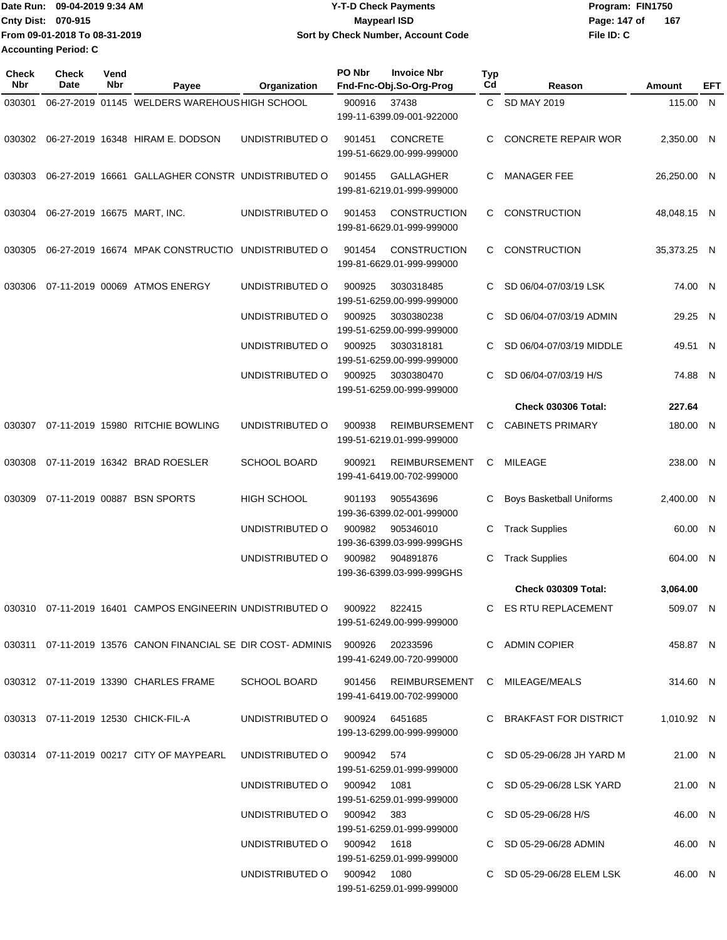| Date Run: 09-04-2019 9:34 AM  | <b>Y-T-D Check Payments</b>        | Program: FIN1750    |  |  |  |
|-------------------------------|------------------------------------|---------------------|--|--|--|
| <b>Cnty Dist: 070-915</b>     | <b>Mavpearl ISD</b>                | 167<br>Page: 147 of |  |  |  |
| From 09-01-2018 To 08-31-2019 | Sort by Check Number, Account Code | File ID: C          |  |  |  |
| <b>Accounting Period: C</b>   |                                    |                     |  |  |  |

| <b>Check</b><br>Nbr | Check<br>Date | Vend<br>Nbr | Payee                                                                           | Organization                   | PO Nbr | <b>Invoice Nbr</b><br>Fnd-Fnc-Obj.So-Org-Prog                                 | <b>Typ</b><br>Cd | Reason                     | Amount      | EFT |
|---------------------|---------------|-------------|---------------------------------------------------------------------------------|--------------------------------|--------|-------------------------------------------------------------------------------|------------------|----------------------------|-------------|-----|
| 030301              |               |             | 06-27-2019 01145 WELDERS WAREHOUS HIGH SCHOOL                                   |                                | 900916 | 37438                                                                         |                  | C SD MAY 2019              | 115.00 N    |     |
|                     |               |             |                                                                                 |                                |        | 199-11-6399.09-001-922000                                                     |                  |                            |             |     |
| 030302              |               |             | 06-27-2019 16348 HIRAM E. DODSON                                                | UNDISTRIBUTED O                | 901451 | <b>CONCRETE</b><br>199-51-6629.00-999-999000                                  | C                | <b>CONCRETE REPAIR WOR</b> | 2,350.00 N  |     |
| 030303              |               |             | 06-27-2019 16661 GALLAGHER CONSTR UNDISTRIBUTED O                               |                                | 901455 | GALLAGHER<br>199-81-6219.01-999-999000                                        | C                | <b>MANAGER FEE</b>         | 26,250.00 N |     |
| 030304              |               |             | 06-27-2019 16675 MART, INC.                                                     | UNDISTRIBUTED O                | 901453 | <b>CONSTRUCTION</b><br>199-81-6629.01-999-999000                              | C.               | CONSTRUCTION               | 48,048.15 N |     |
| 030305              |               |             | 06-27-2019 16674 MPAK CONSTRUCTIO UNDISTRIBUTED O                               |                                | 901454 | <b>CONSTRUCTION</b><br>199-81-6629.01-999-999000                              | C                | <b>CONSTRUCTION</b>        | 35,373.25 N |     |
| 030306              |               |             | 07-11-2019 00069 ATMOS ENERGY                                                   | UNDISTRIBUTED O                | 900925 | 3030318485<br>199-51-6259.00-999-999000                                       | C                | SD 06/04-07/03/19 LSK      | 74.00 N     |     |
|                     |               |             |                                                                                 | UNDISTRIBUTED O                | 900925 | 3030380238<br>199-51-6259.00-999-999000                                       | C                | SD 06/04-07/03/19 ADMIN    | 29.25 N     |     |
|                     |               |             |                                                                                 | UNDISTRIBUTED O                | 900925 | 3030318181<br>199-51-6259.00-999-999000                                       | C                | SD 06/04-07/03/19 MIDDLE   | 49.51 N     |     |
|                     |               |             |                                                                                 | UNDISTRIBUTED O                | 900925 | 3030380470<br>199-51-6259.00-999-999000                                       | C                | SD 06/04-07/03/19 H/S      | 74.88 N     |     |
|                     |               |             |                                                                                 |                                |        |                                                                               |                  | <b>Check 030306 Total:</b> | 227.64      |     |
| 030307              |               |             | 07-11-2019 15980 RITCHIE BOWLING                                                | UNDISTRIBUTED O                | 900938 | <b>REIMBURSEMENT</b><br>199-51-6219.01-999-999000                             | C                | <b>CABINETS PRIMARY</b>    | 180.00 N    |     |
| 030308              |               |             | 07-11-2019 16342 BRAD ROESLER                                                   | SCHOOL BOARD                   | 900921 | <b>REIMBURSEMENT</b><br>199-41-6419.00-702-999000                             |                  | C MILEAGE                  | 238.00 N    |     |
| 030309              |               |             | 07-11-2019 00887 BSN SPORTS                                                     | <b>HIGH SCHOOL</b>             | 901193 | 905543696<br>199-36-6399.02-001-999000                                        | C                | Boys Basketball Uniforms   | 2,400.00 N  |     |
|                     |               |             |                                                                                 | UNDISTRIBUTED O                | 900982 | 905346010<br>199-36-6399.03-999-999GHS                                        | C                | <b>Track Supplies</b>      | 60.00 N     |     |
|                     |               |             |                                                                                 | UNDISTRIBUTED O                | 900982 | 904891876<br>199-36-6399.03-999-999GHS                                        | C                | <b>Track Supplies</b>      | 604.00 N    |     |
|                     |               |             |                                                                                 |                                |        |                                                                               |                  | <b>Check 030309 Total:</b> | 3,064.00    |     |
|                     |               |             | 030310  07-11-2019  16401  CAMPOS ENGINEERIN UNDISTRIBUTED   0   900922  822415 |                                |        | 199-51-6249.00-999-999000                                                     |                  | C ES RTU REPLACEMENT       | 509.07 N    |     |
|                     |               |             | 030311 07-11-2019 13576 CANON FINANCIAL SE DIR COST-ADMINIS 900926 20233596     |                                |        | 199-41-6249.00-720-999000                                                     |                  | C ADMIN COPIER             | 458.87 N    |     |
|                     |               |             | 030312 07-11-2019 13390 CHARLES FRAME                                           | SCHOOL BOARD                   |        | 901456      REIMBURSEMENT     C    MILEAGE/MEALS<br>199-41-6419.00-702-999000 |                  |                            | 314.60 N    |     |
|                     |               |             | 030313 07-11-2019 12530 CHICK-FIL-A                                             | UNDISTRIBUTED O 900924 6451685 |        | 199-13-6299.00-999-999000                                                     |                  | C BRAKFAST FOR DISTRICT    | 1,010.92 N  |     |
|                     |               |             | 030314 07-11-2019 00217 CITY OF MAYPEARL                                        | UNDISTRIBUTED O 900942 574     |        | 199-51-6259.01-999-999000                                                     |                  | C SD 05-29-06/28 JH YARD M | 21.00 N     |     |
|                     |               |             |                                                                                 | UNDISTRIBUTED O 900942 1081    |        | 199-51-6259.01-999-999000                                                     |                  | C SD 05-29-06/28 LSK YARD  | 21.00 N     |     |
|                     |               |             |                                                                                 | UNDISTRIBUTED O 900942 383     |        | 199-51-6259.01-999-999000                                                     |                  | C SD 05-29-06/28 H/S       | 46.00 N     |     |
|                     |               |             |                                                                                 | UNDISTRIBUTED O 900942 1618    |        | 199-51-6259.01-999-999000                                                     |                  | C SD 05-29-06/28 ADMIN     | 46.00 N     |     |
|                     |               |             |                                                                                 | UNDISTRIBUTED O 900942 1080    |        | 199-51-6259.01-999-999000                                                     |                  | C SD 05-29-06/28 ELEM LSK  | 46.00 N     |     |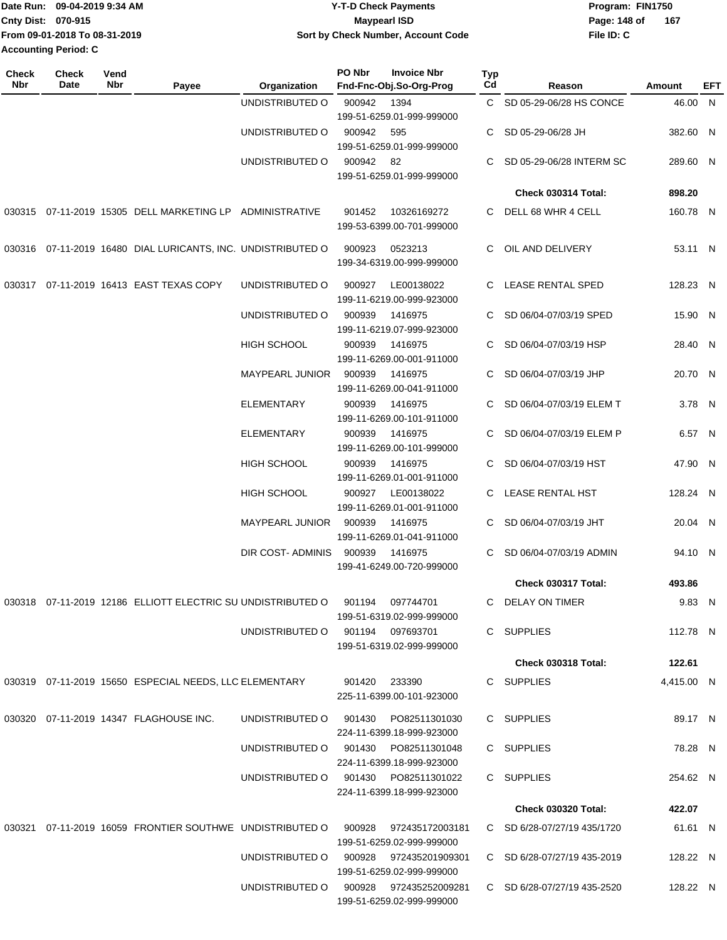| Date Run: 09-04-2019 9:34 AM |                               | Y-T-D Check Payments               | Program: FIN1750    |  |  |
|------------------------------|-------------------------------|------------------------------------|---------------------|--|--|
| <b>Cnty Dist: 070-915</b>    |                               | <b>Mavpearl ISD</b>                | 167<br>Page: 148 of |  |  |
|                              | From 09-01-2018 To 08-31-2019 | Sort by Check Number, Account Code | File ID: C          |  |  |
| <b>Accounting Period: C</b>  |                               |                                    |                     |  |  |

| Check<br>Nbr | Check<br>Date | Vend<br>Nbr | Payee                                                                           | Organization                           | PO Nbr        | <b>Invoice Nbr</b><br>Fnd-Fnc-Obj.So-Org-Prog          | Typ<br>Cd | Reason                        | Amount     | EFT |
|--------------|---------------|-------------|---------------------------------------------------------------------------------|----------------------------------------|---------------|--------------------------------------------------------|-----------|-------------------------------|------------|-----|
|              |               |             |                                                                                 | UNDISTRIBUTED O                        | 900942        | 1394                                                   |           | C SD 05-29-06/28 HS CONCE     | 46.00 N    |     |
|              |               |             |                                                                                 |                                        |               | 199-51-6259.01-999-999000                              |           |                               |            |     |
|              |               |             |                                                                                 | UNDISTRIBUTED O                        | 900942        | 595                                                    |           | SD 05-29-06/28 JH             | 382.60 N   |     |
|              |               |             |                                                                                 |                                        |               | 199-51-6259.01-999-999000                              |           |                               |            |     |
|              |               |             |                                                                                 | UNDISTRIBUTED O                        | 900942        | 82<br>199-51-6259.01-999-999000                        | C.        | SD 05-29-06/28 INTERM SC      | 289.60 N   |     |
|              |               |             |                                                                                 |                                        |               |                                                        |           | Check 030314 Total:           | 898.20     |     |
|              |               |             | 030315 07-11-2019 15305 DELL MARKETING LP ADMINISTRATIVE                        |                                        | 901452        | 10326169272<br>199-53-6399.00-701-999000               |           | C DELL 68 WHR 4 CELL          | 160.78 N   |     |
|              |               |             | 030316 07-11-2019 16480 DIAL LURICANTS, INC. UNDISTRIBUTED O                    |                                        | 900923        | 0523213<br>199-34-6319.00-999-999000                   |           | C OIL AND DELIVERY            | 53.11 N    |     |
|              |               |             | 030317 07-11-2019 16413 EAST TEXAS COPY                                         | UNDISTRIBUTED O                        | 900927        | LE00138022<br>199-11-6219.00-999-923000                |           | C LEASE RENTAL SPED           | 128.23 N   |     |
|              |               |             |                                                                                 | UNDISTRIBUTED O                        | 900939        | 1416975<br>199-11-6219.07-999-923000                   |           | C SD 06/04-07/03/19 SPED      | 15.90 N    |     |
|              |               |             |                                                                                 | <b>HIGH SCHOOL</b>                     | 900939        | 1416975<br>199-11-6269.00-001-911000                   |           | C SD 06/04-07/03/19 HSP       | 28.40 N    |     |
|              |               |             |                                                                                 | <b>MAYPEARL JUNIOR</b>                 | 900939        | 1416975<br>199-11-6269.00-041-911000                   |           | SD 06/04-07/03/19 JHP         | 20.70 N    |     |
|              |               |             |                                                                                 | <b>ELEMENTARY</b>                      | 900939        | 1416975<br>199-11-6269.00-101-911000                   | C.        | SD 06/04-07/03/19 ELEM T      | 3.78 N     |     |
|              |               |             |                                                                                 | <b>ELEMENTARY</b>                      | 900939        | 1416975<br>199-11-6269.00-101-999000                   |           | SD 06/04-07/03/19 ELEM P      | 6.57 N     |     |
|              |               |             |                                                                                 | HIGH SCHOOL                            | 900939        | 1416975<br>199-11-6269.01-001-911000                   |           | C SD 06/04-07/03/19 HST       | 47.90 N    |     |
|              |               |             |                                                                                 | <b>HIGH SCHOOL</b>                     | 900927        | LE00138022<br>199-11-6269.01-001-911000                |           | C LEASE RENTAL HST            | 128.24 N   |     |
|              |               |             |                                                                                 | MAYPEARL JUNIOR                        | 900939        | 1416975<br>199-11-6269.01-041-911000                   | C.        | SD 06/04-07/03/19 JHT         | 20.04 N    |     |
|              |               |             |                                                                                 | <b>DIR COST- ADMINIS</b>               | 900939        | 1416975<br>199-41-6249.00-720-999000                   | C         | SD 06/04-07/03/19 ADMIN       | 94.10 N    |     |
|              |               |             |                                                                                 |                                        |               |                                                        |           | Check 030317 Total:           | 493.86     |     |
|              |               |             | 030318 07-11-2019 12186 ELLIOTT ELECTRIC SU UNDISTRIBUTED O 901194              |                                        |               | 097744701                                              |           | C DELAY ON TIMER              | 9.83 N     |     |
|              |               |             |                                                                                 |                                        |               | 199-51-6319.02-999-999000                              |           |                               |            |     |
|              |               |             |                                                                                 | UNDISTRIBUTED O 901194 097693701       |               | 199-51-6319.02-999-999000                              |           | C SUPPLIES                    | 112.78 N   |     |
|              |               |             |                                                                                 |                                        |               |                                                        |           | <b>Check 030318 Total:</b>    | 122.61     |     |
|              |               |             | 030319  07-11-2019  15650  ESPECIAL NEEDS, LLC ELEMENTARY                       |                                        | 901420 233390 | 225-11-6399.00-101-923000                              |           | C SUPPLIES                    | 4,415.00 N |     |
|              |               |             | 030320 07-11-2019 14347 FLAGHOUSE INC.                                          | UNDISTRIBUTED O 901430 PO82511301030   |               | 224-11-6399.18-999-923000                              |           | C SUPPLIES                    | 89.17 N    |     |
|              |               |             |                                                                                 | UNDISTRIBUTED O 901430 PO82511301048   |               | 224-11-6399.18-999-923000                              |           | C SUPPLIES                    | 78.28 N    |     |
|              |               |             |                                                                                 | UNDISTRIBUTED O 901430 PO82511301022   |               | 224-11-6399.18-999-923000                              |           | C SUPPLIES                    | 254.62 N   |     |
|              |               |             |                                                                                 |                                        |               |                                                        |           | <b>Check 030320 Total:</b>    | 422.07     |     |
|              |               |             | 030321 07-11-2019 16059 FRONTIER SOUTHWE UNDISTRIBUTED O 900928 972435172003181 |                                        |               |                                                        |           | C SD 6/28-07/27/19 435/1720   | 61.61 N    |     |
|              |               |             |                                                                                 | UNDISTRIBUTED O 900928 972435201909301 |               | 199-51-6259.02-999-999000                              |           | C SD $6/28-07/27/19$ 435-2019 | 128.22 N   |     |
|              |               |             |                                                                                 | UNDISTRIBUTED O 900928 972435252009281 |               | 199-51-6259.02-999-999000<br>199-51-6259.02-999-999000 |           | C SD 6/28-07/27/19 435-2520   | 128.22 N   |     |
|              |               |             |                                                                                 |                                        |               |                                                        |           |                               |            |     |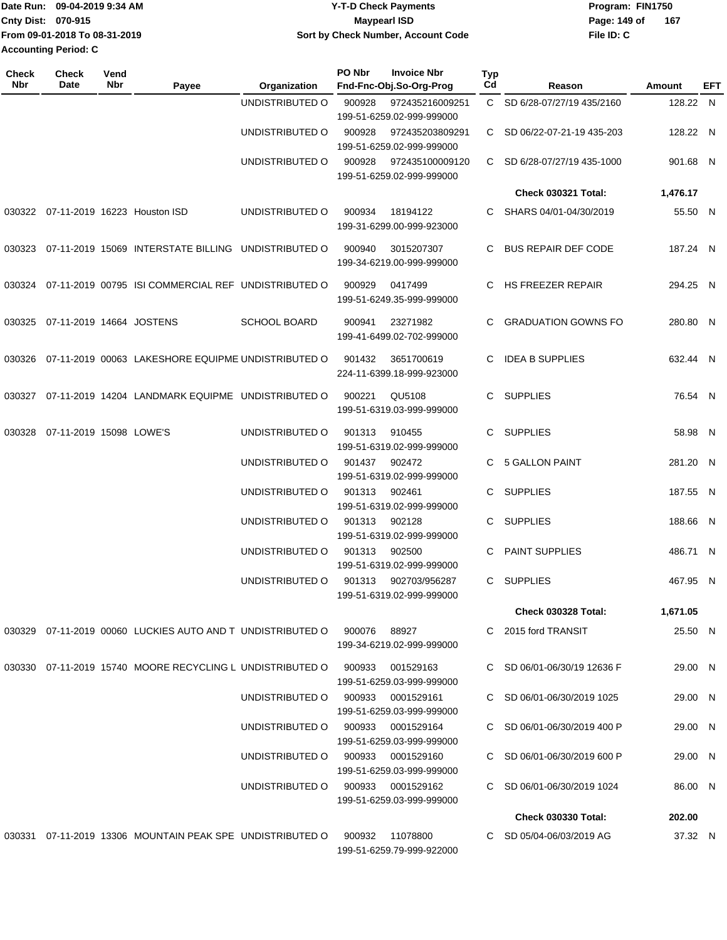| IDate Run: 09-04-2019 9:34 AM | <b>Y-T-D Check Payments</b>        | Program: FIN1750    |  |  |
|-------------------------------|------------------------------------|---------------------|--|--|
| <b>Cnty Dist: 070-915</b>     | <b>Mavpearl ISD</b>                | 167<br>Page: 149 of |  |  |
| From 09-01-2018 To 08-31-2019 | Sort by Check Number, Account Code | File ID: C          |  |  |
| Accounting Period: C          |                                    |                     |  |  |

| Check<br><b>Nbr</b> | Check<br>Date            | Vend<br>Nbr | Payee                                                                             | Organization                      | PO Nbr | <b>Invoice Nbr</b><br>Fnd-Fnc-Obj.So-Org-Prog | Typ<br>Cd    | Reason                      | Amount   | EFT |
|---------------------|--------------------------|-------------|-----------------------------------------------------------------------------------|-----------------------------------|--------|-----------------------------------------------|--------------|-----------------------------|----------|-----|
|                     |                          |             |                                                                                   | UNDISTRIBUTED O                   | 900928 | 972435216009251<br>199-51-6259.02-999-999000  | $\mathbf{C}$ | SD 6/28-07/27/19 435/2160   | 128.22 N |     |
|                     |                          |             |                                                                                   | UNDISTRIBUTED O                   | 900928 | 972435203809291<br>199-51-6259.02-999-999000  | C.           | SD 06/22-07-21-19 435-203   | 128.22 N |     |
|                     |                          |             |                                                                                   | UNDISTRIBUTED O                   | 900928 | 972435100009120<br>199-51-6259.02-999-999000  | C.           | SD 6/28-07/27/19 435-1000   | 901.68 N |     |
|                     |                          |             |                                                                                   |                                   |        |                                               |              | <b>Check 030321 Total:</b>  | 1,476.17 |     |
|                     |                          |             | 030322 07-11-2019 16223 Houston ISD                                               | UNDISTRIBUTED O                   | 900934 | 18194122<br>199-31-6299.00-999-923000         | C.           | SHARS 04/01-04/30/2019      | 55.50 N  |     |
| 030323              |                          |             | 07-11-2019 15069 INTERSTATE BILLING UNDISTRIBUTED O                               |                                   | 900940 | 3015207307<br>199-34-6219.00-999-999000       | C.           | <b>BUS REPAIR DEF CODE</b>  | 187.24 N |     |
| 030324              |                          |             | 07-11-2019 00795 ISI COMMERCIAL REF UNDISTRIBUTED O                               |                                   | 900929 | 0417499<br>199-51-6249.35-999-999000          | C.           | <b>HS FREEZER REPAIR</b>    | 294.25 N |     |
| 030325              | 07-11-2019 14664 JOSTENS |             |                                                                                   | <b>SCHOOL BOARD</b>               | 900941 | 23271982<br>199-41-6499.02-702-999000         | C.           | <b>GRADUATION GOWNS FO</b>  | 280.80 N |     |
| 030326              |                          |             | 07-11-2019 00063 LAKESHORE EQUIPME UNDISTRIBUTED O                                |                                   | 901432 | 3651700619<br>224-11-6399.18-999-923000       | C.           | <b>IDEA B SUPPLIES</b>      | 632.44 N |     |
| 030327              |                          |             | 07-11-2019 14204 LANDMARK EQUIPME UNDISTRIBUTED O                                 |                                   | 900221 | QU5108<br>199-51-6319.03-999-999000           | $\mathbf{C}$ | <b>SUPPLIES</b>             | 76.54 N  |     |
| 030328              | 07-11-2019 15098 LOWE'S  |             |                                                                                   | UNDISTRIBUTED O                   | 901313 | 910455<br>199-51-6319.02-999-999000           | C.           | <b>SUPPLIES</b>             | 58.98 N  |     |
|                     |                          |             |                                                                                   | UNDISTRIBUTED O                   | 901437 | 902472<br>199-51-6319.02-999-999000           |              | 5 GALLON PAINT              | 281.20 N |     |
|                     |                          |             |                                                                                   | UNDISTRIBUTED O                   | 901313 | 902461<br>199-51-6319.02-999-999000           | C.           | <b>SUPPLIES</b>             | 187.55 N |     |
|                     |                          |             |                                                                                   | UNDISTRIBUTED O                   | 901313 | 902128<br>199-51-6319.02-999-999000           | C            | <b>SUPPLIES</b>             | 188.66 N |     |
|                     |                          |             |                                                                                   | UNDISTRIBUTED O                   | 901313 | 902500<br>199-51-6319.02-999-999000           | C            | <b>PAINT SUPPLIES</b>       | 486.71 N |     |
|                     |                          |             |                                                                                   | UNDISTRIBUTED O                   | 901313 | 902703/956287<br>199-51-6319.02-999-999000    | C.           | <b>SUPPLIES</b>             | 467.95 N |     |
|                     |                          |             |                                                                                   |                                   |        |                                               |              | <b>Check 030328 Total:</b>  | 1,671.05 |     |
|                     |                          |             | 030329  07-11-2019  00060  LUCKIES  AUTO  AND T  UNDISTRIBUTED   0  900076  88927 |                                   |        | 199-34-6219.02-999-999000                     |              | C 2015 ford TRANSIT         | 25.50 N  |     |
|                     |                          |             | 030330 07-11-2019 15740 MOORE RECYCLING L UNDISTRIBUTED O                         |                                   | 900933 | 001529163<br>199-51-6259.03-999-999000        |              | C SD 06/01-06/30/19 12636 F | 29.00 N  |     |
|                     |                          |             |                                                                                   | UNDISTRIBUTED O                   | 900933 | 0001529161<br>199-51-6259.03-999-999000       |              | C SD 06/01-06/30/2019 1025  | 29.00 N  |     |
|                     |                          |             |                                                                                   | UNDISTRIBUTED O                   | 900933 | 0001529164<br>199-51-6259.03-999-999000       |              | C SD 06/01-06/30/2019 400 P | 29.00 N  |     |
|                     |                          |             |                                                                                   | UNDISTRIBUTED O                   | 900933 | 0001529160<br>199-51-6259.03-999-999000       |              | C SD 06/01-06/30/2019 600 P | 29.00 N  |     |
|                     |                          |             |                                                                                   | UNDISTRIBUTED O 900933 0001529162 |        | 199-51-6259.03-999-999000                     |              | C SD 06/01-06/30/2019 1024  | 86.00 N  |     |
|                     |                          |             |                                                                                   |                                   |        |                                               |              | <b>Check 030330 Total:</b>  | 202.00   |     |
|                     |                          |             | 030331 07-11-2019 13306 MOUNTAIN PEAK SPE UNDISTRIBUTED O                         |                                   | 900932 | 11078800<br>199-51-6259.79-999-922000         |              | C SD 05/04-06/03/2019 AG    | 37.32 N  |     |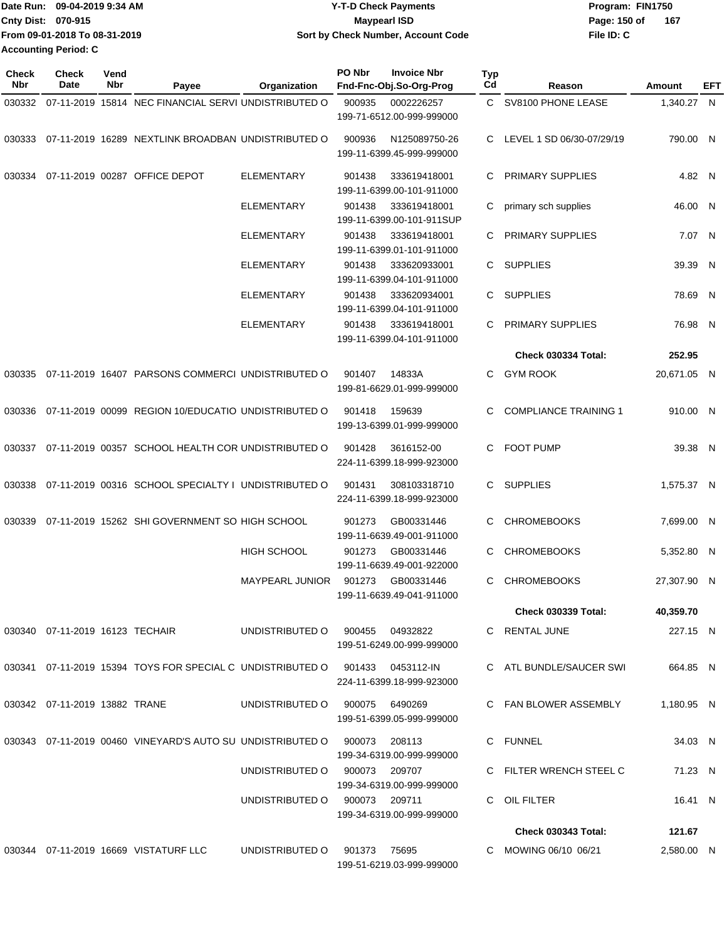| Date Run: 09-04-2019 9:34 AM  | Y-T-D Check Payments               | Program: FIN1750    |  |  |  |
|-------------------------------|------------------------------------|---------------------|--|--|--|
| Cnty Dist: 070-915            | Mavpearl ISD                       | 167<br>Page: 150 of |  |  |  |
| From 09-01-2018 To 08-31-2019 | Sort by Check Number, Account Code | File ID: C          |  |  |  |
| <b>Accounting Period: C</b>   |                                    |                     |  |  |  |

| Check<br>Nbr | <b>Check</b><br>Date            | Vend<br>Nbr | Payee                                                             | Organization                    | PO Nbr | <b>Invoice Nbr</b><br>Fnd-Fnc-Obj.So-Org-Prog | <b>Typ</b><br>Cd | Reason                       | Amount      | EFT |
|--------------|---------------------------------|-------------|-------------------------------------------------------------------|---------------------------------|--------|-----------------------------------------------|------------------|------------------------------|-------------|-----|
| 030332       |                                 |             | 07-11-2019 15814 NEC FINANCIAL SERVI UNDISTRIBUTED O              |                                 | 900935 | 0002226257<br>199-71-6512.00-999-999000       | $\mathbf{C}$     | SV8100 PHONE LEASE           | 1,340.27 N  |     |
| 030333       |                                 |             | 07-11-2019 16289 NEXTLINK BROADBAN UNDISTRIBUTED O                |                                 | 900936 | N125089750-26<br>199-11-6399.45-999-999000    | C.               | LEVEL 1 SD 06/30-07/29/19    | 790.00 N    |     |
| 030334       |                                 |             | 07-11-2019 00287 OFFICE DEPOT                                     | <b>ELEMENTARY</b>               | 901438 | 333619418001<br>199-11-6399.00-101-911000     | C                | <b>PRIMARY SUPPLIES</b>      | 4.82 N      |     |
|              |                                 |             |                                                                   | <b>ELEMENTARY</b>               | 901438 | 333619418001<br>199-11-6399.00-101-911SUP     | C                | primary sch supplies         | 46.00 N     |     |
|              |                                 |             |                                                                   | <b>ELEMENTARY</b>               | 901438 | 333619418001<br>199-11-6399.01-101-911000     | C                | <b>PRIMARY SUPPLIES</b>      | 7.07 N      |     |
|              |                                 |             |                                                                   | <b>ELEMENTARY</b>               | 901438 | 333620933001<br>199-11-6399.04-101-911000     | C.               | <b>SUPPLIES</b>              | 39.39       | N   |
|              |                                 |             |                                                                   | <b>ELEMENTARY</b>               | 901438 | 333620934001<br>199-11-6399.04-101-911000     | C                | <b>SUPPLIES</b>              | 78.69 N     |     |
|              |                                 |             |                                                                   | <b>ELEMENTARY</b>               | 901438 | 333619418001<br>199-11-6399.04-101-911000     | C                | <b>PRIMARY SUPPLIES</b>      | 76.98 N     |     |
|              |                                 |             |                                                                   |                                 |        |                                               |                  | <b>Check 030334 Total:</b>   | 252.95      |     |
| 030335       |                                 |             | 07-11-2019 16407 PARSONS COMMERCI UNDISTRIBUTED O                 |                                 | 901407 | 14833A<br>199-81-6629.01-999-999000           | C                | <b>GYM ROOK</b>              | 20,671.05 N |     |
| 030336       |                                 |             | 07-11-2019 00099 REGION 10/EDUCATIO UNDISTRIBUTED O               |                                 | 901418 | 159639<br>199-13-6399.01-999-999000           | C                | <b>COMPLIANCE TRAINING 1</b> | 910.00 N    |     |
| 030337       |                                 |             | 07-11-2019 00357 SCHOOL HEALTH COR UNDISTRIBUTED O                |                                 | 901428 | 3616152-00<br>224-11-6399.18-999-923000       | C                | <b>FOOT PUMP</b>             | 39.38 N     |     |
| 030338       |                                 |             | 07-11-2019 00316 SCHOOL SPECIALTY I UNDISTRIBUTED O               |                                 | 901431 | 308103318710<br>224-11-6399.18-999-923000     | C.               | <b>SUPPLIES</b>              | 1,575.37 N  |     |
| 030339       |                                 |             | 07-11-2019 15262 SHI GOVERNMENT SO HIGH SCHOOL                    |                                 | 901273 | GB00331446<br>199-11-6639.49-001-911000       | C                | <b>CHROMEBOOKS</b>           | 7,699.00 N  |     |
|              |                                 |             |                                                                   | HIGH SCHOOL                     | 901273 | GB00331446<br>199-11-6639.49-001-922000       | C                | <b>CHROMEBOOKS</b>           | 5,352.80 N  |     |
|              |                                 |             |                                                                   | <b>MAYPEARL JUNIOR</b>          | 901273 | GB00331446<br>199-11-6639.49-041-911000       | C                | <b>CHROMEBOOKS</b>           | 27.307.90 N |     |
|              |                                 |             |                                                                   |                                 |        |                                               |                  | <b>Check 030339 Total:</b>   | 40,359.70   |     |
|              | 030340 07-11-2019 16123 TECHAIR |             |                                                                   | UNDISTRIBUTED 0 900455 04932822 |        | 199-51-6249.00-999-999000                     |                  | C RENTAL JUNE                | 227.15 N    |     |
|              |                                 |             | 030341 07-11-2019 15394 TOYS FOR SPECIAL C UNDISTRIBUTED O 901433 |                                 |        | 0453112-IN<br>224-11-6399.18-999-923000       |                  | C ATL BUNDLE/SAUCER SWI      | 664.85 N    |     |
|              | 030342 07-11-2019 13882 TRANE   |             |                                                                   | UNDISTRIBUTED O                 |        | 900075 6490269<br>199-51-6399.05-999-999000   |                  | C FAN BLOWER ASSEMBLY        | 1.180.95 N  |     |
|              |                                 |             | 030343 07-11-2019 00460 VINEYARD'S AUTO SU UNDISTRIBUTED O        |                                 | 900073 | 208113<br>199-34-6319.00-999-999000           |                  | C FUNNEL                     | 34.03 N     |     |
|              |                                 |             |                                                                   | UNDISTRIBUTED O                 |        | 900073 209707<br>199-34-6319.00-999-999000    |                  | C FILTER WRENCH STEEL C      | 71.23 N     |     |
|              |                                 |             |                                                                   | UNDISTRIBUTED O 900073 209711   |        | 199-34-6319.00-999-999000                     |                  | C OIL FILTER                 | 16.41 N     |     |
|              |                                 |             |                                                                   |                                 |        |                                               |                  | <b>Check 030343 Total:</b>   | 121.67      |     |
|              |                                 |             | 030344 07-11-2019 16669 VISTATURF LLC                             | UNDISTRIBUTED O                 | 901373 | 75695<br>199-51-6219.03-999-999000            |                  | C MOWING 06/10 06/21         | 2,580.00 N  |     |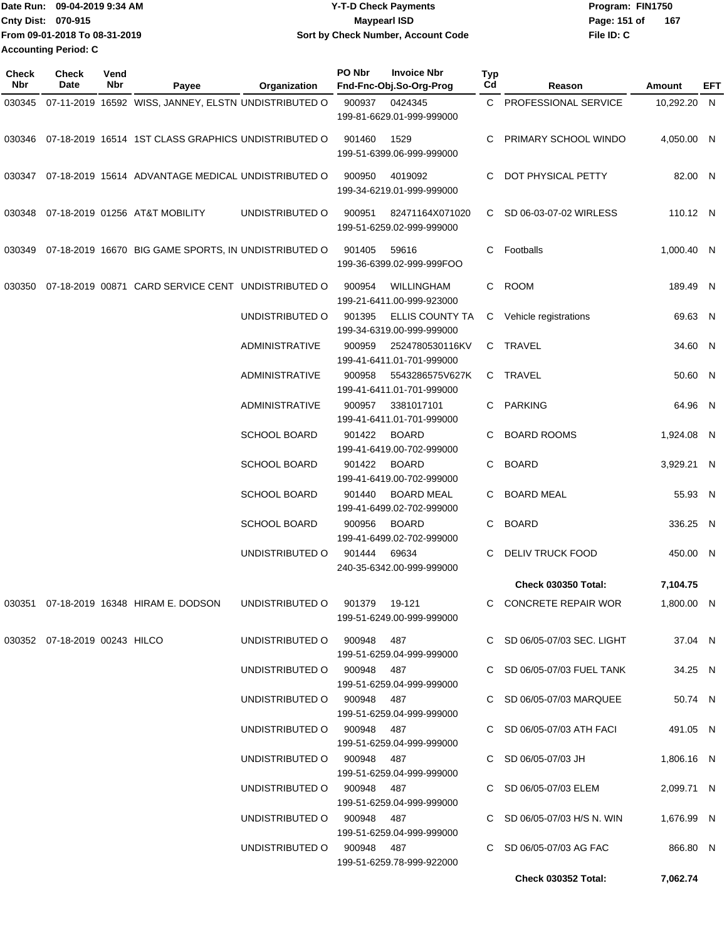|                           | Date Run: 09-04-2019 9:34 AM  | <b>Y-T-D Check Payments</b>        | Program: FIN1750    |
|---------------------------|-------------------------------|------------------------------------|---------------------|
| <b>Cnty Dist: 070-915</b> |                               | <b>Mavpearl ISD</b>                | 167<br>Page: 151 of |
|                           | From 09-01-2018 To 08-31-2019 | Sort by Check Number, Account Code | File ID: C          |
| Accounting Period: C      |                               |                                    |                     |

| <b>Check</b><br>Nbr | <b>Check</b><br>Date          | Vend<br>Nbr | Payee                                                                 | Organization               | PO Nbr | <b>Invoice Nbr</b><br>Fnd-Fnc-Obj.So-Org-Prog  | Typ<br>Cd | Reason                      | Amount      | EFT |
|---------------------|-------------------------------|-------------|-----------------------------------------------------------------------|----------------------------|--------|------------------------------------------------|-----------|-----------------------------|-------------|-----|
|                     |                               |             | 030345 07-11-2019 16592 WISS, JANNEY, ELSTN UNDISTRIBUTED O           |                            | 900937 | 0424345                                        |           | C PROFESSIONAL SERVICE      | 10,292.20 N |     |
|                     |                               |             |                                                                       |                            |        | 199-81-6629.01-999-999000                      |           |                             |             |     |
|                     |                               |             | 030346 07-18-2019 16514 1ST CLASS GRAPHICS UNDISTRIBUTED O            |                            | 901460 | 1529<br>199-51-6399.06-999-999000              | C.        | PRIMARY SCHOOL WINDO        | 4,050.00 N  |     |
|                     |                               |             | 030347 07-18-2019 15614 ADVANTAGE MEDICAL UNDISTRIBUTED O             |                            | 900950 | 4019092<br>199-34-6219.01-999-999000           | C.        | DOT PHYSICAL PETTY          | 82.00 N     |     |
|                     |                               |             | 030348 07-18-2019 01256 AT&T MOBILITY                                 | UNDISTRIBUTED O            | 900951 | 82471164X071020<br>199-51-6259.02-999-999000   |           | C SD 06-03-07-02 WIRLESS    | 110.12 N    |     |
|                     |                               |             | 030349 07-18-2019 16670 BIG GAME SPORTS, IN UNDISTRIBUTED O           |                            | 901405 | 59616<br>199-36-6399.02-999-999FOO             | C.        | Footballs                   | 1,000.40 N  |     |
| 030350              |                               |             | 07-18-2019 00871 CARD SERVICE CENT UNDISTRIBUTED O                    |                            | 900954 | <b>WILLINGHAM</b><br>199-21-6411.00-999-923000 |           | C ROOM                      | 189.49 N    |     |
|                     |                               |             |                                                                       | UNDISTRIBUTED O            | 901395 | ELLIS COUNTY TA<br>199-34-6319.00-999-999000   |           | C Vehicle registrations     | 69.63 N     |     |
|                     |                               |             |                                                                       | ADMINISTRATIVE             | 900959 | 2524780530116KV<br>199-41-6411.01-701-999000   |           | C TRAVEL                    | 34.60 N     |     |
|                     |                               |             |                                                                       | <b>ADMINISTRATIVE</b>      | 900958 | 5543286575V627K<br>199-41-6411.01-701-999000   |           | C TRAVEL                    | 50.60 N     |     |
|                     |                               |             |                                                                       | ADMINISTRATIVE             | 900957 | 3381017101<br>199-41-6411.01-701-999000        |           | C PARKING                   | 64.96 N     |     |
|                     |                               |             |                                                                       | <b>SCHOOL BOARD</b>        | 901422 | <b>BOARD</b><br>199-41-6419.00-702-999000      |           | <b>BOARD ROOMS</b>          | 1,924.08 N  |     |
|                     |                               |             |                                                                       | <b>SCHOOL BOARD</b>        | 901422 | <b>BOARD</b><br>199-41-6419.00-702-999000      | C.        | <b>BOARD</b>                | 3,929.21 N  |     |
|                     |                               |             |                                                                       | <b>SCHOOL BOARD</b>        | 901440 | <b>BOARD MEAL</b><br>199-41-6499.02-702-999000 | C.        | <b>BOARD MEAL</b>           | 55.93 N     |     |
|                     |                               |             |                                                                       | <b>SCHOOL BOARD</b>        | 900956 | <b>BOARD</b><br>199-41-6499.02-702-999000      | C.        | <b>BOARD</b>                | 336.25 N    |     |
|                     |                               |             |                                                                       | UNDISTRIBUTED O            | 901444 | 69634<br>240-35-6342.00-999-999000             | C.        | DELIV TRUCK FOOD            | 450.00 N    |     |
|                     |                               |             |                                                                       |                            |        |                                                |           | <b>Check 030350 Total:</b>  | 7,104.75    |     |
|                     |                               |             | 030351 07-18-2019 16348 HIRAM E. DODSON UNDISTRIBUTED O 901379 19-121 |                            |        | 199-51-6249.00-999-999000                      |           | C CONCRETE REPAIR WOR       | 1,800.00 N  |     |
|                     | 030352 07-18-2019 00243 HILCO |             |                                                                       | UNDISTRIBUTED O 900948 487 |        | 199-51-6259.04-999-999000                      |           | C SD 06/05-07/03 SEC. LIGHT | 37.04 N     |     |
|                     |                               |             |                                                                       | UNDISTRIBUTED O 900948 487 |        | 199-51-6259.04-999-999000                      |           | C SD 06/05-07/03 FUEL TANK  | 34.25 N     |     |
|                     |                               |             |                                                                       | UNDISTRIBUTED O 900948 487 |        | 199-51-6259.04-999-999000                      |           | C SD 06/05-07/03 MARQUEE    | 50.74 N     |     |
|                     |                               |             |                                                                       | UNDISTRIBUTED O 900948 487 |        | 199-51-6259.04-999-999000                      |           | C SD 06/05-07/03 ATH FACI   | 491.05 N    |     |
|                     |                               |             |                                                                       | UNDISTRIBUTED O 900948 487 |        | 199-51-6259.04-999-999000                      |           | C SD 06/05-07/03 JH         | 1,806.16 N  |     |
|                     |                               |             |                                                                       | UNDISTRIBUTED O 900948 487 |        | 199-51-6259.04-999-999000                      |           | C SD 06/05-07/03 ELEM       | 2,099.71 N  |     |
|                     |                               |             |                                                                       | UNDISTRIBUTED O 900948 487 |        | 199-51-6259.04-999-999000                      |           | C SD 06/05-07/03 H/S N. WIN | 1,676.99 N  |     |
|                     |                               |             |                                                                       | UNDISTRIBUTED O 900948 487 |        | 199-51-6259.78-999-922000                      |           | C SD 06/05-07/03 AG FAC     | 866.80 N    |     |
|                     |                               |             |                                                                       |                            |        |                                                |           | <b>Check 030352 Total:</b>  | 7,062.74    |     |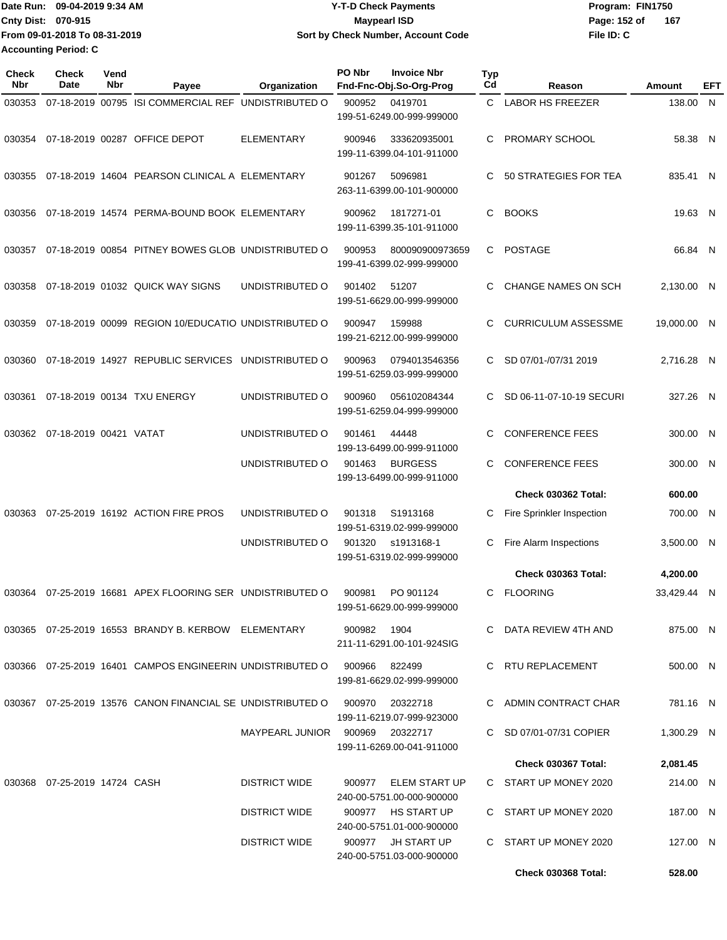Date Run: 09-04-2019 9:34 AM **Date Runity Controller State Payments** Program: FIN1750 **Cnty Dist:** 070-915 **Page:** 152 of **From 09-01-2018 To 08-31-2019 09-04-2019 9:34 AM Y-T-D Check Payments 070-915 Maypearl ISD Sort by Check Number, Account Code Accounting Period: C**

**File ID: C 167**

**Check 030368 Total: 528.00**

| <b>Check</b><br>Nbr | Check<br><b>Date</b>            | Vend<br>Nbr | Payee                                                                           | Organization                    | PO Nbr      | <b>Invoice Nbr</b><br>Fnd-Fnc-Obj.So-Org-Prog     | <b>Typ</b><br>Cd | Reason                     | <b>Amount</b> | EFT |
|---------------------|---------------------------------|-------------|---------------------------------------------------------------------------------|---------------------------------|-------------|---------------------------------------------------|------------------|----------------------------|---------------|-----|
| 030353              |                                 |             | 07-18-2019 00795 ISI COMMERCIAL REF UNDISTRIBUTED O                             |                                 | 900952      | 0419701<br>199-51-6249.00-999-999000              | $\mathsf{C}^-$   | <b>LABOR HS FREEZER</b>    | 138.00 N      |     |
| 030354              |                                 |             | 07-18-2019 00287 OFFICE DEPOT                                                   | <b>ELEMENTARY</b>               | 900946      | 333620935001<br>199-11-6399.04-101-911000         | C                | PROMARY SCHOOL             | 58.38 N       |     |
| 030355              |                                 |             | 07-18-2019 14604 PEARSON CLINICAL A ELEMENTARY                                  |                                 | 901267      | 5096981<br>263-11-6399.00-101-900000              | C.               | 50 STRATEGIES FOR TEA      | 835.41 N      |     |
| 030356              |                                 |             | 07-18-2019 14574 PERMA-BOUND BOOK ELEMENTARY                                    |                                 | 900962      | 1817271-01<br>199-11-6399.35-101-911000           | C.               | <b>BOOKS</b>               | 19.63 N       |     |
| 030357              |                                 |             | 07-18-2019 00854 PITNEY BOWES GLOB UNDISTRIBUTED O                              |                                 | 900953      | 800090900973659<br>199-41-6399.02-999-999000      | C.               | <b>POSTAGE</b>             | 66.84 N       |     |
| 030358              |                                 |             | 07-18-2019 01032 QUICK WAY SIGNS                                                | UNDISTRIBUTED O                 | 901402      | 51207<br>199-51-6629.00-999-999000                | C                | <b>CHANGE NAMES ON SCH</b> | 2,130.00 N    |     |
| 030359              |                                 |             | 07-18-2019 00099 REGION 10/EDUCATIO UNDISTRIBUTED O                             |                                 | 900947      | 159988<br>199-21-6212.00-999-999000               | C                | <b>CURRICULUM ASSESSME</b> | 19,000.00 N   |     |
| 030360              |                                 |             | 07-18-2019 14927 REPUBLIC SERVICES UNDISTRIBUTED O                              |                                 | 900963      | 0794013546356<br>199-51-6259.03-999-999000        | C.               | SD 07/01-/07/31 2019       | 2,716.28 N    |     |
| 030361              |                                 |             | 07-18-2019 00134 TXU ENERGY                                                     | UNDISTRIBUTED O                 | 900960      | 056102084344<br>199-51-6259.04-999-999000         | C.               | SD 06-11-07-10-19 SECURI   | 327.26 N      |     |
| 030362              | 07-18-2019 00421 VATAT          |             |                                                                                 | UNDISTRIBUTED O                 | 901461      | 44448<br>199-13-6499.00-999-911000                | C.               | <b>CONFERENCE FEES</b>     | 300.00 N      |     |
|                     |                                 |             |                                                                                 | UNDISTRIBUTED O                 | 901463      | <b>BURGESS</b><br>199-13-6499.00-999-911000       | C                | <b>CONFERENCE FEES</b>     | 300.00 N      |     |
|                     |                                 |             |                                                                                 |                                 |             |                                                   |                  | Check 030362 Total:        | 600.00        |     |
| 030363              |                                 |             | 07-25-2019 16192 ACTION FIRE PROS                                               | UNDISTRIBUTED O                 | 901318      | S1913168<br>199-51-6319.02-999-999000             | C                | Fire Sprinkler Inspection  | 700.00 N      |     |
|                     |                                 |             |                                                                                 | UNDISTRIBUTED O                 | 901320      | s1913168-1<br>199-51-6319.02-999-999000           | С                | Fire Alarm Inspections     | 3,500.00 N    |     |
|                     |                                 |             |                                                                                 |                                 |             |                                                   |                  | <b>Check 030363 Total:</b> | 4,200.00      |     |
| 030364              |                                 |             | 07-25-2019 16681 APEX FLOORING SER UNDISTRIBUTED O                              |                                 | 900981      | PO 901124<br>199-51-6629.00-999-999000            | C                | <b>FLOORING</b>            | 33,429.44 N   |     |
|                     |                                 |             | 030365  07-25-2019  16553  BRANDY B. KERBOW  ELEMENTARY                         |                                 | 900982 1904 | 211-11-6291.00-101-924SIG                         |                  | C DATA REVIEW 4TH AND      | 875.00 N      |     |
|                     |                                 |             | 030366  07-25-2019  16401  CAMPOS ENGINEERIN UNDISTRIBUTED   0   900966  822499 |                                 |             | 199-81-6629.02-999-999000                         |                  | C RTU REPLACEMENT          | 500.00 N      |     |
|                     |                                 |             | 030367 07-25-2019 13576 CANON FINANCIAL SE UNDISTRIBUTED O 900970 20322718      |                                 |             | 199-11-6219.07-999-923000                         |                  | C ADMIN CONTRACT CHAR      | 781.16 N      |     |
|                     |                                 |             |                                                                                 | MAYPEARL JUNIOR 900969 20322717 |             | 199-11-6269.00-041-911000                         |                  | C SD 07/01-07/31 COPIER    | 1,300.29 N    |     |
|                     |                                 |             |                                                                                 |                                 |             |                                                   |                  | Check 030367 Total:        | 2,081.45      |     |
|                     | 030368  07-25-2019  14724  CASH |             |                                                                                 | <b>DISTRICT WIDE</b>            |             | 900977 ELEM START UP<br>240-00-5751.00-000-900000 |                  | C START UP MONEY 2020      | 214.00 N      |     |
|                     |                                 |             |                                                                                 | DISTRICT WIDE                   |             | 900977 HS START UP<br>240-00-5751.01-000-900000   |                  | C START UP MONEY 2020      | 187.00 N      |     |
|                     |                                 |             |                                                                                 | <b>DISTRICT WIDE</b>            |             | 900977 JH START UP<br>240-00-5751.03-000-900000   |                  | C START UP MONEY 2020      | 127.00 N      |     |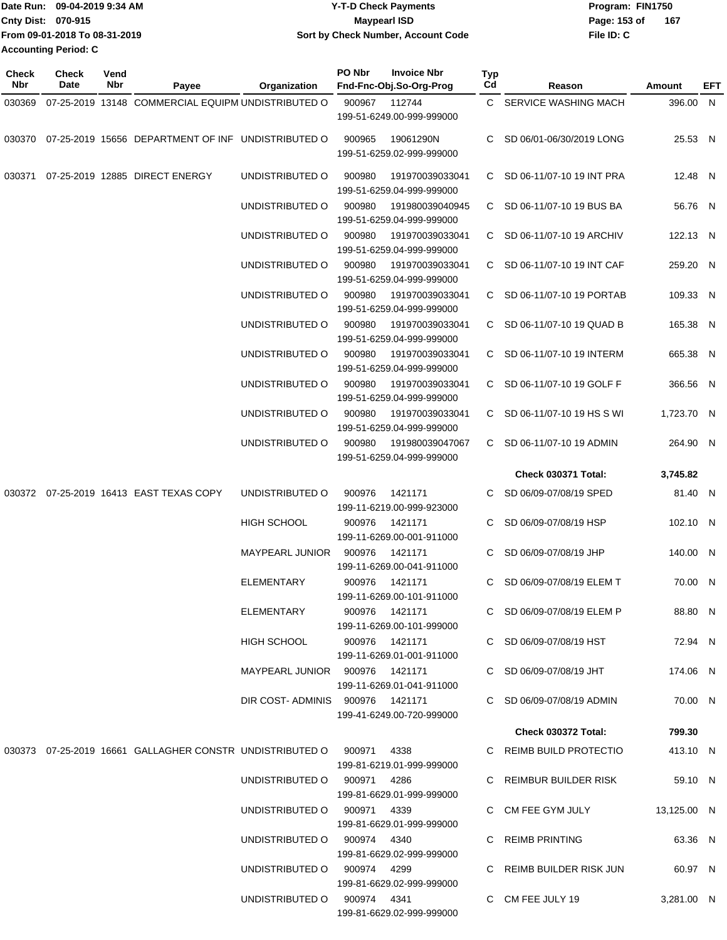|                             | Date Run: 09-04-2019 9:34 AM  | Y-T-D Check Payments               | Program: FIN1750 |     |
|-----------------------------|-------------------------------|------------------------------------|------------------|-----|
| <b>Cnty Dist: 070-915</b>   |                               | <b>Mavpearl ISD</b>                | Page: 153 of     | 167 |
|                             | From 09-01-2018 To 08-31-2019 | Sort by Check Number, Account Code | File ID: C       |     |
| <b>Accounting Period: C</b> |                               |                                    |                  |     |

| Check  | <b>Check</b> | Vend |                                                                              |                                 | PO Nbr          | <b>Invoice Nbr</b>                           | <b>Typ</b> |                             |             |     |
|--------|--------------|------|------------------------------------------------------------------------------|---------------------------------|-----------------|----------------------------------------------|------------|-----------------------------|-------------|-----|
| Nbr    | Date         | Nbr  | Payee                                                                        | <b>Organization</b>             |                 | Fnd-Fnc-Obj.So-Org-Prog                      | Cd         | Reason                      | Amount      | EFT |
| 030369 |              |      | 07-25-2019 13148 COMMERCIAL EQUIPM UNDISTRIBUTED O                           |                                 | 900967          | 112744<br>199-51-6249.00-999-999000          |            | C SERVICE WASHING MACH      | 396.00 N    |     |
|        |              |      | 030370 07-25-2019 15656 DEPARTMENT OF INF UNDISTRIBUTED O                    |                                 | 900965          | 19061290N<br>199-51-6259.02-999-999000       | C.         | SD 06/01-06/30/2019 LONG    | 25.53 N     |     |
| 030371 |              |      | 07-25-2019 12885 DIRECT ENERGY                                               | UNDISTRIBUTED O                 | 900980          | 191970039033041<br>199-51-6259.04-999-999000 |            | C SD 06-11/07-10 19 INT PRA | 12.48 N     |     |
|        |              |      |                                                                              | UNDISTRIBUTED O                 | 900980          | 191980039040945<br>199-51-6259.04-999-999000 |            | C SD 06-11/07-10 19 BUS BA  | 56.76 N     |     |
|        |              |      |                                                                              | UNDISTRIBUTED O                 | 900980          | 191970039033041<br>199-51-6259.04-999-999000 |            | C SD 06-11/07-10 19 ARCHIV  | 122.13 N    |     |
|        |              |      |                                                                              | UNDISTRIBUTED O                 | 900980          | 191970039033041<br>199-51-6259.04-999-999000 |            | C SD 06-11/07-10 19 INT CAF | 259.20 N    |     |
|        |              |      |                                                                              | UNDISTRIBUTED O                 | 900980          | 191970039033041<br>199-51-6259.04-999-999000 |            | C SD 06-11/07-10 19 PORTAB  | 109.33 N    |     |
|        |              |      |                                                                              | UNDISTRIBUTED O                 | 900980          | 191970039033041<br>199-51-6259.04-999-999000 |            | C SD 06-11/07-10 19 QUAD B  | 165.38 N    |     |
|        |              |      |                                                                              | UNDISTRIBUTED O                 | 900980          | 191970039033041<br>199-51-6259.04-999-999000 |            | C SD 06-11/07-10 19 INTERM  | 665.38 N    |     |
|        |              |      |                                                                              | UNDISTRIBUTED O                 | 900980          | 191970039033041<br>199-51-6259.04-999-999000 |            | C SD 06-11/07-10 19 GOLF F  | 366.56 N    |     |
|        |              |      |                                                                              | UNDISTRIBUTED O                 | 900980          | 191970039033041<br>199-51-6259.04-999-999000 |            | C SD 06-11/07-10 19 HS S WI | 1,723.70 N  |     |
|        |              |      |                                                                              | UNDISTRIBUTED O                 | 900980          | 191980039047067<br>199-51-6259.04-999-999000 |            | C SD 06-11/07-10 19 ADMIN   | 264.90 N    |     |
|        |              |      |                                                                              |                                 |                 |                                              |            | <b>Check 030371 Total:</b>  | 3,745.82    |     |
|        |              |      | 030372 07-25-2019 16413 EAST TEXAS COPY                                      | UNDISTRIBUTED O                 | 900976          | 1421171<br>199-11-6219.00-999-923000         |            | C SD 06/09-07/08/19 SPED    | 81.40 N     |     |
|        |              |      |                                                                              | <b>HIGH SCHOOL</b>              | 900976          | 1421171<br>199-11-6269.00-001-911000         |            | SD 06/09-07/08/19 HSP       | 102.10 N    |     |
|        |              |      |                                                                              | MAYPEARL JUNIOR                 | 900976          | 1421171<br>199-11-6269.00-041-911000         | C.         | SD 06/09-07/08/19 JHP       | 140.00 N    |     |
|        |              |      |                                                                              | <b>ELEMENTARY</b>               | 900976          | 1421171<br>199-11-6269.00-101-911000         |            | C SD 06/09-07/08/19 ELEM T  | 70.00 N     |     |
|        |              |      |                                                                              | ELEMENTARY                      |                 | 900976 1421171<br>199-11-6269.00-101-999000  |            | C SD 06/09-07/08/19 ELEM P  | 88.80 N     |     |
|        |              |      |                                                                              | HIGH SCHOOL                     | 900976  1421171 | 199-11-6269.01-001-911000                    |            | C SD 06/09-07/08/19 HST     | 72.94 N     |     |
|        |              |      |                                                                              | MAYPEARL JUNIOR 900976 1421171  |                 | 199-11-6269.01-041-911000                    |            | C SD 06/09-07/08/19 JHT     | 174.06 N    |     |
|        |              |      |                                                                              | DIR COST-ADMINIS 900976 1421171 |                 | 199-41-6249.00-720-999000                    |            | C SD 06/09-07/08/19 ADMIN   | 70.00 N     |     |
|        |              |      |                                                                              |                                 |                 |                                              |            | Check 030372 Total:         | 799.30      |     |
|        |              |      | 030373  07-25-2019  16661  GALLAGHER CONSTR UNDISTRIBUTED   0   900971  4338 |                                 |                 | 199-81-6219.01-999-999000                    |            | C REIMB BUILD PROTECTIO     | 413.10 N    |     |
|        |              |      |                                                                              | UNDISTRIBUTED O 900971 4286     |                 | 199-81-6629.01-999-999000                    |            | C REIMBUR BUILDER RISK      | 59.10 N     |     |
|        |              |      |                                                                              | UNDISTRIBUTED O 900971 4339     |                 | 199-81-6629.01-999-999000                    |            | C CM FEE GYM JULY           | 13,125.00 N |     |
|        |              |      |                                                                              | UNDISTRIBUTED O 900974 4340     |                 | 199-81-6629.02-999-999000                    |            | C REIMB PRINTING            | 63.36 N     |     |
|        |              |      |                                                                              | UNDISTRIBUTED O 900974 4299     |                 | 199-81-6629.02-999-999000                    |            | C REIMB BUILDER RISK JUN    | 60.97 N     |     |
|        |              |      |                                                                              | UNDISTRIBUTED O 900974 4341     |                 | 199-81-6629.02-999-999000                    |            | C CM FEE JULY 19            | 3,281.00 N  |     |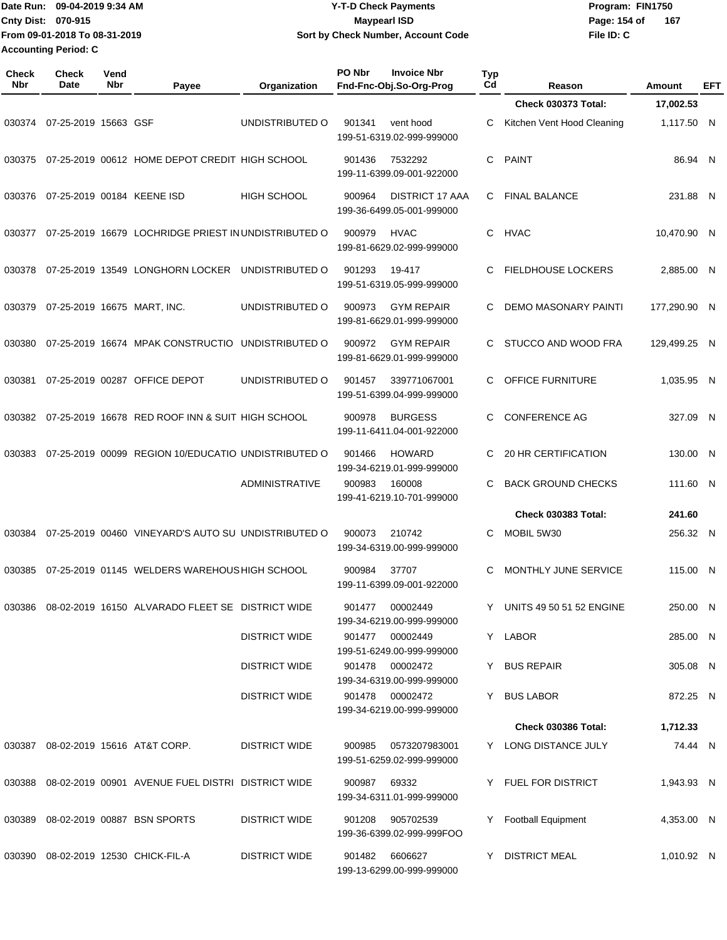| 'Date Run:                  | 09-04-2019 9:34 AM             | <b>Y-T-D Check Payments</b>        | Program: FIN1750 |     |
|-----------------------------|--------------------------------|------------------------------------|------------------|-----|
| <b>Cnty Dist: 070-915</b>   |                                | Maypearl ISD                       | Page: 154 of     | 167 |
|                             | 1From 09-01-2018 To 08-31-2019 | Sort by Check Number, Account Code | File ID: C       |     |
| <b>Accounting Period: C</b> |                                |                                    |                  |     |

| <b>Check</b><br><b>Nbr</b> | Check<br><b>Date</b> | Vend<br><b>Nbr</b> | Payee                                                        | Organization          | PO Nbr | <b>Invoice Nbr</b><br>Fnd-Fnc-Obj.So-Org-Prog       | <b>Typ</b><br>Cd | Reason                      | Amount       | EFT |
|----------------------------|----------------------|--------------------|--------------------------------------------------------------|-----------------------|--------|-----------------------------------------------------|------------------|-----------------------------|--------------|-----|
|                            |                      |                    |                                                              |                       |        |                                                     |                  | <b>Check 030373 Total:</b>  | 17,002.53    |     |
| 030374                     | 07-25-2019 15663 GSF |                    |                                                              | UNDISTRIBUTED O       | 901341 | vent hood<br>199-51-6319.02-999-999000              | C                | Kitchen Vent Hood Cleaning  | 1,117.50 N   |     |
| 030375                     |                      |                    | 07-25-2019 00612 HOME DEPOT CREDIT HIGH SCHOOL               |                       | 901436 | 7532292<br>199-11-6399.09-001-922000                | C                | <b>PAINT</b>                | 86.94 N      |     |
| 030376                     |                      |                    | 07-25-2019 00184 KEENE ISD                                   | <b>HIGH SCHOOL</b>    | 900964 | <b>DISTRICT 17 AAA</b><br>199-36-6499.05-001-999000 | C.               | <b>FINAL BALANCE</b>        | 231.88 N     |     |
| 030377                     |                      |                    | 07-25-2019 16679 LOCHRIDGE PRIEST IN UNDISTRIBUTED O         |                       | 900979 | <b>HVAC</b><br>199-81-6629.02-999-999000            | C.               | <b>HVAC</b>                 | 10,470.90 N  |     |
| 030378                     |                      |                    | 07-25-2019 13549 LONGHORN LOCKER                             | UNDISTRIBUTED O       | 901293 | 19-417<br>199-51-6319.05-999-999000                 | С                | <b>FIELDHOUSE LOCKERS</b>   | 2,885.00 N   |     |
| 030379                     |                      |                    | 07-25-2019 16675 MART, INC.                                  | UNDISTRIBUTED O       | 900973 | <b>GYM REPAIR</b><br>199-81-6629.01-999-999000      | C                | <b>DEMO MASONARY PAINTI</b> | 177,290.90 N |     |
| 030380                     |                      |                    | 07-25-2019 16674 MPAK CONSTRUCTIO                            | UNDISTRIBUTED O       | 900972 | <b>GYM REPAIR</b><br>199-81-6629.01-999-999000      | C                | STUCCO AND WOOD FRA         | 129,499.25 N |     |
| 030381                     |                      |                    | 07-25-2019 00287 OFFICE DEPOT                                | UNDISTRIBUTED O       | 901457 | 339771067001<br>199-51-6399.04-999-999000           | C.               | OFFICE FURNITURE            | 1,035.95 N   |     |
| 030382                     |                      |                    | 07-25-2019 16678 RED ROOF INN & SUIT HIGH SCHOOL             |                       | 900978 | <b>BURGESS</b><br>199-11-6411.04-001-922000         | C                | <b>CONFERENCE AG</b>        | 327.09 N     |     |
| 030383                     |                      |                    | 07-25-2019 00099 REGION 10/EDUCATIO UNDISTRIBUTED O          |                       | 901466 | <b>HOWARD</b><br>199-34-6219.01-999-999000          | C.               | 20 HR CERTIFICATION         | 130.00 N     |     |
|                            |                      |                    |                                                              | <b>ADMINISTRATIVE</b> | 900983 | 160008<br>199-41-6219.10-701-999000                 | C                | <b>BACK GROUND CHECKS</b>   | 111.60 N     |     |
|                            |                      |                    |                                                              |                       |        |                                                     |                  | <b>Check 030383 Total:</b>  | 241.60       |     |
| 030384                     |                      |                    | 07-25-2019 00460 VINEYARD'S AUTO SU UNDISTRIBUTED O          |                       | 900073 | 210742<br>199-34-6319.00-999-999000                 | C                | MOBIL 5W30                  | 256.32 N     |     |
| 030385                     |                      |                    | 07-25-2019 01145 WELDERS WAREHOUS HIGH SCHOOL                |                       | 900984 | 37707<br>199-11-6399.09-001-922000                  | C                | MONTHLY JUNE SERVICE        | 115.00 N     |     |
|                            |                      |                    | 030386  08-02-2019  16150  ALVARADO FLEET SE  DISTRICT WIDE  |                       | 901477 | 00002449<br>199-34-6219.00-999-999000               |                  | Y UNITS 49 50 51 52 ENGINE  | 250.00 N     |     |
|                            |                      |                    |                                                              | <b>DISTRICT WIDE</b>  |        | 901477 00002449<br>199-51-6249.00-999-999000        |                  | Y LABOR                     | 285.00 N     |     |
|                            |                      |                    |                                                              | <b>DISTRICT WIDE</b>  |        | 901478 00002472<br>199-34-6319.00-999-999000        |                  | Y BUS REPAIR                | 305.08 N     |     |
|                            |                      |                    |                                                              | <b>DISTRICT WIDE</b>  |        | 901478 00002472<br>199-34-6219.00-999-999000        |                  | Y BUS LABOR                 | 872.25 N     |     |
|                            |                      |                    |                                                              |                       |        |                                                     |                  | Check 030386 Total:         | 1,712.33     |     |
|                            |                      |                    | 030387 08-02-2019 15616 AT&T CORP.                           | <b>DISTRICT WIDE</b>  | 900985 | 0573207983001<br>199-51-6259.02-999-999000          |                  | Y LONG DISTANCE JULY        | 74.44 N      |     |
|                            |                      |                    | 030388  08-02-2019  00901  AVENUE FUEL DISTRI  DISTRICT WIDE |                       | 900987 | 69332<br>199-34-6311.01-999-999000                  |                  | Y FUEL FOR DISTRICT         | 1,943.93 N   |     |
| 030389                     |                      |                    | 08-02-2019 00887 BSN SPORTS                                  | <b>DISTRICT WIDE</b>  | 901208 | 905702539<br>199-36-6399.02-999-999FOO              | Y                | <b>Football Equipment</b>   | 4,353.00 N   |     |
|                            |                      |                    | 030390 08-02-2019 12530 CHICK-FIL-A                          | <b>DISTRICT WIDE</b>  | 901482 | 6606627<br>199-13-6299.00-999-999000                |                  | Y DISTRICT MEAL             | 1,010.92 N   |     |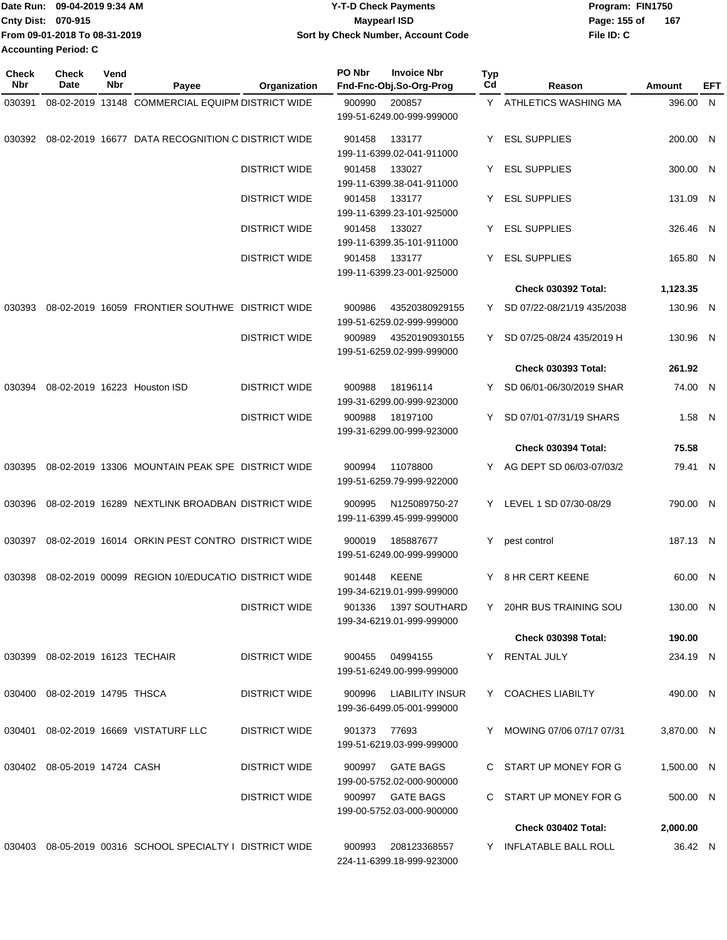|                             | ∎Date Run: 09-04-2019 9:34 AM | Y-T-D Check Payments               | Program: FIN1750    |
|-----------------------------|-------------------------------|------------------------------------|---------------------|
| <b>Cnty Dist: 070-915</b>   |                               | Maypearl ISD                       | 167<br>Page: 155 of |
|                             | From 09-01-2018 To 08-31-2019 | Sort by Check Number, Account Code | File ID: C          |
| <b>Accounting Period: C</b> |                               |                                    |                     |

| Check<br><b>Nbr</b> | Check<br>Date                   | Vend<br>Nbr | Payee                                                    | Organization         | PO Nbr       | <b>Invoice Nbr</b><br>Fnd-Fnc-Obj.So-Org-Prog       | <b>Typ</b><br>Cd | Reason                       | Amount     | EFT |
|---------------------|---------------------------------|-------------|----------------------------------------------------------|----------------------|--------------|-----------------------------------------------------|------------------|------------------------------|------------|-----|
| 030391              |                                 |             | 08-02-2019 13148 COMMERCIAL EQUIPM DISTRICT WIDE         |                      | 900990       | 200857<br>199-51-6249.00-999-999000                 |                  | Y ATHLETICS WASHING MA       | 396.00 N   |     |
| 030392              |                                 |             | 08-02-2019 16677 DATA RECOGNITION C DISTRICT WIDE        |                      | 901458       | 133177<br>199-11-6399.02-041-911000                 | Y.               | <b>ESL SUPPLIES</b>          | 200.00 N   |     |
|                     |                                 |             |                                                          | <b>DISTRICT WIDE</b> | 901458       | 133027<br>199-11-6399.38-041-911000                 | Y                | <b>ESL SUPPLIES</b>          | 300.00 N   |     |
|                     |                                 |             |                                                          | <b>DISTRICT WIDE</b> | 901458       | 133177<br>199-11-6399.23-101-925000                 |                  | Y ESL SUPPLIES               | 131.09 N   |     |
|                     |                                 |             |                                                          | <b>DISTRICT WIDE</b> | 901458       | 133027<br>199-11-6399.35-101-911000                 | Y                | <b>ESL SUPPLIES</b>          | 326.46 N   |     |
|                     |                                 |             |                                                          | <b>DISTRICT WIDE</b> | 901458       | 133177<br>199-11-6399.23-001-925000                 | Y.               | <b>ESL SUPPLIES</b>          | 165.80 N   |     |
|                     |                                 |             |                                                          |                      |              |                                                     |                  | <b>Check 030392 Total:</b>   | 1,123.35   |     |
| 030393              |                                 |             | 08-02-2019 16059 FRONTIER SOUTHWE DISTRICT WIDE          |                      | 900986       | 43520380929155<br>199-51-6259.02-999-999000         |                  | Y SD 07/22-08/21/19 435/2038 | 130.96 N   |     |
|                     |                                 |             |                                                          | <b>DISTRICT WIDE</b> | 900989       | 43520190930155<br>199-51-6259.02-999-999000         |                  | Y SD 07/25-08/24 435/2019 H  | 130.96 N   |     |
|                     |                                 |             |                                                          |                      |              |                                                     |                  | <b>Check 030393 Total:</b>   | 261.92     |     |
| 030394              |                                 |             | 08-02-2019 16223 Houston ISD                             | <b>DISTRICT WIDE</b> | 900988       | 18196114<br>199-31-6299.00-999-923000               |                  | Y SD 06/01-06/30/2019 SHAR   | 74.00 N    |     |
|                     |                                 |             |                                                          | <b>DISTRICT WIDE</b> | 900988       | 18197100<br>199-31-6299.00-999-923000               | Y                | SD 07/01-07/31/19 SHARS      | $1.58$ N   |     |
|                     |                                 |             |                                                          |                      |              |                                                     |                  | <b>Check 030394 Total:</b>   | 75.58      |     |
| 030395              |                                 |             | 08-02-2019 13306 MOUNTAIN PEAK SPE DISTRICT WIDE         |                      | 900994       | 11078800<br>199-51-6259.79-999-922000               |                  | Y AG DEPT SD 06/03-07/03/2   | 79.41 N    |     |
| 030396              |                                 |             | 08-02-2019 16289 NEXTLINK BROADBAN DISTRICT WIDE         |                      | 900995       | N125089750-27<br>199-11-6399.45-999-999000          |                  | Y LEVEL 1 SD 07/30-08/29     | 790.00 N   |     |
| 030397              |                                 |             | 08-02-2019 16014 ORKIN PEST CONTRO DISTRICT WIDE         |                      | 900019       | 185887677<br>199-51-6249.00-999-999000              | Y                | pest control                 | 187.13 N   |     |
| 030398              |                                 |             | 08-02-2019 00099 REGION 10/EDUCATIO DISTRICT WIDE        |                      | 901448       | <b>KEENE</b><br>199-34-6219.01-999-999000           |                  | Y 8 HR CERT KEENE            | 60.00 N    |     |
|                     |                                 |             |                                                          | <b>DISTRICT WIDE</b> |              | 901336 1397 SOUTHARD<br>199-34-6219.01-999-999000   |                  | Y 20HR BUS TRAINING SOU      | 130.00 N   |     |
|                     |                                 |             |                                                          |                      |              |                                                     |                  | <b>Check 030398 Total:</b>   | 190.00     |     |
|                     | 030399 08-02-2019 16123 TECHAIR |             |                                                          | <b>DISTRICT WIDE</b> |              | 900455 04994155<br>199-51-6249.00-999-999000        |                  | Y RENTAL JULY                | 234.19 N   |     |
|                     | 030400 08-02-2019 14795 THSCA   |             |                                                          | <b>DISTRICT WIDE</b> |              | 900996 LIABILITY INSUR<br>199-36-6499.05-001-999000 |                  | Y COACHES LIABILTY           | 490.00 N   |     |
| 030401              |                                 |             | 08-02-2019 16669 VISTATURF LLC                           | DISTRICT WIDE        | 901373 77693 | 199-51-6219.03-999-999000                           |                  | Y MOWING 07/06 07/17 07/31   | 3,870.00 N |     |
|                     | 030402 08-05-2019 14724 CASH    |             |                                                          | DISTRICT WIDE        |              | 900997 GATE BAGS<br>199-00-5752.02-000-900000       |                  | C START UP MONEY FOR G       | 1,500.00 N |     |
|                     |                                 |             |                                                          | <b>DISTRICT WIDE</b> |              | 900997 GATE BAGS<br>199-00-5752.03-000-900000       |                  | C START UP MONEY FOR G       | 500.00 N   |     |
|                     |                                 |             |                                                          |                      |              |                                                     |                  | Check 030402 Total:          | 2,000.00   |     |
|                     |                                 |             | 030403 08-05-2019 00316 SCHOOL SPECIALTY I DISTRICT WIDE |                      | 900993       | 208123368557<br>224-11-6399.18-999-923000           |                  | Y INFLATABLE BALL ROLL       | 36.42 N    |     |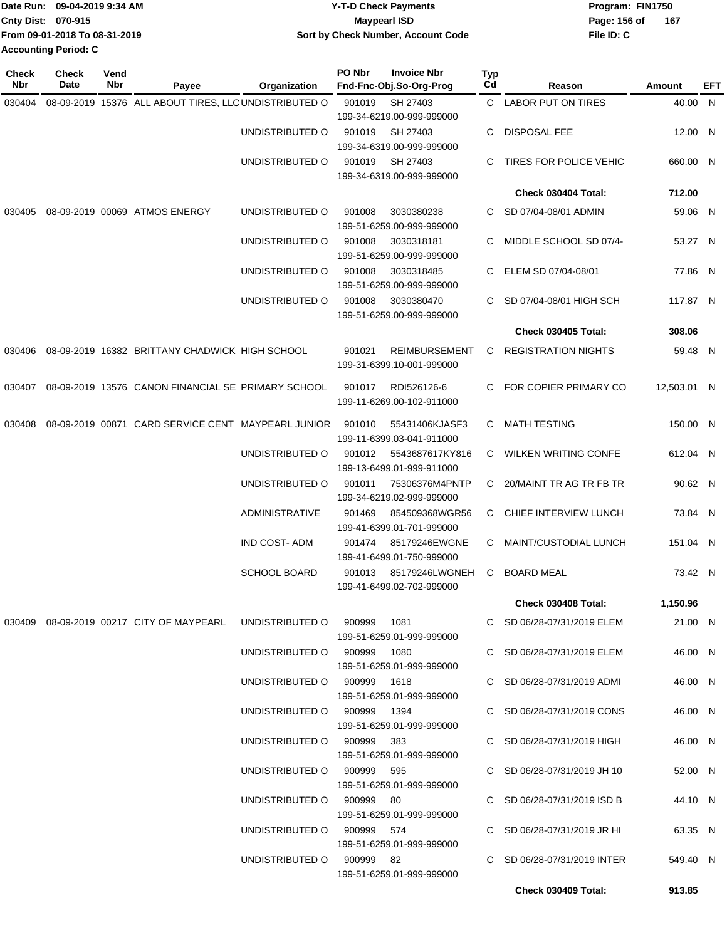|                             | Date Run: 09-04-2019 9:34 AM  | <b>Y-T-D Check Payments</b>        | Program: FIN1750 |     |
|-----------------------------|-------------------------------|------------------------------------|------------------|-----|
| <b>Cnty Dist: 070-915</b>   |                               | Mavpearl ISD                       | Page: 156 of     | 167 |
|                             | From 09-01-2018 To 08-31-2019 | Sort by Check Number, Account Code | File ID: C       |     |
| <b>Accounting Period: C</b> |                               |                                    |                  |     |

| <b>Check</b><br>Nbr | Check<br>Date | Vend<br>Nbr | Payee                                                 | Organization                | PO Nbr | <b>Invoice Nbr</b><br>Fnd-Fnc-Obj.So-Org-Prog     | Typ<br>Cd | Reason                        | Amount      | EFT |
|---------------------|---------------|-------------|-------------------------------------------------------|-----------------------------|--------|---------------------------------------------------|-----------|-------------------------------|-------------|-----|
| 030404              |               |             | 08-09-2019 15376 ALL ABOUT TIRES, LLC UNDISTRIBUTED O |                             | 901019 | SH 27403<br>199-34-6219.00-999-999000             |           | C LABOR PUT ON TIRES          | 40.00 N     |     |
|                     |               |             |                                                       | UNDISTRIBUTED O             | 901019 | SH 27403<br>199-34-6319.00-999-999000             | C         | <b>DISPOSAL FEE</b>           | 12.00 N     |     |
|                     |               |             |                                                       | UNDISTRIBUTED O             | 901019 | SH 27403<br>199-34-6319.00-999-999000             | C         | TIRES FOR POLICE VEHIC        | 660.00 N    |     |
|                     |               |             |                                                       |                             |        |                                                   |           | Check 030404 Total:           | 712.00      |     |
| 030405              |               |             | 08-09-2019 00069 ATMOS ENERGY                         | UNDISTRIBUTED O             | 901008 | 3030380238<br>199-51-6259.00-999-999000           | C         | SD 07/04-08/01 ADMIN          | 59.06 N     |     |
|                     |               |             |                                                       | UNDISTRIBUTED O             | 901008 | 3030318181<br>199-51-6259.00-999-999000           | C.        | MIDDLE SCHOOL SD 07/4-        | 53.27 N     |     |
|                     |               |             |                                                       | UNDISTRIBUTED O             | 901008 | 3030318485<br>199-51-6259.00-999-999000           | C.        | ELEM SD 07/04-08/01           | 77.86 N     |     |
|                     |               |             |                                                       | UNDISTRIBUTED O             | 901008 | 3030380470<br>199-51-6259.00-999-999000           | C.        | SD 07/04-08/01 HIGH SCH       | 117.87 N    |     |
|                     |               |             |                                                       |                             |        |                                                   |           | Check 030405 Total:           | 308.06      |     |
| 030406              |               |             | 08-09-2019 16382 BRITTANY CHADWICK HIGH SCHOOL        |                             | 901021 | <b>REIMBURSEMENT</b><br>199-31-6399.10-001-999000 |           | C REGISTRATION NIGHTS         | 59.48 N     |     |
| 030407              |               |             | 08-09-2019 13576 CANON FINANCIAL SE PRIMARY SCHOOL    |                             | 901017 | RDI526126-6<br>199-11-6269.00-102-911000          |           | C FOR COPIER PRIMARY CO       | 12,503.01 N |     |
| 030408              |               |             | 08-09-2019 00871 CARD SERVICE CENT MAYPEARL JUNIOR    |                             | 901010 | 55431406KJASF3<br>199-11-6399.03-041-911000       | C         | <b>MATH TESTING</b>           | 150.00 N    |     |
|                     |               |             |                                                       | UNDISTRIBUTED O             | 901012 | 5543687617KY816<br>199-13-6499.01-999-911000      | C         | <b>WILKEN WRITING CONFE</b>   | 612.04 N    |     |
|                     |               |             |                                                       | UNDISTRIBUTED O             | 901011 | 75306376M4PNTP<br>199-34-6219.02-999-999000       | C         | 20/MAINT TR AG TR FB TR       | 90.62 N     |     |
|                     |               |             |                                                       | <b>ADMINISTRATIVE</b>       | 901469 | 854509368WGR56<br>199-41-6399.01-701-999000       | C.        | CHIEF INTERVIEW LUNCH         | 73.84 N     |     |
|                     |               |             |                                                       | <b>IND COST-ADM</b>         | 901474 | 85179246EWGNE<br>199-41-6499.01-750-999000        | C         | MAINT/CUSTODIAL LUNCH         | 151.04 N    |     |
|                     |               |             |                                                       | <b>SCHOOL BOARD</b>         | 901013 | 85179246LWGNEH<br>199-41-6499.02-702-999000       | C         | <b>BOARD MEAL</b>             | 73.42 N     |     |
|                     |               |             |                                                       |                             |        |                                                   |           | Check 030408 Total:           | 1,150.96    |     |
|                     |               |             | 030409  08-09-2019  00217  CITY OF MAYPEARL           | UNDISTRIBUTED O             | 900999 | 1081<br>199-51-6259.01-999-999000                 |           | C SD 06/28-07/31/2019 ELEM    | 21.00 N     |     |
|                     |               |             |                                                       | UNDISTRIBUTED O 900999 1080 |        | 199-51-6259.01-999-999000                         |           | C SD 06/28-07/31/2019 ELEM    | 46.00 N     |     |
|                     |               |             |                                                       | UNDISTRIBUTED O 900999 1618 |        | 199-51-6259.01-999-999000                         |           | C SD 06/28-07/31/2019 ADMI    | 46.00 N     |     |
|                     |               |             |                                                       | UNDISTRIBUTED O 900999 1394 |        | 199-51-6259.01-999-999000                         |           | C SD 06/28-07/31/2019 CONS    | 46.00 N     |     |
|                     |               |             |                                                       | UNDISTRIBUTED O 900999 383  |        | 199-51-6259.01-999-999000                         |           | C SD 06/28-07/31/2019 HIGH    | 46.00 N     |     |
|                     |               |             |                                                       | UNDISTRIBUTED O 900999 595  |        | 199-51-6259.01-999-999000                         |           | C SD 06/28-07/31/2019 JH 10   | 52.00 N     |     |
|                     |               |             |                                                       | UNDISTRIBUTED O 900999 80   |        | 199-51-6259.01-999-999000                         |           | C SD $06/28-07/31/2019$ ISD B | 44.10 N     |     |
|                     |               |             |                                                       | UNDISTRIBUTED O 900999 574  |        | 199-51-6259.01-999-999000                         |           | C SD 06/28-07/31/2019 JR HI   | 63.35 N     |     |
|                     |               |             |                                                       | UNDISTRIBUTED O 900999 82   |        | 199-51-6259.01-999-999000                         |           | C SD 06/28-07/31/2019 INTER   | 549.40 N    |     |
|                     |               |             |                                                       |                             |        |                                                   |           | Check 030409 Total:           | 913.85      |     |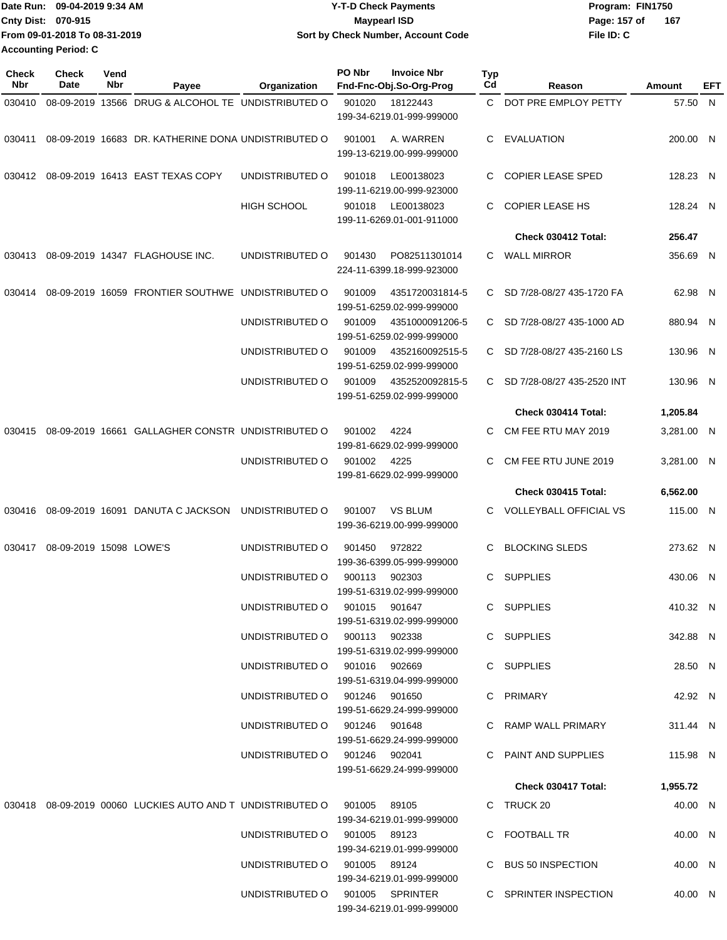|                             | Date Run: 09-04-2019 9:34 AM  | <b>Y-T-D Check Payments</b>        | Program: FIN1750    |
|-----------------------------|-------------------------------|------------------------------------|---------------------|
| <b>Cnty Dist: 070-915</b>   |                               | <b>Mavpearl ISD</b>                | Page: 157 of<br>167 |
|                             | From 09-01-2018 To 08-31-2019 | Sort by Check Number, Account Code | File ID: C          |
| <b>Accounting Period: C</b> |                               |                                    |                     |

| <b>Check</b><br>Nbr | <b>Check</b><br>Date    | Vend<br>Nbr | Payee                                                                             | Organization                    | PO Nbr | <b>Invoice Nbr</b><br>Fnd-Fnc-Obj.So-Org-Prog | <b>Typ</b><br>Cd | Reason                        | Amount     | EFT |
|---------------------|-------------------------|-------------|-----------------------------------------------------------------------------------|---------------------------------|--------|-----------------------------------------------|------------------|-------------------------------|------------|-----|
| 030410              |                         |             | 08-09-2019 13566 DRUG & ALCOHOL TE UNDISTRIBUTED O                                |                                 | 901020 | 18122443                                      |                  | C DOT PRE EMPLOY PETTY        | 57.50 N    |     |
|                     |                         |             |                                                                                   |                                 |        | 199-34-6219.01-999-999000                     |                  |                               |            |     |
| 030411              |                         |             | 08-09-2019 16683 DR. KATHERINE DONA UNDISTRIBUTED O                               |                                 | 901001 | A. WARREN<br>199-13-6219.00-999-999000        | C                | EVALUATION                    | 200.00 N   |     |
| 030412              |                         |             | 08-09-2019 16413 EAST TEXAS COPY                                                  | UNDISTRIBUTED O                 | 901018 | LE00138023<br>199-11-6219.00-999-923000       | C                | <b>COPIER LEASE SPED</b>      | 128.23 N   |     |
|                     |                         |             |                                                                                   | HIGH SCHOOL                     | 901018 | LE00138023<br>199-11-6269.01-001-911000       | C.               | <b>COPIER LEASE HS</b>        | 128.24 N   |     |
|                     |                         |             |                                                                                   |                                 |        |                                               |                  | Check 030412 Total:           | 256.47     |     |
| 030413              |                         |             | 08-09-2019 14347 FLAGHOUSE INC.                                                   | UNDISTRIBUTED O                 | 901430 | PO82511301014<br>224-11-6399.18-999-923000    | C.               | <b>WALL MIRROR</b>            | 356.69 N   |     |
| 030414              |                         |             | 08-09-2019 16059 FRONTIER SOUTHWE UNDISTRIBUTED O                                 |                                 | 901009 | 4351720031814-5<br>199-51-6259.02-999-999000  | C.               | SD 7/28-08/27 435-1720 FA     | 62.98 N    |     |
|                     |                         |             |                                                                                   | UNDISTRIBUTED O                 | 901009 | 4351000091206-5<br>199-51-6259.02-999-999000  | C.               | SD 7/28-08/27 435-1000 AD     | 880.94 N   |     |
|                     |                         |             |                                                                                   | UNDISTRIBUTED O                 | 901009 | 4352160092515-5<br>199-51-6259.02-999-999000  | C.               | SD 7/28-08/27 435-2160 LS     | 130.96 N   |     |
|                     |                         |             |                                                                                   | UNDISTRIBUTED O                 | 901009 | 4352520092815-5<br>199-51-6259.02-999-999000  | C.               | SD 7/28-08/27 435-2520 INT    | 130.96 N   |     |
|                     |                         |             |                                                                                   |                                 |        |                                               |                  | Check 030414 Total:           | 1,205.84   |     |
| 030415              |                         |             | 08-09-2019 16661 GALLAGHER CONSTR UNDISTRIBUTED O                                 |                                 | 901002 | 4224<br>199-81-6629.02-999-999000             | C                | CM FEE RTU MAY 2019           | 3,281.00 N |     |
|                     |                         |             |                                                                                   | UNDISTRIBUTED O                 | 901002 | 4225<br>199-81-6629.02-999-999000             | C                | CM FEE RTU JUNE 2019          | 3,281.00 N |     |
|                     |                         |             |                                                                                   |                                 |        |                                               |                  | Check 030415 Total:           | 6,562.00   |     |
| 030416              |                         |             | 08-09-2019 16091 DANUTA C JACKSON                                                 | UNDISTRIBUTED O                 | 901007 | <b>VS BLUM</b><br>199-36-6219.00-999-999000   | C.               | <b>VOLLEYBALL OFFICIAL VS</b> | 115.00 N   |     |
| 030417              | 08-09-2019 15098 LOWE'S |             |                                                                                   | UNDISTRIBUTED O                 | 901450 | 972822<br>199-36-6399.05-999-999000           | C                | <b>BLOCKING SLEDS</b>         | 273.62 N   |     |
|                     |                         |             |                                                                                   | UNDISTRIBUTED O                 | 900113 | 902303<br>199-51-6319.02-999-999000           | C                | <b>SUPPLIES</b>               | 430.06 N   |     |
|                     |                         |             |                                                                                   | UNDISTRIBUTED O                 |        | 901015 901647<br>199-51-6319.02-999-999000    |                  | C SUPPLIES                    | 410.32 N   |     |
|                     |                         |             |                                                                                   | UNDISTRIBUTED O 900113 902338   |        | 199-51-6319.02-999-999000                     |                  | C SUPPLIES                    | 342.88 N   |     |
|                     |                         |             |                                                                                   | UNDISTRIBUTED O 901016 902669   |        | 199-51-6319.04-999-999000                     |                  | C SUPPLIES                    | 28.50 N    |     |
|                     |                         |             |                                                                                   | UNDISTRIBUTED 0 901246 901650   |        | 199-51-6629.24-999-999000                     |                  | C PRIMARY                     | 42.92 N    |     |
|                     |                         |             |                                                                                   | UNDISTRIBUTED 0 901246 901648   |        | 199-51-6629.24-999-999000                     |                  | C RAMP WALL PRIMARY           | 311.44 N   |     |
|                     |                         |             |                                                                                   | UNDISTRIBUTED O 901246 902041   |        | 199-51-6629.24-999-999000                     |                  | C PAINT AND SUPPLIES          | 115.98 N   |     |
|                     |                         |             |                                                                                   |                                 |        |                                               |                  | Check 030417 Total:           | 1,955.72   |     |
|                     |                         |             | 030418  08-09-2019  00060  LUCKIES  AUTO  AND T  UNDISTRIBUTED   0  901005  89105 |                                 |        | 199-34-6219.01-999-999000                     |                  | C TRUCK 20                    | 40.00 N    |     |
|                     |                         |             |                                                                                   | UNDISTRIBUTED O 901005 89123    |        | 199-34-6219.01-999-999000                     |                  | C FOOTBALL TR                 | 40.00 N    |     |
|                     |                         |             |                                                                                   | UNDISTRIBUTED O 901005 89124    |        | 199-34-6219.01-999-999000                     |                  | C BUS 50 INSPECTION           | 40.00 N    |     |
|                     |                         |             |                                                                                   | UNDISTRIBUTED O 901005 SPRINTER |        | 199-34-6219.01-999-999000                     |                  | C SPRINTER INSPECTION         | 40.00 N    |     |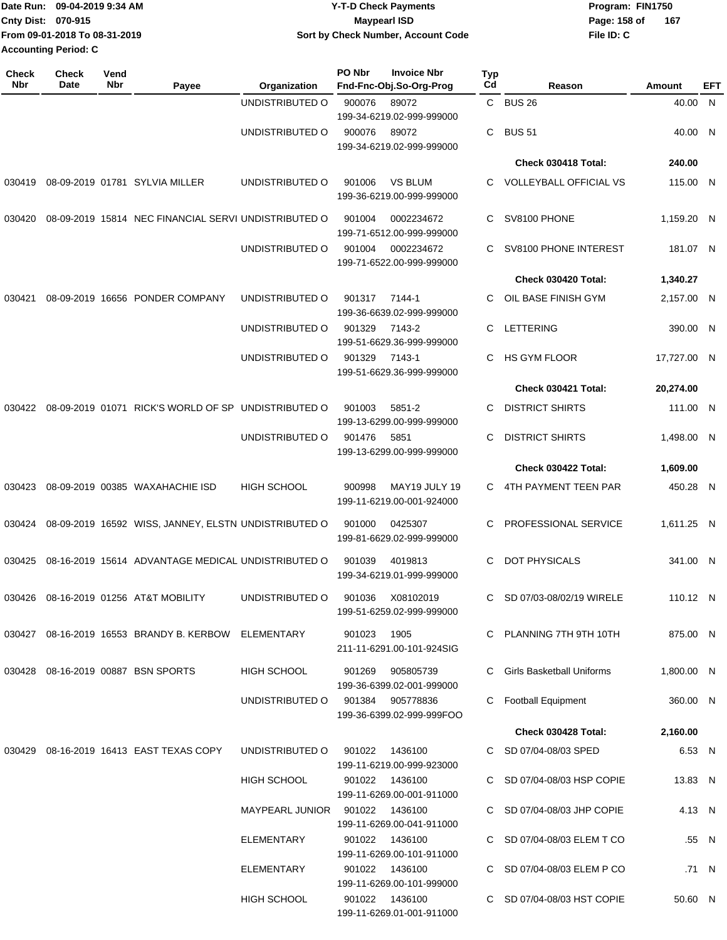|                             | TDate Run: 09-04-2019 9:34 AM | <b>Y-T-D Check Payments</b>        | Program: FIN1750 |     |  |  |
|-----------------------------|-------------------------------|------------------------------------|------------------|-----|--|--|
| Cnty Dist: 070-915          |                               | <b>Mavpearl ISD</b>                | Page: 158 of     | 167 |  |  |
|                             | From 09-01-2018 To 08-31-2019 | Sort by Check Number, Account Code | File ID: C       |     |  |  |
| <b>Accounting Period: C</b> |                               |                                    |                  |     |  |  |

| Check<br>Nbr | Check<br>Date | Vend<br>Nbr | Payee                                                | Organization                   | PO Nbr | <b>Invoice Nbr</b><br>Fnd-Fnc-Obj.So-Org-Prog | Typ<br>Cd | Reason                           | Amount      | EFT   |
|--------------|---------------|-------------|------------------------------------------------------|--------------------------------|--------|-----------------------------------------------|-----------|----------------------------------|-------------|-------|
|              |               |             |                                                      | UNDISTRIBUTED O                | 900076 | 89072                                         |           | C BUS 26                         | 40.00 N     |       |
|              |               |             |                                                      |                                |        | 199-34-6219.02-999-999000                     |           |                                  |             |       |
|              |               |             |                                                      | UNDISTRIBUTED O                | 900076 | 89072<br>199-34-6219.02-999-999000            | C         | <b>BUS 51</b>                    | 40.00 N     |       |
|              |               |             |                                                      |                                |        |                                               |           | Check 030418 Total:              | 240.00      |       |
| 030419       |               |             | 08-09-2019 01781 SYLVIA MILLER                       | UNDISTRIBUTED O                | 901006 | <b>VS BLUM</b><br>199-36-6219.00-999-999000   | C.        | <b>VOLLEYBALL OFFICIAL VS</b>    | 115.00 N    |       |
| 030420       |               |             | 08-09-2019 15814 NEC FINANCIAL SERVI UNDISTRIBUTED O |                                | 901004 | 0002234672<br>199-71-6512.00-999-999000       | C         | SV8100 PHONE                     | 1,159.20 N  |       |
|              |               |             |                                                      | UNDISTRIBUTED O                | 901004 | 0002234672<br>199-71-6522.00-999-999000       | C.        | SV8100 PHONE INTEREST            | 181.07 N    |       |
|              |               |             |                                                      |                                |        |                                               |           | Check 030420 Total:              | 1,340.27    |       |
| 030421       |               |             | 08-09-2019 16656 PONDER COMPANY                      | UNDISTRIBUTED O                | 901317 | 7144-1<br>199-36-6639.02-999-999000           | C.        | OIL BASE FINISH GYM              | 2,157.00 N  |       |
|              |               |             |                                                      | UNDISTRIBUTED O                | 901329 | 7143-2<br>199-51-6629.36-999-999000           | C         | <b>LETTERING</b>                 | 390.00 N    |       |
|              |               |             |                                                      | UNDISTRIBUTED O                | 901329 | 7143-1<br>199-51-6629.36-999-999000           | C         | <b>HS GYM FLOOR</b>              | 17,727.00 N |       |
|              |               |             |                                                      |                                |        |                                               |           | Check 030421 Total:              | 20,274.00   |       |
| 030422       |               |             | 08-09-2019 01071 RICK'S WORLD OF SP UNDISTRIBUTED O  |                                | 901003 | 5851-2<br>199-13-6299.00-999-999000           | C.        | <b>DISTRICT SHIRTS</b>           | 111.00 N    |       |
|              |               |             |                                                      | UNDISTRIBUTED O                | 901476 | 5851<br>199-13-6299.00-999-999000             | C         | <b>DISTRICT SHIRTS</b>           | 1,498.00 N  |       |
|              |               |             |                                                      |                                |        |                                               |           | Check 030422 Total:              | 1,609.00    |       |
| 030423       |               |             | 08-09-2019 00385 WAXAHACHIE ISD                      | <b>HIGH SCHOOL</b>             | 900998 | MAY19 JULY 19<br>199-11-6219.00-001-924000    | C.        | 4TH PAYMENT TEEN PAR             | 450.28 N    |       |
| 030424       |               |             | 08-09-2019 16592 WISS, JANNEY, ELSTN UNDISTRIBUTED O |                                | 901000 | 0425307<br>199-81-6629.02-999-999000          | C.        | PROFESSIONAL SERVICE             | 1,611.25 N  |       |
| 030425       |               |             | 08-16-2019 15614 ADVANTAGE MEDICAL UNDISTRIBUTED O   |                                | 901039 | 4019813<br>199-34-6219.01-999-999000          | C         | DOT PHYSICALS                    | 341.00 N    |       |
| 030426       |               |             | 08-16-2019 01256 AT&T MOBILITY                       | UNDISTRIBUTED O                | 901036 | X08102019<br>199-51-6259.02-999-999000        | C         | SD 07/03-08/02/19 WIRELE         | 110.12 N    |       |
|              |               |             | 030427 08-16-2019 16553 BRANDY B. KERBOW ELEMENTARY  |                                | 901023 | 1905<br>211-11-6291.00-101-924SIG             |           | C PLANNING 7TH 9TH 10TH          | 875.00 N    |       |
|              |               |             | 030428 08-16-2019 00887 BSN SPORTS                   | <b>HIGH SCHOOL</b>             | 901269 | 905805739<br>199-36-6399.02-001-999000        | C.        | <b>Girls Basketball Uniforms</b> | 1,800.00 N  |       |
|              |               |             |                                                      | UNDISTRIBUTED O                |        | 901384 905778836<br>199-36-6399.02-999-999FOO | C         | <b>Football Equipment</b>        | 360.00 N    |       |
|              |               |             |                                                      |                                |        |                                               |           | Check 030428 Total:              | 2,160.00    |       |
| 030429       |               |             | 08-16-2019 16413 EAST TEXAS COPY                     | UNDISTRIBUTED O                | 901022 | 1436100<br>199-11-6219.00-999-923000          |           | C SD 07/04-08/03 SPED            | 6.53 N      |       |
|              |               |             |                                                      | <b>HIGH SCHOOL</b>             |        | 901022 1436100<br>199-11-6269.00-001-911000   |           | C SD 07/04-08/03 HSP COPIE       | 13.83 N     |       |
|              |               |             |                                                      | MAYPEARL JUNIOR 901022 1436100 |        | 199-11-6269.00-041-911000                     |           | C SD 07/04-08/03 JHP COPIE       | 4.13 N      |       |
|              |               |             |                                                      | ELEMENTARY                     | 901022 | 1436100<br>199-11-6269.00-101-911000          |           | C SD 07/04-08/03 ELEM T CO       |             | .55 N |
|              |               |             |                                                      | ELEMENTARY                     |        | 901022 1436100<br>199-11-6269.00-101-999000   |           | SD 07/04-08/03 ELEM P CO         |             | .71 N |
|              |               |             |                                                      | <b>HIGH SCHOOL</b>             |        | 901022 1436100<br>199-11-6269.01-001-911000   |           | C SD 07/04-08/03 HST COPIE       | 50.60 N     |       |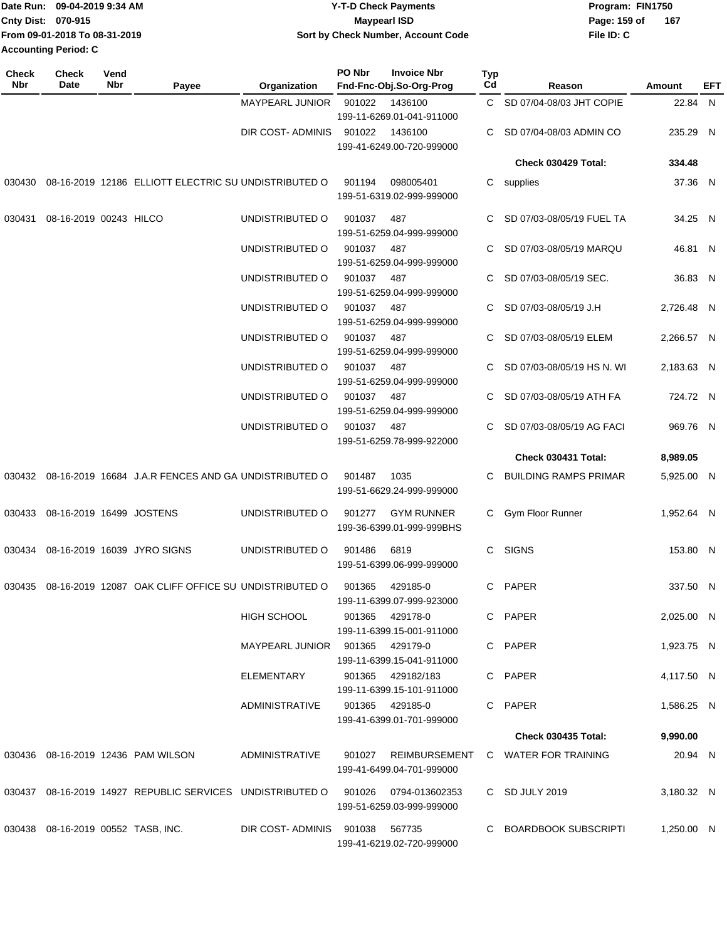| <b>Date Run:</b>            | 09-04-2019 9:34 AM            | <b>Y-T-D Check Payments</b>        | Program: FIN1750      |
|-----------------------------|-------------------------------|------------------------------------|-----------------------|
| <b>Cnty Dist: 070-915</b>   |                               | Maypearl ISD                       | - 167<br>Page: 159 of |
|                             | From 09-01-2018 To 08-31-2019 | Sort by Check Number, Account Code | File ID: C            |
| <b>Accounting Period: C</b> |                               |                                    |                       |

| <b>Check</b><br><b>Nbr</b> | Check<br>Date                         | Vend<br>Nbr | Payee                                                                           | Organization                    | PO Nbr     | <b>Invoice Nbr</b><br>Fnd-Fnc-Obj.So-Org-Prog  | <b>Typ</b><br>Cd | Reason                                    | Amount     | EFT |
|----------------------------|---------------------------------------|-------------|---------------------------------------------------------------------------------|---------------------------------|------------|------------------------------------------------|------------------|-------------------------------------------|------------|-----|
|                            |                                       |             |                                                                                 | MAYPEARL JUNIOR                 | 901022     | 1436100<br>199-11-6269.01-041-911000           |                  | C SD 07/04-08/03 JHT COPIE                | 22.84 N    |     |
|                            |                                       |             |                                                                                 | DIR COST- ADMINIS               | 901022     | 1436100<br>199-41-6249.00-720-999000           |                  | C SD 07/04-08/03 ADMIN CO                 | 235.29 N   |     |
|                            |                                       |             |                                                                                 |                                 |            |                                                |                  | Check 030429 Total:                       | 334.48     |     |
|                            |                                       |             | 030430 08-16-2019 12186 ELLIOTT ELECTRIC SU UNDISTRIBUTED O                     |                                 | 901194     | 098005401<br>199-51-6319.02-999-999000         |                  | C supplies                                | 37.36 N    |     |
| 030431                     | 08-16-2019 00243 HILCO                |             |                                                                                 | UNDISTRIBUTED O                 | 901037     | 487<br>199-51-6259.04-999-999000               | C.               | SD 07/03-08/05/19 FUEL TA                 | 34.25 N    |     |
|                            |                                       |             |                                                                                 | UNDISTRIBUTED O                 | 901037     | 487<br>199-51-6259.04-999-999000               |                  | SD 07/03-08/05/19 MARQU                   | 46.81 N    |     |
|                            |                                       |             |                                                                                 | UNDISTRIBUTED O                 | 901037     | 487<br>199-51-6259.04-999-999000               |                  | SD 07/03-08/05/19 SEC.                    | 36.83 N    |     |
|                            |                                       |             |                                                                                 | UNDISTRIBUTED O                 | 901037     | 487<br>199-51-6259.04-999-999000               | C                | SD 07/03-08/05/19 J.H                     | 2,726.48 N |     |
|                            |                                       |             |                                                                                 | UNDISTRIBUTED O                 | 901037     | 487<br>199-51-6259.04-999-999000               |                  | SD 07/03-08/05/19 ELEM                    | 2,266.57 N |     |
|                            |                                       |             |                                                                                 | UNDISTRIBUTED O                 | 901037     | 487<br>199-51-6259.04-999-999000               |                  | SD 07/03-08/05/19 HS N. WI                | 2,183.63 N |     |
|                            |                                       |             |                                                                                 | UNDISTRIBUTED O                 | 901037     | 487<br>199-51-6259.04-999-999000               | C.               | SD 07/03-08/05/19 ATH FA                  | 724.72 N   |     |
|                            |                                       |             |                                                                                 | UNDISTRIBUTED O                 | 901037 487 | 199-51-6259.78-999-922000                      | C.               | SD 07/03-08/05/19 AG FACI                 | 969.76 N   |     |
|                            |                                       |             |                                                                                 |                                 |            |                                                |                  | Check 030431 Total:                       | 8,989.05   |     |
|                            |                                       |             | 030432 08-16-2019 16684 J.A.R FENCES AND GA UNDISTRIBUTED O                     |                                 | 901487     | 1035<br>199-51-6629.24-999-999000              | C                | <b>BUILDING RAMPS PRIMAR</b>              | 5,925.00 N |     |
| 030433                     | 08-16-2019 16499 JOSTENS              |             |                                                                                 | UNDISTRIBUTED O                 | 901277     | <b>GYM RUNNER</b><br>199-36-6399.01-999-999BHS | C.               | Gym Floor Runner                          | 1,952.64 N |     |
|                            |                                       |             | 030434 08-16-2019 16039 JYRO SIGNS                                              | UNDISTRIBUTED O                 | 901486     | 6819<br>199-51-6399.06-999-999000              |                  | C SIGNS                                   | 153.80 N   |     |
|                            |                                       |             | 030435 08-16-2019 12087 OAK CLIFF OFFICE SU UNDISTRIBUTED O                     |                                 | 901365     | 429185-0<br>199-11-6399.07-999-923000          |                  | C PAPER                                   | 337.50 N   |     |
|                            |                                       |             |                                                                                 | HIGH SCHOOL                     |            | 901365 429178-0<br>199-11-6399.15-001-911000   |                  | C PAPER                                   | 2,025.00 N |     |
|                            |                                       |             |                                                                                 | MAYPEARL JUNIOR 901365 429179-0 |            | 199-11-6399.15-041-911000                      |                  | C PAPER                                   | 1,923.75 N |     |
|                            |                                       |             |                                                                                 | ELEMENTARY                      |            | 901365 429182/183<br>199-11-6399.15-101-911000 |                  | C PAPER                                   | 4,117.50 N |     |
|                            |                                       |             |                                                                                 | ADMINISTRATIVE                  |            | 901365 429185-0<br>199-41-6399.01-701-999000   |                  | C PAPER                                   | 1,586.25 N |     |
|                            |                                       |             |                                                                                 |                                 |            |                                                |                  | <b>Check 030435 Total:</b>                | 9,990.00   |     |
|                            |                                       |             | 030436  08-16-2019  12436  PAM WILSON                                           | ADMINISTRATIVE                  |            | 199-41-6499.04-701-999000                      |                  | 901027 REIMBURSEMENT C WATER FOR TRAINING | 20.94 N    |     |
|                            |                                       |             | 030437 08-16-2019 14927 REPUBLIC SERVICES UNDISTRIBUTED O 901026 0794-013602353 |                                 |            | 199-51-6259.03-999-999000                      |                  | C SD JULY 2019                            | 3,180.32 N |     |
|                            | 030438  08-16-2019  00552  TASB, INC. |             |                                                                                 | DIR COST-ADMINIS 901038 567735  |            | 199-41-6219.02-720-999000                      |                  | C BOARDBOOK SUBSCRIPTI                    | 1,250.00 N |     |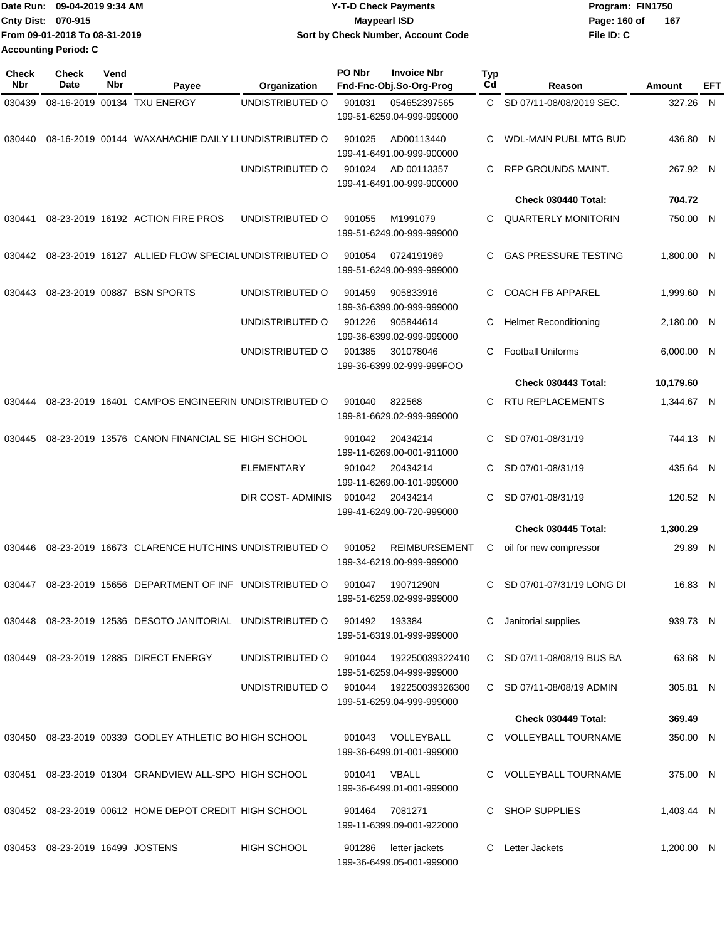| Date Run: 09-04-2019 9:34 AM  | <b>Y-T-D Check Payments</b>        | Program: FIN1750    |
|-------------------------------|------------------------------------|---------------------|
| Cnty Dist: 070-915            | Maypearl ISD                       | Page: 160 of<br>167 |
| From 09-01-2018 To 08-31-2019 | Sort by Check Number, Account Code | File ID: C          |
| <b>Accounting Period: C</b>   |                                    |                     |

| <b>Check</b><br>Nbr | Check<br>Date                   | Vend<br>Nbr | Payee                                                     | Organization             | PO Nbr | <b>Invoice Nbr</b><br>Fnd-Fnc-Obj.So-Org-Prog     | Typ<br>Cd | Reason                       | Amount     | EFT |
|---------------------|---------------------------------|-------------|-----------------------------------------------------------|--------------------------|--------|---------------------------------------------------|-----------|------------------------------|------------|-----|
| 030439              |                                 |             | 08-16-2019 00134 TXU ENERGY                               | UNDISTRIBUTED O          | 901031 | 054652397565<br>199-51-6259.04-999-999000         | C.        | SD 07/11-08/08/2019 SEC.     | 327.26 N   |     |
| 030440              |                                 |             | 08-16-2019 00144 WAXAHACHIE DAILY LI UNDISTRIBUTED O      |                          | 901025 | AD00113440<br>199-41-6491.00-999-900000           | С         | WDL-MAIN PUBL MTG BUD        | 436.80 N   |     |
|                     |                                 |             |                                                           | UNDISTRIBUTED O          | 901024 | AD 00113357<br>199-41-6491.00-999-900000          | С         | RFP GROUNDS MAINT.           | 267.92 N   |     |
|                     |                                 |             |                                                           |                          |        |                                                   |           | Check 030440 Total:          | 704.72     |     |
| 030441              |                                 |             | 08-23-2019 16192 ACTION FIRE PROS                         | UNDISTRIBUTED O          | 901055 | M1991079<br>199-51-6249.00-999-999000             | С         | <b>QUARTERLY MONITORIN</b>   | 750.00 N   |     |
| 030442              |                                 |             | 08-23-2019 16127 ALLIED FLOW SPECIAL UNDISTRIBUTED O      |                          | 901054 | 0724191969<br>199-51-6249.00-999-999000           | C         | <b>GAS PRESSURE TESTING</b>  | 1,800.00 N |     |
| 030443              |                                 |             | 08-23-2019 00887 BSN SPORTS                               | UNDISTRIBUTED O          | 901459 | 905833916<br>199-36-6399.00-999-999000            | С         | <b>COACH FB APPAREL</b>      | 1,999.60 N |     |
|                     |                                 |             |                                                           | UNDISTRIBUTED O          | 901226 | 905844614<br>199-36-6399.02-999-999000            | С         | <b>Helmet Reconditioning</b> | 2,180.00 N |     |
|                     |                                 |             |                                                           | UNDISTRIBUTED O          | 901385 | 301078046<br>199-36-6399.02-999-999FOO            | С         | <b>Football Uniforms</b>     | 6,000.00 N |     |
|                     |                                 |             |                                                           |                          |        |                                                   |           | Check 030443 Total:          | 10,179.60  |     |
| 030444              |                                 |             | 08-23-2019 16401 CAMPOS ENGINEERIN UNDISTRIBUTED O        |                          | 901040 | 822568<br>199-81-6629.02-999-999000               | С         | <b>RTU REPLACEMENTS</b>      | 1,344.67 N |     |
| 030445              |                                 |             | 08-23-2019 13576 CANON FINANCIAL SE HIGH SCHOOL           |                          | 901042 | 20434214<br>199-11-6269.00-001-911000             | С         | SD 07/01-08/31/19            | 744.13 N   |     |
|                     |                                 |             |                                                           | <b>ELEMENTARY</b>        | 901042 | 20434214<br>199-11-6269.00-101-999000             | C         | SD 07/01-08/31/19            | 435.64 N   |     |
|                     |                                 |             |                                                           | <b>DIR COST- ADMINIS</b> | 901042 | 20434214<br>199-41-6249.00-720-999000             | С         | SD 07/01-08/31/19            | 120.52 N   |     |
|                     |                                 |             |                                                           |                          |        |                                                   |           | Check 030445 Total:          | 1,300.29   |     |
| 030446              |                                 |             | 08-23-2019 16673 CLARENCE HUTCHINS UNDISTRIBUTED O        |                          | 901052 | <b>REIMBURSEMENT</b><br>199-34-6219.00-999-999000 | С         | oil for new compressor       | 29.89 N    |     |
| 030447              |                                 |             | 08-23-2019 15656 DEPARTMENT OF INF UNDISTRIBUTED O        |                          | 901047 | 19071290N<br>199-51-6259.02-999-999000            | С         | SD 07/01-07/31/19 LONG DI    | 16.83 N    |     |
|                     |                                 |             | 030448 08-23-2019 12536 DESOTO JANITORIAL UNDISTRIBUTED O |                          | 901492 | 193384<br>199-51-6319.01-999-999000               | С         | Janitorial supplies          | 939.73 N   |     |
| 030449              |                                 |             | 08-23-2019 12885 DIRECT ENERGY                            | UNDISTRIBUTED O          | 901044 | 192250039322410<br>199-51-6259.04-999-999000      |           | C SD 07/11-08/08/19 BUS BA   | 63.68 N    |     |
|                     |                                 |             |                                                           | UNDISTRIBUTED O          | 901044 | 192250039326300<br>199-51-6259.04-999-999000      |           | C SD 07/11-08/08/19 ADMIN    | 305.81 N   |     |
|                     |                                 |             |                                                           |                          |        |                                                   |           | Check 030449 Total:          | 369.49     |     |
|                     |                                 |             | 030450 08-23-2019 00339 GODLEY ATHLETIC BO HIGH SCHOOL    |                          | 901043 | VOLLEYBALL<br>199-36-6499.01-001-999000           | C.        | <b>VOLLEYBALL TOURNAME</b>   | 350.00 N   |     |
| 030451              |                                 |             | 08-23-2019 01304 GRANDVIEW ALL-SPO HIGH SCHOOL            |                          | 901041 | VBALL<br>199-36-6499.01-001-999000                |           | C VOLLEYBALL TOURNAME        | 375.00 N   |     |
|                     |                                 |             | 030452 08-23-2019 00612 HOME DEPOT CREDIT HIGH SCHOOL     |                          | 901464 | 7081271<br>199-11-6399.09-001-922000              | C         | <b>SHOP SUPPLIES</b>         | 1,403.44 N |     |
|                     | 030453 08-23-2019 16499 JOSTENS |             |                                                           | HIGH SCHOOL              | 901286 | letter jackets<br>199-36-6499.05-001-999000       | С         | Letter Jackets               | 1,200.00 N |     |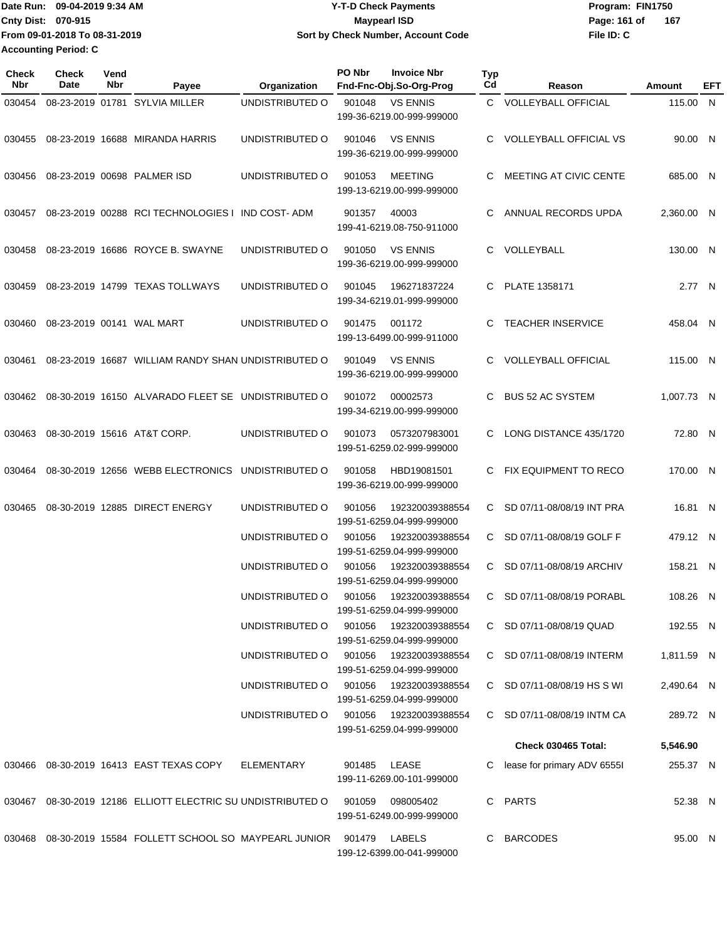Date Run: 09-04-2019 9:34 AM **Date Runity Constructs** Program: FIN1750 **Cnty Dist:** 070-915 **Page:** 161 of **File ID: C From 09-01-2018 To 08-31-2019 09-04-2019 9:34 AM Y-T-D Check Payments 070-915 Maypearl ISD Sort by Check Number, Account Code Accounting Period: C**

**167**

| Check<br><b>Nbr</b> | <b>Check</b><br>Date | Vend<br>Nbr | Payee                                                                | Organization                           | PO Nbr | <b>Invoice Nbr</b><br>Fnd-Fnc-Obj.So-Org-Prog        | Typ<br>Cd    | Reason                        | Amount     | EFT |
|---------------------|----------------------|-------------|----------------------------------------------------------------------|----------------------------------------|--------|------------------------------------------------------|--------------|-------------------------------|------------|-----|
| 030454              |                      |             | 08-23-2019 01781 SYLVIA MILLER                                       | UNDISTRIBUTED O                        | 901048 | <b>VS ENNIS</b><br>199-36-6219.00-999-999000         | $\mathbf{C}$ | <b>VOLLEYBALL OFFICIAL</b>    | 115.00 N   |     |
| 030455              |                      |             | 08-23-2019 16688 MIRANDA HARRIS                                      | UNDISTRIBUTED O                        | 901046 | <b>VS ENNIS</b><br>199-36-6219.00-999-999000         | C.           | <b>VOLLEYBALL OFFICIAL VS</b> | 90.00 N    |     |
| 030456              |                      |             | 08-23-2019 00698 PALMER ISD                                          | UNDISTRIBUTED O                        | 901053 | <b>MEETING</b><br>199-13-6219.00-999-999000          | C            | MEETING AT CIVIC CENTE        | 685.00 N   |     |
| 030457              |                      |             | 08-23-2019 00288 RCI TECHNOLOGIES I                                  | <b>IND COST- ADM</b>                   | 901357 | 40003<br>199-41-6219.08-750-911000                   | C.           | ANNUAL RECORDS UPDA           | 2,360.00 N |     |
| 030458              |                      |             | 08-23-2019 16686 ROYCE B. SWAYNE                                     | UNDISTRIBUTED O                        | 901050 | <b>VS ENNIS</b><br>199-36-6219.00-999-999000         | C.           | VOLLEYBALL                    | 130.00 N   |     |
| 030459              |                      |             | 08-23-2019 14799 TEXAS TOLLWAYS                                      | UNDISTRIBUTED O                        | 901045 | 196271837224<br>199-34-6219.01-999-999000            |              | C PLATE 1358171               | 2.77 N     |     |
| 030460              |                      |             | 08-23-2019 00141 WAL MART                                            | UNDISTRIBUTED O                        | 901475 | 001172<br>199-13-6499.00-999-911000                  | C.           | <b>TEACHER INSERVICE</b>      | 458.04 N   |     |
| 030461              |                      |             | 08-23-2019 16687 WILLIAM RANDY SHAN UNDISTRIBUTED O                  |                                        | 901049 | <b>VS ENNIS</b><br>199-36-6219.00-999-999000         | C.           | <b>VOLLEYBALL OFFICIAL</b>    | 115.00 N   |     |
| 030462              |                      |             | 08-30-2019 16150 ALVARADO FLEET SE UNDISTRIBUTED O                   |                                        | 901072 | 00002573<br>199-34-6219.00-999-999000                | C            | <b>BUS 52 AC SYSTEM</b>       | 1,007.73 N |     |
| 030463              |                      |             | 08-30-2019 15616 AT&T CORP.                                          | UNDISTRIBUTED O                        | 901073 | 0573207983001<br>199-51-6259.02-999-999000           | C.           | LONG DISTANCE 435/1720        | 72.80 N    |     |
| 030464              |                      |             | 08-30-2019 12656 WEBB ELECTRONICS                                    | UNDISTRIBUTED O                        | 901058 | HBD19081501<br>199-36-6219.00-999-999000             |              | C FIX EQUIPMENT TO RECO       | 170.00 N   |     |
| 030465              |                      |             | 08-30-2019 12885 DIRECT ENERGY                                       | UNDISTRIBUTED O                        | 901056 | 192320039388554<br>199-51-6259.04-999-999000         | C            | SD 07/11-08/08/19 INT PRA     | 16.81 N    |     |
|                     |                      |             |                                                                      | UNDISTRIBUTED O                        | 901056 | 192320039388554<br>199-51-6259.04-999-999000         | C.           | SD 07/11-08/08/19 GOLF F      | 479.12 N   |     |
|                     |                      |             |                                                                      | UNDISTRIBUTED O                        | 901056 | 192320039388554<br>199-51-6259.04-999-999000         | C            | SD 07/11-08/08/19 ARCHIV      | 158.21 N   |     |
|                     |                      |             |                                                                      | UNDISTRIBUTED O                        |        | 901056 192320039388554<br>199-51-6259.04-999-999000  | C.           | SD 07/11-08/08/19 PORABL      | 108.26 N   |     |
|                     |                      |             |                                                                      | UNDISTRIBUTED O 901056 192320039388554 |        | 199-51-6259.04-999-999000                            |              | C SD 07/11-08/08/19 QUAD      | 192.55 N   |     |
|                     |                      |             |                                                                      | UNDISTRIBUTED O 901056                 |        | 192320039388554<br>199-51-6259.04-999-999000         |              | C SD 07/11-08/08/19 INTERM    | 1,811.59 N |     |
|                     |                      |             |                                                                      | UNDISTRIBUTED O                        | 901056 | 192320039388554<br>199-51-6259.04-999-999000         |              | C SD 07/11-08/08/19 HS S WI   | 2,490.64 N |     |
|                     |                      |             |                                                                      | UNDISTRIBUTED O                        |        | 901056  192320039388554<br>199-51-6259.04-999-999000 |              | C SD 07/11-08/08/19 INTM CA   | 289.72 N   |     |
|                     |                      |             |                                                                      |                                        |        |                                                      |              | <b>Check 030465 Total:</b>    | 5,546.90   |     |
|                     |                      |             | 030466  08-30-2019  16413  EAST TEXAS COPY                           | ELEMENTARY                             | 901485 | LEASE<br>199-11-6269.00-101-999000                   |              | lease for primary ADV 65551   | 255.37 N   |     |
|                     |                      |             | 030467 08-30-2019 12186 ELLIOTT ELECTRIC SU UNDISTRIBUTED O          |                                        | 901059 | 098005402<br>199-51-6249.00-999-999000               |              | C PARTS                       | 52.38 N    |     |
|                     |                      |             | 030468  08-30-2019  15584  FOLLETT SCHOOL SO MAYPEARL JUNIOR  901479 |                                        |        | LABELS<br>199-12-6399.00-041-999000                  |              | C BARCODES                    | 95.00 N    |     |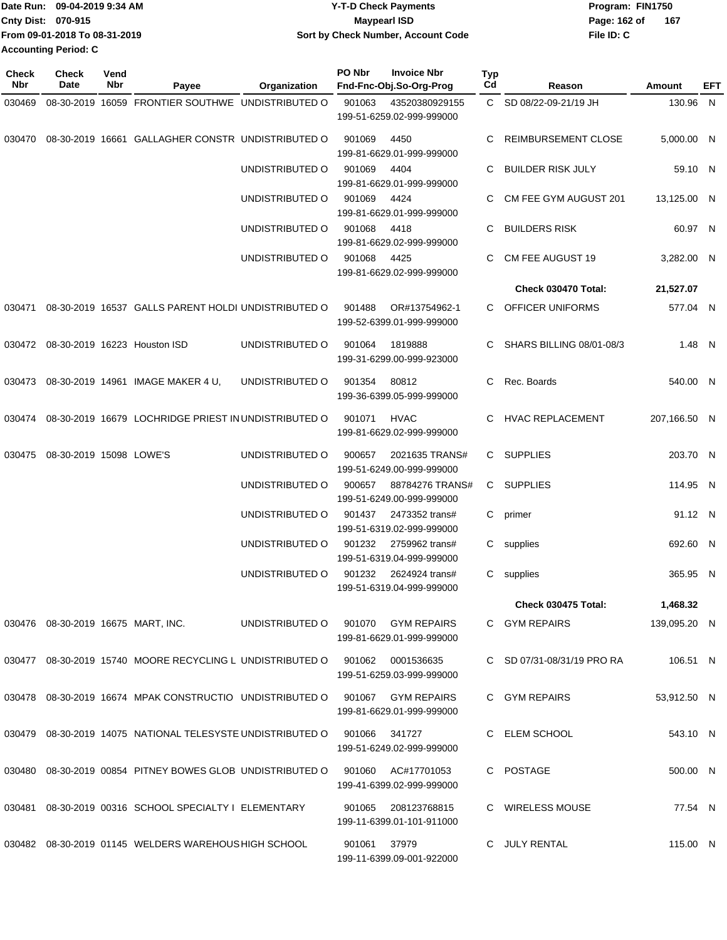| Date Run: 09-04-2019 9:34 AM  | Y-T-D Check Payments | Program: FIN1750                   |     |
|-------------------------------|----------------------|------------------------------------|-----|
| Cnty Dist: 070-915            | Maypearl ISD         | Page: 162 of                       | 167 |
| From 09-01-2018 To 08-31-2019 |                      | File ID: C                         |     |
| <b>Accounting Period: C</b>   |                      |                                    |     |
|                               |                      | Sort by Check Number, Account Code |     |

| <b>Check</b><br>Nbr | <b>Check</b><br>Date                  | Vend<br>Nbr | Payee                                                         | Organization    | PO Nbr       | <b>Invoice Nbr</b><br>Fnd-Fnc-Obj.So-Org-Prog   | <b>Typ</b><br>Cd | Reason                     | Amount       | EFT |
|---------------------|---------------------------------------|-------------|---------------------------------------------------------------|-----------------|--------------|-------------------------------------------------|------------------|----------------------------|--------------|-----|
| 030469              |                                       |             | 08-30-2019 16059 FRONTIER SOUTHWE UNDISTRIBUTED O             |                 | 901063       | 43520380929155<br>199-51-6259.02-999-999000     |                  | C SD 08/22-09-21/19 JH     | 130.96 N     |     |
|                     |                                       |             | 030470 08-30-2019 16661 GALLAGHER CONSTR UNDISTRIBUTED O      |                 | 901069       | 4450<br>199-81-6629.01-999-999000               |                  | <b>REIMBURSEMENT CLOSE</b> | 5,000.00 N   |     |
|                     |                                       |             |                                                               | UNDISTRIBUTED O | 901069       | 4404<br>199-81-6629.01-999-999000               | C.               | BUILDER RISK JULY          | 59.10 N      |     |
|                     |                                       |             |                                                               | UNDISTRIBUTED O | 901069       | 4424<br>199-81-6629.01-999-999000               |                  | CM FEE GYM AUGUST 201      | 13,125.00 N  |     |
|                     |                                       |             |                                                               | UNDISTRIBUTED O | 901068       | 4418<br>199-81-6629.02-999-999000               | C.               | <b>BUILDERS RISK</b>       | 60.97 N      |     |
|                     |                                       |             |                                                               | UNDISTRIBUTED O | 901068       | 4425<br>199-81-6629.02-999-999000               |                  | CM FEE AUGUST 19           | 3,282.00 N   |     |
|                     |                                       |             |                                                               |                 |              |                                                 |                  | Check 030470 Total:        | 21,527.07    |     |
|                     |                                       |             | 030471 08-30-2019 16537 GALLS PARENT HOLDI UNDISTRIBUTED O    |                 | 901488       | OR#13754962-1<br>199-52-6399.01-999-999000      |                  | C OFFICER UNIFORMS         | 577.04 N     |     |
|                     |                                       |             | 030472 08-30-2019 16223 Houston ISD                           | UNDISTRIBUTED O | 901064       | 1819888<br>199-31-6299.00-999-923000            | C.               | SHARS BILLING 08/01-08/3   | 1.48 N       |     |
|                     |                                       |             | 030473 08-30-2019 14961 IMAGE MAKER 4 U,                      | UNDISTRIBUTED O | 901354       | 80812<br>199-36-6399.05-999-999000              | C                | Rec. Boards                | 540.00 N     |     |
|                     |                                       |             | 030474 08-30-2019 16679 LOCHRIDGE PRIEST IN UNDISTRIBUTED O   |                 | 901071       | <b>HVAC</b><br>199-81-6629.02-999-999000        |                  | HVAC REPLACEMENT           | 207,166.50 N |     |
| 030475              | 08-30-2019 15098 LOWE'S               |             |                                                               | UNDISTRIBUTED O | 900657       | 2021635 TRANS#<br>199-51-6249.00-999-999000     |                  | C SUPPLIES                 | 203.70 N     |     |
|                     |                                       |             |                                                               | UNDISTRIBUTED O | 900657       | 88784276 TRANS#<br>199-51-6249.00-999-999000    |                  | C SUPPLIES                 | 114.95 N     |     |
|                     |                                       |             |                                                               | UNDISTRIBUTED O | 901437       | 2473352 trans#<br>199-51-6319.02-999-999000     | C                | primer                     | 91.12 N      |     |
|                     |                                       |             |                                                               | UNDISTRIBUTED O | 901232       | 2759962 trans#<br>199-51-6319.04-999-999000     |                  | C supplies                 | 692.60 N     |     |
|                     |                                       |             |                                                               | UNDISTRIBUTED O | 901232       | 2624924 trans#<br>199-51-6319.04-999-999000     |                  | C supplies                 | 365.95 N     |     |
|                     |                                       |             |                                                               |                 |              |                                                 |                  | Check 030475 Total:        | 1,468.32     |     |
|                     | 030476  08-30-2019  16675  MART, INC. |             |                                                               | UNDISTRIBUTED O |              | 901070 GYM REPAIRS<br>199-81-6629.01-999-999000 |                  | C GYM REPAIRS              | 139,095.20 N |     |
|                     |                                       |             | 030477 08-30-2019 15740 MOORE RECYCLING L UNDISTRIBUTED O     |                 | 901062       | 0001536635<br>199-51-6259.03-999-999000         |                  | C SD 07/31-08/31/19 PRO RA | 106.51 N     |     |
|                     |                                       |             | 030478 08-30-2019 16674 MPAK CONSTRUCTIO UNDISTRIBUTED O      |                 |              | 901067 GYM REPAIRS<br>199-81-6629.01-999-999000 |                  | C GYM REPAIRS              | 53,912.50 N  |     |
|                     |                                       |             | 030479 08-30-2019 14075 NATIONAL TELESYSTE UNDISTRIBUTED O    |                 | 901066       | 341727<br>199-51-6249.02-999-999000             |                  | C ELEM SCHOOL              | 543.10 N     |     |
|                     |                                       |             | 030480  08-30-2019  00854  PITNEY BOWES GLOB  UNDISTRIBUTED O |                 | 901060       | AC#17701053<br>199-41-6399.02-999-999000        |                  | C POSTAGE                  | 500.00 N     |     |
|                     |                                       |             | 030481  08-30-2019  00316  SCHOOL SPECIALTY I ELEMENTARY      |                 | 901065       | 208123768815<br>199-11-6399.01-101-911000       |                  | C WIRELESS MOUSE           | 77.54 N      |     |
|                     |                                       |             | 030482 08-30-2019 01145 WELDERS WAREHOUS HIGH SCHOOL          |                 | 901061 37979 | 199-11-6399.09-001-922000                       |                  | C JULY RENTAL              | 115.00 N     |     |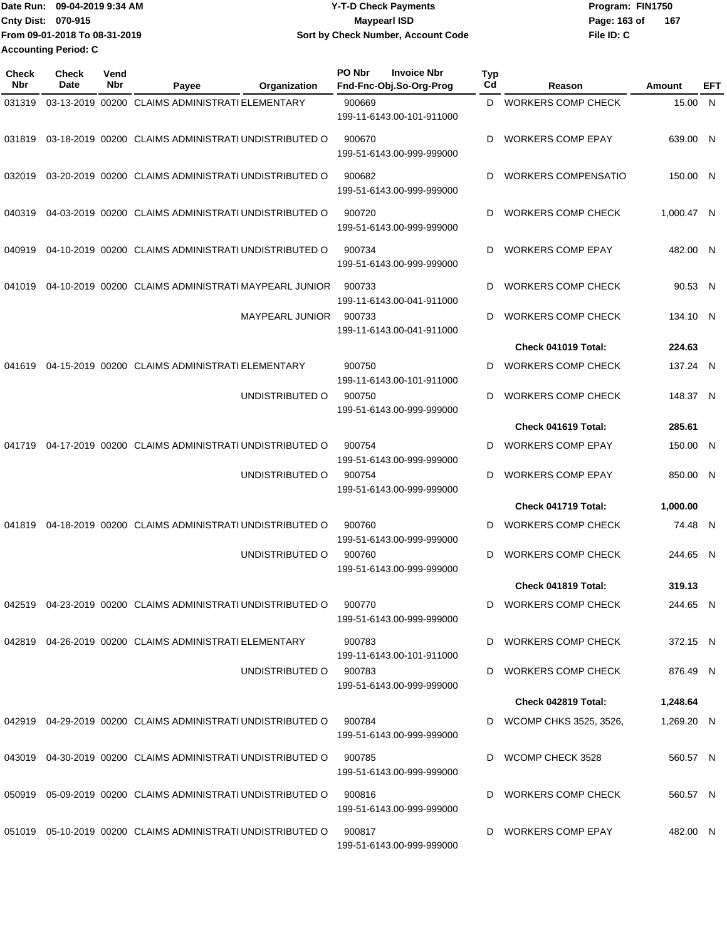| IDate Run: 09-04-2019 9:34 AM | Y-T-D Check Payments               | Program: FIN1750 |     |
|-------------------------------|------------------------------------|------------------|-----|
| <b>Cnty Dist: 070-915</b>     | <b>Mavpearl ISD</b>                | Page: 163 of     | 167 |
| From 09-01-2018 To 08-31-2019 | Sort by Check Number, Account Code | File ID: C       |     |
| <b>Accounting Period: C</b>   |                                    |                  |     |

**PO Nbr Invoice Nbr**

| Check<br>Nbr | <b>Check</b><br><b>Date</b> | Vend<br>Nbr | Payee                                                       | Organization           | PO Nbr | <b>Invoice Nbr</b><br>Fnd-Fnc-Obj.So-Org-Prog | <b>Typ</b><br>C <sub>d</sub> | Reason                     | Amount     | EFT |
|--------------|-----------------------------|-------------|-------------------------------------------------------------|------------------------|--------|-----------------------------------------------|------------------------------|----------------------------|------------|-----|
| 031319       |                             |             | 03-13-2019 00200 CLAIMS ADMINISTRATI ELEMENTARY             |                        | 900669 | 199-11-6143.00-101-911000                     |                              | D WORKERS COMP CHECK       | 15.00 N    |     |
| 031819       |                             |             | 03-18-2019 00200 CLAIMS ADMINISTRATI UNDISTRIBUTED O        |                        | 900670 | 199-51-6143.00-999-999000                     | D                            | <b>WORKERS COMP EPAY</b>   | 639.00 N   |     |
| 032019       |                             |             | 03-20-2019 00200 CLAIMS ADMINISTRATI UNDISTRIBUTED O        |                        | 900682 | 199-51-6143.00-999-999000                     | D                            | <b>WORKERS COMPENSATIO</b> | 150.00 N   |     |
| 040319       |                             |             | 04-03-2019 00200 CLAIMS ADMINISTRATI UNDISTRIBUTED O        |                        | 900720 | 199-51-6143.00-999-999000                     | D                            | <b>WORKERS COMP CHECK</b>  | 1,000.47 N |     |
| 040919       |                             |             | 04-10-2019 00200 CLAIMS ADMINISTRATI UNDISTRIBUTED O        |                        | 900734 | 199-51-6143.00-999-999000                     | D                            | <b>WORKERS COMP EPAY</b>   | 482.00 N   |     |
| 041019       |                             |             | 04-10-2019 00200 CLAIMS ADMINISTRATI MAYPEARL JUNIOR        |                        | 900733 | 199-11-6143.00-041-911000                     | D                            | <b>WORKERS COMP CHECK</b>  | 90.53 N    |     |
|              |                             |             |                                                             | <b>MAYPEARL JUNIOR</b> | 900733 | 199-11-6143.00-041-911000                     | D                            | <b>WORKERS COMP CHECK</b>  | 134.10 N   |     |
|              |                             |             |                                                             |                        |        |                                               |                              | Check 041019 Total:        | 224.63     |     |
| 041619       |                             |             | 04-15-2019 00200 CLAIMS ADMINISTRATI ELEMENTARY             |                        | 900750 | 199-11-6143.00-101-911000                     | D                            | <b>WORKERS COMP CHECK</b>  | 137.24 N   |     |
|              |                             |             |                                                             | UNDISTRIBUTED O        | 900750 | 199-51-6143.00-999-999000                     | D                            | <b>WORKERS COMP CHECK</b>  | 148.37 N   |     |
|              |                             |             |                                                             |                        |        |                                               |                              | Check 041619 Total:        | 285.61     |     |
| 041719       |                             |             | 04-17-2019 00200 CLAIMS ADMINISTRATI UNDISTRIBUTED O        |                        | 900754 | 199-51-6143.00-999-999000                     | D                            | <b>WORKERS COMP EPAY</b>   | 150.00 N   |     |
|              |                             |             |                                                             | UNDISTRIBUTED O        | 900754 | 199-51-6143.00-999-999000                     | D                            | <b>WORKERS COMP EPAY</b>   | 850.00 N   |     |
|              |                             |             |                                                             |                        |        |                                               |                              | Check 041719 Total:        | 1,000.00   |     |
| 041819       |                             |             | 04-18-2019 00200 CLAIMS ADMINISTRATI UNDISTRIBUTED O        |                        | 900760 | 199-51-6143.00-999-999000                     | D                            | <b>WORKERS COMP CHECK</b>  | 74.48 N    |     |
|              |                             |             |                                                             | UNDISTRIBUTED O        | 900760 | 199-51-6143.00-999-999000                     | D                            | <b>WORKERS COMP CHECK</b>  | 244.65 N   |     |
|              |                             |             |                                                             |                        |        |                                               |                              | Check 041819 Total:        | 319.13     |     |
|              |                             |             | 042519 04-23-2019 00200 CLAIMS ADMINISTRATI UNDISTRIBUTED O |                        | 900770 | 199-51-6143.00-999-999000                     |                              | D WORKERS COMP CHECK       | 244.65 N   |     |
|              |                             |             | 042819 04-26-2019 00200 CLAIMS ADMINISTRATI ELEMENTARY      |                        | 900783 | 199-11-6143.00-101-911000                     |                              | D WORKERS COMP CHECK       | 372.15 N   |     |
|              |                             |             |                                                             | UNDISTRIBUTED O        | 900783 | 199-51-6143.00-999-999000                     |                              | D WORKERS COMP CHECK       | 876.49 N   |     |
|              |                             |             |                                                             |                        |        |                                               |                              | Check 042819 Total:        | 1,248.64   |     |
|              |                             |             | 042919 04-29-2019 00200 CLAIMS ADMINISTRATI UNDISTRIBUTED O |                        | 900784 | 199-51-6143.00-999-999000                     |                              | D WCOMP CHKS 3525, 3526,   | 1,269.20 N |     |
|              |                             |             | 043019 04-30-2019 00200 CLAIMS ADMINISTRATI UNDISTRIBUTED O |                        | 900785 | 199-51-6143.00-999-999000                     |                              | D WCOMP CHECK 3528         | 560.57 N   |     |
|              |                             |             | 050919 05-09-2019 00200 CLAIMS ADMINISTRATI UNDISTRIBUTED O |                        | 900816 | 199-51-6143.00-999-999000                     |                              | WORKERS COMP CHECK         | 560.57 N   |     |
|              |                             |             | 051019 05-10-2019 00200 CLAIMS ADMINISTRATI UNDISTRIBUTED O |                        | 900817 | 199-51-6143.00-999-999000                     |                              | D WORKERS COMP EPAY        | 482.00 N   |     |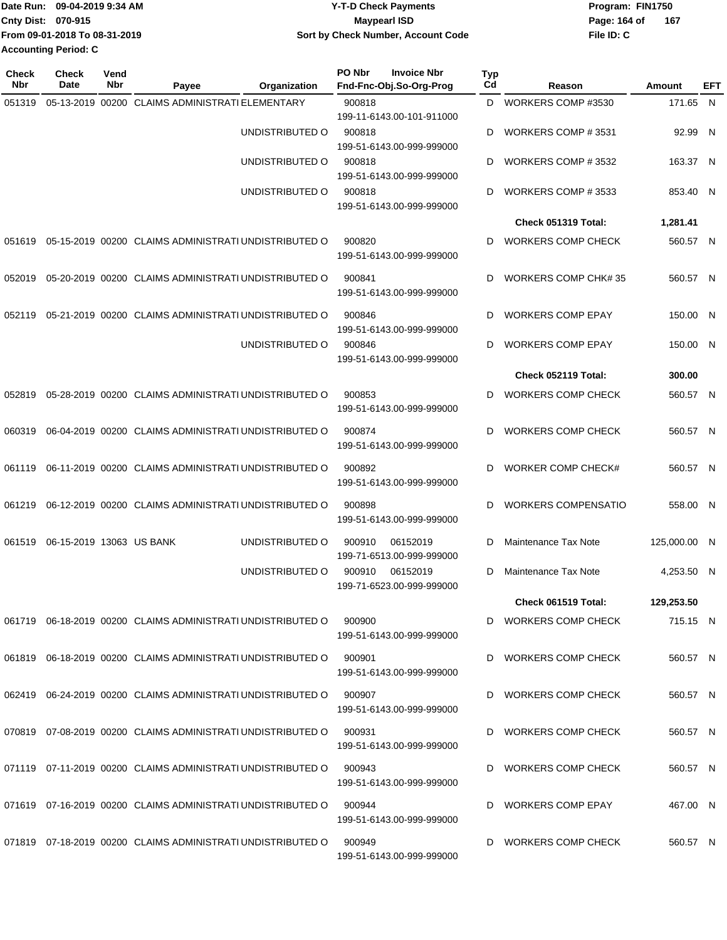| Date Run: 09-04-2019 9:34 AM  | <b>Y-T-D Check Payments</b>        | Program: FIN1750      |  |  |  |
|-------------------------------|------------------------------------|-----------------------|--|--|--|
| <b>Cnty Dist: 070-915</b>     | Maypearl ISD                       | - 167<br>Page: 164 of |  |  |  |
| From 09-01-2018 To 08-31-2019 | Sort by Check Number, Account Code | File ID: C            |  |  |  |
| <b>Accounting Period: C</b>   |                                    |                       |  |  |  |

| <b>Check</b><br>Nbr | <b>Check</b><br>Date     | Vend<br>Nbr | Payee                                                          | Organization    | PO Nbr | <b>Invoice Nbr</b><br>Fnd-Fnc-Obj.So-Org-Prog | Typ<br>Cd | Reason                      | Amount       | EFT |
|---------------------|--------------------------|-------------|----------------------------------------------------------------|-----------------|--------|-----------------------------------------------|-----------|-----------------------------|--------------|-----|
| 051319              |                          |             | 05-13-2019 00200 CLAIMS ADMINISTRATI ELEMENTARY                |                 | 900818 | 199-11-6143.00-101-911000                     | D         | WORKERS COMP #3530          | 171.65 N     |     |
|                     |                          |             |                                                                | UNDISTRIBUTED O | 900818 | 199-51-6143.00-999-999000                     | D         | WORKERS COMP #3531          | 92.99 N      |     |
|                     |                          |             |                                                                | UNDISTRIBUTED O | 900818 | 199-51-6143.00-999-999000                     | D         | WORKERS COMP #3532          | 163.37 N     |     |
|                     |                          |             |                                                                | UNDISTRIBUTED O | 900818 | 199-51-6143.00-999-999000                     | D         | WORKERS COMP #3533          | 853.40 N     |     |
|                     |                          |             |                                                                |                 |        |                                               |           | Check 051319 Total:         | 1,281.41     |     |
| 051619              |                          |             | 05-15-2019 00200 CLAIMS ADMINISTRATI UNDISTRIBUTED O           |                 | 900820 | 199-51-6143.00-999-999000                     | D         | <b>WORKERS COMP CHECK</b>   | 560.57 N     |     |
| 052019              |                          |             | 05-20-2019 00200 CLAIMS ADMINISTRATI UNDISTRIBUTED O           |                 | 900841 | 199-51-6143.00-999-999000                     | D         | <b>WORKERS COMP CHK#35</b>  | 560.57 N     |     |
| 052119              |                          |             | 05-21-2019 00200 CLAIMS ADMINISTRATI UNDISTRIBUTED O           |                 | 900846 | 199-51-6143.00-999-999000                     | D         | <b>WORKERS COMP EPAY</b>    | 150.00 N     |     |
|                     |                          |             |                                                                | UNDISTRIBUTED O | 900846 | 199-51-6143.00-999-999000                     | D         | <b>WORKERS COMP EPAY</b>    | 150.00 N     |     |
|                     |                          |             |                                                                |                 |        |                                               |           | Check 052119 Total:         | 300.00       |     |
| 052819              |                          |             | 05-28-2019 00200 CLAIMS ADMINISTRATI UNDISTRIBUTED O           |                 | 900853 | 199-51-6143.00-999-999000                     | D         | WORKERS COMP CHECK          | 560.57 N     |     |
| 060319              |                          |             | 06-04-2019 00200 CLAIMS ADMINISTRATI UNDISTRIBUTED O           |                 | 900874 | 199-51-6143.00-999-999000                     | D         | <b>WORKERS COMP CHECK</b>   | 560.57 N     |     |
| 061119              |                          |             | 06-11-2019 00200 CLAIMS ADMINISTRATI UNDISTRIBUTED O           |                 | 900892 | 199-51-6143.00-999-999000                     | D         | WORKER COMP CHECK#          | 560.57 N     |     |
| 061219              |                          |             | 06-12-2019 00200 CLAIMS ADMINISTRATI UNDISTRIBUTED O           |                 | 900898 | 199-51-6143.00-999-999000                     | D         | <b>WORKERS COMPENSATIO</b>  | 558.00 N     |     |
| 061519              | 06-15-2019 13063 US BANK |             |                                                                | UNDISTRIBUTED O | 900910 | 06152019<br>199-71-6513.00-999-999000         | D         | Maintenance Tax Note        | 125,000.00 N |     |
|                     |                          |             |                                                                | UNDISTRIBUTED O | 900910 | 06152019<br>199-71-6523.00-999-999000         | D         | <b>Maintenance Tax Note</b> | 4,253.50 N   |     |
|                     |                          |             |                                                                |                 |        |                                               |           | Check 061519 Total:         | 129,253.50   |     |
|                     |                          |             | 061719 06-18-2019 00200 CLAIMS ADMINISTRATI UNDISTRIBUTED O    |                 | 900900 | 199-51-6143.00-999-999000                     | D         | <b>WORKERS COMP CHECK</b>   | 715.15 N     |     |
|                     |                          |             | 061819 06-18-2019 00200 CLAIMS ADMINISTRATI UNDISTRIBUTED O    |                 | 900901 | 199-51-6143.00-999-999000                     | D         | <b>WORKERS COMP CHECK</b>   | 560.57 N     |     |
|                     |                          |             | 062419 06-24-2019 00200 CLAIMS ADMINISTRATI UNDISTRIBUTED O    |                 | 900907 | 199-51-6143.00-999-999000                     | D         | <b>WORKERS COMP CHECK</b>   | 560.57 N     |     |
|                     |                          |             | 070819 07-08-2019 00200 CLAIMS ADMINISTRATI UNDISTRIBUTED O    |                 | 900931 | 199-51-6143.00-999-999000                     | D         | WORKERS COMP CHECK          | 560.57 N     |     |
|                     |                          |             | 071119 07-11-2019 00200 CLAIMS ADMINISTRATI UNDISTRIBUTED O    |                 | 900943 | 199-51-6143.00-999-999000                     | D         | WORKERS COMP CHECK          | 560.57 N     |     |
|                     |                          |             | 071619 07-16-2019 00200 CLAIMS ADMINISTRATI UNDISTRIBUTED O    |                 | 900944 | 199-51-6143.00-999-999000                     | D         | <b>WORKERS COMP EPAY</b>    | 467.00 N     |     |
|                     |                          |             | 071819  07-18-2019  00200  CLAIMS ADMINISTRATI UNDISTRIBUTED O |                 | 900949 | 199-51-6143.00-999-999000                     | D         | WORKERS COMP CHECK          | 560.57 N     |     |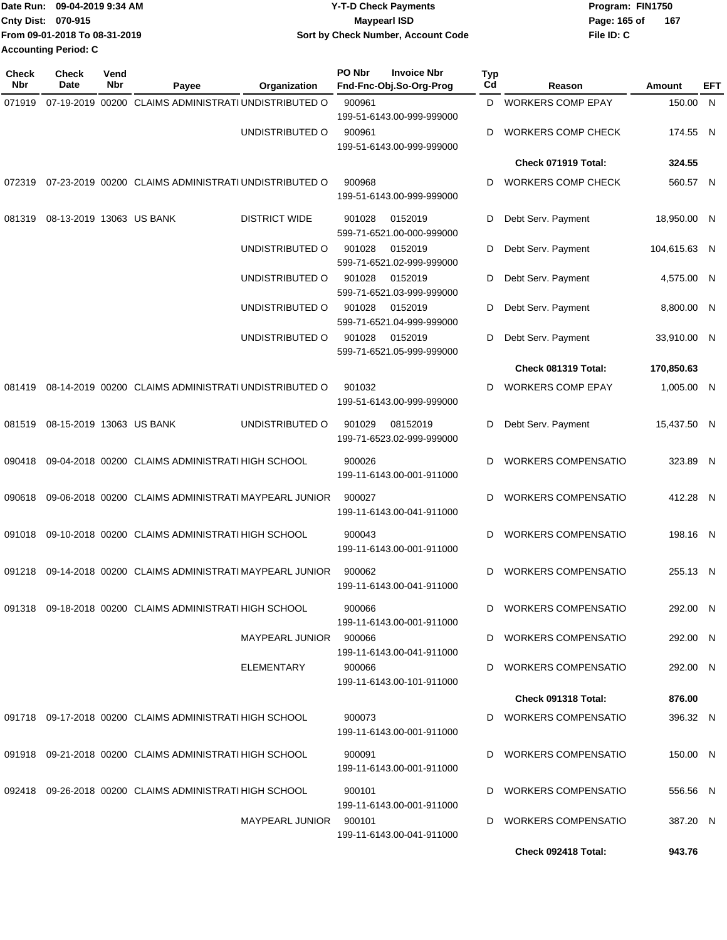| Date Run: 09-04-2019 9:34 AM |                               | <b>Y-T-D Check Payments</b>        | Program: FIN1750      |  |  |  |
|------------------------------|-------------------------------|------------------------------------|-----------------------|--|--|--|
| <b>Cnty Dist: 070-915</b>    |                               | <b>Mavpearl ISD</b>                | Page: 165 of<br>- 167 |  |  |  |
|                              | From 09-01-2018 To 08-31-2019 | Sort by Check Number, Account Code | File ID: C            |  |  |  |
| Accounting Period: C         |                               |                                    |                       |  |  |  |

| Check<br>Nbr | <b>Check</b><br>Date     | Vend<br>Nbr | Organization<br>Payee                                      | PO Nbr                    | <b>Invoice Nbr</b><br>Fnd-Fnc-Obj.So-Org-Prog | Typ<br>Cd | Reason                     | Amount       | EFT |
|--------------|--------------------------|-------------|------------------------------------------------------------|---------------------------|-----------------------------------------------|-----------|----------------------------|--------------|-----|
| 071919       |                          |             | 07-19-2019 00200 CLAIMS ADMINISTRATI UNDISTRIBUTED O       | 900961                    |                                               | D         | <b>WORKERS COMP EPAY</b>   | 150.00 N     |     |
|              |                          |             |                                                            | 199-51-6143.00-999-999000 |                                               |           |                            |              |     |
|              |                          |             | UNDISTRIBUTED O                                            | 900961                    | 199-51-6143.00-999-999000                     | D         | <b>WORKERS COMP CHECK</b>  | 174.55 N     |     |
|              |                          |             |                                                            |                           |                                               |           | Check 071919 Total:        | 324.55       |     |
| 072319       |                          |             | 07-23-2019 00200 CLAIMS ADMINISTRATI UNDISTRIBUTED O       | 900968                    | 199-51-6143.00-999-999000                     | D         | <b>WORKERS COMP CHECK</b>  | 560.57 N     |     |
| 081319       | 08-13-2019 13063 US BANK |             | <b>DISTRICT WIDE</b>                                       | 901028                    | 0152019<br>599-71-6521.00-000-999000          | D         | Debt Serv. Payment         | 18,950.00 N  |     |
|              |                          |             | UNDISTRIBUTED O                                            | 901028                    | 0152019<br>599-71-6521.02-999-999000          | D         | Debt Serv. Payment         | 104,615.63 N |     |
|              |                          |             | UNDISTRIBUTED O                                            | 901028                    | 0152019<br>599-71-6521.03-999-999000          | D         | Debt Serv. Payment         | 4,575.00 N   |     |
|              |                          |             | UNDISTRIBUTED O                                            | 901028                    | 0152019<br>599-71-6521.04-999-999000          | D         | Debt Serv. Payment         | 8,800.00 N   |     |
|              |                          |             | UNDISTRIBUTED O                                            | 901028                    | 0152019<br>599-71-6521.05-999-999000          | D         | Debt Serv. Payment         | 33,910.00 N  |     |
|              |                          |             |                                                            |                           |                                               |           | Check 081319 Total:        | 170,850.63   |     |
| 081419       |                          |             | 08-14-2019 00200 CLAIMS ADMINISTRATI UNDISTRIBUTED O       | 901032                    | 199-51-6143.00-999-999000                     | D         | WORKERS COMP EPAY          | 1,005.00 N   |     |
| 081519       | 08-15-2019 13063 US BANK |             | UNDISTRIBUTED O                                            | 901029                    | 08152019<br>199-71-6523.02-999-999000         | D         | Debt Serv. Payment         | 15,437.50 N  |     |
| 090418       |                          |             | 09-04-2018 00200 CLAIMS ADMINISTRATI HIGH SCHOOL           | 900026                    | 199-11-6143.00-001-911000                     | D         | <b>WORKERS COMPENSATIO</b> | 323.89 N     |     |
| 090618       |                          |             | 09-06-2018 00200 CLAIMS ADMINISTRATI MAYPEARL JUNIOR       | 900027                    | 199-11-6143.00-041-911000                     | D         | <b>WORKERS COMPENSATIO</b> | 412.28 N     |     |
| 091018       |                          |             | 09-10-2018 00200 CLAIMS ADMINISTRATI HIGH SCHOOL           | 900043                    | 199-11-6143.00-001-911000                     | D         | <b>WORKERS COMPENSATIO</b> | 198.16 N     |     |
| 091218       |                          |             | 09-14-2018 00200 CLAIMS ADMINISTRATI MAYPEARL JUNIOR       | 900062                    | 199-11-6143.00-041-911000                     | D         | <b>WORKERS COMPENSATIO</b> | 255.13 N     |     |
|              |                          |             | 091318 09-18-2018 00200 CLAIMS ADMINISTRATI HIGH SCHOOL    | 900066                    | 199-11-6143.00-001-911000                     |           | D WORKERS COMPENSATIO      | 292.00 N     |     |
|              |                          |             | MAYPEARL JUNIOR                                            | 900066                    | 199-11-6143.00-041-911000                     |           | D WORKERS COMPENSATIO      | 292.00 N     |     |
|              |                          |             | ELEMENTARY                                                 | 900066                    | 199-11-6143.00-101-911000                     |           | D WORKERS COMPENSATIO      | 292.00 N     |     |
|              |                          |             |                                                            |                           |                                               |           | Check 091318 Total:        | 876.00       |     |
|              |                          |             | 091718 09-17-2018 00200 CLAIMS ADMINISTRATI HIGH SCHOOL    | 900073                    | 199-11-6143.00-001-911000                     |           | D WORKERS COMPENSATIO      | 396.32 N     |     |
|              |                          |             | 091918  09-21-2018  00200  CLAIMS ADMINISTRATI HIGH SCHOOL | 900091                    | 199-11-6143.00-001-911000                     | D         | WORKERS COMPENSATIO        | 150.00 N     |     |
|              |                          |             | 092418 09-26-2018 00200 CLAIMS ADMINISTRATI HIGH SCHOOL    | 900101                    | 199-11-6143.00-001-911000                     |           | D WORKERS COMPENSATIO      | 556.56 N     |     |
|              |                          |             | MAYPEARL JUNIOR 900101                                     |                           | 199-11-6143.00-041-911000                     |           | D WORKERS COMPENSATIO      | 387.20 N     |     |
|              |                          |             |                                                            |                           |                                               |           | Check 092418 Total:        | 943.76       |     |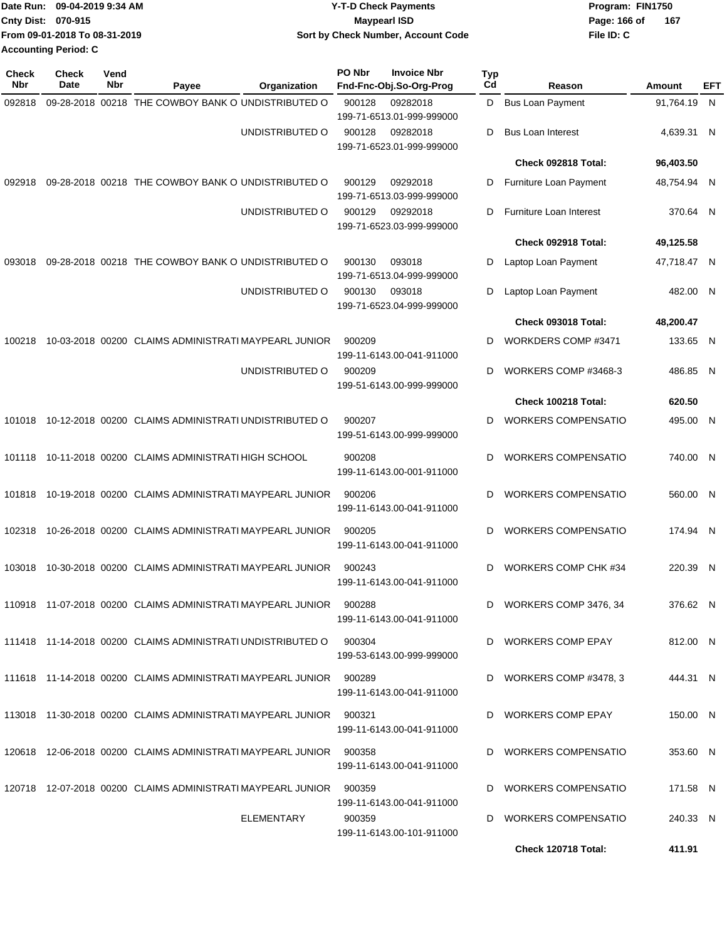| Date Run: 09-04-2019 9:34 AM |                               | <b>Y-T-D Check Payments</b>        | Program: FIN1750      |  |  |  |
|------------------------------|-------------------------------|------------------------------------|-----------------------|--|--|--|
| <b>Cnty Dist: 070-915</b>    |                               | <b>Mavpearl ISD</b>                | - 167<br>Page: 166 of |  |  |  |
|                              | From 09-01-2018 To 08-31-2019 | Sort by Check Number, Account Code | File ID: C            |  |  |  |
| <b>Accounting Period: C</b>  |                               |                                    |                       |  |  |  |

| <b>Check</b><br>Nbr | Check<br>Date | Vend<br>Nbr                                          | Payee                                                                    | Organization    | PO Nbr                    | <b>Invoice Nbr</b><br>Fnd-Fnc-Obj.So-Org-Prog | <b>Typ</b><br>Cd     | Reason                     | Amount      | EFT |
|---------------------|---------------|------------------------------------------------------|--------------------------------------------------------------------------|-----------------|---------------------------|-----------------------------------------------|----------------------|----------------------------|-------------|-----|
| 092818              |               |                                                      | 09-28-2018 00218 THE COWBOY BANK O UNDISTRIBUTED O                       |                 | 900128                    | 09282018<br>199-71-6513.01-999-999000         | D                    | <b>Bus Loan Payment</b>    | 91,764.19 N |     |
|                     |               |                                                      |                                                                          | UNDISTRIBUTED O | 900128                    | 09282018<br>199-71-6523.01-999-999000         | D                    | <b>Bus Loan Interest</b>   | 4,639.31 N  |     |
|                     |               |                                                      |                                                                          |                 |                           |                                               |                      | Check 092818 Total:        | 96,403.50   |     |
| 092918              |               |                                                      | 09-28-2018 00218 THE COWBOY BANK O UNDISTRIBUTED O                       |                 | 900129                    | 09292018<br>199-71-6513.03-999-999000         | D                    | Furniture Loan Payment     | 48,754.94 N |     |
|                     |               |                                                      |                                                                          | UNDISTRIBUTED O | 900129                    | 09292018<br>199-71-6523.03-999-999000         | D                    | Furniture Loan Interest    | 370.64 N    |     |
|                     |               |                                                      |                                                                          |                 |                           |                                               |                      | Check 092918 Total:        | 49,125.58   |     |
| 093018              |               |                                                      | 09-28-2018 00218 THE COWBOY BANK O UNDISTRIBUTED O                       |                 | 900130                    | 093018<br>199-71-6513.04-999-999000           | D                    | Laptop Loan Payment        | 47,718.47 N |     |
|                     |               |                                                      |                                                                          | UNDISTRIBUTED O | 900130                    | 093018<br>199-71-6523.04-999-999000           | D                    | Laptop Loan Payment        | 482.00 N    |     |
|                     |               |                                                      |                                                                          |                 |                           |                                               |                      | Check 093018 Total:        | 48,200.47   |     |
| 100218              |               | 10-03-2018 00200 CLAIMS ADMINISTRATI MAYPEARL JUNIOR |                                                                          | 900209          | 199-11-6143.00-041-911000 | D                                             | WORKDERS COMP #3471  | 133.65 N                   |             |     |
|                     |               |                                                      | UNDISTRIBUTED O                                                          | 900209          | 199-51-6143.00-999-999000 | D                                             | WORKERS COMP #3468-3 | 486.85 N                   |             |     |
|                     |               |                                                      |                                                                          |                 |                           |                                               |                      | Check 100218 Total:        | 620.50      |     |
| 101018              |               |                                                      | 10-12-2018 00200 CLAIMS ADMINISTRATI UNDISTRIBUTED O                     |                 | 900207                    | 199-51-6143.00-999-999000                     | D                    | <b>WORKERS COMPENSATIO</b> | 495.00 N    |     |
| 101118              |               |                                                      | 10-11-2018 00200 CLAIMS ADMINISTRATI HIGH SCHOOL                         |                 | 900208                    | 199-11-6143.00-001-911000                     | D                    | <b>WORKERS COMPENSATIO</b> | 740.00 N    |     |
| 101818              |               |                                                      | 10-19-2018 00200 CLAIMS ADMINISTRATI MAYPEARL JUNIOR                     |                 | 900206                    | 199-11-6143.00-041-911000                     | D                    | <b>WORKERS COMPENSATIO</b> | 560.00 N    |     |
| 102318              |               |                                                      | 10-26-2018 00200 CLAIMS ADMINISTRATI MAYPEARL JUNIOR                     |                 | 900205                    | 199-11-6143.00-041-911000                     | D                    | <b>WORKERS COMPENSATIO</b> | 174.94 N    |     |
| 103018              |               |                                                      | 10-30-2018 00200 CLAIMS ADMINISTRATI MAYPEARL JUNIOR                     |                 | 900243                    | 199-11-6143.00-041-911000                     | D                    | WORKERS COMP CHK #34       | 220.39 N    |     |
|                     |               |                                                      | 110918 11-07-2018 00200 CLAIMS ADMINISTRATI MAYPEARL JUNIOR 900288       |                 |                           | 199-11-6143.00-041-911000                     |                      | WORKERS COMP 3476, 34      | 376.62 N    |     |
|                     |               |                                                      | 111418 11-14-2018 00200 CLAIMS ADMINISTRATI UNDISTRIBUTED O              |                 | 900304                    | 199-53-6143.00-999-999000                     |                      | D WORKERS COMP EPAY        | 812.00 N    |     |
|                     |               |                                                      | 111618 11-14-2018 00200 CLAIMS ADMINISTRATI MAYPEARL JUNIOR 900289       |                 |                           | 199-11-6143.00-041-911000                     |                      | D WORKERS COMP #3478, 3    | 444.31 N    |     |
|                     |               |                                                      | 113018  11-30-2018  00200  CLAIMS  ADMINISTRATI MAYPEARL  JUNIOR  900321 |                 |                           | 199-11-6143.00-041-911000                     |                      | WORKERS COMP EPAY          | 150.00 N    |     |
|                     |               |                                                      | 120618  12-06-2018  00200  CLAIMS ADMINISTRATI MAYPEARL JUNIOR  900358   |                 |                           | 199-11-6143.00-041-911000                     |                      | D WORKERS COMPENSATIO      | 353.60 N    |     |
|                     |               |                                                      | 120718 12-07-2018 00200 CLAIMS ADMINISTRATI MAYPEARL JUNIOR              |                 | 900359                    | 199-11-6143.00-041-911000                     | D                    | WORKERS COMPENSATIO        | 171.58 N    |     |
|                     |               |                                                      |                                                                          | ELEMENTARY      | 900359                    | 199-11-6143.00-101-911000                     | D                    | WORKERS COMPENSATIO        | 240.33 N    |     |
|                     |               |                                                      |                                                                          |                 |                           |                                               |                      | Check 120718 Total:        | 411.91      |     |